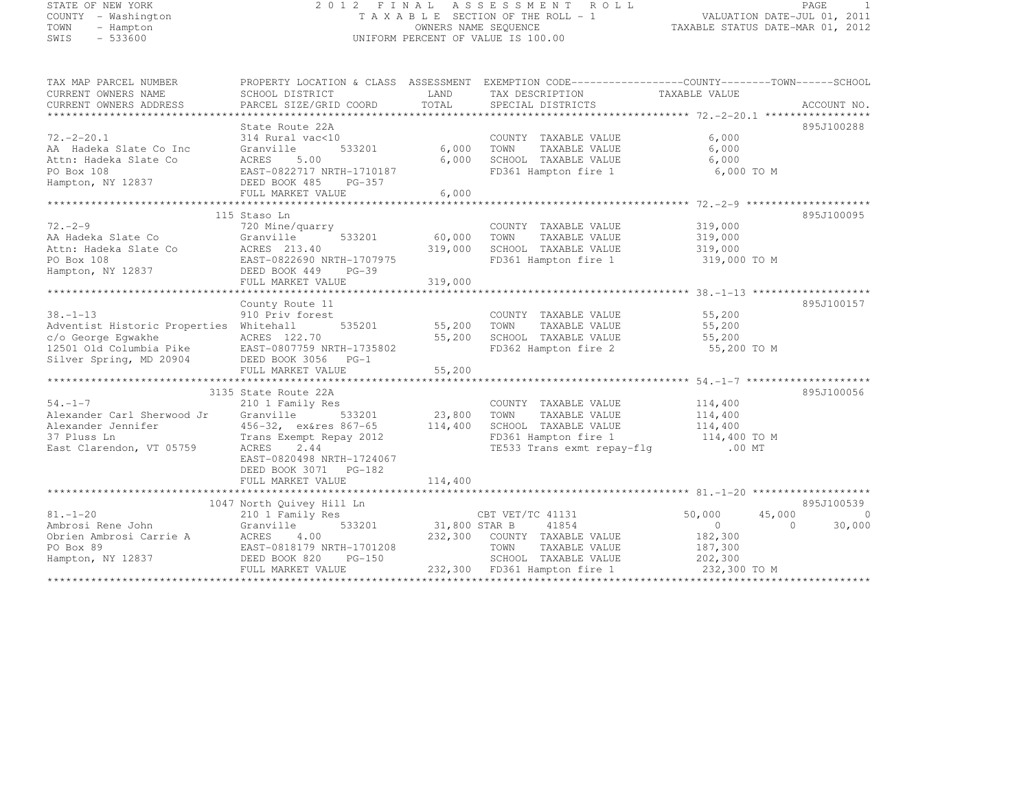# STATE OF NEW YORK 2 0 1 2 F I N A L A S S E S S M E N T R O L L PAGE <sup>1</sup> COUNTY - Washington T A X A B L E SECTION OF THE ROLL - 1 VALUATION DATE-JUL 01, 2011 TOWN - Hampton OWNERS NAME SEQUENCE TAXABLE STATUS DATE-MAR 01, 2012 SWIS - 533600 UNIFORM PERCENT OF VALUE IS 100.00

| TAX MAP PARCEL NUMBER<br>CURRENT OWNERS NAME<br>CURRENT OWNERS ADDRESS                                                      | PROPERTY LOCATION & CLASS ASSESSMENT EXEMPTION CODE----------------COUNTY-------TOWN-----SCHOOL<br>SCHOOL DISTRICT<br>PARCEL SIZE/GRID COORD                       | LAND<br>TOTAL                | TAX DESCRIPTION<br>SPECIAL DISTRICTS                                                                                               | TAXABLE VALUE                                                                   | ACCOUNT NO.                    |
|-----------------------------------------------------------------------------------------------------------------------------|--------------------------------------------------------------------------------------------------------------------------------------------------------------------|------------------------------|------------------------------------------------------------------------------------------------------------------------------------|---------------------------------------------------------------------------------|--------------------------------|
| $72. - 2 - 20.1$<br>AA Hadeka Slate Co Inc<br>Attn: Hadeka Slate Co<br>PO Box 108<br>Hampton, NY 12837                      | State Route 22A<br>314 Rural vac<10<br>Granville<br>533201<br>ACRES<br>5.00<br>EAST-0822717 NRTH-1710187<br>DEED BOOK 485<br>PG-357<br>FULL MARKET VALUE           | 6,000<br>6,000<br>6,000      | COUNTY TAXABLE VALUE<br>TOWN<br>TAXABLE VALUE<br>SCHOOL TAXABLE VALUE<br>FD361 Hampton fire 1                                      | 6,000<br>6,000<br>6,000<br>6,000 TO M                                           | 895J100288                     |
|                                                                                                                             |                                                                                                                                                                    |                              |                                                                                                                                    |                                                                                 |                                |
| $72 - 2 - 9$<br>AA Hadeka Slate Co<br>Attn: Hadeka Slate Co<br>PO Box 108<br>Hampton, NY 12837                              | 115 Staso Ln<br>720 Mine/quarry<br>533201<br>Granville<br>ACRES 213.40<br>EAST-0822690 NRTH-1707975<br>DEED BOOK 449<br>$PG-39$<br>FULL MARKET VALUE               | 60,000<br>319,000<br>319,000 | COUNTY TAXABLE VALUE<br>TOWN<br>TAXABLE VALUE<br>SCHOOL TAXABLE VALUE<br>FD361 Hampton fire 1                                      | 319,000<br>319,000<br>319,000<br>319,000 TO M                                   | 895J100095                     |
|                                                                                                                             | County Route 11                                                                                                                                                    |                              |                                                                                                                                    |                                                                                 | 895J100157                     |
| $38. - 1 - 13$<br>Adventist Historic Properties<br>c/o George Eqwakhe<br>12501 Old Columbia Pike<br>Silver Spring, MD 20904 | 910 Priv forest<br>Whitehall<br>535201<br>ACRES 122.70<br>EAST-0807759 NRTH-1735802<br>DEED BOOK 3056<br>$PG-1$<br>FULL MARKET VALUE                               | 55,200<br>55,200<br>55,200   | COUNTY TAXABLE VALUE<br>TOWN<br>TAXABLE VALUE<br>SCHOOL TAXABLE VALUE<br>FD362 Hampton fire 2                                      | 55,200<br>55,200<br>55,200<br>55,200 TO M                                       |                                |
|                                                                                                                             | 3135 State Route 22A                                                                                                                                               |                              |                                                                                                                                    |                                                                                 | 895J100056                     |
| $54. - 1 - 7$<br>Alexander Carl Sherwood Jr<br>Alexander Jennifer<br>37 Pluss Ln<br>East Clarendon, VT 05759                | 210 1 Family Res<br>533201<br>Granville<br>456-32, ex&res 867-65<br>Trans Exempt Repay 2012<br>2.44<br>ACRES<br>EAST-0820498 NRTH-1724067<br>DEED BOOK 3071 PG-182 | 23,800<br>114,400            | COUNTY TAXABLE VALUE<br>TOWN<br>TAXABLE VALUE<br>SCHOOL TAXABLE VALUE<br>FD361 Hampton fire 1<br>TE533 Trans exmt repay-flq        | 114,400<br>114,400<br>114,400<br>$114,400$ TO M<br>$.00$ MT                     |                                |
|                                                                                                                             | FULL MARKET VALUE                                                                                                                                                  | 114,400                      |                                                                                                                                    |                                                                                 |                                |
|                                                                                                                             |                                                                                                                                                                    |                              |                                                                                                                                    |                                                                                 |                                |
|                                                                                                                             | 1047 North Quivey Hill Ln                                                                                                                                          |                              |                                                                                                                                    |                                                                                 | 895J100539                     |
| $81. - 1 - 20$<br>Ambrosi Rene John<br>Obrien Ambrosi Carrie A<br>PO Box 89<br>Hampton, NY 12837                            | 210 1 Family Res<br>533201<br>Granville<br>ACRES<br>4.00<br>EAST-0818179 NRTH-1701208<br>DEED BOOK 820<br>$PG-150$<br>FULL MARKET VALUE                            | 31,800 STAR B<br>232,300     | CBT VET/TC 41131<br>41854<br>COUNTY TAXABLE VALUE<br>TOWN<br>TAXABLE VALUE<br>SCHOOL TAXABLE VALUE<br>232,300 FD361 Hampton fire 1 | 50,000<br>45,000<br>$\bigcirc$<br>182,300<br>187,300<br>202,300<br>232,300 TO M | $\Omega$<br>30,000<br>$\Omega$ |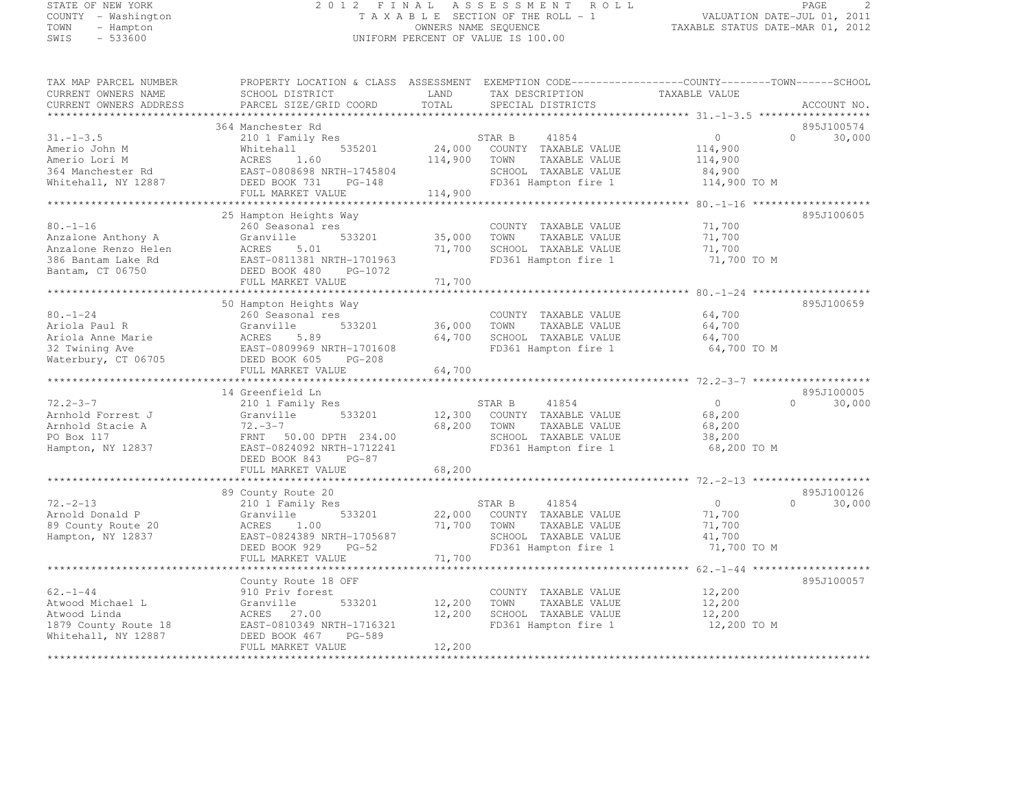# STATE OF NEW YORK 2 0 1 2 F I N A L A S S E S S M E N T R O L L PAGE <sup>2</sup> COUNTY - Washington T A X A B L E SECTION OF THE ROLL - 1 VALUATION DATE-JUL 01, 2011 TOWN - Hampton OWNERS NAME SEQUENCE TAXABLE STATUS DATE-MAR 01, 2012 SWIS - 533600 UNIFORM PERCENT OF VALUE IS 100.00

| TAX MAP PARCEL NUMBER<br>CURRENT OWNERS NAME<br>CURRENT OWNERS ADDRESS                                 | PROPERTY LOCATION & CLASS ASSESSMENT<br>SCHOOL DISTRICT<br>PARCEL SIZE/GRID COORD                                                           | LAND<br>TOTAL     | EXEMPTION CODE-----------------COUNTY-------TOWN------SCHOOL<br>TAX DESCRIPTION<br>SPECIAL DISTRICTS             | TAXABLE VALUE                                           |          | ACCOUNT NO.          |
|--------------------------------------------------------------------------------------------------------|---------------------------------------------------------------------------------------------------------------------------------------------|-------------------|------------------------------------------------------------------------------------------------------------------|---------------------------------------------------------|----------|----------------------|
| ***********                                                                                            |                                                                                                                                             | ***************** |                                                                                                                  | ********************************51.-1-3.5 ************* |          |                      |
|                                                                                                        | 364 Manchester Rd                                                                                                                           |                   |                                                                                                                  |                                                         |          | 895J100574           |
| $31. - 1 - 3.5$<br>Amerio John M<br>Amerio Lori M<br>364 Manchester Rd<br>Whitehall, NY 12887          | 210 1 Family Res<br>535201<br>Whitehall<br>ACRES<br>1.60<br>EAST-0808698 NRTH-1745804<br>DEED BOOK 731<br>PG-148                            | 24,000<br>114,900 | 41854<br>STAR B<br>COUNTY TAXABLE VALUE<br>TOWN<br>TAXABLE VALUE<br>SCHOOL TAXABLE VALUE<br>FD361 Hampton fire 1 | $\circ$<br>114,900<br>114,900<br>84,900<br>114,900 TO M | $\Omega$ | 30,000               |
|                                                                                                        | FULL MARKET VALUE                                                                                                                           | 114,900           |                                                                                                                  |                                                         |          |                      |
|                                                                                                        |                                                                                                                                             |                   |                                                                                                                  |                                                         |          |                      |
|                                                                                                        | 25 Hampton Heights Way                                                                                                                      |                   |                                                                                                                  |                                                         |          | 895J100605           |
| $80. - 1 - 16$<br>Anzalone Anthony A<br>Anzalone Renzo Helen<br>386 Bantam Lake Rd<br>Bantam, CT 06750 | 260 Seasonal res<br>533201<br>Granville<br>ACRES<br>5.01<br>EAST-0811381 NRTH-1701963<br>DEED BOOK 480<br>PG-1072                           | 35,000<br>71,700  | COUNTY TAXABLE VALUE<br>TAXABLE VALUE<br>TOWN<br>SCHOOL TAXABLE VALUE<br>FD361 Hampton fire 1                    | 71,700<br>71,700<br>71,700<br>71,700 TO M               |          |                      |
|                                                                                                        | FULL MARKET VALUE                                                                                                                           | 71,700            |                                                                                                                  |                                                         |          |                      |
|                                                                                                        |                                                                                                                                             |                   |                                                                                                                  |                                                         |          |                      |
| $80. - 1 - 24$                                                                                         | 50 Hampton Heights Way<br>260 Seasonal res                                                                                                  |                   | COUNTY TAXABLE VALUE                                                                                             | 64,700                                                  |          | 895J100659           |
| Ariola Paul R                                                                                          | Granville<br>533201                                                                                                                         | 36,000            | TOWN<br>TAXABLE VALUE                                                                                            | 64,700                                                  |          |                      |
| Ariola Anne Marie                                                                                      | 5.89<br>ACRES                                                                                                                               | 64,700            | SCHOOL TAXABLE VALUE                                                                                             | 64,700                                                  |          |                      |
| 32 Twining Ave                                                                                         | EAST-0809969 NRTH-1701608                                                                                                                   |                   | FD361 Hampton fire 1                                                                                             | 64,700 TO M                                             |          |                      |
| Waterbury, CT 06705                                                                                    | DEED BOOK 605<br>$PG-208$                                                                                                                   |                   |                                                                                                                  |                                                         |          |                      |
|                                                                                                        | FULL MARKET VALUE                                                                                                                           | 64,700            |                                                                                                                  | ************* 72.2-3-7 *******                          |          |                      |
|                                                                                                        |                                                                                                                                             |                   |                                                                                                                  |                                                         |          |                      |
| $72.2 - 3 - 7$                                                                                         | 14 Greenfield Ln                                                                                                                            |                   |                                                                                                                  | $\circ$                                                 | $\Omega$ | 895J100005           |
| Arnhold Forrest J<br>Arnhold Stacie A<br>PO Box 117<br>Hampton, NY 12837                               | 210 1 Family Res<br>533201<br>Granville<br>$72 - 3 - 7$<br>FRNT<br>50.00 DPTH 234.00<br>EAST-0824092 NRTH-1712241<br>DEED BOOK 843<br>PG-87 | 12,300<br>68,200  | STAR B<br>41854<br>COUNTY TAXABLE VALUE<br>TAXABLE VALUE<br>TOWN<br>SCHOOL TAXABLE VALUE<br>FD361 Hampton fire 1 | 68,200<br>68,200<br>38,200<br>68,200 TO M               |          | 30,000               |
|                                                                                                        | FULL MARKET VALUE                                                                                                                           | 68,200            |                                                                                                                  |                                                         |          |                      |
|                                                                                                        |                                                                                                                                             |                   |                                                                                                                  |                                                         |          |                      |
| $72. - 2 - 13$<br>Arnold Donald P<br>89 County Route 20<br>Hampton, NY 12837                           | 89 County Route 20<br>210 1 Family Res<br>533201<br>Granville<br>ACRES<br>1.00<br>EAST-0824389 NRTH-1705687<br>DEED BOOK 929<br>$PG-52$     | 22,000<br>71,700  | STAR B<br>41854<br>COUNTY TAXABLE VALUE<br>TOWN<br>TAXABLE VALUE<br>SCHOOL TAXABLE VALUE<br>FD361 Hampton fire 1 | $\circ$<br>71,700<br>71,700<br>41,700<br>71,700 TO M    | $\Omega$ | 895J100126<br>30,000 |
|                                                                                                        | FULL MARKET VALUE                                                                                                                           | 71,700            |                                                                                                                  |                                                         |          |                      |
|                                                                                                        | *******************                                                                                                                         |                   |                                                                                                                  | $62 - 1 - 44$ *********************                     |          |                      |
| $62 - 1 - 44$                                                                                          | County Route 18 OFF<br>910 Priv forest                                                                                                      |                   | COUNTY TAXABLE VALUE                                                                                             | 12,200                                                  |          | 895J100057           |
| Atwood Michael L                                                                                       | 533201<br>Granville                                                                                                                         | 12,200            | TAXABLE VALUE<br>TOWN                                                                                            | 12,200                                                  |          |                      |
| Atwood Linda                                                                                           | ACRES<br>27.00                                                                                                                              | 12,200            | SCHOOL TAXABLE VALUE                                                                                             | 12,200                                                  |          |                      |
| 1879 County Route 18                                                                                   | EAST-0810349 NRTH-1716321                                                                                                                   |                   | FD361 Hampton fire 1                                                                                             | 12,200 TO M                                             |          |                      |
| Whitehall, NY 12887                                                                                    | PG-589<br>DEED BOOK 467                                                                                                                     | 12,200            |                                                                                                                  |                                                         |          |                      |
|                                                                                                        | FULL MARKET VALUE                                                                                                                           |                   |                                                                                                                  |                                                         |          |                      |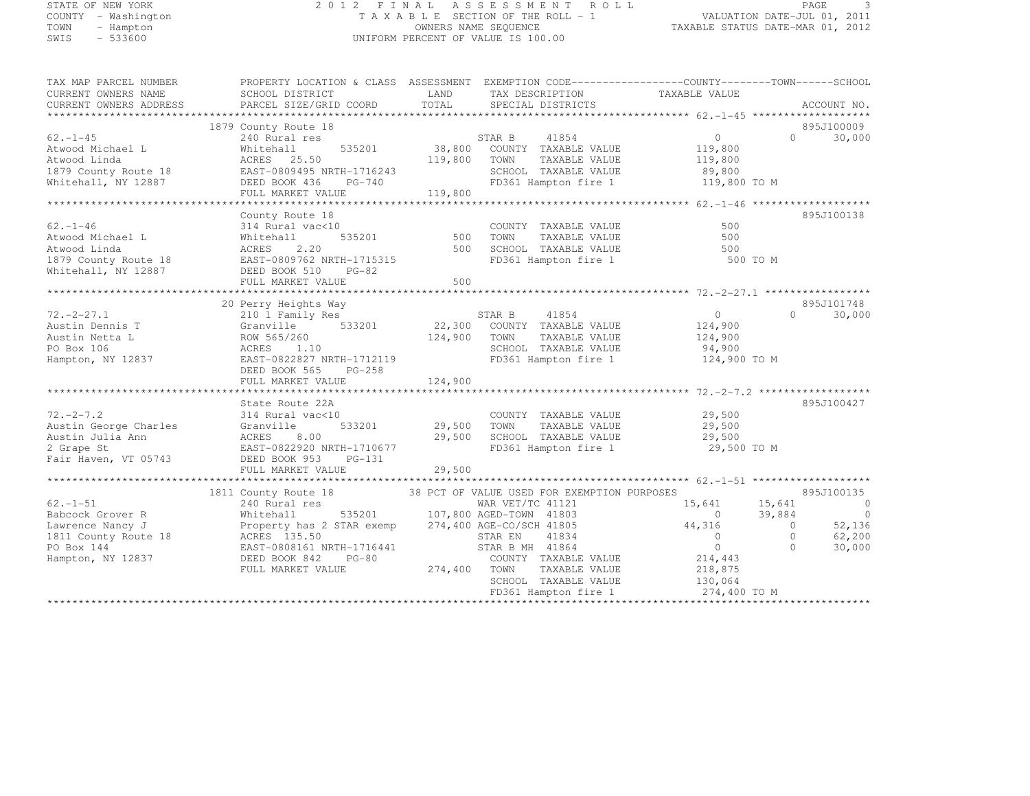# STATE OF NEW YORK 2 0 1 2 F I N A L A S S E S S M E N T R O L L PAGE <sup>3</sup> COUNTY - Washington T A X A B L E SECTION OF THE ROLL - 1 VALUATION DATE-JUL 01, 2011 TOWN - Hampton OWNERS NAME SEQUENCE TAXABLE STATUS DATE-MAR 01, 2012 SWIS - 533600 UNIFORM PERCENT OF VALUE IS 100.00

| TAX DESCRIPTION<br>SERCIAL DISTRICTS<br>PARCEL SIZE/GRID COORD<br>TOTAL<br>CURRENT OWNERS ADDRESS<br>SPECIAL DISTRICTS<br>ACCOUNT NO.<br>895J100009<br>1879 County Route 18<br>STAR B 41854<br>38,800 COUNTY TAXABLE VALUE<br>$62. - 1 - 45$<br>$\overline{0}$<br>30,000<br>240 Rural res<br>$\bigcap$<br>535201<br>Atwood Michael L<br>Whitehall<br>119,800<br>119,800<br>Atwood Linda<br>ACRES 25.50<br>TOWN<br>TAXABLE VALUE<br>119,800<br>SCHOOL TAXABLE VALUE<br>89,800<br>FD361 Hampton fire 1<br>119,800 TO M<br>FULL MARKET VALUE<br>119,800<br>895J100138<br>County Route 18<br>$62 - 1 - 46$<br>314 Rural vac<10<br>COUNTY TAXABLE VALUE<br>500<br>535201<br>Atwood Michael L<br>500<br>TOWN<br>TAXABLE VALUE<br>500<br>Whitehall<br>Atwood Linda<br>ACRES<br>2.20<br>500<br>500<br>SCHOOL TAXABLE VALUE<br>FD361 Hampton fire 1<br>EAST-0809762 NRTH-1715315<br>500 TO M<br>1879 County Route 18<br>Whitehall, NY 12887<br>DEED BOOK 510 PG-82<br>500<br>FULL MARKET VALUE<br>895J101748<br>20 Perry Heights Way<br>STAR B 41854<br>22,300 COUNTY TAXABLE VALUE<br>$72. - 2 - 27.1$<br>$\overline{0}$<br>30,000<br>$\Omega$<br>210 1 Family Res<br>533201<br>Austin Dennis T<br>Granville<br>124,900<br>124,900 TOWN<br>TAXABLE VALUE<br>Austin Netta L<br>ROW 565/260<br>124,900<br>ACRES 1.10<br>SCHOOL TAXABLE VALUE<br>94,900<br>PO Box 106<br>EAST-0822827 NRTH-1712119<br>FD361 Hampton fire 1<br>124,900 TO M<br>Hampton, NY 12837<br>DEED BOOK 565<br>PG-258<br>124,900<br>FULL MARKET VALUE<br>State Route 22A<br>895J100427<br>$72. -2 - 7.2$<br>29,500<br>314 Rural vac<10<br>COUNTY TAXABLE VALUE<br>29,500 TOWN<br>Austin George Charles<br>533201<br>TAXABLE VALUE<br>29,500<br>Granville<br>29,500<br>Austin Julia Ann<br>ACRES<br>SCHOOL TAXABLE VALUE<br>29,500<br>8.00<br>2 Grape St<br>EAST-0822920 NRTH-1710677<br>FD361 Hampton fire 1<br>29,500 TO M<br>Fair Haven, VT 05743<br>DEED BOOK 953<br>PG-131<br>29,500<br>FULL MARKET VALUE<br>1811 County Route 18<br>38 PCT OF VALUE USED FOR EXEMPTION PURPOSES<br>895J100135<br>$62. -1 - 51$<br>240 Rural res<br>15,641<br>$\overline{0}$<br>WAR VET/TC 41121<br>15,641<br>39,884<br>$\circ$<br>Babcock Grover R<br>535201 107,800 AGED-TOWN 41803<br>$\bigcirc$<br>Whitehall<br>52,136<br>Property has 2 STAR exemp 274,400 AGE-CO/SCH 41805<br>44,316<br>$\Omega$<br>Lawrence Nancy J<br>62,200<br>1811 County Route 18<br>ACRES 135.50<br>STAR EN<br>41834<br>$\overline{0}$<br>$\circ$<br>PO Box 144<br>EAST-0808161 NRTH-1716441<br>STAR B MH 41864<br>$\Omega$<br>$\Omega$<br>30,000<br>214,443<br>Hampton, NY 12837<br>DEED BOOK 842<br>$PG-80$<br>COUNTY TAXABLE VALUE<br>274,400 TOWN<br>TAXABLE VALUE<br>218,875<br>FULL MARKET VALUE<br>SCHOOL TAXABLE VALUE<br>130,064<br>274,400 TO M<br>FD361 Hampton fire 1 | TAX MAP PARCEL NUMBER<br>CURRENT OWNERS NAME | PROPERTY LOCATION & CLASS ASSESSMENT EXEMPTION CODE-----------------COUNTY-------TOWN------SCHOOL<br>SCHOOL DISTRICT | LAND |  |  |
|-------------------------------------------------------------------------------------------------------------------------------------------------------------------------------------------------------------------------------------------------------------------------------------------------------------------------------------------------------------------------------------------------------------------------------------------------------------------------------------------------------------------------------------------------------------------------------------------------------------------------------------------------------------------------------------------------------------------------------------------------------------------------------------------------------------------------------------------------------------------------------------------------------------------------------------------------------------------------------------------------------------------------------------------------------------------------------------------------------------------------------------------------------------------------------------------------------------------------------------------------------------------------------------------------------------------------------------------------------------------------------------------------------------------------------------------------------------------------------------------------------------------------------------------------------------------------------------------------------------------------------------------------------------------------------------------------------------------------------------------------------------------------------------------------------------------------------------------------------------------------------------------------------------------------------------------------------------------------------------------------------------------------------------------------------------------------------------------------------------------------------------------------------------------------------------------------------------------------------------------------------------------------------------------------------------------------------------------------------------------------------------------------------------------------------------------------------------------------------------------------------------------------------------------------------------------------------------------------------------------------------------------------------------------------------------------------------------------------------------------------------------------------------------------------------------|----------------------------------------------|----------------------------------------------------------------------------------------------------------------------|------|--|--|
|                                                                                                                                                                                                                                                                                                                                                                                                                                                                                                                                                                                                                                                                                                                                                                                                                                                                                                                                                                                                                                                                                                                                                                                                                                                                                                                                                                                                                                                                                                                                                                                                                                                                                                                                                                                                                                                                                                                                                                                                                                                                                                                                                                                                                                                                                                                                                                                                                                                                                                                                                                                                                                                                                                                                                                                                             |                                              |                                                                                                                      |      |  |  |
|                                                                                                                                                                                                                                                                                                                                                                                                                                                                                                                                                                                                                                                                                                                                                                                                                                                                                                                                                                                                                                                                                                                                                                                                                                                                                                                                                                                                                                                                                                                                                                                                                                                                                                                                                                                                                                                                                                                                                                                                                                                                                                                                                                                                                                                                                                                                                                                                                                                                                                                                                                                                                                                                                                                                                                                                             |                                              |                                                                                                                      |      |  |  |
|                                                                                                                                                                                                                                                                                                                                                                                                                                                                                                                                                                                                                                                                                                                                                                                                                                                                                                                                                                                                                                                                                                                                                                                                                                                                                                                                                                                                                                                                                                                                                                                                                                                                                                                                                                                                                                                                                                                                                                                                                                                                                                                                                                                                                                                                                                                                                                                                                                                                                                                                                                                                                                                                                                                                                                                                             |                                              |                                                                                                                      |      |  |  |
|                                                                                                                                                                                                                                                                                                                                                                                                                                                                                                                                                                                                                                                                                                                                                                                                                                                                                                                                                                                                                                                                                                                                                                                                                                                                                                                                                                                                                                                                                                                                                                                                                                                                                                                                                                                                                                                                                                                                                                                                                                                                                                                                                                                                                                                                                                                                                                                                                                                                                                                                                                                                                                                                                                                                                                                                             |                                              |                                                                                                                      |      |  |  |
|                                                                                                                                                                                                                                                                                                                                                                                                                                                                                                                                                                                                                                                                                                                                                                                                                                                                                                                                                                                                                                                                                                                                                                                                                                                                                                                                                                                                                                                                                                                                                                                                                                                                                                                                                                                                                                                                                                                                                                                                                                                                                                                                                                                                                                                                                                                                                                                                                                                                                                                                                                                                                                                                                                                                                                                                             |                                              |                                                                                                                      |      |  |  |
|                                                                                                                                                                                                                                                                                                                                                                                                                                                                                                                                                                                                                                                                                                                                                                                                                                                                                                                                                                                                                                                                                                                                                                                                                                                                                                                                                                                                                                                                                                                                                                                                                                                                                                                                                                                                                                                                                                                                                                                                                                                                                                                                                                                                                                                                                                                                                                                                                                                                                                                                                                                                                                                                                                                                                                                                             |                                              |                                                                                                                      |      |  |  |
|                                                                                                                                                                                                                                                                                                                                                                                                                                                                                                                                                                                                                                                                                                                                                                                                                                                                                                                                                                                                                                                                                                                                                                                                                                                                                                                                                                                                                                                                                                                                                                                                                                                                                                                                                                                                                                                                                                                                                                                                                                                                                                                                                                                                                                                                                                                                                                                                                                                                                                                                                                                                                                                                                                                                                                                                             |                                              |                                                                                                                      |      |  |  |
|                                                                                                                                                                                                                                                                                                                                                                                                                                                                                                                                                                                                                                                                                                                                                                                                                                                                                                                                                                                                                                                                                                                                                                                                                                                                                                                                                                                                                                                                                                                                                                                                                                                                                                                                                                                                                                                                                                                                                                                                                                                                                                                                                                                                                                                                                                                                                                                                                                                                                                                                                                                                                                                                                                                                                                                                             |                                              |                                                                                                                      |      |  |  |
|                                                                                                                                                                                                                                                                                                                                                                                                                                                                                                                                                                                                                                                                                                                                                                                                                                                                                                                                                                                                                                                                                                                                                                                                                                                                                                                                                                                                                                                                                                                                                                                                                                                                                                                                                                                                                                                                                                                                                                                                                                                                                                                                                                                                                                                                                                                                                                                                                                                                                                                                                                                                                                                                                                                                                                                                             |                                              |                                                                                                                      |      |  |  |
|                                                                                                                                                                                                                                                                                                                                                                                                                                                                                                                                                                                                                                                                                                                                                                                                                                                                                                                                                                                                                                                                                                                                                                                                                                                                                                                                                                                                                                                                                                                                                                                                                                                                                                                                                                                                                                                                                                                                                                                                                                                                                                                                                                                                                                                                                                                                                                                                                                                                                                                                                                                                                                                                                                                                                                                                             |                                              |                                                                                                                      |      |  |  |
|                                                                                                                                                                                                                                                                                                                                                                                                                                                                                                                                                                                                                                                                                                                                                                                                                                                                                                                                                                                                                                                                                                                                                                                                                                                                                                                                                                                                                                                                                                                                                                                                                                                                                                                                                                                                                                                                                                                                                                                                                                                                                                                                                                                                                                                                                                                                                                                                                                                                                                                                                                                                                                                                                                                                                                                                             |                                              |                                                                                                                      |      |  |  |
|                                                                                                                                                                                                                                                                                                                                                                                                                                                                                                                                                                                                                                                                                                                                                                                                                                                                                                                                                                                                                                                                                                                                                                                                                                                                                                                                                                                                                                                                                                                                                                                                                                                                                                                                                                                                                                                                                                                                                                                                                                                                                                                                                                                                                                                                                                                                                                                                                                                                                                                                                                                                                                                                                                                                                                                                             |                                              |                                                                                                                      |      |  |  |
|                                                                                                                                                                                                                                                                                                                                                                                                                                                                                                                                                                                                                                                                                                                                                                                                                                                                                                                                                                                                                                                                                                                                                                                                                                                                                                                                                                                                                                                                                                                                                                                                                                                                                                                                                                                                                                                                                                                                                                                                                                                                                                                                                                                                                                                                                                                                                                                                                                                                                                                                                                                                                                                                                                                                                                                                             |                                              |                                                                                                                      |      |  |  |
|                                                                                                                                                                                                                                                                                                                                                                                                                                                                                                                                                                                                                                                                                                                                                                                                                                                                                                                                                                                                                                                                                                                                                                                                                                                                                                                                                                                                                                                                                                                                                                                                                                                                                                                                                                                                                                                                                                                                                                                                                                                                                                                                                                                                                                                                                                                                                                                                                                                                                                                                                                                                                                                                                                                                                                                                             |                                              |                                                                                                                      |      |  |  |
|                                                                                                                                                                                                                                                                                                                                                                                                                                                                                                                                                                                                                                                                                                                                                                                                                                                                                                                                                                                                                                                                                                                                                                                                                                                                                                                                                                                                                                                                                                                                                                                                                                                                                                                                                                                                                                                                                                                                                                                                                                                                                                                                                                                                                                                                                                                                                                                                                                                                                                                                                                                                                                                                                                                                                                                                             |                                              |                                                                                                                      |      |  |  |
|                                                                                                                                                                                                                                                                                                                                                                                                                                                                                                                                                                                                                                                                                                                                                                                                                                                                                                                                                                                                                                                                                                                                                                                                                                                                                                                                                                                                                                                                                                                                                                                                                                                                                                                                                                                                                                                                                                                                                                                                                                                                                                                                                                                                                                                                                                                                                                                                                                                                                                                                                                                                                                                                                                                                                                                                             |                                              |                                                                                                                      |      |  |  |
|                                                                                                                                                                                                                                                                                                                                                                                                                                                                                                                                                                                                                                                                                                                                                                                                                                                                                                                                                                                                                                                                                                                                                                                                                                                                                                                                                                                                                                                                                                                                                                                                                                                                                                                                                                                                                                                                                                                                                                                                                                                                                                                                                                                                                                                                                                                                                                                                                                                                                                                                                                                                                                                                                                                                                                                                             |                                              |                                                                                                                      |      |  |  |
|                                                                                                                                                                                                                                                                                                                                                                                                                                                                                                                                                                                                                                                                                                                                                                                                                                                                                                                                                                                                                                                                                                                                                                                                                                                                                                                                                                                                                                                                                                                                                                                                                                                                                                                                                                                                                                                                                                                                                                                                                                                                                                                                                                                                                                                                                                                                                                                                                                                                                                                                                                                                                                                                                                                                                                                                             |                                              |                                                                                                                      |      |  |  |
|                                                                                                                                                                                                                                                                                                                                                                                                                                                                                                                                                                                                                                                                                                                                                                                                                                                                                                                                                                                                                                                                                                                                                                                                                                                                                                                                                                                                                                                                                                                                                                                                                                                                                                                                                                                                                                                                                                                                                                                                                                                                                                                                                                                                                                                                                                                                                                                                                                                                                                                                                                                                                                                                                                                                                                                                             |                                              |                                                                                                                      |      |  |  |
|                                                                                                                                                                                                                                                                                                                                                                                                                                                                                                                                                                                                                                                                                                                                                                                                                                                                                                                                                                                                                                                                                                                                                                                                                                                                                                                                                                                                                                                                                                                                                                                                                                                                                                                                                                                                                                                                                                                                                                                                                                                                                                                                                                                                                                                                                                                                                                                                                                                                                                                                                                                                                                                                                                                                                                                                             |                                              |                                                                                                                      |      |  |  |
|                                                                                                                                                                                                                                                                                                                                                                                                                                                                                                                                                                                                                                                                                                                                                                                                                                                                                                                                                                                                                                                                                                                                                                                                                                                                                                                                                                                                                                                                                                                                                                                                                                                                                                                                                                                                                                                                                                                                                                                                                                                                                                                                                                                                                                                                                                                                                                                                                                                                                                                                                                                                                                                                                                                                                                                                             |                                              |                                                                                                                      |      |  |  |
|                                                                                                                                                                                                                                                                                                                                                                                                                                                                                                                                                                                                                                                                                                                                                                                                                                                                                                                                                                                                                                                                                                                                                                                                                                                                                                                                                                                                                                                                                                                                                                                                                                                                                                                                                                                                                                                                                                                                                                                                                                                                                                                                                                                                                                                                                                                                                                                                                                                                                                                                                                                                                                                                                                                                                                                                             |                                              |                                                                                                                      |      |  |  |
|                                                                                                                                                                                                                                                                                                                                                                                                                                                                                                                                                                                                                                                                                                                                                                                                                                                                                                                                                                                                                                                                                                                                                                                                                                                                                                                                                                                                                                                                                                                                                                                                                                                                                                                                                                                                                                                                                                                                                                                                                                                                                                                                                                                                                                                                                                                                                                                                                                                                                                                                                                                                                                                                                                                                                                                                             |                                              |                                                                                                                      |      |  |  |
|                                                                                                                                                                                                                                                                                                                                                                                                                                                                                                                                                                                                                                                                                                                                                                                                                                                                                                                                                                                                                                                                                                                                                                                                                                                                                                                                                                                                                                                                                                                                                                                                                                                                                                                                                                                                                                                                                                                                                                                                                                                                                                                                                                                                                                                                                                                                                                                                                                                                                                                                                                                                                                                                                                                                                                                                             |                                              |                                                                                                                      |      |  |  |
|                                                                                                                                                                                                                                                                                                                                                                                                                                                                                                                                                                                                                                                                                                                                                                                                                                                                                                                                                                                                                                                                                                                                                                                                                                                                                                                                                                                                                                                                                                                                                                                                                                                                                                                                                                                                                                                                                                                                                                                                                                                                                                                                                                                                                                                                                                                                                                                                                                                                                                                                                                                                                                                                                                                                                                                                             |                                              |                                                                                                                      |      |  |  |
|                                                                                                                                                                                                                                                                                                                                                                                                                                                                                                                                                                                                                                                                                                                                                                                                                                                                                                                                                                                                                                                                                                                                                                                                                                                                                                                                                                                                                                                                                                                                                                                                                                                                                                                                                                                                                                                                                                                                                                                                                                                                                                                                                                                                                                                                                                                                                                                                                                                                                                                                                                                                                                                                                                                                                                                                             |                                              |                                                                                                                      |      |  |  |
|                                                                                                                                                                                                                                                                                                                                                                                                                                                                                                                                                                                                                                                                                                                                                                                                                                                                                                                                                                                                                                                                                                                                                                                                                                                                                                                                                                                                                                                                                                                                                                                                                                                                                                                                                                                                                                                                                                                                                                                                                                                                                                                                                                                                                                                                                                                                                                                                                                                                                                                                                                                                                                                                                                                                                                                                             |                                              |                                                                                                                      |      |  |  |
|                                                                                                                                                                                                                                                                                                                                                                                                                                                                                                                                                                                                                                                                                                                                                                                                                                                                                                                                                                                                                                                                                                                                                                                                                                                                                                                                                                                                                                                                                                                                                                                                                                                                                                                                                                                                                                                                                                                                                                                                                                                                                                                                                                                                                                                                                                                                                                                                                                                                                                                                                                                                                                                                                                                                                                                                             |                                              |                                                                                                                      |      |  |  |
|                                                                                                                                                                                                                                                                                                                                                                                                                                                                                                                                                                                                                                                                                                                                                                                                                                                                                                                                                                                                                                                                                                                                                                                                                                                                                                                                                                                                                                                                                                                                                                                                                                                                                                                                                                                                                                                                                                                                                                                                                                                                                                                                                                                                                                                                                                                                                                                                                                                                                                                                                                                                                                                                                                                                                                                                             |                                              |                                                                                                                      |      |  |  |
|                                                                                                                                                                                                                                                                                                                                                                                                                                                                                                                                                                                                                                                                                                                                                                                                                                                                                                                                                                                                                                                                                                                                                                                                                                                                                                                                                                                                                                                                                                                                                                                                                                                                                                                                                                                                                                                                                                                                                                                                                                                                                                                                                                                                                                                                                                                                                                                                                                                                                                                                                                                                                                                                                                                                                                                                             |                                              |                                                                                                                      |      |  |  |
|                                                                                                                                                                                                                                                                                                                                                                                                                                                                                                                                                                                                                                                                                                                                                                                                                                                                                                                                                                                                                                                                                                                                                                                                                                                                                                                                                                                                                                                                                                                                                                                                                                                                                                                                                                                                                                                                                                                                                                                                                                                                                                                                                                                                                                                                                                                                                                                                                                                                                                                                                                                                                                                                                                                                                                                                             |                                              |                                                                                                                      |      |  |  |
|                                                                                                                                                                                                                                                                                                                                                                                                                                                                                                                                                                                                                                                                                                                                                                                                                                                                                                                                                                                                                                                                                                                                                                                                                                                                                                                                                                                                                                                                                                                                                                                                                                                                                                                                                                                                                                                                                                                                                                                                                                                                                                                                                                                                                                                                                                                                                                                                                                                                                                                                                                                                                                                                                                                                                                                                             |                                              |                                                                                                                      |      |  |  |
|                                                                                                                                                                                                                                                                                                                                                                                                                                                                                                                                                                                                                                                                                                                                                                                                                                                                                                                                                                                                                                                                                                                                                                                                                                                                                                                                                                                                                                                                                                                                                                                                                                                                                                                                                                                                                                                                                                                                                                                                                                                                                                                                                                                                                                                                                                                                                                                                                                                                                                                                                                                                                                                                                                                                                                                                             |                                              |                                                                                                                      |      |  |  |
|                                                                                                                                                                                                                                                                                                                                                                                                                                                                                                                                                                                                                                                                                                                                                                                                                                                                                                                                                                                                                                                                                                                                                                                                                                                                                                                                                                                                                                                                                                                                                                                                                                                                                                                                                                                                                                                                                                                                                                                                                                                                                                                                                                                                                                                                                                                                                                                                                                                                                                                                                                                                                                                                                                                                                                                                             |                                              |                                                                                                                      |      |  |  |
|                                                                                                                                                                                                                                                                                                                                                                                                                                                                                                                                                                                                                                                                                                                                                                                                                                                                                                                                                                                                                                                                                                                                                                                                                                                                                                                                                                                                                                                                                                                                                                                                                                                                                                                                                                                                                                                                                                                                                                                                                                                                                                                                                                                                                                                                                                                                                                                                                                                                                                                                                                                                                                                                                                                                                                                                             |                                              |                                                                                                                      |      |  |  |
|                                                                                                                                                                                                                                                                                                                                                                                                                                                                                                                                                                                                                                                                                                                                                                                                                                                                                                                                                                                                                                                                                                                                                                                                                                                                                                                                                                                                                                                                                                                                                                                                                                                                                                                                                                                                                                                                                                                                                                                                                                                                                                                                                                                                                                                                                                                                                                                                                                                                                                                                                                                                                                                                                                                                                                                                             |                                              |                                                                                                                      |      |  |  |
|                                                                                                                                                                                                                                                                                                                                                                                                                                                                                                                                                                                                                                                                                                                                                                                                                                                                                                                                                                                                                                                                                                                                                                                                                                                                                                                                                                                                                                                                                                                                                                                                                                                                                                                                                                                                                                                                                                                                                                                                                                                                                                                                                                                                                                                                                                                                                                                                                                                                                                                                                                                                                                                                                                                                                                                                             |                                              |                                                                                                                      |      |  |  |
|                                                                                                                                                                                                                                                                                                                                                                                                                                                                                                                                                                                                                                                                                                                                                                                                                                                                                                                                                                                                                                                                                                                                                                                                                                                                                                                                                                                                                                                                                                                                                                                                                                                                                                                                                                                                                                                                                                                                                                                                                                                                                                                                                                                                                                                                                                                                                                                                                                                                                                                                                                                                                                                                                                                                                                                                             |                                              |                                                                                                                      |      |  |  |
|                                                                                                                                                                                                                                                                                                                                                                                                                                                                                                                                                                                                                                                                                                                                                                                                                                                                                                                                                                                                                                                                                                                                                                                                                                                                                                                                                                                                                                                                                                                                                                                                                                                                                                                                                                                                                                                                                                                                                                                                                                                                                                                                                                                                                                                                                                                                                                                                                                                                                                                                                                                                                                                                                                                                                                                                             |                                              |                                                                                                                      |      |  |  |
|                                                                                                                                                                                                                                                                                                                                                                                                                                                                                                                                                                                                                                                                                                                                                                                                                                                                                                                                                                                                                                                                                                                                                                                                                                                                                                                                                                                                                                                                                                                                                                                                                                                                                                                                                                                                                                                                                                                                                                                                                                                                                                                                                                                                                                                                                                                                                                                                                                                                                                                                                                                                                                                                                                                                                                                                             |                                              |                                                                                                                      |      |  |  |
|                                                                                                                                                                                                                                                                                                                                                                                                                                                                                                                                                                                                                                                                                                                                                                                                                                                                                                                                                                                                                                                                                                                                                                                                                                                                                                                                                                                                                                                                                                                                                                                                                                                                                                                                                                                                                                                                                                                                                                                                                                                                                                                                                                                                                                                                                                                                                                                                                                                                                                                                                                                                                                                                                                                                                                                                             |                                              |                                                                                                                      |      |  |  |
|                                                                                                                                                                                                                                                                                                                                                                                                                                                                                                                                                                                                                                                                                                                                                                                                                                                                                                                                                                                                                                                                                                                                                                                                                                                                                                                                                                                                                                                                                                                                                                                                                                                                                                                                                                                                                                                                                                                                                                                                                                                                                                                                                                                                                                                                                                                                                                                                                                                                                                                                                                                                                                                                                                                                                                                                             |                                              |                                                                                                                      |      |  |  |
|                                                                                                                                                                                                                                                                                                                                                                                                                                                                                                                                                                                                                                                                                                                                                                                                                                                                                                                                                                                                                                                                                                                                                                                                                                                                                                                                                                                                                                                                                                                                                                                                                                                                                                                                                                                                                                                                                                                                                                                                                                                                                                                                                                                                                                                                                                                                                                                                                                                                                                                                                                                                                                                                                                                                                                                                             |                                              |                                                                                                                      |      |  |  |
|                                                                                                                                                                                                                                                                                                                                                                                                                                                                                                                                                                                                                                                                                                                                                                                                                                                                                                                                                                                                                                                                                                                                                                                                                                                                                                                                                                                                                                                                                                                                                                                                                                                                                                                                                                                                                                                                                                                                                                                                                                                                                                                                                                                                                                                                                                                                                                                                                                                                                                                                                                                                                                                                                                                                                                                                             |                                              |                                                                                                                      |      |  |  |
|                                                                                                                                                                                                                                                                                                                                                                                                                                                                                                                                                                                                                                                                                                                                                                                                                                                                                                                                                                                                                                                                                                                                                                                                                                                                                                                                                                                                                                                                                                                                                                                                                                                                                                                                                                                                                                                                                                                                                                                                                                                                                                                                                                                                                                                                                                                                                                                                                                                                                                                                                                                                                                                                                                                                                                                                             |                                              |                                                                                                                      |      |  |  |
|                                                                                                                                                                                                                                                                                                                                                                                                                                                                                                                                                                                                                                                                                                                                                                                                                                                                                                                                                                                                                                                                                                                                                                                                                                                                                                                                                                                                                                                                                                                                                                                                                                                                                                                                                                                                                                                                                                                                                                                                                                                                                                                                                                                                                                                                                                                                                                                                                                                                                                                                                                                                                                                                                                                                                                                                             |                                              |                                                                                                                      |      |  |  |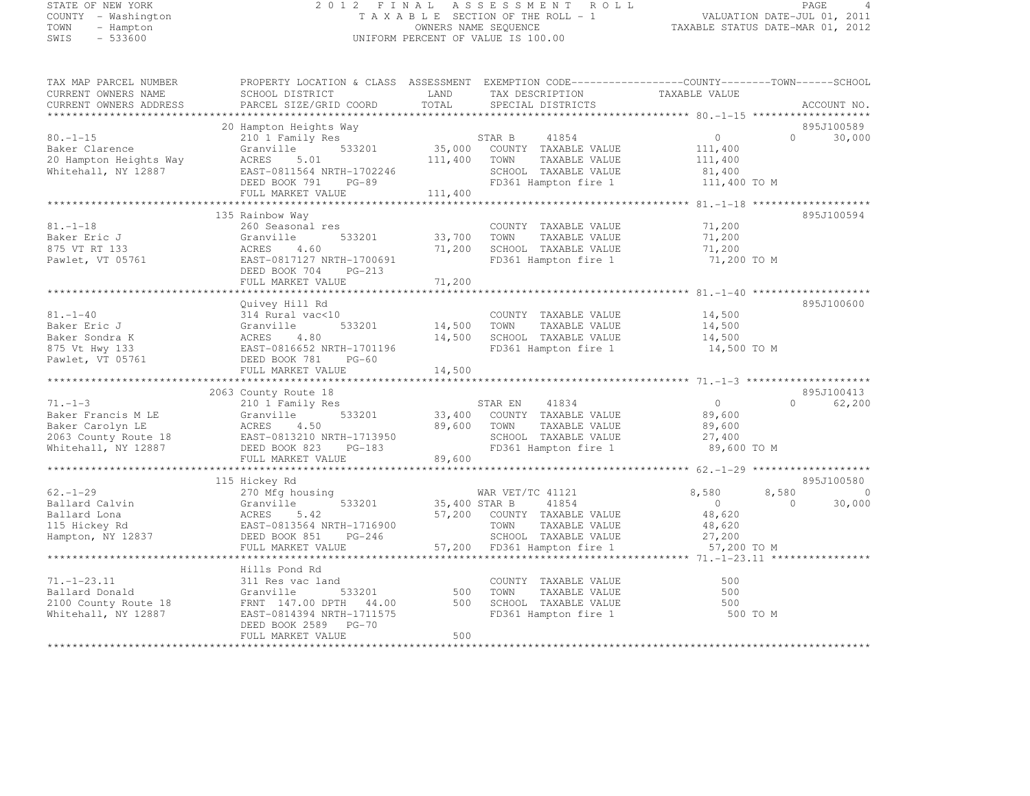# STATE OF NEW YORK 2 0 1 2 F I N A L A S S E S S M E N T R O L L PAGE <sup>4</sup> COUNTY - Washington T A X A B L E SECTION OF THE ROLL - 1 VALUATION DATE-JUL 01, 2011 TOWN - Hampton OWNERS NAME SEQUENCE TAXABLE STATUS DATE-MAR 01, 2012 SWIS - 533600 UNIFORM PERCENT OF VALUE IS 100.00

| TAX MAP PARCEL NUMBER<br>CURRENT OWNERS NAME<br>CURRENT OWNERS ADDRESS                                 | PROPERTY LOCATION & CLASS ASSESSMENT EXEMPTION CODE---------------COUNTY-------TOWN------SCHOOL<br>SCHOOL DISTRICT<br>PARCEL SIZE/GRID COORD | LAND<br>TOTAL    | TAX DESCRIPTION<br>SPECIAL DISTRICTS                                                                                                     | TAXABLE VALUE                                                        | ACCOUNT NO.                                   |
|--------------------------------------------------------------------------------------------------------|----------------------------------------------------------------------------------------------------------------------------------------------|------------------|------------------------------------------------------------------------------------------------------------------------------------------|----------------------------------------------------------------------|-----------------------------------------------|
| ***********************                                                                                |                                                                                                                                              |                  |                                                                                                                                          |                                                                      |                                               |
|                                                                                                        | 20 Hampton Heights Way                                                                                                                       |                  |                                                                                                                                          |                                                                      | 895J100589                                    |
| $80. - 1 - 15$<br>Baker Clarence<br>20 Hampton Heights Way<br>Whitehall, NY 12887                      | 210 1 Family Res<br>533201<br>Granville<br>ACRES<br>5.01<br>EAST-0811564 NRTH-1702246<br>DEED BOOK 791<br>PG-89                              | 111,400          | STAR B 41854<br>35,000 COUNTY TAXABLE VALUE<br>TOWN<br>TAXABLE VALUE<br>SCHOOL TAXABLE VALUE<br>FD361 Hampton fire 1                     | $\circ$<br>111,400<br>111,400<br>81,400<br>111,400 TO M              | 30,000<br>$\circ$                             |
|                                                                                                        | FULL MARKET VALUE                                                                                                                            | 111,400          |                                                                                                                                          |                                                                      |                                               |
|                                                                                                        |                                                                                                                                              |                  |                                                                                                                                          | ***************** 81. -1-18 ********************                     |                                               |
|                                                                                                        | 135 Rainbow Way                                                                                                                              |                  |                                                                                                                                          |                                                                      | 895J100594                                    |
| $81. - 1 - 18$<br>Baker Eric J<br>875 VT RT 133<br>Pawlet, VT 05761                                    | 260 Seasonal res<br>Granville<br>533201<br>ACRES<br>4.60<br>EAST-0817127 NRTH-1700691<br>DEED BOOK 704<br>PG-213                             | 33,700<br>71,200 | COUNTY TAXABLE VALUE<br>TAXABLE VALUE<br>TOWN<br>SCHOOL TAXABLE VALUE<br>FD361 Hampton fire 1                                            | 71,200<br>71,200<br>71,200<br>71,200 TO M                            |                                               |
|                                                                                                        | FULL MARKET VALUE                                                                                                                            | 71,200           |                                                                                                                                          |                                                                      |                                               |
|                                                                                                        | Quivey Hill Rd                                                                                                                               |                  |                                                                                                                                          |                                                                      | 895J100600                                    |
| $81. - 1 - 40$<br>Baker Eric J<br>Baker Sondra K<br>875 Vt Hwy 133<br>Pawlet, VT 05761                 | 314 Rural vac<10<br>Granville<br>533201<br>ACRES<br>4.80<br>EAST-0816652 NRTH-1701196<br>DEED BOOK 781<br>PG-60                              | 14,500<br>14,500 | COUNTY TAXABLE VALUE<br>TAXABLE VALUE<br>TOWN<br>SCHOOL TAXABLE VALUE<br>FD361 Hampton fire 1                                            | 14,500<br>14,500<br>14,500<br>14,500 TO M                            |                                               |
|                                                                                                        | FULL MARKET VALUE                                                                                                                            | 14,500           |                                                                                                                                          |                                                                      |                                               |
|                                                                                                        |                                                                                                                                              |                  |                                                                                                                                          |                                                                      |                                               |
|                                                                                                        | 2063 County Route 18                                                                                                                         |                  |                                                                                                                                          |                                                                      | 895J100413<br>$\bigcap$                       |
| $71. - 1 - 3$<br>Baker Francis M LE<br>Baker Carolyn LE<br>2063 County Route 18<br>Whitehall, NY 12887 | 210 1 Family Res<br>533201<br>Granville<br>ACRES<br>4.50<br>EAST-0813210 NRTH-1713950<br>DEED BOOK 823 PG-183<br>FULL MARKET VALUE           | 89,600<br>89,600 | STAR EN<br>41834<br>33,400 COUNTY TAXABLE VALUE<br>TOWN<br>TAXABLE VALUE<br>SCHOOL TAXABLE VALUE<br>FD361 Hampton fire 1                 | 0<br>89,600<br>89,600<br>27,400<br>89,600 TO M                       | 62,200                                        |
|                                                                                                        |                                                                                                                                              |                  |                                                                                                                                          |                                                                      |                                               |
|                                                                                                        | 115 Hickey Rd                                                                                                                                |                  |                                                                                                                                          |                                                                      | 895J100580                                    |
| $62 - 1 - 29$<br>Ballard Calvin<br>Ballard Lona<br>115 Hickey Rd<br>Hampton, NY 12837                  | 270 Mfg housing<br>533201<br>Granville<br>ACRES<br>5.42<br>EAST-0813564 NRTH-1716900<br>DEED BOOK 851<br>$PG-246$<br>FULL MARKET VALUE       | 35,400 STAR B    | WAR VET/TC 41121<br>41854<br>57,200 COUNTY TAXABLE VALUE<br>TOWN<br>TAXABLE VALUE<br>SCHOOL TAXABLE VALUE<br>57,200 FD361 Hampton fire 1 | 8,580<br>$\overline{0}$<br>48,620<br>48,620<br>27,200<br>57,200 TO M | 8,580<br>$\overline{0}$<br>$\Omega$<br>30,000 |
|                                                                                                        | *******************                                                                                                                          |                  |                                                                                                                                          | ******* 71.-1-23.11 ****                                             |                                               |
| $71. - 1 - 23.11$<br>Ballard Donald<br>2100 County Route 18<br>Whitehall, NY 12887                     | Hills Pond Rd<br>311 Res vac land<br>533201<br>Granville<br>FRNT 147.00 DPTH 44.00<br>EAST-0814394 NRTH-1711575<br>DEED BOOK 2589 PG-70      | 500<br>500       | COUNTY TAXABLE VALUE<br>TOWN<br>TAXABLE VALUE<br>SCHOOL TAXABLE VALUE<br>FD361 Hampton fire 1                                            | 500<br>500<br>500<br>500 TO M                                        |                                               |
|                                                                                                        | FULL MARKET VALUE                                                                                                                            | 500              |                                                                                                                                          |                                                                      |                                               |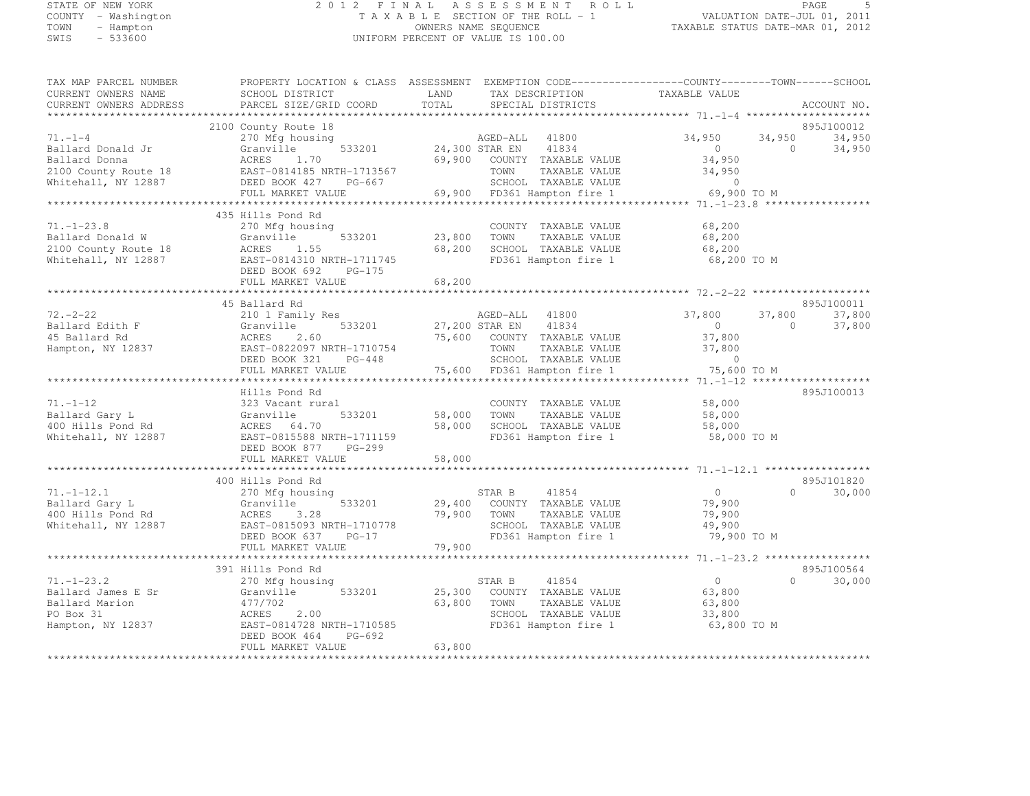# STATE OF NEW YORK 2 0 1 2 F I N A L A S S E S S M E N T R O L L PAGE <sup>5</sup> COUNTY - Washington T A X A B L E SECTION OF THE ROLL - 1 VALUATION DATE-JUL 01, 2011 TOWN - Hampton OWNERS NAME SEQUENCE TAXABLE STATUS DATE-MAR 01, 2012 SWIS - 533600 UNIFORM PERCENT OF VALUE IS 100.00

| TAX MAP PARCEL NUMBER<br>CURRENT OWNERS NAME | SCHOOL DISTRICT                                | LAND<br>TAX DESCRIPTION                           | PROPERTY LOCATION & CLASS ASSESSMENT EXEMPTION CODE-----------------COUNTY-------TOWN------SCHOOL<br>TAXABLE VALUE |                                |
|----------------------------------------------|------------------------------------------------|---------------------------------------------------|--------------------------------------------------------------------------------------------------------------------|--------------------------------|
| CURRENT OWNERS ADDRESS                       | PARCEL SIZE/GRID COORD                         | TOTAL<br>SPECIAL DISTRICTS                        |                                                                                                                    | ACCOUNT NO.                    |
| ******************                           |                                                |                                                   |                                                                                                                    |                                |
|                                              | 2100 County Route 18                           |                                                   |                                                                                                                    | 895J100012                     |
| $71. - 1 - 4$<br>Ballard Donald Jr           | 270 Mfg housing                                | AGED-ALL 41800<br>533201 24,300 STAR EN 41834     | 34,950<br>$\overline{0}$                                                                                           | 34,950<br>34,950<br>$\bigcirc$ |
| Ballard Donna                                | Granville<br>ACRES 1.70                        | 69,900 COUNTY TAXABLE VALUE                       |                                                                                                                    | 34,950                         |
|                                              | 2100 County Route 18 EAST-0814185 NRTH-1713567 | TOWN                                              | 34,950<br>34,950<br>TAXABLE VALUE                                                                                  |                                |
|                                              |                                                | SCHOOL TAXABLE VALUE                              | $\overline{0}$                                                                                                     |                                |
| Whitehall, NY 12887                          | DEED BOOK 427 PG-667                           |                                                   |                                                                                                                    |                                |
|                                              |                                                |                                                   |                                                                                                                    |                                |
|                                              | 435 Hills Pond Rd                              |                                                   |                                                                                                                    |                                |
| $71. - 1 - 23.8$                             | 270 Mfg housing                                | COUNTY TAXABLE VALUE                              | 68,200                                                                                                             |                                |
| Ballard Donald W                             | 533201<br>Granville                            | 23,800 TOWN                                       | TAXABLE VALUE<br>68,200                                                                                            |                                |
| 2100 County Route 18                         | ACRES<br>1.55                                  | 68,200 SCHOOL TAXABLE VALUE                       | 68,200                                                                                                             |                                |
| Whitehall, NY 12887                          | EAST-0814310 NRTH-1711745                      | FD361 Hampton fire 1                              | 68,200 TO M                                                                                                        |                                |
|                                              | DEED BOOK 692<br>PG-175                        |                                                   |                                                                                                                    |                                |
|                                              | FULL MARKET VALUE                              | 68,200                                            |                                                                                                                    |                                |
|                                              |                                                |                                                   |                                                                                                                    |                                |
|                                              | 45 Ballard Rd                                  |                                                   |                                                                                                                    | 895J100011                     |
| $72. - 2 - 22$                               | 210 1 Family Res                               | AGED-ALL 41800                                    | 37,800                                                                                                             | 37,800<br>37,800               |
| Ballard Edith F                              | 533201<br>Granville                            | 27,200 STAR EN 41834                              | $\overline{0}$                                                                                                     | $\overline{0}$<br>37,800       |
| 45 Ballard Rd                                | 2.60<br>ACRES                                  | 75,600 COUNTY TAXABLE VALUE                       | 37,800                                                                                                             |                                |
| Hampton, NY 12837                            | EAST-0822097 NRTH-1710754                      |                                                   | 37,800                                                                                                             |                                |
|                                              | DEED BOOK 321 PG-448                           | TOWN      TAXABLE VALUE<br>SCHOOL   TAXABLE VALUE | $\overline{0}$                                                                                                     |                                |
|                                              | FULL MARKET VALUE                              | 75,600 FD361 Hampton fire 1                       | 75,600 TO M                                                                                                        |                                |
|                                              |                                                |                                                   |                                                                                                                    |                                |
|                                              | Hills Pond Rd                                  |                                                   |                                                                                                                    | 895J100013                     |
| $71. - 1 - 12$                               | 323 Vacant rural                               | COUNTY TAXABLE VALUE                              | 58,000                                                                                                             |                                |
| Ballard Gary L                               | Granville<br>533201                            | COUNT<br>58,000 TOWN                              | TAXABLE VALUE<br>58,000                                                                                            |                                |
| 400 Hills Pond Rd                            | ACRES 64.70                                    | 58,000<br>SCHOOL TAXABLE VALUE                    | 58,000                                                                                                             |                                |
| Whitehall, NY 12887                          | EAST-0815588 NRTH-1711159                      | FD361 Hampton fire 1                              | 58,000 TO M                                                                                                        |                                |
|                                              | DEED BOOK 877 PG-299                           |                                                   |                                                                                                                    |                                |
|                                              | FULL MARKET VALUE                              | 58,000                                            |                                                                                                                    |                                |
|                                              |                                                |                                                   |                                                                                                                    |                                |
|                                              | 400 Hills Pond Rd                              |                                                   |                                                                                                                    | 895J101820                     |
| $71, -1 - 12, 1$                             | 270 Mfg housing                                | STAR B 41854                                      | $\overline{0}$                                                                                                     | $\Omega$<br>30,000             |
| Ballard Gary L                               | 533201<br>Granville                            | 29,400 COUNTY TAXABLE VALUE                       | 79,900                                                                                                             |                                |
| 400 Hills Pond Rd                            |                                                | 79,900 TOWN                                       | 79,900<br>TAXABLE VALUE                                                                                            |                                |
| Whitehall, NY 12887                          |                                                | SCHOOL TAXABLE VALUE                              | 49,900                                                                                                             |                                |
|                                              |                                                |                                                   | FD361 Hampton fire 1<br>79,900 TO M                                                                                |                                |
|                                              |                                                |                                                   |                                                                                                                    |                                |
|                                              |                                                |                                                   |                                                                                                                    |                                |
|                                              | 391 Hills Pond Rd                              |                                                   |                                                                                                                    | 895J100564                     |
| $71. - 1 - 23.2$                             | 270 Mfg housing                                | 41854<br>STAR B                                   | $\overline{0}$                                                                                                     | $\Omega$<br>30,000             |
| Ballard James E Sr                           | 533201<br>Granville                            | 25,300 COUNTY TAXABLE VALUE                       | 63,800                                                                                                             |                                |
| Ballard Marion                               | 477/702                                        | 63,800 TOWN                                       | TAXABLE VALUE<br>63,800                                                                                            |                                |
| PO Box 31                                    | ACRES<br>2.00                                  | SCHOOL TAXABLE VALUE                              | 33,800                                                                                                             |                                |
| Hampton, NY 12837                            | EAST-0814728 NRTH-1710585                      | FD361 Hampton fire 1                              | 63,800 TO M                                                                                                        |                                |
|                                              | DEED BOOK 464<br>PG-692                        |                                                   |                                                                                                                    |                                |
|                                              | FULL MARKET VALUE                              | 63,800                                            |                                                                                                                    |                                |
|                                              |                                                |                                                   |                                                                                                                    |                                |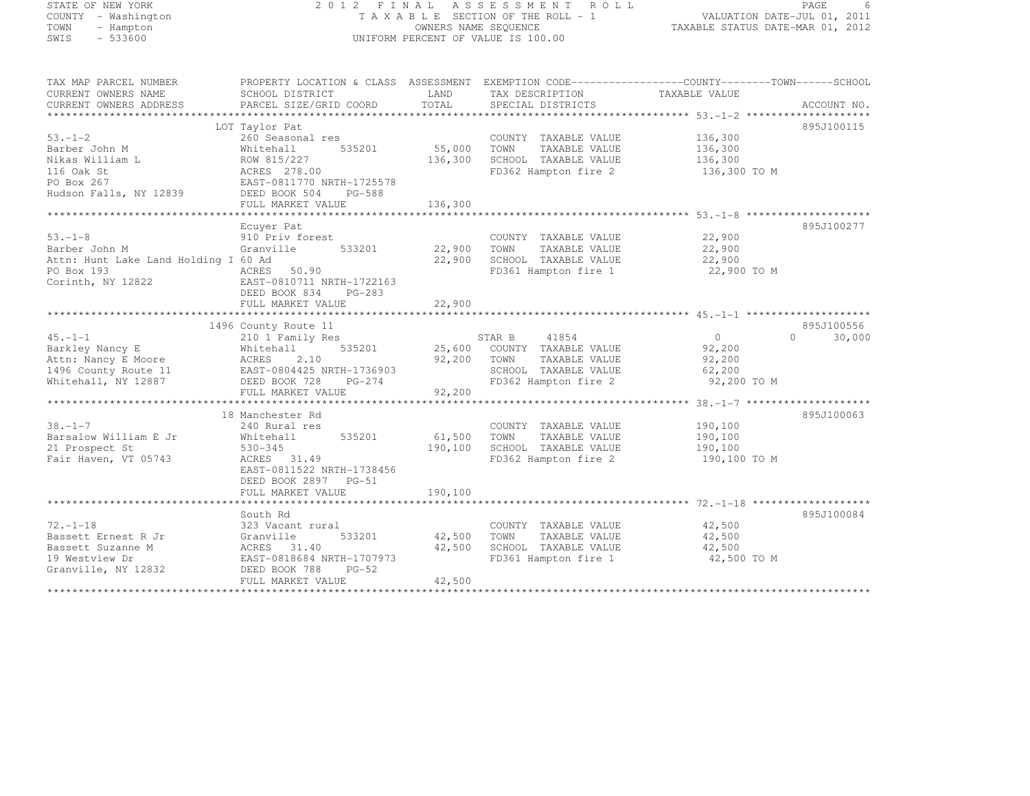# STATE OF NEW YORK 2 0 1 2 F I N A L A S S E S S M E N T R O L L PAGE <sup>6</sup> COUNTY - Washington T A X A B L E SECTION OF THE ROLL - 1 VALUATION DATE-JUL 01, 2011 TOWN - Hampton OWNERS NAME SEQUENCE TAXABLE STATUS DATE-MAR 01, 2012 SWIS - 533600 UNIFORM PERCENT OF VALUE IS 100.00

| TAX MAP PARCEL NUMBER                | PROPERTY LOCATION & CLASS ASSESSMENT EXEMPTION CODE-----------------COUNTY-------TOWN------SCHOOL |         |                       |                |                    |
|--------------------------------------|---------------------------------------------------------------------------------------------------|---------|-----------------------|----------------|--------------------|
| CURRENT OWNERS NAME                  | SCHOOL DISTRICT                                                                                   | LAND    | TAX DESCRIPTION       | TAXABLE VALUE  |                    |
| CURRENT OWNERS ADDRESS               | PARCEL SIZE/GRID COORD                                                                            | TOTAL   | SPECIAL DISTRICTS     |                | ACCOUNT NO.        |
|                                      |                                                                                                   |         |                       |                |                    |
|                                      | LOT Taylor Pat                                                                                    |         |                       |                | 895J100115         |
| $53 - 1 - 2$                         | 260 Seasonal res                                                                                  |         | COUNTY TAXABLE VALUE  | 136,300        |                    |
| Barber John M                        | 535201<br>Whitehall                                                                               | 55,000  | TOWN<br>TAXABLE VALUE | 136,300        |                    |
| Nikas William L                      | ROW 815/227                                                                                       | 136,300 | SCHOOL TAXABLE VALUE  | 136,300        |                    |
| 116 Oak St                           | ACRES 278.00                                                                                      |         | FD362 Hampton fire 2  | 136,300 TO M   |                    |
| PO Box 267                           | EAST-0811770 NRTH-1725578                                                                         |         |                       |                |                    |
| Hudson Falls, NY 12839               | DEED BOOK 504<br>PG-588                                                                           |         |                       |                |                    |
|                                      | FULL MARKET VALUE                                                                                 | 136,300 |                       |                |                    |
|                                      |                                                                                                   |         |                       |                |                    |
|                                      |                                                                                                   |         |                       |                | 895J100277         |
|                                      | Ecuver Pat                                                                                        |         |                       |                |                    |
| $53. - 1 - 8$                        | 910 Priv forest                                                                                   |         | COUNTY TAXABLE VALUE  | 22,900         |                    |
| Barber John M                        | Granville<br>533201                                                                               | 22,900  | TAXABLE VALUE<br>TOWN | 22,900         |                    |
| Attn: Hunt Lake Land Holding I 60 Ad |                                                                                                   | 22,900  | SCHOOL TAXABLE VALUE  | 22,900         |                    |
| PO Box 193                           | ACRES 50.90                                                                                       |         | FD361 Hampton fire 1  | 22,900 TO M    |                    |
| Corinth, NY 12822                    | EAST-0810711 NRTH-1722163                                                                         |         |                       |                |                    |
|                                      | DEED BOOK 834<br>$PG-283$                                                                         |         |                       |                |                    |
|                                      | FULL MARKET VALUE                                                                                 | 22,900  |                       |                |                    |
|                                      |                                                                                                   |         |                       |                |                    |
|                                      | 1496 County Route 11                                                                              |         |                       |                | 895J100556         |
| $45. -1 - 1$                         | 210 1 Family Res                                                                                  |         | STAR B<br>41854       | $\overline{0}$ | $\Omega$<br>30,000 |
| Barkley Nancy E                      | 535201<br>Whitehall                                                                               | 25,600  | COUNTY TAXABLE VALUE  | 92,200         |                    |
| Attn: Nancy E Moore                  | 2.10<br>ACRES                                                                                     | 92,200  | TOWN<br>TAXABLE VALUE | 92,200         |                    |
| 1496 County Route 11                 | EAST-0804425 NRTH-1736903                                                                         |         | SCHOOL TAXABLE VALUE  | 62,200         |                    |
| Whitehall, NY 12887                  | DEED BOOK 728<br>PG-274                                                                           |         | FD362 Hampton fire 2  | 92,200 TO M    |                    |
|                                      | FULL MARKET VALUE                                                                                 | 92,200  |                       |                |                    |
|                                      |                                                                                                   |         |                       |                |                    |
|                                      | 18 Manchester Rd                                                                                  |         |                       |                | 895J100063         |
| $38. - 1 - 7$                        | 240 Rural res                                                                                     |         | COUNTY TAXABLE VALUE  | 190,100        |                    |
| Barsalow William E Jr                | 535201                                                                                            |         |                       |                |                    |
|                                      | Whitehall                                                                                         | 61,500  | TOWN<br>TAXABLE VALUE | 190,100        |                    |
| 21 Prospect St                       | $530 - 345$                                                                                       | 190,100 | SCHOOL TAXABLE VALUE  | 190,100        |                    |
| Fair Haven, VT 05743                 | ACRES 31.49                                                                                       |         | FD362 Hampton fire 2  | 190,100 TO M   |                    |
|                                      | EAST-0811522 NRTH-1738456                                                                         |         |                       |                |                    |
|                                      | DEED BOOK 2897 PG-51                                                                              |         |                       |                |                    |
|                                      | FULL MARKET VALUE                                                                                 | 190,100 |                       |                |                    |
|                                      |                                                                                                   |         |                       |                |                    |
|                                      | South Rd                                                                                          |         |                       |                | 895J100084         |
| $72. - 1 - 18$                       | 323 Vacant rural                                                                                  |         | COUNTY TAXABLE VALUE  | 42,500         |                    |
| Bassett Ernest R Jr                  | Granville<br>533201                                                                               | 42,500  | TOWN<br>TAXABLE VALUE | 42,500         |                    |
| Bassett Suzanne M                    | ACRES 31.40                                                                                       | 42,500  | SCHOOL TAXABLE VALUE  | 42,500         |                    |
| 19 Westview Dr                       | EAST-0818684 NRTH-1707973                                                                         |         | FD361 Hampton fire 1  | 42,500 TO M    |                    |
| Granville, NY 12832                  | DEED BOOK 788<br>$PG-52$                                                                          |         |                       |                |                    |
|                                      | FULL MARKET VALUE                                                                                 | 42,500  |                       |                |                    |
|                                      |                                                                                                   |         |                       |                |                    |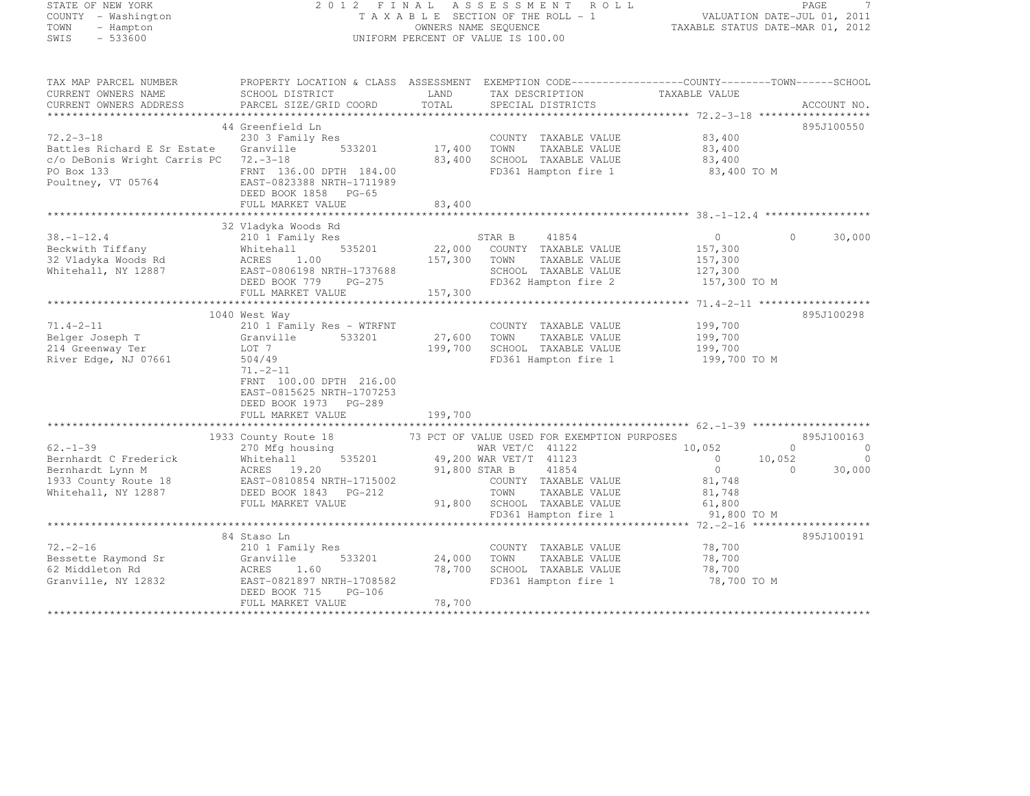# STATE OF NEW YORK 2 0 1 2 F I N A L A S S E S S M E N T R O L L PAGE <sup>7</sup> COUNTY - Washington T A X A B L E SECTION OF THE ROLL - 1 VALUATION DATE-JUL 01, 2011 TOWN - Hampton OWNERS NAME SEQUENCE TAXABLE STATUS DATE-MAR 01, 2012 SWIS - 533600 UNIFORM PERCENT OF VALUE IS 100.00

| TAX MAP PARCEL NUMBER                                                                                                                                                                                                                                | PROPERTY LOCATION & CLASS ASSESSMENT EXEMPTION CODE---------------COUNTY-------TOWN------SCHOOL |                      |                                    |                    |                          |
|------------------------------------------------------------------------------------------------------------------------------------------------------------------------------------------------------------------------------------------------------|-------------------------------------------------------------------------------------------------|----------------------|------------------------------------|--------------------|--------------------------|
| CURRENT OWNERS NAME                                                                                                                                                                                                                                  | SCHOOL DISTRICT                                                                                 | LAND                 | TAX DESCRIPTION                    | TAXABLE VALUE      |                          |
| CURRENT OWNERS ADDRESS                                                                                                                                                                                                                               | PARCEL SIZE/GRID COORD                                                                          | TOTAL                | SPECIAL DISTRICTS                  |                    | ACCOUNT NO.              |
|                                                                                                                                                                                                                                                      |                                                                                                 |                      |                                    |                    |                          |
|                                                                                                                                                                                                                                                      | 44 Greenfield Ln                                                                                |                      |                                    |                    | 895J100550               |
| $72.2 - 3 - 18$                                                                                                                                                                                                                                      | 230 3 Family Res                                                                                | COUNT<br>17,400 TOWN | COUNTY TAXABLE VALUE               | 83,400             |                          |
| Battles Richard E Sr Estate                                                                                                                                                                                                                          | 533201<br>Granville                                                                             |                      | TAXABLE VALUE                      | 83,400             |                          |
| c/o DeBonis Wright Carris PC                                                                                                                                                                                                                         | $72 - 3 - 18$                                                                                   |                      | 83,400 SCHOOL TAXABLE VALUE 83,400 |                    |                          |
| PO Box 133                                                                                                                                                                                                                                           | FRNT 136.00 DPTH 184.00                                                                         |                      | FD361 Hampton fire 1               | 83,400 TO M        |                          |
| Poultney, VT 05764                                                                                                                                                                                                                                   | EAST-0823388 NRTH-1711989                                                                       |                      |                                    |                    |                          |
|                                                                                                                                                                                                                                                      | DEED BOOK 1858 PG-65                                                                            |                      |                                    |                    |                          |
|                                                                                                                                                                                                                                                      | FULL MARKET VALUE                                                                               | 83,400               |                                    |                    |                          |
|                                                                                                                                                                                                                                                      |                                                                                                 |                      |                                    |                    |                          |
|                                                                                                                                                                                                                                                      | 32 Vladyka Woods Rd                                                                             |                      |                                    |                    |                          |
| $38. - 1 - 12.4$                                                                                                                                                                                                                                     | 210 1 Family Res<br>ZIO I Fami<br>Whitehall                                                     |                      | STAR B<br>41854                    | $\overline{0}$     | 30,000<br>$\Omega$       |
| Beckwith Tiffany                                                                                                                                                                                                                                     | 535201                                                                                          |                      | 22,000 COUNTY TAXABLE VALUE        | 157,300            |                          |
|                                                                                                                                                                                                                                                      |                                                                                                 | 157,300 TOWN         | TAXABLE VALUE                      | 157,300            |                          |
|                                                                                                                                                                                                                                                      |                                                                                                 |                      | SCHOOL TAXABLE VALUE               | 127,300            |                          |
|                                                                                                                                                                                                                                                      | DEED BOOK 779<br>PG-275                                                                         |                      | FD362 Hampton fire 2               | 157,300 TO M       |                          |
|                                                                                                                                                                                                                                                      | FULL MARKET VALUE                                                                               | 157,300              |                                    |                    |                          |
|                                                                                                                                                                                                                                                      |                                                                                                 |                      |                                    |                    |                          |
|                                                                                                                                                                                                                                                      | 1040 West Way                                                                                   |                      |                                    |                    | 895J100298               |
| $71.4 - 2 - 11$                                                                                                                                                                                                                                      | 210 1 Family Res - WTRFNT                                                                       |                      | COUNTY TAXABLE VALUE 199,700       |                    |                          |
| Belger Joseph T<br>214 Greenway Ter                                                                                                                                                                                                                  | Granville 533201                                                                                |                      | 27,600 TOWN<br>TAXABLE VALUE       | 199,700<br>199,700 |                          |
| 214 Greenway Ter                                                                                                                                                                                                                                     | LOT 7                                                                                           |                      | 199,700 SCHOOL TAXABLE VALUE       |                    |                          |
| River Edge, NJ 07661                                                                                                                                                                                                                                 | 504/49                                                                                          |                      | FD361 Hampton fire 1               | 199,700 TO M       |                          |
|                                                                                                                                                                                                                                                      | $71. - 2 - 11$                                                                                  |                      |                                    |                    |                          |
|                                                                                                                                                                                                                                                      | FRNT 100.00 DPTH 216.00                                                                         |                      |                                    |                    |                          |
|                                                                                                                                                                                                                                                      | EAST-0815625 NRTH-1707253                                                                       |                      |                                    |                    |                          |
|                                                                                                                                                                                                                                                      | DEED BOOK 1973 PG-289                                                                           |                      |                                    |                    |                          |
|                                                                                                                                                                                                                                                      | FULL MARKET VALUE                                                                               | 199,700              |                                    |                    |                          |
|                                                                                                                                                                                                                                                      |                                                                                                 |                      |                                    |                    |                          |
| 1933 County Route 18<br>Whitehall NY 12887<br>Whitehall NY 12887<br>Whitehall NY 12887<br>Whitehall NY 12887<br>Whitehall NY 12887<br>EVEL MARKET VALUE<br>MED BOOK 1843 PG-212<br>PULL MARKET VALUE<br>PULL MARKET VALUE<br>PULL MARKET VALUE<br>PU |                                                                                                 |                      |                                    |                    | 895J100163               |
|                                                                                                                                                                                                                                                      |                                                                                                 |                      |                                    |                    | $\mathsf{C}$<br>$\Omega$ |
|                                                                                                                                                                                                                                                      |                                                                                                 |                      |                                    | 10,052             | $\bigcap$                |
|                                                                                                                                                                                                                                                      |                                                                                                 |                      |                                    | $\overline{0}$     | 30,000                   |
|                                                                                                                                                                                                                                                      |                                                                                                 |                      |                                    |                    |                          |
|                                                                                                                                                                                                                                                      |                                                                                                 |                      |                                    |                    |                          |
|                                                                                                                                                                                                                                                      |                                                                                                 |                      |                                    |                    |                          |
|                                                                                                                                                                                                                                                      |                                                                                                 |                      | FD361 Hampton fire 1               | 91,800 TO M        |                          |
|                                                                                                                                                                                                                                                      |                                                                                                 |                      |                                    |                    |                          |
|                                                                                                                                                                                                                                                      | 84 Staso Ln                                                                                     |                      |                                    |                    | 895J100191               |
| $72. - 2 - 16$                                                                                                                                                                                                                                       | 210 1 Family Res                                                                                |                      | COUNTY TAXABLE VALUE               | 78,700             |                          |
| Bessette Raymond Sr                                                                                                                                                                                                                                  | 533201<br>Granville                                                                             |                      | 24,000 TOWN<br>TAXABLE VALUE       | 78,700             |                          |
| 62 Middleton Rd                                                                                                                                                                                                                                      | Granv:<br>ACRES<br>1.60                                                                         | 78,700               | SCHOOL TAXABLE VALUE               | 78,700             |                          |
| Granville, NY 12832                                                                                                                                                                                                                                  | EAST-0821897 NRTH-1708582                                                                       |                      | FD361 Hampton fire 1               | 78,700 TO M        |                          |
|                                                                                                                                                                                                                                                      | PG-106<br>DEED BOOK 715                                                                         |                      |                                    |                    |                          |
|                                                                                                                                                                                                                                                      | FULL MARKET VALUE                                                                               | 78,700               |                                    |                    |                          |
|                                                                                                                                                                                                                                                      |                                                                                                 |                      |                                    |                    |                          |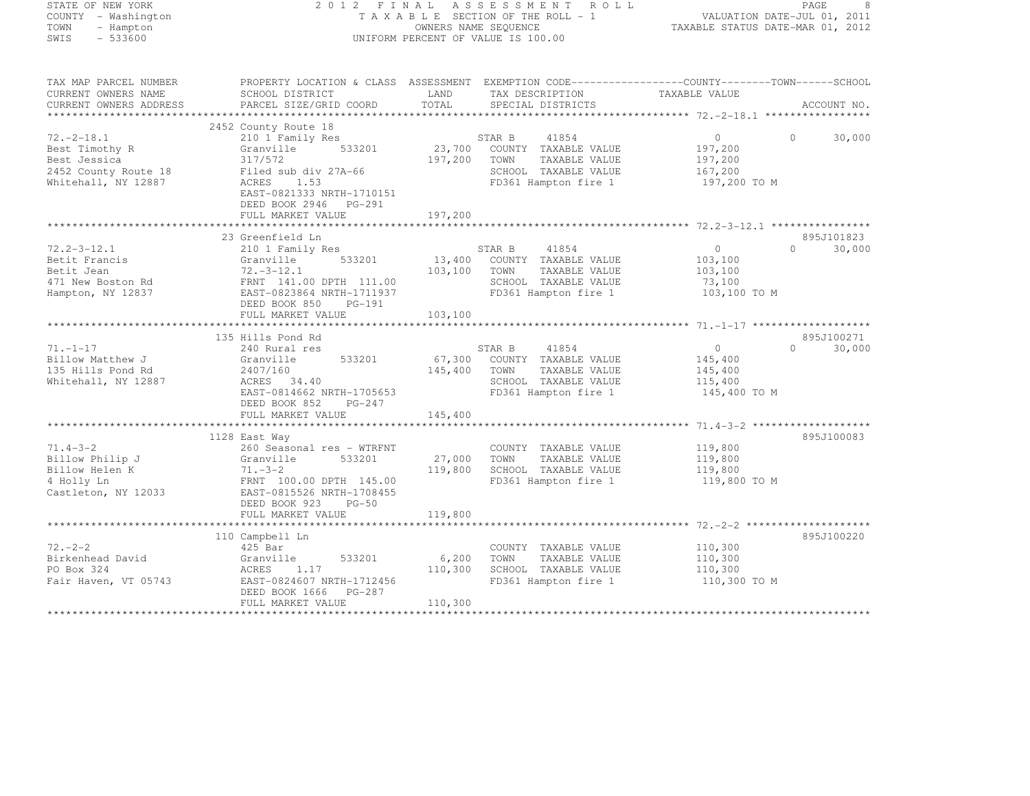| STATE OF NEW YORK              |                                                                                                   |              | 2012 FINAL ASSESSMENT ROLL            |                                                            | PAGE<br>8                   |
|--------------------------------|---------------------------------------------------------------------------------------------------|--------------|---------------------------------------|------------------------------------------------------------|-----------------------------|
| COUNTY - Washington            |                                                                                                   |              | T A X A B L E SECTION OF THE ROLL - 1 | VALUATION DATE-JUL 01, 2011<br>VALUATION PALE NAR 01, 2012 |                             |
| TOWN<br>- Hampton<br>$-533600$ |                                                                                                   |              | OWNERS NAME SEQUENCE                  |                                                            |                             |
| SWIS                           |                                                                                                   |              | UNIFORM PERCENT OF VALUE IS 100.00    |                                                            |                             |
| TAX MAP PARCEL NUMBER          | PROPERTY LOCATION & CLASS ASSESSMENT EXEMPTION CODE-----------------COUNTY-------TOWN------SCHOOL |              |                                       |                                                            |                             |
| CURRENT OWNERS NAME            | SCHOOL DISTRICT                                                                                   | LAND         | TAX DESCRIPTION TAXABLE VALUE         |                                                            |                             |
| CURRENT OWNERS ADDRESS         | PARCEL SIZE/GRID COORD                                                                            | TOTAL        | SPECIAL DISTRICTS                     |                                                            | ACCOUNT NO.                 |
|                                |                                                                                                   |              |                                       |                                                            |                             |
|                                | 2452 County Route 18                                                                              |              |                                       |                                                            |                             |
| $72. -2 - 18.1$                | 210 1 Family Res                                                                                  |              | STAR B<br>41854                       | $\overline{0}$                                             | $\Omega$<br>30,000          |
| Best Timothy R                 | 533201<br>Granville                                                                               |              | 23,700 COUNTY TAXABLE VALUE           | 197,200                                                    |                             |
| Best Jessica                   | 317/572                                                                                           | 197,200      | TOWN<br>TAXABLE VALUE                 | 197,200                                                    |                             |
| 2452 County Route 18           | Filed sub div 27A-66<br>ACRES 1.53                                                                |              | SCHOOL TAXABLE VALUE                  | 167,200                                                    |                             |
| Whitehall, NY 12887            |                                                                                                   |              | FD361 Hampton fire 1                  | 197,200 TO M                                               |                             |
|                                | EAST-0821333 NRTH-1710151                                                                         |              |                                       |                                                            |                             |
|                                | DEED BOOK 2946 PG-291                                                                             |              |                                       |                                                            |                             |
|                                | FULL MARKET VALUE                                                                                 | 197,200      |                                       |                                                            |                             |
|                                | 23 Greenfield Ln                                                                                  |              |                                       |                                                            | 895J101823                  |
| 72.2-3-12.1                    | 210 1 Family Res                                                                                  |              | STAR B<br>41854                       | $\overline{0}$                                             | $\Omega$<br>30,000          |
|                                |                                                                                                   |              | 13,400 COUNTY TAXABLE VALUE           | 103,100                                                    |                             |
|                                |                                                                                                   | 103,100 TOWN | TAXABLE VALUE                         | 103,100                                                    |                             |
|                                |                                                                                                   |              | SCHOOL TAXABLE VALUE                  | 73,100                                                     |                             |
|                                |                                                                                                   |              | FD361 Hampton fire 1                  | 103,100 TO M                                               |                             |
|                                |                                                                                                   |              |                                       |                                                            |                             |
|                                | FULL MARKET VALUE                                                                                 | 103,100      |                                       |                                                            |                             |
|                                |                                                                                                   |              |                                       |                                                            |                             |
|                                | 135 Hills Pond Rd                                                                                 |              |                                       |                                                            | 895J100271                  |
| $71. - 1 - 17$                 | 240 Rural res                                                                                     |              | STAR B 41854                          | $\overline{0}$                                             | $0 \qquad \qquad$<br>30,000 |
| Billow Matthew J               | 533201<br>Granville                                                                               | 67,300       | COUNTY TAXABLE VALUE                  | 145,400                                                    |                             |
| 135 Hills Pond Rd              | 2407/160                                                                                          | 145,400      | TOWN<br>TAXABLE VALUE                 | 145,400                                                    |                             |
| Whitehall, NY 12887            | ACRES 34.40                                                                                       |              | SCHOOL TAXABLE VALUE                  | 115,400                                                    |                             |
|                                | EAST-0814662 NRTH-1705653                                                                         |              | FD361 Hampton fire 1                  | 145,400 TO M                                               |                             |
|                                | DEED BOOK 852 PG-247                                                                              |              |                                       |                                                            |                             |
|                                | FULL MARKET VALUE                                                                                 | 145,400      |                                       |                                                            |                             |
|                                | 1128 East Way                                                                                     |              |                                       |                                                            | 895J100083                  |
|                                |                                                                                                   |              | COUNTY TAXABLE VALUE                  | 119,800                                                    |                             |
|                                |                                                                                                   | 27,000       | TOWN<br>TAXABLE VALUE                 | 119,800                                                    |                             |
|                                |                                                                                                   | 119,800      | SCHOOL TAXABLE VALUE                  | 119,800                                                    |                             |
|                                |                                                                                                   |              | FD361 Hampton fire 1                  | 119,800 TO M                                               |                             |
|                                |                                                                                                   |              |                                       |                                                            |                             |
|                                |                                                                                                   |              |                                       |                                                            |                             |
|                                | FULL MARKET VALUE                                                                                 | 119,800      |                                       |                                                            |                             |
|                                |                                                                                                   |              |                                       |                                                            |                             |
|                                | 110 Campbell Ln                                                                                   |              |                                       |                                                            | 895J100220                  |
| 72. – 2 – 2                    | 425 Bar                                                                                           |              | COUNTY TAXABLE VALUE                  | 110,300                                                    |                             |
| Birkenhead David               |                                                                                                   | 6,200        | TOWN<br>TAXABLE VALUE                 | 110,300                                                    |                             |
| PO Box 324                     | Granville 533201<br>ACRES 1.17<br>EAST-0824607 NRTH-1712456                                       | 110,300      | SCHOOL TAXABLE VALUE                  | 110,300                                                    |                             |
| Fair Haven, VT 05743           |                                                                                                   |              | FD361 Hampton fire 1                  | 110,300 TO M                                               |                             |

FULL MARKET VALUE 110,300 \*\*\*\*\*\*\*\*\*\*\*\*\*\*\*\*\*\*\*\*\*\*\*\*\*\*\*\*\*\*\*\*\*\*\*\*\*\*\*\*\*\*\*\*\*\*\*\*\*\*\*\*\*\*\*\*\*\*\*\*\*\*\*\*\*\*\*\*\*\*\*\*\*\*\*\*\*\*\*\*\*\*\*\*\*\*\*\*\*\*\*\*\*\*\*\*\*\*\*\*\*\*\*\*\*\*\*\*\*\*\*\*\*\*\*\*\*\*\*\*\*\*\*\*\*\*\*\*\*\*\*\*

DEED BOOK 1666 PG-287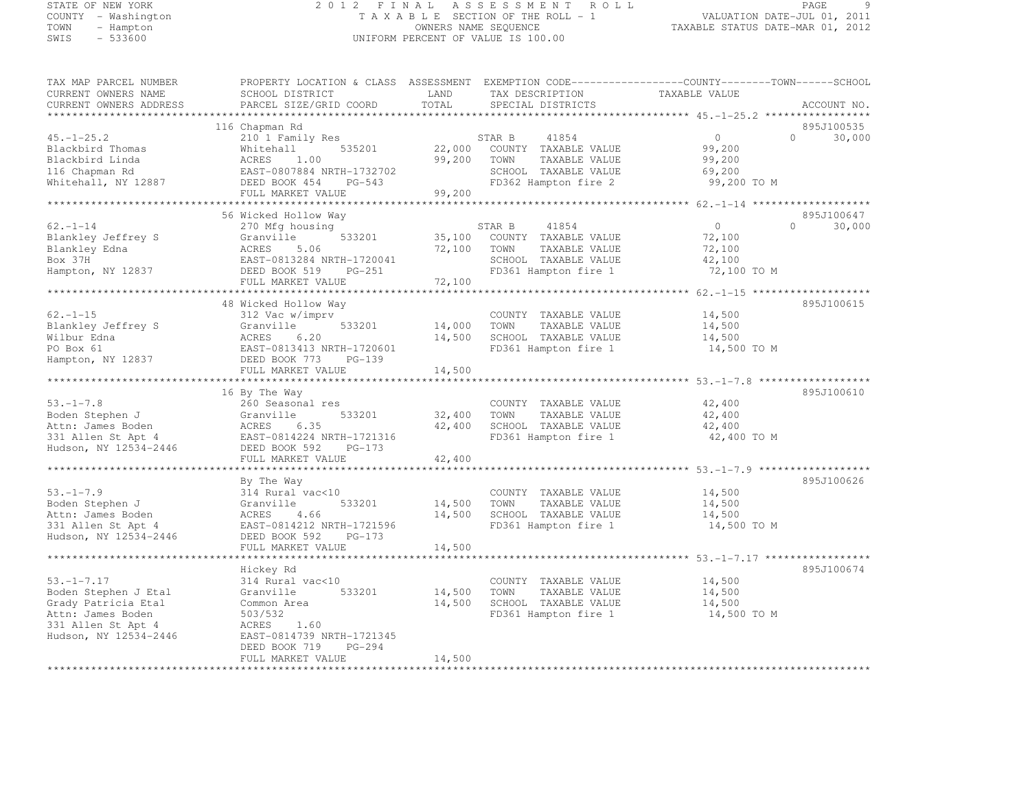#### STATE OF NEW YORK 2 0 1 2 F I N A L A S S E S S M E N T R O L L PAGE <sup>9</sup> COUNTY - Washington T A X A B L E SECTION OF THE ROLL - 1 VALUATION DATE-JUL 01, 2011 TOWN - Hampton OWNERS NAME SEQUENCE TAXABLE STATUS DATE-MAR 01, 2012 UNIFORM PERCENT OF VALUE IS 100.00

| TAX MAP PARCEL NUMBER  |                               |        | PROPERTY LOCATION & CLASS ASSESSMENT EXEMPTION CODE----------------COUNTY-------TOWN-----SCHOOL |                                    |                    |
|------------------------|-------------------------------|--------|-------------------------------------------------------------------------------------------------|------------------------------------|--------------------|
| CURRENT OWNERS NAME    | SCHOOL DISTRICT               | LAND   | TAX DESCRIPTION                                                                                 | TAXABLE VALUE                      |                    |
| CURRENT OWNERS ADDRESS | PARCEL SIZE/GRID COORD        | TOTAL  | SPECIAL DISTRICTS                                                                               |                                    | ACCOUNT NO.        |
|                        |                               |        |                                                                                                 |                                    |                    |
|                        | 116 Chapman Rd                |        |                                                                                                 |                                    | 895J100535         |
| $45. - 1 - 25.2$       | 210 1 Family Res              |        | STAR B<br>41854                                                                                 | $\Omega$                           | $\Omega$<br>30,000 |
| Blackbird Thomas       | 535201<br>Whitehall           | 22,000 | COUNTY TAXABLE VALUE                                                                            | 99,200                             |                    |
| Blackbird Linda        | ACRES<br>1.00                 | 99,200 | TOWN<br>TAXABLE VALUE                                                                           | 99,200                             |                    |
| 116 Chapman Rd         | EAST-0807884 NRTH-1732702     |        | SCHOOL TAXABLE VALUE                                                                            | 69,200                             |                    |
| Whitehall, NY 12887    | DEED BOOK 454<br>$PG-543$     |        | FD362 Hampton fire 2                                                                            | 99,200 TO M                        |                    |
|                        | FULL MARKET VALUE             | 99,200 |                                                                                                 |                                    |                    |
|                        |                               |        |                                                                                                 |                                    |                    |
|                        | 56 Wicked Hollow Way          |        |                                                                                                 |                                    | 895J100647         |
| $62. - 1 - 14$         | 270 Mfg housing               |        | STAR B<br>41854                                                                                 | $\overline{0}$                     | $\Omega$<br>30,000 |
| Blankley Jeffrey S     | 533201<br>Granville           | 35,100 | COUNTY TAXABLE VALUE                                                                            | 72,100                             |                    |
| Blankley Edna          | ACRES<br>5.06                 | 72,100 | TOWN<br>TAXABLE VALUE                                                                           | 72,100                             |                    |
| Box 37H                | EAST-0813284 NRTH-1720041     |        | SCHOOL TAXABLE VALUE                                                                            | 42,100                             |                    |
|                        |                               |        | FD361 Hampton fire 1                                                                            | 72,100 TO M                        |                    |
| Hampton, NY 12837      | DEED BOOK 519<br>PG-251       |        |                                                                                                 |                                    |                    |
|                        | FULL MARKET VALUE             | 72,100 |                                                                                                 |                                    |                    |
|                        |                               |        |                                                                                                 |                                    |                    |
|                        | 48 Wicked Hollow Way          |        |                                                                                                 |                                    | 895J100615         |
| $62. - 1 - 15$         | 312 Vac w/imprv               |        | COUNTY TAXABLE VALUE                                                                            | 14,500                             |                    |
| Blankley Jeffrey S     | Granville<br>533201           | 14,000 | TOWN<br>TAXABLE VALUE                                                                           | 14,500                             |                    |
| Wilbur Edna            | ACRES<br>6.20                 | 14,500 | SCHOOL TAXABLE VALUE                                                                            | 14,500                             |                    |
| PO Box 61              | EAST-0813413 NRTH-1720601     |        | FD361 Hampton fire 1                                                                            | 14,500 TO M                        |                    |
| Hampton, NY 12837      | DEED BOOK 773<br>$PG-139$     |        |                                                                                                 |                                    |                    |
|                        | FULL MARKET VALUE             | 14,500 |                                                                                                 |                                    |                    |
|                        |                               |        |                                                                                                 | ************************ 53.-1-7.8 |                    |
|                        | 16 By The Way                 |        |                                                                                                 |                                    | 895J100610         |
| $53. - 1 - 7.8$        | 260 Seasonal res              |        | COUNTY TAXABLE VALUE                                                                            | 42,400                             |                    |
| Boden Stephen J        | Granville<br>533201           | 32,400 | TOWN<br>TAXABLE VALUE                                                                           | 42,400                             |                    |
| Attn: James Boden      | 6.35<br>ACRES                 | 42,400 | SCHOOL TAXABLE VALUE                                                                            | 42,400                             |                    |
| 331 Allen St Apt 4     | EAST-0814224 NRTH-1721316     |        | FD361 Hampton fire 1                                                                            | 42,400 TO M                        |                    |
| Hudson, NY 12534-2446  | DEED BOOK 592<br>PG-173       |        |                                                                                                 |                                    |                    |
|                        | FULL MARKET VALUE             | 42,400 |                                                                                                 |                                    |                    |
|                        | ***************************** |        | ******************************* 53. -1-7.9 ******************                                   |                                    |                    |
|                        | By The Way                    |        |                                                                                                 |                                    | 895J100626         |
| $53. - 1 - 7.9$        | 314 Rural vac<10              |        | COUNTY TAXABLE VALUE                                                                            | 14,500                             |                    |
| Boden Stephen J        | 533201<br>Granville           | 14,500 | TOWN<br>TAXABLE VALUE                                                                           | 14,500                             |                    |
| Attn: James Boden      | ACRES<br>4.66                 | 14,500 | SCHOOL TAXABLE VALUE                                                                            | 14,500                             |                    |
| 331 Allen St Apt 4     | EAST-0814212 NRTH-1721596     |        | FD361 Hampton fire 1                                                                            | 14,500 TO M                        |                    |
| Hudson, NY 12534-2446  | DEED BOOK 592<br>$PG-173$     |        |                                                                                                 |                                    |                    |
|                        | FULL MARKET VALUE             | 14,500 |                                                                                                 |                                    |                    |
|                        |                               |        | ********************************** 53.-1-7.17 ***************                                   |                                    |                    |
|                        | Hickey Rd                     |        |                                                                                                 |                                    | 895J100674         |
| $53, -1 - 7, 17$       | 314 Rural vac<10              |        | COUNTY TAXABLE VALUE                                                                            | 14,500                             |                    |
| Boden Stephen J Etal   | 533201<br>Granville           | 14,500 | TOWN<br>TAXABLE VALUE                                                                           | 14,500                             |                    |
| Grady Patricia Etal    | Common Area                   | 14,500 | SCHOOL TAXABLE VALUE                                                                            | 14,500                             |                    |
| Attn: James Boden      | 503/532                       |        | FD361 Hampton fire 1                                                                            | 14,500 TO M                        |                    |
| 331 Allen St Apt 4     | ACRES<br>1.60                 |        |                                                                                                 |                                    |                    |
| Hudson, NY 12534-2446  | EAST-0814739 NRTH-1721345     |        |                                                                                                 |                                    |                    |
|                        | DEED BOOK 719<br>$PG-294$     |        |                                                                                                 |                                    |                    |
|                        | FULL MARKET VALUE             | 14,500 |                                                                                                 |                                    |                    |
|                        |                               |        | ****************************                                                                    |                                    |                    |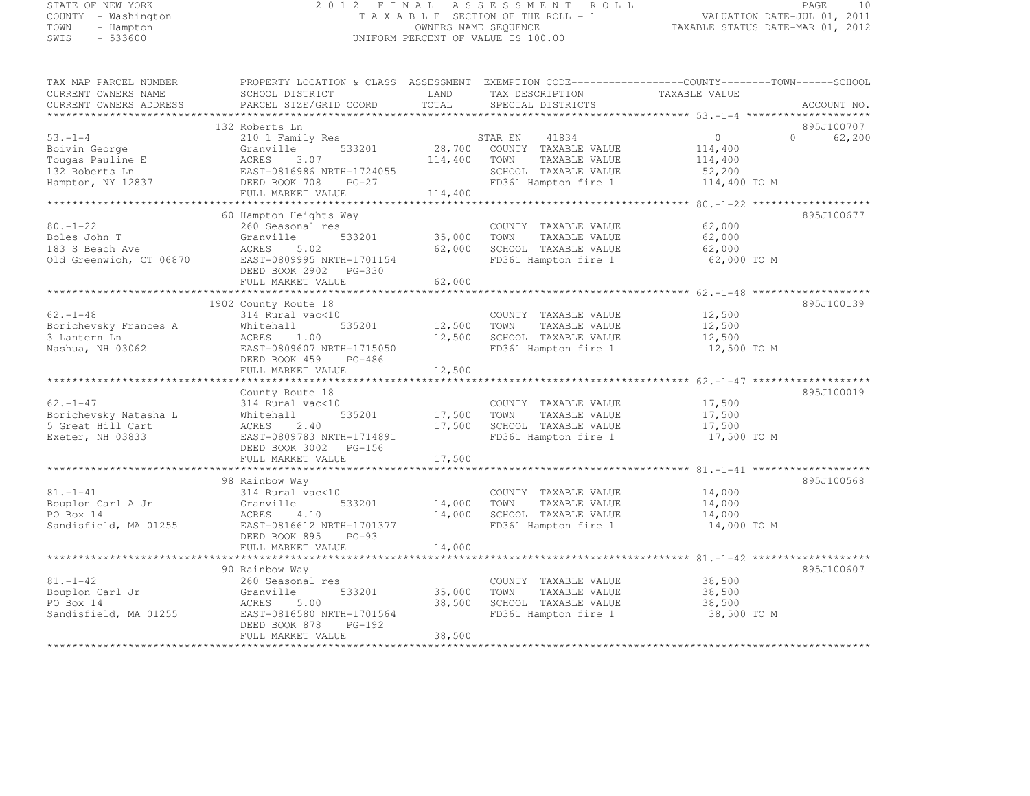#### STATE OF NEW YORK 2 0 1 2 F I N A L A S S E S S M E N T R O L L PAGE <sup>10</sup> COUNTY - Washington T A X A B L E SECTION OF THE ROLL - 1 VALUATION DATE-JUL 01, 2011 TOWN - Hampton OWNERS NAME SEQUENCE TAXABLE STATUS DATE-MAR 01, 2012 SWIS - 533600 UNIFORM PERCENT OF VALUE IS 100.00

| TAX MAP PARCEL NUMBER<br>CURRENT OWNERS NAME<br>CURRENT OWNERS ADDRESS                   | PROPERTY LOCATION & CLASS ASSESSMENT EXEMPTION CODE----------------COUNTY-------TOWN-----SCHOOL<br>SCHOOL DISTRICT<br>PARCEL SIZE/GRID COORD                     | LAND<br>TOTAL                | TAX DESCRIPTION<br>SPECIAL DISTRICTS                                                                              | TAXABLE VALUE                                           | ACCOUNT NO.                      |
|------------------------------------------------------------------------------------------|------------------------------------------------------------------------------------------------------------------------------------------------------------------|------------------------------|-------------------------------------------------------------------------------------------------------------------|---------------------------------------------------------|----------------------------------|
|                                                                                          |                                                                                                                                                                  |                              |                                                                                                                   |                                                         |                                  |
| $53 - 1 - 4$<br>Boivin George<br>Tougas Pauline E<br>132 Roberts Ln<br>Hampton, NY 12837 | 132 Roberts Ln<br>210 1 Family Res<br>533201<br>Granville<br>ACRES<br>3.07<br>EAST-0816986 NRTH-1724055<br>DEED BOOK 708<br>$PG-27$<br>FULL MARKET VALUE         | 28,700<br>114,400<br>114,400 | STAR EN<br>41834<br>COUNTY TAXABLE VALUE<br>TOWN<br>TAXABLE VALUE<br>SCHOOL TAXABLE VALUE<br>FD361 Hampton fire 1 | $\circ$<br>114,400<br>114,400<br>52,200<br>114,400 TO M | 895J100707<br>$\Omega$<br>62,200 |
|                                                                                          |                                                                                                                                                                  |                              |                                                                                                                   |                                                         |                                  |
| $80. - 1 - 22$<br>Boles John T<br>183 S Beach Ave<br>Old Greenwich, CT 06870             | 60 Hampton Heights Way<br>260 Seasonal res<br>Granville<br>533201<br>ACRES<br>5.02<br>EAST-0809995 NRTH-1701154<br>DEED BOOK 2902 PG-330<br>FULL MARKET VALUE    | 35,000<br>62,000<br>62,000   | COUNTY TAXABLE VALUE<br>TOWN<br>TAXABLE VALUE<br>SCHOOL TAXABLE VALUE<br>FD361 Hampton fire 1                     | 62,000<br>62,000<br>62,000<br>62,000 TO M               | 895J100677                       |
|                                                                                          |                                                                                                                                                                  |                              |                                                                                                                   |                                                         |                                  |
| $62. - 1 - 48$<br>Borichevsky Frances A<br>3 Lantern Ln<br>Nashua, NH 03062              | 1902 County Route 18<br>314 Rural vac<10<br>535201<br>Whitehall<br>ACRES<br>1.00<br>EAST-0809607 NRTH-1715050<br>DEED BOOK 459<br>PG-486<br>FULL MARKET VALUE    | 12,500<br>12,500<br>12,500   | COUNTY TAXABLE VALUE<br>TOWN<br>TAXABLE VALUE<br>SCHOOL TAXABLE VALUE<br>FD361 Hampton fire 1                     | 12,500<br>12,500<br>12,500<br>12,500 TO M               | 895J100139                       |
|                                                                                          |                                                                                                                                                                  |                              |                                                                                                                   |                                                         |                                  |
| $62. - 1 - 47$<br>Borichevsky Natasha L<br>5 Great Hill Cart<br>Exeter, NH 03833         | County Route 18<br>314 Rural vac<10<br>535201<br>Whitehall<br>ACRES<br>2.40<br>EAST-0809783 NRTH-1714891<br>DEED BOOK 3002 PG-156<br>FULL MARKET VALUE           | 17,500<br>17,500<br>17,500   | COUNTY TAXABLE VALUE<br>TOWN<br>TAXABLE VALUE<br>SCHOOL TAXABLE VALUE<br>FD361 Hampton fire 1                     | 17,500<br>17,500<br>17,500<br>17,500 TO M               | 895J100019                       |
|                                                                                          |                                                                                                                                                                  |                              |                                                                                                                   |                                                         | 895J100568                       |
| $81. - 1 - 41$<br>Bouplon Carl A Jr<br>PO Box 14<br>Sandisfield, MA 01255                | 98 Rainbow Way<br>314 Rural vac<10<br>533201<br>Granville<br>ACRES<br>4.10<br>EAST-0816612 NRTH-1701377<br>DEED BOOK 895<br>$PG-93$                              | 14,000<br>14,000             | COUNTY TAXABLE VALUE<br>TAXABLE VALUE<br>TOWN<br>SCHOOL TAXABLE VALUE<br>FD361 Hampton fire 1                     | 14,000<br>14,000<br>14,000<br>14,000 TO M               |                                  |
|                                                                                          | FULL MARKET VALUE                                                                                                                                                | 14,000                       |                                                                                                                   | ********** 81.-1-42                                     |                                  |
| $81. - 1 - 42$<br>Bouplon Carl Jr<br>PO Box 14<br>Sandisfield, MA 01255                  | 90 Rainbow Way<br>260 Seasonal res<br>533201<br>Granville<br><b>ACRES</b><br>5.00<br>EAST-0816580 NRTH-1701564<br>DEED BOOK 878<br>$PG-192$<br>FULL MARKET VALUE | 35,000<br>38,500<br>38,500   | COUNTY TAXABLE VALUE<br>TAXABLE VALUE<br>TOWN<br>SCHOOL TAXABLE VALUE<br>FD361 Hampton fire 1                     | 38,500<br>38,500<br>38,500<br>38,500 TO M               | 895J100607                       |
|                                                                                          |                                                                                                                                                                  |                              |                                                                                                                   |                                                         |                                  |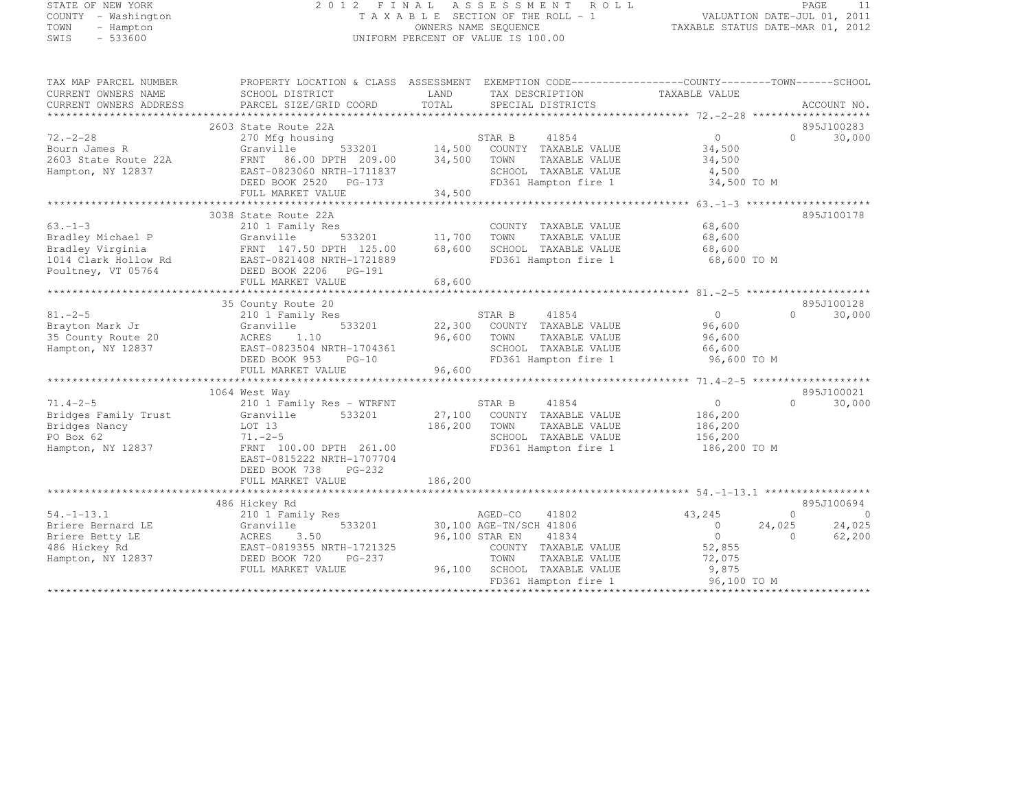# STATE OF NEW YORK 2 0 1 2 F I N A L A S S E S S M E N T R O L L PAGE <sup>11</sup> COUNTY - Washington T A X A B L E SECTION OF THE ROLL - 1 VALUATION DATE-JUL 01, 2011 TOWN - Hampton OWNERS NAME SEQUENCE TAXABLE STATUS DATE-MAR 01, 2012 SWIS - 533600 UNIFORM PERCENT OF VALUE IS 100.00

| TAX MAP PARCEL NUMBER<br>CURRENT OWNERS NAME                                                        | PROPERTY LOCATION & CLASS ASSESSMENT<br>SCHOOL DISTRICT                                                                                                                           | LAND                       | EXEMPTION CODE-----------------COUNTY--------TOWN------SCHOOL<br>TAX DESCRIPTION                                                                                        | TAXABLE VALUE                                                             |                                |                             |
|-----------------------------------------------------------------------------------------------------|-----------------------------------------------------------------------------------------------------------------------------------------------------------------------------------|----------------------------|-------------------------------------------------------------------------------------------------------------------------------------------------------------------------|---------------------------------------------------------------------------|--------------------------------|-----------------------------|
| CURRENT OWNERS ADDRESS                                                                              | PARCEL SIZE/GRID COORD                                                                                                                                                            | TOTAL                      | SPECIAL DISTRICTS                                                                                                                                                       |                                                                           |                                | ACCOUNT NO.                 |
| *********************                                                                               |                                                                                                                                                                                   |                            |                                                                                                                                                                         |                                                                           |                                |                             |
| $72. - 2 - 28$<br>Bourn James R<br>2603 State Route 22A<br>Hampton, NY 12837                        | 2603 State Route 22A<br>270 Mfg housing<br>Granville<br>533201<br>FRNT 86.00 DPTH 209.00<br>EAST-0823060 NRTH-1711837<br>DEED BOOK 2520 PG-173                                    | 14,500<br>34,500           | STAR B<br>41854<br>COUNTY TAXABLE VALUE<br>TOWN<br>TAXABLE VALUE<br>SCHOOL TAXABLE VALUE<br>FD361 Hampton fire 1                                                        | $\Omega$<br>34,500<br>34,500<br>4,500<br>34,500 TO M                      | $\Omega$                       | 895J100283<br>30,000        |
|                                                                                                     | FULL MARKET VALUE                                                                                                                                                                 | 34,500                     |                                                                                                                                                                         |                                                                           |                                |                             |
|                                                                                                     |                                                                                                                                                                                   |                            |                                                                                                                                                                         |                                                                           |                                |                             |
| $63 - 1 - 3$<br>Bradley Michael P<br>Bradley Virginia<br>1014 Clark Hollow Rd<br>Poultney, VT 05764 | 3038 State Route 22A<br>210 1 Family Res<br>Granville<br>533201<br>FRNT 147.50 DPTH 125.00<br>EAST-0821408 NRTH-1721889<br>DEED BOOK 2206<br>PG-191<br>FULL MARKET VALUE          | 11,700<br>68,600<br>68,600 | COUNTY TAXABLE VALUE<br>TOWN<br>TAXABLE VALUE<br>SCHOOL TAXABLE VALUE<br>FD361 Hampton fire 1                                                                           | 68,600<br>68,600<br>68,600<br>68,600 TO M                                 |                                | 895J100178                  |
|                                                                                                     | 35 County Route 20                                                                                                                                                                |                            |                                                                                                                                                                         |                                                                           |                                | 895J100128                  |
| $81. - 2 - 5$<br>Brayton Mark Jr<br>35 County Route 20<br>Hampton, NY 12837                         | 210 1 Family Res<br>Granville<br>533201<br>ACRES<br>1.10<br>EAST-0823504 NRTH-1704361<br>DEED BOOK 953<br>$PG-10$<br>FULL MARKET VALUE                                            | 22,300<br>96,600<br>96,600 | 41854<br>STAR B<br>COUNTY TAXABLE VALUE<br>TOWN<br>TAXABLE VALUE<br>SCHOOL TAXABLE VALUE<br>FD361 Hampton fire 1                                                        | $\circ$<br>96,600<br>96,600<br>66,600<br>96,600 TO M                      | $\Omega$                       | 30,000                      |
|                                                                                                     |                                                                                                                                                                                   |                            |                                                                                                                                                                         |                                                                           |                                | 895J100021                  |
| $71.4 - 2 - 5$<br>Bridges Family Trust<br>Bridges Nancy<br>PO Box 62<br>Hampton, NY 12837           | 1064 West Way<br>210 1 Family Res - WTRFNT<br>Granville<br>533201<br>LOT 13<br>$71. - 2 - 5$<br>FRNT 100.00 DPTH 261.00<br>EAST-0815222 NRTH-1707704<br>DEED BOOK 738<br>$PG-232$ | 27,100<br>186,200          | 41854<br>STAR B<br>COUNTY TAXABLE VALUE<br>TAXABLE VALUE<br>TOWN<br>SCHOOL TAXABLE VALUE<br>FD361 Hampton fire 1                                                        | $\circ$<br>186,200<br>186,200<br>156,200<br>186,200 TO M                  | $\Omega$                       | 30,000                      |
|                                                                                                     | FULL MARKET VALUE                                                                                                                                                                 | 186,200                    |                                                                                                                                                                         |                                                                           |                                |                             |
|                                                                                                     | 486 Hickey Rd                                                                                                                                                                     |                            |                                                                                                                                                                         |                                                                           |                                | 895J100694                  |
| $54. - 1 - 13.1$<br>Briere Bernard LE<br>Briere Betty LE<br>486 Hickey Rd<br>Hampton, NY 12837      | 210 1 Family Res<br>533201<br>Granville<br>3.50<br>ACRES<br>EAST-0819355 NRTH-1721325<br>DEED BOOK 720<br>PG-237<br>FULL MARKET VALUE                                             | 96,100                     | AGED-CO<br>41802<br>30,100 AGE-TN/SCH 41806<br>41834<br>96,100 STAR EN<br>COUNTY TAXABLE VALUE<br>TOWN<br>TAXABLE VALUE<br>SCHOOL TAXABLE VALUE<br>FD361 Hampton fire 1 | 43,245<br>$\Omega$<br>$\circ$<br>52,855<br>72,075<br>9,875<br>96,100 TO M | $\Omega$<br>24,025<br>$\Omega$ | $\circ$<br>24,025<br>62,200 |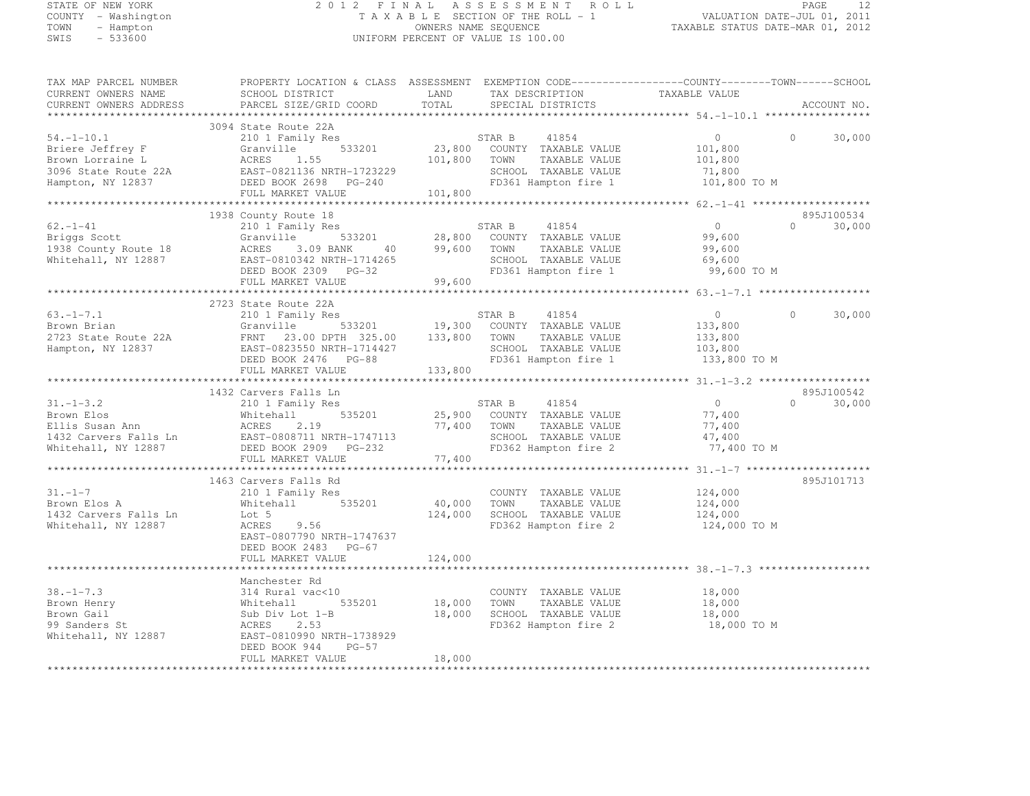# STATE OF NEW YORK 2 0 1 2 F I N A L A S S E S S M E N T R O L L PAGE <sup>12</sup> COUNTY - Washington T A X A B L E SECTION OF THE ROLL - 1 VALUATION DATE-JUL 01, 2011 TOWN - Hampton OWNERS NAME SEQUENCE TAXABLE STATUS DATE-MAR 01, 2012 SWIS - 533600 UNIFORM PERCENT OF VALUE IS 100.00

| TAX MAP PARCEL NUMBER                                    | PROPERTY LOCATION & CLASS  ASSESSMENT  EXEMPTION CODE----------------COUNTY-------TOWN------SCHOOL                                                                                                                                                                  |        |                                                                                                                         |        |                    |
|----------------------------------------------------------|---------------------------------------------------------------------------------------------------------------------------------------------------------------------------------------------------------------------------------------------------------------------|--------|-------------------------------------------------------------------------------------------------------------------------|--------|--------------------|
| CURRENT OWNERS NAME                                      | SCHOOL DISTRICT LAND                                                                                                                                                                                                                                                |        |                                                                                                                         |        |                    |
|                                                          | CURRENT OWNERS ADDRESS PARCEL SIZE/GRID COORD TOTAL                                                                                                                                                                                                                 |        |                                                                                                                         |        | ACCOUNT NO.        |
|                                                          |                                                                                                                                                                                                                                                                     |        |                                                                                                                         |        |                    |
|                                                          | 3094 State Route 22A                                                                                                                                                                                                                                                |        |                                                                                                                         |        |                    |
|                                                          |                                                                                                                                                                                                                                                                     |        |                                                                                                                         |        |                    |
|                                                          |                                                                                                                                                                                                                                                                     |        |                                                                                                                         |        | 30,000<br>$\Omega$ |
|                                                          |                                                                                                                                                                                                                                                                     |        |                                                                                                                         |        |                    |
|                                                          |                                                                                                                                                                                                                                                                     |        |                                                                                                                         |        |                    |
|                                                          |                                                                                                                                                                                                                                                                     |        |                                                                                                                         |        |                    |
|                                                          |                                                                                                                                                                                                                                                                     |        |                                                                                                                         |        |                    |
|                                                          |                                                                                                                                                                                                                                                                     |        |                                                                                                                         |        |                    |
|                                                          | 3094 State Route 22A<br>Briere Jeffrey F (210 1 Family Res STAR B 41854 0<br>Brown Lorraine L (22A Granville 533201 23,800 COUNTY TAXABLE VALUE 101,800<br>3096 State Route 22A EAST-0821136 NRTH-1723229 SCHOOL TAXABLE VALUE 71,80                                |        |                                                                                                                         |        |                    |
|                                                          |                                                                                                                                                                                                                                                                     |        |                                                                                                                         |        |                    |
|                                                          | 1938 County Route 18                                                                                                                                                                                                                                                |        |                                                                                                                         |        | 895J100534         |
|                                                          |                                                                                                                                                                                                                                                                     |        |                                                                                                                         |        | $0 \t 30,000$      |
|                                                          |                                                                                                                                                                                                                                                                     |        |                                                                                                                         |        |                    |
|                                                          |                                                                                                                                                                                                                                                                     |        |                                                                                                                         |        |                    |
|                                                          |                                                                                                                                                                                                                                                                     |        |                                                                                                                         |        |                    |
|                                                          |                                                                                                                                                                                                                                                                     |        |                                                                                                                         |        |                    |
|                                                          |                                                                                                                                                                                                                                                                     |        |                                                                                                                         |        |                    |
|                                                          |                                                                                                                                                                                                                                                                     |        |                                                                                                                         |        |                    |
|                                                          |                                                                                                                                                                                                                                                                     |        |                                                                                                                         |        |                    |
|                                                          | 2723 State Route 22A                                                                                                                                                                                                                                                |        |                                                                                                                         |        |                    |
|                                                          |                                                                                                                                                                                                                                                                     |        |                                                                                                                         |        | $\Omega$<br>30,000 |
|                                                          |                                                                                                                                                                                                                                                                     |        |                                                                                                                         |        |                    |
|                                                          |                                                                                                                                                                                                                                                                     |        |                                                                                                                         |        |                    |
|                                                          |                                                                                                                                                                                                                                                                     |        |                                                                                                                         |        |                    |
|                                                          |                                                                                                                                                                                                                                                                     |        |                                                                                                                         |        |                    |
|                                                          |                                                                                                                                                                                                                                                                     |        |                                                                                                                         |        |                    |
|                                                          |                                                                                                                                                                                                                                                                     |        |                                                                                                                         |        |                    |
|                                                          |                                                                                                                                                                                                                                                                     |        |                                                                                                                         |        |                    |
|                                                          | 1432 Carvers Falls Ln<br>210 1 Family Res<br>Brown Elos Mhitehall 535201 25,900 COUNTY TAXABLE VALUE<br>Ellis Susan Ann ACRES 2.19<br>1432 Carvers Falls Ln<br>210 1 Family Res<br>25,900 COUNTY TAXABLE VALUE<br>77,400 TOWN TAXABLE VALUE<br>                     |        |                                                                                                                         |        | 895J100542         |
|                                                          |                                                                                                                                                                                                                                                                     |        |                                                                                                                         |        | $0 \t 30,000$      |
|                                                          |                                                                                                                                                                                                                                                                     |        |                                                                                                                         |        |                    |
|                                                          |                                                                                                                                                                                                                                                                     |        |                                                                                                                         |        |                    |
|                                                          |                                                                                                                                                                                                                                                                     |        |                                                                                                                         |        |                    |
|                                                          |                                                                                                                                                                                                                                                                     |        |                                                                                                                         |        |                    |
|                                                          |                                                                                                                                                                                                                                                                     |        | TOWN TAXABLE VALUE<br>SCHOOL TAXABLE VALUE 47,400<br>27,400 TO M                                                        |        |                    |
|                                                          | FULL MARKET VALUE                                                                                                                                                                                                                                                   | 77,400 |                                                                                                                         |        |                    |
|                                                          | Carvers Falls Rd<br>210 1 Family Res<br>Whitehall 535201 40,000 TOWN TAXABLE VALUE 124,000<br>124,000 SCHOOL TAXABLE VALUE 124,000<br>124,000 TOWN TAXABLE VALUE 124,000<br>124,000 TOWN TAXABLE VALUE 124,000<br>FD362 Hampton fire 2 124                          |        |                                                                                                                         |        |                    |
|                                                          | 1463 Carvers Falls Rd                                                                                                                                                                                                                                               |        |                                                                                                                         |        | 895J101713         |
|                                                          |                                                                                                                                                                                                                                                                     |        |                                                                                                                         |        |                    |
| 31.-1-7<br>Brown Elos A                                  |                                                                                                                                                                                                                                                                     |        |                                                                                                                         |        |                    |
| 1432 Carvers Falls Ln Lot 5<br>Whitehall, NY 12887 ACRES |                                                                                                                                                                                                                                                                     |        |                                                                                                                         |        |                    |
|                                                          |                                                                                                                                                                                                                                                                     |        |                                                                                                                         |        |                    |
|                                                          |                                                                                                                                                                                                                                                                     |        |                                                                                                                         |        |                    |
|                                                          |                                                                                                                                                                                                                                                                     |        |                                                                                                                         |        |                    |
|                                                          |                                                                                                                                                                                                                                                                     |        |                                                                                                                         |        |                    |
|                                                          |                                                                                                                                                                                                                                                                     |        |                                                                                                                         |        |                    |
|                                                          |                                                                                                                                                                                                                                                                     |        |                                                                                                                         |        |                    |
|                                                          | Manchester Rd                                                                                                                                                                                                                                                       |        |                                                                                                                         |        |                    |
|                                                          | $38. -1-7.3$<br>$314$ Rural vac<10<br>Brown Henry<br>Brown Gail<br>$314$ Rural vac<10<br>$314$ Rural vac<10<br>$535201$<br>$535201$<br>$535201$<br>$535201$<br>$535201$<br>$535201$<br>$535201$<br>$535201$<br>$535201$<br>$535201$<br>$535201$<br>$535201$<br>$53$ |        | COUNTY TAXABLE VALUE                                                                                                    | 18,000 |                    |
|                                                          |                                                                                                                                                                                                                                                                     |        | VALSIV 18,000 TOWN TAXABLE VALUE 18,000<br>t 1-B 18,000 SCHOOL TAXABLE VALUE 18,000<br>FD362 Hampton fire 2 18,000 TO M |        |                    |
|                                                          |                                                                                                                                                                                                                                                                     |        |                                                                                                                         |        |                    |
|                                                          |                                                                                                                                                                                                                                                                     |        |                                                                                                                         |        |                    |
|                                                          |                                                                                                                                                                                                                                                                     |        |                                                                                                                         |        |                    |
|                                                          |                                                                                                                                                                                                                                                                     |        |                                                                                                                         |        |                    |
|                                                          | $PG-57$<br>DEED BOOK 944                                                                                                                                                                                                                                            |        |                                                                                                                         |        |                    |
|                                                          |                                                                                                                                                                                                                                                                     |        |                                                                                                                         |        |                    |
|                                                          | FULL MARKET VALUE                                                                                                                                                                                                                                                   | 18,000 |                                                                                                                         |        |                    |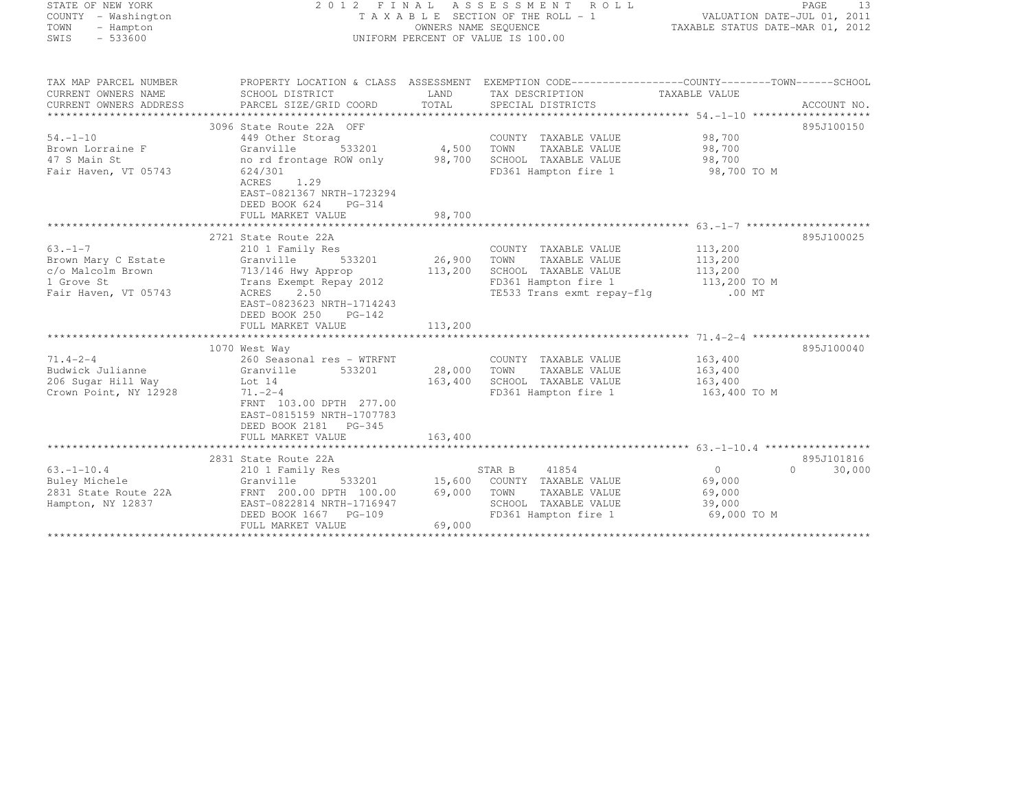| STATE OF NEW YORK<br>COUNTY - Washington<br>TOWN<br>- Hampton<br>$-533600$<br>SWIS             |                                                                                                                                                                                                                 | OWNERS NAME SEQUENCE        | 2012 FINAL ASSESSMENT ROLL<br>T A X A B L E SECTION OF THE ROLL - 1<br>UNIFORM PERCENT OF VALUE IS 100.00              | TAXABLE STATUS DATE-MAR 01, 2012 | PAGE<br>-13<br>VALUATION DATE-JUL 01, 2011 |
|------------------------------------------------------------------------------------------------|-----------------------------------------------------------------------------------------------------------------------------------------------------------------------------------------------------------------|-----------------------------|------------------------------------------------------------------------------------------------------------------------|----------------------------------|--------------------------------------------|
| TAX MAP PARCEL NUMBER<br>CURRENT OWNERS NAME<br>CURRENT OWNERS ADDRESS                         | PROPERTY LOCATION & CLASS ASSESSMENT EXEMPTION CODE------------------COUNTY--------TOWN------SCHOOL<br>SCHOOL DISTRICT<br>PARCEL SIZE/GRID COORD                                                                | LAND<br>TOTAL               | TAX DESCRIPTION<br>SPECIAL DISTRICTS                                                                                   | TAXABLE VALUE                    | ACCOUNT NO.                                |
| $54. -1 - 10$<br>Brown Lorraine F<br>47 S Main St<br>Fair Haven, VT 05743                      | 3096 State Route 22A OFF<br>449 Other Storag<br>Granville<br>no rd frontage ROW only 98,700<br>624/301<br>ACRES 1.29<br>EAST-0821367 NRTH-1723294<br>DEED BOOK 624<br>PG-314<br>FULL MARKET VALUE               | 533201 4,500 TOWN<br>98,700 | COUNTY TAXABLE VALUE 98,700<br>TAXABLE VALUE 98,700<br>SCHOOL TAXABLE VALUE 98,700<br>FD361 Hampton fire 1 98,700 TO M |                                  | 895J100150                                 |
|                                                                                                |                                                                                                                                                                                                                 |                             |                                                                                                                        |                                  |                                            |
| $63 - 1 - 7$<br>Brown Mary C Estate<br>c/o Malcolm Brown<br>1 Grove St<br>Fair Haven, VT 05743 | 2721 State Route 22A<br>210 1 Family Res<br>533201<br>Granville<br>713/146 Hwy Approp<br>Trans Exempt Repay<br>Trans Exempt Repay 2012<br>2.50<br>ACRES<br>EAST-0823623 NRTH-1714243<br>DEED BOOK 250<br>PG-142 | 26,900<br>113,200           | COUNTY TAXABLE VALUE 113,200<br>TOWN<br>TAXABLE VALUE<br>TE533 Trans exmt repay-flg .00 MT                             | 113,200                          | 895J100025                                 |
|                                                                                                | FULL MARKET VALUE                                                                                                                                                                                               | 113,200                     |                                                                                                                        |                                  |                                            |
| $71.4 - 2 - 4$                                                                                 | 1070 West Way<br>260 Seasonal res - WTRFNT                                                                                                                                                                      |                             | COUNTY TAXABLE VALUE                                                                                                   | 163,400                          | 895J100040                                 |
| Budwick Julianne<br>206 Sugar Hill Way<br>Crown Point, NY 12928                                | 533201<br>Granville<br>Lot 14<br>$71. - 2 - 4$<br>FRNT 103.00 DPTH 277.00<br>EAST-0815159 NRTH-1707783                                                                                                          | 28,000<br>163,400           | TAXABLE VALUE 163,400<br>TOWN<br>SCHOOL TAXABLE VALUE 163,400<br>FD361 Hampton fire 1 163,400 TO M                     |                                  |                                            |

\*\*\*\*\*\*\*\*\*\*\*\*\*\*\*\*\*\*\*\*\*\*\*\*\*\*\*\*\*\*\*\*\*\*\*\*\*\*\*\*\*\*\*\*\*\*\*\*\*\*\*\*\*\*\*\*\*\*\*\*\*\*\*\*\*\*\*\*\*\*\*\*\*\*\*\*\*\*\*\*\*\*\*\*\*\*\*\*\*\*\*\*\*\*\*\*\*\*\*\*\*\*\* 63.-1-10.4 \*\*\*\*\*\*\*\*\*\*\*\*\*\*\*\*\*

63.-1-10.4 210 1 Family Res STAR B <sup>41854</sup> <sup>0</sup> 0 30,000

\*\*\*\*\*\*\*\*\*\*\*\*\*\*\*\*\*\*\*\*\*\*\*\*\*\*\*\*\*\*\*\*\*\*\*\*\*\*\*\*\*\*\*\*\*\*\*\*\*\*\*\*\*\*\*\*\*\*\*\*\*\*\*\*\*\*\*\*\*\*\*\*\*\*\*\*\*\*\*\*\*\*\*\*\*\*\*\*\*\*\*\*\*\*\*\*\*\*\*\*\*\*\*\*\*\*\*\*\*\*\*\*\*\*\*\*\*\*\*\*\*\*\*\*\*\*\*\*\*\*\*\*

DEED BOOK 1667 PG-109 FD361 Hampton fire 1 69,000 TO M

2831 State Route 22A 895J101816

895J101816

 $0 \t 30,000$ 

DEED BOOK 2181 PG-345

FULL MARKET VALUE 163,400

FULL MARKET VALUE 69,000

Buley Michele Granville 533201 15,600 COUNTY TAXABLE VALUE 69,000 2831 State Route 22A FRNT 200.00 DPTH 100.00 69,000 TOWN TAXABLE VALUE 69,000 Hampton, NY 12837 EAST-0822814 NRTH-1716947 SCHOOL TAXABLE VALUE 39,000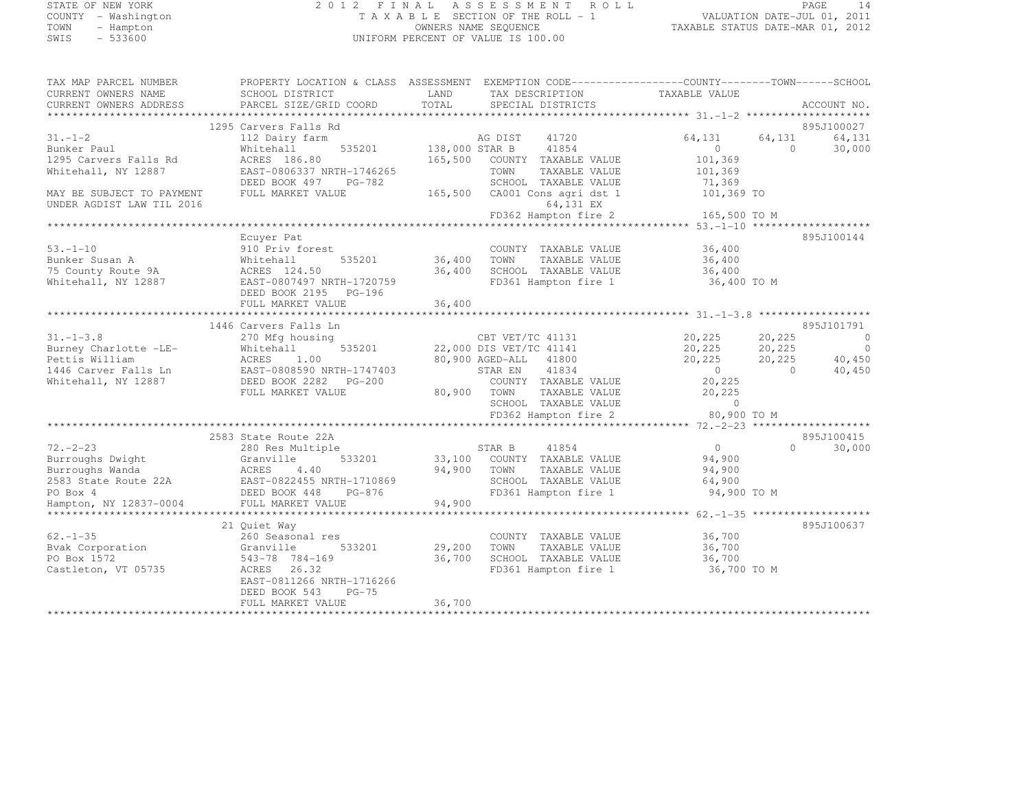# STATE OF NEW YORK 2 0 1 2 F I N A L A S S E S S M E N T R O L L PAGE <sup>14</sup> COUNTY - Washington T A X A B L E SECTION OF THE ROLL - 1 VALUATION DATE-JUL 01, 2011 TOWN - Hampton OWNERS NAME SEQUENCE TAXABLE STATUS DATE-MAR 01, 2012 SWIS - 533600 UNIFORM PERCENT OF VALUE IS 100.00

| TAX MAP PARCEL NUMBER            | PROPERTY LOCATION & CLASS ASSESSMENT EXEMPTION CODE---------------COUNTY-------TOWN------SCHOOL |                |                               |                                            |            |             |
|----------------------------------|-------------------------------------------------------------------------------------------------|----------------|-------------------------------|--------------------------------------------|------------|-------------|
| CURRENT OWNERS NAME              | SCHOOL DISTRICT                                                                                 | LAND           | TAX DESCRIPTION               | TAXABLE VALUE                              |            |             |
| CURRENT OWNERS ADDRESS           | PARCEL SIZE/GRID COORD                                                                          | TOTAL          | SPECIAL DISTRICTS             |                                            |            | ACCOUNT NO. |
|                                  |                                                                                                 |                |                               |                                            |            |             |
|                                  | 1295 Carvers Falls Rd                                                                           |                |                               |                                            |            | 895J100027  |
| $31. - 1 - 2$                    | 112 Dairy farm                                                                                  |                | AG DIST<br>41720              | 64,131                                     | 64,131     | 64,131      |
| Bunker Paul                      | 535201<br>Whitehall                                                                             | 138,000 STAR B | 41854                         | $\overline{0}$                             | $\Omega$   | 30,000      |
| 1295 Carvers Falls Rd            | ACRES 186.80                                                                                    | 165,500        | COUNTY TAXABLE VALUE          | 101,369                                    |            |             |
| Whitehall, NY 12887              | EAST-0806337 NRTH-1746265                                                                       |                | TOWN<br>TAXABLE VALUE         | 101,369                                    |            |             |
|                                  | PG-782                                                                                          |                |                               |                                            |            |             |
|                                  | DEED BOOK 497                                                                                   |                | SCHOOL TAXABLE VALUE          | 71,369                                     |            |             |
| MAY BE SUBJECT TO PAYMENT        | FULL MARKET VALUE                                                                               |                | 165,500 CA001 Cons agri dst 1 | 101,369 TO                                 |            |             |
| UNDER AGDIST LAW TIL 2016        |                                                                                                 |                | 64,131 EX                     |                                            |            |             |
|                                  |                                                                                                 |                | FD362 Hampton fire 2          | 165,500 TO M                               |            |             |
|                                  |                                                                                                 |                |                               |                                            |            |             |
|                                  | Ecuyer Pat                                                                                      |                |                               |                                            |            | 895J100144  |
| $53. - 1 - 10$                   | 910 Priv forest                                                                                 |                | COUNTY TAXABLE VALUE          | 36,400                                     |            |             |
| Bunker Susan A                   | 535201<br>Whitehall                                                                             | 36,400         | TOWN<br>TAXABLE VALUE         | 36,400                                     |            |             |
| 75 County Route 9A               | ACRES 124.50                                                                                    | 36,400         | SCHOOL TAXABLE VALUE          | 36,400                                     |            |             |
| Whitehall, NY 12887              | EAST-0807497 NRTH-1720759                                                                       |                | FD361 Hampton fire 1          | 36,400 TO M                                |            |             |
|                                  | DEED BOOK 2195 PG-196                                                                           |                |                               |                                            |            |             |
|                                  | FULL MARKET VALUE                                                                               | 36,400         |                               |                                            |            |             |
|                                  |                                                                                                 |                |                               |                                            |            |             |
|                                  | 1446 Carvers Falls Ln                                                                           |                |                               |                                            |            | 895J101791  |
| $31. - 1 - 3.8$                  | 270 Mfg housing                                                                                 |                | CBT VET/TC 41131              | 20,225                                     | 20,225     | $\circ$     |
| Burney Charlotte -LE-            | 535201                                                                                          |                | 22,000 DIS VET/TC 41141       | 20,225                                     | 20,225     | $\circ$     |
| Pettis William                   | Whitehall<br>ACRES 1.00                                                                         |                | 80,900 AGED-ALL 41800         | 20,225                                     | 20,225     | 40,450      |
|                                  | EAST-0808590 NRTH-1747403                                                                       |                | 41834                         | $\sim$ 0                                   | $\bigcirc$ |             |
| 1446 Carver Falls Ln             |                                                                                                 |                | STAR EN                       |                                            |            | 40,450      |
| Whitehall, NY 12887              | DEED BOOK 2282 PG-200                                                                           |                | COUNTY TAXABLE VALUE          | 20,225                                     |            |             |
|                                  | FULL MARKET VALUE                                                                               |                | 80,900 TOWN<br>TAXABLE VALUE  | 20,225                                     |            |             |
|                                  |                                                                                                 |                | SCHOOL TAXABLE VALUE          | $\overline{0}$                             |            |             |
|                                  |                                                                                                 |                | FD362 Hampton fire 2          | 80,900 TO M                                |            |             |
|                                  | **********************************                                                              |                |                               | ********* 72. - 2 - 23 ******************* |            |             |
|                                  | 2583 State Route 22A                                                                            |                |                               |                                            |            | 895J100415  |
| $72. - 2 - 23$                   | 280 Res Multiple                                                                                |                | 41854<br>STAR B               | $\overline{0}$                             | $\Omega$   | 30,000      |
| Burroughs Dwight                 | 533201<br>Granville                                                                             |                | 33,100 COUNTY TAXABLE VALUE   | 94,900                                     |            |             |
| Burroughs Wanda                  | <b>ACRES</b><br>4.40                                                                            |                | 94,900 TOWN<br>TAXABLE VALUE  | 94,900                                     |            |             |
| 2583 State Route 22A<br>PO Box 4 | EAST-0822455 NRTH-1710869                                                                       |                | SCHOOL TAXABLE VALUE          | 64,900                                     |            |             |
|                                  | DEED BOOK 448<br>PG-876                                                                         |                | FD361 Hampton fire 1          | 94,900 TO M                                |            |             |
| Hampton, NY 12837-0004           | FULL MARKET VALUE                                                                               | 94,900         |                               |                                            |            |             |
|                                  |                                                                                                 |                |                               |                                            |            |             |
|                                  | 21 Ouiet Way                                                                                    |                |                               |                                            |            | 895J100637  |
| $62 - 1 - 35$                    | 260 Seasonal res                                                                                |                | COUNTY TAXABLE VALUE          | 36,700                                     |            |             |
| Bvak Corporation                 | Granville<br>533201                                                                             | 29,200         | TOWN<br>TAXABLE VALUE         | 36,700                                     |            |             |
| PO Box 1572                      | 543-78 784-169                                                                                  | 36,700         | SCHOOL TAXABLE VALUE          | 36,700                                     |            |             |
|                                  |                                                                                                 |                | FD361 Hampton fire 1          |                                            |            |             |
| Castleton, VT 05735              | ACRES 26.32                                                                                     |                |                               | 36,700 TO M                                |            |             |
|                                  | EAST-0811266 NRTH-1716266                                                                       |                |                               |                                            |            |             |
|                                  | DEED BOOK 543<br>$PG-75$                                                                        |                |                               |                                            |            |             |
|                                  | FULL MARKET VALUE                                                                               | 36,700         |                               |                                            |            |             |
|                                  |                                                                                                 |                |                               |                                            |            |             |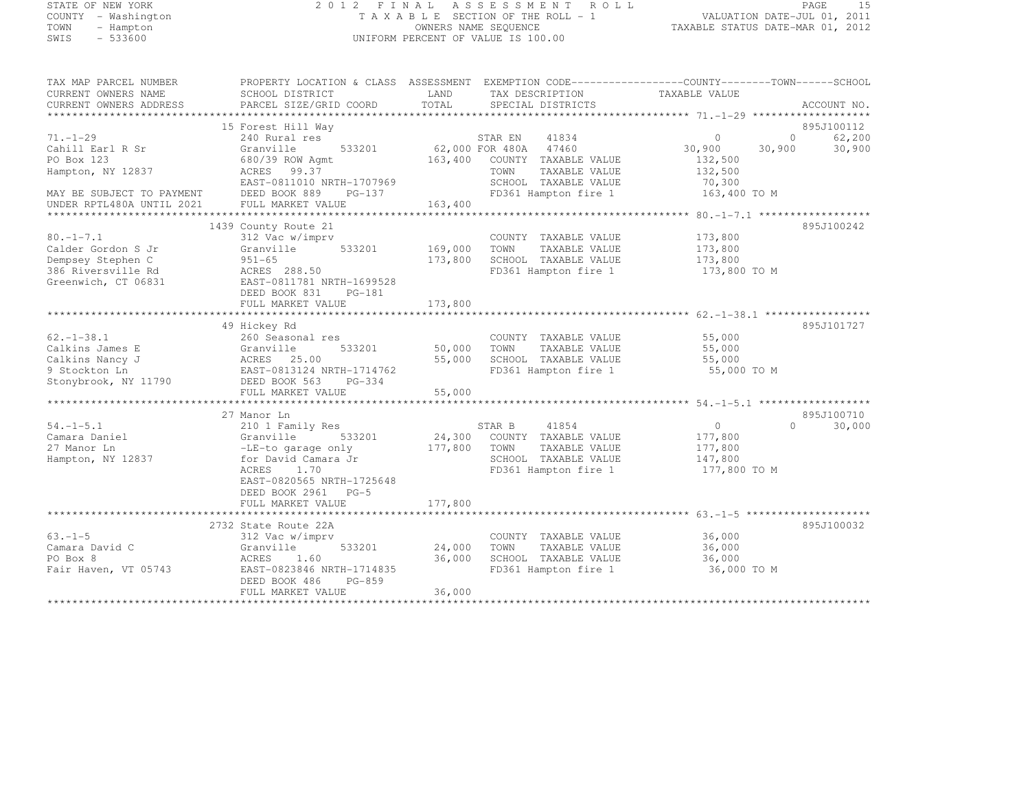# STATE OF NEW YORK 2 0 1 2 F I N A L A S S E S S M E N T R O L L PAGE <sup>15</sup> COUNTY - Washington T A X A B L E SECTION OF THE ROLL - 1 VALUATION DATE-JUL 01, 2011 TOWN - Hampton OWNERS NAME SEQUENCE TAXABLE STATUS DATE-MAR 01, 2012 SWIS - 533600 UNIFORM PERCENT OF VALUE IS 100.00

| TAX MAP PARCEL NUMBER     | PROPERTY LOCATION & CLASS ASSESSMENT EXEMPTION CODE----------------COUNTY-------TOWN------SCHOOL |                 |                       |               |          |             |
|---------------------------|--------------------------------------------------------------------------------------------------|-----------------|-----------------------|---------------|----------|-------------|
| CURRENT OWNERS NAME       | SCHOOL DISTRICT                                                                                  | LAND            | TAX DESCRIPTION       | TAXABLE VALUE |          |             |
| CURRENT OWNERS ADDRESS    | PARCEL SIZE/GRID COORD                                                                           | TOTAL           | SPECIAL DISTRICTS     |               |          | ACCOUNT NO. |
|                           |                                                                                                  |                 |                       |               |          |             |
|                           | 15 Forest Hill Way                                                                               |                 |                       |               |          | 895J100112  |
| $71. - 1 - 29$            | 240 Rural res                                                                                    |                 | 41834<br>STAR EN      | $\circ$       | $\circ$  | 62,200      |
| Cahill Earl R Sr          | Granville<br>533201                                                                              | 62,000 FOR 480A | 47460                 | 30,900        | 30,900   | 30,900      |
| PO Box 123                | 680/39 ROW Agmt                                                                                  | 163,400         | COUNTY TAXABLE VALUE  | 132,500       |          |             |
| Hampton, NY 12837         | ACRES<br>99.37                                                                                   |                 | TOWN<br>TAXABLE VALUE | 132,500       |          |             |
|                           | EAST-0811010 NRTH-1707969                                                                        |                 | SCHOOL TAXABLE VALUE  | 70,300        |          |             |
| MAY BE SUBJECT TO PAYMENT | DEED BOOK 889<br>$PG-137$                                                                        |                 | FD361 Hampton fire 1  | 163,400 TO M  |          |             |
|                           |                                                                                                  | 163,400         |                       |               |          |             |
| UNDER RPTL480A UNTIL 2021 | FULL MARKET VALUE                                                                                |                 |                       |               |          |             |
|                           |                                                                                                  |                 |                       |               |          |             |
|                           | 1439 County Route 21                                                                             |                 |                       |               |          | 895J100242  |
| $80. -1 - 7.1$            | 312 Vac w/imprv                                                                                  |                 | COUNTY TAXABLE VALUE  | 173,800       |          |             |
| Calder Gordon S Jr        | Granville<br>533201                                                                              | 169,000         | TOWN<br>TAXABLE VALUE | 173,800       |          |             |
| Dempsey Stephen C         | $951 - 65$                                                                                       | 173,800         | SCHOOL TAXABLE VALUE  | 173,800       |          |             |
| 386 Riversville Rd        | ACRES 288.50                                                                                     |                 | FD361 Hampton fire 1  | 173,800 TO M  |          |             |
| Greenwich, CT 06831       | EAST-0811781 NRTH-1699528                                                                        |                 |                       |               |          |             |
|                           | DEED BOOK 831<br>$PG-181$                                                                        |                 |                       |               |          |             |
|                           | FULL MARKET VALUE                                                                                | 173,800         |                       |               |          |             |
|                           |                                                                                                  |                 |                       |               |          |             |
|                           | 49 Hickey Rd                                                                                     |                 |                       |               |          | 895J101727  |
| $62. - 1 - 38.1$          | 260 Seasonal res                                                                                 |                 | COUNTY TAXABLE VALUE  | 55,000        |          |             |
| Calkins James E           | Granville<br>533201                                                                              | 50,000          | TOWN<br>TAXABLE VALUE | 55,000        |          |             |
| Calkins Nancy J           | ACRES<br>25.00                                                                                   | 55,000          | SCHOOL TAXABLE VALUE  | 55,000        |          |             |
|                           |                                                                                                  |                 | FD361 Hampton fire 1  |               |          |             |
| 9 Stockton Ln             | EAST-0813124 NRTH-1714762                                                                        |                 |                       | 55,000 TO M   |          |             |
| Stonybrook, NY 11790      | DEED BOOK 563<br>$PG-334$                                                                        |                 |                       |               |          |             |
|                           | FULL MARKET VALUE                                                                                | 55,000          |                       |               |          |             |
|                           |                                                                                                  |                 |                       |               |          |             |
|                           | 27 Manor Ln                                                                                      |                 |                       |               |          | 895J100710  |
| $54. - 1 - 5.1$           | 210 1 Family Res                                                                                 |                 | STAR B<br>41854       | $\circ$       | $\Omega$ | 30,000      |
| Camara Daniel             | Granville<br>533201                                                                              | 24,300          | COUNTY TAXABLE VALUE  | 177,800       |          |             |
| 27 Manor Ln               | -LE-to garage only                                                                               | 177,800         | TOWN<br>TAXABLE VALUE | 177,800       |          |             |
| Hampton, NY 12837         | for David Camara Jr                                                                              |                 | SCHOOL TAXABLE VALUE  | 147,800       |          |             |
|                           | ACRES<br>1.70                                                                                    |                 | FD361 Hampton fire 1  | 177,800 TO M  |          |             |
|                           | EAST-0820565 NRTH-1725648                                                                        |                 |                       |               |          |             |
|                           | DEED BOOK 2961<br>$PG-5$                                                                         |                 |                       |               |          |             |
|                           | FULL MARKET VALUE                                                                                | 177,800         |                       |               |          |             |
|                           |                                                                                                  |                 |                       |               |          |             |
|                           | 2732 State Route 22A                                                                             |                 |                       |               |          | 895J100032  |
| $63. - 1 - 5$             | 312 Vac w/imprv                                                                                  |                 | COUNTY TAXABLE VALUE  | 36,000        |          |             |
| Camara David C            | Granville<br>533201                                                                              | 24,000          | TOWN<br>TAXABLE VALUE | 36,000        |          |             |
|                           |                                                                                                  |                 |                       |               |          |             |
| PO Box 8                  | ACRES<br>1.60                                                                                    | 36,000          | SCHOOL TAXABLE VALUE  | 36,000        |          |             |
| Fair Haven, VT 05743      | EAST-0823846 NRTH-1714835                                                                        |                 | FD361 Hampton fire 1  | 36,000 TO M   |          |             |
|                           | DEED BOOK 486<br>$PG-859$                                                                        |                 |                       |               |          |             |
|                           | FULL MARKET VALUE                                                                                | 36,000          |                       |               |          |             |
|                           |                                                                                                  |                 |                       |               |          |             |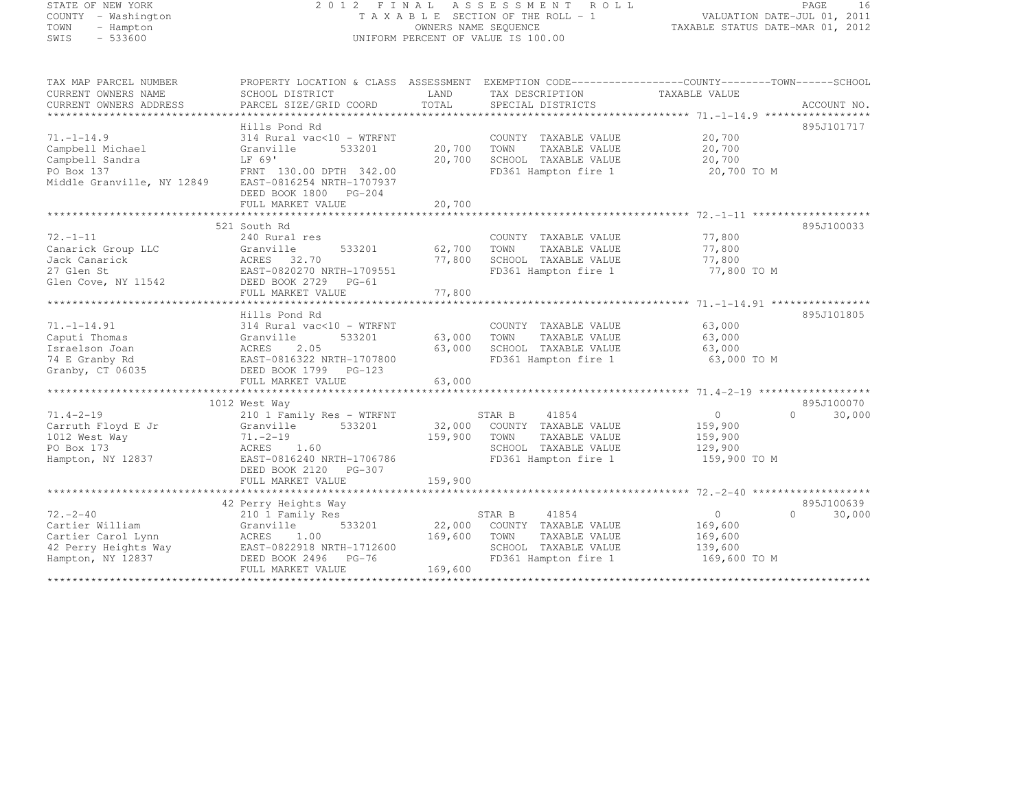# STATE OF NEW YORK 2 0 1 2 F I N A L A S S E S S M E N T R O L L PAGE <sup>16</sup> COUNTY - Washington T A X A B L E SECTION OF THE ROLL - 1 VALUATION DATE-JUL 01, 2011 TOWN - Hampton OWNERS NAME SEQUENCE TAXABLE STATUS DATE-MAR 01, 2012 SWIS - 533600 UNIFORM PERCENT OF VALUE IS 100.00

| TAX MAP PARCEL NUMBER      | PROPERTY LOCATION & CLASS ASSESSMENT |         |                             |                   |                    |
|----------------------------|--------------------------------------|---------|-----------------------------|-------------------|--------------------|
| CURRENT OWNERS NAME        | SCHOOL DISTRICT                      | LAND    | TAX DESCRIPTION             | TAXABLE VALUE     |                    |
| CURRENT OWNERS ADDRESS     | PARCEL SIZE/GRID COORD               | TOTAL   | SPECIAL DISTRICTS           |                   | ACCOUNT NO.        |
|                            |                                      |         |                             |                   |                    |
|                            | Hills Pond Rd                        |         |                             |                   | 895J101717         |
| $71. - 1 - 14.9$           | 314 Rural vac<10 - WTRFNT            |         | COUNTY TAXABLE VALUE        | 20,700            |                    |
| Campbell Michael           | 533201<br>Granville                  | 20,700  | TOWN<br>TAXABLE VALUE       | 20,700            |                    |
|                            | LF 69'                               |         | SCHOOL TAXABLE VALUE        |                   |                    |
| Campbell Sandra            |                                      | 20,700  |                             | 20,700            |                    |
| PO Box 137                 | FRNT 130.00 DPTH 342.00              |         | FD361 Hampton fire 1        | 20,700 TO M       |                    |
| Middle Granville, NY 12849 | EAST-0816254 NRTH-1707937            |         |                             |                   |                    |
|                            | DEED BOOK 1800 PG-204                |         |                             |                   |                    |
|                            |                                      |         |                             |                   |                    |
|                            |                                      |         |                             |                   |                    |
|                            | 521 South Rd                         |         |                             |                   | 895J100033         |
| $72. - 1 - 11$             | 240 Rural res                        |         | COUNTY TAXABLE VALUE        | 77,800            |                    |
| Canarick Group LLC         | 533201<br>Granville                  | 62,700  | TOWN<br>TAXABLE VALUE       | 77,800            |                    |
| Jack Canarick              | ACRES 32.70                          | 77,800  | SCHOOL TAXABLE VALUE        | 77,800            |                    |
| 27 Glen St                 | EAST-0820270 NRTH-1709551            |         | FD361 Hampton fire 1        | 77,800 TO M       |                    |
| Glen Cove, NY 11542        | DEED BOOK 2729 PG-61                 |         |                             |                   |                    |
|                            | FULL MARKET VALUE                    | 77,800  |                             |                   |                    |
|                            |                                      |         |                             |                   |                    |
|                            | Hills Pond Rd                        |         |                             |                   | 895J101805         |
| $71. - 1 - 14.91$          | 314 Rural vac<10 - WTRFNT            |         |                             |                   |                    |
|                            |                                      |         | COUNTY TAXABLE VALUE        | 63,000            |                    |
| Caputi Thomas              | 533201<br>Granville                  | 63,000  | TOWN<br>TAXABLE VALUE       | 63,000            |                    |
| Israelson Joan             | 2.05<br>ACRES                        | 63,000  | SCHOOL TAXABLE VALUE        | 63,000            |                    |
| 74 E Granby Rd             | EAST-0816322 NRTH-1707800            |         | FD361 Hampton fire 1        | 63,000 TO M       |                    |
| Granby, CT 06035           | DEED BOOK 1799 PG-123                |         |                             |                   |                    |
|                            | FULL MARKET VALUE                    | 63,000  |                             |                   |                    |
|                            |                                      |         |                             |                   |                    |
|                            | 1012 West Way                        |         |                             |                   | 895J100070         |
| $71.4 - 2 - 19$            | 210 1 Family Res - WTRFNT            |         | STAR B<br>41854             | $0 \qquad \qquad$ | 30,000<br>$\cap$   |
| Carruth Floyd E Jr         | 533201<br>Granville                  |         | 32,000 COUNTY TAXABLE VALUE | 159,900           |                    |
| 1012 West Way              | $71. - 2 - 19$                       | 159,900 | TOWN<br>TAXABLE VALUE       | 159,900           |                    |
| PO Box 173                 | ACRES 1.60                           |         | SCHOOL TAXABLE VALUE        | 129,900           |                    |
| Hampton, NY 12837          | EAST-0816240 NRTH-1706786            |         | FD361 Hampton fire 1        | 159,900 TO M      |                    |
|                            | DEED BOOK 2120<br>PG-307             |         |                             |                   |                    |
|                            | FULL MARKET VALUE                    | 159,900 |                             |                   |                    |
|                            |                                      |         |                             |                   |                    |
|                            | 42 Perry Heights Way                 |         |                             |                   | 895J100639         |
| $72 - 2 - 40$              | 210 1 Family Res                     |         | 41854<br>STAR B             | $\Omega$          | $\Omega$<br>30,000 |
|                            |                                      |         |                             |                   |                    |
| Cartier William            | Granville<br>533201                  | 22,000  | COUNTY TAXABLE VALUE        | 169,600           |                    |
| Cartier Carol Lynn         | ACRES<br>1.00                        | 169,600 | TOWN<br>TAXABLE VALUE       | 169,600           |                    |
| 42 Perry Heights Way       | EAST-0822918 NRTH-1712600            |         | SCHOOL TAXABLE VALUE        | 139,600           |                    |
| Hampton, NY 12837          | DEED BOOK 2496 PG-76                 |         | FD361 Hampton fire 1        | 169,600 TO M      |                    |
|                            | FULL MARKET VALUE                    | 169,600 |                             |                   |                    |
|                            |                                      |         |                             |                   |                    |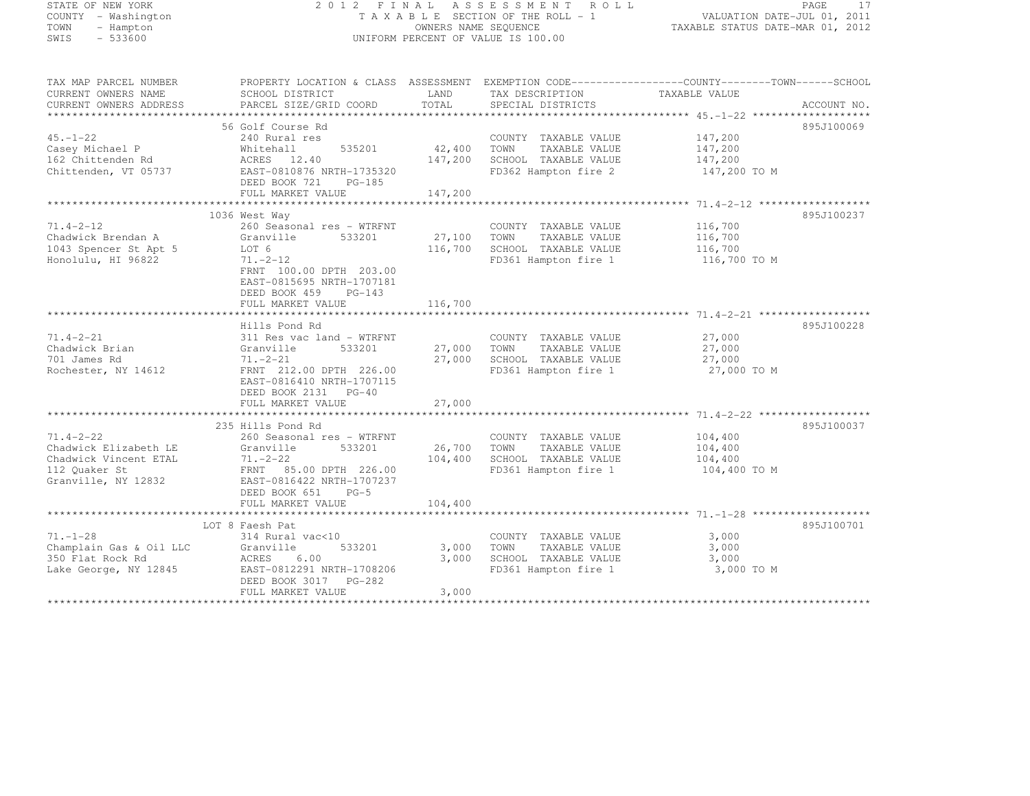STATE OF NEW YORK 2 0 1 2 F I N A L A S S E S S M E N T R O L L PAGE <sup>17</sup> COUNTY - Washington T A X A B L E SECTION OF THE ROLL - 1 VALUATION DATE-JUL 01, 2011 TOWN - Hampton OWNERS NAME SEQUENCE TAXABLE STATUS DATE-MAR 01, 2012 SWIS - 533600 UNIFORM PERCENT OF VALUE IS 100.00 TAX MAP PARCEL NUMBER PROPERTY LOCATION & CLASS ASSESSMENT EXEMPTION CODE------------------COUNTY--------TOWN------SCHOOL

| IAA MAF FARULL NUMDLR   | FROFERII LOCAIION & CLASS - ASSESSMENI - EAEMFIION CODE------------------COONII--------IOWN------SCROOL |             |                              |               |             |
|-------------------------|---------------------------------------------------------------------------------------------------------|-------------|------------------------------|---------------|-------------|
| CURRENT OWNERS NAME     | SCHOOL DISTRICT                                                                                         | LAND        | TAX DESCRIPTION              | TAXABLE VALUE |             |
| CURRENT OWNERS ADDRESS  | PARCEL SIZE/GRID COORD                                                                                  | TOTAL       | SPECIAL DISTRICTS            |               | ACCOUNT NO. |
|                         |                                                                                                         |             |                              |               |             |
|                         |                                                                                                         |             |                              |               |             |
|                         | 56 Golf Course Rd                                                                                       |             |                              |               | 895J100069  |
| $45. - 1 - 22$          | 240 Rural res                                                                                           |             | COUNTY TAXABLE VALUE         | 147,200       |             |
| Casey Michael P         | 535201<br>Whitehall                                                                                     | 42,400      | TOWN<br>TAXABLE VALUE        | 147,200       |             |
| 162 Chittenden Rd       | ACRES 12.40                                                                                             | 147,200     | SCHOOL TAXABLE VALUE         | 147,200       |             |
| Chittenden, VT 05737    | EAST-0810876 NRTH-1735320                                                                               |             | FD362 Hampton fire 2         | 147,200 TO M  |             |
|                         | DEED BOOK 721<br>$PG-185$                                                                               |             |                              |               |             |
|                         |                                                                                                         | 147,200     |                              |               |             |
|                         | FULL MARKET VALUE                                                                                       |             |                              |               |             |
|                         |                                                                                                         |             |                              |               |             |
|                         | 1036 West Way                                                                                           |             |                              |               | 895J100237  |
| $71.4 - 2 - 12$         | 260 Seasonal res - WTRFNT                                                                               |             | COUNTY TAXABLE VALUE         | 116,700       |             |
| Chadwick Brendan A      | 533201<br>Granville                                                                                     | 27,100 TOWN | TAXABLE VALUE                | 116,700       |             |
| 1043 Spencer St Apt 5   | LOT 6                                                                                                   |             | 116,700 SCHOOL TAXABLE VALUE | 116,700       |             |
| Honolulu, HI 96822      | $71, -2 - 12$                                                                                           |             | FD361 Hampton fire 1         | 116,700 TO M  |             |
|                         |                                                                                                         |             |                              |               |             |
|                         | FRNT 100.00 DPTH 203.00                                                                                 |             |                              |               |             |
|                         | EAST-0815695 NRTH-1707181                                                                               |             |                              |               |             |
|                         | DEED BOOK 459<br>$PG-143$                                                                               |             |                              |               |             |
|                         | FULL MARKET VALUE                                                                                       | 116,700     |                              |               |             |
|                         |                                                                                                         |             |                              |               |             |
|                         | Hills Pond Rd                                                                                           |             |                              |               | 895J100228  |
| $71.4 - 2 - 21$         | 311 Res vac land - WTRFNT                                                                               |             | COUNTY TAXABLE VALUE         | 27,000        |             |
|                         |                                                                                                         |             |                              |               |             |
| Chadwick Brian          | Granville<br>533201                                                                                     | 27,000 TOWN | TAXABLE VALUE                | 27,000        |             |
| 701 James Rd            | $71. - 2 - 21$                                                                                          |             | 27,000 SCHOOL TAXABLE VALUE  | 27,000        |             |
| Rochester, NY 14612     | FRNT 212.00 DPTH 226.00                                                                                 |             | FD361 Hampton fire 1         | 27,000 TO M   |             |
|                         | EAST-0816410 NRTH-1707115                                                                               |             |                              |               |             |
|                         | DEED BOOK 2131 PG-40                                                                                    |             |                              |               |             |
|                         | FULL MARKET VALUE                                                                                       | 27,000      |                              |               |             |
|                         |                                                                                                         |             |                              |               |             |
|                         |                                                                                                         |             |                              |               |             |
|                         | 235 Hills Pond Rd                                                                                       |             |                              |               | 895J100037  |
| $71.4 - 2 - 22$         | 260 Seasonal res - WTRFNT                                                                               |             | COUNTY TAXABLE VALUE         | 104,400       |             |
| Chadwick Elizabeth LE   | Granville<br>533201                                                                                     | 26,700 TOWN | TAXABLE VALUE                | 104,400       |             |
| Chadwick Vincent ETAL   | $71. - 2 - 22$                                                                                          |             | 104,400 SCHOOL TAXABLE VALUE | 104,400       |             |
| 112 Ouaker St           | FRNT 85.00 DPTH 226.00                                                                                  |             | FD361 Hampton fire 1         | 104,400 TO M  |             |
| Granville, NY 12832     | EAST-0816422 NRTH-1707237                                                                               |             |                              |               |             |
|                         | DEED BOOK 651 PG-5                                                                                      |             |                              |               |             |
|                         |                                                                                                         |             |                              |               |             |
|                         | FULL MARKET VALUE                                                                                       | 104,400     |                              |               |             |
|                         |                                                                                                         |             |                              |               |             |
|                         | LOT 8 Faesh Pat                                                                                         |             |                              |               | 895J100701  |
| $71. - 1 - 28$          | 314 Rural vac<10                                                                                        |             | COUNTY TAXABLE VALUE         | 3,000         |             |
| Champlain Gas & Oil LLC | 533201<br>Granville                                                                                     | 3,000       | TAXABLE VALUE<br>TOWN        | 3,000         |             |
| 350 Flat Rock Rd        | 6.00<br>ACRES                                                                                           | 3,000       | SCHOOL TAXABLE VALUE         | 3,000         |             |
| Lake George, NY 12845   | EAST-0812291 NRTH-1708206                                                                               |             | FD361 Hampton fire 1         | 3,000 TO M    |             |
|                         |                                                                                                         |             |                              |               |             |
|                         | DEED BOOK 3017 PG-282                                                                                   |             |                              |               |             |
|                         | FULL MARKET VALUE                                                                                       | 3,000       |                              |               |             |
|                         |                                                                                                         |             |                              |               |             |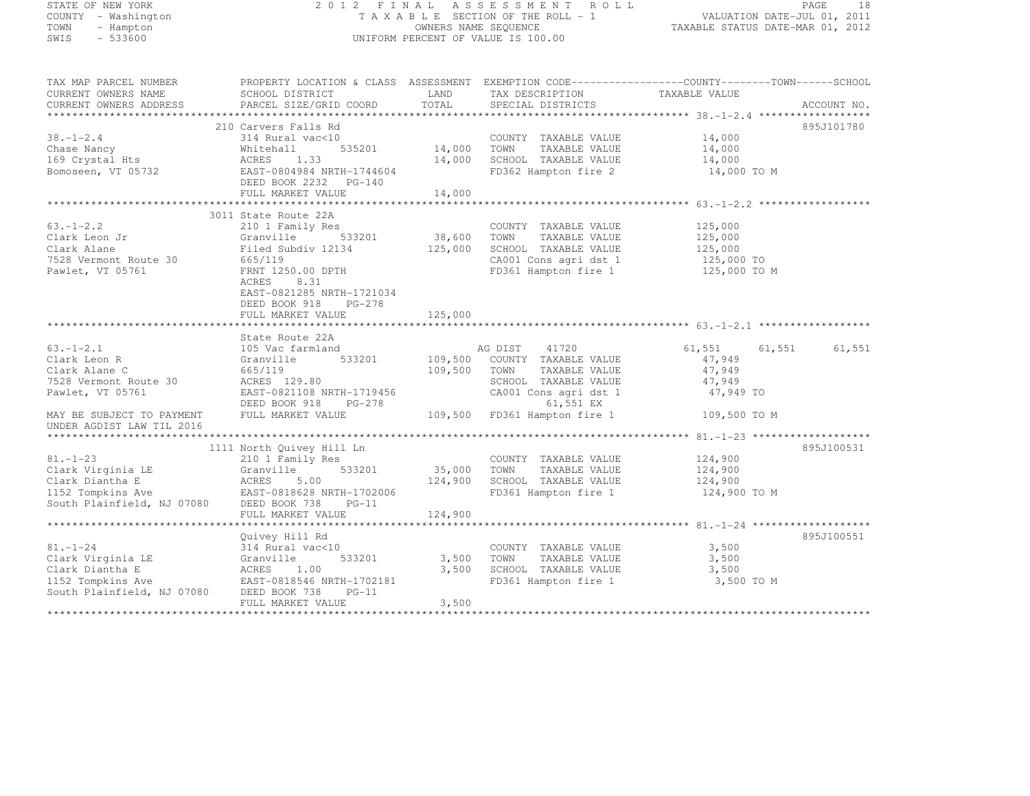# STATE OF NEW YORK 2 0 1 2 F I N A L A S S E S S M E N T R O L L PAGE <sup>18</sup> COUNTY - Washington T A X A B L E SECTION OF THE ROLL - 1 VALUATION DATE-JUL 01, 2011 TOWN - Hampton OWNERS NAME SEQUENCE TAXABLE STATUS DATE-MAR 01, 2012 SWIS - 533600 UNIFORM PERCENT OF VALUE IS 100.00

| TAX MAP PARCEL NUMBER<br>CURRENT OWNERS NAME<br>CURRENT OWNERS ADDRESS                                                     | PROPERTY LOCATION & CLASS ASSESSMENT EXEMPTION CODE----------------COUNTY-------TOWN------SCHOOL<br>SCHOOL DISTRICT<br>PARCEL SIZE/GRID COORD   | LAND<br>TOTAL      | TAX DESCRIPTION TAXABLE VALUE<br>SPECIAL DISTRICTS                                                                                                              |                                                                   | ACCOUNT NO.      |
|----------------------------------------------------------------------------------------------------------------------------|-------------------------------------------------------------------------------------------------------------------------------------------------|--------------------|-----------------------------------------------------------------------------------------------------------------------------------------------------------------|-------------------------------------------------------------------|------------------|
| $38. - 1 - 2.4$<br>Chase Nancy<br>169 Crystal Hts<br>Bomoseen, VT 05732                                                    | 210 Carvers Falls Rd<br>314 Rural vac<10<br>535201<br>Whitehall<br>ACRES 1.33<br>EAST-0804984 NRTH-1744604<br>DEED BOOK 2232 PG-140             | 14,000<br>14,000   | COUNTY TAXABLE VALUE<br>TAXABLE VALUE<br>TOWN<br>SCHOOL TAXABLE VALUE<br>FD362 Hampton fire 2                                                                   | 14,000<br>14,000<br>14,000<br>14,000 TO M                         | 895J101780       |
|                                                                                                                            | FULL MARKET VALUE                                                                                                                               | 14,000             |                                                                                                                                                                 |                                                                   |                  |
| $63. - 1 - 2.2$<br>Clark Leon Jr<br>Clark Alane<br>7528 Vermont Route 30<br>Pawlet, VT 05761                               | 3011 State Route 22A<br>210 1 Family Res<br>533201<br>Granville<br>Filed Subdiv 12134<br>665/119<br>FRNT 1250.00 DPTH<br>ACRES<br>8.31          | 38,600<br>125,000  | COUNTY TAXABLE VALUE<br>TAXABLE VALUE<br>TOWN<br>SCHOOL TAXABLE VALUE<br>CA001 Cons agri dst 1<br>FD361 Hampton fire 1                                          | 125,000<br>125,000<br>125,000<br>125,000 TO<br>125,000 TO M       |                  |
|                                                                                                                            | EAST-0821285 NRTH-1721034<br>DEED BOOK 918<br>PG-278<br>FULL MARKET VALUE                                                                       | 125,000            |                                                                                                                                                                 |                                                                   |                  |
|                                                                                                                            | State Route 22A                                                                                                                                 |                    |                                                                                                                                                                 |                                                                   |                  |
| $63. - 1 - 2.1$<br>Clark Leon R<br>Clark Alane C<br>7528 Vermont Route 30<br>Pawlet, VT 05761<br>MAY BE SUBJECT TO PAYMENT | 105 Vac farmland<br>533201<br>Granville<br>665/119<br>ACRES 129.80<br>EAST-0821108 NRTH-1719456<br>DEED BOOK 918<br>PG-278<br>FULL MARKET VALUE | 109,500<br>109,500 | AG DIST<br>41720<br>COUNTY TAXABLE VALUE<br>TAXABLE VALUE<br>TOWN<br>SCHOOL TAXABLE VALUE<br>CA001 Cons agri dst 1<br>61,551 EX<br>109,500 FD361 Hampton fire 1 | 61,551<br>47,949<br>47,949<br>47,949<br>47,949 TO<br>109,500 TO M | 61,551<br>61,551 |
| UNDER AGDIST LAW TIL 2016                                                                                                  |                                                                                                                                                 |                    |                                                                                                                                                                 |                                                                   |                  |
| $81. - 1 - 23$<br>Clark Virginia LE                                                                                        | 1111 North Quivey Hill Ln<br>210 1 Family Res<br>533201<br>Granville                                                                            | 35,000<br>124,900  | COUNTY TAXABLE VALUE<br>TOWN<br>TAXABLE VALUE<br>SCHOOL TAXABLE VALUE<br>FD361 Hampton fire 1                                                                   | 124,900<br>124,900<br>124,900<br>124,900 TO M                     | 895J100531       |
|                                                                                                                            | FULL MARKET VALUE                                                                                                                               | 124,900            |                                                                                                                                                                 |                                                                   |                  |
| $81. - 1 - 24$<br>Clark Virginia LE<br>Clark Diantha E<br>1152 Tompkins Ave                                                | Quivey Hill Rd<br>314 Rural vac<10<br>Granville 533201<br>ACRES 1.00<br>EAST-0818546 NRTH-1702181                                               | 3,500<br>3,500     | COUNTY TAXABLE VALUE<br>TOWN<br>TAXABLE VALUE<br>SCHOOL TAXABLE VALUE<br>FD361 Hampton fire 1                                                                   | 3,500<br>3,500<br>3,500<br>3,500 TO M                             | 895J100551       |
| South Plainfield, NJ 07080                                                                                                 | DEED BOOK 738<br>$PG-11$<br>FULL MARKET VALUE                                                                                                   | 3,500              |                                                                                                                                                                 |                                                                   |                  |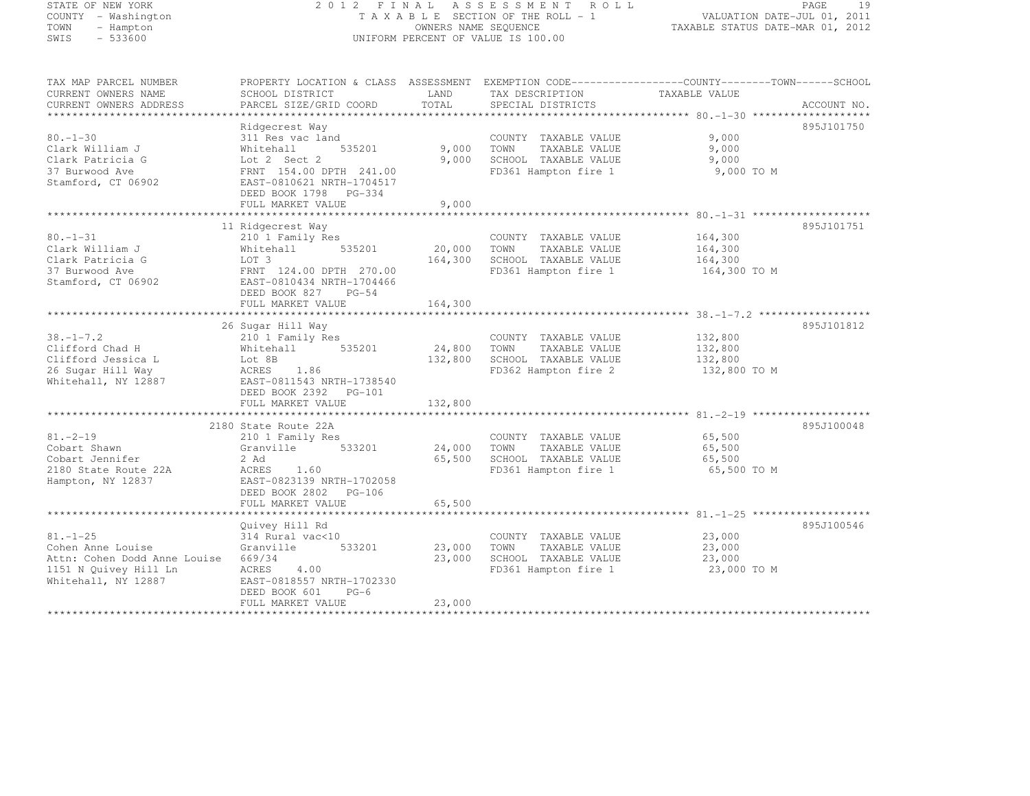# STATE OF NEW YORK 2 0 1 2 F I N A L A S S E S S M E N T R O L L PAGE <sup>19</sup> COUNTY - Washington T A X A B L E SECTION OF THE ROLL - 1 VALUATION DATE-JUL 01, 2011 TOWN - Hampton OWNERS NAME SEQUENCE TAXABLE STATUS DATE-MAR 01, 2012 SWIS - 533600 UNIFORM PERCENT OF VALUE IS 100.00

| TAX MAP PARCEL NUMBER               | PROPERTY LOCATION & CLASS ASSESSMENT EXEMPTION CODE-----------------COUNTY-------TOWN------SCHOOL |             |                                               |               |             |
|-------------------------------------|---------------------------------------------------------------------------------------------------|-------------|-----------------------------------------------|---------------|-------------|
| CURRENT OWNERS NAME                 | SCHOOL DISTRICT                                                                                   | LAND        | TAX DESCRIPTION                               | TAXABLE VALUE |             |
| CURRENT OWNERS ADDRESS              | PARCEL SIZE/GRID COORD                                                                            | TOTAL       | SPECIAL DISTRICTS                             |               | ACCOUNT NO. |
|                                     |                                                                                                   |             |                                               |               | 895J101750  |
| $80. - 1 - 30$                      | Ridgecrest Way<br>311 Res vac land                                                                |             | COUNTY TAXABLE VALUE                          | 9,000         |             |
| Clark William J                     | 535201<br>Whitehall                                                                               | 9,000       | TOWN<br>TAXABLE VALUE                         | 9,000         |             |
| Clark Patricia G                    | Lot 2 Sect 2                                                                                      | 9,000       | SCHOOL TAXABLE VALUE                          | 9,000         |             |
| 37 Burwood Ave                      | FRNT 154.00 DPTH 241.00                                                                           |             | FD361 Hampton fire 1                          | 9,000 TO M    |             |
| Stamford, CT 06902                  | EAST-0810621 NRTH-1704517                                                                         |             |                                               |               |             |
|                                     | DEED BOOK 1798 PG-334                                                                             |             |                                               |               |             |
|                                     | FULL MARKET VALUE                                                                                 | 9,000       |                                               |               |             |
|                                     |                                                                                                   |             |                                               |               |             |
|                                     | 11 Ridgecrest Way                                                                                 |             |                                               |               | 895J101751  |
| $80. - 1 - 31$                      | 210 1 Family Res                                                                                  |             | COUNTY TAXABLE VALUE                          | 164,300       |             |
| Clark William J                     | 535201<br>Whitehall                                                                               | 20,000      | TOWN<br>TAXABLE VALUE                         | 164,300       |             |
| Clark Patricia G                    | LOT 3                                                                                             | 164,300     | SCHOOL TAXABLE VALUE                          | 164,300       |             |
| 37 Burwood Ave                      | FRNT 124.00 DPTH 270.00                                                                           |             | FD361 Hampton fire 1                          | 164,300 TO M  |             |
| Stamford, CT 06902                  | EAST-0810434 NRTH-1704466                                                                         |             |                                               |               |             |
|                                     | DEED BOOK 827<br>$PG-54$                                                                          |             |                                               |               |             |
|                                     | FULL MARKET VALUE                                                                                 | 164,300     |                                               |               |             |
|                                     |                                                                                                   |             |                                               |               |             |
|                                     | 26 Sugar Hill Way                                                                                 |             |                                               | 132,800       | 895J101812  |
| $38. - 1 - 7.2$<br>Clifford Chad H  | 210 1 Family Res<br>Whitehall 535201                                                              | 24,800 TOWN | COUNTY TAXABLE VALUE<br>TAXABLE VALUE         | 132,800       |             |
| Clifford Jessica L                  | Lot 8B                                                                                            | 132,800     | SCHOOL TAXABLE VALUE                          | 132,800       |             |
| 26 Sugar Hill Way                   | ACRES 1.86                                                                                        |             | FD362 Hampton fire 2                          | 132,800 TO M  |             |
| Whitehall, NY 12887                 | EAST-0811543 NRTH-1738540                                                                         |             |                                               |               |             |
|                                     | DEED BOOK 2392    PG-101                                                                          |             |                                               |               |             |
|                                     | FULL MARKET VALUE                                                                                 | 132,800     |                                               |               |             |
|                                     |                                                                                                   |             |                                               |               |             |
|                                     | 2180 State Route 22A                                                                              |             |                                               |               | 895J100048  |
| $81. - 2 - 19$                      | 210 1 Family Res                                                                                  |             | COUNTY TAXABLE VALUE                          | 65,500        |             |
| Cobart Shawn                        | 533201<br>Granville                                                                               | 24,000      | TAXABLE VALUE<br>TOWN                         | 65,500        |             |
| Cobart Jennifer                     | 2 Ad                                                                                              | 65,500      | SCHOOL TAXABLE VALUE                          | 65,500        |             |
| 2180 State Route 22A                | ACRES<br>1.60                                                                                     |             | FD361 Hampton fire 1                          | 65,500 TO M   |             |
| Hampton, NY 12837                   | EAST-0823139 NRTH-1702058                                                                         |             |                                               |               |             |
|                                     | DEED BOOK 2802 PG-106                                                                             |             |                                               |               |             |
|                                     | FULL MARKET VALUE                                                                                 | 65,500      |                                               |               |             |
|                                     |                                                                                                   |             |                                               |               |             |
| $81. - 1 - 25$                      | Quivey Hill Rd                                                                                    |             |                                               | 23,000        | 895J100546  |
| Cohen Anne Louise                   | 314 Rural vac<10<br>533201<br>Granville                                                           | 23,000      | COUNTY TAXABLE VALUE<br>TOWN<br>TAXABLE VALUE | 23,000        |             |
| Attn: Cohen Dodd Anne Louise 669/34 |                                                                                                   | 23,000      | SCHOOL TAXABLE VALUE                          | 23,000        |             |
| 1151 N Quivey Hill Ln               | ACRES<br>4.00                                                                                     |             | FD361 Hampton fire 1                          | 23,000 TO M   |             |
| Whitehall, NY 12887                 | EAST-0818557 NRTH-1702330                                                                         |             |                                               |               |             |
|                                     | DEED BOOK 601<br>$PG-6$                                                                           |             |                                               |               |             |
|                                     | FULL MARKET VALUE                                                                                 | 23,000      |                                               |               |             |
|                                     |                                                                                                   |             | ********************************              |               |             |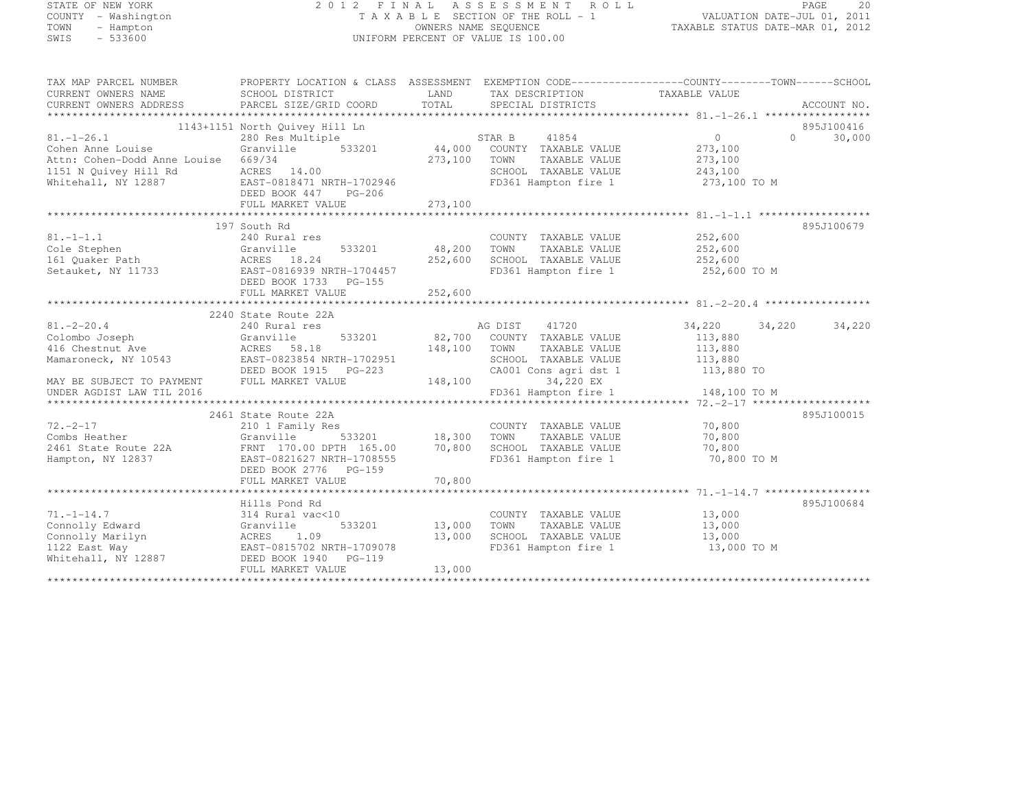# STATE OF NEW YORK 2 0 1 2 F I N A L A S S E S S M E N T R O L L PAGE <sup>20</sup> COUNTY - Washington T A X A B L E SECTION OF THE ROLL - 1 VALUATION DATE-JUL 01, 2011 TOWN - Hampton OWNERS NAME SEQUENCE TAXABLE STATUS DATE-MAR 01, 2012 SWIS - 533600 UNIFORM PERCENT OF VALUE IS 100.00

| TAX MAP PARCEL NUMBER               | PROPERTY LOCATION & CLASS ASSESSMENT |               |                             |                |                    |
|-------------------------------------|--------------------------------------|---------------|-----------------------------|----------------|--------------------|
| CURRENT OWNERS NAME                 | SCHOOL DISTRICT                      | LAND          | TAX DESCRIPTION             | TAXABLE VALUE  |                    |
| CURRENT OWNERS ADDRESS              | PARCEL SIZE/GRID COORD               | TOTAL         | SPECIAL DISTRICTS           |                | ACCOUNT NO.        |
|                                     |                                      |               |                             |                |                    |
|                                     | 1143+1151 North Quivey Hill Ln       |               |                             |                | 895J100416         |
| $81. - 1 - 26.1$                    | 280 Res Multiple                     |               | 41854<br>STAR B             | $\overline{0}$ | $\Omega$<br>30,000 |
| Cohen Anne Louise                   | 533201<br>Granville                  |               | 44,000 COUNTY TAXABLE VALUE | 273,100        |                    |
| Attn: Cohen-Dodd Anne Louise 669/34 |                                      | 273,100       | TOWN<br>TAXABLE VALUE       | 273,100        |                    |
| 1151 N Quivey Hill Rd               | ACRES 14.00                          |               | SCHOOL TAXABLE VALUE        | 243,100        |                    |
| Whitehall, NY 12887                 | EAST-0818471 NRTH-1702946            |               | FD361 Hampton fire 1        | 273,100 TO M   |                    |
|                                     | DEED BOOK 447<br>PG-206              |               |                             |                |                    |
|                                     |                                      |               |                             |                |                    |
|                                     | FULL MARKET VALUE                    | 273,100       |                             |                |                    |
|                                     |                                      |               |                             |                |                    |
|                                     | 197 South Rd                         |               |                             |                | 895J100679         |
| $81. - 1 - 1.1$                     | 240 Rural res                        |               | COUNTY TAXABLE VALUE        | 252,600        |                    |
| Cole Stephen                        | 533201<br>Granville                  | 48,200        | TOWN<br>TAXABLE VALUE       | 252,600        |                    |
| 161 Quaker Path                     | ACRES 18.24                          | 252,600       | SCHOOL TAXABLE VALUE        | 252,600        |                    |
| Setauket, NY 11733                  | EAST-0816939 NRTH-1704457            |               | FD361 Hampton fire 1        | 252,600 TO M   |                    |
|                                     | DEED BOOK 1733 PG-155                |               |                             |                |                    |
|                                     | FULL MARKET VALUE                    | 252,600       |                             |                |                    |
|                                     |                                      |               |                             |                |                    |
|                                     | 2240 State Route 22A                 |               |                             |                |                    |
| $81. - 2 - 20.4$                    | 240 Rural res                        |               | 41720<br>AG DIST            | 34,220 34,220  | 34,220             |
| Colombo Joseph                      | 533201<br>Granville                  | 82,700        | COUNTY TAXABLE VALUE        | 113,880        |                    |
| 416 Chestnut Ave                    | ACRES 58.18                          | 148,100       | TOWN<br>TAXABLE VALUE       | 113,880        |                    |
| Mamaroneck, NY 10543                | EAST-0823854 NRTH-1702951            |               | SCHOOL TAXABLE VALUE        | 113,880        |                    |
|                                     | DEED BOOK 1915 PG-223                |               | CA001 Cons agri dst 1       | 113,880 TO     |                    |
| MAY BE SUBJECT TO PAYMENT           | FULL MARKET VALUE                    | 148,100       | 34,220 EX                   |                |                    |
| UNDER AGDIST LAW TIL 2016           |                                      |               | FD361 Hampton fire 1        | 148,100 TO M   |                    |
|                                     |                                      |               |                             |                |                    |
|                                     | 2461 State Route 22A                 |               |                             |                | 895J100015         |
| $72. - 2 - 17$                      | 210 1 Family Res                     |               | COUNTY TAXABLE VALUE        | 70,800         |                    |
| Combs Heather                       | Granville                            | 533201 18,300 | TOWN<br>TAXABLE VALUE       | 70,800         |                    |
| 2461 State Route 22A                | FRNT 170.00 DPTH 165.00              | 70,800        | SCHOOL TAXABLE VALUE        | 70,800         |                    |
| Hampton, NY 12837                   | EAST-0821627 NRTH-1708555            |               | FD361 Hampton fire 1        | 70,800 TO M    |                    |
|                                     | DEED BOOK 2776<br>PG-159             |               |                             |                |                    |
|                                     | FULL MARKET VALUE                    | 70,800        |                             |                |                    |
|                                     |                                      |               |                             |                |                    |
|                                     | Hills Pond Rd                        |               |                             |                | 895J100684         |
| $71. - 1 - 14.7$                    | 314 Rural vac<10                     |               | COUNTY TAXABLE VALUE        | 13,000         |                    |
| Connolly Edward                     | 533201<br>Granville                  | 13,000        | TAXABLE VALUE<br>TOWN       | 13,000         |                    |
| Connolly Marilyn                    | 1.09<br>ACRES                        | 13,000        | SCHOOL TAXABLE VALUE        | 13,000         |                    |
| 1122 East Way                       | EAST-0815702 NRTH-1709078            |               | FD361 Hampton fire 1        | 13,000 TO M    |                    |
| Whitehall, NY 12887                 | DEED BOOK 1940<br>PG-119             |               |                             |                |                    |
|                                     | FULL MARKET VALUE                    | 13,000        |                             |                |                    |
|                                     |                                      |               |                             |                |                    |
|                                     |                                      |               |                             |                |                    |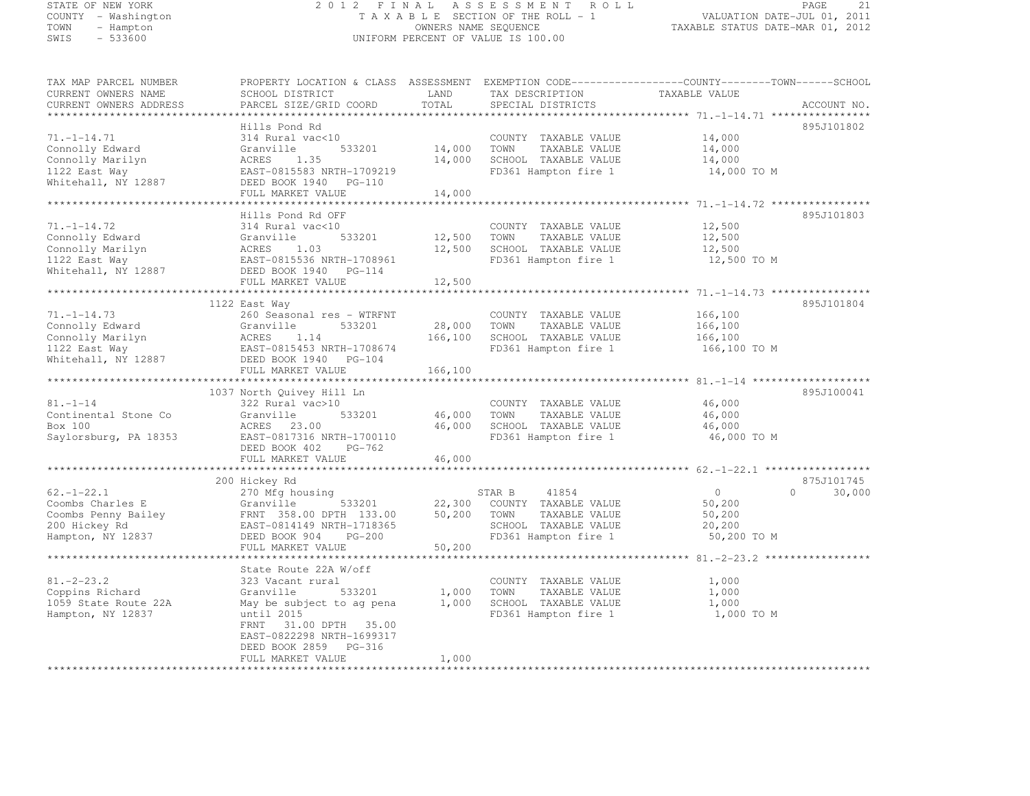# STATE OF NEW YORK 2 0 1 2 F I N A L A S S E S S M E N T R O L L PAGE <sup>21</sup> COUNTY - Washington T A X A B L E SECTION OF THE ROLL - 1 VALUATION DATE-JUL 01, 2011 TOWN - Hampton OWNERS NAME SEQUENCE TAXABLE STATUS DATE-MAR 01, 2012 SWIS - 533600 UNIFORM PERCENT OF VALUE IS 100.00

| TAX MAP PARCEL NUMBER<br>CURRENT OWNERS NAME<br>CURRENT OWNERS ADDRESS                            | PROPERTY LOCATION & CLASS ASSESSMENT<br>SCHOOL DISTRICT<br>PARCEL SIZE/GRID COORD                                                                                    | LAND<br>TOTAL              | EXEMPTION CODE-----------------COUNTY-------TOWN------SCHOOL<br>TAX DESCRIPTION<br>SPECIAL DISTRICTS             | TAXABLE VALUE                                               | ACCOUNT NO.        |
|---------------------------------------------------------------------------------------------------|----------------------------------------------------------------------------------------------------------------------------------------------------------------------|----------------------------|------------------------------------------------------------------------------------------------------------------|-------------------------------------------------------------|--------------------|
|                                                                                                   | Hills Pond Rd                                                                                                                                                        |                            |                                                                                                                  |                                                             | 895J101802         |
| $71. - 1 - 14.71$<br>Connolly Edward<br>Connolly Marilyn<br>1122 East Way<br>Whitehall, NY 12887  | 314 Rural vac<10<br>533201<br>Granville<br>1.35<br>ACRES<br>EAST-0815583 NRTH-1709219<br>DEED BOOK 1940 PG-110                                                       | 14,000<br>14,000           | COUNTY TAXABLE VALUE<br>TOWN<br>TAXABLE VALUE<br>SCHOOL TAXABLE VALUE<br>FD361 Hampton fire 1                    | 14,000<br>14,000<br>14,000<br>14,000 TO M                   |                    |
|                                                                                                   | FULL MARKET VALUE                                                                                                                                                    | 14,000                     |                                                                                                                  |                                                             |                    |
|                                                                                                   | Hills Pond Rd OFF                                                                                                                                                    |                            |                                                                                                                  |                                                             | 895J101803         |
| $71. - 1 - 14.72$<br>Connolly Edward<br>Connolly Marilyn<br>1122 East Way<br>Whitehall, NY 12887  | 314 Rural vac<10<br>533201<br>Granville<br>ACRES<br>1.03<br>EAST-0815536 NRTH-1708961<br>DEED BOOK 1940 PG-114<br>FULL MARKET VALUE                                  | 12,500<br>12,500           | COUNTY TAXABLE VALUE<br>TOWN<br>TAXABLE VALUE<br>SCHOOL TAXABLE VALUE<br>FD361 Hampton fire 1                    | 12,500<br>12,500<br>12,500<br>12,500 TO M                   |                    |
|                                                                                                   |                                                                                                                                                                      | 12,500                     |                                                                                                                  |                                                             |                    |
| $71. - 1 - 14.73$<br>Connolly Edward<br>Connolly Marilyn<br>1122 East Way                         | 1122 East Way<br>260 Seasonal res - WTRFNT<br>Granville<br>533201<br>ACRES<br>1.14<br>EAST-0815453 NRTH-1708674                                                      | 28,000<br>166,100          | COUNTY TAXABLE VALUE<br>TOWN<br>TAXABLE VALUE<br>SCHOOL TAXABLE VALUE<br>FD361 Hampton fire 1                    | 166,100<br>166,100<br>166,100<br>166,100 TO M               | 895J101804         |
| Whitehall, NY 12887                                                                               | DEED BOOK 1940 PG-104<br>FULL MARKET VALUE                                                                                                                           | 166,100                    |                                                                                                                  |                                                             |                    |
|                                                                                                   |                                                                                                                                                                      |                            |                                                                                                                  |                                                             |                    |
| $81. - 1 - 14$<br>Continental Stone Co<br>Box 100<br>Saylorsburg, PA 18353                        | 1037 North Quivey Hill Ln<br>322 Rural vac>10<br>Granville<br>533201<br>ACRES 23.00<br>EAST-0817316 NRTH-1700110<br>DEED BOOK 402<br>PG-762                          | 46,000<br>46,000           | COUNTY TAXABLE VALUE<br>TOWN<br>TAXABLE VALUE<br>SCHOOL TAXABLE VALUE<br>FD361 Hampton fire 1                    | 46,000<br>46,000<br>46,000<br>46,000 TO M                   | 895J100041         |
|                                                                                                   | FULL MARKET VALUE                                                                                                                                                    | 46,000                     |                                                                                                                  |                                                             |                    |
|                                                                                                   | 200 Hickey Rd                                                                                                                                                        |                            |                                                                                                                  |                                                             | 875J101745         |
| $62. - 1 - 22.1$<br>Coombs Charles E<br>Coombs Penny Bailey<br>200 Hickey Rd<br>Hampton, NY 12837 | 270 Mfg housing<br>533201<br>Granville<br>FRNT 358.00 DPTH 133.00<br>EAST-0814149 NRTH-1718365<br>DEED BOOK 904<br>PG-200<br>FULL MARKET VALUE                       | 22,300<br>50,200<br>50,200 | 41854<br>STAR B<br>COUNTY TAXABLE VALUE<br>TOWN<br>TAXABLE VALUE<br>SCHOOL TAXABLE VALUE<br>FD361 Hampton fire 1 | $\overline{0}$<br>50,200<br>50,200<br>20,200<br>50,200 TO M | $\Omega$<br>30,000 |
|                                                                                                   |                                                                                                                                                                      |                            |                                                                                                                  |                                                             |                    |
| $81. -2 - 23.2$<br>Coppins Richard<br>1059 State Route 22A<br>Hampton, NY 12837                   | State Route 22A W/off<br>323 Vacant rural<br>533201<br>Granville<br>May be subject to ag pena<br>until 2015<br>31.00 DPTH 35.00<br>FRNT<br>EAST-0822298 NRTH-1699317 | 1,000<br>1,000             | COUNTY TAXABLE VALUE<br>TAXABLE VALUE<br>TOWN<br>SCHOOL TAXABLE VALUE<br>FD361 Hampton fire 1                    | 1,000<br>1,000<br>1,000<br>1,000 TO M                       |                    |
| ***********************                                                                           | DEED BOOK 2859<br>PG-316<br>FULL MARKET VALUE                                                                                                                        | 1,000                      | ****************************                                                                                     |                                                             |                    |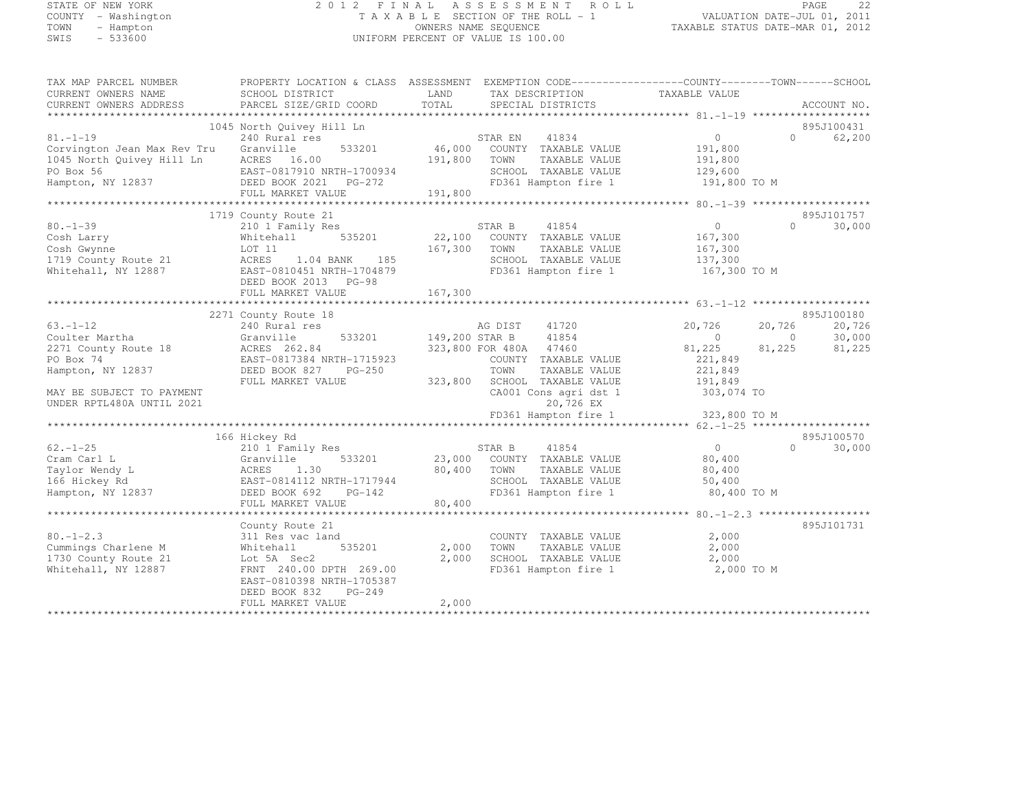# STATE OF NEW YORK 2 0 1 2 F I N A L A S S E S S M E N T R O L L PAGE <sup>22</sup> COUNTY - Washington T A X A B L E SECTION OF THE ROLL - 1 VALUATION DATE-JUL 01, 2011 TOWN - Hampton OWNERS NAME SEQUENCE TAXABLE STATUS DATE-MAR 01, 2012 SWIS - 533600 UNIFORM PERCENT OF VALUE IS 100.00

| TAX MAP PARCEL NUMBER                         | PROPERTY LOCATION & CLASS ASSESSMENT EXEMPTION CODE----------------COUNTY-------TOWN------SCHOOL |                |                                                 |                    |          |             |
|-----------------------------------------------|--------------------------------------------------------------------------------------------------|----------------|-------------------------------------------------|--------------------|----------|-------------|
| CURRENT OWNERS NAME                           | SCHOOL DISTRICT                                                                                  | LAND           | TAX DESCRIPTION                                 | TAXABLE VALUE      |          |             |
| CURRENT OWNERS ADDRESS                        | PARCEL SIZE/GRID COORD                                                                           | TOTAL          | SPECIAL DISTRICTS                               |                    |          | ACCOUNT NO. |
|                                               |                                                                                                  |                |                                                 |                    |          |             |
|                                               | 1045 North Quivey Hill Ln                                                                        |                |                                                 |                    | $\cap$   | 895J100431  |
| $81. - 1 - 19$<br>Corvington Jean Max Rev Tru | 240 Rural res<br>533201<br>Granville                                                             |                | 41834<br>STAR EN<br>46,000 COUNTY TAXABLE VALUE | 0<br>191,800       |          | 62,200      |
| 1045 North Quivey Hill Ln                     | ACRES 16.00                                                                                      | 191,800        | TOWN<br>TAXABLE VALUE                           | 191,800            |          |             |
| PO Box 56                                     | EAST-0817910 NRTH-1700934                                                                        |                | SCHOOL TAXABLE VALUE                            | 129,600            |          |             |
| Hampton, NY 12837                             | DEED BOOK 2021 PG-272                                                                            |                | FD361 Hampton fire 1                            | 191,800 TO M       |          |             |
|                                               | FULL MARKET VALUE                                                                                | 191,800        |                                                 |                    |          |             |
|                                               |                                                                                                  |                |                                                 |                    |          |             |
|                                               | 1719 County Route 21                                                                             |                |                                                 |                    |          | 895J101757  |
| $80. - 1 - 39$                                | 210 1 Family Res                                                                                 |                | 41854<br>STAR B                                 | $\circ$            | $\Omega$ | 30,000      |
| Cosh Larry                                    | Whitehall<br>535201                                                                              | 22,100         | COUNTY TAXABLE VALUE                            | 167,300            |          |             |
| Cosh Gwynne                                   | LOT 11                                                                                           | 167,300        | TAXABLE VALUE<br>TOWN                           | 167,300            |          |             |
| 1719 County Route 21                          | ACRES<br>185<br>1.04 BANK                                                                        |                | SCHOOL TAXABLE VALUE                            | 137,300            |          |             |
| Whitehall, NY 12887                           | EAST-0810451 NRTH-1704879                                                                        |                | FD361 Hampton fire 1                            | 167,300 TO M       |          |             |
|                                               | DEED BOOK 2013 PG-98                                                                             |                |                                                 |                    |          |             |
|                                               | FULL MARKET VALUE                                                                                | 167,300        |                                                 |                    |          |             |
|                                               |                                                                                                  |                |                                                 |                    |          |             |
|                                               | 2271 County Route 18                                                                             |                |                                                 |                    |          | 895J100180  |
| $63. - 1 - 12$                                | 240 Rural res                                                                                    |                | AG DIST<br>41720                                | 20,726             | 20,726   | 20,726      |
| Coulter Martha                                | 533201<br>Granville                                                                              | 149,200 STAR B | 41854                                           | $\circ$            | $\circ$  | 30,000      |
| 2271 County Route 18                          | ACRES 262.84<br>EAST-0817384 NRTH-1715923                                                        |                | 323,800 FOR 480A 47460                          | 81,225             | 81,225   | 81,225      |
| PO Box 74                                     | DEED BOOK 827<br>PG-250                                                                          |                | COUNTY TAXABLE VALUE<br>TOWN<br>TAXABLE VALUE   | 221,849<br>221,849 |          |             |
| Hampton, NY 12837                             | FULL MARKET VALUE                                                                                | 323,800        | SCHOOL TAXABLE VALUE                            | 191,849            |          |             |
| MAY BE SUBJECT TO PAYMENT                     |                                                                                                  |                | CA001 Cons agri dst 1                           | 303,074 TO         |          |             |
| UNDER RPTL480A UNTIL 2021                     |                                                                                                  |                | 20,726 EX                                       |                    |          |             |
|                                               |                                                                                                  |                | FD361 Hampton fire 1                            | 323,800 TO M       |          |             |
|                                               |                                                                                                  |                |                                                 |                    |          |             |
|                                               | 166 Hickey Rd                                                                                    |                |                                                 |                    |          | 895J100570  |
| $62. - 1 - 25$                                | 210 1 Family Res                                                                                 |                | STAR B<br>41854                                 | $\circ$            | $\Omega$ | 30,000      |
| Cram Carl L                                   | Granville<br>533201                                                                              | 23,000         | COUNTY TAXABLE VALUE                            | 80,400             |          |             |
| Taylor Wendy L                                | 1.30<br>ACRES                                                                                    | 80,400         | TAXABLE VALUE<br>TOWN                           | 80,400             |          |             |
| 166 Hickey Rd                                 | EAST-0814112 NRTH-1717944                                                                        |                | SCHOOL TAXABLE VALUE                            | 50,400             |          |             |
| Hampton, NY 12837                             | DEED BOOK 692<br>$PG-142$                                                                        |                | FD361 Hampton fire 1                            | 80,400 TO M        |          |             |
|                                               | FULL MARKET VALUE                                                                                | 80,400         |                                                 |                    |          |             |
|                                               |                                                                                                  |                |                                                 |                    |          |             |
|                                               | County Route 21                                                                                  |                |                                                 |                    |          | 895J101731  |
| $80. - 1 - 2.3$                               | 311 Res vac land                                                                                 |                | COUNTY TAXABLE VALUE                            | 2,000              |          |             |
| Cummings Charlene M                           | 535201<br>Whitehall                                                                              | 2,000          | TOWN<br>TAXABLE VALUE                           | 2,000              |          |             |
| 1730 County Route 21                          | Lot 5A Sec2                                                                                      | 2,000          | SCHOOL TAXABLE VALUE                            | 2,000              |          |             |
| Whitehall, NY 12887                           | FRNT 240.00 DPTH 269.00                                                                          |                | FD361 Hampton fire 1                            | 2,000 TO M         |          |             |
|                                               | EAST-0810398 NRTH-1705387<br>DEED BOOK 832<br>$PG-249$                                           |                |                                                 |                    |          |             |
|                                               | FULL MARKET VALUE                                                                                | 2,000          |                                                 |                    |          |             |
|                                               |                                                                                                  |                |                                                 |                    |          |             |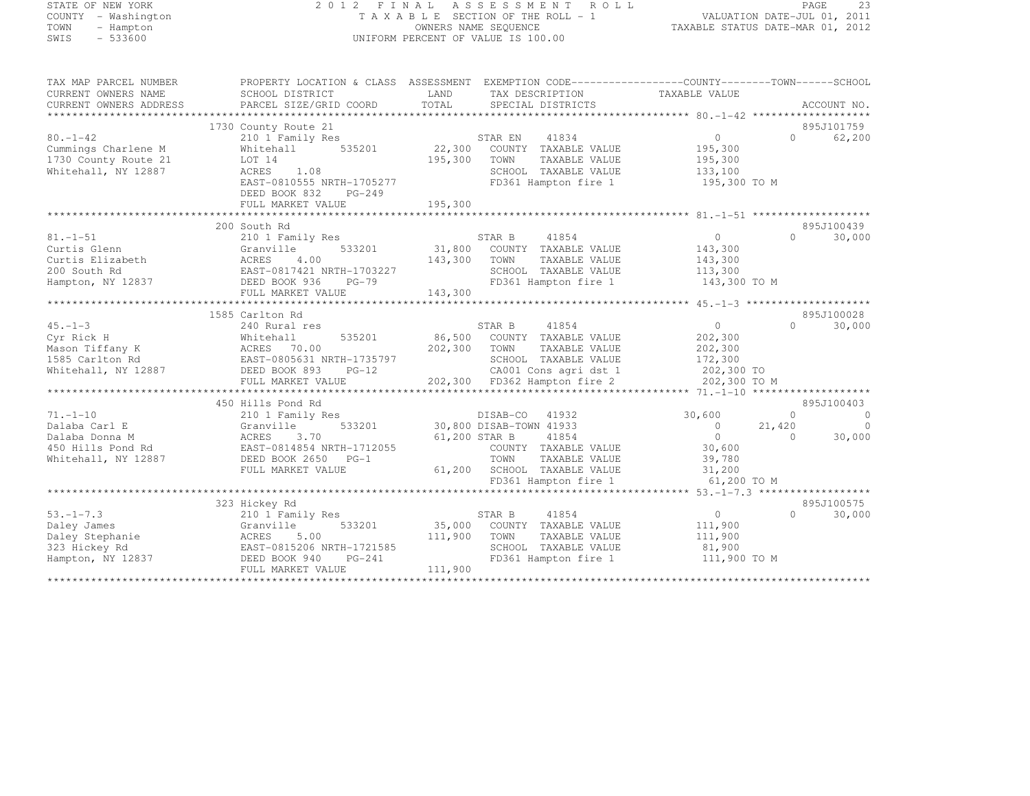# STATE OF NEW YORK 2 0 1 2 F I N A L A S S E S S M E N T R O L L PAGE <sup>23</sup> COUNTY - Washington T A X A B L E SECTION OF THE ROLL - 1 VALUATION DATE-JUL 01, 2011 TOWN - Hampton OWNERS NAME SEQUENCE TAXABLE STATUS DATE-MAR 01, 2012 SWIS - 533600 UNIFORM PERCENT OF VALUE IS 100.00

| TAX MAP PARCEL NUMBER<br>CURRENT OWNERS NAME<br>CURRENT OWNERS ADDRESS                        | SCHOOL DISTRICT<br>PARCEL SIZE/GRID COORD                                                                                                                               | PROPERTY LOCATION & CLASS ASSESSMENT EXEMPTION CODE----------------COUNTY-------TOWN-----SCHOOL<br>LAND<br>TAX DESCRIPTION<br>TOTAL<br>SPECIAL DISTRICTS                                              | TAXABLE VALUE                                                                           |                                  | ACCOUNT NO.                                          |
|-----------------------------------------------------------------------------------------------|-------------------------------------------------------------------------------------------------------------------------------------------------------------------------|-------------------------------------------------------------------------------------------------------------------------------------------------------------------------------------------------------|-----------------------------------------------------------------------------------------|----------------------------------|------------------------------------------------------|
| $80. - 1 - 42$<br>Cummings Charlene M<br>1730 County Route 21<br>Whitehall, NY 12887          | 1730 County Route 21<br>210 1 Family Res<br>535201<br>Whitehall<br>LOT 14<br>ACRES<br>1.08<br>EAST-0810555 NRTH-1705277<br>DEED BOOK 832<br>PG-249<br>FULL MARKET VALUE | 41834<br>STAR EN<br>22,300<br>COUNTY TAXABLE VALUE<br>195,300<br>TOWN<br>TAXABLE VALUE<br>SCHOOL TAXABLE VALUE<br>FD361 Hampton fire 1<br>195,300                                                     | $\Omega$<br>195,300<br>195,300<br>133,100<br>195,300 TO M                               | $\Omega$                         | 895J101759<br>62,200                                 |
| $81. - 1 - 51$<br>Curtis Glenn<br>Curtis Elizabeth<br>200 South Rd<br>Hampton, NY 12837       | 200 South Rd<br>210 1 Family Res<br>533201<br>Granville<br>4.00<br>ACRES<br>EAST-0817421 NRTH-1703227<br>DEED BOOK 936<br>$PG-79$<br>FULL MARKET VALUE                  | STAR B<br>41854<br>31,800 COUNTY TAXABLE VALUE<br>143,300 TOWN<br>TAXABLE VALUE<br>SCHOOL TAXABLE VALUE<br>FD361 Hampton fire 1<br>143,300                                                            | $\overline{0}$<br>143,300<br>143,300<br>113,300<br>143,300 TO M                         | $\cap$                           | 895J100439<br>30,000                                 |
| $45. - 1 - 3$<br>Cyr Rick H<br>Mason Tiffany K<br>1585 Carlton Rd<br>Whitehall, NY 12887      | 1585 Carlton Rd<br>240 Rural res<br>535201<br>Whitehall<br>ACRES 70.00<br>EAST-0805631 NRTH-1735797<br>DEED BOOK 893<br>$PG-12$<br>FULL MARKET VALUE                    | STAR B<br>41854<br>86,500<br>COUNTY TAXABLE VALUE<br>202,300<br>TOWN<br>TAXABLE VALUE<br>SCHOOL TAXABLE VALUE<br>SCHOOL IAANDDD .<br>CAOOl Cons agri dst 1<br>Andre 2<br>202,300 FD362 Hampton fire 2 | $\circ$<br>202,300<br>202,300<br>172,300<br>202,300 TO<br>202,300 TO M                  | $\cap$                           | 895J100028<br>30,000                                 |
| $71. - 1 - 10$<br>Dalaba Carl E<br>Dalaba Donna M<br>450 Hills Pond Rd<br>Whitehall, NY 12887 | 450 Hills Pond Rd<br>210 1 Family Res<br>533201<br>Granville<br>3.70<br>ACRES<br>EAST-0814854 NRTH-1712055<br>DEED BOOK 2650 PG-1<br>FULL MARKET VALUE                  | DISAB-CO<br>41932<br>30,800 DISAB-TOWN 41933<br>61,200 STAR B<br>41854<br>COUNTY TAXABLE VALUE<br>TOWN<br>TAXABLE VALUE<br>61,200 SCHOOL TAXABLE VALUE<br>FD361 Hampton fire 1                        | 30,600<br>$\overline{0}$<br>$\overline{0}$<br>30,600<br>39,780<br>31,200<br>61,200 TO M | $\Omega$<br>21,420<br>$\bigcirc$ | 895J100403<br>$\overline{0}$<br>$\bigcirc$<br>30,000 |
| $53. - 1 - 7.3$<br>Daley James<br>Daley Stephanie<br>323 Hickey Rd<br>Hampton, NY 12837       | 323 Hickey Rd<br>210 1 Family Res<br>Granville<br>533201<br>ACRES<br>5.00<br>EAST-0815206 NRTH-1721585<br>$PG-241$<br>DEED BOOK 940<br>FULL MARKET VALUE                | STAR B<br>41854<br>35,000 COUNTY TAXABLE VALUE<br>111,900<br>TOWN<br>TAXABLE VALUE<br>SCHOOL TAXABLE VALUE<br>FD361 Hampton fire 1<br>111,900                                                         | $0 \qquad \qquad$<br>111,900<br>111,900<br>81,900<br>111,900 TO M                       | $\Omega$                         | 895J100575<br>30,000                                 |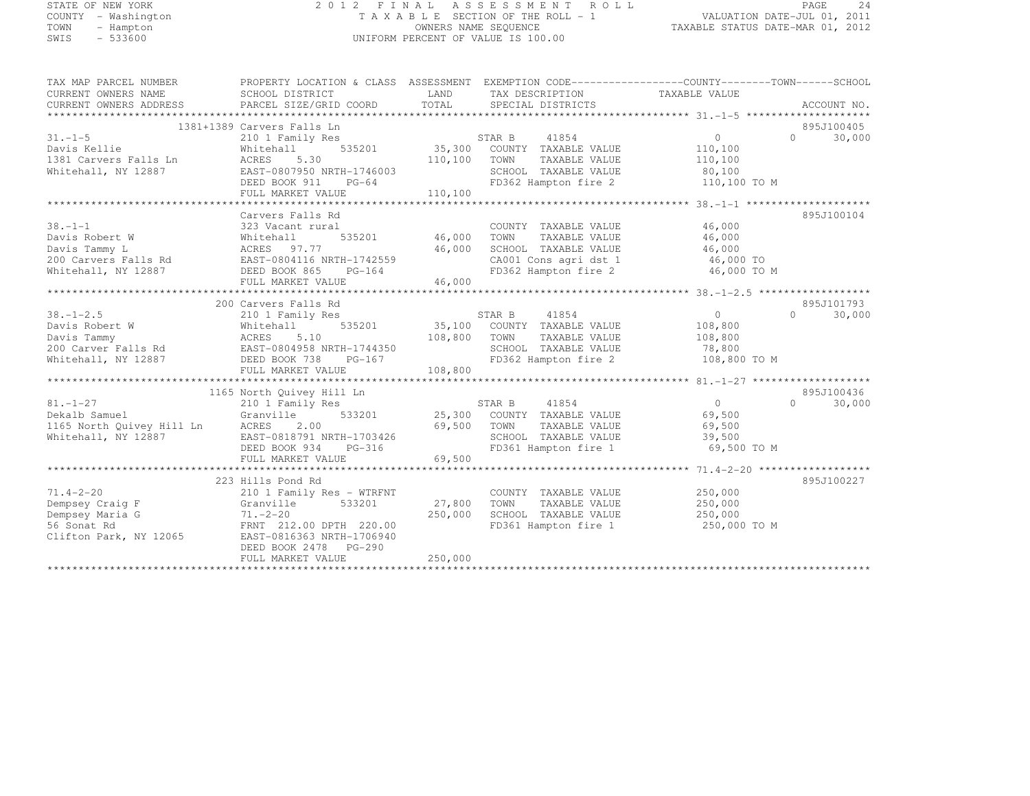# STATE OF NEW YORK 2 0 1 2 F I N A L A S S E S S M E N T R O L L PAGE <sup>24</sup> COUNTY - Washington T A X A B L E SECTION OF THE ROLL - 1 VALUATION DATE-JUL 01, 2011 TOWN - Hampton OWNERS NAME SEQUENCE TAXABLE STATUS DATE-MAR 01, 2012 SWIS - 533600 UNIFORM PERCENT OF VALUE IS 100.00

| TAX MAP PARCEL NUMBER<br>CURRENT OWNERS NAME<br>CURRENT OWNERS ADDRESS PARCEL SIZE/GRID COORD                                                                                                                                  | PROPERTY LOCATION & CLASS ASSESSMENT EXEMPTION CODE-----------------COUNTY-------TOWN------SCHOOL<br>SCHOOL DISTRICT | LAND<br>TOTAL | TAX DESCRIPTION TAXABLE VALUE<br>SPECIAL DISTRICTS                             |                    | ACCOUNT NO.        |
|--------------------------------------------------------------------------------------------------------------------------------------------------------------------------------------------------------------------------------|----------------------------------------------------------------------------------------------------------------------|---------------|--------------------------------------------------------------------------------|--------------------|--------------------|
|                                                                                                                                                                                                                                |                                                                                                                      |               |                                                                                |                    |                    |
|                                                                                                                                                                                                                                | 1381+1389 Carvers Falls Ln                                                                                           |               |                                                                                |                    | 895J100405         |
| $31 - 1 - 5$                                                                                                                                                                                                                   | 210 1 Family Res                                                                                                     |               | STAR B<br>41854                                                                | $\overline{0}$     | 30,000<br>$\Omega$ |
| Davis Kellie                                                                                                                                                                                                                   | Whitehall                                                                                                            |               | 535201 35,300 COUNTY TAXABLE VALUE                                             | 110,100            |                    |
| 1381 Carvers Falls Ln                                                                                                                                                                                                          | ACRES 5.30                                                                                                           | 110,100       | TOWN<br>TAXABLE VALUE                                                          | 110,100            |                    |
| Whitehall, NY 12887                                                                                                                                                                                                            | EAST-0807950 NRTH-1746003                                                                                            |               | SCHOOL TAXABLE VALUE                                                           | 80,100             |                    |
|                                                                                                                                                                                                                                | DEED BOOK 911<br>$PG-64$                                                                                             |               | FD362 Hampton fire 2 110,100 TO M                                              |                    |                    |
|                                                                                                                                                                                                                                | FULL MARKET VALUE                                                                                                    | 110,100       |                                                                                |                    |                    |
|                                                                                                                                                                                                                                |                                                                                                                      |               |                                                                                |                    |                    |
|                                                                                                                                                                                                                                | Carvers Falls Rd                                                                                                     |               |                                                                                |                    | 895J100104         |
| $38. - 1 - 1$                                                                                                                                                                                                                  | 323 Vacant rural                                                                                                     |               | COUNTY TAXABLE VALUE                                                           | 46,000             |                    |
| Davis Robert W                                                                                                                                                                                                                 | Whitehall                                                                                                            |               | TAXABLE VALUE                                                                  | 46,000             |                    |
|                                                                                                                                                                                                                                |                                                                                                                      |               | SCHOOL TAXABLE VALUE                                                           | 46,000             |                    |
|                                                                                                                                                                                                                                |                                                                                                                      |               | CA001 Cons agri dst 1 46,000 TO<br>FD362 Hampton fire 2 46,000 TO M            |                    |                    |
|                                                                                                                                                                                                                                |                                                                                                                      |               |                                                                                |                    |                    |
|                                                                                                                                                                                                                                | FULL MARKET VALUE                                                                                                    | 46,000        |                                                                                |                    |                    |
|                                                                                                                                                                                                                                |                                                                                                                      |               |                                                                                |                    |                    |
|                                                                                                                                                                                                                                | 200 Carvers Falls Rd                                                                                                 |               |                                                                                |                    | 895J101793         |
| $38. - 1 - 2.5$                                                                                                                                                                                                                | 210 1 Family Res                                                                                                     |               | STAR B<br>41854                                                                | $\sim$ 0           | $\Omega$<br>30,000 |
|                                                                                                                                                                                                                                |                                                                                                                      |               | 35,100 COUNTY TAXABLE VALUE<br>108,800 TOWN TAXABLE VALUE                      | 108,800<br>108,800 |                    |
|                                                                                                                                                                                                                                |                                                                                                                      |               |                                                                                |                    |                    |
|                                                                                                                                                                                                                                |                                                                                                                      |               |                                                                                |                    |                    |
|                                                                                                                                                                                                                                |                                                                                                                      |               |                                                                                |                    |                    |
| Davis Tammy (18,800 Carver Falls Rd (18,800 EAST-0804958 NRTH-1744350 108,800 Carver Falls Rd EAST-0804958 NRTH-1744350 200 Carver Falls Rd EAST-0804958 NRTH-1744350 5CHOOL TAXABLE VALUE 78,800 Carver Falls Rd EAST-0804958 |                                                                                                                      |               |                                                                                |                    |                    |
|                                                                                                                                                                                                                                |                                                                                                                      |               |                                                                                |                    |                    |
|                                                                                                                                                                                                                                | 1165 North Quivey Hill Ln                                                                                            |               |                                                                                |                    | 895J100436         |
| $81. - 1 - 27$                                                                                                                                                                                                                 | 210 1 Family Res                                                                                                     |               | 41854<br>STAR B                                                                | $\overline{0}$     | 30,000<br>$\Omega$ |
| Dekalb Samuel                                                                                                                                                                                                                  | Granville                                                                                                            |               | 533201 25,300 COUNTY TAXABLE VALUE 69,500                                      |                    |                    |
|                                                                                                                                                                                                                                |                                                                                                                      | 69,500        | TOWN<br>TAXABLE VALUE<br>TOWN       TAXABLE  VALUE<br>SCHOOL    TAXABLE  VALUE | 69,500             |                    |
| 1165 North Quivey Hill Ln ACRES 2.00<br>Whitehall, NY 12887 EAST-0818791 N                                                                                                                                                     | EAST-0818791 NRTH-1703426                                                                                            |               |                                                                                | 39,500             |                    |
|                                                                                                                                                                                                                                | DEED BOOK 934<br>PG-316                                                                                              |               | FD361 Hampton fire 1 69,500 TO M                                               |                    |                    |
|                                                                                                                                                                                                                                | FULL MARKET VALUE                                                                                                    | 69,500        |                                                                                |                    |                    |
|                                                                                                                                                                                                                                |                                                                                                                      |               |                                                                                |                    |                    |
|                                                                                                                                                                                                                                | 223 Hills Pond Rd                                                                                                    |               |                                                                                |                    | 895J100227         |
| $71.4 - 2 - 20$                                                                                                                                                                                                                | 210 1 Family Res - WTRFNT                                                                                            |               | COUNTY TAXABLE VALUE                                                           | 250,000            |                    |
| Dempsey Craig F                                                                                                                                                                                                                | 533201<br>Granville                                                                                                  | 27,800        | TOWN<br>TAXABLE VALUE                                                          | 250,000            |                    |
| $J \nF$<br>a G<br>Dempsey Maria G                                                                                                                                                                                              | $71. - 2 - 20$                                                                                                       | 250,000       | SCHOOL TAXABLE VALUE 250,000                                                   |                    |                    |
| 56 Sonat Rd                                                                                                                                                                                                                    | FRNT 212.00 DPTH 220.00                                                                                              |               | FD361 Hampton fire 1 250,000 TO M                                              |                    |                    |
| Clifton Park, NY 12065                                                                                                                                                                                                         | EAST-0816363 NRTH-1706940                                                                                            |               |                                                                                |                    |                    |
|                                                                                                                                                                                                                                | DEED BOOK 2478 PG-290                                                                                                |               |                                                                                |                    |                    |
|                                                                                                                                                                                                                                | FULL MARKET VALUE                                                                                                    | 250,000       |                                                                                |                    |                    |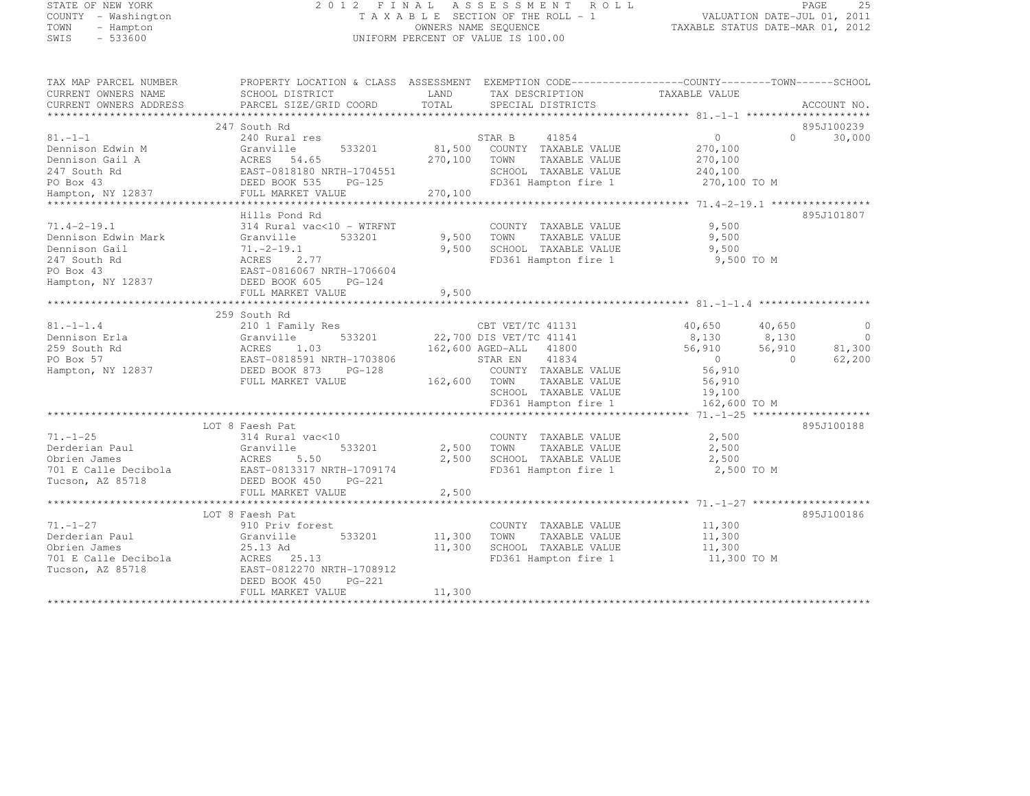# STATE OF NEW YORK 2 0 1 2 F I N A L A S S E S S M E N T R O L L PAGE <sup>25</sup> COUNTY - Washington T A X A B L E SECTION OF THE ROLL - 1 VALUATION DATE-JUL 01, 2011 TOWN - Hampton OWNERS NAME SEQUENCE TAXABLE STATUS DATE-MAR 01, 2012 SWIS - 533600 UNIFORM PERCENT OF VALUE IS 100.00

| TAX MAP PARCEL NUMBER                                                                                                                                                                                                                                                                                                                                                       | PROPERTY LOCATION & CLASS ASSESSMENT EXEMPTION CODE-----------------COUNTY-------TOWN------SCHOOL |       |                                                                                                                                      |               |                   |                          |
|-----------------------------------------------------------------------------------------------------------------------------------------------------------------------------------------------------------------------------------------------------------------------------------------------------------------------------------------------------------------------------|---------------------------------------------------------------------------------------------------|-------|--------------------------------------------------------------------------------------------------------------------------------------|---------------|-------------------|--------------------------|
| CURRENT OWNERS NAME                                                                                                                                                                                                                                                                                                                                                         | SCHOOL DISTRICT                                                                                   |       | LAND TAX DESCRIPTION                                                                                                                 | TAXABLE VALUE |                   |                          |
|                                                                                                                                                                                                                                                                                                                                                                             |                                                                                                   |       |                                                                                                                                      |               |                   |                          |
|                                                                                                                                                                                                                                                                                                                                                                             |                                                                                                   |       |                                                                                                                                      |               |                   |                          |
|                                                                                                                                                                                                                                                                                                                                                                             | 247 South Rd                                                                                      |       |                                                                                                                                      |               |                   | 895J100239               |
|                                                                                                                                                                                                                                                                                                                                                                             |                                                                                                   |       |                                                                                                                                      |               | $0 \qquad \qquad$ | 30,000                   |
|                                                                                                                                                                                                                                                                                                                                                                             |                                                                                                   |       |                                                                                                                                      |               |                   |                          |
|                                                                                                                                                                                                                                                                                                                                                                             |                                                                                                   |       |                                                                                                                                      |               |                   |                          |
|                                                                                                                                                                                                                                                                                                                                                                             |                                                                                                   |       |                                                                                                                                      |               |                   |                          |
|                                                                                                                                                                                                                                                                                                                                                                             |                                                                                                   |       | SCHOOL TAXABLE VALUE 240,100<br>FD361 Hampton fire 1 270,100 TO M                                                                    |               |                   |                          |
|                                                                                                                                                                                                                                                                                                                                                                             |                                                                                                   |       |                                                                                                                                      |               |                   |                          |
|                                                                                                                                                                                                                                                                                                                                                                             |                                                                                                   |       |                                                                                                                                      |               |                   |                          |
|                                                                                                                                                                                                                                                                                                                                                                             | Hills Pond Rd                                                                                     |       |                                                                                                                                      |               |                   | 895J101807               |
| $71.4 - 2 - 19.1$                                                                                                                                                                                                                                                                                                                                                           |                                                                                                   |       | COUNTY TAXABLE VALUE 9,500<br>9,500 TOWN TAXABLE VALUE 9,500<br>9,500 SCHOOL TAXABLE VALUE 9,500<br>9,500 SCHOOL TAXABLE VALUE 9,500 | 9,500         |                   |                          |
| Dennison Edwin Mark                                                                                                                                                                                                                                                                                                                                                         |                                                                                                   |       |                                                                                                                                      |               |                   |                          |
|                                                                                                                                                                                                                                                                                                                                                                             |                                                                                                   |       |                                                                                                                                      |               |                   |                          |
|                                                                                                                                                                                                                                                                                                                                                                             |                                                                                                   |       | FD361 Hampton fire 1                                                                                                                 | 9,500 TO M    |                   |                          |
|                                                                                                                                                                                                                                                                                                                                                                             |                                                                                                   |       |                                                                                                                                      |               |                   |                          |
| Dennison Gail<br>247 South Rd<br>247 South Rd<br>247 South Rd<br>26.1 271.-2-19.1<br>26.2.77<br>27 EAST-0816067 NRTH-1706604<br>Hampton, NY 12837<br>2837 DEED BOOK 605 PG-124                                                                                                                                                                                              |                                                                                                   |       |                                                                                                                                      |               |                   |                          |
|                                                                                                                                                                                                                                                                                                                                                                             |                                                                                                   |       |                                                                                                                                      |               |                   |                          |
|                                                                                                                                                                                                                                                                                                                                                                             |                                                                                                   |       |                                                                                                                                      |               |                   |                          |
|                                                                                                                                                                                                                                                                                                                                                                             |                                                                                                   |       |                                                                                                                                      |               |                   |                          |
|                                                                                                                                                                                                                                                                                                                                                                             |                                                                                                   |       |                                                                                                                                      |               |                   | $\overline{0}$           |
|                                                                                                                                                                                                                                                                                                                                                                             |                                                                                                   |       |                                                                                                                                      |               |                   | $\overline{0}$<br>81,300 |
|                                                                                                                                                                                                                                                                                                                                                                             |                                                                                                   |       |                                                                                                                                      |               |                   |                          |
|                                                                                                                                                                                                                                                                                                                                                                             |                                                                                                   |       |                                                                                                                                      |               |                   | 62,200                   |
|                                                                                                                                                                                                                                                                                                                                                                             |                                                                                                   |       |                                                                                                                                      |               |                   |                          |
|                                                                                                                                                                                                                                                                                                                                                                             |                                                                                                   |       |                                                                                                                                      |               |                   |                          |
|                                                                                                                                                                                                                                                                                                                                                                             |                                                                                                   |       |                                                                                                                                      |               |                   |                          |
| $\texttt{FD361} \texttt{Hampton} \texttt{fire} \texttt{1} \texttt{162,} \texttt{600 TO} \texttt{M} \texttt{162,} \texttt{600 TO} \texttt{M} \texttt{172,} \texttt{183,} \texttt{193,} \texttt{193,} \texttt{193,} \texttt{193,} \texttt{193,} \texttt{193,} \texttt{193,} \texttt{193,} \texttt{193,} \texttt{193,} \texttt{193,} \texttt{193,} \texttt{193,} \texttt{193,$ |                                                                                                   |       |                                                                                                                                      |               |                   |                          |
|                                                                                                                                                                                                                                                                                                                                                                             |                                                                                                   |       |                                                                                                                                      |               |                   |                          |
|                                                                                                                                                                                                                                                                                                                                                                             | LOT 8 Faesh Pat                                                                                   |       |                                                                                                                                      |               |                   | 895J100188               |
| $71. - 1 - 25$                                                                                                                                                                                                                                                                                                                                                              | 314 Rural vac<10                                                                                  |       | COUNTY TAXABLE VALUE 2,500                                                                                                           |               |                   |                          |
|                                                                                                                                                                                                                                                                                                                                                                             | 533201                                                                                            |       | 2,500 TOWN TAXABLE VALUE 2,500<br>2,500 SCHOOL TAXABLE VALUE 2,500<br>FD361 Hampton fire 1 2,500 TO M                                |               |                   |                          |
|                                                                                                                                                                                                                                                                                                                                                                             |                                                                                                   |       |                                                                                                                                      |               |                   |                          |
| 701 E Calle Decibola<br>The Calle Decibola<br>The Calle Decibola<br>The Calle Decibola<br>The Calle Decibola                                                                                                                                                                                                                                                                |                                                                                                   |       |                                                                                                                                      |               |                   |                          |
| Tucson, AZ 85718                                                                                                                                                                                                                                                                                                                                                            | DEED BOOK 450 PG-221                                                                              |       |                                                                                                                                      |               |                   |                          |
|                                                                                                                                                                                                                                                                                                                                                                             | FULL MARKET VALUE                                                                                 | 2,500 |                                                                                                                                      |               |                   |                          |
|                                                                                                                                                                                                                                                                                                                                                                             |                                                                                                   |       |                                                                                                                                      |               |                   |                          |
|                                                                                                                                                                                                                                                                                                                                                                             | LOT 8 Faesh Pat                                                                                   |       |                                                                                                                                      |               |                   | 895J100186               |
| $71. - 1 - 27$                                                                                                                                                                                                                                                                                                                                                              | 910 Priv forest                                                                                   |       | COUNTY TAXABLE VALUE 11,300<br>11,300 TOWN TAXABLE VALUE 11,300<br>11,300 SCHOOL TAXABLE VALUE 11,300<br>11,300 PRECENT INTERENT 1   |               |                   |                          |
| Derderian Paul<br>Obrien James<br>Christian Paul                                                                                                                                                                                                                                                                                                                            | 533201 11,300 TOWN<br>Granville                                                                   |       |                                                                                                                                      |               |                   |                          |
|                                                                                                                                                                                                                                                                                                                                                                             |                                                                                                   |       |                                                                                                                                      |               |                   |                          |
|                                                                                                                                                                                                                                                                                                                                                                             |                                                                                                   |       | FD361 Hampton fire 1                                                                                                                 | 11,300 TO M   |                   |                          |
| Obrien James<br>701 E Calle Decibola<br>701 E Calle Decibola<br>702 E Calle Decibola<br>7103912<br>72108912<br>72108912<br>72108912                                                                                                                                                                                                                                         |                                                                                                   |       |                                                                                                                                      |               |                   |                          |
|                                                                                                                                                                                                                                                                                                                                                                             | DEED BOOK 450 PG-221                                                                              |       |                                                                                                                                      |               |                   |                          |
| FULL MARKET VALUE $11,300$ $11,300$                                                                                                                                                                                                                                                                                                                                         |                                                                                                   |       |                                                                                                                                      |               |                   |                          |
|                                                                                                                                                                                                                                                                                                                                                                             |                                                                                                   |       |                                                                                                                                      |               |                   |                          |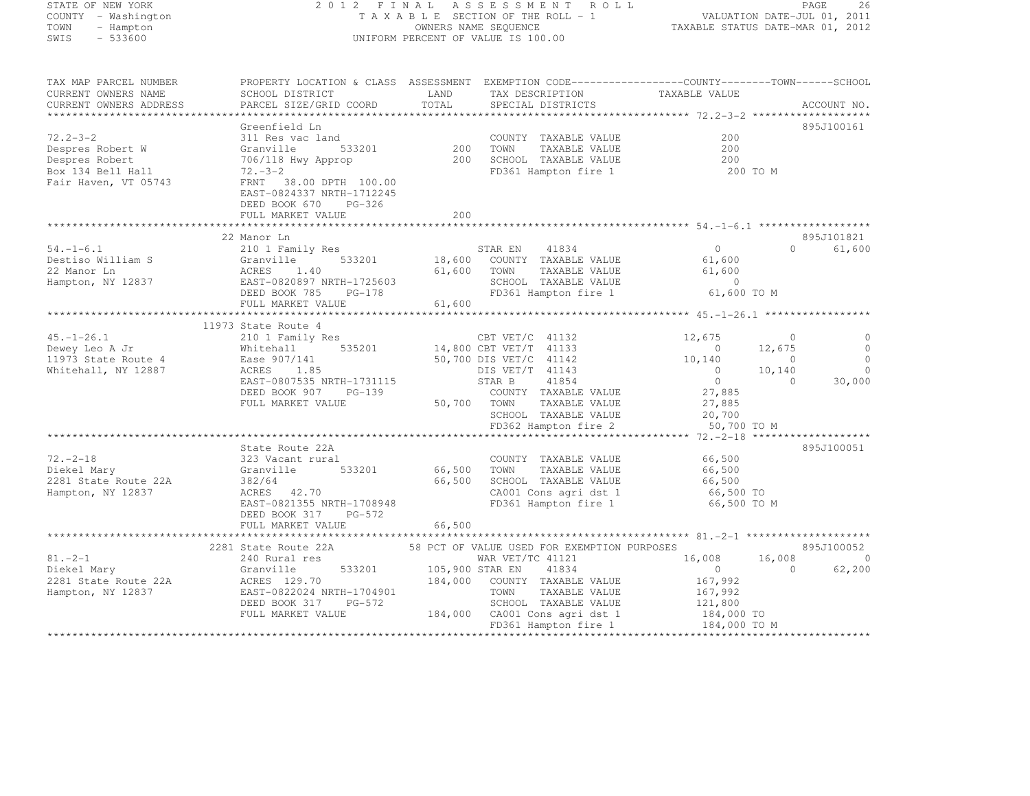| STATE OF NEW YORK |                     |
|-------------------|---------------------|
|                   | COUNTY - Washington |
| TOWN              | - Hampton           |
| SWIS              | $-533600$           |

#### STATE OF THE ROLL 2 OF THE ASSESSMENT ROLL 2 CONTRACT TO THE SECTION OF THE ROLL 2011 COUNTY - WAS A MANUSIC MANUSIC MANUSIC PRODUCT A LAND OF THE ROLL - 1 RALUATION DATE-JUL 01, 2011<br>COWNERS NAME SEQUENCE TAXABLE STATUS DATE-MAR 01, 2012 TOWN - Hampton OWNERS NAME SEQUENCE TAXABLE STATUS DATE-MAR 01, 2012 UNIFORM PERCENT OF VALUE IS 100.00

| TAX MAP PARCEL NUMBER<br>CURRENT OWNERS NAME<br>CURRENT OWNERS ADDRESS                            | PROPERTY LOCATION & CLASS ASSESSMENT EXEMPTION CODE-----------------COUNTY-------TOWN------SCHOOL<br>SCHOOL DISTRICT<br>PARCEL SIZE/GRID COORD                                                     | LAND<br>TOTAL         | TAX DESCRIPTION TAXABLE VALUE SPECIAL DISTRICTS                                                                                                                                            |                                                                               |                               | ACCOUNT NO.                     |
|---------------------------------------------------------------------------------------------------|----------------------------------------------------------------------------------------------------------------------------------------------------------------------------------------------------|-----------------------|--------------------------------------------------------------------------------------------------------------------------------------------------------------------------------------------|-------------------------------------------------------------------------------|-------------------------------|---------------------------------|
| $72.2 - 3 - 2$<br>Despres Robert W<br>Despres Robert<br>Box 134 Bell Hall<br>Fair Haven, VT 05743 | Greenfield Ln<br>311 Res vac land<br>533201<br>Granville<br>706/118 Hwy Approp<br>$72 - 3 - 2$<br>FRNT 38.00 DPTH 100.00<br>EAST-0824337 NRTH-1712245<br>DEED BOOK 670 PG-326<br>FULL MARKET VALUE | 200<br>200            | COUNTY TAXABLE VALUE<br>200    TOWN       TAXABLE  VALUE<br>200     SCHOOL    TAXABLE  VALUE<br>FD361 Hampton fire 1                                                                       | 200<br>200<br>200<br>200 TO M                                                 |                               | 895J100161                      |
|                                                                                                   |                                                                                                                                                                                                    |                       |                                                                                                                                                                                            |                                                                               |                               |                                 |
|                                                                                                   | 22 Manor Ln                                                                                                                                                                                        |                       |                                                                                                                                                                                            |                                                                               |                               | 895J101821                      |
| $54. - 1 - 6.1$<br>Destiso William S<br>22 Manor Ln<br>Hampton, NY 12837                          | 210 1 Family Res<br>533201<br>Granville<br>ACRES 1.40<br>EAST-0820897 NRTH-1725603<br>ACRES 105 PG-178<br>FULL MARKET VALUE                                                                        | 61,600 TOWN<br>61,600 | STAR EN<br>41834<br>18,600 COUNTY TAXABLE VALUE<br>TAXABLE VALUE<br>SCHOOL TAXABLE VALUE 0<br>FD361 Hampton fire 1 61,600 TO M                                                             | $\Omega$<br>61,600<br>61,600                                                  | $\Omega$                      | 61,600                          |
|                                                                                                   |                                                                                                                                                                                                    |                       |                                                                                                                                                                                            |                                                                               |                               |                                 |
| $45. - 1 - 26.1$<br>Dewey Leo A Jr<br>11973 State Route 4                                         | 11973 State Route 4<br>210 1 Family Res<br>Whitehall<br>Ease 907/141                                                                                                                               |                       | CBT VET/C 41132<br>$14,800$ CBT VET/T 41133<br>50,700 DIS VET/C 41142                                                                                                                      | 12,675<br>$\sim$ 0<br>10,140                                                  | $\circ$<br>12,675<br>$\Omega$ | $\overline{0}$<br>$\circ$       |
| Whitehall, NY 12887                                                                               | ACRES<br>1.85<br>EAST-0807535 NRTH-1731115<br>DEED BOOK 907 PG-139<br>FULL MARKET VALUE                                                                                                            |                       | DIS VET/T 41143<br>STAR B<br>41854<br>COUNTY TAXABLE VALUE<br>50,700 TOWN<br>TAXABLE VALUE<br>SCHOOL TAXABLE VALUE<br>FD362 Hampton fire 2                                                 | $\overline{0}$<br>$\overline{0}$<br>27,885<br>27,885<br>20,700<br>50,700 TO M | 10,140<br>$\Omega$            | $\mathbf 0$<br>30,000           |
|                                                                                                   |                                                                                                                                                                                                    |                       |                                                                                                                                                                                            |                                                                               |                               |                                 |
| $72. - 2 - 18$<br>Diekel Mary<br>2281 State Route 22A<br>Hampton, NY 12837                        | State Route 22A<br>323 Vacant rural<br>Granville<br>533201<br>382/64<br>ACRES 42.70<br>EAST-0821355 NRTH-1708948<br>DEED BOOK 317 PG-572<br>FULL MARKET VALUE                                      | 66,500 TOWN<br>66,500 | COUNTY TAXABLE VALUE<br>TAXABLE VALUE<br>66,500 SCHOOL TAXABLE VALUE<br>CA001 Cons agri dst 1<br>FD361 Hampton fire 1                                                                      | 66,500<br>66,500<br>66,500<br>66,500 TO<br>66,500 TO M                        |                               | 895J100051                      |
|                                                                                                   |                                                                                                                                                                                                    |                       |                                                                                                                                                                                            |                                                                               |                               |                                 |
| $81 - 2 - 1$<br>Diekel Mary<br>2281 State Route 22A<br>Hampton, NY 12837                          | 2281 State Route 22A<br>240 Rural res<br>240 Rural res<br>533201<br>Granville<br>ACRES 129.70<br>EAST-0822024 NRTH-1704901<br>DEED BOOK 317 PG-572<br>FULL MARKET VALUE                            | 105,900 STAR EN       | 58 PCT OF VALUE USED FOR EXEMPTION PURPOSES<br>WAR VET/TC 41121<br>41834<br>184,000 COUNTY TAXABLE VALUE<br>TOWN<br>TAXABLE VALUE<br>SCHOOL TAXABLE VALUE<br>184,000 CA001 Cons agri dst 1 | 16,008<br>$\overline{0}$<br>167,992<br>167,992<br>121,800<br>184,000 TO       | 16,008<br>$\overline{0}$      | 895J100052<br>$\circ$<br>62,200 |
|                                                                                                   |                                                                                                                                                                                                    |                       | FD361 Hampton fire 1                                                                                                                                                                       | 184,000 TO M                                                                  |                               |                                 |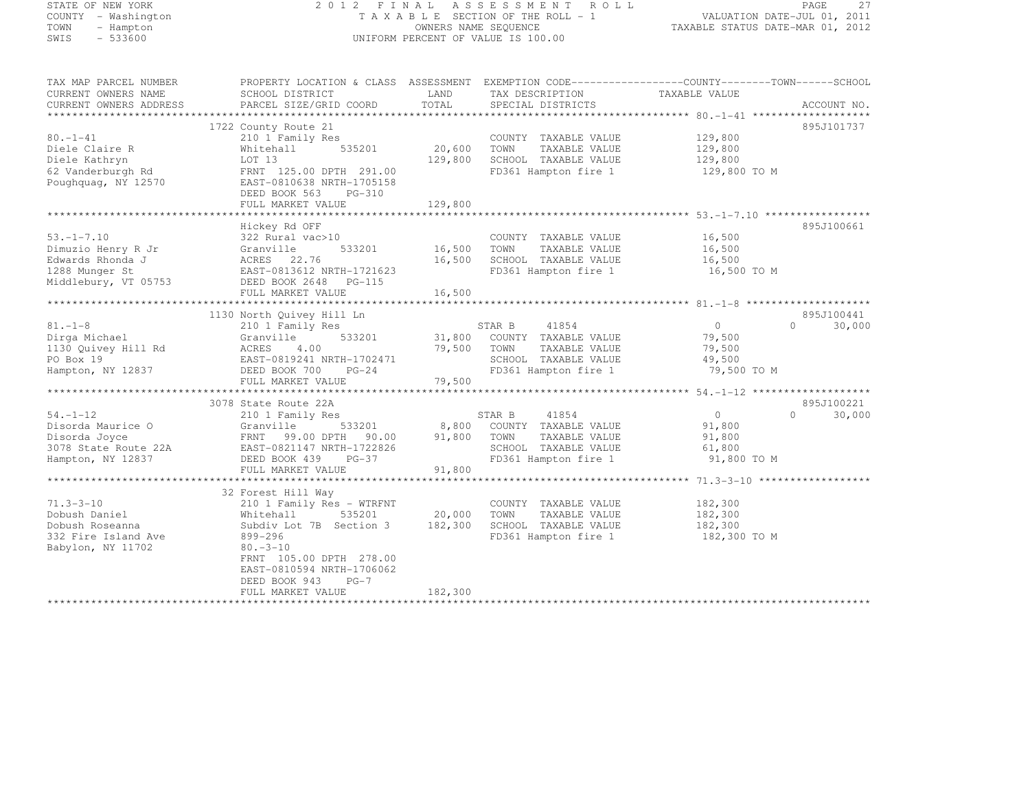# STATE OF NEW YORK 2 0 1 2 F I N A L A S S E S S M E N T R O L L PAGE <sup>27</sup> COUNTY - Washington T A X A B L E SECTION OF THE ROLL - 1 VALUATION DATE-JUL 01, 2011 TOWN - Hampton OWNERS NAME SEQUENCE TAXABLE STATUS DATE-MAR 01, 2012 SWIS - 533600 UNIFORM PERCENT OF VALUE IS 100.00

| TAX MAP PARCEL NUMBER                         | PROPERTY LOCATION & CLASS ASSESSMENT                 |               |                                      |                |                    |
|-----------------------------------------------|------------------------------------------------------|---------------|--------------------------------------|----------------|--------------------|
| CURRENT OWNERS NAME<br>CURRENT OWNERS ADDRESS | SCHOOL DISTRICT<br>PARCEL SIZE/GRID COORD            | LAND<br>TOTAL | TAX DESCRIPTION<br>SPECIAL DISTRICTS | TAXABLE VALUE  | ACCOUNT NO.        |
|                                               |                                                      |               |                                      |                |                    |
|                                               | 1722 County Route 21                                 |               |                                      |                | 895J101737         |
| $80. - 1 - 41$                                | 210 1 Family Res                                     |               | COUNTY TAXABLE VALUE                 | 129,800        |                    |
| Diele Claire R                                | 535201<br>Whitehall                                  | 20,600        | TOWN<br>TAXABLE VALUE                | 129,800        |                    |
| Diele Kathryn                                 | LOT 13                                               | 129,800       | SCHOOL TAXABLE VALUE                 | 129,800        |                    |
| 62 Vanderburgh Rd                             | FRNT 125.00 DPTH 291.00                              |               | FD361 Hampton fire 1                 | 129,800 TO M   |                    |
| Poughquag, NY 12570                           | EAST-0810638 NRTH-1705158                            |               |                                      |                |                    |
|                                               | DEED BOOK 563<br>PG-310                              |               |                                      |                |                    |
|                                               | FULL MARKET VALUE                                    | 129,800       |                                      |                |                    |
|                                               | Hickey Rd OFF                                        |               |                                      |                | 895J100661         |
| $53, -1 - 7, 10$                              | 322 Rural vac>10                                     |               | COUNTY TAXABLE VALUE                 | 16,500         |                    |
| Dimuzio Henry R Jr                            | 533201<br>Granville                                  | 16,500        | TOWN<br>TAXABLE VALUE                | 16,500         |                    |
| Edwards Rhonda J                              | ACRES<br>22.76                                       | 16,500        | SCHOOL TAXABLE VALUE                 | 16,500         |                    |
| 1288 Munger St                                | EAST-0813612 NRTH-1721623                            |               | FD361 Hampton fire 1                 | 16,500 TO M    |                    |
| Middlebury, VT 05753                          | DEED BOOK 2648 PG-115                                |               |                                      |                |                    |
|                                               | FULL MARKET VALUE                                    | 16,500        |                                      |                |                    |
| *********************                         |                                                      |               |                                      |                |                    |
|                                               | 1130 North Quivey Hill Ln                            |               |                                      |                | 895J100441         |
| $81. - 1 - 8$                                 | 210 1 Family Res                                     |               | 41854<br>STAR B                      | $\overline{0}$ | 30,000<br>$\cap$   |
| Dirga Michael                                 | Granville<br>533201                                  | 31,800        | COUNTY TAXABLE VALUE                 | 79,500         |                    |
| 1130 Quivey Hill Rd                           | ACRES<br>4.00                                        | 79,500        | TOWN<br>TAXABLE VALUE                | 79,500         |                    |
| PO Box 19                                     | EAST-0819241 NRTH-1702471                            |               | SCHOOL TAXABLE VALUE                 | 49,500         |                    |
| Hampton, NY 12837                             | DEED BOOK 700<br>$PG-24$                             | 79,500        | FD361 Hampton fire 1                 | 79,500 TO M    |                    |
|                                               | FULL MARKET VALUE                                    |               |                                      |                |                    |
|                                               | 3078 State Route 22A                                 |               |                                      |                | 895J100221         |
| $54. - 1 - 12$                                | 210 1 Family Res                                     |               | STAR B<br>41854                      | $\circ$        | $\Omega$<br>30,000 |
| Disorda Maurice O                             | Granville<br>533201                                  | 8,800         | COUNTY TAXABLE VALUE                 | 91,800         |                    |
| Disorda Joyce                                 | FRNT 99.00 DPTH<br>90.00                             | 91,800        | TOWN<br>TAXABLE VALUE                | 91,800         |                    |
| 3078 State Route 22A                          | EAST-0821147 NRTH-1722826                            |               | SCHOOL TAXABLE VALUE                 | 61,800         |                    |
| Hampton, NY 12837                             | DEED BOOK 439<br>$PG-37$                             |               | FD361 Hampton fire 1                 | 91,800 TO M    |                    |
|                                               | FULL MARKET VALUE                                    | 91,800        |                                      |                |                    |
|                                               |                                                      |               |                                      |                |                    |
|                                               | 32 Forest Hill Way                                   |               |                                      |                |                    |
| $71.3 - 3 - 10$                               | 210 1 Family Res - WTRFNT                            |               | COUNTY TAXABLE VALUE                 | 182,300        |                    |
| Dobush Daniel                                 | Whitehall<br>535201                                  | 20,000        | TOWN<br>TAXABLE VALUE                | 182,300        |                    |
| Dobush Roseanna                               | Subdiv Lot 7B Section 3                              | 182,300       | SCHOOL TAXABLE VALUE                 | 182,300        |                    |
| 332 Fire Island Ave                           | 899-296                                              |               | FD361 Hampton fire 1                 | 182,300 TO M   |                    |
| Babylon, NY 11702                             | $80. -3 - 10$                                        |               |                                      |                |                    |
|                                               | FRNT 105.00 DPTH 278.00<br>EAST-0810594 NRTH-1706062 |               |                                      |                |                    |
|                                               | $PG-7$<br>DEED BOOK 943                              |               |                                      |                |                    |
|                                               | FULL MARKET VALUE                                    | 182,300       |                                      |                |                    |
|                                               |                                                      |               |                                      |                |                    |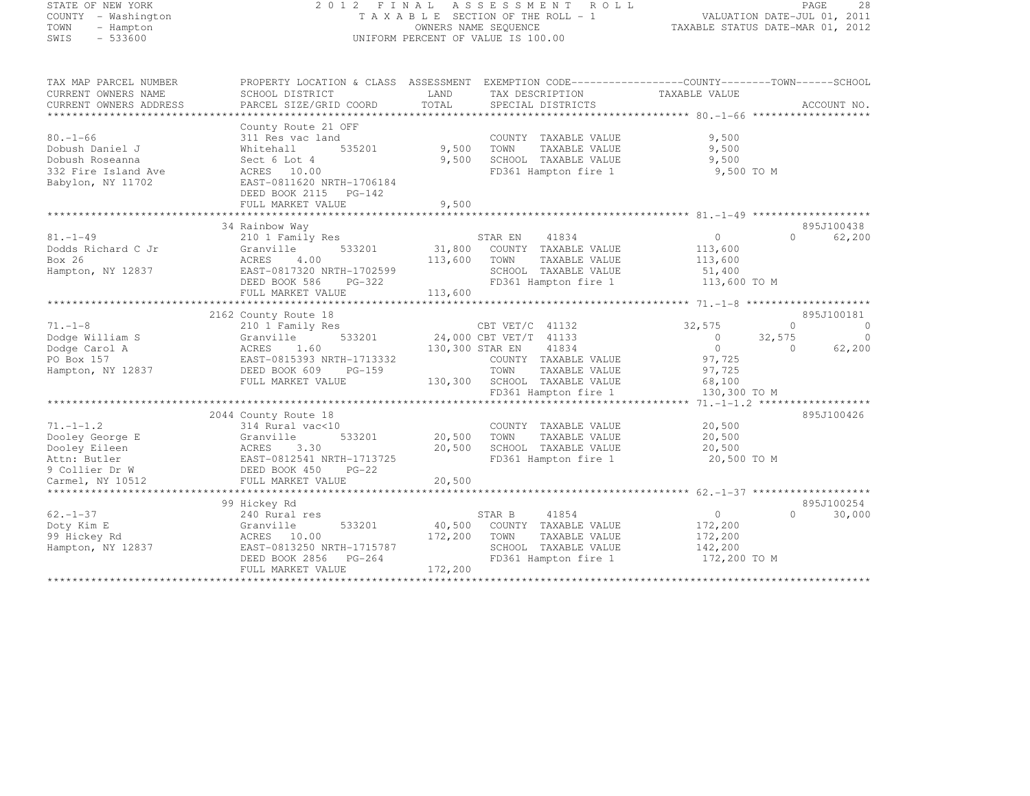# STATE OF NEW YORK 2 0 1 2 F I N A L A S S E S S M E N T R O L L PAGE <sup>28</sup> COUNTY - Washington T A X A B L E SECTION OF THE ROLL - 1 VALUATION DATE-JUL 01, 2011 TOWN - Hampton OWNERS NAME SEQUENCE TAXABLE STATUS DATE-MAR 01, 2012 SWIS - 533600 UNIFORM PERCENT OF VALUE IS 100.00

| TAX MAP PARCEL NUMBER<br>CURRENT OWNERS NAME<br>CURRENT OWNERS ADDRESS                                    | PROPERTY LOCATION & CLASS ASSESSMENT EXEMPTION CODE----------------COUNTY-------TOWN-----SCHOOL<br>SCHOOL DISTRICT<br>PARCEL SIZE/GRID COORD                             | LAND<br>TOTAL                | TAX DESCRIPTION<br>SPECIAL DISTRICTS                                                                                                                | TAXABLE VALUE                                                                                | ACCOUNT NO.                                                         |
|-----------------------------------------------------------------------------------------------------------|--------------------------------------------------------------------------------------------------------------------------------------------------------------------------|------------------------------|-----------------------------------------------------------------------------------------------------------------------------------------------------|----------------------------------------------------------------------------------------------|---------------------------------------------------------------------|
| $80. - 1 - 66$<br>Dobush Daniel J<br>Dobush Roseanna<br>332 Fire Island Ave<br>Babylon, NY 11702          | County Route 21 OFF<br>311 Res vac land<br>535201<br>Whitehall<br>Sect 6 Lot 4<br>ACRES 10.00<br>EAST-0811620 NRTH-1706184<br>DEED BOOK 2115 PG-142<br>FULL MARKET VALUE | 9,500<br>9,500<br>9,500      | COUNTY TAXABLE VALUE<br>TOWN<br>TAXABLE VALUE<br>SCHOOL TAXABLE VALUE<br>FD361 Hampton fire 1                                                       | 9,500<br>9,500<br>9,500<br>9,500 TO M                                                        |                                                                     |
|                                                                                                           | 34 Rainbow Way                                                                                                                                                           |                              |                                                                                                                                                     |                                                                                              | 895J100438                                                          |
| $81. - 1 - 49$<br>Dodds Richard C Jr<br>Box 26<br>Hampton, NY 12837                                       | 210 1 Family Res<br>533201<br>Granville<br>4.00<br>ACRES<br>EAST-0817320 NRTH-1702599<br>DEED BOOK 586<br>PG-322<br>FULL MARKET VALUE                                    | 31,800<br>113,600<br>113,600 | STAR EN<br>41834<br>COUNTY TAXABLE VALUE<br>TOWN<br>TAXABLE VALUE<br>SCHOOL TAXABLE VALUE<br>FD361 Hampton fire 1                                   | $\circ$<br>113,600<br>113,600<br>51,400<br>113,600 TO M                                      | $\Omega$<br>62,200                                                  |
|                                                                                                           |                                                                                                                                                                          |                              |                                                                                                                                                     |                                                                                              |                                                                     |
| $71. - 1 - 8$<br>Dodge William S<br>Dodge Carol A<br>PO Box 157<br>Hampton, NY 12837                      | 2162 County Route 18<br>210 1 Family Res<br>533201<br>Granville<br>1.60<br>ACRES<br>EAST-0815393 NRTH-1713332<br>DEED BOOK 609<br>PG-159<br>FULL MARKET VALUE            | 130,300 STAR EN<br>130,300   | CBT VET/C 41132<br>24,000 CBT VET/T 41133<br>41834<br>COUNTY TAXABLE VALUE<br>TOWN<br>TAXABLE VALUE<br>SCHOOL TAXABLE VALUE<br>FD361 Hampton fire 1 | 32,575<br>$\overline{0}$<br>32,575<br>$\Omega$<br>97,725<br>97,725<br>68,100<br>130,300 TO M | 895J100181<br>$\Omega$<br>$\circ$<br>$\Omega$<br>62,200<br>$\Omega$ |
|                                                                                                           | 2044 County Route 18                                                                                                                                                     |                              |                                                                                                                                                     | ********* 71.-1-1.2 *******************                                                      | 895J100426                                                          |
| $71. - 1 - 1.2$<br>Dooley George E<br>Dooley Eileen<br>Attn: Butler<br>9 Collier Dr W<br>Carmel, NY 10512 | 314 Rural vac<10<br>533201<br>Granville<br>3.30<br>ACRES<br>EAST-0812541 NRTH-1713725<br>DEED BOOK 450<br>$PG-22$<br>FULL MARKET VALUE                                   | 20,500<br>20,500<br>20,500   | COUNTY TAXABLE VALUE<br>TOWN<br>TAXABLE VALUE<br>SCHOOL TAXABLE VALUE<br>FD361 Hampton fire 1                                                       | 20,500<br>20,500<br>20,500<br>20,500 TO M                                                    |                                                                     |
|                                                                                                           |                                                                                                                                                                          |                              |                                                                                                                                                     |                                                                                              |                                                                     |
| $62. - 1 - 37$<br>Doty Kim E<br>99 Hickey Rd<br>Hampton, NY 12837                                         | 99 Hickey Rd<br>240 Rural res<br>533201<br>Granville<br>ACRES 10.00<br>EAST-0813250 NRTH-1715787<br>DEED BOOK 2856<br>PG-264<br>FULL MARKET VALUE                        | 40,500<br>172,200<br>172,200 | 41854<br>STAR B<br>COUNTY TAXABLE VALUE<br>TOWN<br>TAXABLE VALUE<br>SCHOOL TAXABLE VALUE<br>FD361 Hampton fire 1                                    | $\circ$<br>172,200<br>172,200<br>142,200<br>172,200 TO M                                     | 895J100254<br>$\Omega$<br>30,000                                    |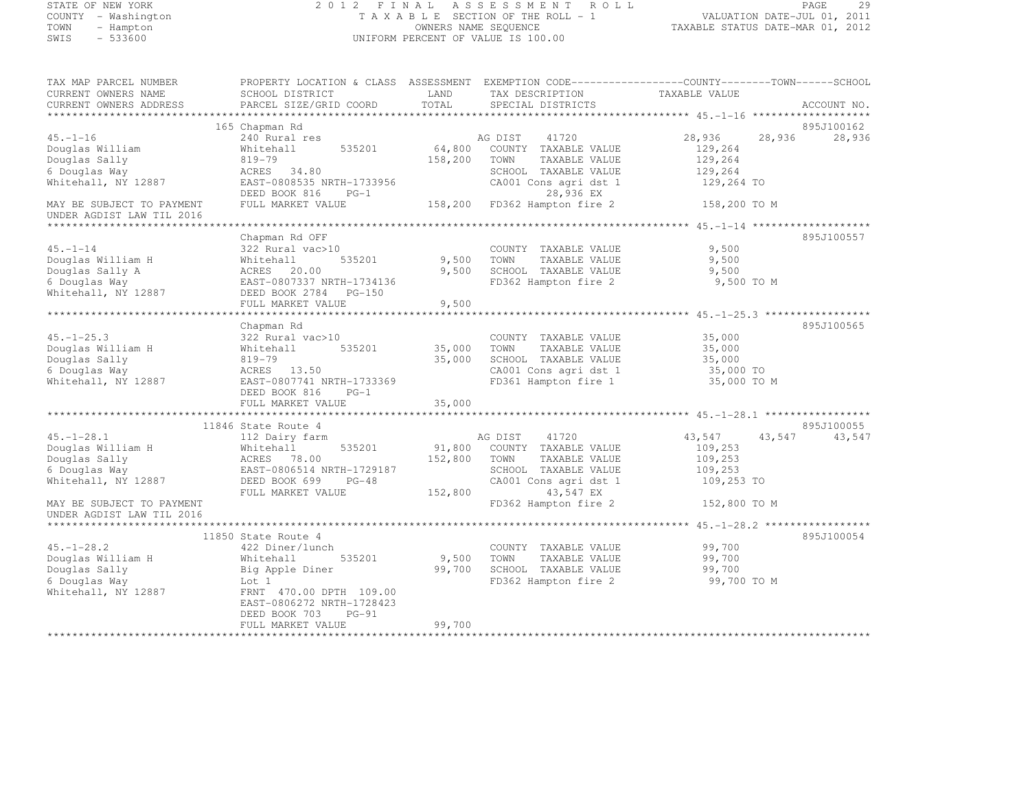#### STATE OF NEW YORK 2 0 1 2 F I N A L A S S E S S M E N T R O L L PAGE <sup>29</sup> COUNTY - Washington T A X A B L E SECTION OF THE ROLL - 1 VALUATION DATE-JUL 01, 2011 TOWN - Hampton OWNERS NAME SEQUENCE TAXABLE STATUS DATE-MAR 01, 2012 UNIFORM PERCENT OF VALUE IS 100.00

| TAX MAP PARCEL NUMBER<br>CURRENT OWNERS NAME                                                                                                                                                                                           | PROPERTY LOCATION & CLASS ASSESSMENT EXEMPTION CODE----------------COUNTY-------TOWN-----SCHOOL<br>SCHOOL DISTRICT | LAND         | TAX DESCRIPTION                                                                 | TAXABLE VALUE        |                      |
|----------------------------------------------------------------------------------------------------------------------------------------------------------------------------------------------------------------------------------------|--------------------------------------------------------------------------------------------------------------------|--------------|---------------------------------------------------------------------------------|----------------------|----------------------|
| CURRENT OWNERS ADDRESS                                                                                                                                                                                                                 | PARCEL SIZE/GRID COORD                                                                                             | TOTAL        | SPECIAL DISTRICTS                                                               |                      | ACCOUNT NO.          |
|                                                                                                                                                                                                                                        |                                                                                                                    |              |                                                                                 |                      |                      |
|                                                                                                                                                                                                                                        | 165 Chapman Rd                                                                                                     |              |                                                                                 |                      | 895J100162           |
| $45. - 1 - 16$                                                                                                                                                                                                                         | 240 Rural res                                                                                                      |              | AG DIST 41720<br>64,800 COUNTY TAXABLE VALUE                                    | 28,936 28,936        | 28,936               |
| Douglas William                                                                                                                                                                                                                        | Whitehall 535201                                                                                                   |              |                                                                                 | 129,264              |                      |
| Douglas Sally                                                                                                                                                                                                                          | 819-79                                                                                                             | 158,200 TOWN | TAXABLE VALUE                                                                   | 129,264              |                      |
| 6 Douglas Way                                                                                                                                                                                                                          | ACRES 34.80                                                                                                        |              | SCHOOL TAXABLE VALUE                                                            | 129,264              |                      |
| Whitehall, NY 12887                                                                                                                                                                                                                    | EAST-0808535 NRTH-1733956<br>DEED BOOK 816 PG-1                                                                    |              | CA001 Cons agri dst 1 129,264 TO<br>28,936 EX                                   |                      |                      |
| MAY BE SUBJECT TO PAYMENT                                                                                                                                                                                                              | FULL MARKET VALUE                                                                                                  |              | 158,200 FD362 Hampton fire 2 158,200 TO M                                       |                      |                      |
| UNDER AGDIST LAW TIL 2016                                                                                                                                                                                                              |                                                                                                                    |              |                                                                                 |                      |                      |
|                                                                                                                                                                                                                                        |                                                                                                                    |              |                                                                                 |                      |                      |
|                                                                                                                                                                                                                                        | Chapman Rd OFF                                                                                                     |              |                                                                                 |                      | 895J100557           |
| $45. - 1 - 14$                                                                                                                                                                                                                         | 322 Rural vac>10<br>535201                                                                                         |              | COUNTY TAXABLE VALUE<br>TAXABLE VALUE                                           | 9,500                |                      |
|                                                                                                                                                                                                                                        |                                                                                                                    | 9,500 TOWN   | 9,500 SCHOOL TAXABLE VALUE                                                      | 9,500<br>9,500       |                      |
|                                                                                                                                                                                                                                        |                                                                                                                    |              | FD362 Hampton fire 2 9,500 TO M                                                 |                      |                      |
| Complex Whitehall<br>Douglas Sally A Mhitehall<br>6 Douglas Nay RACRES 20.00<br>6 Douglas Way EAST-0807337 NRTH-1734136<br>Whitehall, NY 12887 DEED BOOK 2784 PG-150<br>Whitehall, NY 12887                                            |                                                                                                                    |              |                                                                                 |                      |                      |
|                                                                                                                                                                                                                                        | FULL MARKET VALUE                                                                                                  | 9,500        |                                                                                 |                      |                      |
|                                                                                                                                                                                                                                        |                                                                                                                    |              |                                                                                 |                      |                      |
|                                                                                                                                                                                                                                        | Chapman Rd                                                                                                         |              |                                                                                 |                      | 895J100565           |
| $45. - 1 - 25.3$                                                                                                                                                                                                                       | 322 Rural vac>10                                                                                                   |              | COUNTY TAXABLE VALUE                                                            | 35,000               |                      |
| Douglas William H Whiteha<br>Douglas Sally 819-79<br>6 Douglas Way ACRES<br>Whitehall, NY 12887 EAST-08                                                                                                                                | 535201<br>Whitehall                                                                                                | 35,000       | TOWN<br>TAXABLE VALUE                                                           | $35,000$<br>$35,000$ |                      |
|                                                                                                                                                                                                                                        |                                                                                                                    | 35,000       | SCHOOL TAXABLE VALUE                                                            |                      |                      |
|                                                                                                                                                                                                                                        | ACRES 13.50                                                                                                        |              | CA001 Cons agri dst 1 35,000 TO<br>FD361 Hampton fire 1 35,000 TO M             |                      |                      |
| Whitehall, NY 12887                                                                                                                                                                                                                    | EAST-0807741 NRTH-1733369                                                                                          |              |                                                                                 |                      |                      |
|                                                                                                                                                                                                                                        | DEED BOOK 816<br>$PG-1$                                                                                            |              |                                                                                 |                      |                      |
|                                                                                                                                                                                                                                        | FULL MARKET VALUE                                                                                                  | 35,000       |                                                                                 |                      |                      |
|                                                                                                                                                                                                                                        |                                                                                                                    |              |                                                                                 |                      |                      |
| $45. -1 - 28.1$                                                                                                                                                                                                                        | 11846 State Route 4<br>112 Dairy farm                                                                              |              | AG DIST 41720                                                                   | 43,547<br>43,547     | 895J100055<br>43,547 |
|                                                                                                                                                                                                                                        |                                                                                                                    |              | 535201 91,800 COUNTY TAXABLE VALUE                                              | 109,253              |                      |
|                                                                                                                                                                                                                                        |                                                                                                                    | 152,800 TOWN | TAXABLE VALUE                                                                   | 109,253              |                      |
|                                                                                                                                                                                                                                        |                                                                                                                    |              | SCHOOL TAXABLE VALUE                                                            | 109,253              |                      |
| 0001<br>152,800<br>152,800<br>6 Douglas Way<br>152,800<br>6 Douglas Way<br>152,800<br>152,800<br>152,800<br>152,800<br>152,800<br>152,800<br>200514 NRTH-1729187<br>2006 Bouglas Way<br>2006 Bouglas Way<br>2006 Book 69<br>2006 PG-48 |                                                                                                                    |              | CA001 Cons agri dst 1                                                           | 109,253 TO           |                      |
|                                                                                                                                                                                                                                        | FULL MARKET VALUE                                                                                                  | 152,800      | 43,547 EX                                                                       |                      |                      |
| MAY BE SUBJECT TO PAYMENT                                                                                                                                                                                                              |                                                                                                                    |              | FD362 Hampton fire 2                                                            | 152,800 TO M         |                      |
| UNDER AGDIST LAW TIL 2016                                                                                                                                                                                                              |                                                                                                                    |              |                                                                                 |                      |                      |
|                                                                                                                                                                                                                                        |                                                                                                                    |              |                                                                                 |                      |                      |
| $45. - 1 - 28.2$                                                                                                                                                                                                                       | 11850 State Route 4<br>422 Diner/lunch                                                                             |              | COUNTY TAXABLE VALUE 99,700                                                     |                      | 895J100054           |
| Douglas William H                                                                                                                                                                                                                      | 535201<br>Whitehall                                                                                                |              |                                                                                 | 99,700               |                      |
| Douglas Sally                                                                                                                                                                                                                          |                                                                                                                    |              | 9,500 TOWN TAXABLE VALUE<br>99,700 SCHOOL TAXABLE VALUE<br>ERRESS TERM LE VALUE | 99,700<br>99,700     |                      |
| 6 Douglas Way                                                                                                                                                                                                                          | Big Apple Diner<br>Let 1<br>Lot 1                                                                                  |              | FD362 Hampton fire 2 99,700 TO M                                                |                      |                      |
| Whitehall, NY 12887                                                                                                                                                                                                                    | FRNT 470.00 DPTH 109.00                                                                                            |              |                                                                                 |                      |                      |
|                                                                                                                                                                                                                                        | EAST-0806272 NRTH-1728423                                                                                          |              |                                                                                 |                      |                      |
|                                                                                                                                                                                                                                        | DEED BOOK 703<br>$PG-91$                                                                                           |              |                                                                                 |                      |                      |
|                                                                                                                                                                                                                                        | FULL MARKET VALUE                                                                                                  | 99,700       |                                                                                 |                      |                      |
|                                                                                                                                                                                                                                        |                                                                                                                    |              |                                                                                 |                      |                      |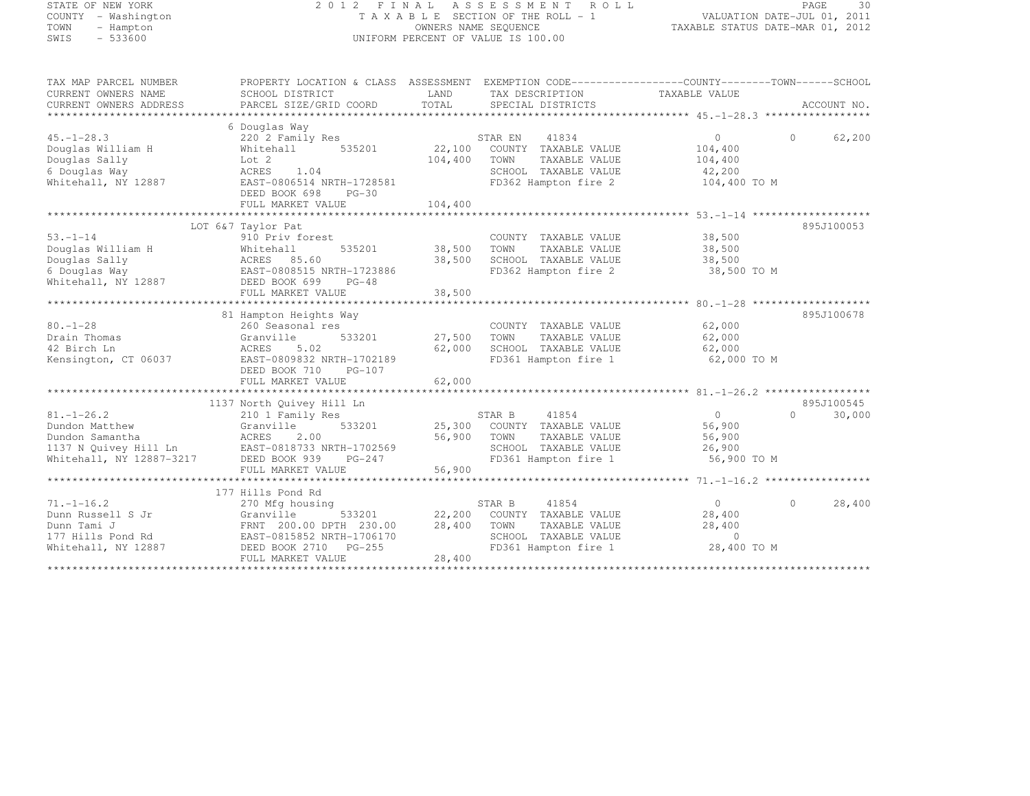|             | STATE OF NEW YORK   |  |
|-------------|---------------------|--|
|             | COUNTY - Washington |  |
| TOWN        | - Hampton           |  |
| <b>CMTC</b> | $-533600$           |  |

#### STATE OF NEW YORK 2 0 1 2 F I N A L A S S E S S M E N T R O L L PAGE <sup>30</sup> COUNTY - Washington T A X A B L E SECTION OF THE ROLL - 1 VALUATION DATE-JUL 01, 2011 TOWN - Hampton OWNERS NAME SEQUENCE TAXABLE STATUS DATE-MAR 01, 2012 SWIS - 533600 CONTROL CONTROL OF UNIFORM PERCENT OF VALUE IS 100.00

| TAX MAP PARCEL NUMBER                         | PROPERTY LOCATION & CLASS ASSESSMENT      |                          |                                      |                |          |             |
|-----------------------------------------------|-------------------------------------------|--------------------------|--------------------------------------|----------------|----------|-------------|
| CURRENT OWNERS NAME<br>CURRENT OWNERS ADDRESS | SCHOOL DISTRICT<br>PARCEL SIZE/GRID COORD | LAND<br>TOTAL            | TAX DESCRIPTION<br>SPECIAL DISTRICTS | TAXABLE VALUE  |          | ACCOUNT NO. |
|                                               |                                           |                          |                                      |                |          |             |
|                                               | 6 Douglas Way                             |                          |                                      |                |          |             |
| $45. - 1 - 28.3$                              | 220 2 Family Res                          |                          | 41834<br>STAR EN                     | $\overline{0}$ | $\Omega$ | 62,200      |
| Douglas William H                             | 535201<br>Whitehall                       | 22,100                   | COUNTY TAXABLE VALUE                 | 104,400        |          |             |
| Douglas Sally                                 | Lot 2                                     | 104,400                  | TOWN<br>TAXABLE VALUE                | 104,400        |          |             |
| 6 Douglas Way                                 | ACRES<br>1.04                             |                          | SCHOOL TAXABLE VALUE                 | 42,200         |          |             |
| Whitehall, NY 12887                           | EAST-0806514 NRTH-1728581                 |                          | FD362 Hampton fire 2                 | 104,400 TO M   |          |             |
|                                               | DEED BOOK 698<br>$PG-30$                  |                          |                                      |                |          |             |
|                                               | FULL MARKET VALUE                         | 104,400                  |                                      |                |          |             |
|                                               |                                           |                          |                                      |                |          |             |
|                                               | LOT 6&7 Taylor Pat                        |                          |                                      |                |          | 895J100053  |
| $53. - 1 - 14$                                | 910 Priv forest                           |                          | COUNTY TAXABLE VALUE                 | 38,500         |          |             |
| Douglas William H                             | 535201<br>Whitehall                       | 38,500                   | TOWN<br>TAXABLE VALUE                | 38,500         |          |             |
| Douglas Sally                                 | ACRES 85.60                               | 38,500                   | SCHOOL TAXABLE VALUE                 | 38,500         |          |             |
| 6 Douglas Way                                 | EAST-0808515 NRTH-1723886                 |                          | FD362 Hampton fire 2                 | 38,500 TO M    |          |             |
| Whitehall, NY 12887                           | DEED BOOK 699<br>$PG-48$                  |                          |                                      |                |          |             |
|                                               | FULL MARKET VALUE                         | 38,500                   |                                      |                |          |             |
|                                               |                                           |                          |                                      |                |          |             |
|                                               | 81 Hampton Heights Way                    |                          |                                      |                |          | 895J100678  |
| $80. - 1 - 28$                                | 260 Seasonal res                          |                          | COUNTY TAXABLE VALUE                 | 62,000         |          |             |
| Drain Thomas                                  | 533201<br>Granville                       | 27,500                   | TOWN<br>TAXABLE VALUE                | 62,000         |          |             |
| 42 Birch Ln                                   | ACRES<br>5.02                             | 62,000                   | SCHOOL TAXABLE VALUE                 | 62,000         |          |             |
| Kensington, CT 06037                          | EAST-0809832 NRTH-1702189                 |                          | FD361 Hampton fire 1                 | 62,000 TO M    |          |             |
|                                               | DEED BOOK 710<br>PG-107                   |                          |                                      |                |          |             |
|                                               | FULL MARKET VALUE                         | 62,000                   |                                      |                |          |             |
|                                               |                                           |                          |                                      |                |          |             |
|                                               | 1137 North Quivey Hill Ln                 |                          |                                      |                |          | 895J100545  |
| $81. - 1 - 26.2$                              | 210 1 Family Res                          |                          | STAR B<br>41854                      | $\Omega$       | $\Omega$ | 30,000      |
| Dundon Matthew                                | Granville<br>533201                       |                          | 25,300 COUNTY TAXABLE VALUE          | 56,900         |          |             |
| Dundon Samantha                               | ACRES<br>2.00                             | 56,900                   | TOWN<br>TAXABLE VALUE                | 56,900         |          |             |
| 1137 N Quivey Hill Ln                         | EAST-0818733 NRTH-1702569                 |                          | SCHOOL TAXABLE VALUE                 | 26,900         |          |             |
| Whitehall, NY 12887-3217                      | DEED BOOK 939<br>PG-247                   |                          | FD361 Hampton fire 1                 | 56,900 TO M    |          |             |
|                                               | FULL MARKET VALUE                         | 56,900<br>************** |                                      |                |          |             |
|                                               |                                           |                          |                                      |                |          |             |
| $71. - 1 - 16.2$                              | 177 Hills Pond Rd<br>270 Mfg housing      |                          | STAR B<br>41854                      | $\circ$        | $\Omega$ | 28,400      |
| Dunn Russell S Jr                             | Granville<br>533201                       | 22,200                   | COUNTY TAXABLE VALUE                 | 28,400         |          |             |
| Dunn Tami J                                   | FRNT 200.00 DPTH 230.00                   | 28,400                   | TOWN<br>TAXABLE VALUE                | 28,400         |          |             |
| 177 Hills Pond Rd                             | EAST-0815852 NRTH-1706170                 |                          | SCHOOL TAXABLE VALUE                 | $\Omega$       |          |             |
| Whitehall, NY 12887                           | DEED BOOK 2710 PG-255                     |                          | FD361 Hampton fire 1                 | 28,400 TO M    |          |             |
|                                               | FULL MARKET VALUE                         | 28,400                   |                                      |                |          |             |
|                                               |                                           |                          |                                      |                |          |             |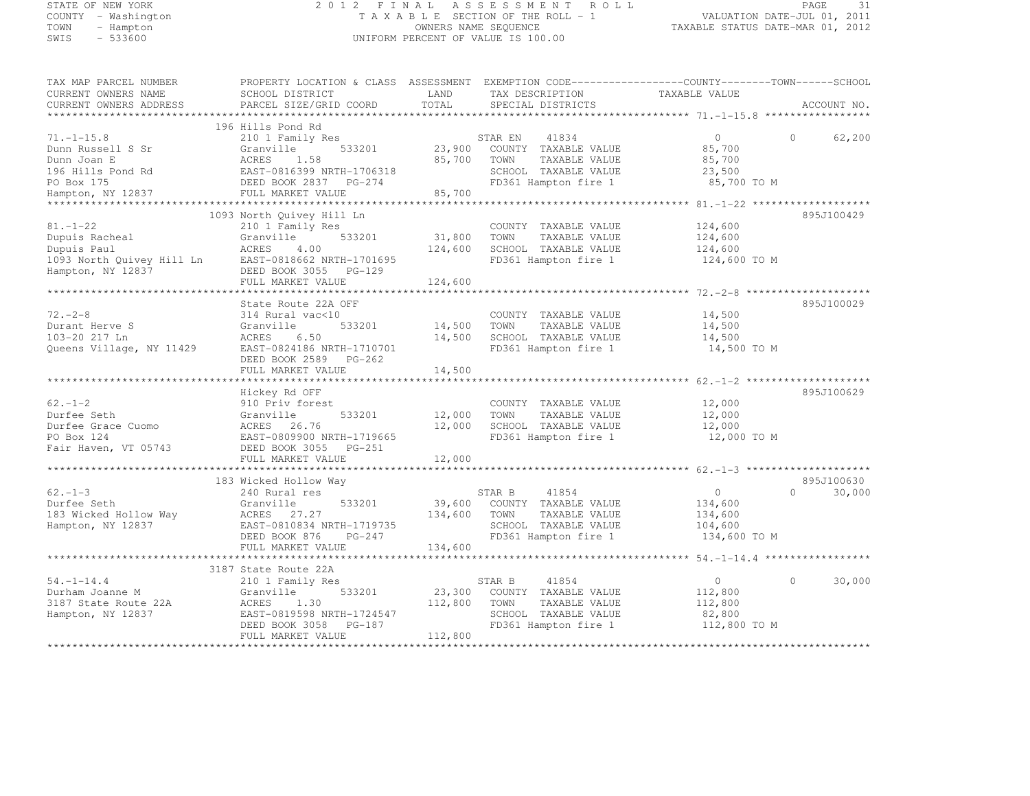### STATE OF NEW YORK 2 0 1 2 F I N A L A S S E S S M E N T R O L L PAGE <sup>31</sup> COUNTY - Washington T A X A B L E SECTION OF THE ROLL - 1 VALUATION DATE-JUL 01, 2011 TOWN - Hampton OWNERS NAME SEQUENCE TAXABLE STATUS DATE-MAR 01, 2012 SWIS - 533600 UNIFORM PERCENT OF VALUE IS 100.00

| TAX MAP PARCEL NUMBER    | PROPERTY LOCATION & CLASS ASSESSMENT EXEMPTION CODE----------------COUNTY-------TOWN-----SCHOOL |         |                             |               |                    |
|--------------------------|-------------------------------------------------------------------------------------------------|---------|-----------------------------|---------------|--------------------|
| CURRENT OWNERS NAME      | SCHOOL DISTRICT                                                                                 | LAND    | TAX DESCRIPTION             | TAXABLE VALUE |                    |
| CURRENT OWNERS ADDRESS   | PARCEL SIZE/GRID COORD                                                                          | TOTAL   | SPECIAL DISTRICTS           |               | ACCOUNT NO.        |
|                          |                                                                                                 |         |                             |               |                    |
|                          | 196 Hills Pond Rd                                                                               |         |                             |               |                    |
| $71. - 1 - 15.8$         | 210 1 Family Res                                                                                |         | STAR EN<br>41834            | $\circ$       | $\Omega$<br>62,200 |
| Dunn Russell S Sr        | 533201<br>Granville                                                                             | 23,900  | COUNTY TAXABLE VALUE        | 85,700        |                    |
| Dunn Joan E              | 1.58<br>ACRES                                                                                   | 85,700  | TAXABLE VALUE<br>TOWN       | 85,700        |                    |
| 196 Hills Pond Rd        | EAST-0816399 NRTH-1706318                                                                       |         | SCHOOL TAXABLE VALUE        | 23,500        |                    |
| PO Box 175               | DEED BOOK 2837 PG-274                                                                           |         | FD361 Hampton fire 1        | 85,700 TO M   |                    |
| Hampton, NY 12837        | FULL MARKET VALUE                                                                               | 85,700  |                             |               |                    |
|                          |                                                                                                 |         |                             |               |                    |
|                          | 1093 North Quivey Hill Ln                                                                       |         |                             |               | 895J100429         |
| $81. - 1 - 22$           | 210 1 Family Res                                                                                |         | COUNTY TAXABLE VALUE        | 124,600       |                    |
| Dupuis Racheal           | Granville<br>533201                                                                             | 31,800  | TAXABLE VALUE<br>TOWN       | 124,600       |                    |
| Dupuis Paul              | ACRES<br>4.00                                                                                   | 124,600 | SCHOOL TAXABLE VALUE        | 124,600       |                    |
|                          | 1093 North Quivey Hill Ln EAST-0818662 NRTH-1701695                                             |         | FD361 Hampton fire 1        | 124,600 TO M  |                    |
| Hampton, NY 12837        | DEED BOOK 3055 PG-129                                                                           |         |                             |               |                    |
|                          | FULL MARKET VALUE                                                                               | 124,600 |                             |               |                    |
|                          |                                                                                                 |         |                             |               |                    |
|                          | State Route 22A OFF                                                                             |         |                             |               | 895J100029         |
| $72. - 2 - 8$            | 314 Rural vac<10                                                                                |         | COUNTY TAXABLE VALUE        | 14,500        |                    |
| Durant Herve S           | 533201<br>Granville                                                                             | 14,500  | TOWN<br>TAXABLE VALUE       | 14,500        |                    |
| 103-20 217 Ln            | ACRES<br>6.50                                                                                   | 14,500  | SCHOOL TAXABLE VALUE        | 14,500        |                    |
| Queens Village, NY 11429 | EAST-0824186 NRTH-1710701                                                                       |         | FD361 Hampton fire 1        | 14,500 TO M   |                    |
|                          | DEED BOOK 2589 PG-262                                                                           |         |                             |               |                    |
|                          | FULL MARKET VALUE                                                                               | 14,500  |                             |               |                    |
|                          |                                                                                                 |         |                             |               |                    |
|                          | Hickey Rd OFF                                                                                   |         |                             |               | 895J100629         |
| $62 - 1 - 2$             | 910 Priv forest                                                                                 |         | COUNTY TAXABLE VALUE        | 12,000        |                    |
| Durfee Seth              | 533201<br>Granville                                                                             | 12,000  | TOWN<br>TAXABLE VALUE       | 12,000        |                    |
| Durfee Grace Cuomo       | 26.76<br>ACRES                                                                                  | 12,000  | SCHOOL TAXABLE VALUE        | 12,000        |                    |
| PO Box 124               | EAST-0809900 NRTH-1719665                                                                       |         | FD361 Hampton fire 1        | 12,000 TO M   |                    |
| Fair Haven, VT 05743     | DEED BOOK 3055<br>PG-251                                                                        |         |                             |               |                    |
|                          | FULL MARKET VALUE                                                                               | 12,000  |                             |               |                    |
|                          |                                                                                                 |         |                             |               |                    |
|                          | 183 Wicked Hollow Way                                                                           |         |                             |               | 895J100630         |
| $62 - 1 - 3$             | 240 Rural res                                                                                   |         | 41854<br>STAR B             | $\circ$       | $\cap$<br>30,000   |
| Durfee Seth              | Granville<br>533201                                                                             |         | 39,600 COUNTY TAXABLE VALUE | 134,600       |                    |
| 183 Wicked Hollow Way    | ACRES<br>27.27                                                                                  | 134,600 | TOWN<br>TAXABLE VALUE       | 134,600       |                    |
| Hampton, NY 12837        | EAST-0810834 NRTH-1719735                                                                       |         | SCHOOL TAXABLE VALUE        | 104,600       |                    |
|                          | DEED BOOK 876<br>PG-247                                                                         |         | FD361 Hampton fire 1        | 134,600 TO M  |                    |
|                          | FULL MARKET VALUE                                                                               | 134,600 |                             |               |                    |
|                          |                                                                                                 |         |                             |               |                    |
|                          | 3187 State Route 22A                                                                            |         |                             |               |                    |
| $54. - 1 - 14.4$         | 210 1 Family Res                                                                                |         | STAR B<br>41854             | $\circ$       | 30,000<br>$\Omega$ |
| Durham Joanne M          | 533201<br>Granville                                                                             | 23,300  | COUNTY TAXABLE VALUE        | 112,800       |                    |
| 3187 State Route 22A     | ACRES<br>1.30                                                                                   | 112,800 | TOWN<br>TAXABLE VALUE       | 112,800       |                    |
| Hampton, NY 12837        | EAST-0819598 NRTH-1724547                                                                       |         | SCHOOL TAXABLE VALUE        | 82,800        |                    |
|                          | DEED BOOK 3058<br>PG-187                                                                        |         | FD361 Hampton fire 1        | 112,800 TO M  |                    |
|                          | FULL MARKET VALUE                                                                               | 112,800 |                             |               |                    |
|                          |                                                                                                 |         |                             |               |                    |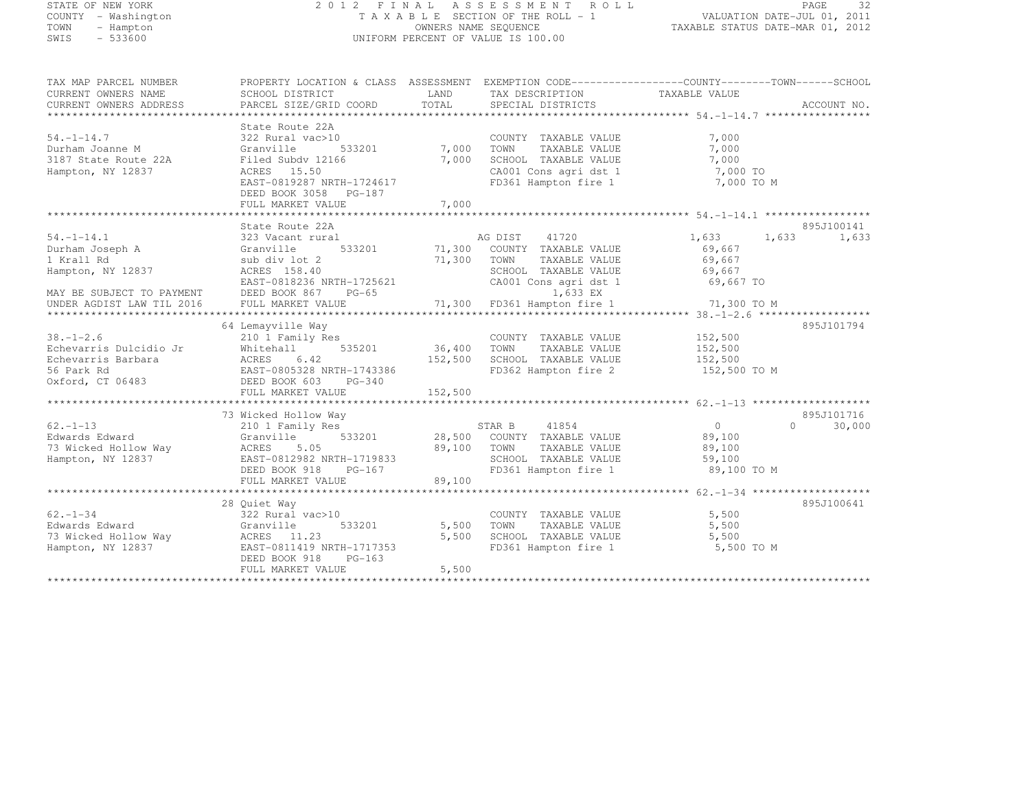# STATE OF NEW YORK 2 0 1 2 F I N A L A S S E S S M E N T R O L L PAGE <sup>32</sup> COUNTY - Washington T A X A B L E SECTION OF THE ROLL - 1 VALUATION DATE-JUL 01, 2011 TOWN - Hampton OWNERS NAME SEQUENCE TAXABLE STATUS DATE-MAR 01, 2012 SWIS - 533600 UNIFORM PERCENT OF VALUE IS 100.00

| TAX MAP PARCEL NUMBER     | PROPERTY LOCATION & CLASS ASSESSMENT EXEMPTION CODE---------------COUNTY-------TOWN------SCHOOL |               |                                         |                |                        |
|---------------------------|-------------------------------------------------------------------------------------------------|---------------|-----------------------------------------|----------------|------------------------|
| CURRENT OWNERS NAME       | SCHOOL DISTRICT                                                                                 | LAND          | TAX DESCRIPTION                         | TAXABLE VALUE  |                        |
| CURRENT OWNERS ADDRESS    | PARCEL SIZE/GRID COORD                                                                          | TOTAL         | SPECIAL DISTRICTS                       |                | ACCOUNT NO.            |
|                           |                                                                                                 |               |                                         |                |                        |
|                           | State Route 22A                                                                                 |               |                                         |                |                        |
| $54. - 1 - 14.7$          | 322 Rural vac>10                                                                                |               | COUNTY TAXABLE VALUE                    | 7,000          |                        |
| Durham Joanne M           | Granville<br>533201                                                                             | 7,000         | TOWN<br>TAXABLE VALUE                   | 7,000          |                        |
| 3187 State Route 22A      | Filed Subdy 12166                                                                               | 7,000         | SCHOOL TAXABLE VALUE                    | 7,000          |                        |
| Hampton, NY 12837         | ACRES 15.50                                                                                     |               | CA001 Cons agri dst 1                   | 7,000 TO       |                        |
|                           | EAST-0819287 NRTH-1724617                                                                       |               | FD361 Hampton fire 1                    | 7,000 TO M     |                        |
|                           |                                                                                                 |               |                                         |                |                        |
|                           | DEED BOOK 3058 PG-187                                                                           |               |                                         |                |                        |
|                           | FULL MARKET VALUE                                                                               | 7,000         |                                         |                |                        |
|                           |                                                                                                 |               |                                         |                |                        |
|                           | State Route 22A                                                                                 |               |                                         |                | 895J100141             |
| $54. -1 - 14.1$           | 323 Vacant rural                                                                                |               | AG DIST<br>41720                        | 1,633          | 1,633<br>1,633         |
| Durham Joseph A           | Granville                                                                                       | 533201 71,300 | COUNTY TAXABLE VALUE                    | 69,667         |                        |
| 1 Krall Rd                | sub div lot 2                                                                                   | 71,300        | TOWN<br>TAXABLE VALUE                   | 69,667         |                        |
| Hampton, NY 12837         | ACRES 158.40                                                                                    |               | SCHOOL TAXABLE VALUE                    | 69,667         |                        |
|                           | EAST-0818236 NRTH-1725621                                                                       |               | CA001 Cons agri dst 1                   | 69,667 TO      |                        |
| MAY BE SUBJECT TO PAYMENT | DEED BOOK 867 PG-65                                                                             |               | 1,633 EX                                |                |                        |
| UNDER AGDIST LAW TIL 2016 | FULL MARKET VALUE                                                                               |               | 71,300 FD361 Hampton fire 1 71,300 TO M |                |                        |
|                           |                                                                                                 |               |                                         |                |                        |
|                           | 64 Lemayville Way                                                                               |               |                                         |                | 895J101794             |
| $38. - 1 - 2.6$           | 210 1 Family Res                                                                                |               | COUNTY TAXABLE VALUE                    | 152,500        |                        |
| Echevarris Dulcidio Jr    | 535201<br>Whitehall                                                                             | 36,400        | TOWN<br>TAXABLE VALUE                   | 152,500        |                        |
| Echevarris Barbara        | ACRES 6.42                                                                                      | 152,500       | SCHOOL TAXABLE VALUE                    | 152,500        |                        |
| 56 Park Rd                | EAST-0805328 NRTH-1743386                                                                       |               | FD362 Hampton fire 2                    | 152,500 TO M   |                        |
| Oxford, CT 06483          | DEED BOOK 603<br>$PG-340$                                                                       |               |                                         |                |                        |
|                           | FULL MARKET VALUE                                                                               | 152,500       |                                         |                |                        |
|                           |                                                                                                 |               |                                         |                |                        |
|                           |                                                                                                 |               |                                         |                |                        |
| $62. - 1 - 13$            | 73 Wicked Hollow Way                                                                            |               |                                         |                | 895J101716<br>$\Omega$ |
|                           | 210 1 Family Res                                                                                |               | 41854<br>STAR B                         | $\overline{0}$ | 30,000                 |
| Edwards Edward            | 533201<br>Granville                                                                             | 28,500        | COUNTY TAXABLE VALUE                    | 89,100         |                        |
| 73 Wicked Hollow Way      | ACRES 5.05<br>ددد ACRES<br>EAST-0812982 NRTH-1719833                                            | 89,100        | TOWN<br>TAXABLE VALUE                   | 89,100         |                        |
| Hampton, NY 12837         |                                                                                                 |               | SCHOOL TAXABLE VALUE                    | 59,100         |                        |
|                           | DEED BOOK 918<br>PG-167                                                                         |               | FD361 Hampton fire 1                    | 89,100 TO M    |                        |
|                           | FULL MARKET VALUE                                                                               | 89,100        |                                         |                |                        |
|                           |                                                                                                 |               |                                         |                |                        |
|                           | 28 Ouiet Way                                                                                    |               |                                         |                | 895J100641             |
| $62 - 1 - 34$             | 322 Rural vac>10                                                                                |               | COUNTY TAXABLE VALUE                    | 5,500          |                        |
| Edwards Edward            | 533201<br>Granville                                                                             | 5,500         | TAXABLE VALUE<br>TOWN                   | 5,500          |                        |
| 73 Wicked Hollow Way      | ACRES 11.23                                                                                     | 5,500         | SCHOOL TAXABLE VALUE                    | 5,500          |                        |
| Hampton, NY 12837         | EAST-0811419 NRTH-1717353                                                                       |               | FD361 Hampton fire 1                    | 5,500 TO M     |                        |
|                           | DEED BOOK 918<br>$PG-163$                                                                       |               |                                         |                |                        |
|                           | FULL MARKET VALUE                                                                               | 5,500         |                                         |                |                        |
|                           |                                                                                                 |               |                                         |                |                        |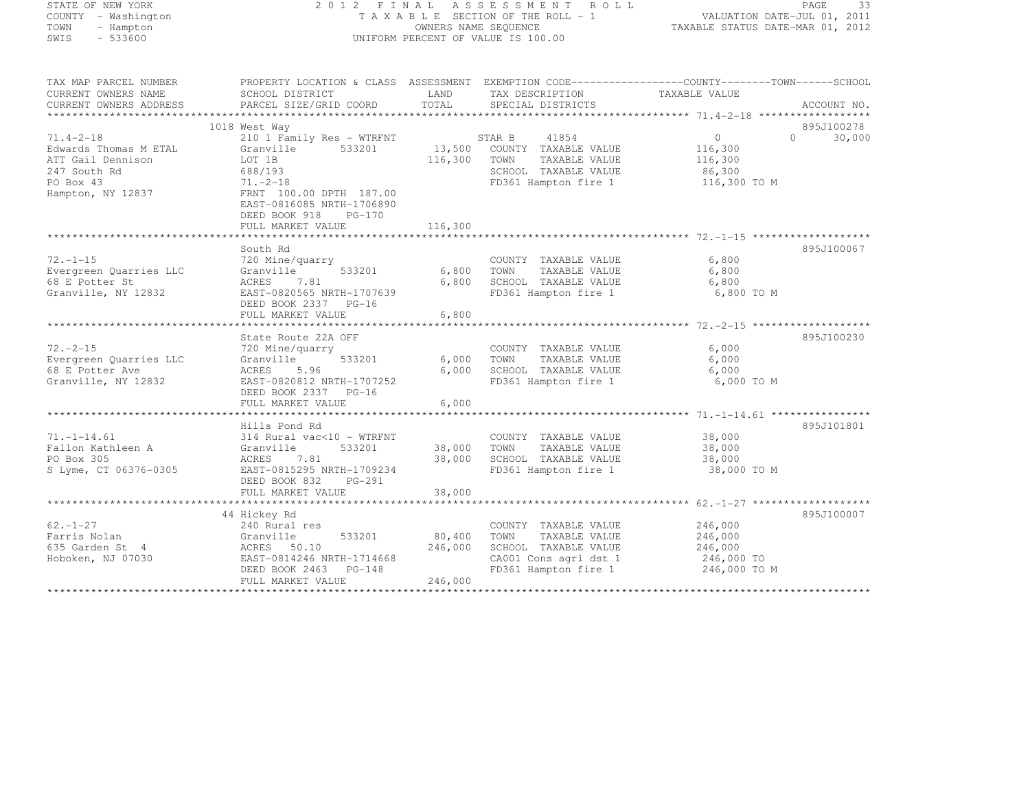| STATE OF NEW YORK |  |                     |  |
|-------------------|--|---------------------|--|
|                   |  | COUNTY - Washington |  |
| TOWN              |  | - Hampton           |  |
| SMTS              |  | $-533600$           |  |

#### STATE OF NEW YORK 2 0 1 2 F I N A L A S S E S S M E N T R O L L PAGE <sup>33</sup> COUNTY - Washington T A X A B L E SECTION OF THE ROLL - 1 VALUATION DATE-JUL 01, 2011 TOWN - Hampton OWNERS NAME SEQUENCE TAXABLE STATUS DATE-MAR 01, 2012 SWIS - 533600 UNIFORM PERCENT OF VALUE IS 100.00

| TAX MAP PARCEL NUMBER<br>CURRENT OWNERS NAME | PROPERTY LOCATION & CLASS ASSESSMENT EXEMPTION CODE-----------------COUNTY-------TOWN------SCHOOL<br>SCHOOL DISTRICT | LAND    | TAX DESCRIPTION                                | TAXABLE VALUE     |                     |
|----------------------------------------------|----------------------------------------------------------------------------------------------------------------------|---------|------------------------------------------------|-------------------|---------------------|
| CURRENT OWNERS ADDRESS                       | PARCEL SIZE/GRID COORD                                                                                               | TOTAL   | SPECIAL DISTRICTS                              |                   | ACCOUNT NO.         |
|                                              |                                                                                                                      |         |                                                |                   |                     |
|                                              | 1018 West Way                                                                                                        |         |                                                |                   | 895J100278          |
| $71.4 - 2 - 18$                              | 210 1 Family Res - WTRFNT                                                                                            |         | 41854<br>STAR B                                | $0 \qquad \qquad$ | 30,000<br>$\bigcap$ |
| Edwards Thomas M ETAL                        | 533201<br>Granville                                                                                                  |         | 13,500 COUNTY TAXABLE VALUE                    | 116,300           |                     |
| ATT Gail Dennison                            | LOT 1B                                                                                                               | 116,300 | TOWN<br>TAXABLE VALUE                          | 116,300           |                     |
| 247 South Rd                                 | 688/193                                                                                                              |         | SCHOOL TAXABLE VALUE                           | 86,300            |                     |
| PO Box 43                                    | $71. - 2 - 18$                                                                                                       |         | FD361 Hampton fire 1                           | 116,300 TO M      |                     |
| Hampton, NY 12837                            | FRNT 100.00 DPTH 187.00                                                                                              |         |                                                |                   |                     |
|                                              | EAST-0816085 NRTH-1706890                                                                                            |         |                                                |                   |                     |
|                                              | DEED BOOK 918<br>$PG-170$                                                                                            | 116,300 |                                                |                   |                     |
|                                              | FULL MARKET VALUE                                                                                                    |         |                                                |                   |                     |
|                                              | South Rd                                                                                                             |         |                                                |                   | 895J100067          |
| $72. - 1 - 15$                               | 720 Mine/quarry                                                                                                      |         | COUNTY TAXABLE VALUE                           | 6,800             |                     |
| Evergreen Quarries LLC                       | 533201<br>Granville                                                                                                  | 6,800   | TOWN<br>TAXABLE VALUE                          | 6,800             |                     |
| 68 E Potter St                               | ACRES 7.81                                                                                                           | 6,800   | SCHOOL TAXABLE VALUE                           | 6,800             |                     |
| Granville, NY 12832                          | EAST-0820565 NRTH-1707639                                                                                            |         | FD361 Hampton fire 1                           | 6,800 TO M        |                     |
|                                              | DEED BOOK 2337 PG-16                                                                                                 |         |                                                |                   |                     |
|                                              | FULL MARKET VALUE                                                                                                    | 6,800   |                                                |                   |                     |
|                                              |                                                                                                                      |         |                                                |                   |                     |
|                                              | State Route 22A OFF                                                                                                  |         |                                                |                   | 895J100230          |
| $72. - 2 - 15$                               | 720 Mine/quarry                                                                                                      |         | COUNTY TAXABLE VALUE                           | 6,000             |                     |
| Evergreen Quarries LLC                       | 533201<br>Granville                                                                                                  | 6,000   | TAXABLE VALUE<br>TOWN                          | 6,000             |                     |
| 68 E Potter Ave                              | ACRES<br>5.96                                                                                                        | 6,000   | SCHOOL TAXABLE VALUE                           | 6,000             |                     |
| Granville, NY 12832                          | EAST-0820812 NRTH-1707252                                                                                            |         | FD361 Hampton fire 1                           | 6,000 TO M        |                     |
|                                              | DEED BOOK 2337 PG-16                                                                                                 |         |                                                |                   |                     |
|                                              | FULL MARKET VALUE                                                                                                    | 6,000   |                                                |                   |                     |
|                                              |                                                                                                                      |         |                                                |                   |                     |
|                                              | Hills Pond Rd                                                                                                        |         |                                                |                   | 895J101801          |
| $71, -1 - 14.61$                             | 314 Rural vac<10 - WTRFNT                                                                                            |         | COUNTY TAXABLE VALUE                           | 38,000            |                     |
| Fallon Kathleen A                            | Granville<br>533201                                                                                                  |         | 38,000 TOWN<br>TAXABLE VALUE                   | 38,000            |                     |
| PO Box 305                                   | ACRES<br>7.81                                                                                                        | 38,000  | SCHOOL TAXABLE VALUE                           | 38,000            |                     |
| S Lyme, CT 06376-0305                        | EAST-0815295 NRTH-1709234                                                                                            |         | FD361 Hampton fire 1                           | 38,000 TO M       |                     |
|                                              | DEED BOOK 832<br>PG-291<br>FULL MARKET VALUE                                                                         | 38,000  |                                                |                   |                     |
|                                              |                                                                                                                      |         |                                                |                   |                     |
|                                              | 44 Hickey Rd                                                                                                         |         |                                                |                   | 895J100007          |
| $62. - 1 - 27$                               | 240 Rural res                                                                                                        |         | COUNTY TAXABLE VALUE                           | 246,000           |                     |
| Farris Nolan                                 | 533201<br>Granville                                                                                                  | 80,400  | TAXABLE VALUE<br>TOWN                          | 246,000           |                     |
| 635 Garden St 4                              | ACRES 50.10                                                                                                          | 246,000 | SCHOOL TAXABLE VALUE                           | 246,000           |                     |
| Hoboken, NJ 07030                            | EAST-0814246 NRTH-1714668                                                                                            |         | CA001 Cons agri dst 1<br>CA001 Cons agri dst 1 | 246,000 TO        |                     |
|                                              | DEED BOOK 2463 PG-148                                                                                                |         | FD361 Hampton fire 1                           | 246,000 TO M      |                     |
|                                              | FULL MARKET VALUE                                                                                                    | 246,000 |                                                |                   |                     |
|                                              |                                                                                                                      |         |                                                |                   |                     |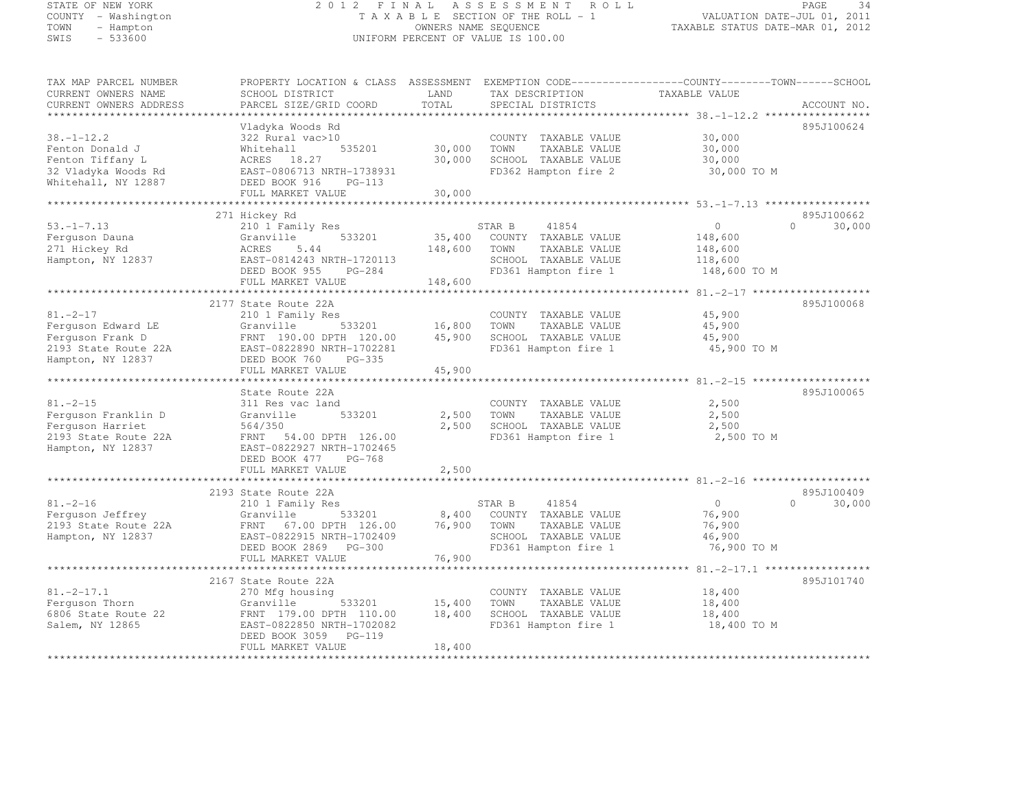# STATE OF NEW YORK 2 0 1 2 F I N A L A S S E S S M E N T R O L L PAGE <sup>34</sup> COUNTY - Washington T A X A B L E SECTION OF THE ROLL - 1 VALUATION DATE-JUL 01, 2011 TOWN - Hampton OWNERS NAME SEQUENCE TAXABLE STATUS DATE-MAR 01, 2012 SWIS - 533600 UNIFORM PERCENT OF VALUE IS 100.00

| TAX MAP PARCEL NUMBER  | PROPERTY LOCATION & CLASS ASSESSMENT |         | EXEMPTION CODE-----------------COUNTY--------TOWN-----SCHOOL |                |                        |
|------------------------|--------------------------------------|---------|--------------------------------------------------------------|----------------|------------------------|
| CURRENT OWNERS NAME    | SCHOOL DISTRICT                      | LAND    | TAX DESCRIPTION                                              | TAXABLE VALUE  |                        |
| CURRENT OWNERS ADDRESS | PARCEL SIZE/GRID COORD               | TOTAL   | SPECIAL DISTRICTS                                            |                | ACCOUNT NO.            |
|                        |                                      |         |                                                              |                |                        |
|                        | Vladyka Woods Rd                     |         |                                                              |                | 895J100624             |
| $38. - 1 - 12.2$       | 322 Rural vac>10                     |         | COUNTY TAXABLE VALUE                                         | 30,000         |                        |
| Fenton Donald J        | Whitehall<br>535201                  | 30,000  | TOWN<br>TAXABLE VALUE                                        | 30,000         |                        |
| Fenton Tiffany L       | ACRES 18.27                          | 30,000  | SCHOOL TAXABLE VALUE                                         | 30,000         |                        |
| 32 Vladyka Woods Rd    | EAST-0806713 NRTH-1738931            |         | FD362 Hampton fire 2                                         | 30,000 TO M    |                        |
| Whitehall, NY 12887    | DEED BOOK 916<br>$PG-113$            |         |                                                              |                |                        |
| ******************     | FULL MARKET VALUE                    | 30,000  |                                                              |                |                        |
|                        |                                      |         |                                                              |                |                        |
| $53. - 1 - 7.13$       | 271 Hickey Rd                        |         | 41854                                                        | $\circ$        | 895J100662<br>$\Omega$ |
|                        | 210 1 Family Res                     |         | STAR B                                                       |                | 30,000                 |
| Ferquson Dauna         | Granville<br>533201                  | 35,400  | COUNTY TAXABLE VALUE                                         | 148,600        |                        |
| 271 Hickey Rd          | ACRES<br>5.44                        | 148,600 | TOWN<br>TAXABLE VALUE                                        | 148,600        |                        |
| Hampton, NY 12837      | EAST-0814243 NRTH-1720113            |         | SCHOOL TAXABLE VALUE                                         | 118,600        |                        |
|                        | DEED BOOK 955<br>PG-284              |         | FD361 Hampton fire 1                                         | 148,600 TO M   |                        |
|                        | FULL MARKET VALUE                    | 148,600 |                                                              |                |                        |
|                        |                                      |         |                                                              |                |                        |
|                        | 2177 State Route 22A                 |         |                                                              |                | 895J100068             |
| $81. - 2 - 17$         | 210 1 Family Res                     |         | COUNTY TAXABLE VALUE                                         | 45,900         |                        |
| Ferquson Edward LE     | Granville<br>533201                  | 16,800  | TOWN<br>TAXABLE VALUE                                        | 45,900         |                        |
| Ferquson Frank D       | FRNT 190.00 DPTH 120.00              | 45,900  | SCHOOL TAXABLE VALUE                                         | 45,900         |                        |
| 2193 State Route 22A   | EAST-0822890 NRTH-1702281            |         | FD361 Hampton fire 1                                         | 45,900 TO M    |                        |
| Hampton, NY 12837      | DEED BOOK 760<br>$PG-335$            |         |                                                              |                |                        |
|                        | FULL MARKET VALUE                    | 45,900  |                                                              |                |                        |
|                        |                                      |         |                                                              |                |                        |
|                        | State Route 22A                      |         |                                                              |                | 895J100065             |
| $81. - 2 - 15$         | 311 Res vac land                     |         | COUNTY TAXABLE VALUE                                         | 2,500          |                        |
| Ferquson Franklin D    | Granville<br>533201                  | 2,500   | TOWN<br>TAXABLE VALUE                                        | 2,500          |                        |
| Ferquson Harriet       | 564/350                              | 2,500   | SCHOOL TAXABLE VALUE                                         | 2,500          |                        |
| 2193 State Route 22A   | FRNT 54.00 DPTH 126.00               |         | FD361 Hampton fire 1                                         | 2,500 TO M     |                        |
| Hampton, NY 12837      | EAST-0822927 NRTH-1702465            |         |                                                              |                |                        |
|                        | DEED BOOK 477<br>PG-768              |         |                                                              |                |                        |
|                        | FULL MARKET VALUE                    | 2,500   |                                                              |                |                        |
|                        |                                      |         |                                                              |                |                        |
|                        | 2193 State Route 22A                 |         |                                                              |                | 895J100409             |
| $81. - 2 - 16$         | 210 1 Family Res                     |         | STAR B<br>41854                                              | $\overline{0}$ | $\bigcap$<br>30,000    |
| Ferguson Jeffrey       | 533201<br>Granville                  | 8,400   | COUNTY TAXABLE VALUE                                         | 76,900         |                        |
| 2193 State Route 22A   | FRNT 67.00 DPTH 126.00               | 76,900  | TOWN<br>TAXABLE VALUE                                        | 76,900         |                        |
| Hampton, NY 12837      | EAST-0822915 NRTH-1702409            |         | SCHOOL TAXABLE VALUE                                         | 46,900         |                        |
|                        | DEED BOOK 2869 PG-300                |         | FD361 Hampton fire 1                                         | 76,900 TO M    |                        |
|                        | FULL MARKET VALUE                    | 76,900  |                                                              |                |                        |
|                        |                                      |         |                                                              |                |                        |
|                        | 2167 State Route 22A                 |         |                                                              |                | 895J101740             |
| $81, -2 - 17, 1$       | 270 Mfg housing                      |         | COUNTY TAXABLE VALUE                                         | 18,400         |                        |
| Ferquson Thorn         | Granville<br>533201                  | 15,400  | TAXABLE VALUE<br>TOWN                                        | 18,400         |                        |
| 6806 State Route 22    | FRNT 179.00 DPTH 110.00              | 18,400  | SCHOOL TAXABLE VALUE                                         | 18,400         |                        |
| Salem, NY 12865        | EAST-0822850 NRTH-1702082            |         | FD361 Hampton fire 1                                         | 18,400 TO M    |                        |
|                        | DEED BOOK 3059 PG-119                |         |                                                              |                |                        |
|                        | FULL MARKET VALUE                    | 18,400  |                                                              |                |                        |
|                        |                                      |         |                                                              |                |                        |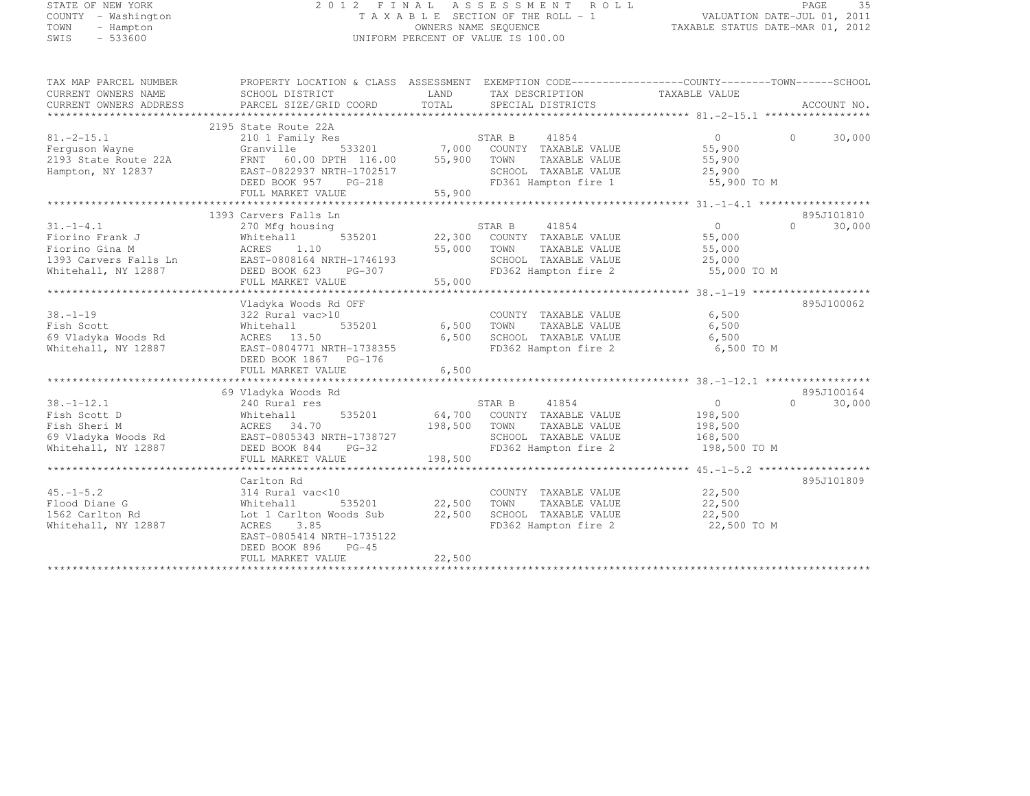| STATE OF NEW YORK   |  |           |
|---------------------|--|-----------|
| COUNTY - Washington |  |           |
| TOWN                |  | - Hampton |
| SMTS                |  | $-533600$ |

# STATE OF NEW YORK 2 0 1 2 F I N A L A S S E S S M E N T R O L L PAGE <sup>35</sup> COUNTY - Washington T A X A B L E SECTION OF THE ROLL - 1 VALUATION DATE-JUL 01, 2011 TOWN - Hampton OWNERS NAME SEQUENCE TAXABLE STATUS DATE-MAR 01, 2012 SWIS - 533600 UNIFORM PERCENT OF VALUE IS 100.00

TAX MAP PARCEL NUMBER PROPERTY LOCATION & CLASS ASSESSMENT EXEMPTION CODE------------------COUNTY--------TOWN------SCHOOL

| CURRENT OWNERS NAME    | SCHOOL DISTRICT           | LAND    | TAX DESCRIPTION             | TAXABLE VALUE  |                    |
|------------------------|---------------------------|---------|-----------------------------|----------------|--------------------|
| CURRENT OWNERS ADDRESS | PARCEL SIZE/GRID COORD    | TOTAL   | SPECIAL DISTRICTS           |                | ACCOUNT NO.        |
|                        |                           |         |                             |                |                    |
|                        | 2195 State Route 22A      |         |                             |                |                    |
| $81. -2 - 15.1$        | 210 1 Family Res          |         | STAR B<br>41854             | $\overline{0}$ | $\Omega$<br>30,000 |
| Ferquson Wayne         | Granville<br>533201       |         | 7,000 COUNTY TAXABLE VALUE  | 55,900         |                    |
| 2193 State Route 22A   | FRNT 60.00 DPTH 116.00    | 55,900  | TOWN<br>TAXABLE VALUE       | 55,900         |                    |
| Hampton, NY 12837      | EAST-0822937 NRTH-1702517 |         | SCHOOL TAXABLE VALUE        | 25,900         |                    |
|                        | DEED BOOK 957<br>PG-218   |         | FD361 Hampton fire 1        | 55,900 TO M    |                    |
|                        | FULL MARKET VALUE         | 55,900  |                             |                |                    |
|                        |                           |         |                             |                |                    |
|                        | 1393 Carvers Falls Ln     |         |                             |                | 895J101810         |
| $31. - 1 - 4.1$        | 270 Mfg housing           |         | STAR B<br>41854             | $\overline{0}$ | 30,000<br>$\Omega$ |
| Fiorino Frank J        | Whitehall<br>535201       | 22,300  | COUNTY TAXABLE VALUE        | 55,000         |                    |
| Fiorino Gina M         | ACRES 1.10                | 55,000  | TOWN<br>TAXABLE VALUE       | 55,000         |                    |
| 1393 Carvers Falls Ln  | EAST-0808164 NRTH-1746193 |         | SCHOOL TAXABLE VALUE        | 25,000         |                    |
| Whitehall, NY 12887    | DEED BOOK 623<br>PG-307   |         | FD362 Hampton fire 2        | 55,000 TO M    |                    |
|                        | FULL MARKET VALUE         | 55,000  |                             |                |                    |
|                        |                           |         |                             |                |                    |
|                        | Vladyka Woods Rd OFF      |         |                             |                | 895J100062         |
| $38. - 1 - 19$         | 322 Rural vac>10          |         | COUNTY TAXABLE VALUE        | 6,500          |                    |
| Fish Scott             | 535201<br>Whitehall       | 6,500   | TOWN<br>TAXABLE VALUE       | 6,500          |                    |
| 69 Vladyka Woods Rd    | ACRES 13.50               | 6,500   | SCHOOL TAXABLE VALUE        | 6,500          |                    |
| Whitehall, NY 12887    | EAST-0804771 NRTH-1738355 |         | FD362 Hampton fire 2        | 6,500 TO M     |                    |
|                        | DEED BOOK 1867 PG-176     |         |                             |                |                    |
|                        | FULL MARKET VALUE         | 6,500   |                             |                |                    |
|                        |                           |         |                             |                |                    |
|                        | 69 Vladyka Woods Rd       |         |                             |                | 895J100164         |
| $38. - 1 - 12.1$       | 240 Rural res             |         | STAR B<br>41854             | $\overline{0}$ | $\cap$<br>30,000   |
| Fish Scott D           | Whitehall<br>535201       |         | 64,700 COUNTY TAXABLE VALUE | 198,500        |                    |
| Fish Sheri M           | ACRES 34.70               | 198,500 | TOWN<br>TAXABLE VALUE       | 198,500        |                    |
| 69 Vladyka Woods Rd    | EAST-0805343 NRTH-1738727 |         | SCHOOL TAXABLE VALUE        | 168,500        |                    |
|                        | DEED BOOK 844<br>$PG-32$  |         | FD362 Hampton fire 2        |                |                    |
| Whitehall, NY 12887    | FULL MARKET VALUE         | 198,500 |                             | 198,500 TO M   |                    |
|                        |                           |         |                             |                |                    |
|                        |                           |         |                             |                |                    |
|                        | Carlton Rd                |         |                             |                | 895J101809         |
| $45. - 1 - 5.2$        | 314 Rural vac<10          |         | COUNTY TAXABLE VALUE        | 22,500         |                    |
| Flood Diane G          | Whitehall<br>535201       | 22,500  | TOWN<br>TAXABLE VALUE       | 22,500         |                    |
| 1562 Carlton Rd        | Lot 1 Carlton Woods Sub   | 22,500  | SCHOOL TAXABLE VALUE        | 22,500         |                    |
| Whitehall, NY 12887    | ACRES 3.85                |         | FD362 Hampton fire 2        | 22,500 TO M    |                    |
|                        | EAST-0805414 NRTH-1735122 |         |                             |                |                    |
|                        | DEED BOOK 896<br>$PG-45$  |         |                             |                |                    |
|                        | FULL MARKET VALUE         | 22,500  |                             |                |                    |
|                        |                           |         |                             |                |                    |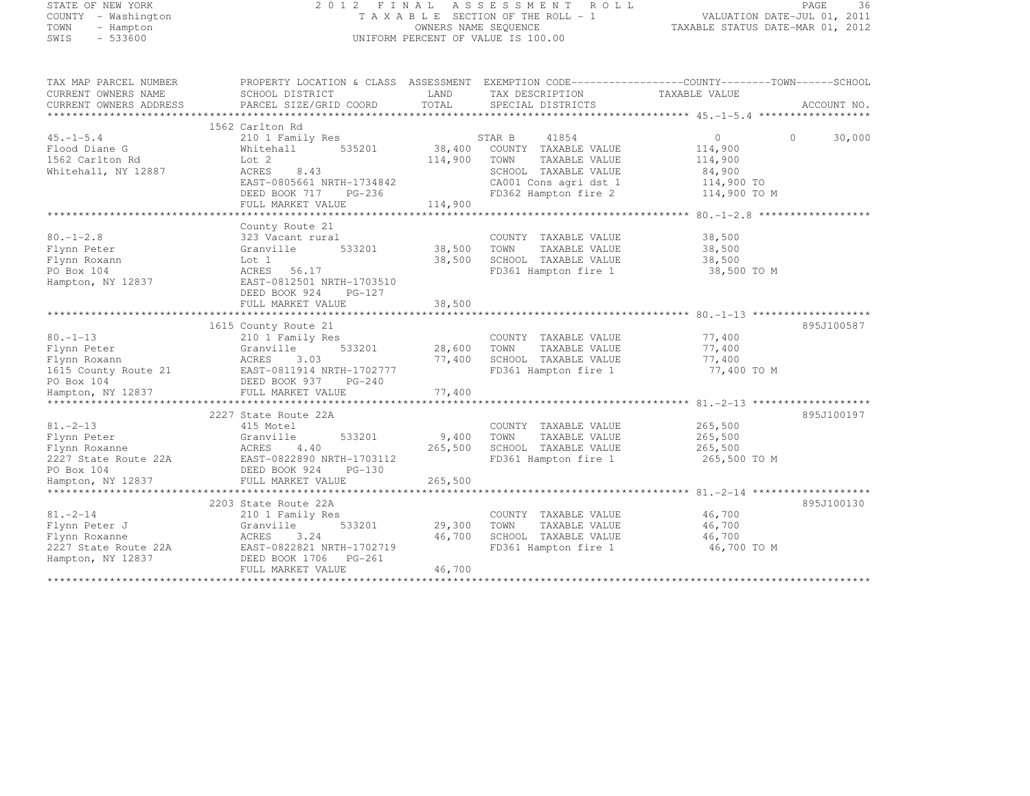# STATE OF NEW YORK 2 0 1 2 F I N A L A S S E S S M E N T R O L L PAGE <sup>36</sup> COUNTY - Washington T A X A B L E SECTION OF THE ROLL - 1 VALUATION DATE-JUL 01, 2011 TOWN - Hampton OWNERS NAME SEQUENCE TAXABLE STATUS DATE-MAR 01, 2012 SWIS - 533600 UNIFORM PERCENT OF VALUE IS 100.00

| TAX MAP PARCEL NUMBER  | PROPERTY LOCATION & CLASS ASSESSMENT EXEMPTION CODE---------------COUNTY-------TOWN-----SCHOOL |         |                             |                |                    |
|------------------------|------------------------------------------------------------------------------------------------|---------|-----------------------------|----------------|--------------------|
| CURRENT OWNERS NAME    | SCHOOL DISTRICT                                                                                | LAND    | TAX DESCRIPTION             | TAXABLE VALUE  |                    |
| CURRENT OWNERS ADDRESS | PARCEL SIZE/GRID COORD                                                                         | TOTAL   | SPECIAL DISTRICTS           |                | ACCOUNT NO.        |
|                        |                                                                                                |         |                             |                |                    |
|                        | 1562 Carlton Rd                                                                                |         |                             |                |                    |
| $45. -1 - 5.4$         | 210 1 Family Res                                                                               |         | 41854<br>STAR B             | $\overline{0}$ | 30,000<br>$\Omega$ |
| Flood Diane G          | 535201<br>Whitehall                                                                            | 38,400  | COUNTY TAXABLE VALUE        | 114,900        |                    |
| 1562 Carlton Rd        | Lot 2                                                                                          | 114,900 | TOWN<br>TAXABLE VALUE       | 114,900        |                    |
| Whitehall, NY 12887    | ACRES<br>8.43                                                                                  |         | SCHOOL TAXABLE VALUE        | 84,900         |                    |
|                        | EAST-0805661 NRTH-1734842                                                                      |         | CA001 Cons agri dst 1       | 114,900 TO     |                    |
|                        | DEED BOOK 717 PG-236                                                                           |         | FD362 Hampton fire 2        | 114,900 TO M   |                    |
|                        |                                                                                                |         |                             |                |                    |
|                        | FULL MARKET VALUE                                                                              | 114,900 |                             |                |                    |
|                        |                                                                                                |         |                             |                |                    |
|                        | County Route 21                                                                                |         |                             |                |                    |
| $80. - 1 - 2.8$        | 323 Vacant rural                                                                               |         | COUNTY TAXABLE VALUE        | 38,500         |                    |
| Flynn Peter            | 533201<br>Granville                                                                            | 38,500  | TOWN<br>TAXABLE VALUE       | 38,500         |                    |
| Flynn Roxann           | Lot 1                                                                                          | 38,500  | SCHOOL TAXABLE VALUE        | 38,500         |                    |
| PO Box 104             | ACRES 56.17                                                                                    |         | FD361 Hampton fire 1        | 38,500 TO M    |                    |
| Hampton, NY 12837      | EAST-0812501 NRTH-1703510                                                                      |         |                             |                |                    |
|                        | DEED BOOK 924<br>PG-127                                                                        |         |                             |                |                    |
|                        | FULL MARKET VALUE                                                                              | 38,500  |                             |                |                    |
|                        |                                                                                                |         |                             |                |                    |
|                        | 1615 County Route 21                                                                           |         |                             |                | 895J100587         |
| $80. - 1 - 13$         | 210 1 Family Res                                                                               |         | COUNTY TAXABLE VALUE        | 77,400         |                    |
| Flynn Peter            | 533201<br>Granville                                                                            | 28,600  | TAXABLE VALUE<br>TOWN       | 77,400         |                    |
| Flynn Roxann           | ACRES 3.03                                                                                     |         | 77,400 SCHOOL TAXABLE VALUE | 77,400         |                    |
|                        | 1615 County Route 21 EAST-0811914 NRTH-1702777                                                 |         | FD361 Hampton fire 1        | 77,400 TO M    |                    |
| PO Box 104             | DEED BOOK 937 PG-240                                                                           |         |                             |                |                    |
| Hampton, NY 12837      | FULL MARKET VALUE                                                                              | 77,400  |                             |                |                    |
|                        |                                                                                                |         |                             |                |                    |
|                        | 2227 State Route 22A                                                                           |         |                             |                | 895J100197         |
| $81, -2 - 13$          | 415 Motel                                                                                      |         | COUNTY TAXABLE VALUE        | 265,500        |                    |
|                        | 533201                                                                                         |         | TOWN                        |                |                    |
| Flynn Peter            | Granville                                                                                      | 9,400   | TAXABLE VALUE               | 265,500        |                    |
| Flynn Roxanne          | 4.40<br>ACRES<br>2227 State Route 22A EAST-0822890 NRTH-1703112                                | 265,500 | SCHOOL TAXABLE VALUE        | 265,500        |                    |
|                        |                                                                                                |         | FD361 Hampton fire 1        | 265,500 TO M   |                    |
| PO Box 104             | DEED BOOK 924<br>$PG-130$                                                                      |         |                             |                |                    |
| Hampton, NY 12837      | FULL MARKET VALUE                                                                              | 265,500 |                             |                |                    |
|                        |                                                                                                |         |                             |                |                    |
|                        | 2203 State Route 22A                                                                           |         |                             |                | 895J100130         |
| $81. - 2 - 14$         | 210 1 Family Res                                                                               |         | COUNTY TAXABLE VALUE        | 46,700         |                    |
| Flynn Peter J          | Granville<br>533201                                                                            | 29,300  | TAXABLE VALUE<br>TOWN       | 46,700         |                    |
| Flynn Roxanne          | 3.24<br>ACRES                                                                                  | 46,700  | SCHOOL TAXABLE VALUE        | 46,700         |                    |
| 2227 State Route 22A   | EAST-0822821 NRTH-1702719                                                                      |         | FD361 Hampton fire 1        | 46,700 TO M    |                    |
| Hampton, NY 12837      | DEED BOOK 1706 PG-261                                                                          |         |                             |                |                    |
|                        | FULL MARKET VALUE                                                                              | 46,700  |                             |                |                    |
|                        |                                                                                                |         |                             |                |                    |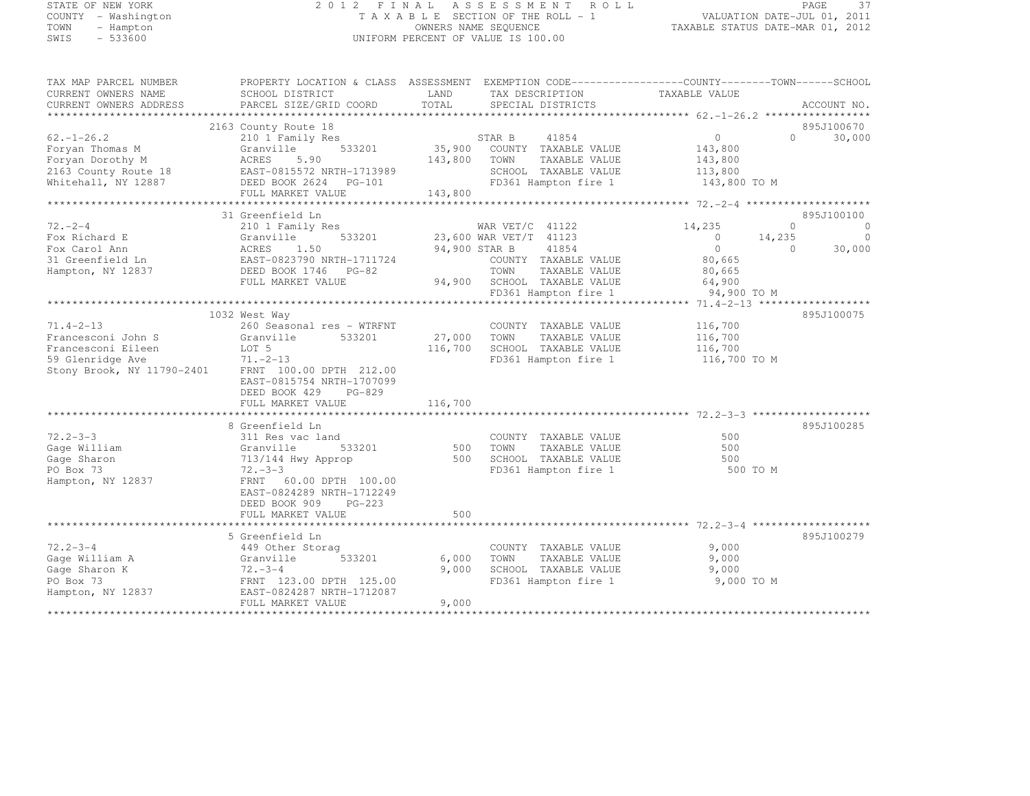# STATE OF NEW YORK 2 0 1 2 F I N A L A S S E S S M E N T R O L L PAGE <sup>37</sup> COUNTY - Washington T A X A B L E SECTION OF THE ROLL - 1 VALUATION DATE-JUL 01, 2011 TOWN - Hampton OWNERS NAME SEQUENCE TAXABLE STATUS DATE-MAR 01, 2012 SWIS - 533600 UNIFORM PERCENT OF VALUE IS 100.00

| TAX MAP PARCEL NUMBER<br>CURRENT OWNERS NAME<br>CURRENT OWNERS ADDRESS | PROPERTY LOCATION & CLASS ASSESSMENT EXEMPTION CODE----------------COUNTY-------TOWN------SCHOOL<br>SCHOOL DISTRICT<br>PARCEL SIZE/GRID COORD | LAND<br>TOTAL | TAX DESCRIPTION<br>SPECIAL DISTRICTS          | TAXABLE VALUE           |          | ACCOUNT NO. |
|------------------------------------------------------------------------|-----------------------------------------------------------------------------------------------------------------------------------------------|---------------|-----------------------------------------------|-------------------------|----------|-------------|
|                                                                        |                                                                                                                                               |               |                                               |                         |          |             |
|                                                                        | 2163 County Route 18                                                                                                                          |               |                                               |                         |          | 895J100670  |
| $62. - 1 - 26.2$                                                       | 210 1 Family Res                                                                                                                              |               | 41854<br>STAR B                               | $\overline{0}$          | $\Omega$ | 30,000      |
| Foryan Thomas M                                                        | 533201<br>Granville                                                                                                                           |               | 35,900 COUNTY TAXABLE VALUE                   | 143,800                 |          |             |
| Foryan Dorothy M                                                       | ACRES<br>5.90                                                                                                                                 | 143,800       | TOWN<br>TAXABLE VALUE                         | 143,800                 |          |             |
| 2163 County Route 18<br>Whitehall, NY 12887                            | EAST-0815572 NRTH-1713989<br>DEED BOOK 2624 PG-101                                                                                            |               | SCHOOL TAXABLE VALUE<br>FD361 Hampton fire 1  | 113,800<br>143,800 TO M |          |             |
|                                                                        | FULL MARKET VALUE                                                                                                                             | 143,800       |                                               |                         |          |             |
|                                                                        |                                                                                                                                               |               |                                               |                         |          |             |
|                                                                        | 31 Greenfield Ln                                                                                                                              |               |                                               |                         |          | 895J100100  |
| $72. -2 - 4$                                                           | 210 1 Family Res                                                                                                                              |               | WAR VET/C 41122                               | 14,235                  | $\Omega$ | $\circ$     |
| Fox Richard E                                                          | 533201<br>Granville                                                                                                                           |               | 23,600 WAR VET/T 41123                        | $\overline{0}$          | 14,235   | $\circ$     |
| Fox Carol Ann                                                          | 1.50<br>ACRES                                                                                                                                 | 94,900 STAR B | 41854                                         | $\overline{0}$          | $\Omega$ | 30,000      |
| 31 Greenfield Ln                                                       | EAST-0823790 NRTH-1711724                                                                                                                     |               | COUNTY TAXABLE VALUE                          | 80,665                  |          |             |
| Hampton, NY 12837                                                      | DEED BOOK 1746 PG-82                                                                                                                          |               | TOWN<br>TAXABLE VALUE                         | 80,665                  |          |             |
|                                                                        | FULL MARKET VALUE                                                                                                                             |               | 94,900 SCHOOL TAXABLE VALUE                   | 64,900                  |          |             |
|                                                                        |                                                                                                                                               |               | FD361 Hampton fire 1                          | 94,900 TO M             |          |             |
|                                                                        |                                                                                                                                               |               |                                               |                         |          |             |
|                                                                        | 1032 West Way                                                                                                                                 |               |                                               |                         |          | 895J100075  |
| $71.4 - 2 - 13$                                                        | 260 Seasonal res - WTRFNT                                                                                                                     |               | COUNTY TAXABLE VALUE                          | 116,700                 |          |             |
| Francesconi John S                                                     | 533201<br>Granville                                                                                                                           | 27,000        | TOWN<br>TAXABLE VALUE                         | 116,700                 |          |             |
| Francesconi Eileen                                                     | LOT 5                                                                                                                                         | 116,700       | SCHOOL TAXABLE VALUE                          | 116,700                 |          |             |
| 59 Glenridge Ave<br>Stony Brook, NY 11790-2401                         | $71. -2 - 13$<br>FRNT 100.00 DPTH 212.00                                                                                                      |               | FD361 Hampton fire 1                          | 116,700 TO M            |          |             |
|                                                                        | EAST-0815754 NRTH-1707099                                                                                                                     |               |                                               |                         |          |             |
|                                                                        | DEED BOOK 429<br>$PG-829$                                                                                                                     |               |                                               |                         |          |             |
|                                                                        | FULL MARKET VALUE                                                                                                                             | 116,700       |                                               |                         |          |             |
|                                                                        |                                                                                                                                               |               |                                               |                         |          |             |
|                                                                        | 8 Greenfield Ln                                                                                                                               |               |                                               |                         |          | 895J100285  |
| $72.2 - 3 - 3$                                                         | 311 Res vac land                                                                                                                              |               | COUNTY TAXABLE VALUE                          | 500                     |          |             |
| Gage William                                                           | 533201<br>Granville                                                                                                                           | 500           | TOWN<br>TAXABLE VALUE                         | 500                     |          |             |
| Gage Sharon                                                            | 713/144 Hwy Approp                                                                                                                            | 500           | SCHOOL TAXABLE VALUE                          | 500                     |          |             |
| PO Box 73                                                              | $72 - 3 - 3$                                                                                                                                  |               | FD361 Hampton fire 1                          | 500 TO M                |          |             |
| Hampton, NY 12837                                                      | FRNT 60.00 DPTH 100.00                                                                                                                        |               |                                               |                         |          |             |
|                                                                        | EAST-0824289 NRTH-1712249                                                                                                                     |               |                                               |                         |          |             |
|                                                                        | DEED BOOK 909<br>PG-223                                                                                                                       |               |                                               |                         |          |             |
|                                                                        | FULL MARKET VALUE                                                                                                                             | 500           |                                               |                         |          |             |
|                                                                        |                                                                                                                                               |               |                                               |                         |          |             |
| $72.2 - 3 - 4$                                                         | 5 Greenfield Ln                                                                                                                               |               |                                               | 9,000                   |          | 895J100279  |
| Gage William A                                                         | 449 Other Storag<br>533201<br>Granville                                                                                                       | 6,000         | COUNTY TAXABLE VALUE<br>TOWN<br>TAXABLE VALUE | 9,000                   |          |             |
| Gage Sharon K                                                          | $72. - 3 - 4$                                                                                                                                 | 9,000         | SCHOOL TAXABLE VALUE                          | 9,000                   |          |             |
| PO Box 73                                                              | FRNT 123.00 DPTH 125.00                                                                                                                       |               | FD361 Hampton fire 1                          | 9,000 TO M              |          |             |
| Hampton, NY 12837                                                      | EAST-0824287 NRTH-1712087                                                                                                                     |               |                                               |                         |          |             |
|                                                                        | FULL MARKET VALUE                                                                                                                             | 9,000         |                                               |                         |          |             |
|                                                                        |                                                                                                                                               |               |                                               |                         |          |             |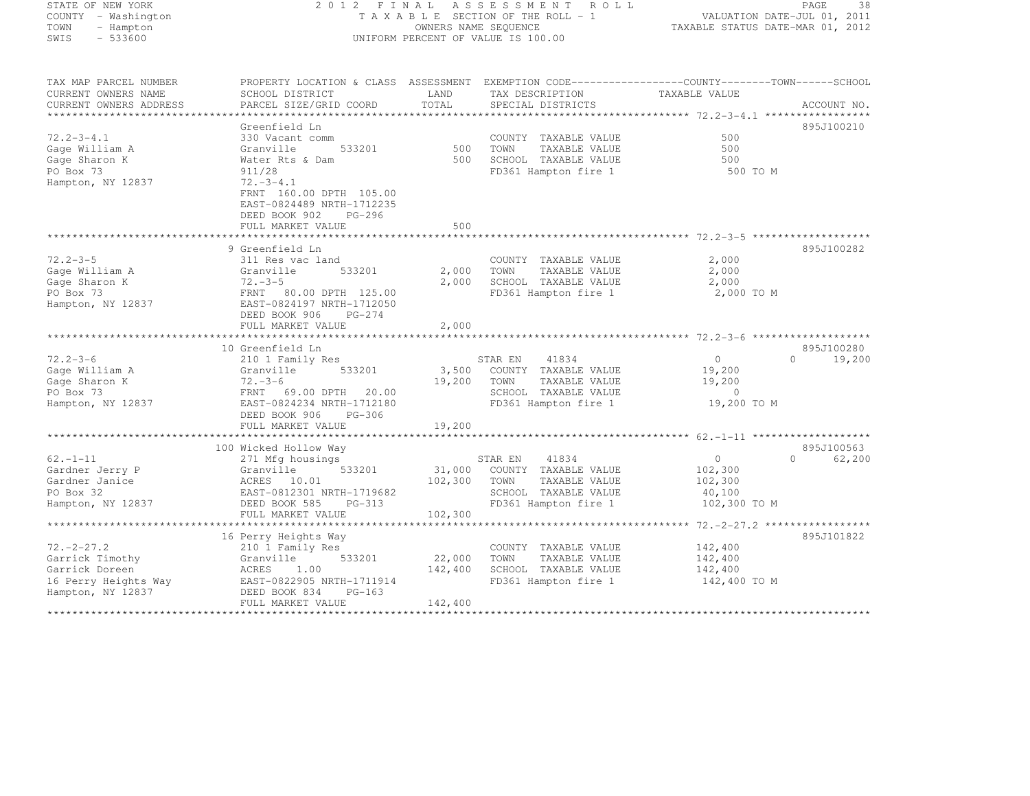| STATE OF NEW YORK |           |                     |  |
|-------------------|-----------|---------------------|--|
|                   |           | COUNTY - Washington |  |
| TOWN              |           | - Hampton           |  |
| SMTS              | $-533600$ |                     |  |

#### STATE OF NEW YORK 2 0 1 2 F I N A L A S S E S S M E N T R O L L PAGE <sup>38</sup> COUNTY - Washington T A X A B L E SECTION OF THE ROLL - 1 VALUATION DATE-JUL 01, 2011 TOWN - Hampton OWNERS NAME SEQUENCE TAXABLE STATUS DATE-MAR 01, 2012 SWIS - 533600 CONTROL CONTROL CONTROL UNIFORM PERCENT OF VALUE IS 100.00

| Greenfield Ln<br>895J100210<br>$72.2 - 3 - 4.1$<br>500<br>330 Vacant comm<br>COUNTY TAXABLE VALUE<br>Gage William A<br>Granville<br>533201<br>500<br>TOWN<br>500<br>TAXABLE VALUE<br>Gage Sharon K<br>Water Rts & Dam<br>500<br>SCHOOL TAXABLE VALUE<br>500<br>PO Box 73<br>911/28<br>FD361 Hampton fire 1<br>500 TO M<br>$72. - 3 - 4.1$<br>Hampton, NY 12837<br>FRNT 160.00 DPTH 105.00<br>EAST-0824489 NRTH-1712235<br>DEED BOOK 902<br>$PG-296$<br>500<br>FULL MARKET VALUE<br>9 Greenfield Ln<br>895J100282<br>$72.2 - 3 - 5$<br>2,000<br>311 Res vac land<br>COUNTY TAXABLE VALUE<br>533201<br>2,000<br>2,000<br>Granville<br>TOWN<br>TAXABLE VALUE<br>$72. - 3 - 5$<br>2,000<br>SCHOOL TAXABLE VALUE<br>2,000<br>FRNT<br>80.00 DPTH 125.00<br>FD361 Hampton fire 1<br>2,000 TO M<br>EAST-0824197 NRTH-1712050<br>DEED BOOK 906<br>$PG-274$<br>FULL MARKET VALUE<br>2,000<br>10 Greenfield Ln<br>895J100280<br>$72.2 - 3 - 6$<br>$\mathbf{0}$<br>$\Omega$<br>19,200<br>210 1 Family Res<br>STAR EN<br>41834<br>Gage William A<br>533201<br>3,500<br>COUNTY TAXABLE VALUE<br>19,200<br>Granville<br>Gage Sharon K<br>$72. - 3 - 6$<br>19,200<br>19,200<br>TOWN<br>TAXABLE VALUE<br>PO Box 73<br>SCHOOL TAXABLE VALUE<br>FRNT 69.00 DPTH 20.00<br>$\mathbf{0}$<br>FD361 Hampton fire 1<br>19,200 TO M<br>Hampton, NY 12837<br>EAST-0824234 NRTH-1712180<br>DEED BOOK 906<br>PG-306<br>19,200<br>FULL MARKET VALUE<br>100 Wicked Hollow Way<br>895J100563<br>$62. - 1 - 11$<br>$\circ$<br>271 Mfg housings<br>STAR EN<br>41834<br>$\Omega$<br>62,200<br>Gardner Jerry P<br>31,000<br>COUNTY TAXABLE VALUE<br>Granville<br>533201<br>102,300<br>ACRES 10.01<br>102,300<br>TOWN<br>TAXABLE VALUE<br>Gardner Janice<br>102,300<br>PO Box 32<br>EAST-0812301 NRTH-1719682<br>SCHOOL TAXABLE VALUE<br>40,100<br>102,300 TO M<br>DEED BOOK 585<br>PG-313<br>FD361 Hampton fire 1<br>102,300<br>FULL MARKET VALUE<br>895J101822<br>16 Perry Heights Way<br>$72. - 2 - 27.2$<br>142,400<br>210 1 Family Res<br>COUNTY TAXABLE VALUE<br>533201<br>22,000<br>TAXABLE VALUE<br>Granville<br>TOWN<br>142,400<br>1.00<br>142,400<br>SCHOOL TAXABLE VALUE<br>ACRES<br>142,400<br>EAST-0822905 NRTH-1711914<br>FD361 Hampton fire 1<br>142,400 TO M<br>DEED BOOK 834<br>$PG-163$ | TAX MAP PARCEL NUMBER<br>CURRENT OWNERS NAME<br>CURRENT OWNERS ADDRESS | PROPERTY LOCATION & CLASS ASSESSMENT<br>SCHOOL DISTRICT<br>PARCEL SIZE/GRID COORD | LAND<br>TOTAL | TAX DESCRIPTION<br>SPECIAL DISTRICTS | EXEMPTION CODE-----------------COUNTY--------TOWN------SCHOOL<br>TAXABLE VALUE | ACCOUNT NO. |
|----------------------------------------------------------------------------------------------------------------------------------------------------------------------------------------------------------------------------------------------------------------------------------------------------------------------------------------------------------------------------------------------------------------------------------------------------------------------------------------------------------------------------------------------------------------------------------------------------------------------------------------------------------------------------------------------------------------------------------------------------------------------------------------------------------------------------------------------------------------------------------------------------------------------------------------------------------------------------------------------------------------------------------------------------------------------------------------------------------------------------------------------------------------------------------------------------------------------------------------------------------------------------------------------------------------------------------------------------------------------------------------------------------------------------------------------------------------------------------------------------------------------------------------------------------------------------------------------------------------------------------------------------------------------------------------------------------------------------------------------------------------------------------------------------------------------------------------------------------------------------------------------------------------------------------------------------------------------------------------------------------------------------------------------------------------------------------------------------------------------------------------------------------------------------------------------------------------------------------------------------------------------|------------------------------------------------------------------------|-----------------------------------------------------------------------------------|---------------|--------------------------------------|--------------------------------------------------------------------------------|-------------|
|                                                                                                                                                                                                                                                                                                                                                                                                                                                                                                                                                                                                                                                                                                                                                                                                                                                                                                                                                                                                                                                                                                                                                                                                                                                                                                                                                                                                                                                                                                                                                                                                                                                                                                                                                                                                                                                                                                                                                                                                                                                                                                                                                                                                                                                                      |                                                                        |                                                                                   |               |                                      |                                                                                |             |
|                                                                                                                                                                                                                                                                                                                                                                                                                                                                                                                                                                                                                                                                                                                                                                                                                                                                                                                                                                                                                                                                                                                                                                                                                                                                                                                                                                                                                                                                                                                                                                                                                                                                                                                                                                                                                                                                                                                                                                                                                                                                                                                                                                                                                                                                      |                                                                        |                                                                                   |               |                                      |                                                                                |             |
|                                                                                                                                                                                                                                                                                                                                                                                                                                                                                                                                                                                                                                                                                                                                                                                                                                                                                                                                                                                                                                                                                                                                                                                                                                                                                                                                                                                                                                                                                                                                                                                                                                                                                                                                                                                                                                                                                                                                                                                                                                                                                                                                                                                                                                                                      |                                                                        |                                                                                   |               |                                      |                                                                                |             |
|                                                                                                                                                                                                                                                                                                                                                                                                                                                                                                                                                                                                                                                                                                                                                                                                                                                                                                                                                                                                                                                                                                                                                                                                                                                                                                                                                                                                                                                                                                                                                                                                                                                                                                                                                                                                                                                                                                                                                                                                                                                                                                                                                                                                                                                                      |                                                                        |                                                                                   |               |                                      |                                                                                |             |
|                                                                                                                                                                                                                                                                                                                                                                                                                                                                                                                                                                                                                                                                                                                                                                                                                                                                                                                                                                                                                                                                                                                                                                                                                                                                                                                                                                                                                                                                                                                                                                                                                                                                                                                                                                                                                                                                                                                                                                                                                                                                                                                                                                                                                                                                      |                                                                        |                                                                                   |               |                                      |                                                                                |             |
|                                                                                                                                                                                                                                                                                                                                                                                                                                                                                                                                                                                                                                                                                                                                                                                                                                                                                                                                                                                                                                                                                                                                                                                                                                                                                                                                                                                                                                                                                                                                                                                                                                                                                                                                                                                                                                                                                                                                                                                                                                                                                                                                                                                                                                                                      |                                                                        |                                                                                   |               |                                      |                                                                                |             |
|                                                                                                                                                                                                                                                                                                                                                                                                                                                                                                                                                                                                                                                                                                                                                                                                                                                                                                                                                                                                                                                                                                                                                                                                                                                                                                                                                                                                                                                                                                                                                                                                                                                                                                                                                                                                                                                                                                                                                                                                                                                                                                                                                                                                                                                                      |                                                                        |                                                                                   |               |                                      |                                                                                |             |
|                                                                                                                                                                                                                                                                                                                                                                                                                                                                                                                                                                                                                                                                                                                                                                                                                                                                                                                                                                                                                                                                                                                                                                                                                                                                                                                                                                                                                                                                                                                                                                                                                                                                                                                                                                                                                                                                                                                                                                                                                                                                                                                                                                                                                                                                      |                                                                        |                                                                                   |               |                                      |                                                                                |             |
|                                                                                                                                                                                                                                                                                                                                                                                                                                                                                                                                                                                                                                                                                                                                                                                                                                                                                                                                                                                                                                                                                                                                                                                                                                                                                                                                                                                                                                                                                                                                                                                                                                                                                                                                                                                                                                                                                                                                                                                                                                                                                                                                                                                                                                                                      |                                                                        |                                                                                   |               |                                      |                                                                                |             |
|                                                                                                                                                                                                                                                                                                                                                                                                                                                                                                                                                                                                                                                                                                                                                                                                                                                                                                                                                                                                                                                                                                                                                                                                                                                                                                                                                                                                                                                                                                                                                                                                                                                                                                                                                                                                                                                                                                                                                                                                                                                                                                                                                                                                                                                                      |                                                                        |                                                                                   |               |                                      |                                                                                |             |
|                                                                                                                                                                                                                                                                                                                                                                                                                                                                                                                                                                                                                                                                                                                                                                                                                                                                                                                                                                                                                                                                                                                                                                                                                                                                                                                                                                                                                                                                                                                                                                                                                                                                                                                                                                                                                                                                                                                                                                                                                                                                                                                                                                                                                                                                      |                                                                        |                                                                                   |               |                                      |                                                                                |             |
|                                                                                                                                                                                                                                                                                                                                                                                                                                                                                                                                                                                                                                                                                                                                                                                                                                                                                                                                                                                                                                                                                                                                                                                                                                                                                                                                                                                                                                                                                                                                                                                                                                                                                                                                                                                                                                                                                                                                                                                                                                                                                                                                                                                                                                                                      |                                                                        |                                                                                   |               |                                      |                                                                                |             |
|                                                                                                                                                                                                                                                                                                                                                                                                                                                                                                                                                                                                                                                                                                                                                                                                                                                                                                                                                                                                                                                                                                                                                                                                                                                                                                                                                                                                                                                                                                                                                                                                                                                                                                                                                                                                                                                                                                                                                                                                                                                                                                                                                                                                                                                                      |                                                                        |                                                                                   |               |                                      |                                                                                |             |
|                                                                                                                                                                                                                                                                                                                                                                                                                                                                                                                                                                                                                                                                                                                                                                                                                                                                                                                                                                                                                                                                                                                                                                                                                                                                                                                                                                                                                                                                                                                                                                                                                                                                                                                                                                                                                                                                                                                                                                                                                                                                                                                                                                                                                                                                      | Gage William A                                                         |                                                                                   |               |                                      |                                                                                |             |
|                                                                                                                                                                                                                                                                                                                                                                                                                                                                                                                                                                                                                                                                                                                                                                                                                                                                                                                                                                                                                                                                                                                                                                                                                                                                                                                                                                                                                                                                                                                                                                                                                                                                                                                                                                                                                                                                                                                                                                                                                                                                                                                                                                                                                                                                      | Gage Sharon K                                                          |                                                                                   |               |                                      |                                                                                |             |
|                                                                                                                                                                                                                                                                                                                                                                                                                                                                                                                                                                                                                                                                                                                                                                                                                                                                                                                                                                                                                                                                                                                                                                                                                                                                                                                                                                                                                                                                                                                                                                                                                                                                                                                                                                                                                                                                                                                                                                                                                                                                                                                                                                                                                                                                      | PO Box 73                                                              |                                                                                   |               |                                      |                                                                                |             |
|                                                                                                                                                                                                                                                                                                                                                                                                                                                                                                                                                                                                                                                                                                                                                                                                                                                                                                                                                                                                                                                                                                                                                                                                                                                                                                                                                                                                                                                                                                                                                                                                                                                                                                                                                                                                                                                                                                                                                                                                                                                                                                                                                                                                                                                                      | Hampton, NY 12837                                                      |                                                                                   |               |                                      |                                                                                |             |
|                                                                                                                                                                                                                                                                                                                                                                                                                                                                                                                                                                                                                                                                                                                                                                                                                                                                                                                                                                                                                                                                                                                                                                                                                                                                                                                                                                                                                                                                                                                                                                                                                                                                                                                                                                                                                                                                                                                                                                                                                                                                                                                                                                                                                                                                      |                                                                        |                                                                                   |               |                                      |                                                                                |             |
|                                                                                                                                                                                                                                                                                                                                                                                                                                                                                                                                                                                                                                                                                                                                                                                                                                                                                                                                                                                                                                                                                                                                                                                                                                                                                                                                                                                                                                                                                                                                                                                                                                                                                                                                                                                                                                                                                                                                                                                                                                                                                                                                                                                                                                                                      |                                                                        |                                                                                   |               |                                      |                                                                                |             |
|                                                                                                                                                                                                                                                                                                                                                                                                                                                                                                                                                                                                                                                                                                                                                                                                                                                                                                                                                                                                                                                                                                                                                                                                                                                                                                                                                                                                                                                                                                                                                                                                                                                                                                                                                                                                                                                                                                                                                                                                                                                                                                                                                                                                                                                                      |                                                                        |                                                                                   |               |                                      |                                                                                |             |
|                                                                                                                                                                                                                                                                                                                                                                                                                                                                                                                                                                                                                                                                                                                                                                                                                                                                                                                                                                                                                                                                                                                                                                                                                                                                                                                                                                                                                                                                                                                                                                                                                                                                                                                                                                                                                                                                                                                                                                                                                                                                                                                                                                                                                                                                      |                                                                        |                                                                                   |               |                                      |                                                                                |             |
|                                                                                                                                                                                                                                                                                                                                                                                                                                                                                                                                                                                                                                                                                                                                                                                                                                                                                                                                                                                                                                                                                                                                                                                                                                                                                                                                                                                                                                                                                                                                                                                                                                                                                                                                                                                                                                                                                                                                                                                                                                                                                                                                                                                                                                                                      |                                                                        |                                                                                   |               |                                      |                                                                                |             |
|                                                                                                                                                                                                                                                                                                                                                                                                                                                                                                                                                                                                                                                                                                                                                                                                                                                                                                                                                                                                                                                                                                                                                                                                                                                                                                                                                                                                                                                                                                                                                                                                                                                                                                                                                                                                                                                                                                                                                                                                                                                                                                                                                                                                                                                                      |                                                                        |                                                                                   |               |                                      |                                                                                |             |
|                                                                                                                                                                                                                                                                                                                                                                                                                                                                                                                                                                                                                                                                                                                                                                                                                                                                                                                                                                                                                                                                                                                                                                                                                                                                                                                                                                                                                                                                                                                                                                                                                                                                                                                                                                                                                                                                                                                                                                                                                                                                                                                                                                                                                                                                      |                                                                        |                                                                                   |               |                                      |                                                                                |             |
|                                                                                                                                                                                                                                                                                                                                                                                                                                                                                                                                                                                                                                                                                                                                                                                                                                                                                                                                                                                                                                                                                                                                                                                                                                                                                                                                                                                                                                                                                                                                                                                                                                                                                                                                                                                                                                                                                                                                                                                                                                                                                                                                                                                                                                                                      |                                                                        |                                                                                   |               |                                      |                                                                                |             |
|                                                                                                                                                                                                                                                                                                                                                                                                                                                                                                                                                                                                                                                                                                                                                                                                                                                                                                                                                                                                                                                                                                                                                                                                                                                                                                                                                                                                                                                                                                                                                                                                                                                                                                                                                                                                                                                                                                                                                                                                                                                                                                                                                                                                                                                                      |                                                                        |                                                                                   |               |                                      |                                                                                |             |
|                                                                                                                                                                                                                                                                                                                                                                                                                                                                                                                                                                                                                                                                                                                                                                                                                                                                                                                                                                                                                                                                                                                                                                                                                                                                                                                                                                                                                                                                                                                                                                                                                                                                                                                                                                                                                                                                                                                                                                                                                                                                                                                                                                                                                                                                      |                                                                        |                                                                                   |               |                                      |                                                                                |             |
|                                                                                                                                                                                                                                                                                                                                                                                                                                                                                                                                                                                                                                                                                                                                                                                                                                                                                                                                                                                                                                                                                                                                                                                                                                                                                                                                                                                                                                                                                                                                                                                                                                                                                                                                                                                                                                                                                                                                                                                                                                                                                                                                                                                                                                                                      |                                                                        |                                                                                   |               |                                      |                                                                                |             |
|                                                                                                                                                                                                                                                                                                                                                                                                                                                                                                                                                                                                                                                                                                                                                                                                                                                                                                                                                                                                                                                                                                                                                                                                                                                                                                                                                                                                                                                                                                                                                                                                                                                                                                                                                                                                                                                                                                                                                                                                                                                                                                                                                                                                                                                                      |                                                                        |                                                                                   |               |                                      |                                                                                |             |
|                                                                                                                                                                                                                                                                                                                                                                                                                                                                                                                                                                                                                                                                                                                                                                                                                                                                                                                                                                                                                                                                                                                                                                                                                                                                                                                                                                                                                                                                                                                                                                                                                                                                                                                                                                                                                                                                                                                                                                                                                                                                                                                                                                                                                                                                      |                                                                        |                                                                                   |               |                                      |                                                                                |             |
|                                                                                                                                                                                                                                                                                                                                                                                                                                                                                                                                                                                                                                                                                                                                                                                                                                                                                                                                                                                                                                                                                                                                                                                                                                                                                                                                                                                                                                                                                                                                                                                                                                                                                                                                                                                                                                                                                                                                                                                                                                                                                                                                                                                                                                                                      |                                                                        |                                                                                   |               |                                      |                                                                                |             |
|                                                                                                                                                                                                                                                                                                                                                                                                                                                                                                                                                                                                                                                                                                                                                                                                                                                                                                                                                                                                                                                                                                                                                                                                                                                                                                                                                                                                                                                                                                                                                                                                                                                                                                                                                                                                                                                                                                                                                                                                                                                                                                                                                                                                                                                                      |                                                                        |                                                                                   |               |                                      |                                                                                |             |
|                                                                                                                                                                                                                                                                                                                                                                                                                                                                                                                                                                                                                                                                                                                                                                                                                                                                                                                                                                                                                                                                                                                                                                                                                                                                                                                                                                                                                                                                                                                                                                                                                                                                                                                                                                                                                                                                                                                                                                                                                                                                                                                                                                                                                                                                      |                                                                        |                                                                                   |               |                                      |                                                                                |             |
|                                                                                                                                                                                                                                                                                                                                                                                                                                                                                                                                                                                                                                                                                                                                                                                                                                                                                                                                                                                                                                                                                                                                                                                                                                                                                                                                                                                                                                                                                                                                                                                                                                                                                                                                                                                                                                                                                                                                                                                                                                                                                                                                                                                                                                                                      | Hampton, NY 12837                                                      |                                                                                   |               |                                      |                                                                                |             |
|                                                                                                                                                                                                                                                                                                                                                                                                                                                                                                                                                                                                                                                                                                                                                                                                                                                                                                                                                                                                                                                                                                                                                                                                                                                                                                                                                                                                                                                                                                                                                                                                                                                                                                                                                                                                                                                                                                                                                                                                                                                                                                                                                                                                                                                                      |                                                                        |                                                                                   |               |                                      |                                                                                |             |
|                                                                                                                                                                                                                                                                                                                                                                                                                                                                                                                                                                                                                                                                                                                                                                                                                                                                                                                                                                                                                                                                                                                                                                                                                                                                                                                                                                                                                                                                                                                                                                                                                                                                                                                                                                                                                                                                                                                                                                                                                                                                                                                                                                                                                                                                      |                                                                        |                                                                                   |               |                                      |                                                                                |             |
|                                                                                                                                                                                                                                                                                                                                                                                                                                                                                                                                                                                                                                                                                                                                                                                                                                                                                                                                                                                                                                                                                                                                                                                                                                                                                                                                                                                                                                                                                                                                                                                                                                                                                                                                                                                                                                                                                                                                                                                                                                                                                                                                                                                                                                                                      |                                                                        |                                                                                   |               |                                      |                                                                                |             |
|                                                                                                                                                                                                                                                                                                                                                                                                                                                                                                                                                                                                                                                                                                                                                                                                                                                                                                                                                                                                                                                                                                                                                                                                                                                                                                                                                                                                                                                                                                                                                                                                                                                                                                                                                                                                                                                                                                                                                                                                                                                                                                                                                                                                                                                                      |                                                                        |                                                                                   |               |                                      |                                                                                |             |
|                                                                                                                                                                                                                                                                                                                                                                                                                                                                                                                                                                                                                                                                                                                                                                                                                                                                                                                                                                                                                                                                                                                                                                                                                                                                                                                                                                                                                                                                                                                                                                                                                                                                                                                                                                                                                                                                                                                                                                                                                                                                                                                                                                                                                                                                      | Garrick Timothy                                                        |                                                                                   |               |                                      |                                                                                |             |
|                                                                                                                                                                                                                                                                                                                                                                                                                                                                                                                                                                                                                                                                                                                                                                                                                                                                                                                                                                                                                                                                                                                                                                                                                                                                                                                                                                                                                                                                                                                                                                                                                                                                                                                                                                                                                                                                                                                                                                                                                                                                                                                                                                                                                                                                      | Garrick Doreen                                                         |                                                                                   |               |                                      |                                                                                |             |
|                                                                                                                                                                                                                                                                                                                                                                                                                                                                                                                                                                                                                                                                                                                                                                                                                                                                                                                                                                                                                                                                                                                                                                                                                                                                                                                                                                                                                                                                                                                                                                                                                                                                                                                                                                                                                                                                                                                                                                                                                                                                                                                                                                                                                                                                      | 16 Perry Heights Way                                                   |                                                                                   |               |                                      |                                                                                |             |
|                                                                                                                                                                                                                                                                                                                                                                                                                                                                                                                                                                                                                                                                                                                                                                                                                                                                                                                                                                                                                                                                                                                                                                                                                                                                                                                                                                                                                                                                                                                                                                                                                                                                                                                                                                                                                                                                                                                                                                                                                                                                                                                                                                                                                                                                      | Hampton, NY 12837                                                      |                                                                                   |               |                                      |                                                                                |             |
| **********************                                                                                                                                                                                                                                                                                                                                                                                                                                                                                                                                                                                                                                                                                                                                                                                                                                                                                                                                                                                                                                                                                                                                                                                                                                                                                                                                                                                                                                                                                                                                                                                                                                                                                                                                                                                                                                                                                                                                                                                                                                                                                                                                                                                                                                               |                                                                        | FULL MARKET VALUE                                                                 | 142,400       |                                      |                                                                                |             |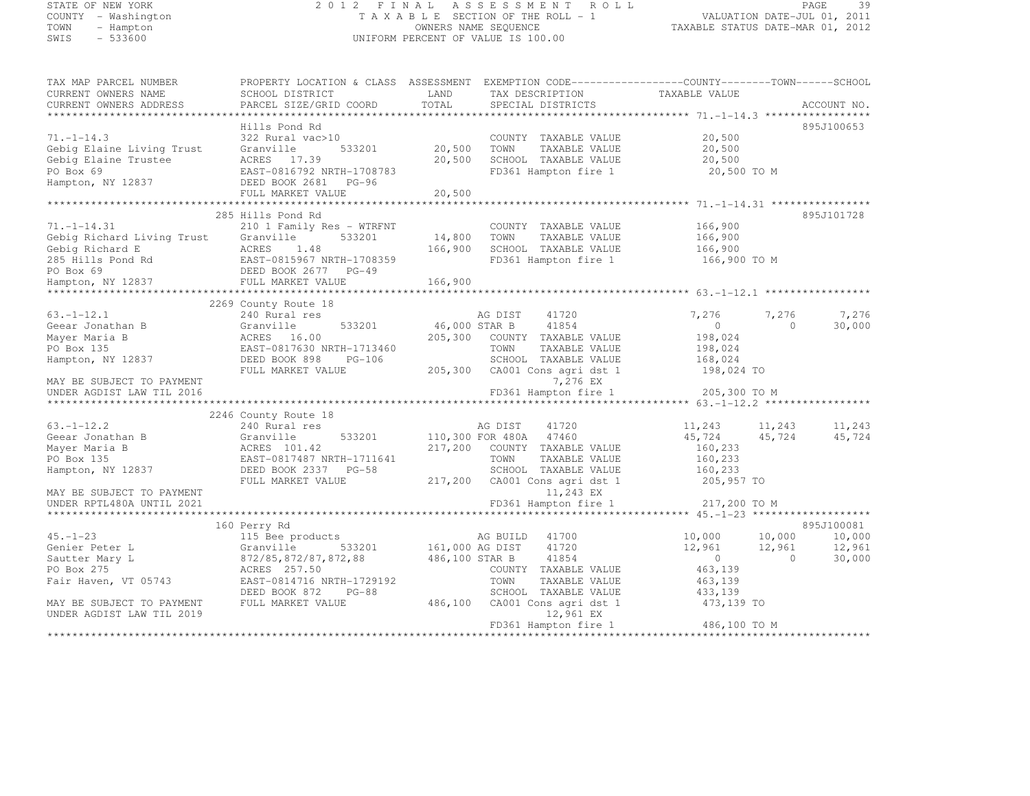# STATE OF NEW YORK 2 0 1 2 F I N A L A S S E S S M E N T R O L L PAGE <sup>39</sup> COUNTY - Washington T A X A B L E SECTION OF THE ROLL - 1 VALUATION DATE-JUL 01, 2011 TOWN - Hampton OWNERS NAME SEQUENCE TAXABLE STATUS DATE-MAR 01, 2012 SWIS - 533600 UNIFORM PERCENT OF VALUE IS 100.00

TAX MAP PARCEL NUMBER PROPERTY LOCATION & CLASS ASSESSMENT EXEMPTION CODE------------------COUNTY--------TOWN------SCHOOL

| CURRENT OWNERS NAME                  | SCHOOL DISTRICT                         | LAND                     | TAX DESCRIPTION                               | TAXABLE VALUE    |                  |                  |
|--------------------------------------|-----------------------------------------|--------------------------|-----------------------------------------------|------------------|------------------|------------------|
| CURRENT OWNERS ADDRESS               | PARCEL SIZE/GRID COORD                  | TOTAL<br>*************** | SPECIAL DISTRICTS                             |                  |                  | ACCOUNT NO.      |
|                                      |                                         |                          |                                               |                  |                  |                  |
| $71. - 1 - 14.3$                     | Hills Pond Rd                           |                          |                                               |                  |                  | 895J100653       |
| Gebig Elaine Living Trust            | 322 Rural vac>10<br>Granville<br>533201 | 20,500                   | COUNTY TAXABLE VALUE<br>TOWN<br>TAXABLE VALUE | 20,500<br>20,500 |                  |                  |
| Gebig Elaine Trustee                 | ACRES 17.39                             | 20,500                   | SCHOOL TAXABLE VALUE                          | 20,500           |                  |                  |
| PO Box 69                            | EAST-0816792 NRTH-1708783               |                          | FD361 Hampton fire 1                          | 20,500 TO M      |                  |                  |
| Hampton, NY 12837                    | DEED BOOK 2681<br>$PG-96$               |                          |                                               |                  |                  |                  |
|                                      | FULL MARKET VALUE                       | 20,500                   |                                               |                  |                  |                  |
|                                      |                                         | ************             |                                               |                  |                  |                  |
|                                      | 285 Hills Pond Rd                       |                          |                                               |                  |                  | 895J101728       |
| $71. - 1 - 14.31$                    | 210 1 Family Res - WTRFNT               |                          | COUNTY TAXABLE VALUE                          | 166,900          |                  |                  |
| Gebig Richard Living Trust           | 533201<br>Granville                     | 14,800                   | TOWN<br>TAXABLE VALUE                         | 166,900          |                  |                  |
| Gebig Richard E                      | ACRES<br>1.48                           | 166,900                  | SCHOOL TAXABLE VALUE                          | 166,900          |                  |                  |
| 285 Hills Pond Rd                    | EAST-0815967 NRTH-1708359               |                          | FD361 Hampton fire 1                          | 166,900 TO M     |                  |                  |
| PO Box 69                            | DEED BOOK 2677<br>$PG-49$               |                          |                                               |                  |                  |                  |
| Hampton, NY 12837                    | FULL MARKET VALUE                       | 166,900                  |                                               |                  |                  |                  |
|                                      | *****************************           |                          |                                               |                  |                  |                  |
|                                      | 2269 County Route 18                    |                          |                                               |                  |                  |                  |
| $63. - 1 - 12.1$                     | 240 Rural res                           |                          | 41720<br>AG DIST                              | 7,276            | 7,276            | 7,276            |
| Geear Jonathan B                     | Granville<br>533201                     | 46,000 STAR B            | 41854                                         | $\circ$          | $\Omega$         | 30,000           |
| Mayer Maria B                        | ACRES 16.00                             | 205,300                  | COUNTY TAXABLE VALUE                          | 198,024          |                  |                  |
| PO Box 135                           | EAST-0817630 NRTH-1713460               |                          | TAXABLE VALUE<br>TOWN                         | 198,024          |                  |                  |
| Hampton, NY 12837                    | DEED BOOK 898<br>$PG-106$               |                          | SCHOOL TAXABLE VALUE                          | 168,024          |                  |                  |
|                                      | FULL MARKET VALUE                       | 205,300                  | CA001 Cons agri dst 1                         | 198,024 TO       |                  |                  |
| MAY BE SUBJECT TO PAYMENT            |                                         |                          | 7,276 EX                                      |                  |                  |                  |
| UNDER AGDIST LAW TIL 2016            |                                         |                          | FD361 Hampton fire 1                          | 205,300 TO M     |                  |                  |
|                                      |                                         |                          |                                               |                  |                  |                  |
|                                      | 2246 County Route 18                    |                          |                                               |                  |                  |                  |
| $63, -1 - 12, 2$<br>Geear Jonathan B | 240 Rural res<br>Granville              |                          | AG DIST<br>41720<br>47460                     | 11,243<br>45,724 | 11,243<br>45,724 | 11,243<br>45,724 |
| Mayer Maria B                        | 533201<br>ACRES 101.42                  | 217,200                  | 110,300 FOR 480A<br>COUNTY TAXABLE VALUE      | 160,233          |                  |                  |
| PO Box 135                           | EAST-0817487 NRTH-1711641               |                          | TOWN<br>TAXABLE VALUE                         | 160,233          |                  |                  |
| Hampton, NY 12837                    | DEED BOOK 2337 PG-58                    |                          | SCHOOL TAXABLE VALUE                          | 160,233          |                  |                  |
|                                      | FULL MARKET VALUE                       | 217,200                  | CA001 Cons agri dst 1                         | 205,957 TO       |                  |                  |
| MAY BE SUBJECT TO PAYMENT            |                                         |                          | 11,243 EX                                     |                  |                  |                  |
| UNDER RPTL480A UNTIL 2021            |                                         |                          | FD361 Hampton fire 1                          | 217,200 TO M     |                  |                  |
|                                      |                                         |                          |                                               |                  |                  |                  |
|                                      | 160 Perry Rd                            |                          |                                               |                  |                  | 895J100081       |
| $45. - 1 - 23$                       | 115 Bee products                        |                          | AG BUILD<br>41700                             | 10,000           | 10,000           | 10,000           |
| Genier Peter L                       | 533201<br>Granville                     | 161,000 AG DIST          | 41720                                         | 12,961           | 12,961           | 12,961           |
| Sautter Mary L                       | 872/85, 872/87, 872, 88                 | 486,100 STAR B           | 41854                                         | $\bigcirc$       | $\Omega$         | 30,000           |
| PO Box 275                           | ACRES 257.50                            |                          | COUNTY TAXABLE VALUE                          | 463,139          |                  |                  |
| Fair Haven, VT 05743                 | EAST-0814716 NRTH-1729192               |                          | TOWN<br>TAXABLE VALUE                         | 463,139          |                  |                  |
|                                      | DEED BOOK 872<br>$PG-88$                |                          | SCHOOL TAXABLE VALUE                          | 433,139          |                  |                  |
| MAY BE SUBJECT TO PAYMENT            | FULL MARKET VALUE                       | 486,100                  | CA001 Cons agri dst 1                         | 473,139 TO       |                  |                  |
| UNDER AGDIST LAW TIL 2019            |                                         |                          | 12,961 EX                                     |                  |                  |                  |
|                                      |                                         |                          | FD361 Hampton fire 1                          | 486,100 TO M     |                  |                  |
|                                      |                                         |                          |                                               |                  |                  |                  |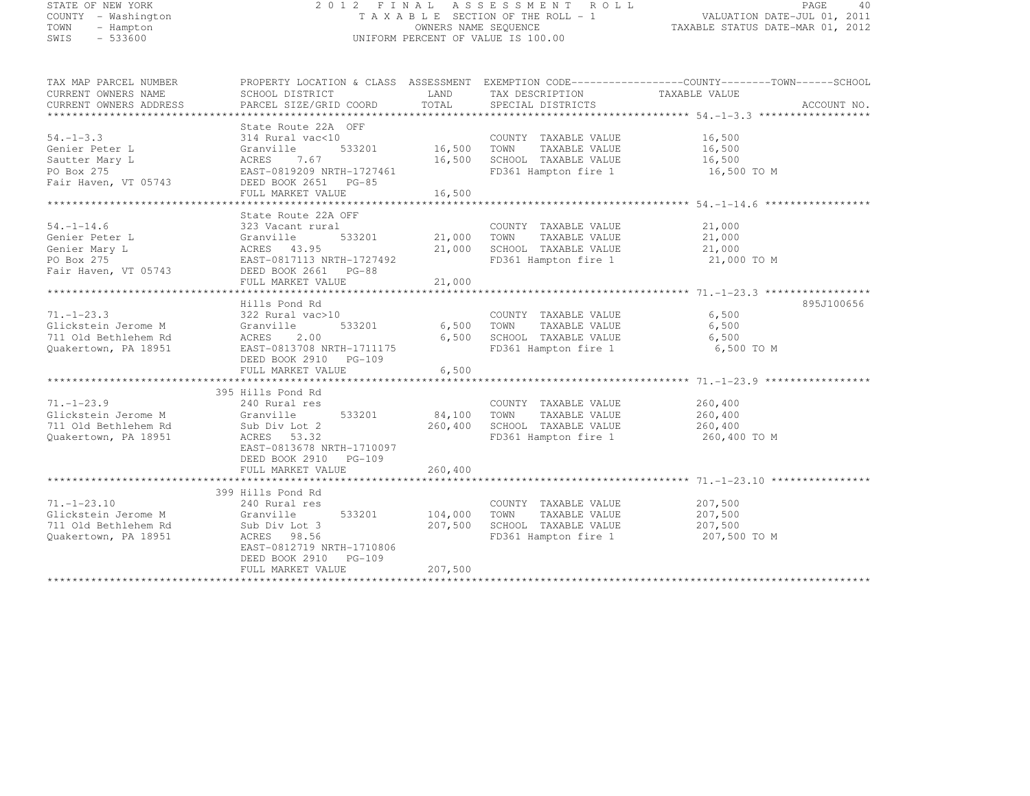| STATE OF NEW YORK<br>COUNTY - Washington<br>TOWN<br>- Hampton<br>$-533600$<br>SWIS        |                                                                                                                                                                                        | OWNERS NAME SEQUENCE         | 2012 FINAL ASSESSMENT ROLL<br>TAXABLE SECTION OF THE ROLL - 1<br>UNIFORM PERCENT OF VALUE IS 100.00    | PAGE<br>40<br>VALUATION DATE-JUL 01, 2011<br>TAXABLE STATUS DATE-MAR 01, 2012                                  |
|-------------------------------------------------------------------------------------------|----------------------------------------------------------------------------------------------------------------------------------------------------------------------------------------|------------------------------|--------------------------------------------------------------------------------------------------------|----------------------------------------------------------------------------------------------------------------|
| TAX MAP PARCEL NUMBER<br>CURRENT OWNERS NAME<br>CURRENT OWNERS ADDRESS                    | SCHOOL DISTRICT<br>PARCEL SIZE/GRID COORD                                                                                                                                              | LAND<br>TOTAL                | TAX DESCRIPTION TAXABLE VALUE<br>SPECIAL DISTRICTS                                                     | PROPERTY LOCATION & CLASS ASSESSMENT EXEMPTION CODE----------------COUNTY-------TOWN-----SCHOOL<br>ACCOUNT NO. |
| $54. - 1 - 3.3$<br>Genier Peter L<br>Sautter Mary L<br>PO Box 275<br>Fair Haven, VT 05743 | State Route 22A OFF<br>314 Rural vac<10<br>Granville 533201<br>ACRES 7.67<br>EAST-0819209 NRTH-1727461<br>--011 0551 PC-85<br>DEED BOOK 2651 PG-85<br>FULL MARKET VALUE                | 16,500<br>16,500<br>16,500   | COUNTY TAXABLE VALUE<br>TOWN TAXABLE VALUE<br>SCHOOL TAXABLE VALUE<br>FD361 Hampton fire 1             | 16,500<br>16,500<br>16,500<br>16,500 TO M                                                                      |
| 54. $-1$ –14.6<br>Genier Peter L<br>Genier Mary L<br>PO Box 275<br>Fair Haven, VT 05743   | State Route 22A OFF<br>323 Vacant rural<br>Granville 533201<br>ACRES 43.95<br>EAST-0817113 NRTH-1727492<br>DEED BOOK 2661 PG-88<br>DEED BOOK 2661 PG-88<br>533201<br>FULL MARKET VALUE | 21,000<br>21,000<br>21,000   | COUNTY TAXABLE VALUE<br>TOWN TAXABLE VALUE<br>SCHOOL TAXABLE VALUE<br>FD361 Hampton fire 1             | 21,000<br>21,000<br>21,000<br>21,000 TO M                                                                      |
| 71.-1-23.3<br>Glickstein Jerome M<br>711 Old Bethlehem Rd<br>Quakertown, PA 18951         | Hills Pond Rd<br>322 Rural vac>10<br>Granville<br>533201<br><b>ACRES</b><br>2.00<br>EAST-0813708 NRTH-1711175<br>DEED BOOK 2910 PG-109<br>FULL MARKET VALUE                            | 6,500                        | COUNTY TAXABLE VALUE<br>6,500 TOWN TAXABLE VALUE<br>6,500 SCHOOL TAXABLE VALUE<br>FD361 Hampton fire 1 | 895J100656<br>6,500<br>6,500<br>6,500<br>6,500 TO M                                                            |
| $71. - 1 - 23.9$<br>Glickstein Jerome M<br>711 Old Bethlehem Rd<br>Quakertown, PA 18951   | 395 Hills Pond Rd<br>240 Rural res<br>Granville<br>533201<br>Sub Div Lot 2<br>ACRES 53.32<br>EAST-0813678 NRTH-1710097<br>DEED BOOK 2910 PG-109<br>FULL MARKET VALUE                   | 84,100<br>260,400<br>260,400 | COUNTY TAXABLE VALUE<br>TOWN<br>TAXABLE VALUE<br>SCHOOL TAXABLE VALUE<br>FD361 Hampton fire 1          | 260,400<br>260,400<br>260,400<br>260,400 TO M                                                                  |
| 71.-1-23.10<br>Glickstein Jerome M<br>711 Old Bethlehem Rd<br>Quakertown, PA 18951        | 399 Hills Pond Rd<br>240 Rural res<br>Granville<br>533201<br>Sub Div Lot 3<br>ACRES 98.56<br>EAST-0812719 NRTH-1710806<br>DEED BOOK 2910 PG-109                                        | 104,000<br>207,500           | COUNTY TAXABLE VALUE<br>TOWN<br>TAXABLE VALUE<br>SCHOOL TAXABLE VALUE<br>FD361 Hampton fire 1          | 207,500<br>207,500<br>207,500<br>207,500 TO M                                                                  |

FULL MARKET VALUE 207,500 \*\*\*\*\*\*\*\*\*\*\*\*\*\*\*\*\*\*\*\*\*\*\*\*\*\*\*\*\*\*\*\*\*\*\*\*\*\*\*\*\*\*\*\*\*\*\*\*\*\*\*\*\*\*\*\*\*\*\*\*\*\*\*\*\*\*\*\*\*\*\*\*\*\*\*\*\*\*\*\*\*\*\*\*\*\*\*\*\*\*\*\*\*\*\*\*\*\*\*\*\*\*\*\*\*\*\*\*\*\*\*\*\*\*\*\*\*\*\*\*\*\*\*\*\*\*\*\*\*\*\*\*

DEED BOOK 2910 PG-109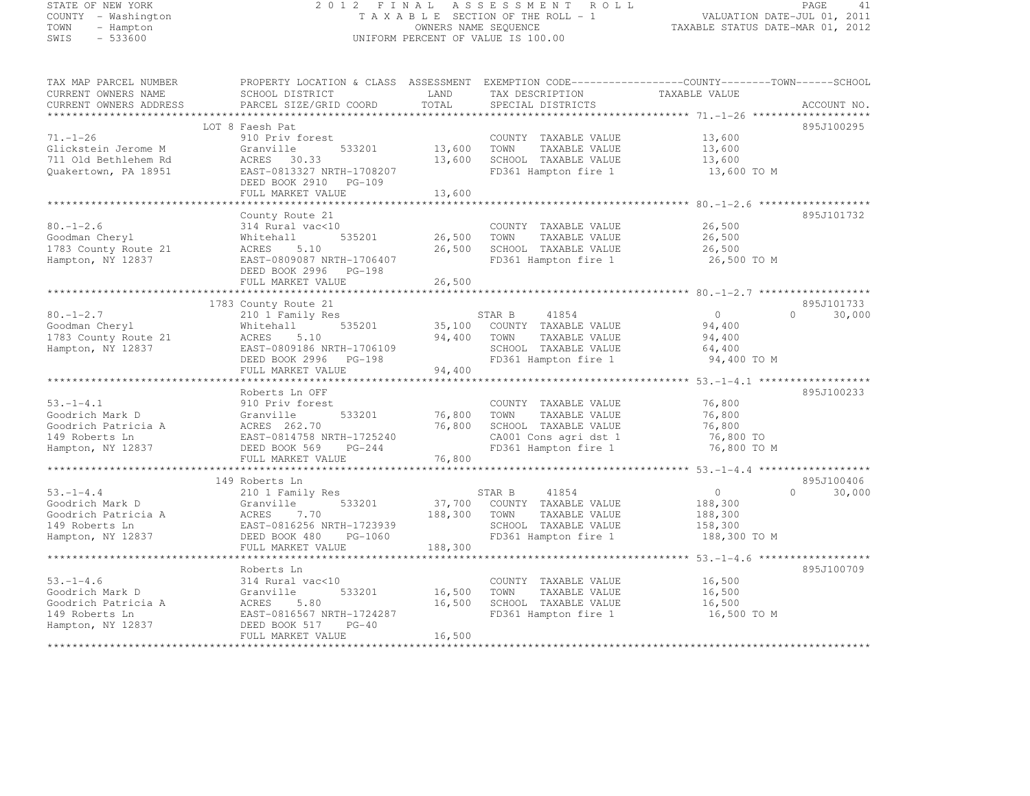# STATE OF NEW YORK 2 0 1 2 F I N A L A S S E S S M E N T R O L L PAGE <sup>41</sup> COUNTY - Washington T A X A B L E SECTION OF THE ROLL - 1 VALUATION DATE-JUL 01, 2011 TOWN - Hampton OWNERS NAME SEQUENCE TAXABLE STATUS DATE-MAR 01, 2012 SWIS - 533600 UNIFORM PERCENT OF VALUE IS 100.00

| TAX MAP PARCEL NUMBER<br>CURRENT OWNERS NAME<br>CURRENT OWNERS ADDRESS | SCHOOL DISTRICT<br>PARCEL SIZE/GRID COORD   | LAND<br>TOTAL | TAX DESCRIPTION<br>SPECIAL DISTRICTS | PROPERTY LOCATION & CLASS ASSESSMENT EXEMPTION CODE----------------COUNTY-------TOWN-----SCHOOL<br>TAXABLE VALUE | ACCOUNT NO. |
|------------------------------------------------------------------------|---------------------------------------------|---------------|--------------------------------------|------------------------------------------------------------------------------------------------------------------|-------------|
|                                                                        |                                             |               |                                      |                                                                                                                  |             |
|                                                                        | LOT 8 Faesh Pat                             |               |                                      |                                                                                                                  | 895J100295  |
| $71. - 1 - 26$                                                         | 910 Priv forest                             |               | COUNTY TAXABLE VALUE                 | 13,600                                                                                                           |             |
| Glickstein Jerome M                                                    | 533201<br>Granville                         | 13,600        | TOWN<br>TAXABLE VALUE                | 13,600                                                                                                           |             |
| 711 Old Bethlehem Rd                                                   | ACRES 30.33                                 | 13,600        | SCHOOL TAXABLE VALUE                 | 13,600                                                                                                           |             |
| Quakertown, PA 18951                                                   | EAST-0813327 NRTH-1708207                   |               | FD361 Hampton fire 1                 | 13,600 TO M                                                                                                      |             |
|                                                                        | DEED BOOK 2910 PG-109                       |               |                                      |                                                                                                                  |             |
|                                                                        | FULL MARKET VALUE                           | 13,600        |                                      |                                                                                                                  |             |
|                                                                        |                                             |               |                                      |                                                                                                                  |             |
|                                                                        | County Route 21                             |               |                                      |                                                                                                                  | 895J101732  |
| $80. - 1 - 2.6$                                                        | 314 Rural vac<10                            |               | COUNTY TAXABLE VALUE                 | 26,500                                                                                                           |             |
| Goodman Cheryl                                                         | Whitehall<br>535201                         | 26,500        | TAXABLE VALUE<br>TOWN                | 26,500                                                                                                           |             |
| 1783 County Route 21                                                   | 5.10<br>ACRES                               | 26,500        | SCHOOL TAXABLE VALUE                 | 26,500                                                                                                           |             |
| Hampton, NY 12837                                                      | EAST-0809087 NRTH-1706407                   |               | FD361 Hampton fire 1                 | 26,500 TO M                                                                                                      |             |
|                                                                        | DEED BOOK 2996 PG-198                       |               |                                      |                                                                                                                  |             |
|                                                                        | FULL MARKET VALUE                           | 26,500        |                                      |                                                                                                                  |             |
|                                                                        |                                             |               |                                      |                                                                                                                  |             |
|                                                                        | 1783 County Route 21                        |               |                                      |                                                                                                                  | 895J101733  |
| $80. - 1 - 2.7$                                                        | 210 1 Family Res                            |               | STAR B<br>41854                      | $\circ$<br>$\Omega$                                                                                              | 30,000      |
| Goodman Cheryl                                                         | 535201<br>Whitehall                         | 35,100        | COUNTY TAXABLE VALUE                 | 94,400                                                                                                           |             |
| 1783 County Route 21                                                   | 5.10<br>ACRES                               | 94,400        | TOWN<br>TAXABLE VALUE                | 94,400                                                                                                           |             |
| Hampton, NY 12837                                                      | EAST-0809186 NRTH-1706109                   |               | SCHOOL TAXABLE VALUE                 | 64,400                                                                                                           |             |
|                                                                        | DEED BOOK 2996 PG-198                       |               | FD361 Hampton fire 1                 | 94,400 TO M                                                                                                      |             |
|                                                                        | FULL MARKET VALUE                           | 94,400        |                                      |                                                                                                                  |             |
|                                                                        |                                             |               |                                      |                                                                                                                  |             |
|                                                                        | Roberts Ln OFF                              |               |                                      |                                                                                                                  | 895J100233  |
| $53. - 1 - 4.1$                                                        | 910 Priv forest                             |               | COUNTY TAXABLE VALUE                 | 76,800                                                                                                           |             |
| Goodrich Mark D                                                        | 533201<br>Granville                         | 76,800        | TOWN<br>TAXABLE VALUE                | 76,800                                                                                                           |             |
| Goodrich Patricia A                                                    | ACRES 262.70                                | 76,800        | SCHOOL TAXABLE VALUE                 | 76,800                                                                                                           |             |
| 149 Roberts Ln                                                         | EAST-0814758 NRTH-1725240                   |               | CA001 Cons agri dst 1                | 76,800 TO                                                                                                        |             |
| Hampton, NY 12837                                                      | DEED BOOK 569<br>$PG-244$                   |               | FD361 Hampton fire 1                 | 76,800 TO M                                                                                                      |             |
|                                                                        | FULL MARKET VALUE                           | 76,800        |                                      |                                                                                                                  |             |
|                                                                        |                                             |               |                                      |                                                                                                                  |             |
|                                                                        | 149 Roberts Ln                              |               |                                      |                                                                                                                  | 895J100406  |
| $53. - 1 - 4.4$                                                        |                                             |               | 41854<br>STAR B                      | $\circ$<br>$\Omega$                                                                                              | 30,000      |
| Goodrich Mark D                                                        | 210 1 Family Res<br>533201<br>Granville     | 37,700        | COUNTY TAXABLE VALUE                 | 188,300                                                                                                          |             |
|                                                                        | ACRES<br>7.70                               | 188,300       | TOWN                                 |                                                                                                                  |             |
| Goodrich Patricia A                                                    |                                             |               | TAXABLE VALUE                        | 188,300                                                                                                          |             |
| 149 Roberts Ln                                                         | EAST-0816256 NRTH-1723939                   |               | SCHOOL TAXABLE VALUE                 | 158,300                                                                                                          |             |
| Hampton, NY 12837                                                      | DEED BOOK 480<br>PG-1060                    |               | FD361 Hampton fire 1                 | 188,300 TO M                                                                                                     |             |
|                                                                        | FULL MARKET VALUE<br>********************** | 188,300       |                                      |                                                                                                                  |             |
|                                                                        |                                             |               |                                      | ********* 53.-1-4.6 ****************                                                                             |             |
|                                                                        | Roberts Ln                                  |               |                                      |                                                                                                                  | 895J100709  |
| $53. - 1 - 4.6$                                                        | 314 Rural vac<10                            |               | COUNTY TAXABLE VALUE                 | 16,500                                                                                                           |             |
| Goodrich Mark D                                                        | 533201<br>Granville                         | 16,500        | TAXABLE VALUE<br>TOWN                | 16,500                                                                                                           |             |
| Goodrich Patricia A                                                    | 5.80<br>ACRES                               | 16,500        | SCHOOL TAXABLE VALUE                 | 16,500                                                                                                           |             |
| 149 Roberts Ln                                                         | EAST-0816567 NRTH-1724287                   |               | FD361 Hampton fire 1                 | 16,500 TO M                                                                                                      |             |
| Hampton, NY 12837                                                      | DEED BOOK 517<br>$PG-40$                    |               |                                      |                                                                                                                  |             |
|                                                                        | FULL MARKET VALUE                           | 16,500        |                                      |                                                                                                                  |             |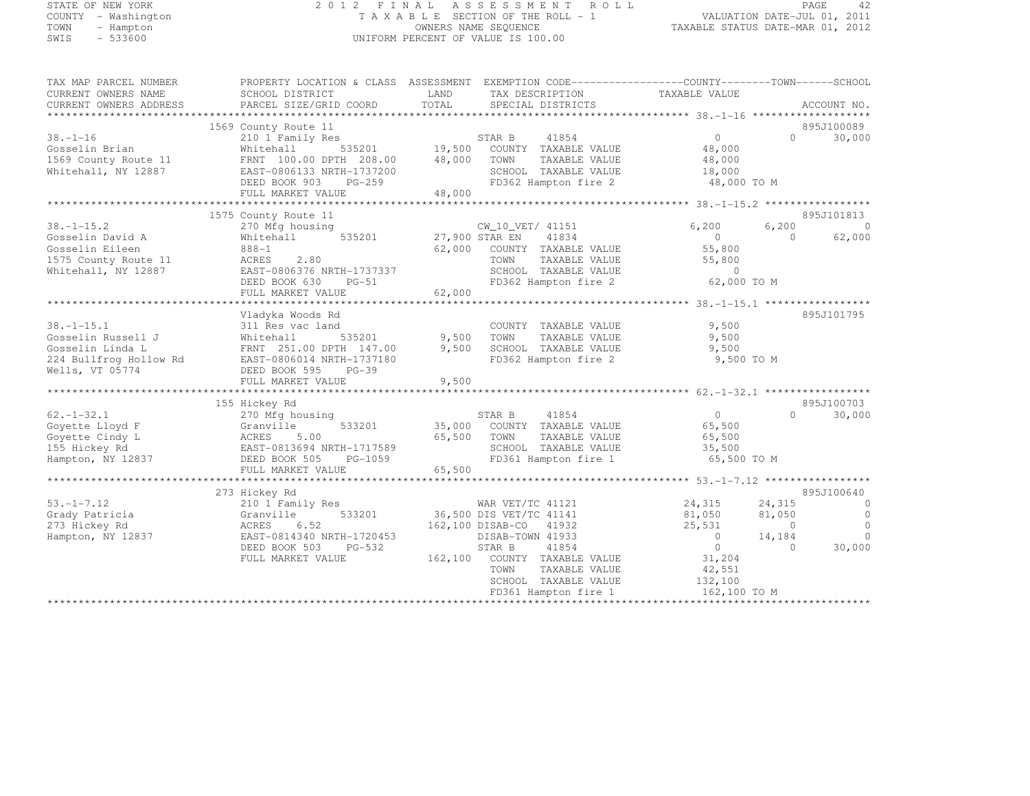# STATE OF NEW YORK 2 0 1 2 F I N A L A S S E S S M E N T R O L L PAGE <sup>42</sup> COUNTY - Washington T A X A B L E SECTION OF THE ROLL - 1 VALUATION DATE-JUL 01, 2011 TOWN - Hampton OWNERS NAME SEQUENCE TAXABLE STATUS DATE-MAR 01, 2012 SWIS - 533600 UNIFORM PERCENT OF VALUE IS 100.00

TAX MAP PARCEL NUMBER PROPERTY LOCATION & CLASS ASSESSMENT EXEMPTION CODE------------------COUNTY--------TOWN------SCHOOL

| CURRENT OWNERS NAME<br>CURRENT OWNERS ADDRESS | SCHOOL DISTRICT<br>PARCEL SIZE/GRID COORD  | LAND<br>TOTAL | TAX DESCRIPTION<br>SPECIAL DISTRICTS | TAXABLE VALUE         |           | ACCOUNT NO.    |
|-----------------------------------------------|--------------------------------------------|---------------|--------------------------------------|-----------------------|-----------|----------------|
| *************************                     |                                            |               |                                      |                       |           |                |
|                                               | 1569 County Route 11                       |               |                                      |                       |           | 895J100089     |
| $38. - 1 - 16$                                | 210 1 Family Res                           |               | 41854<br>STAR B                      | 0                     | $\bigcap$ | 30,000         |
| Gosselin Brian                                | 535201<br>Whitehall                        |               | 19,500 COUNTY TAXABLE VALUE          | 48,000                |           |                |
| 1569 County Route 11                          | FRNT 100.00 DPTH 208.00                    | 48,000        | TOWN<br>TAXABLE VALUE                | 48,000                |           |                |
| Whitehall, NY 12887                           | EAST-0806133 NRTH-1737200                  |               | SCHOOL TAXABLE VALUE                 | 18,000                |           |                |
|                                               | DEED BOOK 903<br>$PG-259$                  |               | FD362 Hampton fire 2                 | 48,000 TO M           |           |                |
|                                               | FULL MARKET VALUE                          | 48,000        |                                      |                       |           |                |
|                                               |                                            |               |                                      |                       |           |                |
|                                               | 1575 County Route 11                       |               |                                      |                       |           | 895J101813     |
| $38. - 1 - 15.2$                              | 270 Mfg housing                            |               | CW_10_VET/ 41151                     | 6,200                 | 6,200     | $\bigcirc$     |
| Gosselin David A                              | 535201<br>Whitehall                        |               | 41834<br>27,900 STAR EN              | $\bigcirc$            | $\Omega$  | 62,000         |
| Gosselin Eileen                               | $888 - 1$                                  | 62,000        | COUNTY TAXABLE VALUE                 | 55,800                |           |                |
| 1575 County Route 11                          | 2.80<br>ACRES                              |               | TOWN<br>TAXABLE VALUE                | 55,800                |           |                |
| Whitehall, NY 12887                           | EAST-0806376 NRTH-1737337                  |               | SCHOOL TAXABLE VALUE                 | $\circ$               |           |                |
|                                               | DEED BOOK 630<br>$PG-51$                   |               | FD362 Hampton fire 2                 | 62,000 TO M           |           |                |
|                                               | FULL MARKET VALUE                          | 62,000        |                                      |                       |           |                |
|                                               |                                            |               |                                      |                       |           |                |
|                                               | Vladyka Woods Rd                           |               |                                      |                       |           | 895J101795     |
| $38. - 1 - 15.1$                              | 311 Res vac land                           |               | COUNTY TAXABLE VALUE                 | 9,500                 |           |                |
| Gosselin Russell J                            | Whitehall<br>535201                        | 9,500         | TOWN<br>TAXABLE VALUE                | 9,500                 |           |                |
| Gosselin Linda L                              | FRNT 251.00 DPTH 147.00                    | 9,500         | SCHOOL TAXABLE VALUE                 | 9,500                 |           |                |
| 224 Bullfrog Hollow Rd                        | EAST-0806014 NRTH-1737180                  |               | FD362 Hampton fire 2                 | 9,500 TO M            |           |                |
| Wells, VT 05774                               | DEED BOOK 595 PG-39                        |               |                                      |                       |           |                |
|                                               | FULL MARKET VALUE                          | 9,500         |                                      |                       |           |                |
|                                               |                                            |               |                                      |                       |           |                |
|                                               | 155 Hickey Rd                              |               |                                      |                       |           | 895J100703     |
| $62. - 1 - 32.1$                              | 270 Mfg housing                            |               | 41854<br>STAR B                      | $\overline{0}$        | $\cap$    | 30,000         |
| Goyette Lloyd F                               | Granville<br>533201                        | 35,000        | COUNTY TAXABLE VALUE                 | 65,500                |           |                |
| Goyette Cindy L                               | 5.00<br>ACRES                              | 65,500        | TOWN<br>TAXABLE VALUE                | 65,500                |           |                |
| 155 Hickey Rd                                 | EAST-0813694 NRTH-1717589                  |               | SCHOOL TAXABLE VALUE                 | 35,500<br>65,500 TO M |           |                |
| Hampton, NY 12837                             | DEED BOOK 505 PG-1059<br>FULL MARKET VALUE | 65,500        | FD361 Hampton fire 1                 |                       |           |                |
|                                               |                                            |               |                                      |                       |           |                |
|                                               | 273 Hickey Rd                              |               |                                      |                       |           | 895J100640     |
| $53. - 1 - 7.12$                              | 210 1 Family Res                           |               | WAR VET/TC 41121                     | 24,315                | 24,315    | $\Omega$       |
| Grady Patricia                                | 533201<br>Granville                        |               | 36,500 DIS VET/TC 41141              | 81,050                | 81,050    | $\overline{0}$ |
| 273 Hickey Rd                                 | ACRES<br>6.52                              |               | 162,100 DISAB-CO 41932               | 25,531                | $\Omega$  | $\Omega$       |
| Hampton, NY 12837                             | EAST-0814340 NRTH-1720453                  |               | DISAB-TOWN 41933                     | $\overline{0}$        | 14,184    | $\Omega$       |
|                                               | DEED BOOK 503<br>PG-532                    |               | STAR B<br>41854                      | $\overline{0}$        | $\Omega$  | 30,000         |
|                                               | FULL MARKET VALUE                          |               | 162,100 COUNTY TAXABLE VALUE         | 31,204                |           |                |
|                                               |                                            |               | TOWN<br>TAXABLE VALUE                | 42,551                |           |                |
|                                               |                                            |               | SCHOOL TAXABLE VALUE                 | 132,100               |           |                |
|                                               |                                            |               | FD361 Hampton fire 1                 | 162,100 TO M          |           |                |
|                                               |                                            |               |                                      |                       |           |                |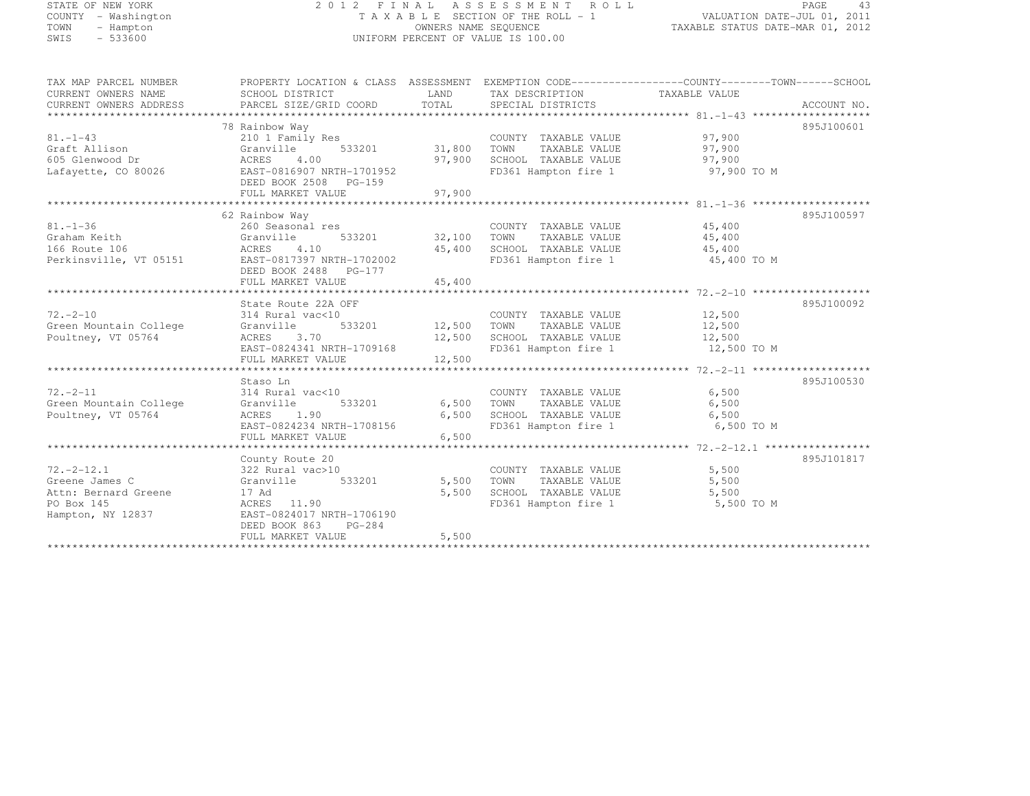# STATE OF NEW YORK 2 0 1 2 F I N A L A S S E S S M E N T R O L L PAGE <sup>43</sup> COUNTY - Washington T A X A B L E SECTION OF THE ROLL - 1 VALUATION DATE-JUL 01, 2011 TOWN - Hampton OWNERS NAME SEQUENCE TAXABLE STATUS DATE-MAR 01, 2012 SWIS - 533600 UNIFORM PERCENT OF VALUE IS 100.00

| TAX MAP PARCEL NUMBER                             | PROPERTY LOCATION & CLASS ASSESSMENT EXEMPTION CODE---------------COUNTY-------TOWN-----SCHOOL |            |                                                                               |             |             |
|---------------------------------------------------|------------------------------------------------------------------------------------------------|------------|-------------------------------------------------------------------------------|-------------|-------------|
| CURRENT OWNERS NAME                               | SCHOOL DISTRICT                                                                                |            | LAND TAX DESCRIPTION TAXABLE VALUE                                            |             |             |
| CURRENT OWNERS ADDRESS                            | PARCEL SIZE/GRID COORD                                                                         | TOTAL      | SPECIAL DISTRICTS                                                             |             | ACCOUNT NO. |
|                                                   |                                                                                                |            |                                                                               |             |             |
|                                                   | 78 Rainbow Way                                                                                 |            |                                                                               |             | 895J100601  |
| $81. - 1 - 43$                                    | 210 1 Family Res                                                                               |            | COUNTY TAXABLE VALUE                                                          | 97,900      |             |
| Graft Allison                                     | $533201$ 31,800<br>Granville                                                                   |            | TAXABLE VALUE<br>TOWN                                                         | 97,900      |             |
| 605 Glenwood Dr                                   | ACRES<br>4.00                                                                                  | 97,900     | SCHOOL TAXABLE VALUE                                                          | 97,900      |             |
| Lafayette, CO 80026                               | EAST-0816907 NRTH-1701952                                                                      |            | FD361 Hampton fire 1                                                          | 97,900 TO M |             |
|                                                   | DEED BOOK 2508 PG-159                                                                          |            |                                                                               |             |             |
|                                                   | FULL MARKET VALUE                                                                              | 97,900     |                                                                               |             |             |
|                                                   |                                                                                                |            |                                                                               |             |             |
|                                                   | 62 Rainbow Way                                                                                 |            |                                                                               |             | 895J100597  |
| $81. - 1 - 36$                                    | 260 Seasonal res                                                                               |            | COUNTY TAXABLE VALUE                                                          | 45,400      |             |
| Graham Keith                                      | 533201 32,100 TOWN<br>Granville                                                                |            | TAXABLE VALUE                                                                 | 45,400      |             |
| 166 Route 106                                     | 4.10                                                                                           | 45,400     | SCHOOL TAXABLE VALUE                                                          | 45,400      |             |
| ACRES<br>T 05151 EAST-0<br>Perkinsville, VT 05151 | EAST-0817397 NRTH-1702002                                                                      |            | FD361 Hampton fire 1                                                          | 45,400 TO M |             |
|                                                   | DEED BOOK 2488 PG-177                                                                          |            |                                                                               |             |             |
|                                                   | FULL MARKET VALUE                                                                              | 45,400     |                                                                               |             |             |
|                                                   |                                                                                                |            |                                                                               |             |             |
|                                                   | State Route 22A OFF                                                                            |            |                                                                               |             | 895J100092  |
| $72. - 2 - 10$                                    | 314 Rural vac<10                                                                               |            | COUNTY TAXABLE VALUE                                                          | 12,500      |             |
| Green Mountain College                            | 533201 12,500 TOWN<br>Granville                                                                |            | TAXABLE VALUE                                                                 | 12,500      |             |
| Poultney, VT 05764                                | ACRES 3.70                                                                                     |            | 12,500 SCHOOL TAXABLE VALUE 12,500<br>12,500 SCHOOL TAXABLE VALUE 12,500 TO M |             |             |
|                                                   | EAST-0824341 NRTH-1709168                                                                      |            |                                                                               |             |             |
|                                                   |                                                                                                |            |                                                                               |             |             |
|                                                   |                                                                                                |            |                                                                               |             |             |
|                                                   | Staso Ln                                                                                       |            |                                                                               |             | 895J100530  |
| $72. - 2 - 11$                                    | 314 Rural vac<10                                                                               |            | COUNTY TAXABLE VALUE                                                          | 6,500       |             |
| Green Mountain College                            | 533201<br>Granville                                                                            | 6,500 TOWN | TAXABLE VALUE                                                                 | 6,500       |             |
| Poultney, VT 05764                                | ACRES<br>1.90                                                                                  | 6,500      | SCHOOL TAXABLE VALUE                                                          | 6,500       |             |
|                                                   | EAST-0824234 NRTH-1708156                                                                      |            | FD361 Hampton fire 1 6,500 TO M                                               |             |             |
|                                                   |                                                                                                |            |                                                                               |             |             |
|                                                   |                                                                                                |            |                                                                               |             |             |
|                                                   | County Route 20                                                                                |            |                                                                               |             | 895J101817  |
| $72. - 2 - 12.1$                                  |                                                                                                |            | COUNTY TAXABLE VALUE                                                          | 5,500       |             |
| Greene James C                                    |                                                                                                | 5,500      | TOWN<br>TOWN     TAXABLE VALUE<br>SCHOOL   TAXABLE VALUE                      | 5,500       |             |
| Attn: Bernard Greene                              | 17 Ad                                                                                          | 5,500      |                                                                               | 5,500       |             |
| PO Box 145                                        | ACRES 11.90                                                                                    |            | FD361 Hampton fire 1 5,500 TO M                                               |             |             |
| Hampton, NY 12837                                 | EAST-0824017 NRTH-1706190                                                                      |            |                                                                               |             |             |
|                                                   | DEED BOOK 863<br>$PG-284$                                                                      |            |                                                                               |             |             |
|                                                   | FULL MARKET VALUE                                                                              | 5,500      |                                                                               |             |             |
|                                                   |                                                                                                |            |                                                                               |             |             |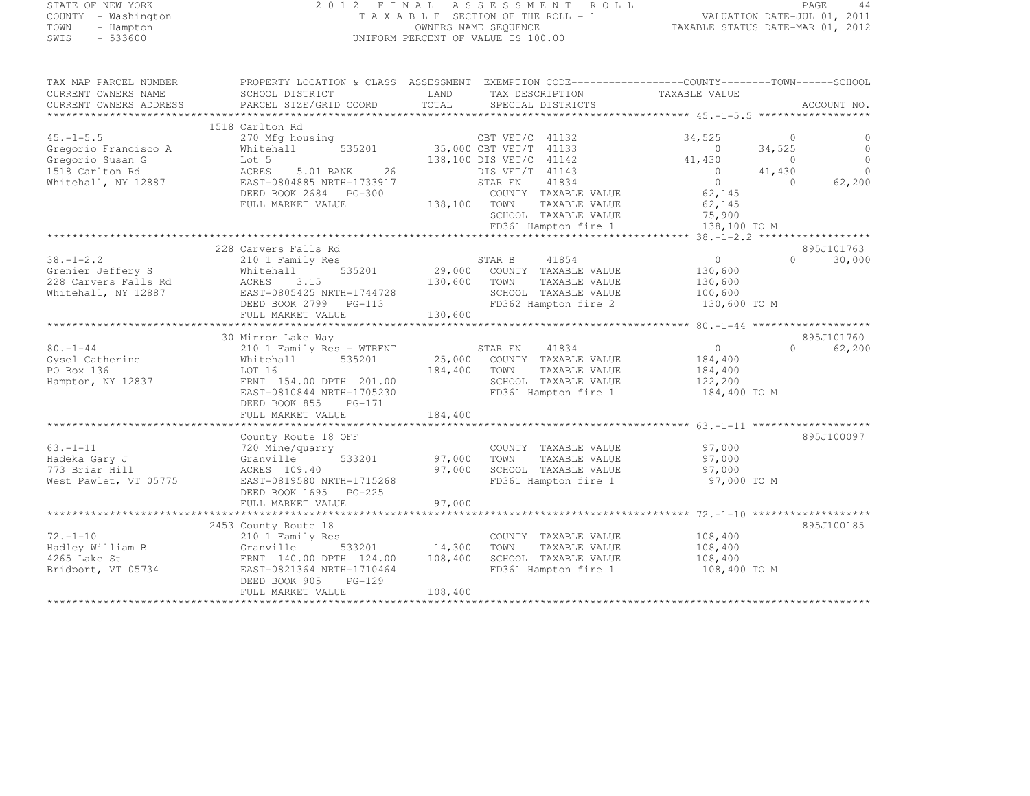| STATE OF NEW YORK         | 2012 FINAL                                            | ASSESSMENT ROLL                                                                                 | PAGE<br>44                                                                                                                                                                                                                                                                                                                                                                                      |
|---------------------------|-------------------------------------------------------|-------------------------------------------------------------------------------------------------|-------------------------------------------------------------------------------------------------------------------------------------------------------------------------------------------------------------------------------------------------------------------------------------------------------------------------------------------------------------------------------------------------|
| COUNTY<br>- Washington    |                                                       | T A X A B L E SECTION OF THE ROLL - 1                                                           | VALUATION DATE-JUL 01, 2011                                                                                                                                                                                                                                                                                                                                                                     |
| TOWN<br>- Hampton         |                                                       | OWNERS NAME SEQUENCE                                                                            | TAXABLE STATUS DATE-MAR 01, 2012                                                                                                                                                                                                                                                                                                                                                                |
| $-533600$<br>SWIS         |                                                       | UNIFORM PERCENT OF VALUE IS 100.00                                                              |                                                                                                                                                                                                                                                                                                                                                                                                 |
| TAX MAP PARCEL NUMBER     |                                                       | PROPERTY LOCATION & CLASS ASSESSMENT EXEMPTION CODE----------------COUNTY-------TOWN-----SCHOOL |                                                                                                                                                                                                                                                                                                                                                                                                 |
| CURRENT OWNERS NAME       | SCHOOL DISTRICT                                       | LAND<br>TAX DESCRIPTION                                                                         | TAXABLE VALUE                                                                                                                                                                                                                                                                                                                                                                                   |
| CURRENT OWNERS ADDRESS    | PARCEL SIZE/GRID COORD                                | TOTAL<br>SPECIAL DISTRICTS                                                                      | ACCOUNT NO.                                                                                                                                                                                                                                                                                                                                                                                     |
| ************************* |                                                       |                                                                                                 |                                                                                                                                                                                                                                                                                                                                                                                                 |
|                           | 1518 Carlton Rd                                       |                                                                                                 |                                                                                                                                                                                                                                                                                                                                                                                                 |
| $45. -1 - 5.5$            | 270 Mfg housing                                       | CBT VET/C 41132                                                                                 | 34,525<br>- 0<br>0                                                                                                                                                                                                                                                                                                                                                                              |
| Gregorio Francisco A      | Whitehall                                             | 535201 35,000 CBT VET/T 41133                                                                   | 34,525<br>$\circ$<br>$\Omega$                                                                                                                                                                                                                                                                                                                                                                   |
| Gregorio Susan G          | Lot 5                                                 | 138,100 DIS VET/C 41142                                                                         | $\circ$<br>41,430<br>$\overline{0}$<br>$\Omega$                                                                                                                                                                                                                                                                                                                                                 |
| 1518 Carlton Rd           | ACRES<br>5.01 BANK<br>26<br>EAST-0804885 NRTH-1733917 | DIS VET/T 41143<br>STAR EN<br>41834                                                             | 41,430<br>$\bigcirc$<br>62,200<br>$\Omega$<br>$\Omega$                                                                                                                                                                                                                                                                                                                                          |
| Whitehall, NY 12887       | DEED BOOK 2684 PG-300                                 | COUNTY TAXABLE VALUE                                                                            | 62,145                                                                                                                                                                                                                                                                                                                                                                                          |
|                           | FULL MARKET VALUE                                     | 138,100 TOWN<br>TAXABLE VALUE                                                                   | 62,145                                                                                                                                                                                                                                                                                                                                                                                          |
|                           |                                                       | TAXABLE VALUE<br>SCHOOL                                                                         | 75,900                                                                                                                                                                                                                                                                                                                                                                                          |
|                           |                                                       | FD361 Hampton fire 1                                                                            | 138,100 TO M                                                                                                                                                                                                                                                                                                                                                                                    |
|                           |                                                       |                                                                                                 |                                                                                                                                                                                                                                                                                                                                                                                                 |
|                           | 228 Carvers Falls Rd                                  |                                                                                                 | 895J101763                                                                                                                                                                                                                                                                                                                                                                                      |
| $38. - 1 - 2.2$           | 210 1 Family Res                                      | STAR B<br>41854                                                                                 | 30,000<br>$\circ$<br>$\Omega$                                                                                                                                                                                                                                                                                                                                                                   |
| Grenier Jeffery S         | Whitehall<br>535201                                   | 29,000 COUNTY TAXABLE VALUE                                                                     | 130,600                                                                                                                                                                                                                                                                                                                                                                                         |
| 228 Carvers Falls Rd      | 3.15<br>ACRES                                         | 130,600<br>TOWN<br>TAXABLE VALUE                                                                | 130,600                                                                                                                                                                                                                                                                                                                                                                                         |
| Whitehall, NY 12887       | EAST-0805425 NRTH-1744728                             | SCHOOL TAXABLE VALUE                                                                            | 100,600                                                                                                                                                                                                                                                                                                                                                                                         |
|                           | DEED BOOK 2799 PG-113                                 | FD362 Hampton fire 2                                                                            | 130,600 TO M                                                                                                                                                                                                                                                                                                                                                                                    |
|                           | FULL MARKET VALUE                                     | 130,600                                                                                         |                                                                                                                                                                                                                                                                                                                                                                                                 |
|                           |                                                       |                                                                                                 |                                                                                                                                                                                                                                                                                                                                                                                                 |
|                           | 30 Mirror Lake Way                                    |                                                                                                 | 895J101760                                                                                                                                                                                                                                                                                                                                                                                      |
| $80. - 1 - 44$            | 210 1 Family Res - WTRFNT                             | STAR EN<br>41834                                                                                | 62,200<br>$\circ$<br>$\Omega$                                                                                                                                                                                                                                                                                                                                                                   |
| Gysel Catherine           | 535201<br>Whitehall                                   | 25,000 COUNTY TAXABLE VALUE                                                                     | 184,400                                                                                                                                                                                                                                                                                                                                                                                         |
| PO Box 136                | LOT 16                                                | 184,400<br>TOWN<br>TAXABLE VALUE                                                                | 184,400                                                                                                                                                                                                                                                                                                                                                                                         |
| Hampton, NY 12837         | FRNT 154.00 DPTH 201.00                               | SCHOOL TAXABLE VALUE<br>$- - - - - - - - -$                                                     | 122,200<br>$\overline{a}$ $\overline{a}$ $\overline{a}$ $\overline{a}$ $\overline{a}$ $\overline{a}$ $\overline{a}$ $\overline{a}$ $\overline{a}$ $\overline{a}$ $\overline{a}$ $\overline{a}$ $\overline{a}$ $\overline{a}$ $\overline{a}$ $\overline{a}$ $\overline{a}$ $\overline{a}$ $\overline{a}$ $\overline{a}$ $\overline{a}$ $\overline{a}$ $\overline{a}$ $\overline{a}$ $\overline{$ |

|                       | EAST-0810844 NRTH-1705230 |         | FD361 Hampton fire 1    | 184,400 TO M |            |
|-----------------------|---------------------------|---------|-------------------------|--------------|------------|
|                       | DEED BOOK 855<br>$PG-171$ |         |                         |              |            |
|                       | FULL MARKET VALUE         | 184,400 |                         |              |            |
|                       |                           |         |                         |              |            |
|                       | County Route 18 OFF       |         |                         |              | 895J100097 |
| $63. - 1 - 11$        | 720 Mine/quarry           |         | TAXABLE VALUE<br>COUNTY | 97,000       |            |
| Hadeka Gary J         | Granville 533201          | 97,000  | TOWN<br>TAXABLE VALUE   | 97,000       |            |
| 773 Briar Hill        | ACRES 109.40              | 97,000  | SCHOOL TAXABLE VALUE    | 97,000       |            |
| West Pawlet, VT 05775 | EAST-0819580 NRTH-1715268 |         | FD361 Hampton fire 1    | 97,000 TO M  |            |
|                       | DEED BOOK 1695 PG-225     |         |                         |              |            |
|                       | FULL MARKET VALUE         | 97.000  |                         |              |            |
|                       |                           |         |                         |              |            |
|                       | 2453 County Route 18      |         |                         |              | 895J100185 |
| $72. - 1 - 10$        | 210 1 Family Res          |         | TAXABLE VALUE<br>COUNTY | 108,400      |            |
| Hadley William B      | 533201<br>Granville       | 14,300  | TOWN<br>TAXABLE VALUE   | 108,400      |            |
| 4265 Lake St          | FRNT 140.00 DPTH 124.00   | 108,400 | SCHOOL TAXABLE VALUE    | 108,400      |            |
| Bridport, VT 05734    | EAST-0821364 NRTH-1710464 |         | FD361 Hampton fire 1    | 108,400 TO M |            |
|                       | DEED BOOK 905<br>PG-129   |         |                         |              |            |
|                       | FULL MARKET VALUE         | 108,400 |                         |              |            |
|                       |                           |         |                         |              |            |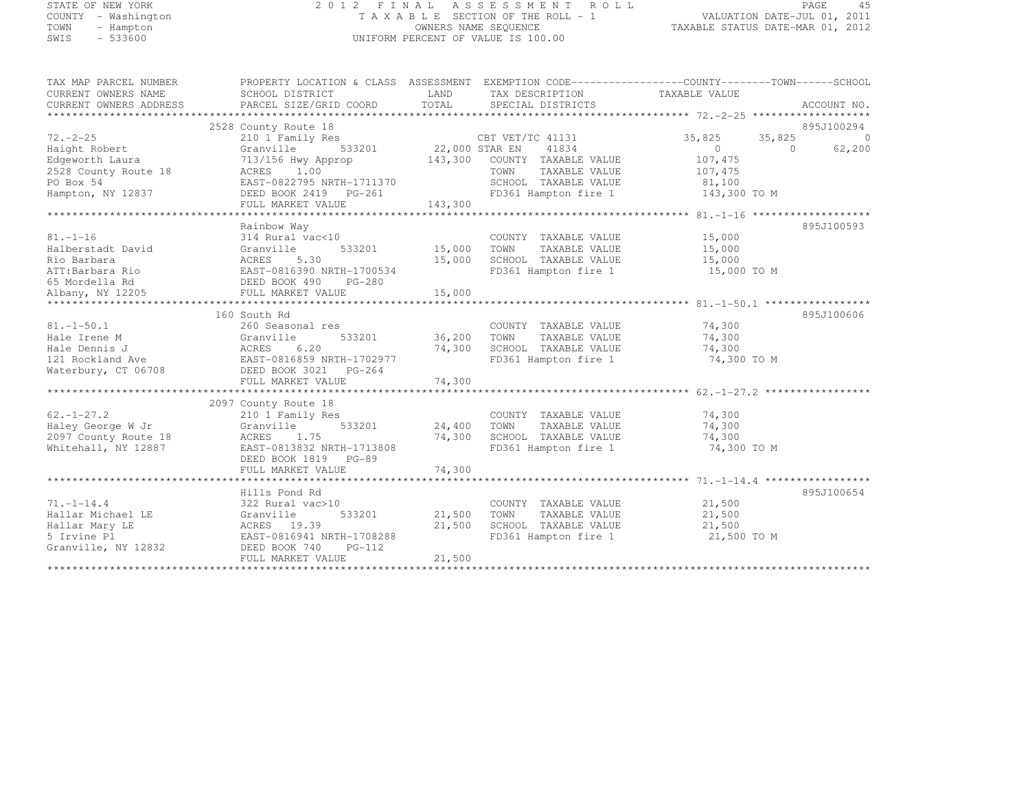# STATE OF NEW YORK 2 0 1 2 F I N A L A S S E S S M E N T R O L L PAGE <sup>45</sup> COUNTY - Washington T A X A B L E SECTION OF THE ROLL - 1 VALUATION DATE-JUL 01, 2011 TOWN - Hampton OWNERS NAME SEQUENCE TAXABLE STATUS DATE-MAR 01, 2012 SWIS - 533600 UNIFORM PERCENT OF VALUE IS 100.00

| TAX MAP PARCEL NUMBER<br>CURRENT OWNERS NAME<br>CURRENT OWNERS ADDRESS | PROPERTY LOCATION & CLASS ASSESSMENT EXEMPTION CODE----------------COUNTY-------TOWN-----SCHOOL<br>SCHOOL DISTRICT<br>PARCEL SIZE/GRID COORD | LAND<br>TOTAL | TAX DESCRIPTION TAXABLE VALUE<br>SPECIAL DISTRICTS |                  | ACCOUNT NO.                            |
|------------------------------------------------------------------------|----------------------------------------------------------------------------------------------------------------------------------------------|---------------|----------------------------------------------------|------------------|----------------------------------------|
| $72. - 2 - 25$                                                         | 2528 County Route 18<br>210 1 Family Res                                                                                                     |               | CBT VET/TC 41131                                   | 35,825           | 895J100294<br>35,825<br>$\overline{0}$ |
| Haight Robert                                                          | 533201 22,000 STAR EN<br>Granville                                                                                                           |               | 41834                                              | $\overline{0}$   | $\bigcirc$<br>62,200                   |
| Edgeworth Laura                                                        | 713/156 Hwy Approp                                                                                                                           |               | 143,300 COUNTY TAXABLE VALUE                       | 107,475          |                                        |
| 2528 County Route 18                                                   | ACRES 1.00                                                                                                                                   |               | TOWN<br>TAXABLE VALUE                              | 107,475          |                                        |
| PO Box 54                                                              | EAST-0822795 NRTH-1711370                                                                                                                    |               | SCHOOL TAXABLE VALUE                               | 81,100           |                                        |
| Hampton, NY 12837                                                      | DEED BOOK 2419 PG-261<br>FULL MARKET VALUE                                                                                                   | 143,300       | FD361 Hampton fire 1                               | 143,300 TO M     |                                        |
|                                                                        |                                                                                                                                              |               |                                                    |                  |                                        |
|                                                                        | Rainbow Way                                                                                                                                  |               |                                                    |                  | 895J100593                             |
| $81. - 1 - 16$                                                         | 314 Rural vac<10                                                                                                                             |               | COUNTY TAXABLE VALUE                               | 15,000           |                                        |
| Halberstadt David                                                      | 533201<br>Granville                                                                                                                          | 15,000        | TOWN<br>TAXABLE VALUE                              | 15,000           |                                        |
| Rio Barbara                                                            | ACRES 5.30                                                                                                                                   | 15,000        | SCHOOL TAXABLE VALUE                               | 15,000           |                                        |
| ATT:Barbara Rio                                                        | EAST-0816390 NRTH-1700534                                                                                                                    |               | FD361 Hampton fire 1                               | 15,000 TO M      |                                        |
| 65 Mordella Rd                                                         | DEED BOOK 490<br>FULL MARKET VA<br>PG-280                                                                                                    |               |                                                    |                  |                                        |
| Albany, NY 12205                                                       |                                                                                                                                              |               |                                                    |                  |                                        |
|                                                                        |                                                                                                                                              |               |                                                    |                  |                                        |
|                                                                        | 160 South Rd                                                                                                                                 |               |                                                    |                  | 895J100606                             |
| $81. - 1 - 50.1$                                                       | 260 Seasonal res                                                                                                                             |               | COUNTY TAXABLE VALUE                               | 74,300           |                                        |
| Hale Irene M                                                           | Granville                                                                                                                                    | 533201 36,200 | TAXABLE VALUE<br>TOWN                              | 74,300           |                                        |
| Hale Dennis J                                                          | ACRES 6.20<br>EAST-0816859 NRTH-1702977                                                                                                      | 74,300        | SCHOOL TAXABLE VALUE                               | 74,300           |                                        |
| 121 Rockland Ave                                                       |                                                                                                                                              |               | FD361 Hampton fire 1                               | 74,300 TO M      |                                        |
| Waterbury, CT 06708                                                    | DEED BOOK 3021 PG-264                                                                                                                        |               |                                                    |                  |                                        |
|                                                                        | FULL MARKET VALUE                                                                                                                            | 74,300        |                                                    |                  |                                        |
|                                                                        |                                                                                                                                              |               |                                                    |                  |                                        |
|                                                                        | 2097 County Route 18                                                                                                                         |               |                                                    |                  |                                        |
| $62. - 1 - 27.2$                                                       | 210 1 Family Res                                                                                                                             |               | COUNTY TAXABLE VALUE                               | 74,300           |                                        |
| Haley George W Jr                                                      | Granville                                                                                                                                    | 533201 24,400 | TOWN<br>TAXABLE VALUE                              | 74,300           |                                        |
| 2097 County Route 18                                                   | 1.75<br>ACRES                                                                                                                                | 74,300        | SCHOOL TAXABLE VALUE                               | 74,300           |                                        |
| Whitehall, NY 12887                                                    | EAST-0813832 NRTH-1713808                                                                                                                    |               | FD361 Hampton fire 1                               | 74,300 TO M      |                                        |
|                                                                        | DEED BOOK 1819 PG-89                                                                                                                         |               |                                                    |                  |                                        |
|                                                                        | FULL MARKET VALUE                                                                                                                            | 74,300        |                                                    |                  |                                        |
|                                                                        |                                                                                                                                              |               |                                                    |                  | 895J100654                             |
| $71. - 1 - 14.4$                                                       | Hills Pond Rd                                                                                                                                |               | COUNTY TAXABLE VALUE                               | 21,500           |                                        |
| Hallar Michael LE                                                      | 322 Rural vac>10<br>533201                                                                                                                   |               | 21,500 TOWN                                        |                  |                                        |
|                                                                        | Granville<br>ACRES 19.39                                                                                                                     | 21,500        | TAXABLE VALUE<br>SCHOOL TAXABLE VALUE              | 21,500<br>21,500 |                                        |
| Hallar Mary LE<br>5 Irvine Pl                                          | EAST-0816941 NRTH-1708288                                                                                                                    |               | FD361 Hampton fire 1                               | 21,500 TO M      |                                        |
| Granville, NY 12832                                                    | DEED BOOK 740<br>$PG-112$                                                                                                                    |               |                                                    |                  |                                        |
|                                                                        | FULL MARKET VALUE                                                                                                                            | 21,500        |                                                    |                  |                                        |
|                                                                        |                                                                                                                                              |               |                                                    |                  |                                        |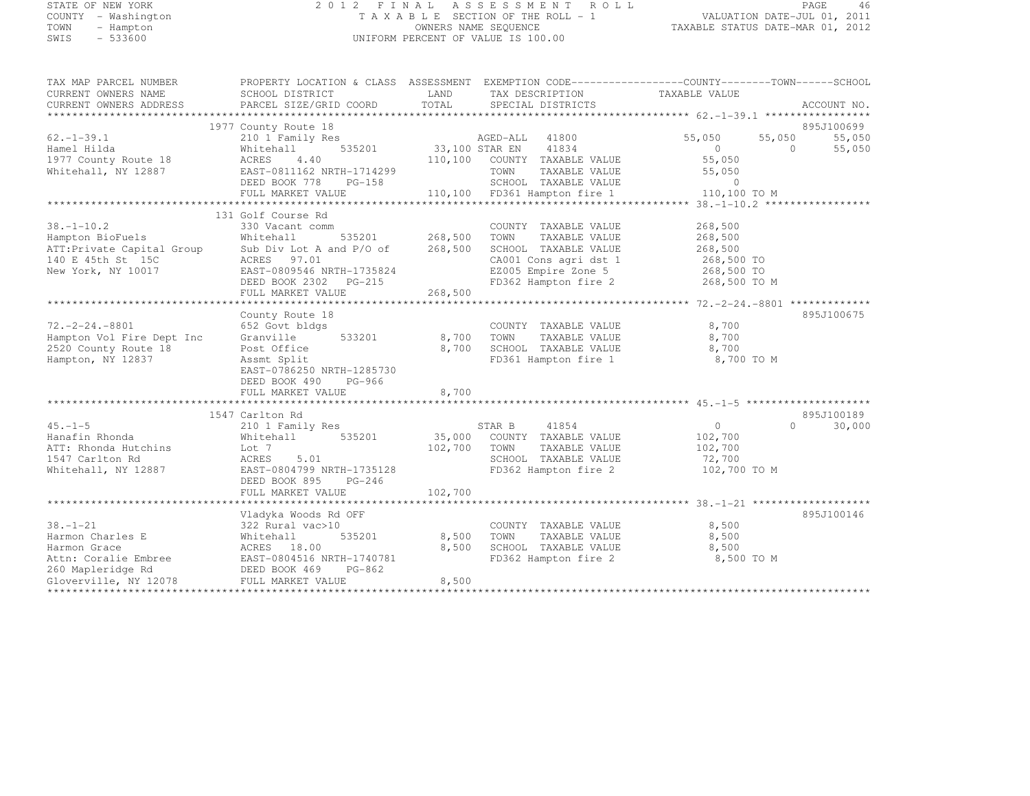# STATE OF NEW YORK 2 0 1 2 F I N A L A S S E S S M E N T R O L L PAGE <sup>46</sup> COUNTY - Washington T A X A B L E SECTION OF THE ROLL - 1 VALUATION DATE-JUL 01, 2011 TOWN - Hampton OWNERS NAME SEQUENCE TAXABLE STATUS DATE-MAR 01, 2012 SWIS - 533600 UNIFORM PERCENT OF VALUE IS 100.00

| TAX MAP PARCEL NUMBER<br>CURRENT OWNERS NAME<br>CURRENT OWNERS ADDRESS                                | PROPERTY LOCATION & CLASS ASSESSMENT EXEMPTION CODE---------------COUNTY-------TOWN-----SCHOOL<br>SCHOOL DISTRICT<br>PARCEL SIZE/GRID COORD | <b>EXAMPLE EXAMPLE EXAMPLE EXAMPLE EXAMPLE EXAMPLE EXAMPLE EXAMPLE EXAMPLE EXAMPLE EXAMPLE EXAMPLE EXAMPLE EXAMPLE EXAMPLE EXAMPLE EXAMPLE EXAMPLE EXAMPLE EXAMPLE EXAMPLE EXAMPLE EXAMPLE E</b><br>TOTAL | TAX DESCRIPTION<br>SPECIAL DISTRICTS                                                          | TAXABLE VALUE        | ACCOUNT NO.                    |
|-------------------------------------------------------------------------------------------------------|---------------------------------------------------------------------------------------------------------------------------------------------|-----------------------------------------------------------------------------------------------------------------------------------------------------------------------------------------------------------|-----------------------------------------------------------------------------------------------|----------------------|--------------------------------|
|                                                                                                       |                                                                                                                                             |                                                                                                                                                                                                           |                                                                                               |                      |                                |
| $62. - 1 - 39.1$                                                                                      | 1977 County Route 18<br>210 1 Family Res                                                                                                    |                                                                                                                                                                                                           | s<br>535201 33,100 STAR EN 41834                                                              | 55,050               | 895J100699<br>55,050<br>55,050 |
| Hamel Hilda<br>1977 County Route 18<br>Whitehall, NY 12887                                            | Whitehall<br>ACRES<br>4.40<br>EAST-0811162 NRTH-1714299                                                                                     |                                                                                                                                                                                                           | 110,100 COUNTY TAXABLE VALUE                                                                  | $\sim$ 0<br>55,050   | $\overline{0}$<br>55,050       |
|                                                                                                       | DEED BOOK 778 PG-158<br>FULL MARKET VALUE                                                                                                   |                                                                                                                                                                                                           | TOWN      TAXABLE VALUE<br>SCHOOL   TAXABLE VALUE<br>110,100 FD361 Hampton fire 1 10,100 TO M | 55,050<br>$\bigcirc$ |                                |
|                                                                                                       |                                                                                                                                             |                                                                                                                                                                                                           |                                                                                               |                      |                                |
|                                                                                                       | 131 Golf Course Rd                                                                                                                          |                                                                                                                                                                                                           |                                                                                               |                      |                                |
| $38. - 1 - 10.2$<br>Hampton BioFuels                                                                  | 330 Vacant comm<br>Whitehall                                                                                                                | 535201 268,500                                                                                                                                                                                            | COUNTY TAXABLE VALUE<br>TAXABLE VALUE<br>TOWN                                                 | 268,500<br>268,500   |                                |
|                                                                                                       |                                                                                                                                             |                                                                                                                                                                                                           | SCHOOL TAXABLE VALUE                                                                          | 268,500              |                                |
| ATT: Private Capital Group<br>140 E 45th St 15C                                                       | Sub Div Lot A and $P/O$ of 268,500<br>ACRES 97.01                                                                                           |                                                                                                                                                                                                           |                                                                                               |                      |                                |
| New York, NY 10017                                                                                    | EAST-0809546 NRTH-1735824                                                                                                                   |                                                                                                                                                                                                           | CA001 Cons agri dst 1 268,500 TO<br>EZ005 Empire Zone 5 268,500 TO                            |                      |                                |
|                                                                                                       | DEED BOOK 2302    PG-215                                                                                                                    |                                                                                                                                                                                                           | FD362 Hampton fire 2 268,500 TO M                                                             |                      |                                |
|                                                                                                       | FULL MARKET VALUE                                                                                                                           | 268,500                                                                                                                                                                                                   |                                                                                               |                      |                                |
|                                                                                                       |                                                                                                                                             |                                                                                                                                                                                                           |                                                                                               |                      |                                |
|                                                                                                       | County Route 18                                                                                                                             |                                                                                                                                                                                                           |                                                                                               |                      | 895J100675                     |
| $72, -2 - 24, -8801$                                                                                  | 652 Govt bldgs                                                                                                                              |                                                                                                                                                                                                           | COUNTY TAXABLE VALUE                                                                          | 8,700                |                                |
| Hampton Vol Fire Dept Inc                                                                             | 533201<br>Granville                                                                                                                         | 8,700 TOWN                                                                                                                                                                                                |                                                                                               | 8,700                |                                |
| 2520 County Route 18                                                                                  | Post Office                                                                                                                                 |                                                                                                                                                                                                           | 8,700 TOWN TAXABLE VALUE<br>8,700 SCHOOL TAXABLE VALUE                                        | 8,700                |                                |
| Hampton, NY 12837                                                                                     | Assmt Split                                                                                                                                 |                                                                                                                                                                                                           | FD361 Hampton fire 1 8,700 TO M                                                               |                      |                                |
|                                                                                                       | EAST-0786250 NRTH-1285730<br>DEED BOOK 490<br>PG-966                                                                                        |                                                                                                                                                                                                           |                                                                                               |                      |                                |
|                                                                                                       | FULL MARKET VALUE                                                                                                                           | 8,700                                                                                                                                                                                                     |                                                                                               |                      |                                |
|                                                                                                       |                                                                                                                                             |                                                                                                                                                                                                           |                                                                                               |                      |                                |
|                                                                                                       | 1547 Carlton Rd                                                                                                                             |                                                                                                                                                                                                           |                                                                                               |                      | 895J100189                     |
| $45. - 1 - 5$                                                                                         | 210 1 Family Res                                                                                                                            |                                                                                                                                                                                                           | STAR B 41854                                                                                  | $\overline{0}$       | 30,000<br>$\Omega$             |
| Hanafin Rhonda                                                                                        | Whitehall                                                                                                                                   |                                                                                                                                                                                                           | 535201 35,000 COUNTY TAXABLE VALUE                                                            | 102,700              |                                |
| ATT: Rhonda Hutchins                                                                                  | Lot 7                                                                                                                                       | 102,700 TOWN                                                                                                                                                                                              |                                                                                               |                      |                                |
| 1547 Carlton Rd                                                                                       | 5.01<br>ACRES                                                                                                                               |                                                                                                                                                                                                           | TOWN      TAXABLE VALUE<br>SCHOOL   TAXABLE VALUE                                             | 102,700<br>72,700    |                                |
| Whitehall, NY 12887                                                                                   | EAST-0804799 NRTH-1735128                                                                                                                   |                                                                                                                                                                                                           | FD362 Hampton fire 2 102,700 TO M                                                             |                      |                                |
|                                                                                                       | DEED BOOK 895<br>$PG-246$                                                                                                                   |                                                                                                                                                                                                           |                                                                                               |                      |                                |
|                                                                                                       | FULL MARKET VALUE                                                                                                                           | 102,700                                                                                                                                                                                                   |                                                                                               |                      |                                |
|                                                                                                       |                                                                                                                                             |                                                                                                                                                                                                           |                                                                                               |                      |                                |
|                                                                                                       | Vladyka Woods Rd OFF                                                                                                                        |                                                                                                                                                                                                           |                                                                                               |                      | 895J100146                     |
| $38. - 1 - 21$                                                                                        | 322 Rural vac>10                                                                                                                            |                                                                                                                                                                                                           | COUNTY TAXABLE VALUE                                                                          | 8,500                |                                |
| Harmon Charles E                                                                                      | 535201<br>Whitehall                                                                                                                         | 8,500                                                                                                                                                                                                     | TAXABLE VALUE<br>TOWN                                                                         | 8,500                |                                |
| Harmon Grace                                                                                          | ACRES 18.00                                                                                                                                 | 8,500                                                                                                                                                                                                     | SCHOOL TAXABLE VALUE                                                                          | 8,500                |                                |
|                                                                                                       | EAST-0804516 NRTH-1740781                                                                                                                   |                                                                                                                                                                                                           | FD362 Hampton fire 2                                                                          | 8,500 TO M           |                                |
| Attn: Coralie Embree EAST-0804516 NRTH-174078<br>260 Mapleridge Rd             DEED BOOK 469   PG-862 |                                                                                                                                             |                                                                                                                                                                                                           |                                                                                               |                      |                                |
| Gloverville, NY 12078                                                                                 | FULL MARKET VALUE                                                                                                                           | 8,500                                                                                                                                                                                                     |                                                                                               |                      |                                |
|                                                                                                       |                                                                                                                                             |                                                                                                                                                                                                           |                                                                                               |                      |                                |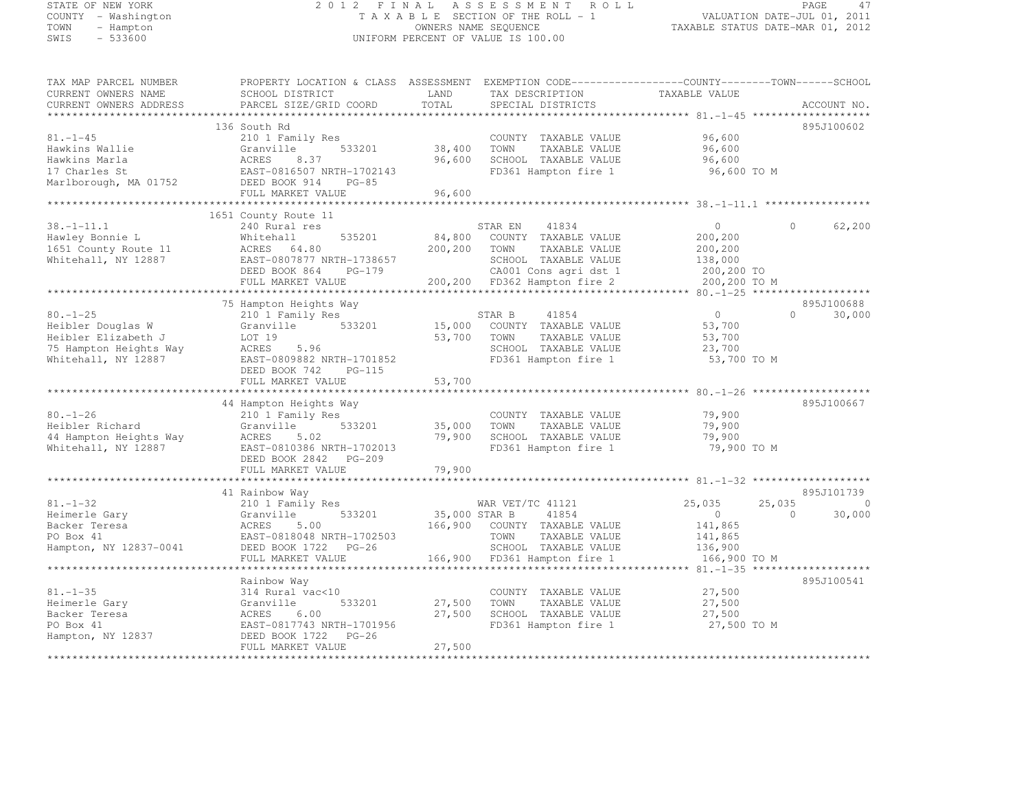# STATE OF NEW YORK 2 0 1 2 F I N A L A S S E S S M E N T R O L L PAGE <sup>47</sup> COUNTY - Washington T A X A B L E SECTION OF THE ROLL - 1 VALUATION DATE-JUL 01, 2011 TOWN - Hampton OWNERS NAME SEQUENCE TAXABLE STATUS DATE-MAR 01, 2012 SWIS - 533600 UNIFORM PERCENT OF VALUE IS 100.00

| TAX MAP PARCEL NUMBER  | PROPERTY LOCATION & CLASS ASSESSMENT          |               | EXEMPTION CODE-----------------COUNTY-------TOWN------SCHOOL |                    |                          |
|------------------------|-----------------------------------------------|---------------|--------------------------------------------------------------|--------------------|--------------------------|
| CURRENT OWNERS NAME    | SCHOOL DISTRICT                               | LAND          | TAX DESCRIPTION                                              | TAXABLE VALUE      |                          |
| CURRENT OWNERS ADDRESS | PARCEL SIZE/GRID COORD                        | TOTAL         | SPECIAL DISTRICTS                                            |                    | ACCOUNT NO.              |
|                        |                                               |               |                                                              |                    |                          |
|                        | 136 South Rd                                  |               |                                                              |                    | 895J100602               |
| $81. - 1 - 45$         | 210 1 Family Res                              |               | COUNTY TAXABLE VALUE                                         | 96,600             |                          |
| Hawkins Wallie         | 533201<br>Granville                           | 38,400        | TAXABLE VALUE<br>TOWN                                        | 96,600             |                          |
| Hawkins Marla          | ACRES<br>8.37                                 | 96,600        | SCHOOL TAXABLE VALUE                                         | 96,600             |                          |
| 17 Charles St          | EAST-0816507 NRTH-1702143                     |               | FD361 Hampton fire 1                                         | 96,600 TO M        |                          |
| Marlborough, MA 01752  | DEED BOOK 914<br>$PG-85$                      |               |                                                              |                    |                          |
|                        | FULL MARKET VALUE                             | 96,600        |                                                              |                    |                          |
| *********************  |                                               |               |                                                              |                    |                          |
|                        | 1651 County Route 11                          |               |                                                              |                    |                          |
| $38. - 1 - 11.1$       | 240 Rural res                                 |               | STAR EN<br>41834                                             | $\circ$            | 62,200<br>$\cap$         |
| Hawley Bonnie L        | 535201<br>Whitehall                           | 84,800        | COUNTY TAXABLE VALUE                                         | 200,200            |                          |
|                        |                                               | 200,200       |                                                              |                    |                          |
| 1651 County Route 11   | ACRES 64.80                                   |               | TOWN<br>TAXABLE VALUE                                        | 200,200            |                          |
| Whitehall, NY 12887    | EAST-0807877 NRTH-1738657                     |               | SCHOOL TAXABLE VALUE                                         | 138,000            |                          |
|                        | DEED BOOK 864<br>PG-179                       |               | CA001 Cons agri dst 1                                        | 200,200 TO         |                          |
|                        | FULL MARKET VALUE                             |               | 200,200 FD362 Hampton fire 2                                 | 200,200 TO M       |                          |
|                        |                                               |               |                                                              |                    |                          |
|                        | 75 Hampton Heights Way                        |               |                                                              |                    | 895J100688               |
| $80. - 1 - 25$         | 210 1 Family Res                              |               | STAR B<br>41854                                              | $\Omega$           | $\Omega$<br>30,000       |
| Heibler Douglas W      | 533201<br>Granville                           | 15,000        | COUNTY TAXABLE VALUE                                         | 53,700             |                          |
| Heibler Elizabeth J    | LOT 19                                        | 53,700        | TAXABLE VALUE<br>TOWN                                        | 53,700             |                          |
| 75 Hampton Heights Way | ACRES<br>5.96                                 |               | SCHOOL TAXABLE VALUE                                         | 23,700             |                          |
| Whitehall, NY 12887    | EAST-0809882 NRTH-1701852                     |               | FD361 Hampton fire 1                                         | 53,700 TO M        |                          |
|                        | DEED BOOK 742<br>PG-115                       |               |                                                              |                    |                          |
|                        | FULL MARKET VALUE                             | 53,700        |                                                              |                    |                          |
|                        |                                               |               |                                                              |                    |                          |
|                        | 44 Hampton Heights Way                        |               |                                                              |                    | 895J100667               |
| $80. - 1 - 26$         | 210 1 Family Res                              |               | COUNTY TAXABLE VALUE                                         | 79,900             |                          |
| Heibler Richard        | 533201<br>Granville                           | 35,000        | TAXABLE VALUE<br>TOWN                                        | 79,900             |                          |
| 44 Hampton Heights Way | ACRES<br>5.02                                 | 79,900        | SCHOOL TAXABLE VALUE                                         | 79,900             |                          |
| Whitehall, NY 12887    | EAST-0810386 NRTH-1702013                     |               | FD361 Hampton fire 1                                         | 79,900 TO M        |                          |
|                        | DEED BOOK 2842 PG-209                         |               |                                                              |                    |                          |
|                        | FULL MARKET VALUE                             | 79,900        |                                                              |                    |                          |
|                        |                                               |               |                                                              |                    |                          |
|                        | 41 Rainbow Way                                |               |                                                              |                    | 895J101739               |
| $81. - 1 - 32$         | 210 1 Family Res                              |               | WAR VET/TC 41121                                             | 25,035             | 25,035<br>$\overline{0}$ |
| Heimerle Gary          | 533201<br>Granville                           | 35,000 STAR B | 41854                                                        | $\overline{0}$     | 30,000<br>$\Omega$       |
| Backer Teresa          | 5.00<br>ACRES                                 | 166,900       | COUNTY TAXABLE VALUE                                         | 141,865            |                          |
| PO Box 41              | EAST-0818048 NRTH-1702503                     |               | TOWN<br>TAXABLE VALUE                                        |                    |                          |
| Hampton, NY 12837-0041 | DEED BOOK 1722 PG-26                          |               | SCHOOL TAXABLE VALUE                                         | 141,865<br>136,900 |                          |
|                        |                                               |               |                                                              |                    |                          |
|                        | FULL MARKET VALUE<br>************************ | 166,900       | FD361 Hampton fire 1                                         | 166,900 TO M       |                          |
|                        |                                               |               |                                                              |                    |                          |
|                        | Rainbow Way                                   |               |                                                              |                    | 895J100541               |
| $81. - 1 - 35$         | 314 Rural vac<10                              |               | COUNTY TAXABLE VALUE                                         | 27,500             |                          |
| Heimerle Gary          | 533201<br>Granville                           | 27,500        | TOWN<br>TAXABLE VALUE                                        | 27,500             |                          |
| Backer Teresa          | ACRES<br>6.00                                 | 27,500        | SCHOOL TAXABLE VALUE                                         | 27,500             |                          |
| PO Box 41              | EAST-0817743 NRTH-1701956                     |               | FD361 Hampton fire 1                                         | 27,500 TO M        |                          |
| Hampton, NY 12837      | DEED BOOK 1722<br>$PG-26$                     |               |                                                              |                    |                          |
|                        | FULL MARKET VALUE                             | 27,500        |                                                              |                    |                          |
|                        |                                               |               |                                                              |                    |                          |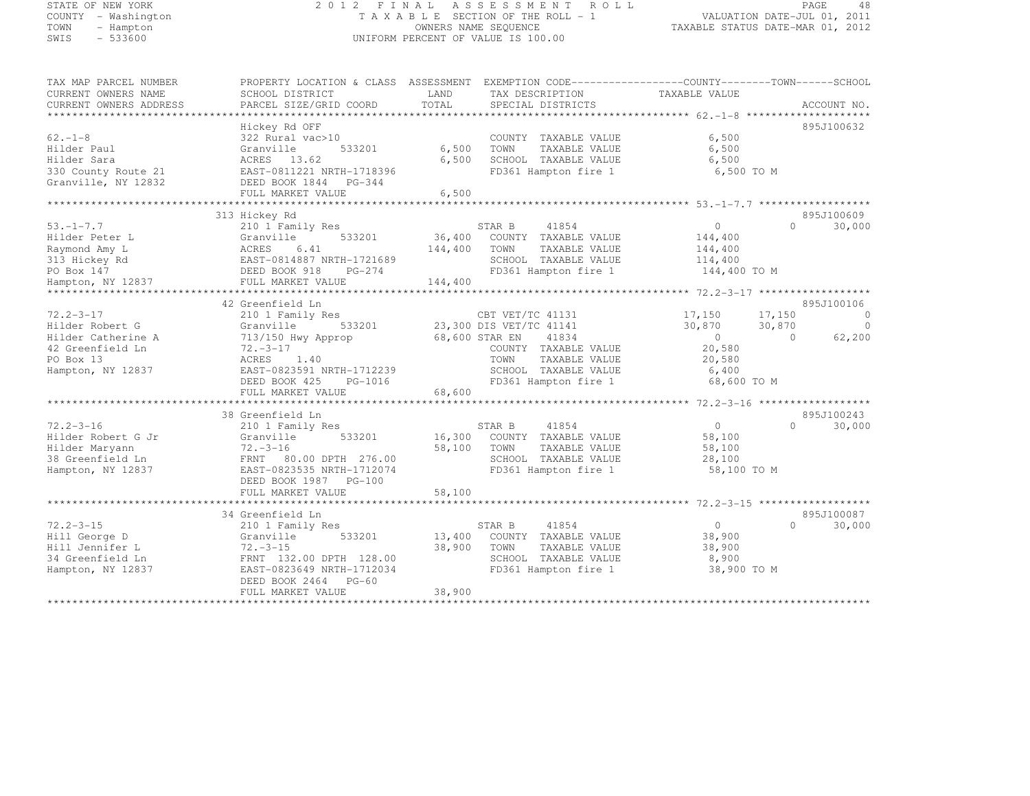#### STATE OF NEW YORK 2 0 1 2 F I N A L A S S E S S M E N T R O L L PAGE <sup>48</sup> COUNTY - Washington T A X A B L E SECTION OF THE ROLL - 1 VALUATION DATE-JUL 01, 2011 TOWN - Hampton OWNERS NAME SEQUENCE TAXABLE STATUS DATE-MAR 01, 2012 SWIS - 533600 UNIFORM PERCENT OF VALUE IS 100.00

| TAX MAP PARCEL NUMBER                         | PROPERTY LOCATION & CLASS ASSESSMENT EXEMPTION CODE-----------------COUNTY-------TOWN------SCHOOL |               |                                      |                  |                      |
|-----------------------------------------------|---------------------------------------------------------------------------------------------------|---------------|--------------------------------------|------------------|----------------------|
| CURRENT OWNERS NAME<br>CURRENT OWNERS ADDRESS | SCHOOL DISTRICT<br>PARCEL SIZE/GRID COORD                                                         | LAND<br>TOTAL | TAX DESCRIPTION<br>SPECIAL DISTRICTS | TAXABLE VALUE    | ACCOUNT NO.          |
|                                               |                                                                                                   |               |                                      |                  |                      |
|                                               | Hickey Rd OFF                                                                                     |               |                                      |                  | 895J100632           |
| $62. -1 - 8$                                  | 322 Rural vac>10                                                                                  |               | COUNTY TAXABLE VALUE                 | 6,500            |                      |
| Hilder Paul                                   | Granville<br>533201                                                                               | 6,500         | TOWN<br>TAXABLE VALUE                | 6,500            |                      |
| Hilder Sara                                   | ACRES 13.62                                                                                       | 6,500         | SCHOOL TAXABLE VALUE                 | 6,500            |                      |
| 330 County Route 21                           | EAST-0811221 NRTH-1718396                                                                         |               | FD361 Hampton fire 1                 | 6,500 TO M       |                      |
| Granville, NY 12832                           | DEED BOOK 1844 PG-344<br>FULL MARKET VALUE                                                        | 6,500         |                                      |                  |                      |
|                                               |                                                                                                   |               |                                      |                  |                      |
|                                               | 313 Hickey Rd                                                                                     |               |                                      |                  | 895J100609           |
| $53. - 1 - 7.7$                               | 210 1 Family Res                                                                                  |               | STAR B<br>41854                      | $\overline{0}$   | $\cap$<br>30,000     |
| Hilder Peter L                                | 533201<br>Granville                                                                               | 36,400        | COUNTY TAXABLE VALUE                 | 144,400          |                      |
| Raymond Amy L                                 | 6.41<br>ACRES                                                                                     | 144,400       | TOWN<br>TAXABLE VALUE                | 144,400          |                      |
| 313 Hickey Rd                                 | EAST-0814887 NRTH-1721689                                                                         |               | SCHOOL TAXABLE VALUE                 | 114,400          |                      |
| PO Box 147                                    | DEED BOOK 918<br>PG-274                                                                           |               | FD361 Hampton fire 1                 | 144,400 TO M     |                      |
| Hampton, NY 12837                             | FULL MARKET VALUE                                                                                 | 144,400       |                                      |                  |                      |
|                                               | 42 Greenfield Ln                                                                                  |               |                                      |                  | 895J100106           |
| $72.2 - 3 - 17$                               | 210 1 Family Res                                                                                  |               | CBT VET/TC 41131                     | 17,150<br>17,150 | $\Omega$             |
| Hilder Robert G                               | 533201<br>Granville                                                                               |               | 23,300 DIS VET/TC 41141              | 30,870<br>30,870 | $\overline{0}$       |
| Hilder Catherine A                            | 713/150 Hwy Approp                                                                                |               | 68,600 STAR EN<br>41834              | $\bigcirc$       | $\bigcirc$<br>62,200 |
| 42 Greenfield Ln                              | $72. -3 - 17$                                                                                     |               | COUNTY TAXABLE VALUE                 | 20,580           |                      |
| PO Box 13                                     | ACRES 1.40                                                                                        |               | TAXABLE VALUE<br>TOWN                | 20,580           |                      |
| Hampton, NY 12837                             | EAST-0823591 NRTH-1712239                                                                         |               | SCHOOL TAXABLE VALUE                 | 6,400            |                      |
|                                               | DEED BOOK 425<br>PG-1016                                                                          |               | FD361 Hampton fire 1                 | 68,600 TO M      |                      |
|                                               | FULL MARKET VALUE                                                                                 | 68,600        |                                      |                  |                      |
|                                               | 38 Greenfield Ln                                                                                  |               |                                      |                  | 895J100243           |
| $72.2 - 3 - 16$                               | 210 1 Family Res                                                                                  |               | 41854<br>STAR B                      | $\circ$          | $\Omega$<br>30,000   |
| Hilder Robert G Jr                            | 533201<br>Granville                                                                               | 16,300        | COUNTY TAXABLE VALUE                 | 58,100           |                      |
| Hilder Maryann                                | $72. - 3 - 16$                                                                                    | 58,100        | TAXABLE VALUE<br>TOWN                | 58,100           |                      |
| 38 Greenfield Ln                              | FRNT<br>80.00 DPTH 276.00                                                                         |               | SCHOOL TAXABLE VALUE                 | 28,100           |                      |
| Hampton, NY 12837                             | EAST-0823535 NRTH-1712074                                                                         |               | FD361 Hampton fire 1                 | 58,100 TO M      |                      |
|                                               | DEED BOOK 1987 PG-100                                                                             |               |                                      |                  |                      |
|                                               | FULL MARKET VALUE                                                                                 | 58,100        |                                      |                  |                      |
|                                               |                                                                                                   |               |                                      |                  |                      |
|                                               | 34 Greenfield Ln                                                                                  |               |                                      |                  | 895J100087           |
| $72.2 - 3 - 15$                               | 210 1 Family Res                                                                                  |               | STAR B<br>41854                      | $\overline{0}$   | $\bigcap$<br>30,000  |
| Hill George D                                 | Granville<br>533201                                                                               | 13,400        | COUNTY TAXABLE VALUE                 | 38,900           |                      |
| Hill Jennifer L                               | $72 - -3 - 15$                                                                                    | 38,900        | TOWN<br>TAXABLE VALUE                | 38,900           |                      |
| 34 Greenfield Ln                              | FRNT 132.00 DPTH 128.00                                                                           |               | SCHOOL TAXABLE VALUE                 | 8,900            |                      |
| Hampton, NY 12837                             | EAST-0823649 NRTH-1712034                                                                         |               | FD361 Hampton fire 1                 | 38,900 TO M      |                      |
|                                               | DEED BOOK 2464 PG-60                                                                              | 38,900        |                                      |                  |                      |
|                                               | FULL MARKET VALUE                                                                                 |               |                                      |                  |                      |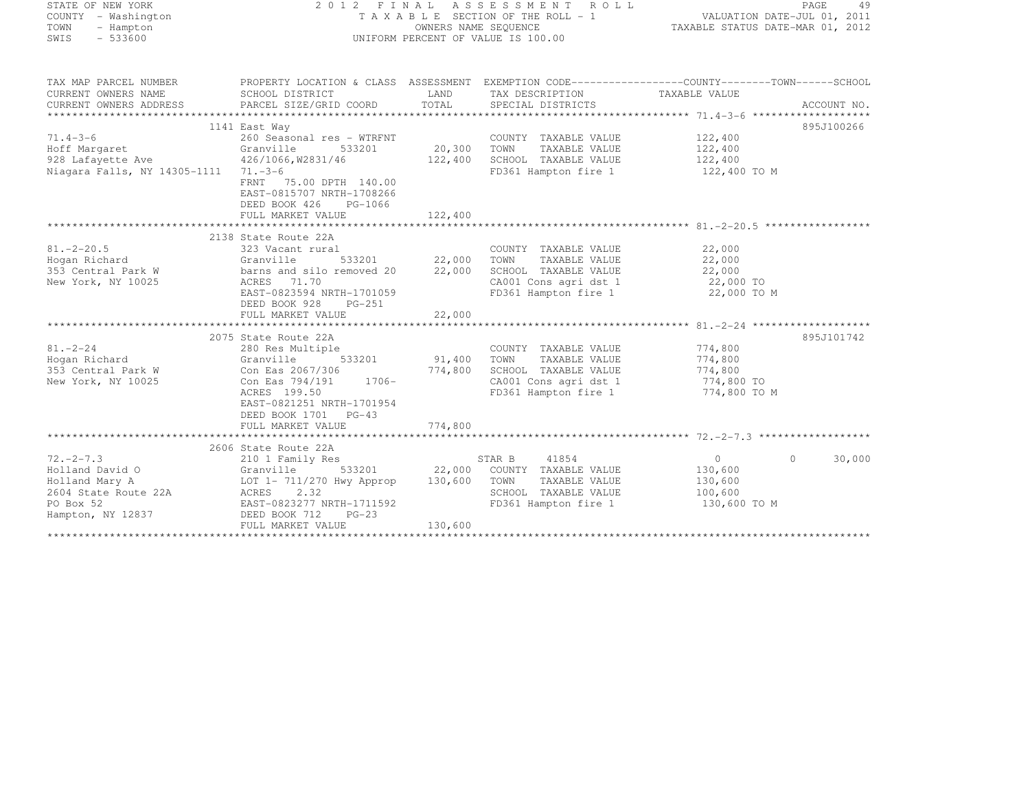| TATE OF NEW YORK |  |                    |  |  |
|------------------|--|--------------------|--|--|
|                  |  | OUNTY - Washington |  |  |
| DWN.             |  | - Hampton          |  |  |
| NIS.             |  | - 533600           |  |  |

#### STATE OF NEW YORK 2 0 1 2 F I N A L A S S E S S M E N T R O L L PAGE <sup>49</sup> COUNTY - Washington T A X A B L E SECTION OF THE ROLL - 1 VALUATION DATE-JUL 01, 2011 TOWN - Hampton OWNERS NAME SEQUENCE TAXABLE STATUS DATE-MAR 01, 2012 SWIS - 533600 UNIFORM PERCENT OF VALUE IS 100.00

TAX MAP PARCEL NUMBER PROPERTY LOCATION & CLASS ASSESSMENT EXEMPTION CODE------------------COUNTY--------TOWN------SCHOOL

| CURRENT OWNERS NAME<br>CURRENT OWNERS ADDRESS                                                                              | SCHOOL DISTRICT<br>PARCEL SIZE/GRID COORD                                                                                                                                               | LAND<br>TOTAL     | TAX DESCRIPTION<br>SPECIAL DISTRICTS                                                                                   | TAXABLE VALUE                                                   | ACCOUNT NO.       |
|----------------------------------------------------------------------------------------------------------------------------|-----------------------------------------------------------------------------------------------------------------------------------------------------------------------------------------|-------------------|------------------------------------------------------------------------------------------------------------------------|-----------------------------------------------------------------|-------------------|
|                                                                                                                            |                                                                                                                                                                                         |                   |                                                                                                                        |                                                                 | 895J100266        |
| $71.4 - 3 - 6$<br>Hoff Margaret<br>928 Lafayette Ave 426/1066, W2831/46                                                    | 1141 East Way<br>260 Seasonal res - WTRFNT<br>533201 20,300<br>Granville                                                                                                                | 122,400           | COUNTY TAXABLE VALUE<br>TOWN<br>TAXABLE VALUE<br>SCHOOL TAXABLE VALUE                                                  | 122,400<br>122,400<br>122,400                                   |                   |
| Niagara Falls, NY 14305-1111 71.-3-6                                                                                       | FRNT 75.00 DPTH 140.00<br>EAST-0815707 NRTH-1708266<br>DEED BOOK 426<br>PG-1066<br>FULL MARKET VALUE                                                                                    | 122,400           | FD361 Hampton fire 1                                                                                                   | 122,400 TO M                                                    |                   |
|                                                                                                                            |                                                                                                                                                                                         |                   |                                                                                                                        |                                                                 |                   |
| $81. - 2 - 20.5$<br>Hogan Richard<br>353 Central Park W<br>New York, NY 10025                                              | 2138 State Route 22A<br>323 Vacant rural<br>533201 22,000<br>Granville<br>barns and silo removed 20<br>ACRES 71.70<br>EAST-0823594 NRTH-1701059<br>DEED BOOK 928<br>PG-251              | 22,000            | COUNTY TAXABLE VALUE<br>TOWN<br>TAXABLE VALUE<br>SCHOOL TAXABLE VALUE<br>CA001 Cons agri dst 1<br>FD361 Hampton fire 1 | 22,000<br>22,000<br>22,000<br>22,000 TO<br>22,000 TO M          |                   |
|                                                                                                                            | FULL MARKET VALUE                                                                                                                                                                       | 22,000            |                                                                                                                        |                                                                 |                   |
|                                                                                                                            |                                                                                                                                                                                         |                   |                                                                                                                        |                                                                 |                   |
| $81 - 2 - 24$<br>Hogan Richard<br>353 Central Park W<br>New York, NY 10025                                                 | 2075 State Route 22A<br>280 Res Multiple<br>Granville<br>533201<br>Con Eas 2067/306<br>$1706 -$<br>Con Eas 794/191<br>ACRES 199.50<br>EAST-0821251 NRTH-1701954<br>DEED BOOK 1701 PG-43 | 91,400<br>774,800 | COUNTY TAXABLE VALUE<br>TOWN<br>TAXABLE VALUE<br>SCHOOL TAXABLE VALUE<br>CA001 Cons agri dst 1<br>FD361 Hampton fire 1 | 774,800<br>774,800<br>774,800<br>774,800 TO<br>774,800 TO M     | 895J101742        |
|                                                                                                                            | FULL MARKET VALUE                                                                                                                                                                       | 774,800           |                                                                                                                        |                                                                 |                   |
|                                                                                                                            |                                                                                                                                                                                         |                   |                                                                                                                        |                                                                 |                   |
| $72 - 2 - 7.3$<br>Holland David O<br>Granville<br>Holland Mary A<br>2604 State Route 22A<br>PO Box 52<br>Hampton, NY 12837 | 2606 State Route 22A<br>210 1 Family Res<br>533201<br>LOT 1- 711/270 Hwy Approp<br>ACRES 2.32<br>EAST-0823277 NRTH-1711592<br>DEED BOOK 712<br>$PG-23$                                  | 22,000<br>130,600 | STAR B<br>41854<br>COUNTY TAXABLE VALUE<br>TAXABLE VALUE<br>TOWN<br>SCHOOL TAXABLE VALUE<br>FD361 Hampton fire 1       | $\overline{0}$<br>130,600<br>130,600<br>100,600<br>130,600 TO M | 30,000<br>$\circ$ |
|                                                                                                                            | FULL MARKET VALUE                                                                                                                                                                       | 130,600           |                                                                                                                        |                                                                 |                   |
|                                                                                                                            |                                                                                                                                                                                         |                   |                                                                                                                        |                                                                 |                   |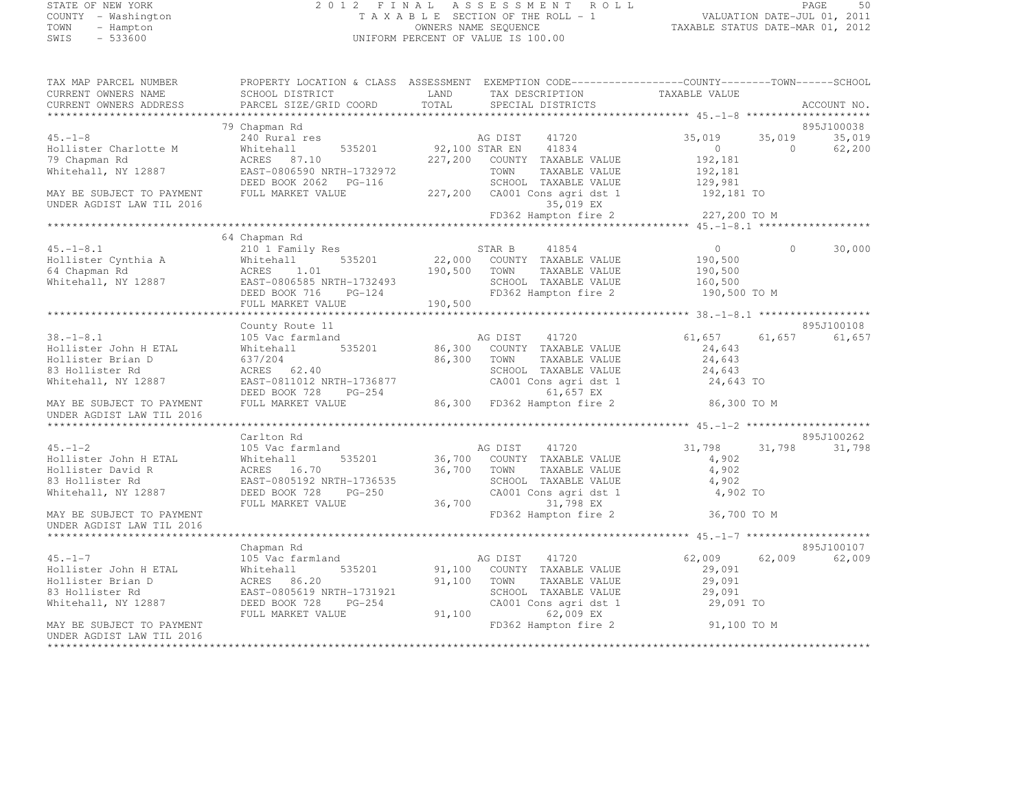### STATE OF NEW YORK 2 0 1 2 F I N A L A S S E S S M E N T R O L L PAGE <sup>50</sup> COUNTY - Washington T A X A B L E SECTION OF THE ROLL - 1 VALUATION DATE-JUL 01, 2011 TOWN - Hampton OWNERS NAME SEQUENCE TAXABLE STATUS DATE-MAR 01, 2012 SWIS - 533600 UNIFORM PERCENT OF VALUE IS 100.00

| TAX MAP PARCEL NUMBER                                                              |                                                                  |                                             | PROPERTY LOCATION & CLASS ASSESSMENT EXEMPTION CODE-----------------COUNTY-------TOWN------SCHOOL |
|------------------------------------------------------------------------------------|------------------------------------------------------------------|---------------------------------------------|---------------------------------------------------------------------------------------------------|
| CURRENT OWNERS NAME                                                                | SCHOOL DISTRICT                                                  | LAND<br>TAX DESCRIPTION                     | TAXABLE VALUE                                                                                     |
| CURRENT OWNERS ADDRESS                                                             | PARCEL SIZE/GRID COORD                                           | TOTAL<br>SPECIAL DISTRICTS                  | ACCOUNT NO.                                                                                       |
|                                                                                    |                                                                  |                                             |                                                                                                   |
|                                                                                    | 79 Chapman Rd                                                    |                                             | 895J100038                                                                                        |
| $45. - 1 - 8$                                                                      | 240 Rural res                                                    | AG DIST 41720                               | 35,019<br>35,019<br>35,019                                                                        |
| Hollister Charlotte M                                                              | Whitehall                                                        | 535201 92,100 STAR EN 41834                 | $\bigcirc$<br>62,200<br>$\circ$                                                                   |
| 79 Chapman Rd                                                                      | ACRES 87.10                                                      | 227,200 COUNTY TAXABLE VALUE                | 192,181                                                                                           |
| Whitehall, NY 12887                                                                | EAST-0806590 NRTH-1732972                                        | TOWN<br>TAXABLE VALUE                       | 192,181                                                                                           |
|                                                                                    |                                                                  | SCHOOL TAXABLE VALUE                        | 129,981                                                                                           |
| MAY BE SUBJECT TO PAYMENT                                                          | FULL MARKET VALUE                                                | 227,200 CA001 Cons agri dst 1 192,181 TO    |                                                                                                   |
| UNDER AGDIST LAW TIL 2016                                                          |                                                                  | 35,019 EX                                   |                                                                                                   |
|                                                                                    |                                                                  | FD362 Hampton fire 2                        | 227,200 TO M                                                                                      |
|                                                                                    |                                                                  |                                             |                                                                                                   |
|                                                                                    | 64 Chapman Rd                                                    |                                             |                                                                                                   |
| $45. - 1 - 8.1$                                                                    | 210 1 Family Res                                                 | 41854<br>STAR B                             | $\Omega$<br>30,000<br>$\sim$ 0                                                                    |
| Hollister Cynthia A<br>Hollister Cynthia A<br>64 Chapman Rd<br>Whitehall, NY 12887 | 535201<br>Whitehall                                              | 22,000 COUNTY TAXABLE VALUE                 | 190,500                                                                                           |
|                                                                                    | 1.01<br>ACRES                                                    | 190,500 TOWN<br>TAXABLE VALUE               | 190,500                                                                                           |
|                                                                                    | EAST-0806585 NRTH-1732493                                        | SCHOOL TAXABLE VALUE                        | 160,500                                                                                           |
|                                                                                    | DEED BOOK 716                                                    | H-1732493<br>PG-124<br>FD362 Hampton fire 2 | 190,500 TO M                                                                                      |
|                                                                                    | FULL MARKET VALUE                                                | 190,500                                     |                                                                                                   |
|                                                                                    |                                                                  |                                             |                                                                                                   |
|                                                                                    | County Route 11                                                  |                                             | 895J100108                                                                                        |
| $38. - 1 - 8.1$                                                                    | 105 Vac farmland                                                 | $86,300^{P}$<br>41720<br>AG DIST            | 61,657<br>61,657<br>61,657                                                                        |
| Hollister John H ETAL                                                              | 535201<br>Whitehall                                              | COUNTY TAXABLE VALUE                        | 24,643                                                                                            |
| Hollister Brian D                                                                  | 637/204                                                          | 86,300<br>TOWN<br>TAXABLE VALUE             | 24,643                                                                                            |
| 83 Hollister Rd                                                                    | ACRES 62.40                                                      | SCHOOL TAXABLE VALUE                        | 24,643                                                                                            |
| Whitehall, NY 12887                                                                | ACRES 62.40<br>EAST-0811012 NRTH-1736877<br>DEED BOOK 728 PG-254 | CA001 Cons agri dst 1                       | 24,643 TO                                                                                         |
|                                                                                    | DEED BOOK 728<br>PG-254                                          | 61,657 EX                                   |                                                                                                   |
| MAY BE SUBJECT TO PAYMENT                                                          | FULL MARKET VALUE                                                | 86,300 FD362 Hampton fire 2                 | 86,300 TO M                                                                                       |
| UNDER AGDIST LAW TIL 2016                                                          |                                                                  |                                             |                                                                                                   |
|                                                                                    |                                                                  |                                             |                                                                                                   |
|                                                                                    | Carlton Rd                                                       |                                             | 895J100262                                                                                        |
| $45. - 1 - 2$                                                                      | 105 Vac farmland                                                 | AG DIST 41720                               | 31,798<br>31,798<br>31,798                                                                        |
| Hollister John H ETAL                                                              | 535201<br>Whitehall                                              | 36,700 COUNTY TAXABLE VALUE                 | 4,902                                                                                             |
| Hollister David R                                                                  | ACRES 16.70                                                      | 36,700 TOWN<br>TAXABLE VALUE                | 4,902                                                                                             |
| 83 Hollister Rd                                                                    | EAST-0805192 NRTH-1736535                                        | SCHOOL TAXABLE VALUE                        | 4,902                                                                                             |
| Whitehall, NY 12887                                                                | DEED BOOK 728<br>PG-250                                          | CA001 Cons agri dst 1                       | 4,902 TO                                                                                          |
|                                                                                    | FULL MARKET VALUE                                                | 36,700<br>31,798 EX                         |                                                                                                   |
| MAY BE SUBJECT TO PAYMENT                                                          |                                                                  |                                             | FD362 Hampton fire 2 36,700 TO M                                                                  |
| UNDER AGDIST LAW TIL 2016                                                          |                                                                  |                                             |                                                                                                   |
|                                                                                    |                                                                  |                                             |                                                                                                   |
|                                                                                    | Chapman Rd                                                       |                                             | 895J100107                                                                                        |
| $45. -1 - 7$                                                                       | 105 Vac farmland                                                 | AG DIST<br>41720                            | 62,009<br>62,009<br>62,009                                                                        |
| Hollister John H ETAL                                                              | 535201<br>Whitehall                                              | 91,100 COUNTY TAXABLE VALUE                 | 29,091                                                                                            |
| Hollister Brian D                                                                  | ACRES 86.20                                                      | 91,100<br>TOWN<br>TAXABLE VALUE             | 29,091                                                                                            |
| 83 Hollister Rd                                                                    | EAST-0805619 NRTH-1731921                                        | SCHOOL TAXABLE VALUE                        | 29,091                                                                                            |
| Whitehall, NY 12887                                                                | DEED BOOK 728<br>PG-254                                          | CA001 Cons agri dst 1                       | 29,091 TO                                                                                         |
|                                                                                    | FULL MARKET VALUE                                                | 91,100<br>62,009 EX                         |                                                                                                   |
| MAY BE SUBJECT TO PAYMENT                                                          |                                                                  | FD362 Hampton fire 2                        | 91,100 TO M                                                                                       |
| UNDER AGDIST LAW TIL 2016                                                          |                                                                  |                                             |                                                                                                   |
| ****************************                                                       |                                                                  |                                             |                                                                                                   |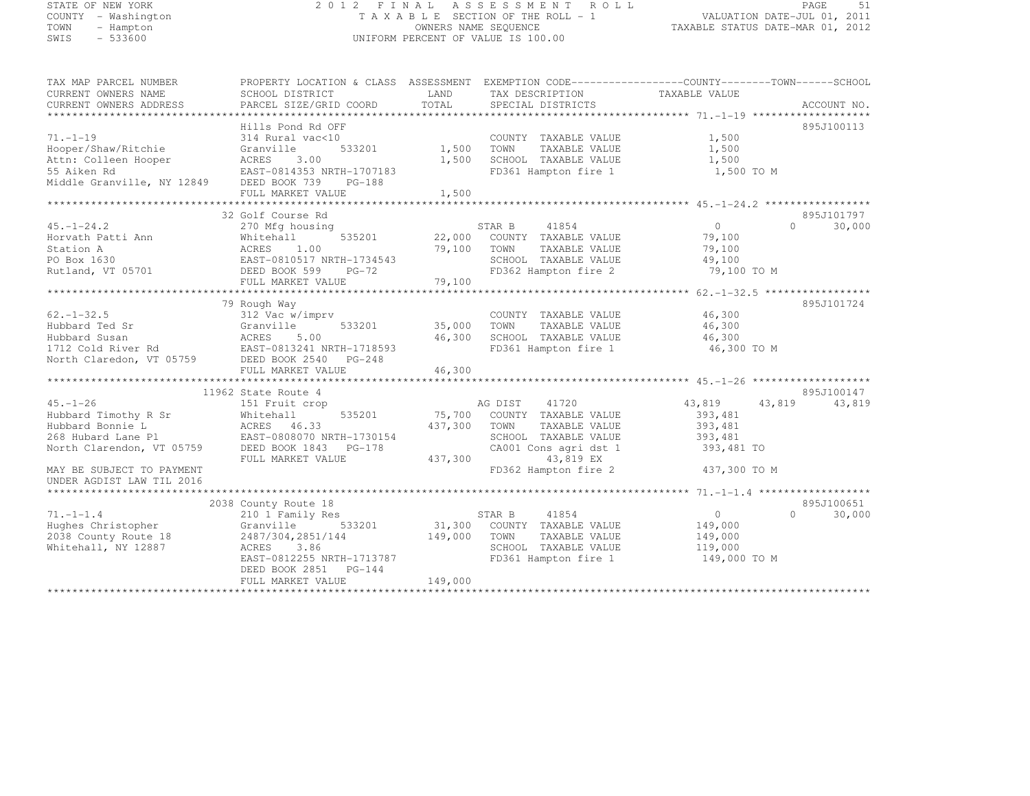# STATE OF NEW YORK 2 0 1 2 F I N A L A S S E S S M E N T R O L L PAGE <sup>51</sup> COUNTY - Washington T A X A B L E SECTION OF THE ROLL - 1 VALUATION DATE-JUL 01, 2011 TOWN - Hampton OWNERS NAME SEQUENCE TAXABLE STATUS DATE-MAR 01, 2012 SWIS - 533600 UNIFORM PERCENT OF VALUE IS 100.00

| 895J100113<br>Hills Pond Rd OFF<br>314 Rural vac<10<br>1,500<br>COUNTY TAXABLE VALUE<br>Hooper/Shaw/Ritchie<br>1,500<br>Granville<br>533201<br>1,500<br>TOWN<br>TAXABLE VALUE<br>3.00<br>1,500<br>Attn: Colleen Hooper<br>ACRES<br>SCHOOL TAXABLE VALUE<br>1,500<br>55 Aiken Rd<br>EAST-0814353 NRTH-1707183<br>FD361 Hampton fire 1<br>1,500 TO M<br>Middle Granville, NY 12849<br>DEED BOOK 739<br>$PG-188$<br>FULL MARKET VALUE<br>1,500<br>895J101797<br>32 Golf Course Rd<br>$\overline{0}$<br>$45. - 1 - 24.2$<br>STAR B<br>41854<br>$\cap$<br>30,000<br>270 Mfg housing<br>535201<br>Horvath Patti Ann<br>Whitehall<br>22,000<br>COUNTY TAXABLE VALUE<br>79,100<br>Station A<br>79,100<br>79,100<br>ACRES<br>1.00<br>TOWN<br>TAXABLE VALUE<br>PO Box 1630<br>EAST-0810517 NRTH-1734543<br>SCHOOL TAXABLE VALUE<br>49,100<br>79,100 TO M<br>Rutland, VT 05701<br>DEED BOOK 599<br>FD362 Hampton fire 2<br>$PG-72$<br>79,100<br>FULL MARKET VALUE<br>895J101724<br>79 Rough Way<br>312 Vac w/imprv<br>46,300<br>$62. - 1 - 32.5$<br>COUNTY TAXABLE VALUE<br>Hubbard Ted Sr<br>Granville<br>533201<br>35,000<br>TOWN<br>TAXABLE VALUE<br>46,300<br>46,300<br>Hubbard Susan<br>ACRES<br>5.00<br>SCHOOL TAXABLE VALUE<br>46,300<br>FD361 Hampton fire 1<br>1712 Cold River Rd<br>EAST-0813241 NRTH-1718593<br>46,300 TO M<br>North Claredon, VT 05759<br>DEED BOOK 2540<br>$PG-248$<br>46,300<br>FULL MARKET VALUE<br>11962 State Route 4<br>895J100147<br>$45. - 1 - 26$<br>41720<br>43,819<br>43,819<br>43,819<br>151 Fruit crop<br>AG DIST<br>Hubbard Timothy R Sr<br>Whitehall<br>535201<br>75,700<br>COUNTY TAXABLE VALUE<br>393,481<br>Hubbard Bonnie L<br>393,481<br>ACRES 46.33<br>437,300<br>TOWN<br>TAXABLE VALUE<br>268 Hubard Lane Pl<br>EAST-0808070 NRTH-1730154<br>SCHOOL TAXABLE VALUE<br>393,481<br>North Clarendon, VT 05759<br>DEED BOOK 1843 PG-178<br>CA001 Cons agri dst 1<br>393,481 TO<br>437,300<br>43,819 EX<br>FULL MARKET VALUE<br>FD362 Hampton fire 2<br>MAY BE SUBJECT TO PAYMENT<br>437,300 TO M<br>UNDER AGDIST LAW TIL 2016<br>2038 County Route 18<br>895J100651<br>$71. -1 -1.4$<br>30,000<br>210 1 Family Res<br>STAR B<br>41854<br>$\circ$<br>$\cap$<br>Hughes Christopher<br>Granville<br>533201<br>31,300<br>COUNTY TAXABLE VALUE<br>149,000<br>2038 County Route 18<br>2487/304,2851/144<br>149,000<br>TAXABLE VALUE<br>149,000<br>TOWN<br>Whitehall, NY 12887<br>3.86<br>SCHOOL TAXABLE VALUE<br>ACRES<br>119,000<br>EAST-0812255 NRTH-1713787<br>FD361 Hampton fire 1<br>149,000 TO M<br>DEED BOOK 2851<br>$PG-144$<br>149,000<br>FULL MARKET VALUE | TAX MAP PARCEL NUMBER<br>CURRENT OWNERS NAME<br>CURRENT OWNERS ADDRESS | PROPERTY LOCATION & CLASS ASSESSMENT EXEMPTION CODE----------------COUNTY-------TOWN------SCHOOL<br>SCHOOL DISTRICT<br>PARCEL SIZE/GRID COORD | LAND<br>TOTAL | TAX DESCRIPTION<br>SPECIAL DISTRICTS | TAXABLE VALUE | ACCOUNT NO. |
|--------------------------------------------------------------------------------------------------------------------------------------------------------------------------------------------------------------------------------------------------------------------------------------------------------------------------------------------------------------------------------------------------------------------------------------------------------------------------------------------------------------------------------------------------------------------------------------------------------------------------------------------------------------------------------------------------------------------------------------------------------------------------------------------------------------------------------------------------------------------------------------------------------------------------------------------------------------------------------------------------------------------------------------------------------------------------------------------------------------------------------------------------------------------------------------------------------------------------------------------------------------------------------------------------------------------------------------------------------------------------------------------------------------------------------------------------------------------------------------------------------------------------------------------------------------------------------------------------------------------------------------------------------------------------------------------------------------------------------------------------------------------------------------------------------------------------------------------------------------------------------------------------------------------------------------------------------------------------------------------------------------------------------------------------------------------------------------------------------------------------------------------------------------------------------------------------------------------------------------------------------------------------------------------------------------------------------------------------------------------------------------------------------------------------------------------------------------------------------------------------------------------------------------------------------------------------------------------------|------------------------------------------------------------------------|-----------------------------------------------------------------------------------------------------------------------------------------------|---------------|--------------------------------------|---------------|-------------|
|                                                                                                                                                                                                                                                                                                                                                                                                                                                                                                                                                                                                                                                                                                                                                                                                                                                                                                                                                                                                                                                                                                                                                                                                                                                                                                                                                                                                                                                                                                                                                                                                                                                                                                                                                                                                                                                                                                                                                                                                                                                                                                                                                                                                                                                                                                                                                                                                                                                                                                                                                                                                  |                                                                        |                                                                                                                                               |               |                                      |               |             |
|                                                                                                                                                                                                                                                                                                                                                                                                                                                                                                                                                                                                                                                                                                                                                                                                                                                                                                                                                                                                                                                                                                                                                                                                                                                                                                                                                                                                                                                                                                                                                                                                                                                                                                                                                                                                                                                                                                                                                                                                                                                                                                                                                                                                                                                                                                                                                                                                                                                                                                                                                                                                  |                                                                        |                                                                                                                                               |               |                                      |               |             |
|                                                                                                                                                                                                                                                                                                                                                                                                                                                                                                                                                                                                                                                                                                                                                                                                                                                                                                                                                                                                                                                                                                                                                                                                                                                                                                                                                                                                                                                                                                                                                                                                                                                                                                                                                                                                                                                                                                                                                                                                                                                                                                                                                                                                                                                                                                                                                                                                                                                                                                                                                                                                  | $71. - 1 - 19$                                                         |                                                                                                                                               |               |                                      |               |             |
|                                                                                                                                                                                                                                                                                                                                                                                                                                                                                                                                                                                                                                                                                                                                                                                                                                                                                                                                                                                                                                                                                                                                                                                                                                                                                                                                                                                                                                                                                                                                                                                                                                                                                                                                                                                                                                                                                                                                                                                                                                                                                                                                                                                                                                                                                                                                                                                                                                                                                                                                                                                                  |                                                                        |                                                                                                                                               |               |                                      |               |             |
|                                                                                                                                                                                                                                                                                                                                                                                                                                                                                                                                                                                                                                                                                                                                                                                                                                                                                                                                                                                                                                                                                                                                                                                                                                                                                                                                                                                                                                                                                                                                                                                                                                                                                                                                                                                                                                                                                                                                                                                                                                                                                                                                                                                                                                                                                                                                                                                                                                                                                                                                                                                                  |                                                                        |                                                                                                                                               |               |                                      |               |             |
|                                                                                                                                                                                                                                                                                                                                                                                                                                                                                                                                                                                                                                                                                                                                                                                                                                                                                                                                                                                                                                                                                                                                                                                                                                                                                                                                                                                                                                                                                                                                                                                                                                                                                                                                                                                                                                                                                                                                                                                                                                                                                                                                                                                                                                                                                                                                                                                                                                                                                                                                                                                                  |                                                                        |                                                                                                                                               |               |                                      |               |             |
|                                                                                                                                                                                                                                                                                                                                                                                                                                                                                                                                                                                                                                                                                                                                                                                                                                                                                                                                                                                                                                                                                                                                                                                                                                                                                                                                                                                                                                                                                                                                                                                                                                                                                                                                                                                                                                                                                                                                                                                                                                                                                                                                                                                                                                                                                                                                                                                                                                                                                                                                                                                                  |                                                                        |                                                                                                                                               |               |                                      |               |             |
|                                                                                                                                                                                                                                                                                                                                                                                                                                                                                                                                                                                                                                                                                                                                                                                                                                                                                                                                                                                                                                                                                                                                                                                                                                                                                                                                                                                                                                                                                                                                                                                                                                                                                                                                                                                                                                                                                                                                                                                                                                                                                                                                                                                                                                                                                                                                                                                                                                                                                                                                                                                                  |                                                                        |                                                                                                                                               |               |                                      |               |             |
|                                                                                                                                                                                                                                                                                                                                                                                                                                                                                                                                                                                                                                                                                                                                                                                                                                                                                                                                                                                                                                                                                                                                                                                                                                                                                                                                                                                                                                                                                                                                                                                                                                                                                                                                                                                                                                                                                                                                                                                                                                                                                                                                                                                                                                                                                                                                                                                                                                                                                                                                                                                                  |                                                                        |                                                                                                                                               |               |                                      |               |             |
|                                                                                                                                                                                                                                                                                                                                                                                                                                                                                                                                                                                                                                                                                                                                                                                                                                                                                                                                                                                                                                                                                                                                                                                                                                                                                                                                                                                                                                                                                                                                                                                                                                                                                                                                                                                                                                                                                                                                                                                                                                                                                                                                                                                                                                                                                                                                                                                                                                                                                                                                                                                                  |                                                                        |                                                                                                                                               |               |                                      |               |             |
|                                                                                                                                                                                                                                                                                                                                                                                                                                                                                                                                                                                                                                                                                                                                                                                                                                                                                                                                                                                                                                                                                                                                                                                                                                                                                                                                                                                                                                                                                                                                                                                                                                                                                                                                                                                                                                                                                                                                                                                                                                                                                                                                                                                                                                                                                                                                                                                                                                                                                                                                                                                                  |                                                                        |                                                                                                                                               |               |                                      |               |             |
|                                                                                                                                                                                                                                                                                                                                                                                                                                                                                                                                                                                                                                                                                                                                                                                                                                                                                                                                                                                                                                                                                                                                                                                                                                                                                                                                                                                                                                                                                                                                                                                                                                                                                                                                                                                                                                                                                                                                                                                                                                                                                                                                                                                                                                                                                                                                                                                                                                                                                                                                                                                                  |                                                                        |                                                                                                                                               |               |                                      |               |             |
|                                                                                                                                                                                                                                                                                                                                                                                                                                                                                                                                                                                                                                                                                                                                                                                                                                                                                                                                                                                                                                                                                                                                                                                                                                                                                                                                                                                                                                                                                                                                                                                                                                                                                                                                                                                                                                                                                                                                                                                                                                                                                                                                                                                                                                                                                                                                                                                                                                                                                                                                                                                                  |                                                                        |                                                                                                                                               |               |                                      |               |             |
|                                                                                                                                                                                                                                                                                                                                                                                                                                                                                                                                                                                                                                                                                                                                                                                                                                                                                                                                                                                                                                                                                                                                                                                                                                                                                                                                                                                                                                                                                                                                                                                                                                                                                                                                                                                                                                                                                                                                                                                                                                                                                                                                                                                                                                                                                                                                                                                                                                                                                                                                                                                                  |                                                                        |                                                                                                                                               |               |                                      |               |             |
|                                                                                                                                                                                                                                                                                                                                                                                                                                                                                                                                                                                                                                                                                                                                                                                                                                                                                                                                                                                                                                                                                                                                                                                                                                                                                                                                                                                                                                                                                                                                                                                                                                                                                                                                                                                                                                                                                                                                                                                                                                                                                                                                                                                                                                                                                                                                                                                                                                                                                                                                                                                                  |                                                                        |                                                                                                                                               |               |                                      |               |             |
|                                                                                                                                                                                                                                                                                                                                                                                                                                                                                                                                                                                                                                                                                                                                                                                                                                                                                                                                                                                                                                                                                                                                                                                                                                                                                                                                                                                                                                                                                                                                                                                                                                                                                                                                                                                                                                                                                                                                                                                                                                                                                                                                                                                                                                                                                                                                                                                                                                                                                                                                                                                                  |                                                                        |                                                                                                                                               |               |                                      |               |             |
|                                                                                                                                                                                                                                                                                                                                                                                                                                                                                                                                                                                                                                                                                                                                                                                                                                                                                                                                                                                                                                                                                                                                                                                                                                                                                                                                                                                                                                                                                                                                                                                                                                                                                                                                                                                                                                                                                                                                                                                                                                                                                                                                                                                                                                                                                                                                                                                                                                                                                                                                                                                                  |                                                                        |                                                                                                                                               |               |                                      |               |             |
|                                                                                                                                                                                                                                                                                                                                                                                                                                                                                                                                                                                                                                                                                                                                                                                                                                                                                                                                                                                                                                                                                                                                                                                                                                                                                                                                                                                                                                                                                                                                                                                                                                                                                                                                                                                                                                                                                                                                                                                                                                                                                                                                                                                                                                                                                                                                                                                                                                                                                                                                                                                                  |                                                                        |                                                                                                                                               |               |                                      |               |             |
|                                                                                                                                                                                                                                                                                                                                                                                                                                                                                                                                                                                                                                                                                                                                                                                                                                                                                                                                                                                                                                                                                                                                                                                                                                                                                                                                                                                                                                                                                                                                                                                                                                                                                                                                                                                                                                                                                                                                                                                                                                                                                                                                                                                                                                                                                                                                                                                                                                                                                                                                                                                                  |                                                                        |                                                                                                                                               |               |                                      |               |             |
|                                                                                                                                                                                                                                                                                                                                                                                                                                                                                                                                                                                                                                                                                                                                                                                                                                                                                                                                                                                                                                                                                                                                                                                                                                                                                                                                                                                                                                                                                                                                                                                                                                                                                                                                                                                                                                                                                                                                                                                                                                                                                                                                                                                                                                                                                                                                                                                                                                                                                                                                                                                                  |                                                                        |                                                                                                                                               |               |                                      |               |             |
|                                                                                                                                                                                                                                                                                                                                                                                                                                                                                                                                                                                                                                                                                                                                                                                                                                                                                                                                                                                                                                                                                                                                                                                                                                                                                                                                                                                                                                                                                                                                                                                                                                                                                                                                                                                                                                                                                                                                                                                                                                                                                                                                                                                                                                                                                                                                                                                                                                                                                                                                                                                                  |                                                                        |                                                                                                                                               |               |                                      |               |             |
|                                                                                                                                                                                                                                                                                                                                                                                                                                                                                                                                                                                                                                                                                                                                                                                                                                                                                                                                                                                                                                                                                                                                                                                                                                                                                                                                                                                                                                                                                                                                                                                                                                                                                                                                                                                                                                                                                                                                                                                                                                                                                                                                                                                                                                                                                                                                                                                                                                                                                                                                                                                                  |                                                                        |                                                                                                                                               |               |                                      |               |             |
|                                                                                                                                                                                                                                                                                                                                                                                                                                                                                                                                                                                                                                                                                                                                                                                                                                                                                                                                                                                                                                                                                                                                                                                                                                                                                                                                                                                                                                                                                                                                                                                                                                                                                                                                                                                                                                                                                                                                                                                                                                                                                                                                                                                                                                                                                                                                                                                                                                                                                                                                                                                                  |                                                                        |                                                                                                                                               |               |                                      |               |             |
|                                                                                                                                                                                                                                                                                                                                                                                                                                                                                                                                                                                                                                                                                                                                                                                                                                                                                                                                                                                                                                                                                                                                                                                                                                                                                                                                                                                                                                                                                                                                                                                                                                                                                                                                                                                                                                                                                                                                                                                                                                                                                                                                                                                                                                                                                                                                                                                                                                                                                                                                                                                                  |                                                                        |                                                                                                                                               |               |                                      |               |             |
|                                                                                                                                                                                                                                                                                                                                                                                                                                                                                                                                                                                                                                                                                                                                                                                                                                                                                                                                                                                                                                                                                                                                                                                                                                                                                                                                                                                                                                                                                                                                                                                                                                                                                                                                                                                                                                                                                                                                                                                                                                                                                                                                                                                                                                                                                                                                                                                                                                                                                                                                                                                                  |                                                                        |                                                                                                                                               |               |                                      |               |             |
|                                                                                                                                                                                                                                                                                                                                                                                                                                                                                                                                                                                                                                                                                                                                                                                                                                                                                                                                                                                                                                                                                                                                                                                                                                                                                                                                                                                                                                                                                                                                                                                                                                                                                                                                                                                                                                                                                                                                                                                                                                                                                                                                                                                                                                                                                                                                                                                                                                                                                                                                                                                                  |                                                                        |                                                                                                                                               |               |                                      |               |             |
|                                                                                                                                                                                                                                                                                                                                                                                                                                                                                                                                                                                                                                                                                                                                                                                                                                                                                                                                                                                                                                                                                                                                                                                                                                                                                                                                                                                                                                                                                                                                                                                                                                                                                                                                                                                                                                                                                                                                                                                                                                                                                                                                                                                                                                                                                                                                                                                                                                                                                                                                                                                                  |                                                                        |                                                                                                                                               |               |                                      |               |             |
|                                                                                                                                                                                                                                                                                                                                                                                                                                                                                                                                                                                                                                                                                                                                                                                                                                                                                                                                                                                                                                                                                                                                                                                                                                                                                                                                                                                                                                                                                                                                                                                                                                                                                                                                                                                                                                                                                                                                                                                                                                                                                                                                                                                                                                                                                                                                                                                                                                                                                                                                                                                                  |                                                                        |                                                                                                                                               |               |                                      |               |             |
|                                                                                                                                                                                                                                                                                                                                                                                                                                                                                                                                                                                                                                                                                                                                                                                                                                                                                                                                                                                                                                                                                                                                                                                                                                                                                                                                                                                                                                                                                                                                                                                                                                                                                                                                                                                                                                                                                                                                                                                                                                                                                                                                                                                                                                                                                                                                                                                                                                                                                                                                                                                                  |                                                                        |                                                                                                                                               |               |                                      |               |             |
|                                                                                                                                                                                                                                                                                                                                                                                                                                                                                                                                                                                                                                                                                                                                                                                                                                                                                                                                                                                                                                                                                                                                                                                                                                                                                                                                                                                                                                                                                                                                                                                                                                                                                                                                                                                                                                                                                                                                                                                                                                                                                                                                                                                                                                                                                                                                                                                                                                                                                                                                                                                                  |                                                                        |                                                                                                                                               |               |                                      |               |             |
|                                                                                                                                                                                                                                                                                                                                                                                                                                                                                                                                                                                                                                                                                                                                                                                                                                                                                                                                                                                                                                                                                                                                                                                                                                                                                                                                                                                                                                                                                                                                                                                                                                                                                                                                                                                                                                                                                                                                                                                                                                                                                                                                                                                                                                                                                                                                                                                                                                                                                                                                                                                                  |                                                                        |                                                                                                                                               |               |                                      |               |             |
|                                                                                                                                                                                                                                                                                                                                                                                                                                                                                                                                                                                                                                                                                                                                                                                                                                                                                                                                                                                                                                                                                                                                                                                                                                                                                                                                                                                                                                                                                                                                                                                                                                                                                                                                                                                                                                                                                                                                                                                                                                                                                                                                                                                                                                                                                                                                                                                                                                                                                                                                                                                                  |                                                                        |                                                                                                                                               |               |                                      |               |             |
|                                                                                                                                                                                                                                                                                                                                                                                                                                                                                                                                                                                                                                                                                                                                                                                                                                                                                                                                                                                                                                                                                                                                                                                                                                                                                                                                                                                                                                                                                                                                                                                                                                                                                                                                                                                                                                                                                                                                                                                                                                                                                                                                                                                                                                                                                                                                                                                                                                                                                                                                                                                                  |                                                                        |                                                                                                                                               |               |                                      |               |             |
|                                                                                                                                                                                                                                                                                                                                                                                                                                                                                                                                                                                                                                                                                                                                                                                                                                                                                                                                                                                                                                                                                                                                                                                                                                                                                                                                                                                                                                                                                                                                                                                                                                                                                                                                                                                                                                                                                                                                                                                                                                                                                                                                                                                                                                                                                                                                                                                                                                                                                                                                                                                                  |                                                                        |                                                                                                                                               |               |                                      |               |             |
|                                                                                                                                                                                                                                                                                                                                                                                                                                                                                                                                                                                                                                                                                                                                                                                                                                                                                                                                                                                                                                                                                                                                                                                                                                                                                                                                                                                                                                                                                                                                                                                                                                                                                                                                                                                                                                                                                                                                                                                                                                                                                                                                                                                                                                                                                                                                                                                                                                                                                                                                                                                                  |                                                                        |                                                                                                                                               |               |                                      |               |             |
|                                                                                                                                                                                                                                                                                                                                                                                                                                                                                                                                                                                                                                                                                                                                                                                                                                                                                                                                                                                                                                                                                                                                                                                                                                                                                                                                                                                                                                                                                                                                                                                                                                                                                                                                                                                                                                                                                                                                                                                                                                                                                                                                                                                                                                                                                                                                                                                                                                                                                                                                                                                                  |                                                                        |                                                                                                                                               |               |                                      |               |             |
|                                                                                                                                                                                                                                                                                                                                                                                                                                                                                                                                                                                                                                                                                                                                                                                                                                                                                                                                                                                                                                                                                                                                                                                                                                                                                                                                                                                                                                                                                                                                                                                                                                                                                                                                                                                                                                                                                                                                                                                                                                                                                                                                                                                                                                                                                                                                                                                                                                                                                                                                                                                                  |                                                                        |                                                                                                                                               |               |                                      |               |             |
|                                                                                                                                                                                                                                                                                                                                                                                                                                                                                                                                                                                                                                                                                                                                                                                                                                                                                                                                                                                                                                                                                                                                                                                                                                                                                                                                                                                                                                                                                                                                                                                                                                                                                                                                                                                                                                                                                                                                                                                                                                                                                                                                                                                                                                                                                                                                                                                                                                                                                                                                                                                                  |                                                                        |                                                                                                                                               |               |                                      |               |             |
|                                                                                                                                                                                                                                                                                                                                                                                                                                                                                                                                                                                                                                                                                                                                                                                                                                                                                                                                                                                                                                                                                                                                                                                                                                                                                                                                                                                                                                                                                                                                                                                                                                                                                                                                                                                                                                                                                                                                                                                                                                                                                                                                                                                                                                                                                                                                                                                                                                                                                                                                                                                                  |                                                                        |                                                                                                                                               |               |                                      |               |             |
|                                                                                                                                                                                                                                                                                                                                                                                                                                                                                                                                                                                                                                                                                                                                                                                                                                                                                                                                                                                                                                                                                                                                                                                                                                                                                                                                                                                                                                                                                                                                                                                                                                                                                                                                                                                                                                                                                                                                                                                                                                                                                                                                                                                                                                                                                                                                                                                                                                                                                                                                                                                                  |                                                                        |                                                                                                                                               |               |                                      |               |             |
|                                                                                                                                                                                                                                                                                                                                                                                                                                                                                                                                                                                                                                                                                                                                                                                                                                                                                                                                                                                                                                                                                                                                                                                                                                                                                                                                                                                                                                                                                                                                                                                                                                                                                                                                                                                                                                                                                                                                                                                                                                                                                                                                                                                                                                                                                                                                                                                                                                                                                                                                                                                                  |                                                                        |                                                                                                                                               |               |                                      |               |             |
|                                                                                                                                                                                                                                                                                                                                                                                                                                                                                                                                                                                                                                                                                                                                                                                                                                                                                                                                                                                                                                                                                                                                                                                                                                                                                                                                                                                                                                                                                                                                                                                                                                                                                                                                                                                                                                                                                                                                                                                                                                                                                                                                                                                                                                                                                                                                                                                                                                                                                                                                                                                                  |                                                                        |                                                                                                                                               |               |                                      |               |             |
|                                                                                                                                                                                                                                                                                                                                                                                                                                                                                                                                                                                                                                                                                                                                                                                                                                                                                                                                                                                                                                                                                                                                                                                                                                                                                                                                                                                                                                                                                                                                                                                                                                                                                                                                                                                                                                                                                                                                                                                                                                                                                                                                                                                                                                                                                                                                                                                                                                                                                                                                                                                                  |                                                                        |                                                                                                                                               |               |                                      |               |             |
|                                                                                                                                                                                                                                                                                                                                                                                                                                                                                                                                                                                                                                                                                                                                                                                                                                                                                                                                                                                                                                                                                                                                                                                                                                                                                                                                                                                                                                                                                                                                                                                                                                                                                                                                                                                                                                                                                                                                                                                                                                                                                                                                                                                                                                                                                                                                                                                                                                                                                                                                                                                                  |                                                                        |                                                                                                                                               |               |                                      |               |             |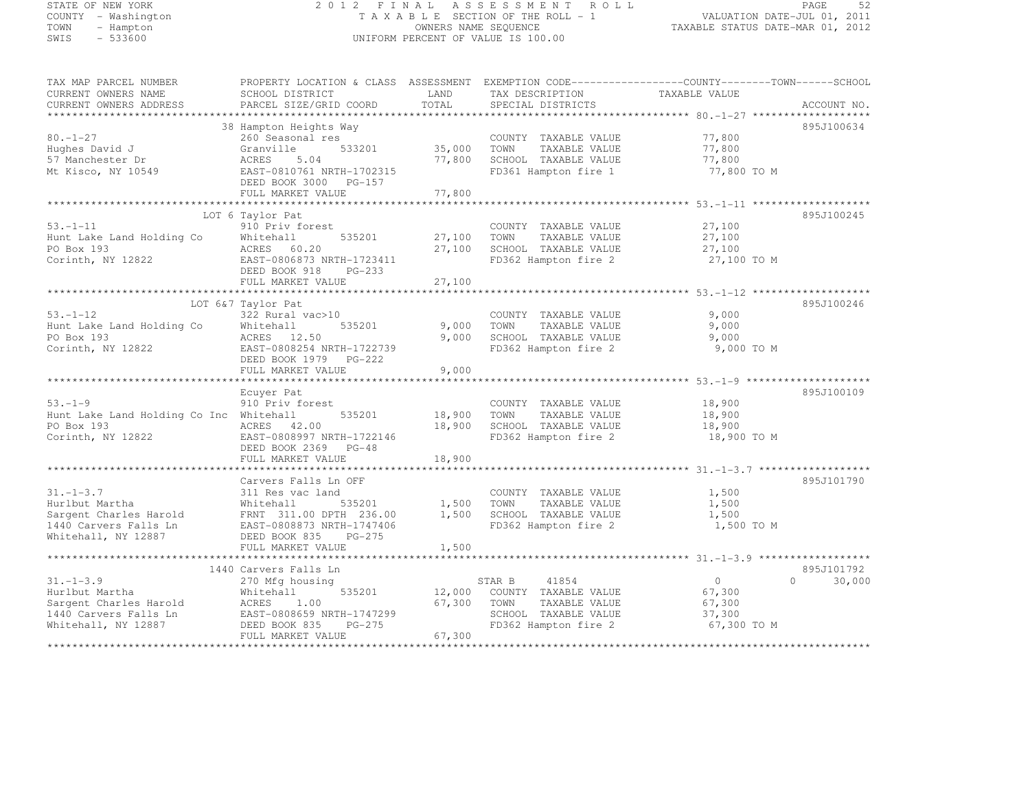# STATE OF NEW YORK 2 0 1 2 F I N A L A S S E S S M E N T R O L L PAGE <sup>52</sup> COUNTY - Washington T A X A B L E SECTION OF THE ROLL - 1 VALUATION DATE-JUL 01, 2011 TOWN - Hampton OWNERS NAME SEQUENCE TAXABLE STATUS DATE-MAR 01, 2012 SWIS - 533600 UNIFORM PERCENT OF VALUE IS 100.00

| TAX MAP PARCEL NUMBER                                 | PROPERTY LOCATION & CLASS ASSESSMENT EXEMPTION CODE-----------------COUNTY-------TOWN------SCHOOL |                  |                                              |                |                  |
|-------------------------------------------------------|---------------------------------------------------------------------------------------------------|------------------|----------------------------------------------|----------------|------------------|
| CURRENT OWNERS NAME                                   | SCHOOL DISTRICT                                                                                   | LAND             | TAX DESCRIPTION                              | TAXABLE VALUE  |                  |
| CURRENT OWNERS ADDRESS                                | PARCEL SIZE/GRID COORD                                                                            | TOTAL            | SPECIAL DISTRICTS                            |                | ACCOUNT NO.      |
|                                                       |                                                                                                   |                  |                                              |                |                  |
|                                                       | 38 Hampton Heights Way                                                                            |                  |                                              |                | 895J100634       |
| $80. - 1 - 27$                                        | 260 Seasonal res                                                                                  |                  | COUNTY TAXABLE VALUE                         | 77,800         |                  |
| Hughes David J                                        | 533201<br>Granville                                                                               | 35,000           | TOWN<br>TAXABLE VALUE                        | 77,800         |                  |
| 57 Manchester Dr                                      | ACRES<br>5.04                                                                                     | 77,800           | SCHOOL TAXABLE VALUE                         | 77,800         |                  |
| Mt Kisco, NY 10549                                    | EAST-0810761 NRTH-1702315                                                                         |                  | FD361 Hampton fire 1                         | 77,800 TO M    |                  |
|                                                       | DEED BOOK 3000 PG-157                                                                             |                  |                                              |                |                  |
|                                                       | FULL MARKET VALUE                                                                                 | 77,800           |                                              |                |                  |
|                                                       |                                                                                                   |                  |                                              |                |                  |
|                                                       | LOT 6 Taylor Pat                                                                                  |                  |                                              |                | 895J100245       |
| $53. - 1 - 11$                                        | 910 Priv forest                                                                                   |                  | COUNTY TAXABLE VALUE                         | 27,100         |                  |
| Hunt Lake Land Holding Co                             | 535201<br>Whitehall                                                                               | 27,100           | TAXABLE VALUE<br>TOWN                        | 27,100         |                  |
| PO Box 193                                            | ACRES 60.20                                                                                       | 27,100           | SCHOOL TAXABLE VALUE                         | 27,100         |                  |
| Corinth, NY 12822                                     | EAST-0806873 NRTH-1723411                                                                         |                  | FD362 Hampton fire 2                         | 27,100 TO M    |                  |
|                                                       | DEED BOOK 918<br>$PG-233$                                                                         |                  |                                              |                |                  |
|                                                       | FULL MARKET VALUE                                                                                 | 27,100           |                                              |                |                  |
|                                                       |                                                                                                   |                  |                                              |                |                  |
|                                                       | LOT 6&7 Taylor Pat                                                                                |                  |                                              |                | 895J100246       |
| $53. - 1 - 12$                                        | 322 Rural vac>10                                                                                  |                  | COUNTY TAXABLE VALUE                         | 9,000          |                  |
| Hunt Lake Land Holding Co                             | 535201<br>Whitehall                                                                               | 9,000            | TAXABLE VALUE<br>TOWN                        | 9,000          |                  |
| PO Box 193                                            | ACRES 12.50                                                                                       | 9,000            | SCHOOL TAXABLE VALUE                         | 9,000          |                  |
| Corinth, NY 12822                                     | EAST-0808254 NRTH-1722739                                                                         |                  | FD362 Hampton fire 2                         | 9,000 TO M     |                  |
|                                                       | DEED BOOK 1979 PG-222                                                                             |                  |                                              |                |                  |
|                                                       | FULL MARKET VALUE                                                                                 | 9,000            |                                              |                |                  |
|                                                       |                                                                                                   |                  |                                              |                | 895J100109       |
| $53. - 1 - 9$                                         | Ecuyer Pat                                                                                        |                  |                                              |                |                  |
|                                                       | 910 Priv forest                                                                                   |                  | COUNTY TAXABLE VALUE                         | 18,900         |                  |
| Hunt Lake Land Holding Co Inc Whitehall<br>PO Box 193 | 535201<br>ACRES 42.00                                                                             | 18,900<br>18,900 | TAXABLE VALUE<br>TOWN                        | 18,900         |                  |
|                                                       |                                                                                                   |                  | SCHOOL TAXABLE VALUE<br>FD362 Hampton fire 2 | 18,900         |                  |
| Corinth, NY 12822                                     | EAST-0808997 NRTH-1722146<br>DEED BOOK 2369 PG-48                                                 |                  |                                              | 18,900 TO M    |                  |
|                                                       | FULL MARKET VALUE                                                                                 | 18,900           |                                              |                |                  |
|                                                       |                                                                                                   |                  |                                              |                |                  |
|                                                       | Carvers Falls Ln OFF                                                                              |                  |                                              |                | 895J101790       |
| $31. - 1 - 3.7$                                       | 311 Res vac land                                                                                  |                  | COUNTY TAXABLE VALUE                         | 1,500          |                  |
| Hurlbut Martha                                        | 535201<br>Whitehall                                                                               | 1,500            | TAXABLE VALUE<br>TOWN                        | 1,500          |                  |
| Sargent Charles Harold                                | FRNT 311.00 DPTH 236.00                                                                           | 1,500            | SCHOOL TAXABLE VALUE                         | 1,500          |                  |
| 1440 Carvers Falls Ln                                 | EAST-0808873 NRTH-1747406                                                                         |                  | FD362 Hampton fire 2                         | 1,500 TO M     |                  |
| Whitehall, NY 12887                                   | DEED BOOK 835<br>$PG-275$                                                                         |                  |                                              |                |                  |
|                                                       | FULL MARKET VALUE                                                                                 | 1,500            |                                              |                |                  |
|                                                       |                                                                                                   |                  |                                              |                |                  |
|                                                       | 1440 Carvers Falls Ln                                                                             |                  |                                              |                | 895J101792       |
| $31. - 1 - 3.9$                                       | 270 Mfg housing                                                                                   |                  | STAR B<br>41854                              | $\overline{0}$ | 30,000<br>$\cap$ |
| Hurlbut Martha                                        | Whitehall<br>535201                                                                               | 12,000           | COUNTY TAXABLE VALUE                         | 67,300         |                  |
| Sargent Charles Harold                                | ACRES<br>1.00                                                                                     | 67,300           | TOWN<br>TAXABLE VALUE                        | 67,300         |                  |
| 1440 Carvers Falls Ln                                 | EAST-0808659 NRTH-1747299                                                                         |                  | SCHOOL TAXABLE VALUE                         | 37,300         |                  |
| Whitehall, NY 12887                                   | DEED BOOK 835<br>PG-275                                                                           |                  | FD362 Hampton fire 2                         | 67,300 TO M    |                  |
|                                                       | FULL MARKET VALUE                                                                                 | 67,300           |                                              |                |                  |
|                                                       |                                                                                                   |                  |                                              |                |                  |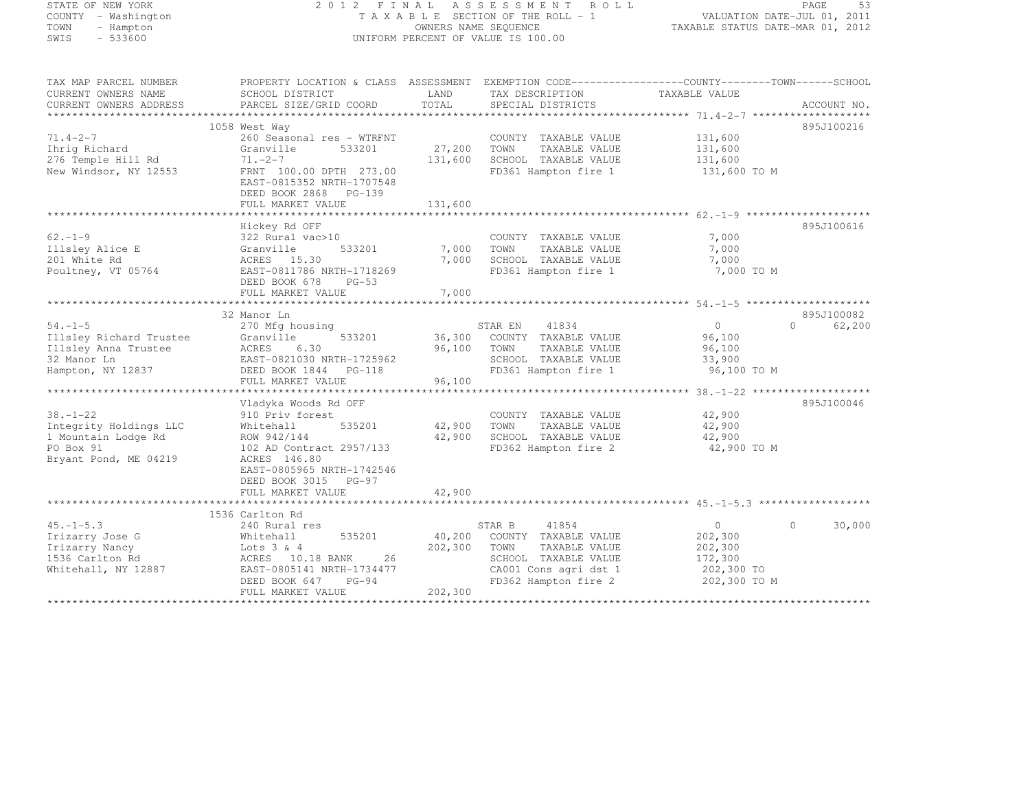## STATE OF NEW YORK 2 0 1 2 F I N A L A S S E S S M E N T R O L L PAGE <sup>53</sup> COUNTY - Washington T A X A B L E SECTION OF THE ROLL - 1 VALUATION DATE-JUL 01, 2011 TOWN - Hampton OWNERS NAME SEQUENCE TAXABLE STATUS DATE-MAR 01, 2012 SWIS - 533600 UNIFORM PERCENT OF VALUE IS 100.00

TAX MAP PARCEL NUMBER PROPERTY LOCATION & CLASS ASSESSMENT EXEMPTION CODE------------------COUNTY--------TOWN------SCHOOL

| CURRENT OWNERS NAME                                                                                   | SCHOOL DISTRICT                                                                                                                                                                | LAND                         | TAX DESCRIPTION                                                                                                                           | TAXABLE VALUE                                                          |                        |
|-------------------------------------------------------------------------------------------------------|--------------------------------------------------------------------------------------------------------------------------------------------------------------------------------|------------------------------|-------------------------------------------------------------------------------------------------------------------------------------------|------------------------------------------------------------------------|------------------------|
| CURRENT OWNERS ADDRESS                                                                                | PARCEL SIZE/GRID COORD                                                                                                                                                         | TOTAL                        | SPECIAL DISTRICTS                                                                                                                         |                                                                        | ACCOUNT NO.            |
|                                                                                                       | 1058 West Way                                                                                                                                                                  |                              |                                                                                                                                           |                                                                        | 895J100216             |
| $71.4 - 2 - 7$<br>Ihrig Richard<br>276 Temple Hill Rd<br>New Windsor, NY 12553                        | 260 Seasonal res - WTRFNT<br>Granville<br>533201<br>$71. - 2 - 7$<br>FRNT 100.00 DPTH 273.00<br>EAST-0815352 NRTH-1707548                                                      | 27,200<br>131,600            | COUNTY TAXABLE VALUE<br>TOWN<br>TAXABLE VALUE<br>SCHOOL TAXABLE VALUE<br>FD361 Hampton fire 1                                             | 131,600<br>131,600<br>131,600<br>131,600 TO M                          |                        |
|                                                                                                       | DEED BOOK 2868 PG-139                                                                                                                                                          |                              |                                                                                                                                           |                                                                        |                        |
|                                                                                                       | FULL MARKET VALUE                                                                                                                                                              | 131,600                      |                                                                                                                                           |                                                                        |                        |
|                                                                                                       | Hickey Rd OFF                                                                                                                                                                  |                              |                                                                                                                                           |                                                                        | 895J100616             |
| $62 - 1 - 9$<br>Illsley Alice E<br>201 White Rd<br>Poultney, VT 05764                                 | 322 Rural vac>10<br>533201<br>Granville<br>ACRES 15.30<br>EAST-0811786 NRTH-1718269<br>DEED BOOK 678<br>$PG-53$                                                                | 7,000<br>7,000               | COUNTY TAXABLE VALUE<br>TOWN<br>TAXABLE VALUE<br>SCHOOL TAXABLE VALUE<br>FD361 Hampton fire 1                                             | 7,000<br>7,000<br>7,000<br>7,000 TO M                                  |                        |
|                                                                                                       | FULL MARKET VALUE                                                                                                                                                              | 7,000                        |                                                                                                                                           |                                                                        |                        |
|                                                                                                       |                                                                                                                                                                                |                              |                                                                                                                                           |                                                                        |                        |
|                                                                                                       | 32 Manor Ln                                                                                                                                                                    |                              |                                                                                                                                           |                                                                        | 895J100082             |
| $54. -1 - 5$<br>Illsley Richard Trustee<br>Illsley Anna Trustee<br>32 Manor Ln<br>Hampton, NY 12837   | 270 Mfg housing<br>533201<br>Granville<br>ACRES<br>6.30<br>EAST-0821030 NRTH-1725962<br>DEED BOOK 1844 PG-118<br>FULL MARKET VALUE                                             | 36,300<br>96,100<br>96,100   | 41834<br>STAR EN<br>COUNTY TAXABLE VALUE<br>TOWN<br>TAXABLE VALUE<br>SCHOOL TAXABLE VALUE<br>FD361 Hampton fire 1                         | $\overline{0}$<br>96,100<br>96,100<br>33,900<br>96,100 TO M            | $\cap$<br>62,200       |
|                                                                                                       |                                                                                                                                                                                |                              |                                                                                                                                           |                                                                        |                        |
| $38. - 1 - 22$<br>Integrity Holdings LLC<br>1 Mountain Lodge Rd<br>PO Box 91<br>Bryant Pond, ME 04219 | Vladyka Woods Rd OFF<br>910 Priv forest<br>535201<br>Whitehall<br>ROW 942/144<br>102 AD Contract 2957/133<br>ACRES 146.80<br>EAST-0805965 NRTH-1742546<br>DEED BOOK 3015 PG-97 | 42,900<br>42,900             | COUNTY TAXABLE VALUE<br>TOWN<br>TAXABLE VALUE<br>SCHOOL TAXABLE VALUE<br>FD362 Hampton fire 2                                             | 42,900<br>42,900<br>42,900<br>42,900 TO M                              | 895J100046             |
|                                                                                                       | FULL MARKET VALUE                                                                                                                                                              | 42,900                       |                                                                                                                                           |                                                                        |                        |
|                                                                                                       | 1536 Carlton Rd                                                                                                                                                                |                              |                                                                                                                                           |                                                                        |                        |
| $45. -1 - 5.3$<br>Irizarry Jose G<br>Irizarry Nancy<br>1536 Carlton Rd<br>Whitehall, NY 12887         | 240 Rural res<br>Whitehall<br>535201<br>Lots $3 \& 4$<br>ACRES 10.18 BANK<br>26<br>EAST-0805141 NRTH-1734477<br>DEED BOOK 647<br>$PG-94$<br>FULL MARKET VALUE                  | 40,200<br>202,300<br>202,300 | 41854<br>STAR B<br>COUNTY TAXABLE VALUE<br>TOWN<br>TAXABLE VALUE<br>SCHOOL TAXABLE VALUE<br>CA001 Cons agri dst 1<br>FD362 Hampton fire 2 | $\circ$<br>202,300<br>202,300<br>172,300<br>202,300 TO<br>202,300 TO M | 30,000<br>$\mathbf{0}$ |
|                                                                                                       |                                                                                                                                                                                |                              |                                                                                                                                           |                                                                        |                        |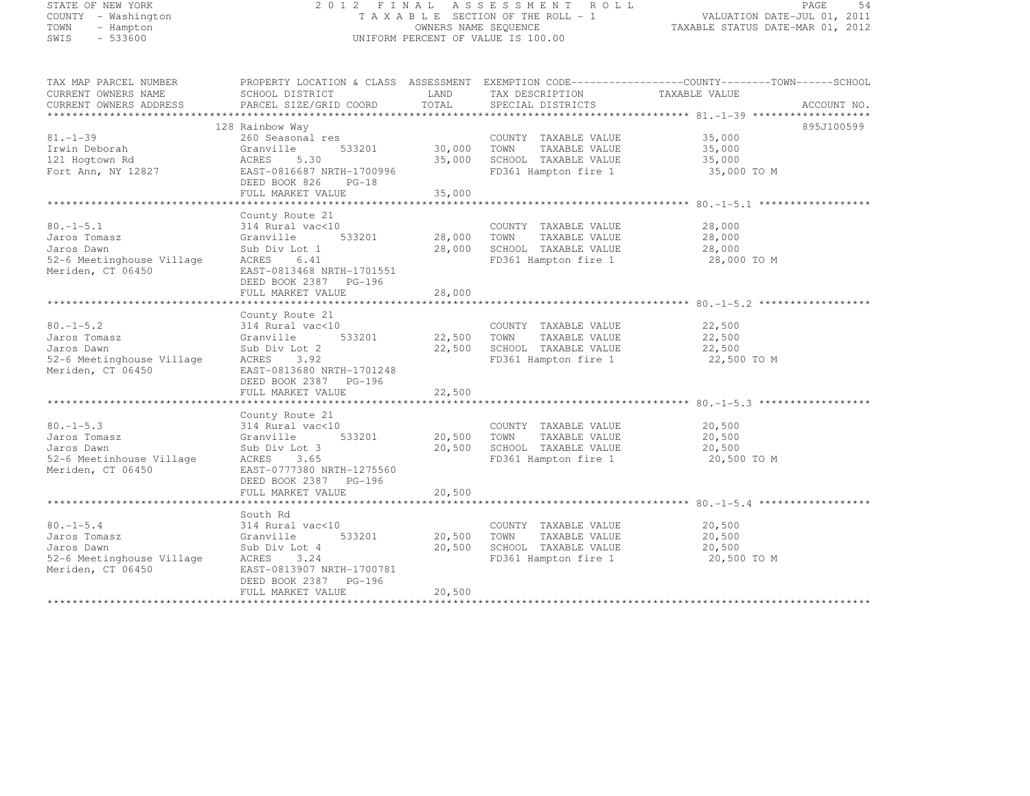# STATE OF NEW YORK 2 0 1 2 F I N A L A S S E S S M E N T R O L L PAGE <sup>54</sup> COUNTY - Washington T A X A B L E SECTION OF THE ROLL - 1 VALUATION DATE-JUL 01, 2011 TOWN - Hampton OWNERS NAME SEQUENCE TAXABLE STATUS DATE-MAR 01, 2012 SWIS - 533600 UNIFORM PERCENT OF VALUE IS 100.00

| TAX MAP PARCEL NUMBER                         | PROPERTY LOCATION & CLASS ASSESSMENT EXEMPTION CODE-----------------COUNTY-------TOWN------SCHOOL |               |                                      |               |             |
|-----------------------------------------------|---------------------------------------------------------------------------------------------------|---------------|--------------------------------------|---------------|-------------|
| CURRENT OWNERS NAME<br>CURRENT OWNERS ADDRESS | SCHOOL DISTRICT<br>PARCEL SIZE/GRID COORD                                                         | LAND<br>TOTAL | TAX DESCRIPTION<br>SPECIAL DISTRICTS | TAXABLE VALUE | ACCOUNT NO. |
|                                               |                                                                                                   |               |                                      |               |             |
|                                               | 128 Rainbow Way                                                                                   |               |                                      |               | 895J100599  |
| $81. - 1 - 39$                                | 260 Seasonal res                                                                                  |               | COUNTY TAXABLE VALUE                 | 35,000        |             |
| Irwin Deborah                                 | 533201<br>Granville                                                                               | 30,000        | TOWN<br>TAXABLE VALUE                | 35,000        |             |
| 121 Hogtown Rd                                | ACRES<br>5.30                                                                                     | 35,000        | SCHOOL TAXABLE VALUE                 | 35,000        |             |
| Fort Ann, NY 12827                            | EAST-0816687 NRTH-1700996                                                                         |               | FD361 Hampton fire 1                 | 35,000 TO M   |             |
|                                               | DEED BOOK 826<br>$PG-18$<br>FULL MARKET VALUE                                                     | 35,000        |                                      |               |             |
|                                               |                                                                                                   |               |                                      |               |             |
|                                               | County Route 21                                                                                   |               |                                      |               |             |
| $80. -1 - 5.1$                                | 314 Rural vac<10                                                                                  |               | COUNTY TAXABLE VALUE                 | 28,000        |             |
| Jaros Tomasz                                  | Granville                                                                                         | 533201 28,000 | TOWN<br>TAXABLE VALUE                | 28,000        |             |
| Jaros Dawn                                    | Sub Div Lot 1                                                                                     | 28,000        | SCHOOL TAXABLE VALUE                 | 28,000        |             |
| 52-6 Meetinghouse Village                     | ACRES<br>6.41                                                                                     |               | FD361 Hampton fire 1                 | 28,000 TO M   |             |
| Meriden, CT 06450                             | EAST-0813468 NRTH-1701551                                                                         |               |                                      |               |             |
|                                               | DEED BOOK 2387 PG-196                                                                             |               |                                      |               |             |
|                                               | FULL MARKET VALUE                                                                                 | 28,000        |                                      |               |             |
|                                               | County Route 21                                                                                   |               |                                      |               |             |
| $80. - 1 - 5.2$                               | 314 Rural vac<10                                                                                  |               | COUNTY TAXABLE VALUE                 | 22,500        |             |
| Jaros Tomasz                                  | Granville<br>533201                                                                               | 22,500 TOWN   | TAXABLE VALUE                        | 22,500        |             |
| Jaros Dawn                                    | Sub Div Lot 2                                                                                     | 22,500        | SCHOOL TAXABLE VALUE                 | 22,500        |             |
| 52-6 Meetinghouse Village                     | ACRES<br>3.92                                                                                     |               | FD361 Hampton fire 1                 | 22,500 TO M   |             |
| Meriden, CT 06450                             | EAST-0813680 NRTH-1701248                                                                         |               |                                      |               |             |
|                                               | DEED BOOK 2387 PG-196                                                                             |               |                                      |               |             |
|                                               | FULL MARKET VALUE                                                                                 | 22,500        |                                      |               |             |
|                                               | County Route 21                                                                                   |               |                                      |               |             |
| $80. -1 - 5.3$                                | 314 Rural vac<10                                                                                  |               | COUNTY TAXABLE VALUE                 | 20,500        |             |
| Jaros Tomasz                                  | 533201<br>Granville                                                                               | 20,500        | TOWN<br>TAXABLE VALUE                | 20,500        |             |
| Jaros Dawn                                    | Sub Div Lot 3                                                                                     | 20,500        | SCHOOL TAXABLE VALUE                 | 20,500        |             |
| 52-6 Meetinhouse Village                      | ACRES 3.65                                                                                        |               | FD361 Hampton fire 1                 | 20,500 TO M   |             |
| Meriden, CT 06450                             | EAST-0777380 NRTH-1275560                                                                         |               |                                      |               |             |
|                                               | DEED BOOK 2387 PG-196                                                                             |               |                                      |               |             |
|                                               | FULL MARKET VALUE                                                                                 | 20,500        |                                      |               |             |
|                                               | South Rd                                                                                          |               |                                      |               |             |
| $80. -1 - 5.4$                                | 314 Rural vac<10                                                                                  |               | COUNTY TAXABLE VALUE                 | 20,500        |             |
| Jaros Tomasz                                  | 533201<br>Granville                                                                               | 20,500        | TOWN<br>TAXABLE VALUE                | 20,500        |             |
| Jaros Dawn                                    | Sub Div Lot 4                                                                                     | 20,500        | SCHOOL TAXABLE VALUE                 | 20,500        |             |
| 52-6 Meetinghouse Village                     | ACRES<br>3.24                                                                                     |               | FD361 Hampton fire 1                 | 20,500 TO M   |             |
| Meriden, CT 06450                             | EAST-0813907 NRTH-1700781                                                                         |               |                                      |               |             |
|                                               | DEED BOOK 2387 PG-196                                                                             |               |                                      |               |             |
|                                               | FULL MARKET VALUE                                                                                 | 20,500        |                                      |               |             |
|                                               |                                                                                                   |               |                                      |               |             |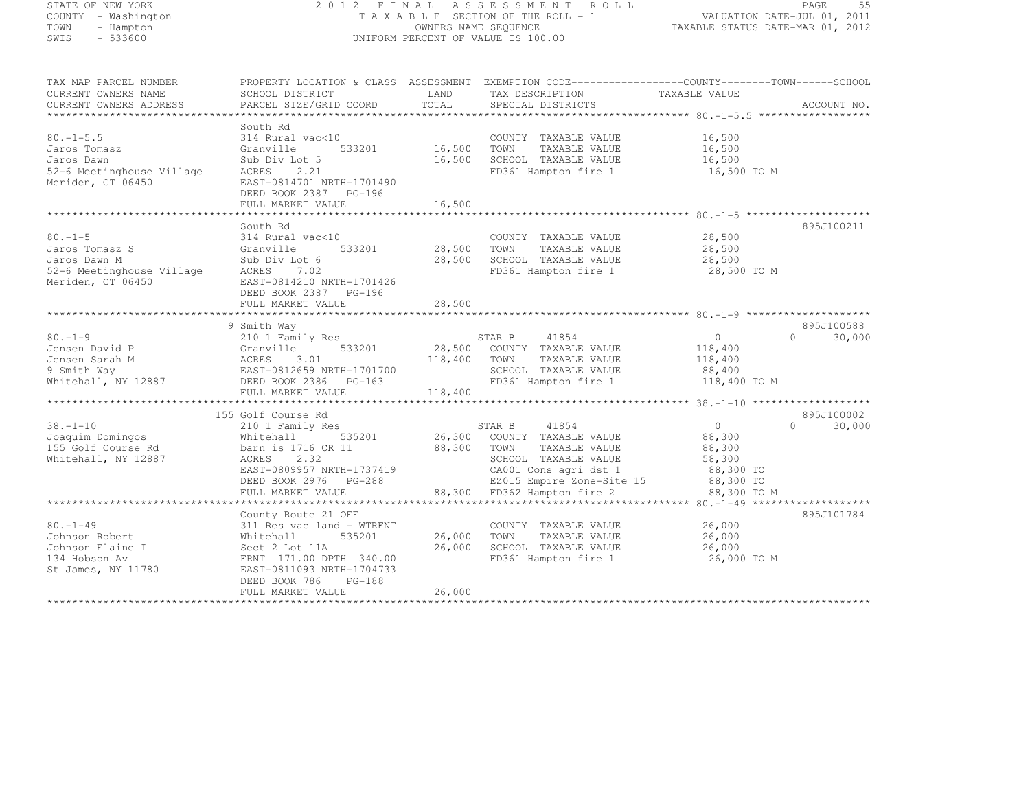# STATE OF NEW YORK 2 0 1 2 F I N A L A S S E S S M E N T R O L L PAGE <sup>55</sup> COUNTY - Washington T A X A B L E SECTION OF THE ROLL - 1 VALUATION DATE-JUL 01, 2011 TOWN - Hampton OWNERS NAME SEQUENCE TAXABLE STATUS DATE-MAR 01, 2012 SWIS - 533600 UNIFORM PERCENT OF VALUE IS 100.00

| TAX MAP PARCEL NUMBER<br>CURRENT OWNERS NAME   | SCHOOL DISTRICT                                                     | LAND    | PROPERTY LOCATION & CLASS ASSESSMENT EXEMPTION CODE----------------COUNTY-------TOWN------SCHOOL<br>TAX DESCRIPTION TAXABLE VALUE |                |                    |
|------------------------------------------------|---------------------------------------------------------------------|---------|-----------------------------------------------------------------------------------------------------------------------------------|----------------|--------------------|
| CURRENT OWNERS ADDRESS                         | PARCEL SIZE/GRID COORD                                              | TOTAL   | SPECIAL DISTRICTS                                                                                                                 |                | ACCOUNT NO.        |
|                                                |                                                                     |         |                                                                                                                                   |                |                    |
|                                                | South Rd                                                            |         |                                                                                                                                   |                |                    |
| $80. -1 - 5.5$                                 | 314 Rural vac<10                                                    |         | COUNTY TAXABLE VALUE                                                                                                              | 16,500         |                    |
| Jaros Tomasz                                   | Granville<br>533201                                                 | 16,500  | TAXABLE VALUE<br>TOWN                                                                                                             | 16,500         |                    |
| Jaros Dawn                                     | Sub Div Lot 5                                                       | 16,500  | SCHOOL TAXABLE VALUE                                                                                                              | 16,500         |                    |
| 52-6 Meetinghouse Village<br>Meriden, CT 06450 | ACRES<br>2.21<br>EAST-0814701 NRTH-1701490<br>DEED BOOK 2387 PG-196 |         | FD361 Hampton fire 1                                                                                                              | 16,500 TO M    |                    |
|                                                | FULL MARKET VALUE                                                   | 16,500  |                                                                                                                                   |                |                    |
|                                                |                                                                     |         |                                                                                                                                   |                |                    |
|                                                | South Rd                                                            |         |                                                                                                                                   |                | 895J100211         |
| $80. - 1 - 5$                                  | 314 Rural vac<10                                                    |         | COUNTY TAXABLE VALUE                                                                                                              | 28,500         |                    |
| Jaros Tomasz S                                 | Granville<br>533201                                                 | 28,500  | TOWN<br>TAXABLE VALUE                                                                                                             | 28,500         |                    |
| Jaros Dawn M                                   | Sub Div Lot 6                                                       | 28,500  | SCHOOL TAXABLE VALUE                                                                                                              | 28,500         |                    |
| 52-6 Meetinghouse Village                      | ACRES 7.02                                                          |         | FD361 Hampton fire 1                                                                                                              | 28,500 TO M    |                    |
| Meriden, CT 06450                              | EAST-0814210 NRTH-1701426<br>DEED BOOK 2387 PG-196                  |         |                                                                                                                                   |                |                    |
|                                                | FULL MARKET VALUE                                                   | 28,500  |                                                                                                                                   |                |                    |
|                                                |                                                                     |         |                                                                                                                                   |                |                    |
|                                                | 9 Smith Way                                                         |         |                                                                                                                                   |                | 895J100588         |
| $80. -1 - 9$                                   | 210 1 Family Res                                                    |         | 41854<br>STAR B                                                                                                                   | $\circ$        | $\Omega$<br>30,000 |
| Jensen David P                                 | 533201<br>Granville                                                 |         | 28,500 COUNTY TAXABLE VALUE                                                                                                       | 118,400        |                    |
| Jensen Sarah M                                 | ACRES<br>3.01                                                       | 118,400 | TAXABLE VALUE<br>TOWN                                                                                                             | 118,400        |                    |
| 9 Smith Way                                    |                                                                     |         | SCHOOL TAXABLE VALUE                                                                                                              | 88,400         |                    |
| Whitehall, NY 12887                            |                                                                     |         | FD361 Hampton fire 1                                                                                                              | 118,400 TO M   |                    |
|                                                | FULL MARKET VALUE                                                   | 118,400 |                                                                                                                                   |                |                    |
|                                                |                                                                     |         |                                                                                                                                   |                |                    |
|                                                | 155 Golf Course Rd                                                  |         |                                                                                                                                   |                | 895J100002         |
| $38. - 1 - 10$                                 | 210 1 Family Res                                                    |         | STAR B<br>41854                                                                                                                   | $\overline{0}$ | $\Omega$<br>30,000 |
| Joaquim Domingos                               | 535201<br>Whitehall                                                 | 26,300  | COUNTY TAXABLE VALUE                                                                                                              | 88,300         |                    |
| 155 Golf Course Rd                             | barn is 1716 CR 11                                                  | 88,300  | TAXABLE VALUE<br>TOWN                                                                                                             | 88,300         |                    |
| Whitehall, NY 12887                            | ACRES<br>2.32                                                       |         | SCHOOL TAXABLE VALUE                                                                                                              | 58,300         |                    |
|                                                | EAST-0809957 NRTH-1737419                                           |         | CA001 Cons agri dst 1                                                                                                             | 88,300 TO      |                    |
|                                                | DEED BOOK 2976 PG-288                                               |         | EZ015 Empire Zone-Site 15                                                                                                         | 88,300 TO      |                    |
|                                                | FULL MARKET VALUE                                                   | 88,300  | FD362 Hampton fire 2                                                                                                              | 88,300 TO M    |                    |
|                                                |                                                                     |         |                                                                                                                                   |                |                    |
|                                                | County Route 21 OFF                                                 |         |                                                                                                                                   |                | 895J101784         |
| $80. - 1 - 49$                                 | 311 Res vac land - WTRFNT                                           |         | COUNTY TAXABLE VALUE                                                                                                              | 26,000         |                    |
| Johnson Robert                                 | 535201                                                              | 26,000  | TAXABLE VALUE<br>TOWN                                                                                                             | 26,000         |                    |
|                                                | Whitehall                                                           |         |                                                                                                                                   |                |                    |
| Johnson Elaine I                               | Sect 2 Lot 11A                                                      | 26,000  | SCHOOL TAXABLE VALUE                                                                                                              | 26,000         |                    |
| 134 Hobson Av                                  | FRNT 171.00 DPTH 340.00                                             |         | FD361 Hampton fire 1                                                                                                              | 26,000 TO M    |                    |
| St James, NY 11780                             | EAST-0811093 NRTH-1704733                                           |         |                                                                                                                                   |                |                    |
|                                                | DEED BOOK 786<br>$PG-188$                                           |         |                                                                                                                                   |                |                    |
|                                                | FULL MARKET VALUE                                                   | 26,000  |                                                                                                                                   |                |                    |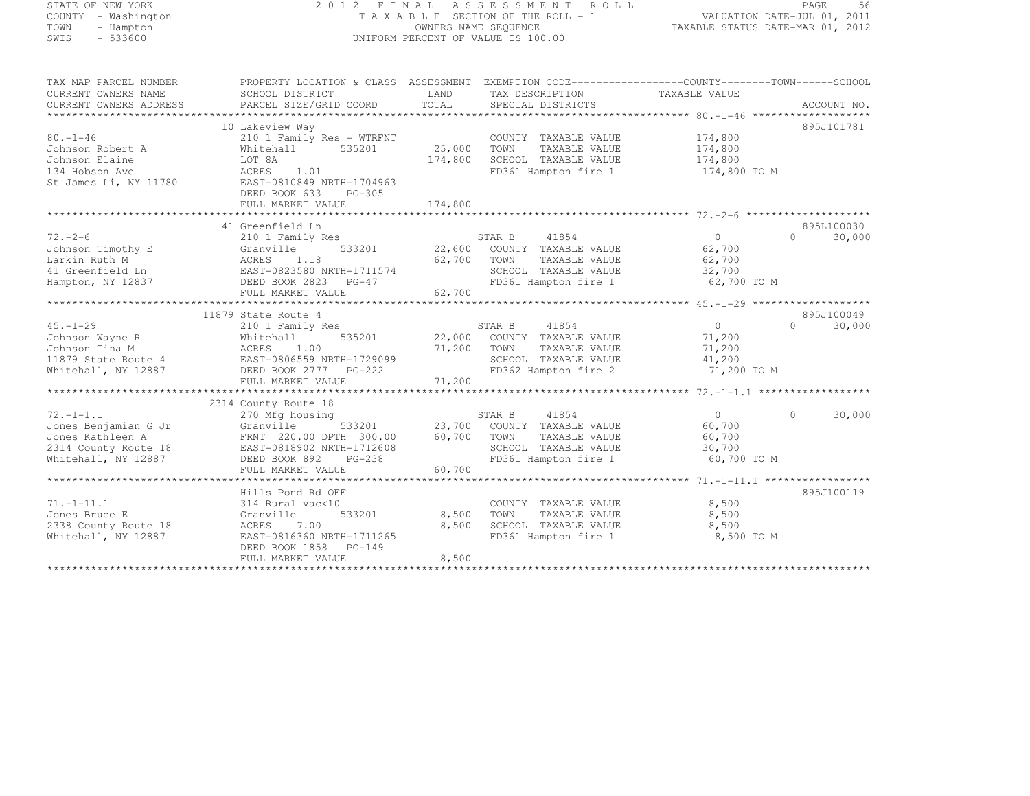# STATE OF NEW YORK 2 0 1 2 F I N A L A S S E S S M E N T R O L L PAGE <sup>56</sup> COUNTY - Washington T A X A B L E SECTION OF THE ROLL - 1 VALUATION DATE-JUL 01, 2011 TOWN - Hampton OWNERS NAME SEQUENCE TAXABLE STATUS DATE-MAR 01, 2012 SWIS - 533600 UNIFORM PERCENT OF VALUE IS 100.00

| TAX MAP PARCEL NUMBER<br>CURRENT OWNERS NAME<br>CURRENT OWNERS ADDRESS                                     | PROPERTY LOCATION & CLASS ASSESSMENT<br>SCHOOL DISTRICT<br>PARCEL SIZE/GRID COORD                                                                                           | LAND<br>TOTAL                | EXEMPTION CODE-----------------COUNTY--------TOWN------SCHOOL<br>TAX DESCRIPTION<br>SPECIAL DISTRICTS                   | TAXABLE VALUE                                               | ACCOUNT NO.                      |
|------------------------------------------------------------------------------------------------------------|-----------------------------------------------------------------------------------------------------------------------------------------------------------------------------|------------------------------|-------------------------------------------------------------------------------------------------------------------------|-------------------------------------------------------------|----------------------------------|
| $80. - 1 - 46$<br>Johnson Robert A<br>Johnson Elaine<br>134 Hobson Ave<br>St James Li, NY 11780            | 10 Lakeview Way<br>210 1 Family Res - WTRFNT<br>535201<br>Whitehall<br>LOT 8A<br>ACRES<br>1.01<br>EAST-0810849 NRTH-1704963<br>DEED BOOK 633<br>PG-305<br>FULL MARKET VALUE | 25,000<br>174,800<br>174,800 | COUNTY TAXABLE VALUE<br>TOWN<br>TAXABLE VALUE<br>SCHOOL TAXABLE VALUE<br>FD361 Hampton fire 1                           | 174,800<br>174,800<br>174,800<br>174,800 TO M               | 895J101781                       |
| $72. - 2 - 6$<br>Johnson Timothy E<br>Larkin Ruth M<br>41 Greenfield Ln<br>Hampton, NY 12837               | 41 Greenfield Ln<br>210 1 Family Res<br>533201<br>Granville<br>ACRES<br>1.18<br>EAST-0823580 NRTH-1711574<br>DEED BOOK 2823 PG-47<br>FULL MARKET VALUE                      | 22,600<br>62,700<br>62,700   | STAR B<br>41854<br>COUNTY TAXABLE VALUE<br>TOWN<br>TAXABLE VALUE<br>SCHOOL TAXABLE VALUE<br>FD361 Hampton fire 1        | $\overline{0}$<br>62,700<br>62,700<br>32,700<br>62,700 TO M | 895L100030<br>$\cap$<br>30,000   |
| $45. - 1 - 29$<br>Johnson Wayne R<br>Johnson Tina M<br>11879 State Route 4<br>Whitehall, NY 12887          | 11879 State Route 4<br>210 1 Family Res<br>535201<br>Whitehall<br>1.00<br>ACRES<br>EAST-0806559 NRTH-1729099<br>DEED BOOK 2777 PG-222<br>FULL MARKET VALUE                  | 71,200<br>71,200             | 41854<br>STAR B<br>22,000 COUNTY TAXABLE VALUE<br>TOWN<br>TAXABLE VALUE<br>SCHOOL TAXABLE VALUE<br>FD362 Hampton fire 2 | $\overline{0}$<br>71,200<br>71,200<br>41,200<br>71,200 TO M | 895J100049<br>$\Omega$<br>30,000 |
| $72. - 1 - 1.1$<br>Jones Benjamian G Jr<br>Jones Kathleen A<br>2314 County Route 18<br>Whitehall, NY 12887 | 2314 County Route 18<br>270 Mfg housing<br>533201<br>Granville<br>FRNT 220.00 DPTH 300.00<br>EAST-0818902 NRTH-1712608<br>DEED BOOK 892<br>$PG-238$<br>FULL MARKET VALUE    | 23,700<br>60,700<br>60,700   | STAR B<br>41854<br>COUNTY TAXABLE VALUE<br>TOWN<br>TAXABLE VALUE<br>SCHOOL TAXABLE VALUE<br>FD361 Hampton fire 1        | $\circ$<br>60,700<br>60,700<br>30,700<br>60,700 TO M        | 30,000<br>$\Omega$               |
| $71. - 1 - 11.1$<br>Jones Bruce E<br>2338 County Route 18<br>Whitehall, NY 12887                           | Hills Pond Rd OFF<br>314 Rural vac<10<br>533201<br>Granville<br>ACRES<br>7.00<br>EAST-0816360 NRTH-1711265<br>DEED BOOK 1858<br>PG-149<br>FULL MARKET VALUE                 | 8,500<br>8,500<br>8,500      | COUNTY TAXABLE VALUE<br>TOWN<br>TAXABLE VALUE<br>SCHOOL TAXABLE VALUE<br>FD361 Hampton fire 1                           | 8,500<br>8,500<br>8,500<br>8,500 TO M                       | 895J100119                       |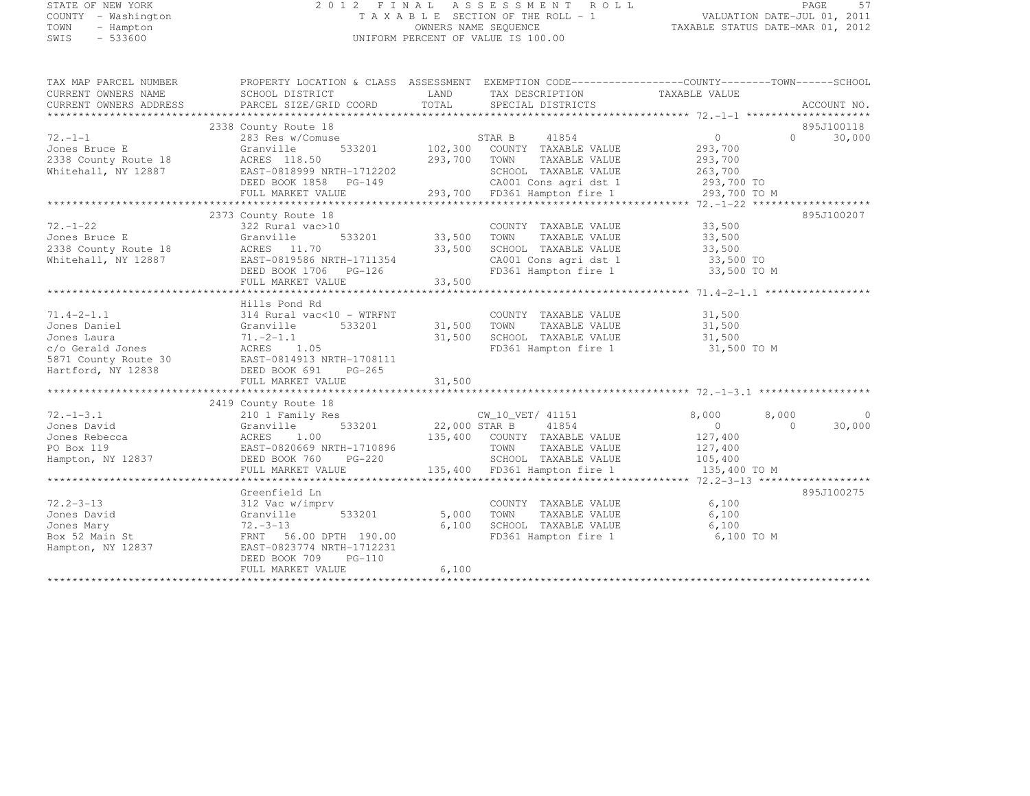# STATE OF NEW YORK 2 0 1 2 F I N A L A S S E S S M E N T R O L L PAGE <sup>57</sup> COUNTY - Washington T A X A B L E SECTION OF THE ROLL - 1 VALUATION DATE-JUL 01, 2011 TOWN - Hampton OWNERS NAME SEQUENCE TAXABLE STATUS DATE-MAR 01, 2012 SWIS - 533600 UNIFORM PERCENT OF VALUE IS 100.00

| TAX MAP PARCEL NUMBER  | PROPERTY LOCATION & CLASS ASSESSMENT EXEMPTION CODE---------------COUNTY-------TOWN-----SCHOOL                                                                                                                                       |               |                                               |                            |                             |
|------------------------|--------------------------------------------------------------------------------------------------------------------------------------------------------------------------------------------------------------------------------------|---------------|-----------------------------------------------|----------------------------|-----------------------------|
| CURRENT OWNERS NAME    | SCHOOL DISTRICT                                                                                                                                                                                                                      | LAND          | TAX DESCRIPTION                               | TAXABLE VALUE              |                             |
| CURRENT OWNERS ADDRESS | PARCEL SIZE/GRID COORD                                                                                                                                                                                                               | TOTAL         | SPECIAL DISTRICTS                             |                            | ACCOUNT NO.                 |
|                        |                                                                                                                                                                                                                                      |               |                                               |                            |                             |
|                        | 2338 County Route 18                                                                                                                                                                                                                 |               |                                               |                            | 895J100118                  |
| $72. - 1 - 1$          | 283 Res w/Comuse                                                                                                                                                                                                                     |               | 41854<br>STAR B                               | $\overline{0}$             | $0 \qquad \qquad$<br>30,000 |
| Jones Bruce E          | Granville                                                                                                                                                                                                                            |               | 533201 102,300 COUNTY TAXABLE VALUE           | 293,700                    |                             |
| 2338 County Route 18   |                                                                                                                                                                                                                                      |               |                                               |                            |                             |
| Whitehall, NY 12887    | ACRES 118.50 293,700 TOWN TAXABLE VALUE 293,700<br>EAST-0818999 NRTH-1712202 SCHOOL TAXABLE VALUE 263,700<br>DEED BOOK 1858 PG-149 293,700 FD361 Hampton fire 1 293,700 TO<br>FULL MARKET VALUE 293,700 FD361 Hampton fire 1 293,700 |               |                                               |                            |                             |
|                        |                                                                                                                                                                                                                                      |               |                                               |                            |                             |
|                        |                                                                                                                                                                                                                                      |               |                                               |                            |                             |
|                        |                                                                                                                                                                                                                                      |               |                                               |                            |                             |
|                        | 2373 County Route 18                                                                                                                                                                                                                 |               |                                               |                            | 895J100207                  |
| $72, -1 - 22$          | 322 Rural vac>10                                                                                                                                                                                                                     |               | COUNTY TAXABLE VALUE                          | 33,500                     |                             |
| Jones Bruce E          | Granville                                                                                                                                                                                                                            | 533201 33,500 | TOWN<br>TAXABLE VALUE                         | 33,500                     |                             |
| 2338 County Route 18   | ACRES 11.70                                                                                                                                                                                                                          | 33,500        | SCHOOL TAXABLE VALUE                          | 33,500                     |                             |
| Whitehall, NY 12887    | EAST-0819586 NRTH-1711354                                                                                                                                                                                                            |               |                                               | 33,500 TO                  |                             |
|                        |                                                                                                                                                                                                                                      |               | CA001 Cons agri dst 1<br>FD361 Hampton fire 1 | 33,500 TO M                |                             |
|                        | DEED BOOK 1706 PG-126                                                                                                                                                                                                                | 33,500        |                                               |                            |                             |
|                        | FULL MARKET VALUE                                                                                                                                                                                                                    |               |                                               |                            |                             |
|                        |                                                                                                                                                                                                                                      |               |                                               |                            |                             |
|                        | Hills Pond Rd                                                                                                                                                                                                                        |               |                                               |                            |                             |
| $71.4 - 2 - 1.1$       | 314 Rural vac<10 - WTRFNT                                                                                                                                                                                                            |               | COUNTY TAXABLE VALUE                          | 31,500                     |                             |
| Jones Daniel           | Granville<br>533201                                                                                                                                                                                                                  | 31,500 TOWN   | TAXABLE VALUE                                 | 31,500                     |                             |
| Jones Laura            | $71. -2 - 1.1$                                                                                                                                                                                                                       | 31,500        | SCHOOL TAXABLE VALUE                          | 31,500                     |                             |
|                        |                                                                                                                                                                                                                                      |               | FD361 Hampton fire 1                          | 31,500 TO M                |                             |
|                        |                                                                                                                                                                                                                                      |               |                                               |                            |                             |
|                        | UONES Laura<br>c/o Gerald Jones<br>5871 County Route 30<br>Hartford, NY 12838<br>EED BOOK 691 PG-265<br>THE PG-265                                                                                                                   |               |                                               |                            |                             |
|                        | FULL MARKET VALUE                                                                                                                                                                                                                    | 31,500        |                                               |                            |                             |
|                        |                                                                                                                                                                                                                                      |               |                                               |                            |                             |
|                        | 2419 County Route 18                                                                                                                                                                                                                 |               |                                               |                            |                             |
| $72. - 1 - 3.1$        | 210 1 Family Res                                                                                                                                                                                                                     |               | CW 10 VET/ 41151                              | 8,000<br>8,000             | $\mathbf 0$                 |
| Jones David            | 533201<br>Granville                                                                                                                                                                                                                  | 22,000 STAR B | 41854                                         | $\overline{0}$<br>$\Omega$ | 30,000                      |
|                        |                                                                                                                                                                                                                                      |               | 135,400 COUNTY TAXABLE VALUE                  | 127,400                    |                             |
|                        | EAST-0820669 NRTH-1710896                                                                                                                                                                                                            |               | TOWN<br>TAXABLE VALUE                         | 127,400                    |                             |
|                        | $PG-220$                                                                                                                                                                                                                             |               | SCHOOL TAXABLE VALUE                          | 105,400                    |                             |
|                        | FULL MARKET VALUE                                                                                                                                                                                                                    |               | 135,400 FD361 Hampton fire 1                  | 135,400 TO M               |                             |
|                        |                                                                                                                                                                                                                                      |               |                                               |                            |                             |
|                        | Greenfield Ln                                                                                                                                                                                                                        |               |                                               |                            | 895J100275                  |
| $72.2 - 3 - 13$        | 312 Vac w/imprv                                                                                                                                                                                                                      |               | COUNTY TAXABLE VALUE                          | 6,100                      |                             |
| Jones David            | Granville<br>533201                                                                                                                                                                                                                  | 5,000         | TAXABLE VALUE<br>TOWN                         | 6,100                      |                             |
| Jones Mary             | $72 - 3 - 13$                                                                                                                                                                                                                        | 6,100         | SCHOOL TAXABLE VALUE                          | 6,100                      |                             |
| Box 52 Main St         | FRNT 56.00 DPTH 190.00                                                                                                                                                                                                               |               | FD361 Hampton fire 1                          | 6,100 TO M                 |                             |
| Hampton, NY 12837      | EAST-0823774 NRTH-1712231                                                                                                                                                                                                            |               |                                               |                            |                             |
|                        | DEED BOOK 709<br>$PG-110$                                                                                                                                                                                                            |               |                                               |                            |                             |
|                        | FULL MARKET VALUE                                                                                                                                                                                                                    | 6,100         |                                               |                            |                             |
|                        |                                                                                                                                                                                                                                      |               |                                               |                            |                             |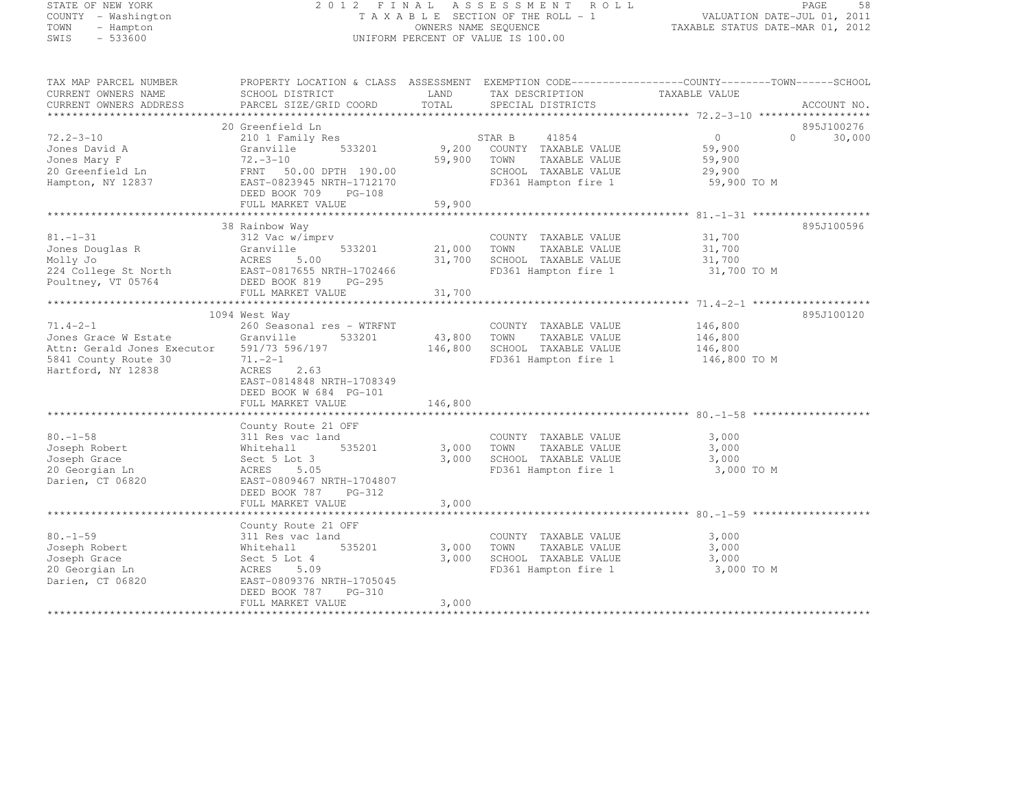# STATE OF NEW YORK 2 0 1 2 F I N A L A S S E S S M E N T R O L L PAGE <sup>58</sup> COUNTY - Washington T A X A B L E SECTION OF THE ROLL - 1 VALUATION DATE-JUL 01, 2011 TOWN - Hampton OWNERS NAME SEQUENCE TAXABLE STATUS DATE-MAR 01, 2012 SWIS - 533600 UNIFORM PERCENT OF VALUE IS 100.00

| TAX MAP PARCEL NUMBER<br>CURRENT OWNERS NAME<br>CURRENT OWNERS ADDRESS                                                                     | PROPERTY LOCATION & CLASS ASSESSMENT EXEMPTION CODE-----------------COUNTY-------TOWN-----SCHOOL<br>SCHOOL DISTRICT<br>PARCEL SIZE/GRID COORD                                                                        | LAND<br>TOTAL           | TAX DESCRIPTION<br>SPECIAL DISTRICTS                                                                           | TAXABLE VALUE                                               |          | ACCOUNT NO. |
|--------------------------------------------------------------------------------------------------------------------------------------------|----------------------------------------------------------------------------------------------------------------------------------------------------------------------------------------------------------------------|-------------------------|----------------------------------------------------------------------------------------------------------------|-------------------------------------------------------------|----------|-------------|
|                                                                                                                                            |                                                                                                                                                                                                                      |                         |                                                                                                                |                                                             |          |             |
|                                                                                                                                            | 20 Greenfield Ln                                                                                                                                                                                                     |                         |                                                                                                                |                                                             |          | 895J100276  |
| $72.2 - 3 - 10$<br>Jones David A<br>Jones Mary F<br>20 Greenfield Ln<br>Hampton, NY 12837                                                  | 210 1 Family Res<br>533201<br>Granville<br>$72 - 3 - 10$<br>FRNT 50.00 DPTH 190.00<br>EAST-0823945 NRTH-1712170<br>DEED BOOK 709<br>PG-108                                                                           | 59,900 TOWN             | 41854<br>STAR B<br>9,200 COUNTY TAXABLE VALUE<br>TAXABLE VALUE<br>SCHOOL TAXABLE VALUE<br>FD361 Hampton fire 1 | $\overline{0}$<br>59,900<br>59,900<br>29,900<br>59,900 TO M | $\Omega$ | 30,000      |
|                                                                                                                                            | FULL MARKET VALUE<br>************************************                                                                                                                                                            | 59,900<br>************* |                                                                                                                |                                                             |          |             |
| $81. - 1 - 31$<br>Jones Douglas R<br>Willy To<br>Nolly Jo<br>224 College St North<br>Poultney, VT 05764<br>BAST-0817655 N<br>DEED BOOK 819 | 38 Rainbow Way<br>312 Vac w/imprv<br>Granville<br>533201<br>EAST-0817655 NRTH-1702466                                                                                                                                | 21,000 TOWN             | COUNTY TAXABLE VALUE<br>TAXABLE VALUE<br>31,700 SCHOOL TAXABLE VALUE<br>FD361 Hampton fire 1                   | 31,700<br>31,700<br>31,700<br>31,700 TO M                   |          | 895J100596  |
|                                                                                                                                            | PG-295<br>FULL MARKET VALUE                                                                                                                                                                                          | 31,700                  |                                                                                                                |                                                             |          |             |
|                                                                                                                                            |                                                                                                                                                                                                                      |                         |                                                                                                                |                                                             |          |             |
| $71.4 - 2 - 1$<br>Jones Grace W Estate<br>Attn: Gerald Jones Executor<br>5841 County Route 30<br>Hartford, NY 12838                        | 1094 West Way<br>260 Seasonal res - WTRFNT<br>533201<br>Granville<br>591/73 596/197<br>$71. -2 - 1$<br>ACRES 2.63<br>EAST-0814848 NRTH-1708349<br>DEED BOOK W 684 PG-101<br>FULL MARKET VALUE<br>County Route 21 OFF | 43,800 TOWN<br>146,800  | COUNTY TAXABLE VALUE<br>TAXABLE VALUE<br>146,800 SCHOOL TAXABLE VALUE<br>FD361 Hampton fire 1 146,800 TO M     | 146,800<br>146,800<br>146,800                               |          | 895J100120  |
| $80. - 1 - 58$<br>Joseph Robert<br>Joseph Grace<br>20 Georgian Ln<br>Darien, CT 06820                                                      | 311 Res vac land<br>535201<br>Whitehall<br>Sect 5 Lot 3<br>ACRES<br>5.05<br>EAST-0809467 NRTH-1704807<br>DEED BOOK 787 PG-312<br>FULL MARKET VALUE                                                                   | 3,000<br>3,000<br>3,000 | COUNTY TAXABLE VALUE<br>TOWN<br>TAXABLE VALUE<br>SCHOOL TAXABLE VALUE<br>FD361 Hampton fire 1                  | 3,000<br>3,000<br>3,000<br>3,000 TO M                       |          |             |
|                                                                                                                                            |                                                                                                                                                                                                                      |                         |                                                                                                                |                                                             |          |             |
| $80. - 1 - 59$<br>Joseph Robert<br>Joseph Grace<br>20 Georgian Ln<br>Darien, CT 06820                                                      | County Route 21 OFF<br>311 Res vac land<br>535201<br>Whitehall<br>Sect 5 Lot 4<br>ACRES<br>5.09<br>EAST-0809376 NRTH-1705045<br>DEED BOOK 787<br>PG-310<br>FULL MARKET VALUE                                         | 3,000<br>3,000<br>3,000 | COUNTY TAXABLE VALUE<br>TOWN<br>TAXABLE VALUE<br>SCHOOL TAXABLE VALUE<br>FD361 Hampton fire 1                  | 3,000<br>3,000<br>3,000<br>3,000 TO M                       |          |             |
|                                                                                                                                            |                                                                                                                                                                                                                      |                         |                                                                                                                |                                                             |          |             |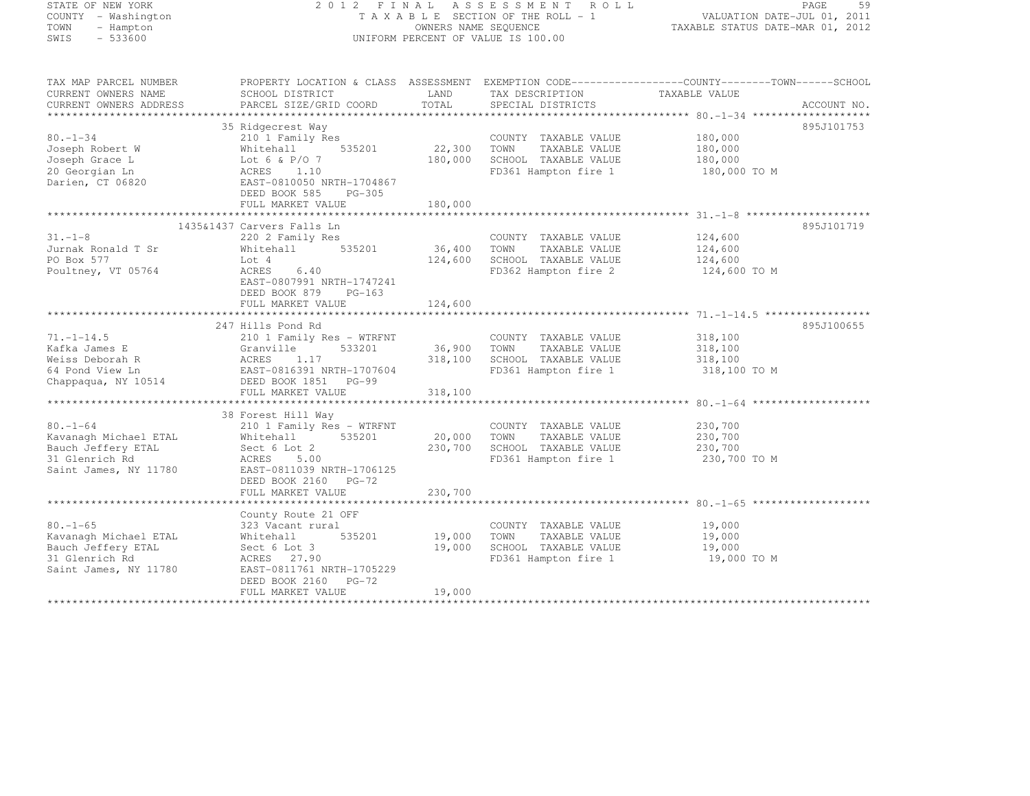| STATE OF NEW YORK |           |                     |  |
|-------------------|-----------|---------------------|--|
|                   |           | COUNTY - Washington |  |
| <b>TOWN</b>       |           | - Hampton           |  |
| SWIS              | $-533600$ |                     |  |

# STATE OF NEW YORK 2 0 1 2 F I N A L A S S E S S M E N T R O L L PAGE <sup>59</sup> COUNTY - Washington T A X A B L E SECTION OF THE ROLL - 1 VALUATION DATE-JUL 01, 2011 TOWN - Hampton OWNERS NAME SEQUENCE TAXABLE STATUS DATE-MAR 01, 2012 SWIS - 533600 UNIFORM PERCENT OF VALUE IS 100.00

TAX MAP PARCEL NUMBER PROPERTY LOCATION & CLASS ASSESSMENT EXEMPTION CODE--------------------------------TOWN-------SCHOOL

| CURRENT OWNERS NAME    | SCHOOL DISTRICT            | LAND    | TAX DESCRIPTION       | TAXABLE VALUE |
|------------------------|----------------------------|---------|-----------------------|---------------|
| CURRENT OWNERS ADDRESS | PARCEL SIZE/GRID COORD     | TOTAL   | SPECIAL DISTRICTS     | ACCOUNT NO.   |
|                        |                            |         |                       |               |
|                        | 35 Ridgecrest Way          |         |                       | 895J101753    |
| $80. - 1 - 34$         | 210 1 Family Res           |         | COUNTY TAXABLE VALUE  | 180,000       |
| Joseph Robert W        | 535201<br>Whitehall        | 22,300  | TOWN<br>TAXABLE VALUE | 180,000       |
| Joseph Grace L         | Lot 6 & P/O 7              | 180,000 | SCHOOL TAXABLE VALUE  | 180,000       |
| 20 Georgian Ln         | ACRES 1.10                 |         | FD361 Hampton fire 1  | 180,000 TO M  |
| Darien, CT 06820       | EAST-0810050 NRTH-1704867  |         |                       |               |
|                        | DEED BOOK 585<br>$PG-305$  |         |                       |               |
|                        | FULL MARKET VALUE          | 180,000 |                       |               |
|                        |                            |         |                       |               |
|                        | 1435&1437 Carvers Falls Ln |         |                       | 895J101719    |
| $31. - 1 - 8$          | 220 2 Family Res           |         | COUNTY TAXABLE VALUE  | 124,600       |
| Jurnak Ronald T Sr     |                            | 36,400  |                       |               |
|                        | Whitehall<br>535201        |         | TOWN<br>TAXABLE VALUE | 124,600       |
| PO Box 577             | Lot 4                      | 124,600 | SCHOOL TAXABLE VALUE  | 124,600       |
| Poultney, VT 05764     | ACRES<br>6.40              |         | FD362 Hampton fire 2  | 124,600 TO M  |
|                        | EAST-0807991 NRTH-1747241  |         |                       |               |
|                        | DEED BOOK 879<br>$PG-163$  |         |                       |               |
|                        | FULL MARKET VALUE          | 124,600 |                       |               |
|                        |                            |         |                       |               |
|                        | 247 Hills Pond Rd          |         |                       | 895J100655    |
| $71. - 1 - 14.5$       | 210 1 Family Res - WTRFNT  |         | COUNTY TAXABLE VALUE  | 318,100       |
| Kafka James E          | 533201<br>Granville        | 36,900  | TOWN<br>TAXABLE VALUE | 318,100       |
| Weiss Deborah R        | ACRES<br>1.17              | 318,100 | SCHOOL TAXABLE VALUE  | 318,100       |
| 64 Pond View Ln        | EAST-0816391 NRTH-1707604  |         | FD361 Hampton fire 1  | 318,100 TO M  |
| Chappaqua, NY 10514    | DEED BOOK 1851 PG-99       |         |                       |               |
|                        | FULL MARKET VALUE          | 318,100 |                       |               |
|                        |                            |         |                       |               |
|                        | 38 Forest Hill Way         |         |                       |               |
| $80. - 1 - 64$         | 210 1 Family Res - WTRFNT  |         | COUNTY TAXABLE VALUE  | 230,700       |
| Kavanagh Michael ETAL  | 535201<br>Whitehall        | 20,000  | TOWN<br>TAXABLE VALUE | 230,700       |
| Bauch Jeffery ETAL     | Sect 6 Lot 2               | 230,700 | SCHOOL TAXABLE VALUE  | 230,700       |
| 31 Glenrich Rd         | ACRES 5.00                 |         | FD361 Hampton fire 1  | 230,700 TO M  |
| Saint James, NY 11780  | EAST-0811039 NRTH-1706125  |         |                       |               |
|                        | DEED BOOK 2160 PG-72       |         |                       |               |
|                        | FULL MARKET VALUE          | 230,700 |                       |               |
|                        |                            |         |                       |               |
|                        | County Route 21 OFF        |         |                       |               |
| $80. - 1 - 65$         | 323 Vacant rural           |         | COUNTY TAXABLE VALUE  | 19,000        |
| Kavanagh Michael ETAL  | 535201<br>Whitehall        | 19,000  | TOWN<br>TAXABLE VALUE | 19,000        |
| Bauch Jeffery ETAL     | Sect 6 Lot 3               | 19,000  | SCHOOL TAXABLE VALUE  | 19,000        |
| 31 Glenrich Rd         | ACRES 27.90                |         | FD361 Hampton fire 1  | 19,000 TO M   |
| Saint James, NY 11780  | EAST-0811761 NRTH-1705229  |         |                       |               |
|                        | DEED BOOK 2160<br>$PG-72$  |         |                       |               |
|                        | FULL MARKET VALUE          | 19,000  |                       |               |
|                        |                            |         |                       |               |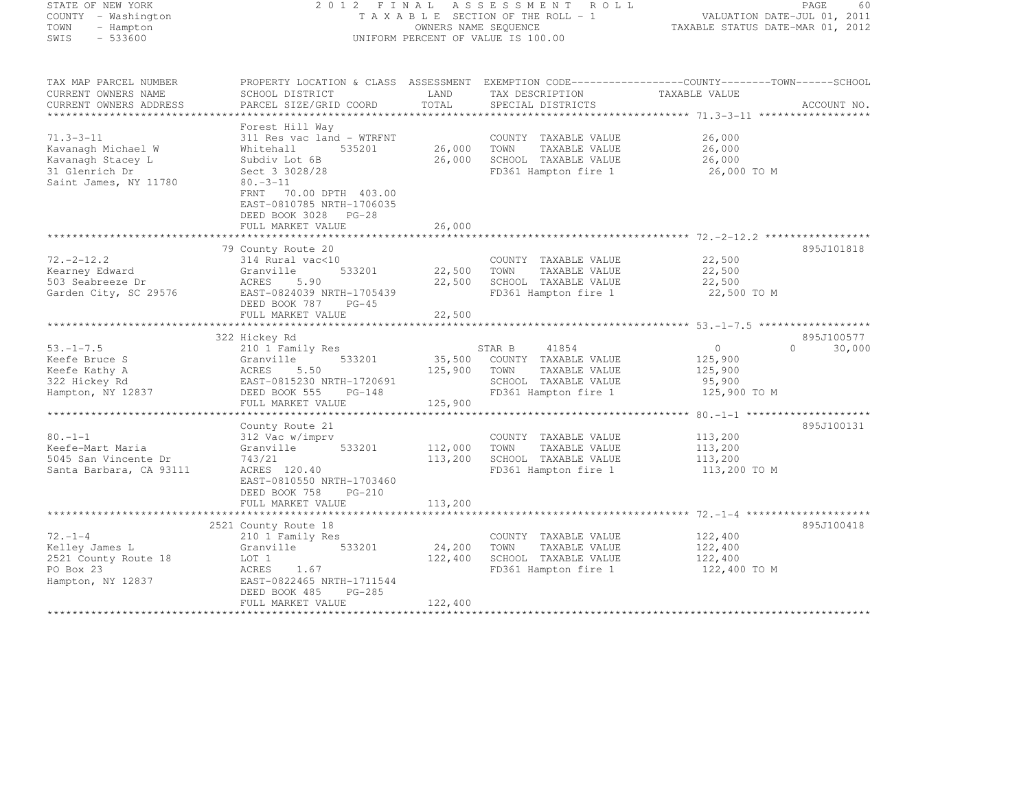| STATE OF NEW YORK<br>COUNTY - Washington<br>- Hampton<br>TOWN<br>$-533600$<br>SWIS | 2 0 1 2<br>FINAL<br>TAXABLE SECTION OF THE ROLL - 1<br>UNIFORM PERCENT OF VALUE IS 100.00 | ASSESSMENT ROLL<br>PAGE<br>60<br>VALUATION DATE-JUL 01, 2011<br>TAXABLE STATUS DATE-MAR 01, 2012 |                                               |                                                                                                   |
|------------------------------------------------------------------------------------|-------------------------------------------------------------------------------------------|--------------------------------------------------------------------------------------------------|-----------------------------------------------|---------------------------------------------------------------------------------------------------|
|                                                                                    |                                                                                           |                                                                                                  |                                               |                                                                                                   |
| TAX MAP PARCEL NUMBER                                                              |                                                                                           |                                                                                                  |                                               | PROPERTY LOCATION & CLASS ASSESSMENT EXEMPTION CODE-----------------COUNTY-------TOWN------SCHOOL |
| CURRENT OWNERS NAME                                                                | SCHOOL DISTRICT                                                                           | LAND                                                                                             | TAX DESCRIPTION                               | TAXABLE VALUE                                                                                     |
| CURRENT OWNERS ADDRESS                                                             | PARCEL SIZE/GRID COORD                                                                    | TOTAL                                                                                            | SPECIAL DISTRICTS                             | ACCOUNT NO.                                                                                       |
|                                                                                    |                                                                                           |                                                                                                  |                                               |                                                                                                   |
|                                                                                    | Forest Hill Way                                                                           |                                                                                                  |                                               |                                                                                                   |
| $71.3 - 3 - 11$<br>Kavanagh Michael W                                              | 311 Res vac land - WTRFNT<br>535201<br>Whitehall                                          | 26,000                                                                                           | COUNTY TAXABLE VALUE<br>TOWN<br>TAXABLE VALUE | 26,000<br>26,000                                                                                  |
| Kavanagh Stacey L                                                                  | Subdiv Lot 6B                                                                             | 26,000                                                                                           | SCHOOL TAXABLE VALUE                          | 26,000                                                                                            |
| 31 Glenrich Dr                                                                     | Sect 3 3028/28                                                                            |                                                                                                  | FD361 Hampton fire 1                          | 26,000 TO M                                                                                       |
| Saint James, NY 11780                                                              | $80. -3 - 11$                                                                             |                                                                                                  |                                               |                                                                                                   |
|                                                                                    | 70.00 DPTH 403.00<br>FRNT                                                                 |                                                                                                  |                                               |                                                                                                   |
|                                                                                    | EAST-0810785 NRTH-1706035                                                                 |                                                                                                  |                                               |                                                                                                   |
|                                                                                    | DEED BOOK 3028 PG-28                                                                      |                                                                                                  |                                               |                                                                                                   |
|                                                                                    | FULL MARKET VALUE                                                                         | 26,000                                                                                           |                                               |                                                                                                   |
|                                                                                    |                                                                                           |                                                                                                  |                                               |                                                                                                   |
|                                                                                    | 79 County Route 20                                                                        |                                                                                                  |                                               | 895J101818                                                                                        |
| $72. - 2 - 12.2$                                                                   | 314 Rural vac<10<br>533201                                                                |                                                                                                  | COUNTY TAXABLE VALUE                          | 22,500                                                                                            |
| Kearney Edward<br>503 Seabreeze Dr                                                 | Granville<br>ACRES<br>5.90                                                                | 22,500<br>22,500                                                                                 | TOWN<br>TAXABLE VALUE<br>SCHOOL TAXABLE VALUE | 22,500<br>22,500                                                                                  |
| Garden City, SC 29576                                                              | EAST-0824039 NRTH-1705439                                                                 |                                                                                                  | FD361 Hampton fire 1                          | 22,500 TO M                                                                                       |
|                                                                                    | DEED BOOK 787<br>$PG-45$                                                                  |                                                                                                  |                                               |                                                                                                   |
|                                                                                    | FULL MARKET VALUE                                                                         | 22,500                                                                                           |                                               |                                                                                                   |
|                                                                                    |                                                                                           |                                                                                                  |                                               |                                                                                                   |
|                                                                                    | 322 Hickey Rd                                                                             |                                                                                                  |                                               | 895J100577                                                                                        |
| $53. - 1 - 7.5$                                                                    | 210 1 Family Res                                                                          |                                                                                                  | STAR B<br>41854                               | $\circ$<br>$\Omega$<br>30,000                                                                     |
| Keefe Bruce S                                                                      | 533201<br>Granville                                                                       | 35,500                                                                                           | COUNTY TAXABLE VALUE                          | 125,900                                                                                           |
| Keefe Kathy A                                                                      | 5.50<br>ACRES                                                                             | 125,900                                                                                          | TAXABLE VALUE<br>TOWN                         | 125,900                                                                                           |
| 322 Hickey Rd                                                                      | EAST-0815230 NRTH-1720691<br>DEED BOOK 555<br>$PG-148$                                    |                                                                                                  | SCHOOL TAXABLE VALUE<br>FD361 Hampton fire 1  | 95,900<br>125,900 TO M                                                                            |
| Hampton, NY 12837                                                                  | FULL MARKET VALUE                                                                         | 125,900                                                                                          |                                               |                                                                                                   |
|                                                                                    |                                                                                           |                                                                                                  |                                               |                                                                                                   |
|                                                                                    | County Route 21                                                                           |                                                                                                  |                                               | 895J100131                                                                                        |
| $80. - 1 - 1$                                                                      | 312 Vac w/imprv                                                                           |                                                                                                  | COUNTY TAXABLE VALUE                          | 113,200                                                                                           |
| Keefe-Mart Maria                                                                   | Granville<br>533201                                                                       | 112,000                                                                                          | TOWN<br>TAXABLE VALUE                         | 113,200                                                                                           |
| 5045 San Vincente Dr                                                               | 743/21                                                                                    | 113,200                                                                                          | SCHOOL TAXABLE VALUE                          | 113,200                                                                                           |
| Santa Barbara, CA 93111                                                            | ACRES 120.40                                                                              |                                                                                                  | FD361 Hampton fire 1                          | 113,200 TO M                                                                                      |
|                                                                                    | EAST-0810550 NRTH-1703460                                                                 |                                                                                                  |                                               |                                                                                                   |
|                                                                                    | DEED BOOK 758<br>$PG-210$                                                                 |                                                                                                  |                                               |                                                                                                   |
|                                                                                    | FULL MARKET VALUE                                                                         | 113,200                                                                                          |                                               |                                                                                                   |
|                                                                                    |                                                                                           |                                                                                                  |                                               |                                                                                                   |
| $72. - 1 - 4$                                                                      | 2521 County Route 18                                                                      |                                                                                                  |                                               | 895J100418<br>122,400                                                                             |
| Kelley James L                                                                     | 210 1 Family Res<br>533201<br>Granville                                                   | 24,200                                                                                           | COUNTY TAXABLE VALUE<br>TOWN<br>TAXABLE VALUE | 122,400                                                                                           |
| 2521 County Route 18                                                               | LOT 1                                                                                     | 122,400                                                                                          | SCHOOL TAXABLE VALUE                          | 122,400                                                                                           |
| PO Box 23                                                                          | ACRES<br>1.67                                                                             |                                                                                                  | FD361 Hampton fire 1                          | 122,400 TO M                                                                                      |
| Hampton, NY 12837                                                                  | EAST-0822465 NRTH-1711544                                                                 |                                                                                                  |                                               |                                                                                                   |
|                                                                                    | $PG-285$<br>DEED BOOK 485                                                                 |                                                                                                  |                                               |                                                                                                   |
|                                                                                    | FULL MARKET VALUE                                                                         | 122,400                                                                                          |                                               |                                                                                                   |
|                                                                                    |                                                                                           |                                                                                                  |                                               |                                                                                                   |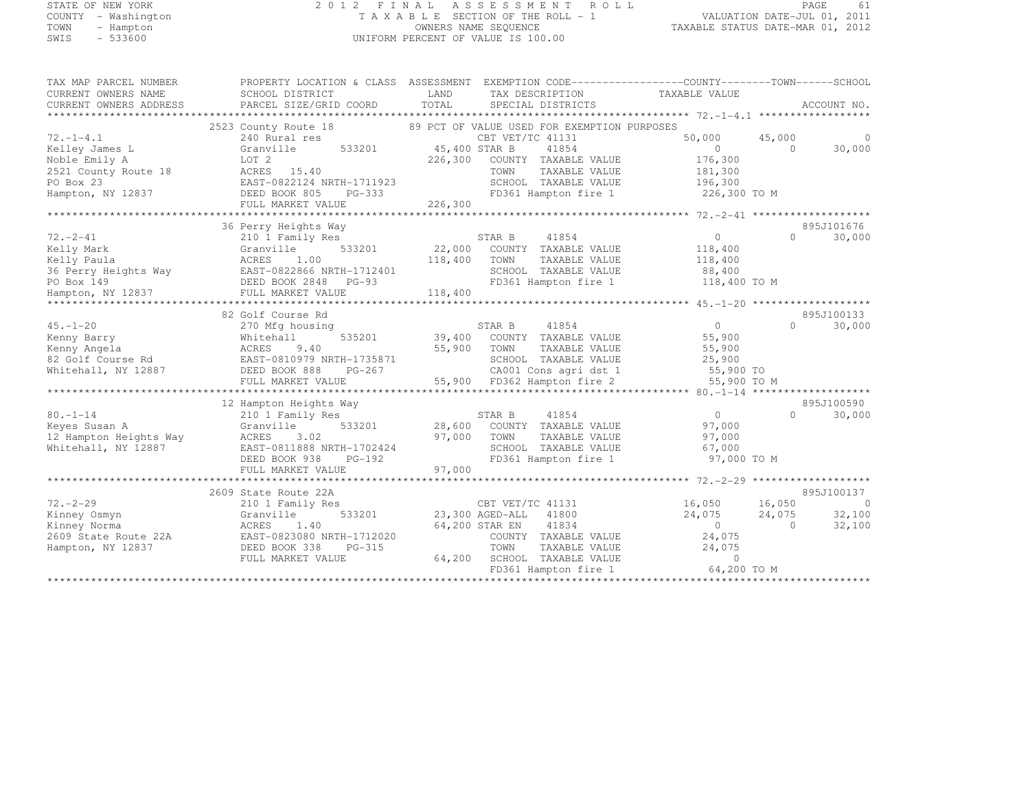# STATE OF NEW YORK 2 0 1 2 F I N A L A S S E S S M E N T R O L L PAGE <sup>61</sup> COUNTY - Washington T A X A B L E SECTION OF THE ROLL - 1 VALUATION DATE-JUL 01, 2011 TOWN - Hampton OWNERS NAME SEQUENCE TAXABLE STATUS DATE-MAR 01, 2012 SWIS - 533600 UNIFORM PERCENT OF VALUE IS 100.00

| TAX MAP PARCEL NUMBER                | PROPERTY LOCATION & CLASS | ASSESSMENT                                  | EXEMPTION CODE-----------------COUNTY-------TOWN------SCHOOL |
|--------------------------------------|---------------------------|---------------------------------------------|--------------------------------------------------------------|
| CURRENT OWNERS NAME                  | SCHOOL DISTRICT           | LAND<br>TAX DESCRIPTION                     | TAXABLE VALUE                                                |
| CURRENT OWNERS ADDRESS               | PARCEL SIZE/GRID COORD    | TOTAL<br>SPECIAL DISTRICTS                  | ACCOUNT NO.                                                  |
| *************************            |                           |                                             |                                                              |
|                                      | 2523 County Route 18      | 89 PCT OF VALUE USED FOR EXEMPTION PURPOSES |                                                              |
| $72. - 1 - 4.1$                      | 240 Rural res             | CBT VET/TC 41131                            | 45,000<br>50,000                                             |
| Kelley James L                       | 533201<br>Granville       | 45,400 STAR B<br>41854                      | 30,000<br>$\Omega$<br>$\Omega$                               |
| Noble Emily A                        | LOT 2                     | 226,300<br>COUNTY TAXABLE VALUE             | 176,300                                                      |
| 2521 County Route 18                 | ACRES 15.40               | TOWN<br>TAXABLE VALUE                       | 181,300                                                      |
| PO Box 23                            | EAST-0822124 NRTH-1711923 | SCHOOL TAXABLE VALUE                        | 196,300                                                      |
| Hampton, NY 12837                    | DEED BOOK 805<br>PG-333   | FD361 Hampton fire 1                        | 226,300 TO M                                                 |
|                                      | FULL MARKET VALUE         | 226,300                                     |                                                              |
|                                      |                           |                                             |                                                              |
|                                      | 36 Perry Heights Way      |                                             | 895J101676                                                   |
| $72. - 2 - 41$                       | 210 1 Family Res          | STAR B<br>41854                             | 30,000<br>$\circ$<br>$\cap$                                  |
| Kelly Mark                           | 533201<br>Granville       | 22,000<br>COUNTY TAXABLE VALUE              | 118,400                                                      |
| Kelly Paula                          | ACRES<br>1.00             | 118,400<br>TOWN<br>TAXABLE VALUE            | 118,400                                                      |
| 36 Perry Heights Way                 | EAST-0822866 NRTH-1712401 | SCHOOL TAXABLE VALUE                        | 88,400                                                       |
| PO Box 149                           | DEED BOOK 2848<br>PG-93   | FD361 Hampton fire 1                        | 118,400 TO M                                                 |
|                                      |                           | 118,400                                     |                                                              |
| Hampton, NY 12837<br>*************** | FULL MARKET VALUE         |                                             |                                                              |
|                                      | 82 Golf Course Rd         |                                             | 895J100133                                                   |
|                                      |                           | STAR B<br>41854                             | $\overline{0}$<br>$\Omega$                                   |
| $45. - 1 - 20$                       | 270 Mfg housing           |                                             | 30,000                                                       |
| Kenny Barry                          | 535201<br>Whitehall       | 39,400 COUNTY TAXABLE VALUE                 | 55,900                                                       |
| Kenny Angela                         | 9.40<br>ACRES             | 55,900<br>TOWN<br>TAXABLE VALUE             | 55,900                                                       |
| 82 Golf Course Rd                    | EAST-0810979 NRTH-1735871 | SCHOOL TAXABLE VALUE                        | 25,900                                                       |
| Whitehall, NY 12887                  | DEED BOOK 888<br>PG-267   | CA001 Cons agri dst 1                       | 55,900 TO                                                    |
|                                      | FULL MARKET VALUE         | 55,900 FD362 Hampton fire 2                 | 55,900 TO M                                                  |
|                                      |                           |                                             |                                                              |
|                                      | 12 Hampton Heights Way    |                                             | 895J100590                                                   |
| $80. -1 - 14$                        | 210 1 Family Res          | STAR B<br>41854                             | 30,000<br>$\circ$<br>$\Omega$                                |
| Keyes Susan A                        | 533201<br>Granville       | 28,600 COUNTY TAXABLE VALUE                 | 97,000                                                       |
| 12 Hampton Heights Way               | ACRES<br>3.02             | 97,000<br>TOWN<br>TAXABLE VALUE             | 97,000                                                       |
| Whitehall, NY 12887                  | EAST-0811888 NRTH-1702424 | SCHOOL TAXABLE VALUE                        | 67,000                                                       |
|                                      | DEED BOOK 938<br>PG-192   | FD361 Hampton fire 1                        | 97,000 TO M                                                  |
|                                      | FULL MARKET VALUE         | 97,000                                      |                                                              |
|                                      |                           |                                             |                                                              |
|                                      | 2609 State Route 22A      |                                             | 895J100137                                                   |
| $72. - 2 - 29$                       | 210 1 Family Res          | CBT VET/TC 41131                            | 16,050<br>16,050<br>C                                        |
| Kinney Osmyn                         | 533201<br>Granville       | 23,300 AGED-ALL<br>41800                    | 32,100<br>24,075<br>24,075                                   |
| Kinney Norma                         | ACRES<br>1.40             | 41834<br>64,200 STAR EN                     | $\overline{0}$<br>32,100<br>$\bigcirc$                       |
| 2609 State Route 22A                 | EAST-0823080 NRTH-1712020 | COUNTY TAXABLE VALUE                        | 24,075                                                       |
| Hampton, NY 12837                    | DEED BOOK 338<br>PG-315   | TOWN<br>TAXABLE VALUE                       | 24,075                                                       |
|                                      | FULL MARKET VALUE         | 64,200<br>SCHOOL TAXABLE VALUE              | $\Omega$                                                     |
|                                      |                           | FD361 Hampton fire 1                        | 64,200 TO M                                                  |
|                                      |                           |                                             |                                                              |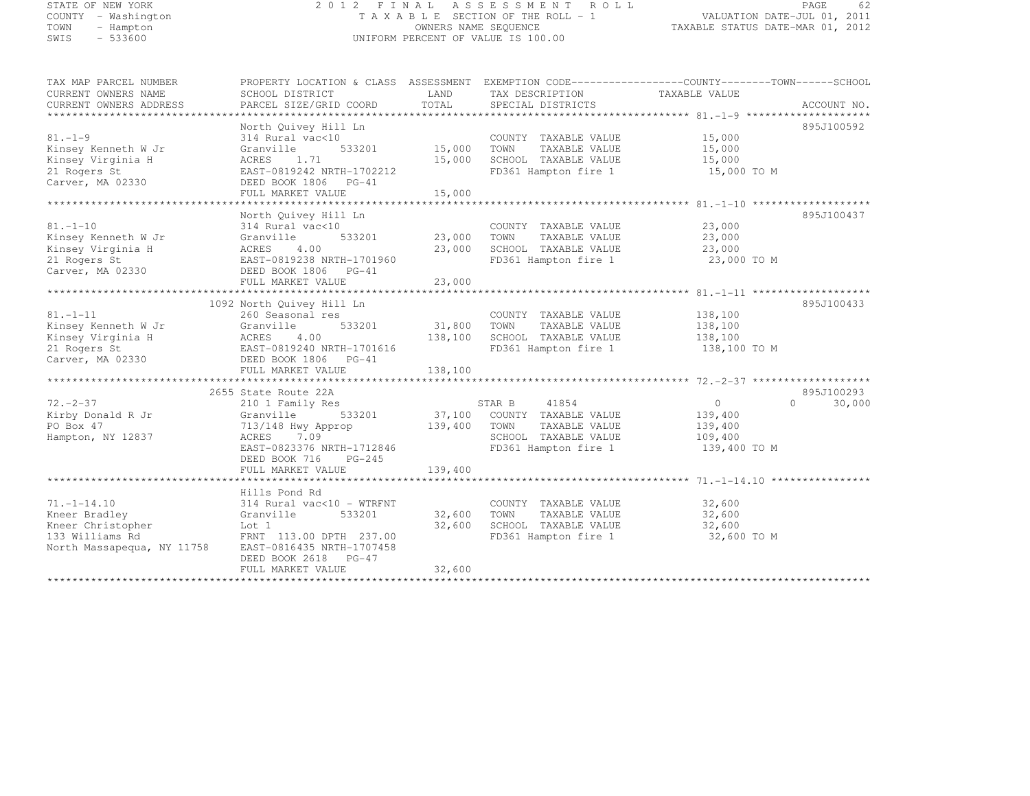# STATE OF NEW YORK 2 0 1 2 F I N A L A S S E S S M E N T R O L L PAGE <sup>62</sup> COUNTY - Washington T A X A B L E SECTION OF THE ROLL - 1 VALUATION DATE-JUL 01, 2011 TOWN - Hampton OWNERS NAME SEQUENCE TAXABLE STATUS DATE-MAR 01, 2012 SWIS - 533600 UNIFORM PERCENT OF VALUE IS 100.00

| TAX MAP PARCEL NUMBER          | PROPERTY LOCATION & CLASS ASSESSMENT EXEMPTION CODE-----------------COUNTY-------TOWN------SCHOOL |             |                                                           |                  |                     |
|--------------------------------|---------------------------------------------------------------------------------------------------|-------------|-----------------------------------------------------------|------------------|---------------------|
| CURRENT OWNERS NAME            | SCHOOL DISTRICT                                                                                   | LAND        | TAX DESCRIPTION                                           | TAXABLE VALUE    |                     |
| CURRENT OWNERS ADDRESS         | PARCEL SIZE/GRID COORD                                                                            | TOTAL       | SPECIAL DISTRICTS                                         |                  | ACCOUNT NO.         |
|                                |                                                                                                   |             |                                                           |                  |                     |
|                                | North Quivey Hill Ln                                                                              |             |                                                           |                  | 895J100592          |
| $81. - 1 - 9$                  | 314 Rural vac<10                                                                                  | 15,000      | COUNTY TAXABLE VALUE                                      | 15,000           |                     |
| Kinsey Kenneth W Jr            | 533201<br>Granville                                                                               |             | TOWN<br>TAXABLE VALUE                                     | 15,000           |                     |
| Kinsey Virginia H              | ACRES<br>1.71                                                                                     | 15,000      | SCHOOL TAXABLE VALUE 15,000                               |                  |                     |
| 21 Rogers St                   | EAST-0819242 NRTH-1702212                                                                         |             | FD361 Hampton fire 1                                      | 15,000 TO M      |                     |
| Carver, MA 02330               | DEED BOOK 1806 PG-41                                                                              |             |                                                           |                  |                     |
|                                | FULL MARKET VALUE                                                                                 | 15,000      |                                                           |                  |                     |
|                                |                                                                                                   |             |                                                           |                  |                     |
| $81, -1 - 10$                  | North Quivey Hill Ln                                                                              |             |                                                           |                  | 895J100437          |
|                                | 314 Rural vac<10                                                                                  |             | COUNTY TAXABLE VALUE                                      | 23,000           |                     |
| Kinsey Kenneth W Jr            | 533201<br>Granville                                                                               | 23,000 TOWN | TAXABLE VALUE                                             | 23,000           |                     |
| Kinsey Virginia H              | 4.00<br>ACRES                                                                                     |             | 23,000 SCHOOL TAXABLE VALUE                               | 23,000           |                     |
| 21 Rogers St                   | EAST-0819238 NRTH-1701960                                                                         |             | FD361 Hampton fire 1                                      | 23,000 TO M      |                     |
| Carver, MA 02330               | DEED BOOK 1806 PG-41                                                                              |             |                                                           |                  |                     |
|                                | FULL MARKET VALUE                                                                                 | 23,000      |                                                           |                  |                     |
|                                |                                                                                                   |             |                                                           |                  | 895J100433          |
|                                | 1092 North Quivey Hill Ln                                                                         |             |                                                           |                  |                     |
| $81. - 1 - 11$                 | 260 Seasonal res                                                                                  |             | COUNTY TAXABLE VALUE                                      | 138,100          |                     |
| Kinsey Kenneth W Jr            | Granville<br>533201                                                                               | 31,800 TOWN | TAXABLE VALUE                                             | 138,100          |                     |
| Kinsey Virginia H              | ACRES<br>4.00                                                                                     | 138,100     | SCHOOL TAXABLE VALUE                                      | 138,100          |                     |
| 21 Rogers St                   | EAST-0819240 NRTH-1701616                                                                         |             | FD361 Hampton fire 1 138,100 TO M                         |                  |                     |
| Carver, MA 02330               | DEED BOOK 1806 PG-41                                                                              |             |                                                           |                  |                     |
|                                | FULL MARKET VALUE                                                                                 | 138,100     |                                                           |                  |                     |
|                                | 2655 State Route 22A                                                                              |             |                                                           |                  | 895J100293          |
| $72. - 2 - 37$                 |                                                                                                   |             | 41854<br>STAR B                                           | $\overline{0}$   | $\bigcap$<br>30,000 |
|                                | 210 1 Family Res<br>533201                                                                        |             |                                                           | 139,400          |                     |
| Kirby Donald R Jr<br>PO Box 47 | Granville<br>713/148 Hwy Approp                                                                   |             | 37,100 COUNTY TAXABLE VALUE<br>139,400 TOWN TAXABLE VALUE |                  |                     |
|                                | ACRES<br>7.09                                                                                     |             | SCHOOL TAXABLE VALUE 109,400                              | 139,400          |                     |
| Hampton, NY 12837              | EAST-0823376 NRTH-1712846                                                                         |             | FD361 Hampton fire 1                                      |                  |                     |
|                                | DEED BOOK 716<br>PG-245                                                                           |             |                                                           | 139,400 TO M     |                     |
|                                |                                                                                                   | 139,400     |                                                           |                  |                     |
|                                | FULL MARKET VALUE                                                                                 |             |                                                           |                  |                     |
|                                | Hills Pond Rd                                                                                     |             |                                                           |                  |                     |
| $71, -1 - 14, 10$              | 314 Rural vac<10 - WTRFNT                                                                         |             | COUNTY TAXABLE VALUE                                      | 32,600           |                     |
| Kneer Bradley                  | 533201                                                                                            | 32,600      | TOWN<br>TAXABLE VALUE                                     |                  |                     |
| Kneer Christopher              | Granville<br>Lot 1                                                                                | 32,600      | SCHOOL TAXABLE VALUE                                      | 32,600<br>32,600 |                     |
| 133 Williams Rd                | FRNT 113.00 DPTH 237.00                                                                           |             | FD361 Hampton fire 1                                      | 32,600 TO M      |                     |
| North Massapequa, NY 11758     |                                                                                                   |             |                                                           |                  |                     |
|                                | EAST-0816435 NRTH-1707458                                                                         |             |                                                           |                  |                     |
|                                | DEED BOOK 2618 PG-47<br>FULL MARKET VALUE                                                         | 32,600      |                                                           |                  |                     |
|                                |                                                                                                   |             |                                                           |                  |                     |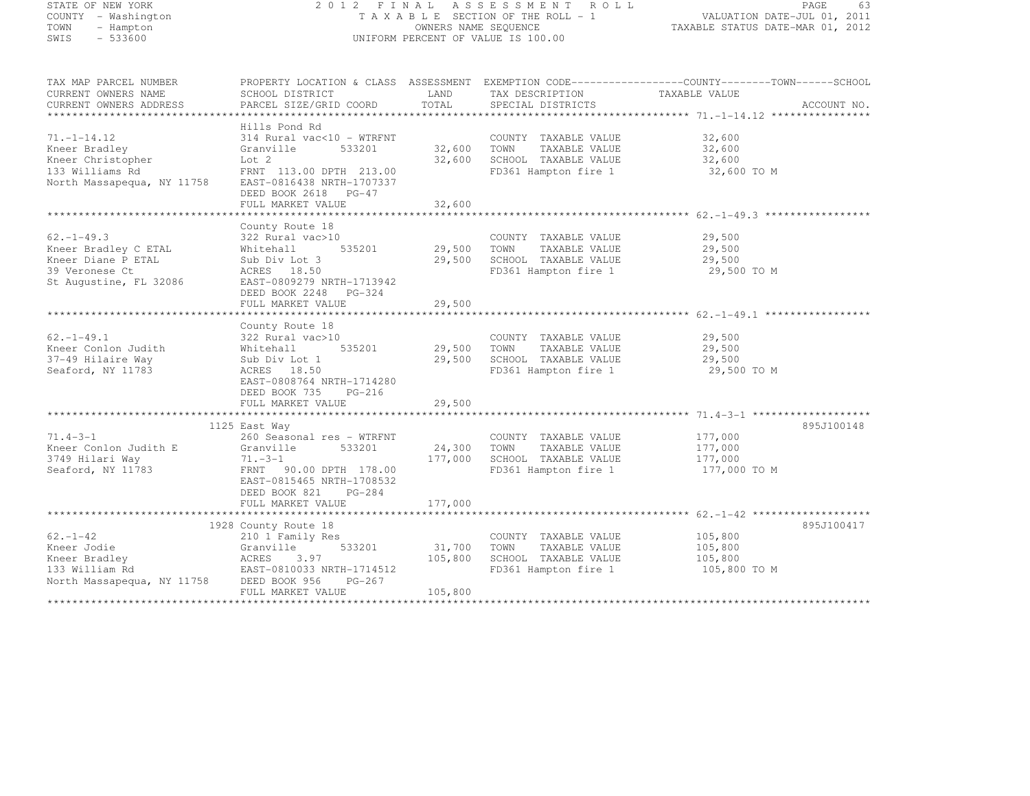# STATE OF NEW YORK 2 0 1 2 F I N A L A S S E S S M E N T R O L L PAGE <sup>63</sup> COUNTY - Washington T A X A B L E SECTION OF THE ROLL - 1 VALUATION DATE-JUL 01, 2011 TOWN - Hampton OWNERS NAME SEQUENCE TAXABLE STATUS DATE-MAR 01, 2012 SWIS - 533600 UNIFORM PERCENT OF VALUE IS 100.00

| TAX MAP PARCEL NUMBER<br>CURRENT OWNERS NAME<br>CURRENT OWNERS ADDRESS                                               | PROPERTY LOCATION & CLASS ASSESSMENT<br>SCHOOL DISTRICT<br>PARCEL SIZE/GRID COORD                                                                                                         | LAND<br>TOTAL                | TAX DESCRIPTION<br>SPECIAL DISTRICTS                                                          | EXEMPTION CODE------------------COUNTY--------TOWN------SCHOOL<br>TAXABLE VALUE<br>ACCOUNT NO. |
|----------------------------------------------------------------------------------------------------------------------|-------------------------------------------------------------------------------------------------------------------------------------------------------------------------------------------|------------------------------|-----------------------------------------------------------------------------------------------|------------------------------------------------------------------------------------------------|
| $71. - 1 - 14.12$<br>Kneer Bradley<br>Kneer Christopher<br>133 Williams Rd<br>North Massapequa, NY 11758             | Hills Pond Rd<br>314 Rural vac<10 - WTRFNT<br>533201<br>Granville<br>Lot 2<br>FRNT 113.00 DPTH 213.00<br>EAST-0816438 NRTH-1707337<br>DEED BOOK 2618 PG-47<br>FULL MARKET VALUE           | 32,600<br>32,600<br>32,600   | COUNTY TAXABLE VALUE<br>TOWN<br>TAXABLE VALUE<br>SCHOOL TAXABLE VALUE<br>FD361 Hampton fire 1 | 32,600<br>32,600<br>32,600<br>32,600 TO M                                                      |
|                                                                                                                      |                                                                                                                                                                                           |                              |                                                                                               |                                                                                                |
| $62. -1 - 49.3$<br>Kneer Bradley C ETAL<br>Kneer Diane P ETAL<br>39 Veronese Ct<br>St Augustine, FL 32086            | County Route 18<br>322 Rural vac>10<br>535201<br>Whitehall<br>Sub Div Lot 3<br>ACRES 18.50<br>EAST-0809279 NRTH-1713942<br>DEED BOOK 2248 PG-324<br>FULL MARKET VALUE                     | 29,500<br>29,500<br>29,500   | COUNTY TAXABLE VALUE<br>TOWN<br>TAXABLE VALUE<br>SCHOOL TAXABLE VALUE<br>FD361 Hampton fire 1 | 29,500<br>29,500<br>29,500<br>29,500 TO M                                                      |
|                                                                                                                      |                                                                                                                                                                                           |                              |                                                                                               |                                                                                                |
| $62. - 1 - 49.1$<br>Kneer Conlon Judith<br>37-49 Hilaire Way<br>Seaford, NY 11783                                    | County Route 18<br>322 Rural vac>10<br>535201<br>Whitehall<br>Sub Div Lot 1<br>ACRES 18.50<br>EAST-0808764 NRTH-1714280<br>DEED BOOK 735<br>$PG-216$<br>FULL MARKET VALUE                 | 29,500<br>29,500<br>29,500   | COUNTY TAXABLE VALUE<br>TOWN<br>TAXABLE VALUE<br>SCHOOL TAXABLE VALUE<br>FD361 Hampton fire 1 | 29,500<br>29,500<br>29,500<br>29,500 TO M                                                      |
|                                                                                                                      |                                                                                                                                                                                           |                              |                                                                                               |                                                                                                |
| $71.4 - 3 - 1$<br>Kneer Conlon Judith E<br>3749 Hilari Way<br>Seaford, NY 11783                                      | 1125 East Way<br>260 Seasonal res - WTRFNT<br>533201<br>Granville<br>$71. - 3 - 1$<br>FRNT 90.00 DPTH 178.00<br>EAST-0815465 NRTH-1708532<br>DEED BOOK 821<br>PG-284<br>FULL MARKET VALUE | 24,300<br>177,000<br>177,000 | COUNTY TAXABLE VALUE<br>TOWN<br>TAXABLE VALUE<br>SCHOOL TAXABLE VALUE<br>FD361 Hampton fire 1 | 895J100148<br>177,000<br>177,000<br>177,000<br>177,000 TO M                                    |
|                                                                                                                      |                                                                                                                                                                                           |                              |                                                                                               |                                                                                                |
| $62 - 1 - 42$<br>Kneer Jodie<br>Kneer Bradley<br>133 William Rd<br>North Massapequa, NY 11758<br>******************* | 1928 County Route 18<br>210 1 Family Res<br>533201<br>Granville<br>3.97<br>ACRES<br>EAST-0810033 NRTH-1714512<br>DEED BOOK 956<br>PG-267<br>FULL MARKET VALUE                             | 31,700<br>105,800<br>105,800 | COUNTY TAXABLE VALUE<br>TOWN<br>TAXABLE VALUE<br>SCHOOL TAXABLE VALUE<br>FD361 Hampton fire 1 | 895J100417<br>105,800<br>105,800<br>105,800<br>105,800 TO M                                    |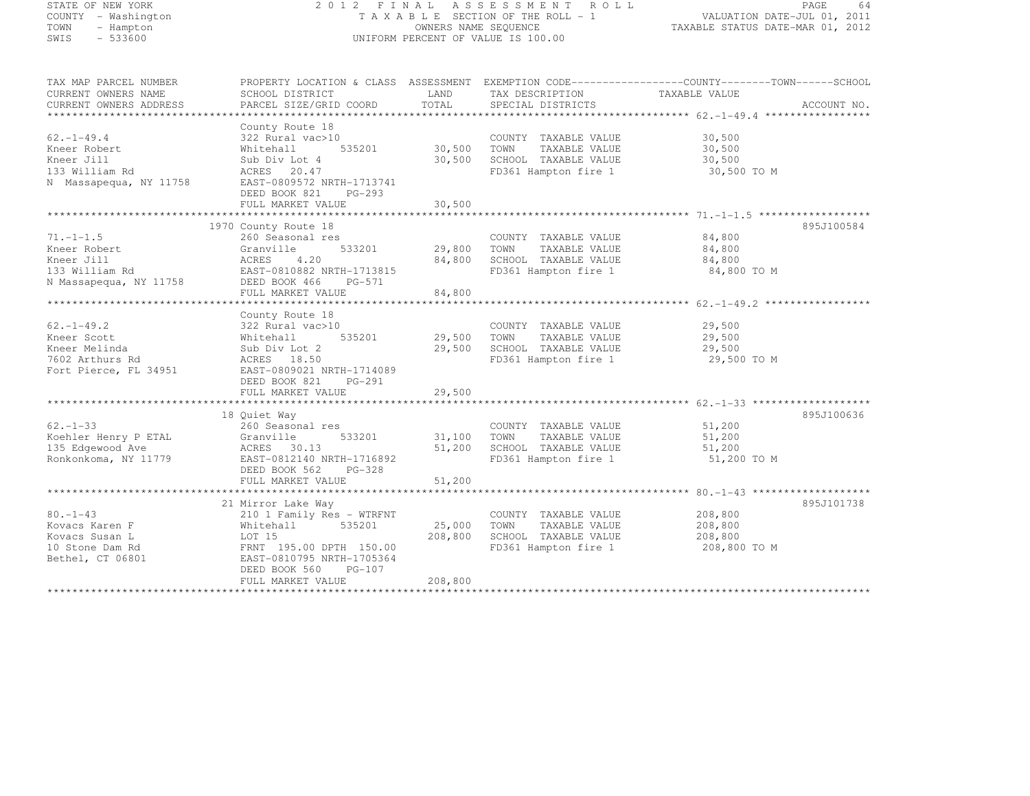# STATE OF NEW YORK 2 0 1 2 F I N A L A S S E S S M E N T R O L L PAGE <sup>64</sup> COUNTY - Washington T A X A B L E SECTION OF THE ROLL - 1 VALUATION DATE-JUL 01, 2011 TOWN - Hampton OWNERS NAME SEQUENCE TAXABLE STATUS DATE-MAR 01, 2012 SWIS - 533600 UNIFORM PERCENT OF VALUE IS 100.00

| TAX MAP PARCEL NUMBER                |                           |         |                       | PROPERTY LOCATION & CLASS ASSESSMENT EXEMPTION CODE---------------COUNTY-------TOWN------SCHOOL |             |
|--------------------------------------|---------------------------|---------|-----------------------|-------------------------------------------------------------------------------------------------|-------------|
| CURRENT OWNERS NAME                  | SCHOOL DISTRICT           | LAND    | TAX DESCRIPTION       | TAXABLE VALUE                                                                                   |             |
| CURRENT OWNERS ADDRESS               | PARCEL SIZE/GRID COORD    | TOTAL   | SPECIAL DISTRICTS     |                                                                                                 | ACCOUNT NO. |
| *************************            |                           |         |                       |                                                                                                 |             |
|                                      | County Route 18           |         |                       |                                                                                                 |             |
| $62. - 1 - 49.4$                     | 322 Rural vac>10          |         | COUNTY TAXABLE VALUE  | 30,500                                                                                          |             |
| Kneer Robert                         | 535201<br>Whitehall       | 30,500  | TOWN<br>TAXABLE VALUE | 30,500                                                                                          |             |
|                                      |                           |         |                       |                                                                                                 |             |
| Kneer Jill                           | Sub Div Lot 4             | 30,500  | SCHOOL TAXABLE VALUE  | 30,500                                                                                          |             |
| 133 William Rd                       | ACRES<br>20.47            |         | FD361 Hampton fire 1  | 30,500 TO M                                                                                     |             |
| N Massapequa, NY 11758               | EAST-0809572 NRTH-1713741 |         |                       |                                                                                                 |             |
|                                      | DEED BOOK 821<br>$PG-293$ |         |                       |                                                                                                 |             |
|                                      | FULL MARKET VALUE         | 30,500  |                       |                                                                                                 |             |
|                                      |                           |         |                       |                                                                                                 |             |
|                                      | 1970 County Route 18      |         |                       |                                                                                                 | 895J100584  |
| $71. - 1 - 1.5$                      | 260 Seasonal res          |         | COUNTY TAXABLE VALUE  | 84,800                                                                                          |             |
| Kneer Robert                         | 533201<br>Granville       | 29,800  | TOWN<br>TAXABLE VALUE | 84,800                                                                                          |             |
| Kneer Jill                           | 4.20<br>ACRES             | 84,800  | SCHOOL TAXABLE VALUE  | 84,800                                                                                          |             |
| 133 William Rd                       | EAST-0810882 NRTH-1713815 |         | FD361 Hampton fire 1  | 84,800 TO M                                                                                     |             |
| N Massapequa, NY 11758 DEED BOOK 466 | PG-571                    |         |                       |                                                                                                 |             |
|                                      | FULL MARKET VALUE         | 84,800  |                       |                                                                                                 |             |
|                                      |                           |         |                       |                                                                                                 |             |
|                                      |                           |         |                       |                                                                                                 |             |
|                                      | County Route 18           |         |                       |                                                                                                 |             |
| $62. - 1 - 49.2$                     | 322 Rural vac>10          |         | COUNTY TAXABLE VALUE  | 29,500                                                                                          |             |
| Kneer Scott                          | 535201<br>Whitehall       | 29,500  | TOWN<br>TAXABLE VALUE | 29,500                                                                                          |             |
| Kneer Melinda                        | Sub Div Lot 2             | 29,500  | SCHOOL TAXABLE VALUE  | 29,500                                                                                          |             |
| 7602 Arthurs Rd                      | ACRES 18.50               |         | FD361 Hampton fire 1  | 29,500 TO M                                                                                     |             |
| Fort Pierce, FL 34951                | EAST-0809021 NRTH-1714089 |         |                       |                                                                                                 |             |
|                                      | DEED BOOK 821<br>PG-291   |         |                       |                                                                                                 |             |
|                                      | FULL MARKET VALUE         | 29,500  |                       |                                                                                                 |             |
|                                      |                           |         |                       |                                                                                                 |             |
|                                      | 18 Ouiet Way              |         |                       |                                                                                                 | 895J100636  |
| $62 - 1 - 33$                        | 260 Seasonal res          |         | COUNTY TAXABLE VALUE  | 51,200                                                                                          |             |
| Koehler Henry P ETAL                 | 533201<br>Granville       | 31,100  | TOWN<br>TAXABLE VALUE | 51,200                                                                                          |             |
| 135 Edgewood Ave                     | ACRES 30.13               | 51,200  | SCHOOL TAXABLE VALUE  | 51,200                                                                                          |             |
|                                      | EAST-0812140 NRTH-1716892 |         |                       | 51,200 TO M                                                                                     |             |
| Ronkonkoma, NY 11779                 |                           |         | FD361 Hampton fire 1  |                                                                                                 |             |
|                                      | DEED BOOK 562<br>PG-328   |         |                       |                                                                                                 |             |
|                                      | FULL MARKET VALUE         | 51,200  |                       |                                                                                                 |             |
|                                      |                           |         |                       |                                                                                                 |             |
|                                      | 21 Mirror Lake Way        |         |                       |                                                                                                 | 895J101738  |
| $80. - 1 - 43$                       | 210 1 Family Res - WTRFNT |         | COUNTY TAXABLE VALUE  | 208,800                                                                                         |             |
| Kovacs Karen F                       | 535201<br>Whitehall       | 25,000  | TOWN<br>TAXABLE VALUE | 208,800                                                                                         |             |
| Kovacs Susan L                       | LOT 15                    | 208,800 | SCHOOL TAXABLE VALUE  | 208,800                                                                                         |             |
| 10 Stone Dam Rd                      | FRNT 195.00 DPTH 150.00   |         | FD361 Hampton fire 1  | 208,800 TO M                                                                                    |             |
| Bethel, CT 06801                     | EAST-0810795 NRTH-1705364 |         |                       |                                                                                                 |             |
|                                      | DEED BOOK 560<br>$PG-107$ |         |                       |                                                                                                 |             |
|                                      | FULL MARKET VALUE         | 208,800 |                       |                                                                                                 |             |
|                                      |                           |         |                       |                                                                                                 |             |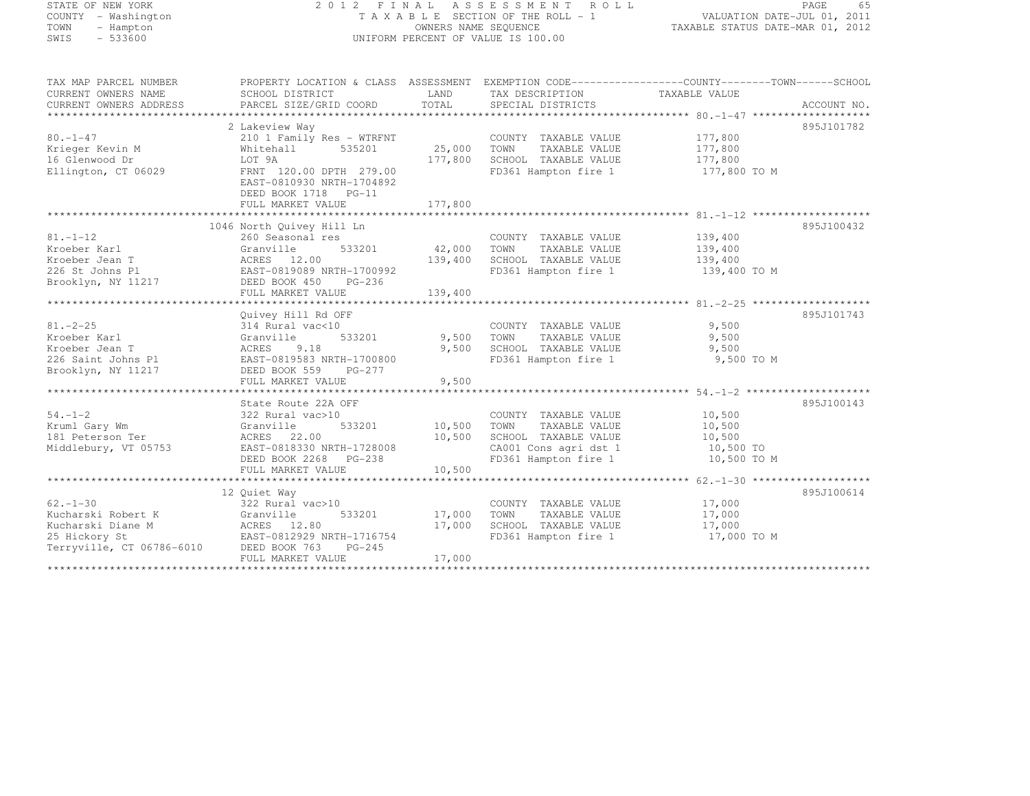# STATE OF NEW YORK 2 0 1 2 F I N A L A S S E S S M E N T R O L L PAGE <sup>65</sup> COUNTY - Washington T A X A B L E SECTION OF THE ROLL - 1 VALUATION DATE-JUL 01, 2011 TOWN - Hampton OWNERS NAME SEQUENCE TAXABLE STATUS DATE-MAR 01, 2012 SWIS - 533600 UNIFORM PERCENT OF VALUE IS 100.00

| TAX MAP PARCEL NUMBER     | PROPERTY LOCATION & CLASS ASSESSMENT EXEMPTION CODE----------------COUNTY-------TOWN------SCHOOL |             |                       |               |             |
|---------------------------|--------------------------------------------------------------------------------------------------|-------------|-----------------------|---------------|-------------|
| CURRENT OWNERS NAME       | SCHOOL DISTRICT                                                                                  | LAND        | TAX DESCRIPTION       | TAXABLE VALUE |             |
| CURRENT OWNERS ADDRESS    | PARCEL SIZE/GRID COORD                                                                           | TOTAL       | SPECIAL DISTRICTS     |               | ACCOUNT NO. |
|                           |                                                                                                  |             |                       |               |             |
|                           | 2 Lakeview Way                                                                                   |             |                       |               | 895J101782  |
| $80. - 1 - 47$            | 210 1 Family Res - WTRFNT                                                                        |             | COUNTY TAXABLE VALUE  | 177,800       |             |
| Krieger Kevin M           | 535201<br>Whitehall                                                                              | 25,000 TOWN | TAXABLE VALUE         | 177,800       |             |
| 16 Glenwood Dr            | LOT 9A                                                                                           | 177,800     | SCHOOL TAXABLE VALUE  | 177,800       |             |
| Ellington, CT 06029       | FRNT 120.00 DPTH 279.00                                                                          |             | FD361 Hampton fire 1  | 177,800 TO M  |             |
|                           | EAST-0810930 NRTH-1704892                                                                        |             |                       |               |             |
|                           | DEED BOOK 1718 PG-11                                                                             |             |                       |               |             |
|                           | FULL MARKET VALUE                                                                                | 177,800     |                       |               |             |
|                           |                                                                                                  |             |                       |               |             |
|                           | 1046 North Quivey Hill Ln                                                                        |             |                       |               | 895J100432  |
| $81. - 1 - 12$            | 260 Seasonal res                                                                                 |             | COUNTY TAXABLE VALUE  | 139,400       |             |
| Kroeber Karl              | 533201<br>Granville                                                                              | 42,000      | TAXABLE VALUE<br>TOWN | 139,400       |             |
| Kroeber Jean T            | ACRES 12.00                                                                                      | 139,400     | SCHOOL TAXABLE VALUE  | 139,400       |             |
| 226 St Johns Pl           | EAST-0819089 NRTH-1700992                                                                        |             | FD361 Hampton fire 1  | 139,400 TO M  |             |
| Brooklyn, NY 11217        | DEED BOOK 450 PG-236                                                                             |             |                       |               |             |
|                           | FULL MARKET VALUE                                                                                | 139,400     |                       |               |             |
|                           |                                                                                                  |             |                       |               |             |
|                           | Quivey Hill Rd OFF                                                                               |             |                       |               | 895J101743  |
| $81. - 2 - 25$            | 314 Rural vac<10                                                                                 |             | COUNTY TAXABLE VALUE  | 9,500         |             |
| Kroeber Karl              | 533201<br>Granville                                                                              | 9,500       | TAXABLE VALUE<br>TOWN | 9,500         |             |
| Kroeber Jean T            | ACRES<br>9.18                                                                                    | 9,500       | SCHOOL TAXABLE VALUE  | 9,500         |             |
| 226 Saint Johns Pl        | EAST-0819583 NRTH-1700800                                                                        |             | FD361 Hampton fire 1  | 9,500 TO M    |             |
| Brooklyn, NY 11217        | DEED BOOK 559<br>$PG-277$                                                                        |             |                       |               |             |
|                           | FULL MARKET VALUE                                                                                | 9,500       |                       |               |             |
|                           |                                                                                                  |             |                       |               |             |
|                           | State Route 22A OFF                                                                              |             |                       |               | 895J100143  |
| $54. - 1 - 2$             | 322 Rural vac>10                                                                                 |             | COUNTY TAXABLE VALUE  | 10,500        |             |
| Kruml Gary Wm             | 533201<br>Granville                                                                              | 10,500      | TAXABLE VALUE<br>TOWN | 10,500        |             |
| 181 Peterson Ter          | ACRES 22.00                                                                                      | 10,500      | SCHOOL TAXABLE VALUE  | 10,500        |             |
| Middlebury, VT 05753      | EAST-0818330 NRTH-1728008                                                                        |             | CA001 Cons agri dst 1 | 10,500 TO     |             |
|                           | DEED BOOK 2268 PG-238                                                                            |             | FD361 Hampton fire 1  | 10,500 TO M   |             |
|                           | FULL MARKET VALUE                                                                                | 10,500      |                       |               |             |
|                           |                                                                                                  |             |                       |               |             |
|                           | 12 Ouiet Way                                                                                     |             |                       |               | 895J100614  |
| $62 - 1 - 30$             | 322 Rural vac>10                                                                                 |             | COUNTY TAXABLE VALUE  | 17,000        |             |
| Kucharski Robert K        | 533201<br>Granville                                                                              | 17,000      | TOWN<br>TAXABLE VALUE | 17,000        |             |
| Kucharski Diane M         | ACRES 12.80                                                                                      | 17,000      | SCHOOL TAXABLE VALUE  | 17,000        |             |
| 25 Hickory St             | EAST-0812929 NRTH-1716754                                                                        |             | FD361 Hampton fire 1  | 17,000 TO M   |             |
| Terryville, CT 06786-6010 | DEED BOOK 763<br>$PG-245$                                                                        |             |                       |               |             |
|                           | FULL MARKET VALUE                                                                                | 17,000      |                       |               |             |
|                           |                                                                                                  |             |                       |               |             |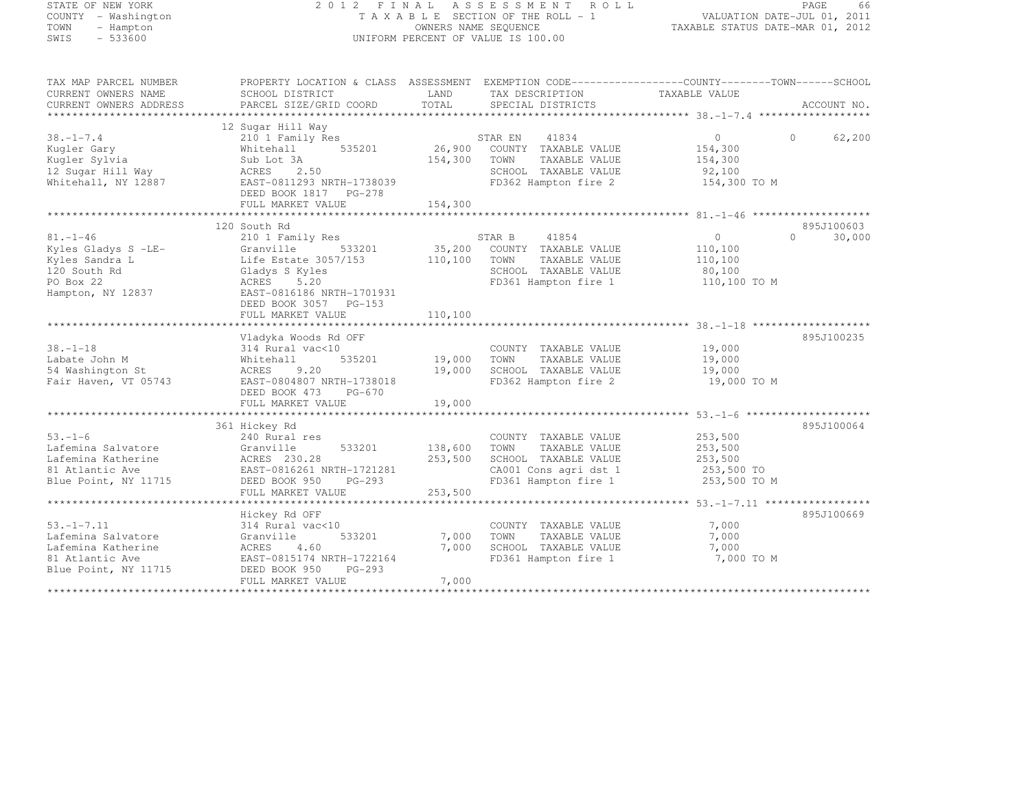# STATE OF NEW YORK 2 0 1 2 F I N A L A S S E S S M E N T R O L L PAGE <sup>66</sup> COUNTY - Washington T A X A B L E SECTION OF THE ROLL - 1 VALUATION DATE-JUL 01, 2011 TOWN - Hampton OWNERS NAME SEQUENCE TAXABLE STATUS DATE-MAR 01, 2012 SWIS - 533600 UNIFORM PERCENT OF VALUE IS 100.00

| TAX MAP PARCEL NUMBER<br>CURRENT OWNERS NAME<br>CURRENT OWNERS ADDRESS                      | PROPERTY LOCATION & CLASS ASSESSMENT EXEMPTION CODE----------------COUNTY-------TOWN------SCHOOL<br>SCHOOL DISTRICT<br>PARCEL SIZE/GRID COORD     | LAND<br>TOTAL      | TAX DESCRIPTION TAXABLE VALUE<br>SPECIAL DISTRICTS                                                                |                                                          | ACCOUNT NO.        |
|---------------------------------------------------------------------------------------------|---------------------------------------------------------------------------------------------------------------------------------------------------|--------------------|-------------------------------------------------------------------------------------------------------------------|----------------------------------------------------------|--------------------|
|                                                                                             |                                                                                                                                                   |                    |                                                                                                                   |                                                          |                    |
| $38. - 1 - 7.4$<br>Kugler Gary<br>Kuqler Sylvia<br>12 Sugar Hill Way<br>Whitehall, NY 12887 | 12 Sugar Hill Way<br>210 1 Family Res<br>535201<br>Whitehall<br>Sub Lot 3A<br>2.50<br>ACRES<br>EAST-0811293 NRTH-1738039<br>DEED BOOK 1817 PG-278 | 26,900<br>154,300  | 41834<br>STAR EN<br>COUNTY TAXABLE VALUE<br>TOWN<br>TAXABLE VALUE<br>SCHOOL TAXABLE VALUE<br>FD362 Hampton fire 2 | $\Omega$<br>154,300<br>154,300<br>92,100<br>154,300 TO M | $\Omega$<br>62,200 |
|                                                                                             | FULL MARKET VALUE                                                                                                                                 | 154,300            |                                                                                                                   |                                                          |                    |
|                                                                                             |                                                                                                                                                   |                    |                                                                                                                   |                                                          |                    |
|                                                                                             | 120 South Rd                                                                                                                                      |                    |                                                                                                                   |                                                          | 895J100603         |
| $81. - 1 - 46$                                                                              | 210 1 Family Res                                                                                                                                  |                    | 41854<br>STAR B                                                                                                   | $\circ$                                                  | 30,000<br>$\Omega$ |
| Kyles Gladys S -LE-                                                                         | 533201<br>Granville                                                                                                                               | 35,200             | COUNTY TAXABLE VALUE                                                                                              | 110,100                                                  |                    |
| Kyles Sandra L                                                                              | Life Estate 3057/153                                                                                                                              | 110,100            | TOWN<br>TAXABLE VALUE                                                                                             | 110,100                                                  |                    |
| 120 South Rd                                                                                | Gladys S Kyles                                                                                                                                    |                    | SCHOOL TAXABLE VALUE                                                                                              | 80,100                                                   |                    |
| PO Box 22                                                                                   | ACRES<br>5.20                                                                                                                                     |                    | FD361 Hampton fire 1                                                                                              | 110,100 TO M                                             |                    |
| Hampton, NY 12837                                                                           | EAST-0816186 NRTH-1701931<br>DEED BOOK 3057 PG-153                                                                                                |                    |                                                                                                                   |                                                          |                    |
|                                                                                             | FULL MARKET VALUE                                                                                                                                 | 110,100            |                                                                                                                   |                                                          |                    |
|                                                                                             |                                                                                                                                                   |                    |                                                                                                                   |                                                          | 895J100235         |
| $38. - 1 - 18$                                                                              | Vladyka Woods Rd OFF<br>314 Rural vac<10                                                                                                          |                    | COUNTY TAXABLE VALUE                                                                                              | 19,000                                                   |                    |
| Labate John M                                                                               | 535201<br>Whitehall                                                                                                                               | 19,000             | TOWN<br>TAXABLE VALUE                                                                                             | 19,000                                                   |                    |
| 54 Washington St                                                                            | 9.20<br>ACRES                                                                                                                                     | 19,000             | SCHOOL TAXABLE VALUE                                                                                              | 19,000                                                   |                    |
| Fair Haven, VT 05743                                                                        | EAST-0804807 NRTH-1738018<br>DEED BOOK 473<br>PG-670                                                                                              |                    | FD362 Hampton fire 2                                                                                              | 19,000 TO M                                              |                    |
|                                                                                             | FULL MARKET VALUE                                                                                                                                 | 19,000             |                                                                                                                   |                                                          |                    |
|                                                                                             |                                                                                                                                                   |                    |                                                                                                                   |                                                          |                    |
|                                                                                             | 361 Hickey Rd                                                                                                                                     |                    |                                                                                                                   |                                                          | 895J100064         |
| $53. - 1 - 6$                                                                               | 240 Rural res                                                                                                                                     |                    | COUNTY TAXABLE VALUE                                                                                              | 253,500                                                  |                    |
| Lafemina Salvatore<br>Lafemina Katherine                                                    | Granville<br>533201                                                                                                                               | 138,600<br>253,500 | TOWN<br>TAXABLE VALUE<br>SCHOOL TAXABLE VALUE                                                                     | 253,500<br>253,500                                       |                    |
| 81 Atlantic Ave                                                                             | ACRES 230.28<br>EAST-0816261 NRTH-1721281                                                                                                         |                    | CA001 Cons agri dst 1                                                                                             | 253,500 TO                                               |                    |
| Blue Point, NY 11715                                                                        | DEED BOOK 950<br>PG-293                                                                                                                           |                    | FD361 Hampton fire 1                                                                                              | 253,500 TO M                                             |                    |
|                                                                                             | FULL MARKET VALUE                                                                                                                                 | 253,500            |                                                                                                                   |                                                          |                    |
|                                                                                             |                                                                                                                                                   |                    |                                                                                                                   |                                                          |                    |
|                                                                                             | Hickey Rd OFF                                                                                                                                     |                    |                                                                                                                   |                                                          | 895J100669         |
| $53. - 1 - 7.11$                                                                            | 314 Rural vac<10                                                                                                                                  |                    | COUNTY TAXABLE VALUE                                                                                              | 7,000                                                    |                    |
| Lafemina Salvatore                                                                          | Granville<br>533201                                                                                                                               | 7,000              | TAXABLE VALUE<br>TOWN                                                                                             | 7,000                                                    |                    |
| Lafemina Katherine                                                                          | ACRES<br>4.60                                                                                                                                     | 7,000              | SCHOOL TAXABLE VALUE                                                                                              | 7,000                                                    |                    |
| 81 Atlantic Ave                                                                             | EAST-0815174 NRTH-1722164                                                                                                                         |                    | FD361 Hampton fire 1                                                                                              | 7,000 TO M                                               |                    |
| Blue Point, NY 11715                                                                        | $PG-293$<br>DEED BOOK 950<br>FULL MARKET VALUE                                                                                                    | 7,000              |                                                                                                                   |                                                          |                    |
|                                                                                             |                                                                                                                                                   |                    |                                                                                                                   |                                                          |                    |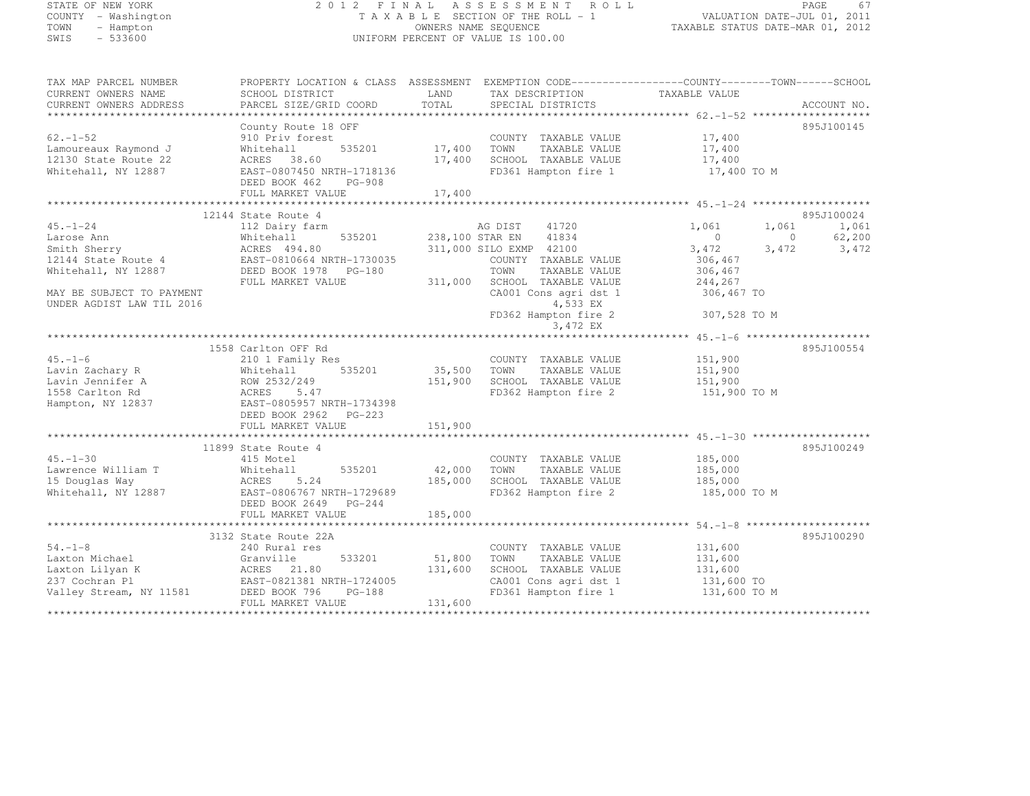| STATE OF NEW YORK         | 2 0 1 2                                                                                         | FINAL           | A S S E S S M E N T<br>ROLL        |                                                       | PAGE<br>67               |
|---------------------------|-------------------------------------------------------------------------------------------------|-----------------|------------------------------------|-------------------------------------------------------|--------------------------|
| COUNTY - Washington       |                                                                                                 |                 | TAXABLE SECTION OF THE ROLL - 1    | VALUATION DATE-JUL 01, 2011                           |                          |
| TOWN<br>- Hampton         |                                                                                                 |                 | OWNERS NAME SEQUENCE               | TAXABLE STATUS DATE-MAR 01, 2012                      |                          |
| $-533600$<br>SWIS         |                                                                                                 |                 | UNIFORM PERCENT OF VALUE IS 100.00 |                                                       |                          |
|                           |                                                                                                 |                 |                                    |                                                       |                          |
| TAX MAP PARCEL NUMBER     | PROPERTY LOCATION & CLASS ASSESSMENT EXEMPTION CODE----------------COUNTY-------TOWN-----SCHOOL |                 |                                    |                                                       |                          |
| CURRENT OWNERS NAME       | SCHOOL DISTRICT                                                                                 | LAND            | TAX DESCRIPTION                    | TAXABLE VALUE                                         |                          |
| CURRENT OWNERS ADDRESS    | PARCEL SIZE/GRID COORD                                                                          | TOTAL           | SPECIAL DISTRICTS                  |                                                       | ACCOUNT NO.              |
|                           |                                                                                                 |                 |                                    |                                                       |                          |
|                           | County Route 18 OFF                                                                             |                 |                                    |                                                       | 895J100145               |
| $62. - 1 - 52$            | 910 Priv forest                                                                                 |                 | COUNTY TAXABLE VALUE               | 17,400                                                |                          |
| Lamoureaux Raymond J      | 535201<br>Whitehall                                                                             | 17,400          | TOWN<br>TAXABLE VALUE              | 17,400                                                |                          |
| 12130 State Route 22      | ACRES<br>38.60                                                                                  | 17,400          | SCHOOL TAXABLE VALUE               | 17,400                                                |                          |
| Whitehall, NY 12887       | EAST-0807450 NRTH-1718136                                                                       |                 | FD361 Hampton fire 1               | 17,400 TO M                                           |                          |
|                           | DEED BOOK 462<br><b>PG-908</b>                                                                  |                 |                                    |                                                       |                          |
|                           | FULL MARKET VALUE                                                                               | 17,400          |                                    |                                                       |                          |
|                           |                                                                                                 |                 |                                    |                                                       |                          |
|                           | 12144 State Route 4                                                                             |                 |                                    |                                                       | 895J100024               |
| $45. - 1 - 24$            | 112 Dairy farm                                                                                  |                 | 41720<br>AG DIST                   | 1,061<br>1,061                                        | 1,061                    |
| Larose Ann                | Whitehall<br>535201                                                                             | 238,100 STAR EN | 41834                              | $\circ$                                               | 62,200<br>$\overline{0}$ |
|                           | ACRES 494.80                                                                                    |                 | 311,000 SILO EXMP 42100            |                                                       |                          |
| Smith Sherry              |                                                                                                 |                 |                                    | 3,472<br>3,472                                        | 3,472                    |
| 12144 State Route 4       | EAST-0810664 NRTH-1730035                                                                       |                 | COUNTY TAXABLE VALUE               | 306,467                                               |                          |
| Whitehall, NY 12887       | DEED BOOK 1978<br>PG-180                                                                        |                 | TOWN<br>TAXABLE VALUE              | 306,467                                               |                          |
|                           | FULL MARKET VALUE                                                                               | 311,000         | SCHOOL TAXABLE VALUE               | 244,267                                               |                          |
| MAY BE SUBJECT TO PAYMENT |                                                                                                 |                 | CA001 Cons agri dst 1              | 306,467 TO                                            |                          |
| UNDER AGDIST LAW TIL 2016 |                                                                                                 |                 | 4,533 EX                           |                                                       |                          |
|                           |                                                                                                 |                 | FD362 Hampton fire 2               | 307,528 TO M                                          |                          |
|                           |                                                                                                 |                 | 3,472 EX                           |                                                       |                          |
|                           |                                                                                                 |                 |                                    |                                                       |                          |
|                           | 1558 Carlton OFF Rd                                                                             |                 |                                    |                                                       | 895J100554               |
| $45. - 1 - 6$             | 210 1 Family Res                                                                                |                 | COUNTY TAXABLE VALUE               | 151,900                                               |                          |
| Lavin Zachary R           | 535201<br>Whitehall                                                                             | 35,500          | TOWN<br>TAXABLE VALUE              | 151,900                                               |                          |
| Lavin Jennifer A          | ROW 2532/249                                                                                    | 151,900         | SCHOOL TAXABLE VALUE               | 151,900                                               |                          |
| 1558 Carlton Rd           | ACRES<br>5.47                                                                                   |                 | FD362 Hampton fire 2               | 151,900 TO M                                          |                          |
| Hampton, NY 12837         | EAST-0805957 NRTH-1734398                                                                       |                 |                                    |                                                       |                          |
|                           | DEED BOOK 2962 PG-223                                                                           |                 |                                    |                                                       |                          |
|                           | FULL MARKET VALUE                                                                               | 151,900         |                                    |                                                       |                          |
|                           | *********************                                                                           |                 |                                    | *********************** 45.-1-30 ******************** |                          |
|                           | 11899 State Route 4                                                                             |                 |                                    |                                                       | 895J100249               |
| $45. - 1 - 30$            | 415 Motel                                                                                       |                 | COUNTY TAXABLE VALUE               | 185,000                                               |                          |
| Lawrence William T        | 535201<br>Whitehall                                                                             | 42,000          | TOWN<br>TAXABLE VALUE              | 185,000                                               |                          |
| 15 Douglas Way            | 5.24<br>ACRES                                                                                   | 185,000         | SCHOOL TAXABLE VALUE               | 185,000                                               |                          |
| Whitehall, NY 12887       | EAST-0806767 NRTH-1729689                                                                       |                 | FD362 Hampton fire 2               | 185,000 TO M                                          |                          |
|                           | DEED BOOK 2649<br>PG-244                                                                        |                 |                                    |                                                       |                          |
|                           | FULL MARKET VALUE                                                                               | 185,000         |                                    |                                                       |                          |
|                           |                                                                                                 |                 |                                    |                                                       |                          |
|                           | 3132 State Route 22A                                                                            |                 |                                    |                                                       | 895J100290               |
| $54. -1 - 8$              | 240 Rural res                                                                                   |                 | COUNTY TAXABLE VALUE               | 131,600                                               |                          |
| Laxton Michael            | 533201<br>Granville                                                                             | 51,800          | TOWN<br>TAXABLE VALUE              | 131,600                                               |                          |
| Laxton Lilyan K           | ACRES<br>21.80                                                                                  | 131,600         | SCHOOL TAXABLE VALUE               | 131,600                                               |                          |
| 237 Cochran Pl            | EAST-0821381 NRTH-1724005                                                                       |                 | CA001 Cons agri dst 1              | 131,600 TO                                            |                          |
| Valley Stream, NY 11581   | DEED BOOK 796<br>PG-188                                                                         |                 | FD361 Hampton fire 1               | 131,600 TO M                                          |                          |
|                           | FULL MARKET VALUE                                                                               | 131,600         |                                    |                                                       |                          |
|                           |                                                                                                 |                 |                                    |                                                       |                          |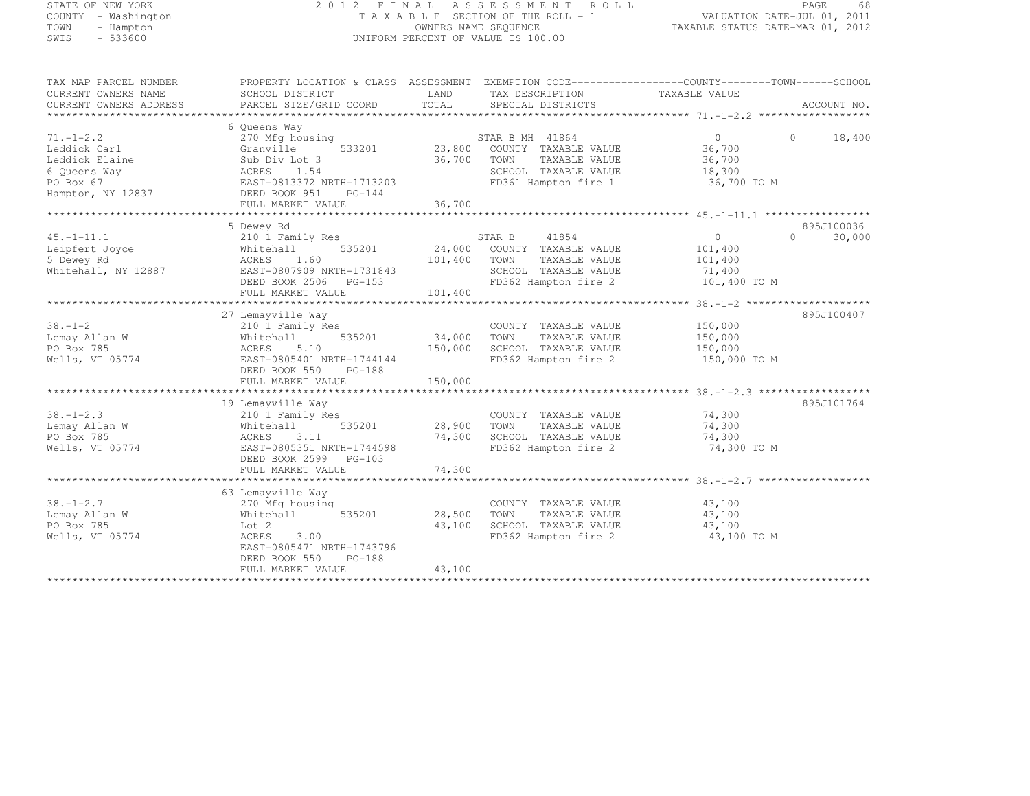# STATE OF NEW YORK 2 0 1 2 F I N A L A S S E S S M E N T R O L L PAGE <sup>68</sup> COUNTY - Washington T A X A B L E SECTION OF THE ROLL - 1 VALUATION DATE-JUL 01, 2011 TOWN - Hampton OWNERS NAME SEQUENCE TAXABLE STATUS DATE-MAR 01, 2012 SWIS - 533600 UNIFORM PERCENT OF VALUE IS 100.00

| TAX MAP PARCEL NUMBER  | PROPERTY LOCATION & CLASS ASSESSMENT EXEMPTION CODE-----------------COUNTY-------TOWN------SCHOOL |         |                             |                |          |             |
|------------------------|---------------------------------------------------------------------------------------------------|---------|-----------------------------|----------------|----------|-------------|
| CURRENT OWNERS NAME    | SCHOOL DISTRICT                                                                                   | LAND    | TAX DESCRIPTION             | TAXABLE VALUE  |          |             |
| CURRENT OWNERS ADDRESS | PARCEL SIZE/GRID COORD                                                                            | TOTAL   | SPECIAL DISTRICTS           |                |          | ACCOUNT NO. |
|                        |                                                                                                   |         |                             |                |          |             |
|                        | 6 Oueens Way                                                                                      |         |                             |                |          |             |
| $71. - 1 - 2.2$        | 270 Mfg housing                                                                                   |         | STAR B MH 41864             | $\overline{0}$ | $\Omega$ | 18,400      |
| Leddick Carl           | 533201<br>Granville                                                                               |         | 23,800 COUNTY TAXABLE VALUE | 36,700         |          |             |
| Leddick Elaine         | Sub Div Lot 3                                                                                     | 36,700  | TAXABLE VALUE<br>TOWN       | 36,700         |          |             |
| 6 Queens Way           | 1.54<br>ACRES                                                                                     |         | SCHOOL TAXABLE VALUE        | 18,300         |          |             |
| PO Box 67              | EAST-0813372 NRTH-1713203                                                                         |         | FD361 Hampton fire 1        | 36,700 TO M    |          |             |
| Hampton, NY 12837      | DEED BOOK 951<br>$PG-144$                                                                         |         |                             |                |          |             |
|                        | FULL MARKET VALUE                                                                                 | 36,700  |                             |                |          |             |
|                        |                                                                                                   |         |                             |                |          |             |
|                        | 5 Dewey Rd                                                                                        |         |                             |                |          | 895J100036  |
| $45. -1 - 11.1$        | 210 1 Family Res                                                                                  |         | STAR B<br>41854             | $\Omega$       | $\Omega$ | 30,000      |
| Leipfert Joyce         | 535201<br>Whitehall                                                                               | 24,000  | COUNTY TAXABLE VALUE        | 101,400        |          |             |
| 5 Dewey Rd             | 1.60<br>ACRES                                                                                     | 101,400 | TOWN<br>TAXABLE VALUE       | 101,400        |          |             |
| Whitehall, NY 12887    | EAST-0807909 NRTH-1731843                                                                         |         | SCHOOL TAXABLE VALUE        | 71,400         |          |             |
|                        | DEED BOOK 2506 PG-153                                                                             |         | FD362 Hampton fire 2        | 101,400 TO M   |          |             |
|                        | FULL MARKET VALUE                                                                                 | 101,400 |                             |                |          |             |
|                        |                                                                                                   |         |                             |                |          |             |
|                        | 27 Lemayville Way                                                                                 |         |                             |                |          | 895J100407  |
| $38. - 1 - 2$          | 210 1 Family Res                                                                                  |         | COUNTY TAXABLE VALUE        | 150,000        |          |             |
| Lemay Allan W          | Whitehall<br>535201                                                                               | 34,000  | TOWN<br>TAXABLE VALUE       | 150,000        |          |             |
| PO Box 785             | 5.10<br>ACRES                                                                                     | 150,000 | SCHOOL TAXABLE VALUE        | 150,000        |          |             |
| Wells, VT 05774        | EAST-0805401 NRTH-1744144                                                                         |         | FD362 Hampton fire 2        | 150,000 TO M   |          |             |
|                        | DEED BOOK 550 PG-188                                                                              |         |                             |                |          |             |
|                        | FULL MARKET VALUE                                                                                 | 150,000 |                             |                |          |             |
|                        |                                                                                                   |         |                             |                |          |             |
|                        | 19 Lemayville Way                                                                                 |         |                             |                |          | 895J101764  |
| $38. - 1 - 2.3$        | 210 1 Family Res                                                                                  |         | COUNTY TAXABLE VALUE        | 74,300         |          |             |
| Lemay Allan W          | 535201<br>Whitehall                                                                               | 28,900  | TOWN<br>TAXABLE VALUE       | 74,300         |          |             |
| PO Box 785             | ACRES<br>3.11                                                                                     | 74,300  | SCHOOL TAXABLE VALUE        | 74,300         |          |             |
| Wells, VT 05774        | EAST-0805351 NRTH-1744598                                                                         |         | FD362 Hampton fire 2        | 74,300 TO M    |          |             |
|                        | DEED BOOK 2599 PG-103                                                                             |         |                             |                |          |             |
|                        | FULL MARKET VALUE                                                                                 | 74,300  |                             |                |          |             |
|                        |                                                                                                   |         |                             |                |          |             |
|                        | 63 Lemayville Way                                                                                 |         |                             |                |          |             |
| $38. - 1 - 2.7$        | 270 Mfg housing                                                                                   |         | COUNTY TAXABLE VALUE        | 43,100         |          |             |
| Lemay Allan W          | 535201<br>Whitehall                                                                               | 28,500  | TAXABLE VALUE<br>TOWN       | 43,100         |          |             |
| PO Box 785             | Lot 2                                                                                             | 43,100  | SCHOOL TAXABLE VALUE        | 43,100         |          |             |
| Wells, VT 05774        | ACRES<br>3.00                                                                                     |         | FD362 Hampton fire 2        | 43,100 TO M    |          |             |
|                        | EAST-0805471 NRTH-1743796                                                                         |         |                             |                |          |             |
|                        | $PG-188$<br>DEED BOOK 550                                                                         |         |                             |                |          |             |
|                        | FULL MARKET VALUE                                                                                 | 43,100  |                             |                |          |             |
|                        |                                                                                                   |         |                             |                |          |             |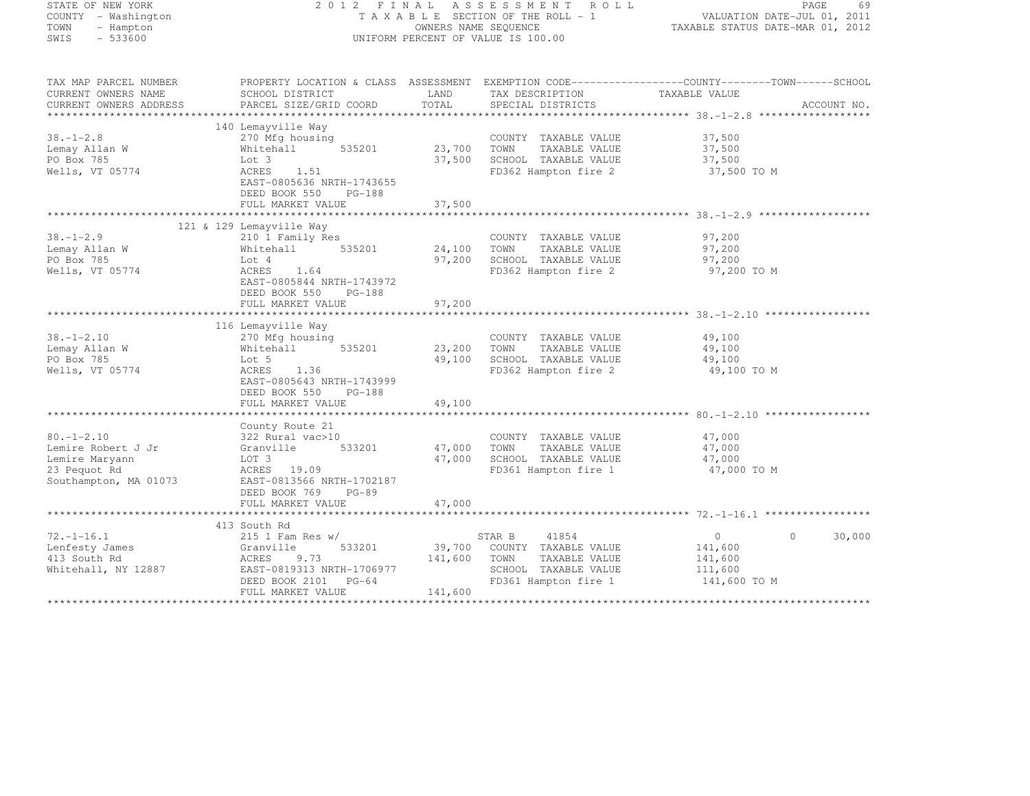| STATE OF NEW YORK                                             | 2012 FINAL ASSESSMENT ROLL                                              | PAGE<br>69                                                      |                                              |                                                                                                  |  |
|---------------------------------------------------------------|-------------------------------------------------------------------------|-----------------------------------------------------------------|----------------------------------------------|--------------------------------------------------------------------------------------------------|--|
| COUNTY - Washington<br>TOWN<br>- Hampton<br>SWIS<br>$-533600$ | TAXABLE SECTION OF THE ROLL - 1<br>UNIFORM PERCENT OF VALUE IS 100.00   | VALUATION DATE-JUL 01, 2011<br>TAXABLE STATUS DATE-MAR 01, 2012 |                                              |                                                                                                  |  |
| TAX MAP PARCEL NUMBER                                         |                                                                         |                                                                 |                                              | PROPERTY LOCATION & CLASS ASSESSMENT EXEMPTION CODE----------------COUNTY-------TOWN------SCHOOL |  |
| CURRENT OWNERS NAME                                           | SCHOOL DISTRICT                                                         | LAND                                                            | TAX DESCRIPTION                              | TAXABLE VALUE                                                                                    |  |
| CURRENT OWNERS ADDRESS                                        | PARCEL SIZE/GRID COORD                                                  | TOTAL                                                           | SPECIAL DISTRICTS                            | ACCOUNT NO.                                                                                      |  |
|                                                               |                                                                         |                                                                 |                                              |                                                                                                  |  |
|                                                               | 140 Lemayville Way                                                      |                                                                 |                                              |                                                                                                  |  |
| $38. - 1 - 2.8$                                               | 270 Mfg housing                                                         |                                                                 | COUNTY TAXABLE VALUE                         | 37,500                                                                                           |  |
| Lemay Allan W                                                 | Whitehall<br>535201                                                     | 23,700                                                          | TOWN<br>TAXABLE VALUE                        | 37,500                                                                                           |  |
| PO Box 785                                                    | Lot 3                                                                   | 37,500                                                          | SCHOOL TAXABLE VALUE                         | 37,500                                                                                           |  |
| Wells, VT 05774                                               | ACRES<br>1.51<br>EAST-0805636 NRTH-1743655<br>DEED BOOK 550<br>PG-188   |                                                                 | FD362 Hampton fire 2                         | 37,500 TO M                                                                                      |  |
|                                                               | FULL MARKET VALUE                                                       | 37,500                                                          |                                              |                                                                                                  |  |
|                                                               |                                                                         |                                                                 |                                              |                                                                                                  |  |
|                                                               | 121 & 129 Lemayville Way                                                |                                                                 |                                              |                                                                                                  |  |
| 38.-1-2.9                                                     | 210 1 Family Res                                                        |                                                                 | COUNTY TAXABLE VALUE                         | 97,200                                                                                           |  |
| Lemay Allan W                                                 | 535201<br>Whitehall                                                     | 24,100                                                          | TOWN<br>TAXABLE VALUE                        | 97,200                                                                                           |  |
| PO Box 785                                                    | Lot 4                                                                   | 97,200                                                          | SCHOOL TAXABLE VALUE                         | 97,200                                                                                           |  |
| Wells, VT 05774                                               | ACRES<br>1.64<br>EAST-0805844 NRTH-1743972<br>DEED BOOK 550<br>$PG-188$ |                                                                 | FD362 Hampton fire 2                         | 97,200 TO M                                                                                      |  |
|                                                               | FULL MARKET VALUE                                                       | 97,200                                                          |                                              |                                                                                                  |  |
|                                                               |                                                                         |                                                                 |                                              |                                                                                                  |  |
|                                                               | 116 Lemayville Way                                                      |                                                                 |                                              |                                                                                                  |  |
| $38. - 1 - 2.10$                                              | 270 Mfg housing                                                         |                                                                 | COUNTY TAXABLE VALUE                         | 49,100                                                                                           |  |
| Lemay Allan W                                                 | 535201<br>Whitehall                                                     | 23,200                                                          | TOWN<br>TAXABLE VALUE                        | 49,100                                                                                           |  |
| PO Box 785                                                    | Lot 5                                                                   | 49,100                                                          | SCHOOL TAXABLE VALUE                         | 49,100                                                                                           |  |
| Wells, VT 05774                                               | ACRES<br>1.36<br>EAST-0805643 NRTH-1743999                              |                                                                 | FD362 Hampton fire 2                         | 49,100 TO M                                                                                      |  |
|                                                               | DEED BOOK 550<br>$PG-188$                                               |                                                                 |                                              |                                                                                                  |  |
|                                                               | FULL MARKET VALUE                                                       | 49,100                                                          |                                              |                                                                                                  |  |
|                                                               | County Route 21                                                         |                                                                 |                                              |                                                                                                  |  |
| $80. - 1 - 2.10$                                              | 322 Rural vac>10                                                        |                                                                 | COUNTY TAXABLE VALUE                         | 47,000                                                                                           |  |
| Lemire Robert J Jr                                            | Granville<br>533201                                                     | 47,000                                                          | TAXABLE VALUE<br>TOWN                        | 47,000                                                                                           |  |
| Lemire Maryann                                                | LOT 3                                                                   | 47,000                                                          | SCHOOL TAXABLE VALUE                         | 47,000                                                                                           |  |
| 23 Pequot Rd                                                  | ACRES 19.09                                                             |                                                                 | FD361 Hampton fire 1                         | 47,000 TO M                                                                                      |  |
| Southampton, MA 01073                                         | EAST-0813566 NRTH-1702187                                               |                                                                 |                                              |                                                                                                  |  |
|                                                               | DEED BOOK 769<br>$PG-89$                                                |                                                                 |                                              |                                                                                                  |  |
|                                                               | FULL MARKET VALUE                                                       | 47,000                                                          |                                              |                                                                                                  |  |
|                                                               |                                                                         |                                                                 |                                              |                                                                                                  |  |
|                                                               | 413 South Rd                                                            |                                                                 |                                              |                                                                                                  |  |
| $72. - 1 - 16.1$                                              | $215$ 1 Fam Res w/                                                      |                                                                 | STAR B<br>41854                              | 30,000<br>$\circ$<br>$\circ$                                                                     |  |
| Lenfesty James                                                | 533201<br>Granville                                                     | 39,700                                                          | COUNTY TAXABLE VALUE                         | 141,600                                                                                          |  |
| 413 South Rd                                                  | ACRES<br>9.73                                                           | 141,600                                                         | TAXABLE VALUE<br>TOWN                        | 141,600                                                                                          |  |
| Whitehall, NY 12887                                           | EAST-0819313 NRTH-1706977<br>DEED BOOK 2101 PG-64                       |                                                                 | SCHOOL TAXABLE VALUE<br>FD361 Hampton fire 1 | 111,600<br>141,600 TO M                                                                          |  |
|                                                               |                                                                         | .                                                               |                                              |                                                                                                  |  |

FULL MARKET VALUE 141,600 \*\*\*\*\*\*\*\*\*\*\*\*\*\*\*\*\*\*\*\*\*\*\*\*\*\*\*\*\*\*\*\*\*\*\*\*\*\*\*\*\*\*\*\*\*\*\*\*\*\*\*\*\*\*\*\*\*\*\*\*\*\*\*\*\*\*\*\*\*\*\*\*\*\*\*\*\*\*\*\*\*\*\*\*\*\*\*\*\*\*\*\*\*\*\*\*\*\*\*\*\*\*\*\*\*\*\*\*\*\*\*\*\*\*\*\*\*\*\*\*\*\*\*\*\*\*\*\*\*\*\*\*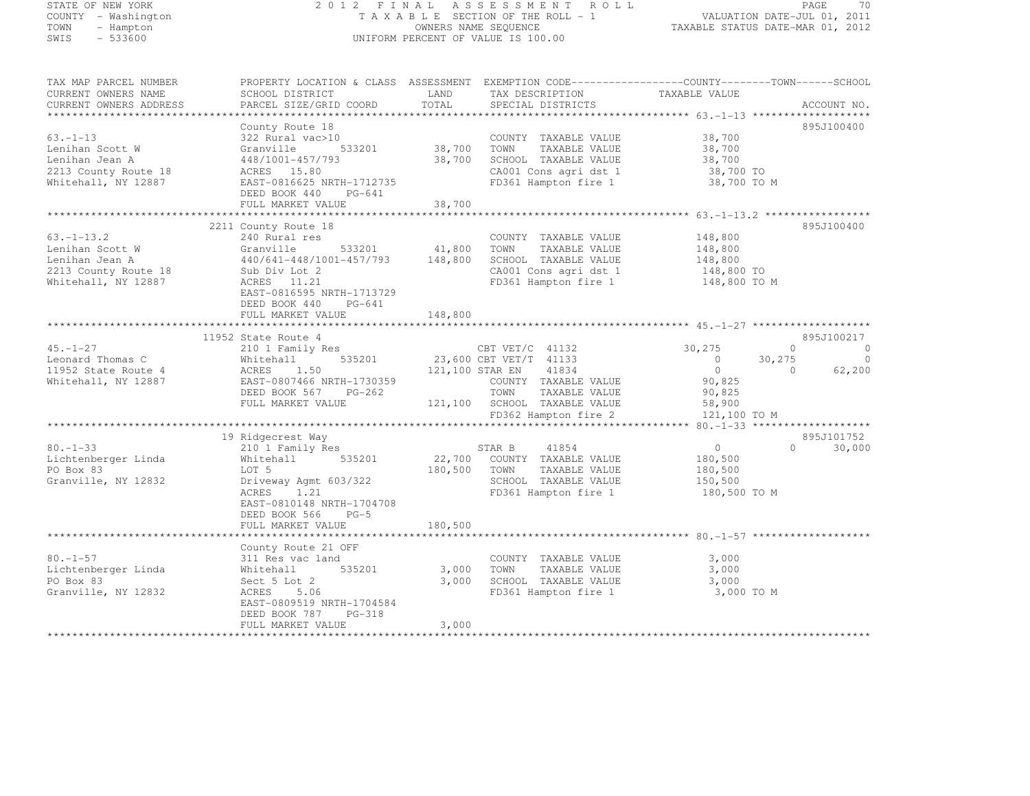# STATE OF NEW YORK 2 0 1 2 F I N A L A S S E S S M E N T R O L L PAGE <sup>70</sup> COUNTY - Washington T A X A B L E SECTION OF THE ROLL - 1 VALUATION DATE-JUL 01, 2011 TOWN - Hampton OWNERS NAME SEQUENCE TAXABLE STATUS DATE-MAR 01, 2012 SWIS - 533600 UNIFORM PERCENT OF VALUE IS 100.00

TAX MAP PARCEL NUMBER PROPERTY LOCATION & CLASS ASSESSMENT EXEMPTION CODE------------------COUNTY--------TOWN------SCHOOL

| CURRENT OWNERS NAME<br>CURRENT OWNERS ADDRESS                                                                                                                 | SCHOOL DISTRICT<br>PARCEL SIZE/GRID COORD                                                                                                                                                                                                                        | LAND<br>TOTAL                | TAX DESCRIPTION<br>SPECIAL DISTRICTS                                                                                                                                                                                                                           | TAXABLE VALUE                                                                                                                        | ACCOUNT NO.                                                                                          |
|---------------------------------------------------------------------------------------------------------------------------------------------------------------|------------------------------------------------------------------------------------------------------------------------------------------------------------------------------------------------------------------------------------------------------------------|------------------------------|----------------------------------------------------------------------------------------------------------------------------------------------------------------------------------------------------------------------------------------------------------------|--------------------------------------------------------------------------------------------------------------------------------------|------------------------------------------------------------------------------------------------------|
|                                                                                                                                                               |                                                                                                                                                                                                                                                                  |                              |                                                                                                                                                                                                                                                                |                                                                                                                                      |                                                                                                      |
| $63. - 1 - 13$<br>Lenihan Scott W<br>Lenihan Jean A<br>2213 County Route 18<br>Whitehall, NY 12887                                                            | County Route 18<br>322 Rural vac>10<br>533201<br>Granville<br>448/1001-457/793<br>ACRES 15.80<br>EAST-0816625 NRTH-1712735<br>DEED BOOK 440<br>PG-641                                                                                                            | 38,700<br>38,700             | COUNTY TAXABLE VALUE<br>TOWN<br>TAXABLE VALUE<br>SCHOOL TAXABLE VALUE<br>CA001 Cons agri dst 1<br>FD361 Hampton fire 1                                                                                                                                         | 38,700<br>38,700<br>38,700<br>38,700 TO<br>38,700 TO M                                                                               | 895J100400                                                                                           |
|                                                                                                                                                               | FULL MARKET VALUE<br>*************************                                                                                                                                                                                                                   | 38,700                       |                                                                                                                                                                                                                                                                |                                                                                                                                      |                                                                                                      |
| $63. - 1 - 13.2$<br>Lenihan Scott W<br>Lenihan Jean A<br>2213 County Route 18<br>Whitehall, NY 12887                                                          | 2211 County Route 18<br>240 Rural res<br>Granville<br>533201<br>440/641-448/1001-457/793<br>Sub Div Lot 2<br>ACRES 11.21<br>EAST-0816595 NRTH-1713729<br>DEED BOOK 440<br>PG-641<br>FULL MARKET VALUE                                                            | 41,800<br>148,800<br>148,800 | COUNTY TAXABLE VALUE<br>TAXABLE VALUE<br>TOWN<br>SCHOOL TAXABLE VALUE<br>CA001 Cons agri dst 1<br>FD361 Hampton fire 1                                                                                                                                         | 148,800<br>148,800<br>148,800<br>148,800 TO<br>148,800 TO M                                                                          | 895J100400                                                                                           |
|                                                                                                                                                               |                                                                                                                                                                                                                                                                  |                              |                                                                                                                                                                                                                                                                |                                                                                                                                      |                                                                                                      |
| $45. - 1 - 27$<br>Leonard Thomas C<br>11952 State Route 4<br>Whitehall, NY 12887<br>$80. - 1 - 33$<br>Lichtenberger Linda<br>PO Box 83<br>Granville, NY 12832 | 11952 State Route 4<br>210 1 Family Res<br>535201<br>Whitehall<br>ACRES<br>1.50<br>EAST-0807466 NRTH-1730359<br>DEED BOOK 567<br>$PG-262$<br>FULL MARKET VALUE<br>19 Ridgecrest Way<br>210 1 Family Res<br>535201<br>Whitehall<br>LOT 5<br>Driveway Agmt 603/322 | 121,100 STAR EN<br>180,500   | CBT VET/C 41132<br>23,600 CBT VET/T 41133<br>41834<br>COUNTY TAXABLE VALUE<br>TOWN<br>TAXABLE VALUE<br>121,100 SCHOOL TAXABLE VALUE<br>FD362 Hampton fire 2<br>STAR B<br>41854<br>22,700 COUNTY TAXABLE VALUE<br>TOWN<br>TAXABLE VALUE<br>SCHOOL TAXABLE VALUE | 30,275<br>$\overline{0}$<br>$\overline{0}$<br>90,825<br>90,825<br>58,900<br>121,100 TO M<br>$\circ$<br>180,500<br>180,500<br>150,500 | 895J100217<br>$\Omega$<br>0<br>30,275<br>0<br>62,200<br>$\circ$<br>895J101752<br>$\bigcap$<br>30,000 |
|                                                                                                                                                               | ACRES<br>1.21<br>EAST-0810148 NRTH-1704708<br>DEED BOOK 566<br>$PG-5$<br>FULL MARKET VALUE                                                                                                                                                                       | 180,500                      | FD361 Hampton fire 1                                                                                                                                                                                                                                           | 180,500 TO M                                                                                                                         |                                                                                                      |
|                                                                                                                                                               |                                                                                                                                                                                                                                                                  |                              |                                                                                                                                                                                                                                                                |                                                                                                                                      |                                                                                                      |
| $80. - 1 - 57$<br>Lichtenberger Linda<br>PO Box 83<br>Granville, NY 12832                                                                                     | County Route 21 OFF<br>311 Res vac land<br>535201<br>Whitehall<br>Sect 5 Lot 2<br>ACRES<br>5.06<br>EAST-0809519 NRTH-1704584<br>DEED BOOK 787<br>PG-318<br>FULL MARKET VALUE                                                                                     | 3,000<br>3,000<br>3,000      | COUNTY TAXABLE VALUE<br>TOWN<br>TAXABLE VALUE<br>SCHOOL TAXABLE VALUE<br>FD361 Hampton fire 1                                                                                                                                                                  | 3,000<br>3,000<br>3,000<br>3,000 TO M                                                                                                |                                                                                                      |
|                                                                                                                                                               |                                                                                                                                                                                                                                                                  |                              |                                                                                                                                                                                                                                                                |                                                                                                                                      |                                                                                                      |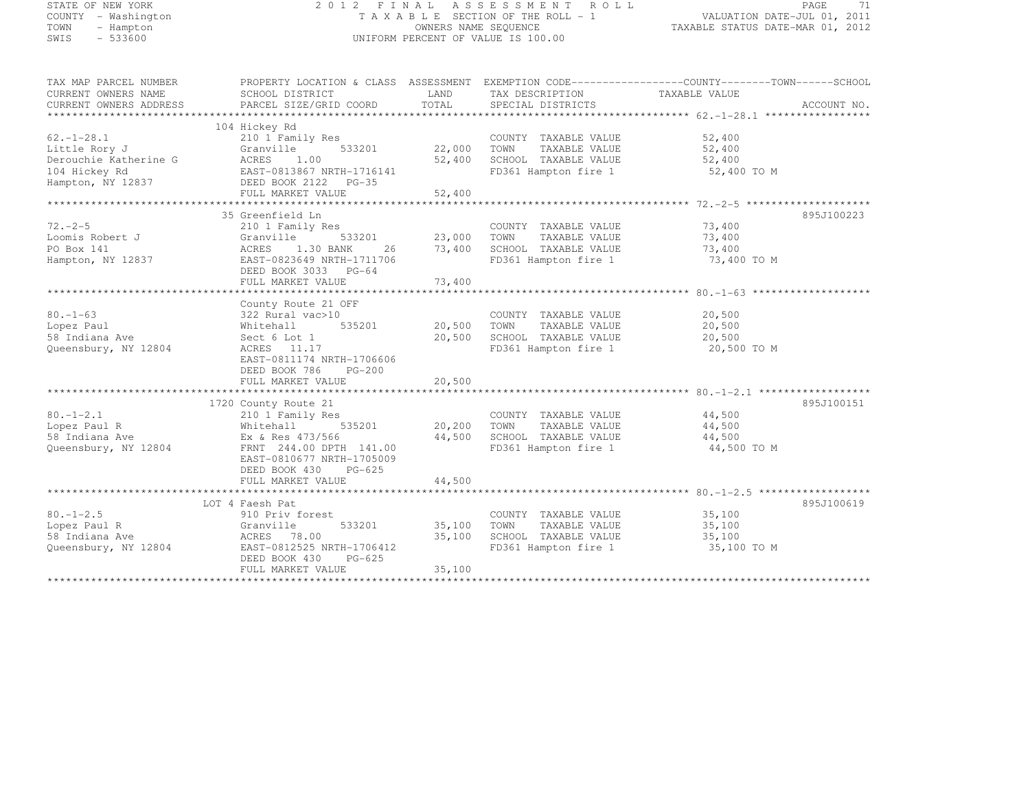| STATE OF NEW YORK |  |                     |  |
|-------------------|--|---------------------|--|
|                   |  | COUNTY - Washington |  |
| TOWN              |  | - Hampton           |  |
| SWIS              |  | $-533600$           |  |

# STATE OF NEW YORK 2 0 1 2 F I N A L A S S E S S M E N T R O L L PAGE <sup>71</sup> COUNTY - Washington T A X A B L E SECTION OF THE ROLL - 1 VALUATION DATE-JUL 01, 2011 TOWN - Hampton OWNERS NAME SEQUENCE TAXABLE STATUS DATE-MAR 01, 2012 SWIS - 533600 UNIFORM PERCENT OF VALUE IS 100.00

| TAX MAP PARCEL NUMBER  | PROPERTY LOCATION & CLASS ASSESSMENT EXEMPTION CODE---------------COUNTY-------TOWN-----SCHOOL |        |                       |               |             |
|------------------------|------------------------------------------------------------------------------------------------|--------|-----------------------|---------------|-------------|
| CURRENT OWNERS NAME    | SCHOOL DISTRICT                                                                                | LAND   | TAX DESCRIPTION       | TAXABLE VALUE |             |
| CURRENT OWNERS ADDRESS | PARCEL SIZE/GRID COORD                                                                         | TOTAL  | SPECIAL DISTRICTS     |               | ACCOUNT NO. |
|                        |                                                                                                |        |                       |               |             |
|                        | 104 Hickey Rd                                                                                  |        |                       |               |             |
| $62. - 1 - 28.1$       | 210 1 Family Res                                                                               |        | COUNTY TAXABLE VALUE  | 52,400        |             |
| Little Rory J          | Granville<br>533201                                                                            | 22,000 | TOWN<br>TAXABLE VALUE | 52,400        |             |
|                        |                                                                                                |        |                       |               |             |
| Derouchie Katherine G  | ACRES<br>1.00                                                                                  | 52,400 | SCHOOL TAXABLE VALUE  | 52,400        |             |
| 104 Hickey Rd          | EAST-0813867 NRTH-1716141                                                                      |        | FD361 Hampton fire 1  | 52,400 TO M   |             |
| Hampton, NY 12837      | DEED BOOK 2122 PG-35                                                                           |        |                       |               |             |
|                        | FULL MARKET VALUE                                                                              | 52,400 |                       |               |             |
|                        |                                                                                                |        |                       |               |             |
|                        | 35 Greenfield Ln                                                                               |        |                       |               | 895J100223  |
| $72. -2 - 5$           | 210 1 Family Res                                                                               |        | COUNTY TAXABLE VALUE  | 73,400        |             |
| Loomis Robert J        | 533201<br>Granville                                                                            | 23,000 | TOWN<br>TAXABLE VALUE | 73,400        |             |
| PO Box 141             | ACRES<br>1.30 BANK<br>26                                                                       | 73,400 | SCHOOL TAXABLE VALUE  | 73,400        |             |
| Hampton, NY 12837      | EAST-0823649 NRTH-1711706                                                                      |        | FD361 Hampton fire 1  | 73,400 TO M   |             |
|                        | DEED BOOK 3033 PG-64                                                                           |        |                       |               |             |
|                        | FULL MARKET VALUE                                                                              | 73,400 |                       |               |             |
|                        |                                                                                                |        |                       |               |             |
|                        | County Route 21 OFF                                                                            |        |                       |               |             |
|                        |                                                                                                |        |                       |               |             |
| $80. - 1 - 63$         | 322 Rural vac>10                                                                               |        | COUNTY TAXABLE VALUE  | 20,500        |             |
| Lopez Paul             | Whitehall<br>535201                                                                            | 20,500 | TOWN<br>TAXABLE VALUE | 20,500        |             |
| 58 Indiana Ave         | Sect 6 Lot 1                                                                                   | 20,500 | SCHOOL TAXABLE VALUE  | 20,500        |             |
| Queensbury, NY 12804   | ACRES 11.17                                                                                    |        | FD361 Hampton fire 1  | 20,500 TO M   |             |
|                        | EAST-0811174 NRTH-1706606                                                                      |        |                       |               |             |
|                        | DEED BOOK 786<br>$PG-200$                                                                      |        |                       |               |             |
|                        | FULL MARKET VALUE                                                                              | 20,500 |                       |               |             |
|                        |                                                                                                |        |                       |               |             |
|                        | 1720 County Route 21                                                                           |        |                       |               | 895J100151  |
| $80. - 1 - 2.1$        | 210 1 Family Res                                                                               |        | COUNTY TAXABLE VALUE  | 44,500        |             |
| Lopez Paul R           | 535201<br>Whitehall                                                                            | 20,200 | TOWN<br>TAXABLE VALUE | 44,500        |             |
| 58 Indiana Ave         | Ex & Res 473/566                                                                               | 44,500 | SCHOOL TAXABLE VALUE  | 44,500        |             |
| Queensbury, NY 12804   | FRNT 244.00 DPTH 141.00                                                                        |        | FD361 Hampton fire 1  | 44,500 TO M   |             |
|                        | EAST-0810677 NRTH-1705009                                                                      |        |                       |               |             |
|                        | $PG-625$                                                                                       |        |                       |               |             |
|                        | DEED BOOK 430                                                                                  |        |                       |               |             |
|                        | FULL MARKET VALUE                                                                              | 44,500 |                       |               |             |
|                        |                                                                                                |        |                       |               |             |
|                        | LOT 4 Faesh Pat                                                                                |        |                       |               | 895J100619  |
| $80. - 1 - 2.5$        | 910 Priv forest                                                                                |        | COUNTY TAXABLE VALUE  | 35,100        |             |
| Lopez Paul R           | 533201<br>Granville                                                                            | 35,100 | TAXABLE VALUE<br>TOWN | 35,100        |             |
| 58 Indiana Ave         | ACRES<br>78.00                                                                                 | 35,100 | SCHOOL TAXABLE VALUE  | 35,100        |             |
| Queensbury, NY 12804   | EAST-0812525 NRTH-1706412                                                                      |        | FD361 Hampton fire 1  | 35,100 TO M   |             |
|                        | DEED BOOK 430<br>$PG-625$                                                                      |        |                       |               |             |
|                        | FULL MARKET VALUE                                                                              | 35,100 |                       |               |             |
|                        |                                                                                                |        |                       |               |             |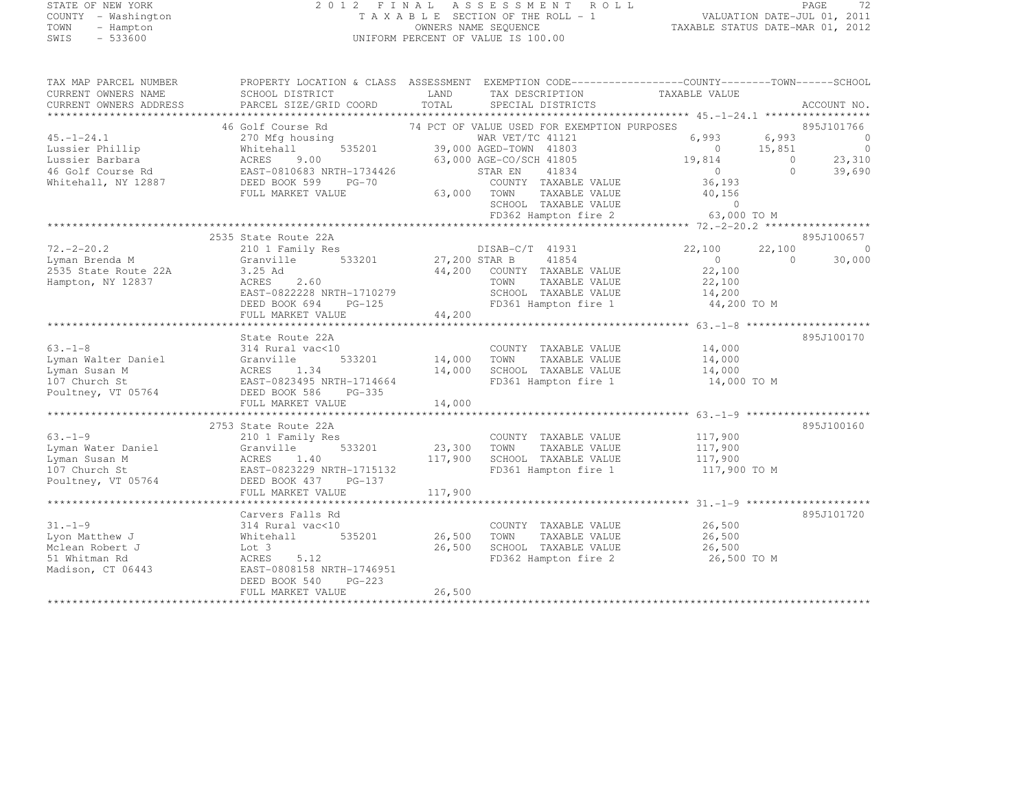# STATE OF NEW YORK 2 0 1 2 F I N A L A S S E S S M E N T R O L L PAGE <sup>72</sup> COUNTY - Washington T A X A B L E SECTION OF THE ROLL - 1 VALUATION DATE-JUL 01, 2011 TOWN - Hampton OWNERS NAME SEQUENCE TAXABLE STATUS DATE-MAR 01, 2012 SWIS - 533600 UNIFORM PERCENT OF VALUE IS 100.00

| TAX MAP PARCEL NUMBER<br>CURRENT OWNERS NAME<br>CURRENT OWNERS ADDRESS                             | PROPERTY LOCATION & CLASS ASSESSMENT EXEMPTION CODE-----------------COUNTY-------TOWN------SCHOOL<br>SCHOOL DISTRICT<br>PARCEL SIZE/GRID COORD                       | LAND<br>TOTAL              | SPECIAL DISTRICTS                                                                                                                         | TAX DESCRIPTION TAXABLE VALUE                                |                                                                                                 |                     | ACCOUNT NO.                                           |
|----------------------------------------------------------------------------------------------------|----------------------------------------------------------------------------------------------------------------------------------------------------------------------|----------------------------|-------------------------------------------------------------------------------------------------------------------------------------------|--------------------------------------------------------------|-------------------------------------------------------------------------------------------------|---------------------|-------------------------------------------------------|
| $45. - 1 - 24.1$<br>Lussier Phillip<br>Lussier Barbara<br>46 Golf Course Rd<br>Whitehall, NY 12887 | 46 Golf Course Rd<br>270 Mfg housing<br>535201<br>Whitehall<br>9.00<br>ACRES<br>EAST-0810683 NRTH-1734426<br>DEED BOOK 599<br>PG-70<br>FULL MARKET VALUE             | 63,000 TOWN                | WAR VET/TC 41121<br>39,000 AGED-TOWN 41803<br>63,000 AGE-CO/SCH 41805<br>STAR EN<br>41834<br>COUNTY TAXABLE VALUE<br>SCHOOL TAXABLE VALUE | 74 PCT OF VALUE USED FOR EXEMPTION PURPOSES<br>TAXABLE VALUE | 6,993<br>6,993<br>$\circ$<br>15,851<br>19,814<br>$\overline{0}$<br>36,193<br>40,156<br>$\sim$ 0 | $\Omega$<br>$\circ$ | 895J101766<br>$\Omega$<br>$\circ$<br>23,310<br>39,690 |
|                                                                                                    |                                                                                                                                                                      |                            |                                                                                                                                           | FD362 Hampton fire 2                                         | 63,000 TO M                                                                                     |                     |                                                       |
| $72, -2 - 20.2$<br>Lyman Brenda M<br>2535 State Route 22A<br>Hampton, NY 12837                     | 2535 State Route 22A<br>210 1 Family Res<br>Granville<br>3.25 Ad<br><b>ACRES</b><br>2.60<br>EAST-0822228 NRTH-1710279<br>DEED BOOK 694 PG-125                        | 533201 27,200 STAR B       | DISAB-C/T 41931<br>41854<br>44,200 COUNTY TAXABLE VALUE<br>TOWN<br>SCHOOL TAXABLE VALUE<br>FD361 Hampton fire 1                           | TAXABLE VALUE                                                | 22,100<br>$\overline{0}$<br>22,100<br>22,100<br>14,200<br>44,200 TO M                           | 22,100<br>$\Omega$  | 895J100657<br>$\overline{0}$<br>30,000                |
|                                                                                                    | FULL MARKET VALUE                                                                                                                                                    | 44,200                     |                                                                                                                                           |                                                              |                                                                                                 |                     |                                                       |
| $63. -1 - 8$<br>Lyman Walter Daniel<br>Lyman Susan M<br>107 Church St<br>Poultney, VT 05764        | State Route 22A<br>314 Rural vac<10<br>Granville<br>533201<br>ACRES<br>1.34<br>EAST-0823495 NRTH-1714664<br>DEED BOOK 586<br>PG-335<br>FULL MARKET VALUE             | 14,000<br>14,000<br>14,000 | COUNTY TAXABLE VALUE<br>TOWN<br>SCHOOL TAXABLE VALUE<br>FD361 Hampton fire 1                                                              | TAXABLE VALUE                                                | 14,000<br>14,000<br>14,000<br>14,000 TO M                                                       |                     | 895J100170                                            |
|                                                                                                    |                                                                                                                                                                      |                            |                                                                                                                                           |                                                              |                                                                                                 |                     |                                                       |
| $63. - 1 - 9$<br>Lyman Water Daniel<br>Lyman Susan M<br>107 Church St<br>Poultney, VT 05764        | 2753 State Route 22A<br>210 1 Family Res<br>Granville<br>533201<br>ACRES<br>1.40<br>EAST-0823229 NRTH-1715132<br>DEED BOOK 437 PG-137                                | 23,300<br>117,900          | COUNTY TAXABLE VALUE<br>TOWN<br>SCHOOL TAXABLE VALUE<br>FD361 Hampton fire 1                                                              | TAXABLE VALUE                                                | 117,900<br>117,900<br>117,900<br>117,900 TO M                                                   |                     | 895J100160                                            |
|                                                                                                    | FULL MARKET VALUE                                                                                                                                                    | 117,900                    |                                                                                                                                           |                                                              |                                                                                                 |                     |                                                       |
| $31. - 1 - 9$<br>Lyon Matthew J<br>Mclean Robert J<br>51 Whitman Rd<br>Madison, CT 06443           | Carvers Falls Rd<br>314 Rural vac<10<br>Whitehall<br>535201<br>Lot 3<br>ACRES<br>5.12<br>EAST-0808158 NRTH-1746951<br>$PG-223$<br>DEED BOOK 540<br>FULL MARKET VALUE | 26,500<br>26,500<br>26,500 | COUNTY TAXABLE VALUE<br>TOWN<br>SCHOOL TAXABLE VALUE<br>FD362 Hampton fire 2                                                              | TAXABLE VALUE                                                | 26,500<br>26,500<br>26,500<br>26,500 TO M                                                       |                     | 895J101720                                            |
|                                                                                                    |                                                                                                                                                                      |                            |                                                                                                                                           |                                                              |                                                                                                 |                     |                                                       |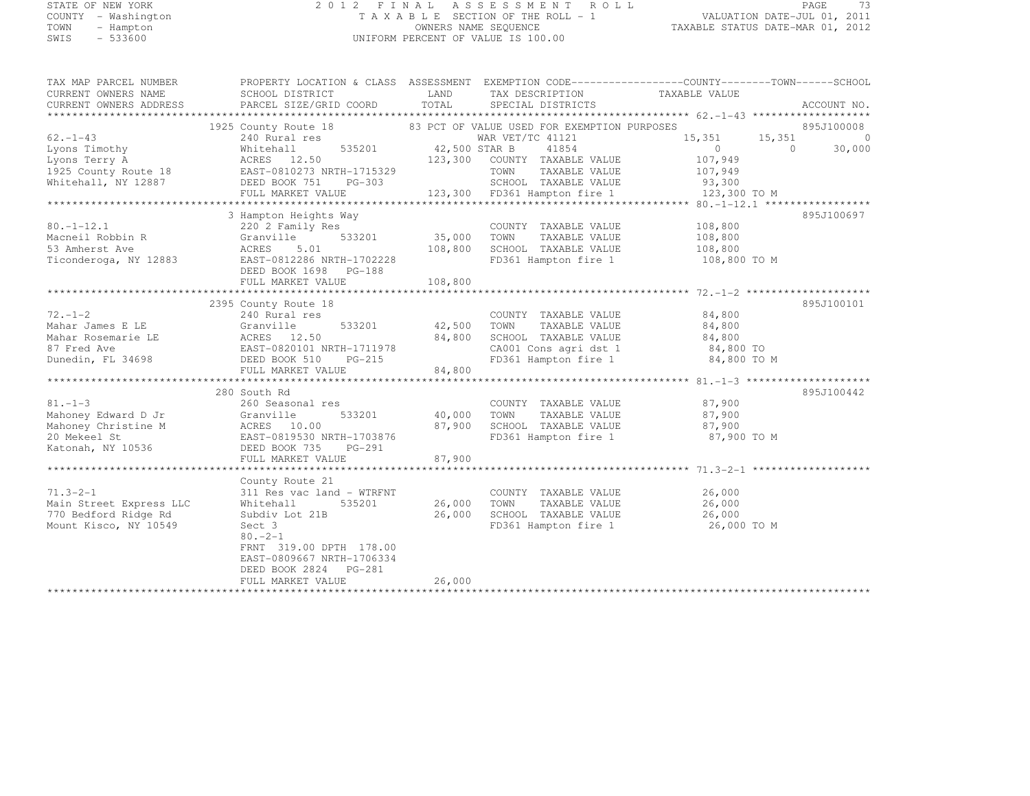## STATE OF NEW YORK 2 0 1 2 F I N A L A S S E S S M E N T R O L L PAGE <sup>73</sup> COUNTY - Washington T A X A B L E SECTION OF THE ROLL - 1 VALUATION DATE-JUL 01, 2011 TOWN - Hampton OWNERS NAME SEQUENCE TAXABLE STATUS DATE-MAR 01, 2012 SWIS - 533600 UNIFORM PERCENT OF VALUE IS 100.00

| TAX MAP PARCEL NUMBER                                       | PROPERTY LOCATION & CLASS ASSESSMENT EXEMPTION CODE----------------COUNTY-------TOWN------SCHOOL                                                                                                                                       |         |                                                                                                 |               |            |        |        |        |        |        |        |        |        |        |        |        |        |        |        |     |  |  |  |  |
|-------------------------------------------------------------|----------------------------------------------------------------------------------------------------------------------------------------------------------------------------------------------------------------------------------------|---------|-------------------------------------------------------------------------------------------------|---------------|------------|--------|--------|--------|--------|--------|--------|--------|--------|--------|--------|--------|--------|--------|--------|-----|--|--|--|--|
|                                                             |                                                                                                                                                                                                                                        |         | TAX DESCRIPTION                                                                                 | TAXABLE VALUE |            |        |        |        |        |        |        |        |        |        |        |        |        |        |        |     |  |  |  |  |
|                                                             |                                                                                                                                                                                                                                        |         |                                                                                                 |               |            |        |        |        |        |        |        |        |        |        |        |        |        |        |        |     |  |  |  |  |
|                                                             |                                                                                                                                                                                                                                        |         |                                                                                                 |               |            |        |        |        |        |        |        |        |        |        |        |        |        |        |        |     |  |  |  |  |
|                                                             |                                                                                                                                                                                                                                        |         |                                                                                                 |               |            |        |        |        |        |        |        |        |        |        |        |        |        |        |        |     |  |  |  |  |
| $62, -1-43$                                                 | 1925 County Route 18 83 PCT OF VALUE USED FOR EXEMPTION PURPOSES 895J100008<br>240 Rural res war VET/TC 41121 121 15,351 15,351 0<br>Whitehall 535201 42,500 STAR B 41854 0 0 30,000                                                   |         |                                                                                                 |               |            |        |        |        |        |        |        |        |        |        |        |        |        |        |        |     |  |  |  |  |
|                                                             |                                                                                                                                                                                                                                        |         |                                                                                                 |               |            |        |        |        |        |        |        |        |        |        |        |        |        |        |        |     |  |  |  |  |
|                                                             |                                                                                                                                                                                                                                        |         |                                                                                                 |               |            |        |        |        |        |        |        |        |        |        |        |        |        |        |        |     |  |  |  |  |
|                                                             |                                                                                                                                                                                                                                        |         |                                                                                                 |               |            |        |        |        |        |        |        |        |        |        |        |        |        |        |        |     |  |  |  |  |
|                                                             |                                                                                                                                                                                                                                        |         |                                                                                                 |               |            |        |        |        |        |        |        |        |        |        |        |        |        |        |        |     |  |  |  |  |
|                                                             |                                                                                                                                                                                                                                        |         |                                                                                                 |               |            |        |        |        |        |        |        |        |        |        |        |        |        |        |        |     |  |  |  |  |
|                                                             | 0 13,300 TOM TAXABLE VALUE<br>1925 County Route 18 EAST-0810273 NRTH-1715329<br>Whitehall, NY 12887 DEED BOOK 751 PG-303 123,300 COUNTY TAXABLE VALUE<br>1925 County Route 18 EAST-0810273 NRTH-1715329 TOWN TAXABLE VALUE 107,949<br> |         |                                                                                                 |               |            |        |        |        |        |        |        |        |        |        |        |        |        |        |        |     |  |  |  |  |
|                                                             |                                                                                                                                                                                                                                        |         |                                                                                                 |               |            |        |        |        |        |        |        |        |        |        |        |        |        |        |        |     |  |  |  |  |
|                                                             | 3 Hampton Heights Way                                                                                                                                                                                                                  |         |                                                                                                 |               | 895J100697 |        |        |        |        |        |        |        |        |        |        |        |        |        |        |     |  |  |  |  |
| $80. -1 - 12.1$                                             | ly Res COUNT<br>533201 35,000 TOWN<br>01<br>220 2 Family Res                                                                                                                                                                           |         | COUNTY TAXABLE VALUE 108,800                                                                    |               |            |        |        |        |        |        |        |        |        |        |        |        |        |        |        |     |  |  |  |  |
|                                                             |                                                                                                                                                                                                                                        |         | TOWN TAXABLE VALUE 108,800<br>SCHOOL TAXABLE VALUE 108,800<br>FD361 Hampton fire 1 108,800 TO M |               |            |        |        |        |        |        |        |        |        |        |        |        |        |        |        |     |  |  |  |  |
|                                                             |                                                                                                                                                                                                                                        |         | 108,800 SCHOOL TAXABLE VALUE                                                                    |               |            |        |        |        |        |        |        |        |        |        |        |        |        |        |        |     |  |  |  |  |
|                                                             |                                                                                                                                                                                                                                        |         |                                                                                                 |               |            |        |        |        |        |        |        |        |        |        |        |        |        |        |        |     |  |  |  |  |
|                                                             | DEED BOOK 1698 PG-188<br>FULL MARKET VALUE                                                                                                                                                                                             |         |                                                                                                 |               |            |        |        |        |        |        |        |        |        |        |        |        |        |        |        |     |  |  |  |  |
|                                                             |                                                                                                                                                                                                                                        |         |                                                                                                 |               |            |        |        |        |        |        |        |        |        |        |        |        |        |        |        |     |  |  |  |  |
|                                                             |                                                                                                                                                                                                                                        |         |                                                                                                 |               |            |        |        |        |        |        |        |        |        |        |        |        |        |        |        |     |  |  |  |  |
|                                                             | 2395 County Route 18                                                                                                                                                                                                                   |         |                                                                                                 |               | 895J100101 |        |        |        |        |        |        |        |        |        |        |        |        |        |        |     |  |  |  |  |
|                                                             |                                                                                                                                                                                                                                        |         |                                                                                                 |               |            |        |        |        |        |        |        |        |        |        |        |        |        |        |        |     |  |  |  |  |
|                                                             |                                                                                                                                                                                                                                        |         |                                                                                                 |               |            |        |        |        |        |        |        |        |        |        |        |        |        |        |        |     |  |  |  |  |
|                                                             |                                                                                                                                                                                                                                        |         |                                                                                                 |               |            |        |        |        |        |        |        |        |        |        |        |        |        |        |        |     |  |  |  |  |
|                                                             |                                                                                                                                                                                                                                        |         |                                                                                                 |               |            |        |        |        |        |        |        |        |        |        |        |        |        |        |        |     |  |  |  |  |
|                                                             |                                                                                                                                                                                                                                        |         |                                                                                                 |               |            |        |        |        |        |        |        |        |        |        |        |        |        |        |        |     |  |  |  |  |
|                                                             | $\n\n\n72.-1-2\n2355\n240\nRural res\n2000\n0.0000\n0.0000\n0.0000\n0.0000\n0.0000\n0.0000\n0.0000\n0.0000\n0.0000\n0.0000\n0.0000\n0.0000\n0.0000\n0.0$                                                                               | 72.-1-2 | 2355                                                                                            | 240           | Rural res  | 2000   | 0.0000 | 0.0000 | 0.0000 | 0.0000 | 0.0000 | 0.0000 | 0.0000 | 0.0000 | 0.0000 | 0.0000 | 0.0000 | 0.0000 | 0.0000 | 0.0 |  |  |  |  |
| 72.-1-2                                                     | 2355                                                                                                                                                                                                                                   | 240     | Rural res                                                                                       | 2000          | 0.0000     | 0.0000 | 0.0000 | 0.0000 | 0.0000 | 0.0000 | 0.0000 | 0.0000 | 0.0000 | 0.0000 | 0.0000 | 0.0000 | 0.0000 | 0.0    |        |     |  |  |  |  |
|                                                             |                                                                                                                                                                                                                                        |         |                                                                                                 |               |            |        |        |        |        |        |        |        |        |        |        |        |        |        |        |     |  |  |  |  |
|                                                             | 280 South Rd                                                                                                                                                                                                                           |         |                                                                                                 |               | 895J100442 |        |        |        |        |        |        |        |        |        |        |        |        |        |        |     |  |  |  |  |
|                                                             |                                                                                                                                                                                                                                        |         |                                                                                                 |               |            |        |        |        |        |        |        |        |        |        |        |        |        |        |        |     |  |  |  |  |
|                                                             |                                                                                                                                                                                                                                        |         |                                                                                                 |               |            |        |        |        |        |        |        |        |        |        |        |        |        |        |        |     |  |  |  |  |
|                                                             |                                                                                                                                                                                                                                        |         |                                                                                                 |               |            |        |        |        |        |        |        |        |        |        |        |        |        |        |        |     |  |  |  |  |
|                                                             |                                                                                                                                                                                                                                        |         |                                                                                                 |               |            |        |        |        |        |        |        |        |        |        |        |        |        |        |        |     |  |  |  |  |
|                                                             |                                                                                                                                                                                                                                        |         | FD361 Hampton fire 1 87,900 TO M                                                                |               |            |        |        |        |        |        |        |        |        |        |        |        |        |        |        |     |  |  |  |  |
|                                                             | COUNTY TAXABLE VALUE<br>Mahoney Edward D Jr Granville 533201 40,000 TOWN TAXABLE VALUE 87,900<br>Mahoney Christine M ACRES 10.00 5000 SCHOOL TAXABLE VALUE 87,900<br>20 Mekeel St EAST-0819530 NRTH-1703876 FD361 Hampton fire 1 87,   |         |                                                                                                 |               |            |        |        |        |        |        |        |        |        |        |        |        |        |        |        |     |  |  |  |  |
|                                                             |                                                                                                                                                                                                                                        |         |                                                                                                 |               |            |        |        |        |        |        |        |        |        |        |        |        |        |        |        |     |  |  |  |  |
|                                                             |                                                                                                                                                                                                                                        |         |                                                                                                 |               |            |        |        |        |        |        |        |        |        |        |        |        |        |        |        |     |  |  |  |  |
|                                                             | County Route 21                                                                                                                                                                                                                        |         |                                                                                                 |               |            |        |        |        |        |        |        |        |        |        |        |        |        |        |        |     |  |  |  |  |
|                                                             |                                                                                                                                                                                                                                        |         |                                                                                                 |               |            |        |        |        |        |        |        |        |        |        |        |        |        |        |        |     |  |  |  |  |
|                                                             |                                                                                                                                                                                                                                        |         |                                                                                                 |               |            |        |        |        |        |        |        |        |        |        |        |        |        |        |        |     |  |  |  |  |
| 71.3-2-1<br>Main Street Express LLC<br>770 Bedford Ridge Rd |                                                                                                                                                                                                                                        |         |                                                                                                 |               |            |        |        |        |        |        |        |        |        |        |        |        |        |        |        |     |  |  |  |  |
| Mount Kisco, NY 10549                                       | 311 Res vac land – WTRFNT COUNTY TAXABLE VALUE 26,000<br>Whitehall 535201 26,000 TOWN TAXABLE VALUE 26,000<br>Subdiv Lot 21B 26,000 SCHOOL TAXABLE VALUE 26,000<br>Sect 3 FD361 Hampton fire 1 26,000                                  |         | FD361 Hampton fire 1 26,000 TO M                                                                |               |            |        |        |        |        |        |        |        |        |        |        |        |        |        |        |     |  |  |  |  |
|                                                             | $80 - 2 - 1$                                                                                                                                                                                                                           |         |                                                                                                 |               |            |        |        |        |        |        |        |        |        |        |        |        |        |        |        |     |  |  |  |  |
|                                                             | FRNT 319.00 DPTH 178.00                                                                                                                                                                                                                |         |                                                                                                 |               |            |        |        |        |        |        |        |        |        |        |        |        |        |        |        |     |  |  |  |  |
|                                                             | EAST-0809667 NRTH-1706334                                                                                                                                                                                                              |         |                                                                                                 |               |            |        |        |        |        |        |        |        |        |        |        |        |        |        |        |     |  |  |  |  |
|                                                             | DEED BOOK 2824 PG-281                                                                                                                                                                                                                  |         |                                                                                                 |               |            |        |        |        |        |        |        |        |        |        |        |        |        |        |        |     |  |  |  |  |
|                                                             | FULL MARKET VALUE                                                                                                                                                                                                                      | 26,000  |                                                                                                 |               |            |        |        |        |        |        |        |        |        |        |        |        |        |        |        |     |  |  |  |  |
|                                                             |                                                                                                                                                                                                                                        |         |                                                                                                 |               |            |        |        |        |        |        |        |        |        |        |        |        |        |        |        |     |  |  |  |  |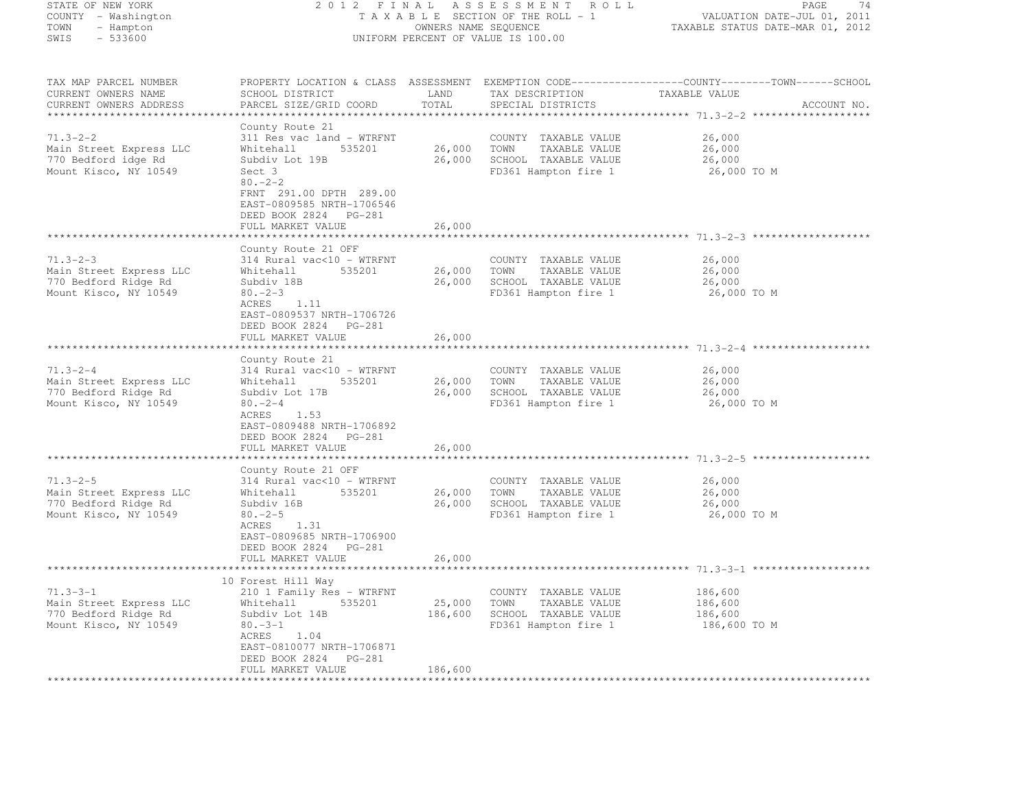| STATE OF NEW YORK<br>COUNTY - Washington<br>TOWN<br>- Hampton<br>SWIS<br>$-533600$         | 2 0 1 2<br>F I N A L<br>ASSESSMENT ROLL<br>TAXABLE SECTION OF THE ROLL - 1<br>VALUATION DATE-JUL 01, 2011<br>OWNERS NAME SEQUENCE<br>TAXABLE STATUS DATE-MAR 01, 2012<br>UNIFORM PERCENT OF VALUE IS 100.00 |                           |                                                                                                      |                                                                                                                                 |  |
|--------------------------------------------------------------------------------------------|-------------------------------------------------------------------------------------------------------------------------------------------------------------------------------------------------------------|---------------------------|------------------------------------------------------------------------------------------------------|---------------------------------------------------------------------------------------------------------------------------------|--|
|                                                                                            |                                                                                                                                                                                                             |                           |                                                                                                      |                                                                                                                                 |  |
| TAX MAP PARCEL NUMBER<br>CURRENT OWNERS NAME<br>CURRENT OWNERS ADDRESS                     | SCHOOL DISTRICT<br>PARCEL SIZE/GRID COORD                                                                                                                                                                   | LAND<br>TOTAL             | TAX DESCRIPTION<br>SPECIAL DISTRICTS                                                                 | PROPERTY LOCATION & CLASS ASSESSMENT EXEMPTION CODE----------------COUNTY-------TOWN-----SCHOOL<br>TAXABLE VALUE<br>ACCOUNT NO. |  |
|                                                                                            | County Route 21                                                                                                                                                                                             |                           |                                                                                                      |                                                                                                                                 |  |
| $71.3 - 2 - 2$<br>Main Street Express LLC<br>770 Bedford idge Rd<br>Mount Kisco, NY 10549  | 311 Res vac land - WTRFNT<br>535201<br>Whitehall<br>Subdiv Lot 19B<br>Sect 3<br>$80 - 2 - 2$<br>FRNT 291.00 DPTH 289.00<br>EAST-0809585 NRTH-1706546                                                        | 26,000<br>26,000          | COUNTY TAXABLE VALUE<br>TOWN<br>TAXABLE VALUE<br>SCHOOL TAXABLE VALUE<br>FD361 Hampton fire 1        | 26,000<br>26,000<br>26,000<br>26,000 TO M                                                                                       |  |
|                                                                                            | DEED BOOK 2824 PG-281<br>FULL MARKET VALUE                                                                                                                                                                  | 26,000                    |                                                                                                      |                                                                                                                                 |  |
| $71.3 - 2 - 3$<br>Main Street Express LLC<br>770 Bedford Ridge Rd<br>Mount Kisco, NY 10549 | County Route 21 OFF<br>314 Rural vac<10 - WTRFNT<br>Whitehall<br>535201<br>Subdiv 18B<br>$80 - 2 - 3$<br>ACRES<br>1.11                                                                                      | 26,000                    | COUNTY TAXABLE VALUE<br>TOWN<br>TAXABLE VALUE<br>26,000 SCHOOL TAXABLE VALUE<br>FD361 Hampton fire 1 | 26,000<br>26,000<br>26,000<br>26,000 TO M                                                                                       |  |
|                                                                                            | EAST-0809537 NRTH-1706726<br>DEED BOOK 2824 PG-281<br>FULL MARKET VALUE                                                                                                                                     | 26,000<br>***********     |                                                                                                      |                                                                                                                                 |  |
| $71.3 - 2 - 4$<br>Main Street Express LLC<br>770 Bedford Ridge Rd<br>Mount Kisco, NY 10549 | County Route 21<br>314 Rural vac<10 - WTRFNT<br>Whitehall<br>535201<br>Subdiv Lot 17B<br>$80 - 2 - 4$<br>1.53<br>ACRES<br>EAST-0809488 NRTH-1706892<br>DEED BOOK 2824 PG-281                                | 26,000<br>26,000          | COUNTY TAXABLE VALUE<br>TOWN<br>TAXABLE VALUE<br>SCHOOL TAXABLE VALUE<br>FD361 Hampton fire 1        | 26,000<br>26,000<br>26,000<br>26,000 TO M                                                                                       |  |
|                                                                                            | FULL MARKET VALUE                                                                                                                                                                                           | 26,000                    |                                                                                                      |                                                                                                                                 |  |
|                                                                                            | ******************                                                                                                                                                                                          | ***********               |                                                                                                      |                                                                                                                                 |  |
| $71.3 - 2 - 5$<br>Main Street Express LLC<br>770 Bedford Ridge Rd<br>Mount Kisco, NY 10549 | County Route 21 OFF<br>314 Rural vac<10 - WTRFNT<br>535201<br>Whitehall<br>Subdiv 16B<br>$80 - 2 - 5$<br>ACRES<br>1.31<br>EAST-0809685 NRTH-1706900                                                         | 26,000<br>26,000          | COUNTY TAXABLE VALUE<br>TOWN<br>TAXABLE VALUE<br>SCHOOL TAXABLE VALUE<br>FD361 Hampton fire 1        | 26,000<br>26,000<br>26,000<br>26,000 TO M                                                                                       |  |
|                                                                                            | DEED BOOK 2824 PG-281<br>FULL MARKET VALUE                                                                                                                                                                  | 26,000                    |                                                                                                      |                                                                                                                                 |  |
|                                                                                            |                                                                                                                                                                                                             |                           |                                                                                                      |                                                                                                                                 |  |
| $71.3 - 3 - 1$<br>Main Street Express LLC<br>770 Bedford Ridge Rd<br>Mount Kisco, NY 10549 | 10 Forest Hill Way<br>210 1 Family Res - WTRFNT<br>535201<br>Whitehall<br>Subdiv Lot 14B<br>$80. -3 - 1$<br>ACRES<br>1.04<br>EAST-0810077 NRTH-1706871<br>DEED BOOK 2824<br>PG-281                          | 25,000<br>186,600         | COUNTY TAXABLE VALUE<br>TOWN<br>TAXABLE VALUE<br>SCHOOL TAXABLE VALUE<br>FD361 Hampton fire 1        | 186,600<br>186,600<br>186,600<br>186,600 TO M                                                                                   |  |
|                                                                                            | FULL MARKET VALUE                                                                                                                                                                                           | 186,600<br>************** |                                                                                                      |                                                                                                                                 |  |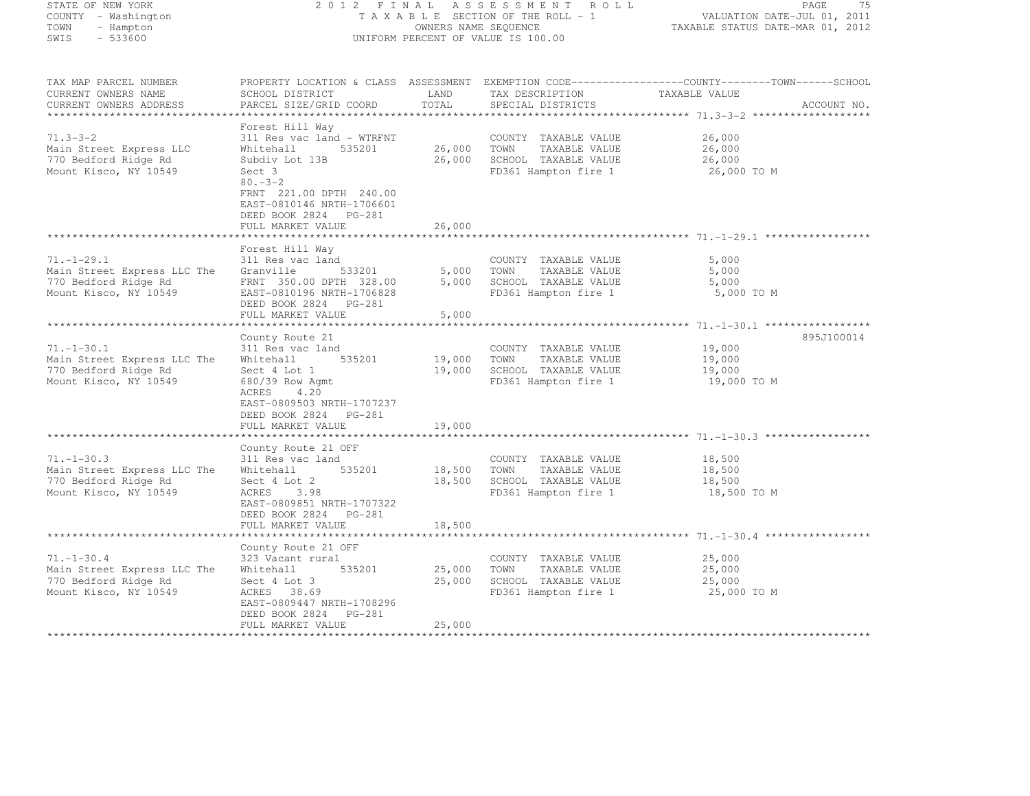| STATE OF NEW YORK<br>COUNTY - Washington<br>TOWN<br>- Hampton<br>SWIS<br>$-533600$                | 2 0 1 2<br>FINAL<br>ASSESSMENT<br>ROLL<br>TAXABLE SECTION OF THE ROLL - 1<br>OWNERS NAME SEQUENCE<br>UNIFORM PERCENT OF VALUE IS 100.00                                                                               |                            |                                                                                               |                                                                                                                                 |
|---------------------------------------------------------------------------------------------------|-----------------------------------------------------------------------------------------------------------------------------------------------------------------------------------------------------------------------|----------------------------|-----------------------------------------------------------------------------------------------|---------------------------------------------------------------------------------------------------------------------------------|
| TAX MAP PARCEL NUMBER<br>CURRENT OWNERS NAME<br>CURRENT OWNERS ADDRESS<br>*********************** | SCHOOL DISTRICT<br>PARCEL SIZE/GRID COORD                                                                                                                                                                             | LAND<br>TOTAL              | TAX DESCRIPTION<br>SPECIAL DISTRICTS                                                          | PROPERTY LOCATION & CLASS ASSESSMENT EXEMPTION CODE---------------COUNTY-------TOWN------SCHOOL<br>TAXABLE VALUE<br>ACCOUNT NO. |
| $71.3 - 3 - 2$<br>Main Street Express LLC<br>770 Bedford Ridge Rd<br>Mount Kisco, NY 10549        | Forest Hill Way<br>311 Res vac land - WTRFNT<br>Whitehall<br>535201<br>Subdiv Lot 13B<br>Sect 3<br>$80. -3 - 2$<br>FRNT 221.00 DPTH 240.00<br>EAST-0810146 NRTH-1706601<br>DEED BOOK 2824 PG-281<br>FULL MARKET VALUE | 26,000<br>26,000<br>26,000 | COUNTY TAXABLE VALUE<br>TOWN<br>TAXABLE VALUE<br>SCHOOL TAXABLE VALUE<br>FD361 Hampton fire 1 | 26,000<br>26,000<br>26,000<br>26,000 TO M                                                                                       |
|                                                                                                   | *************************<br>Forest Hill Way                                                                                                                                                                          | *************              |                                                                                               |                                                                                                                                 |
| $71. - 1 - 29.1$<br>Main Street Express LLC The<br>770 Bedford Ridge Rd<br>Mount Kisco, NY 10549  | 311 Res vac land<br>Granville<br>533201<br>FRNT 350.00 DPTH 328.00<br>EAST-0810196 NRTH-1706828<br>DEED BOOK 2824 PG-281                                                                                              | 5,000<br>5,000             | COUNTY TAXABLE VALUE<br>TOWN<br>TAXABLE VALUE<br>SCHOOL TAXABLE VALUE<br>FD361 Hampton fire 1 | 5,000<br>5,000<br>5,000<br>5,000 TO M                                                                                           |
|                                                                                                   | FULL MARKET VALUE<br>******************                                                                                                                                                                               | 5,000                      |                                                                                               | ************************ 71.-1-30.1 ****************                                                                            |
| $71. - 1 - 30.1$<br>Main Street Express LLC The<br>770 Bedford Ridge Rd<br>Mount Kisco, NY 10549  | County Route 21<br>311 Res vac land<br>Whitehall<br>535201<br>Sect 4 Lot 1<br>680/39 Row Agmt<br>ACRES<br>4.20<br>EAST-0809503 NRTH-1707237<br>DEED BOOK 2824 PG-281<br>FULL MARKET VALUE                             | 19,000<br>19,000<br>19,000 | COUNTY TAXABLE VALUE<br>TOWN<br>TAXABLE VALUE<br>SCHOOL TAXABLE VALUE<br>FD361 Hampton fire 1 | 895J100014<br>19,000<br>19,000<br>19,000<br>19,000 TO M                                                                         |
|                                                                                                   | ********************                                                                                                                                                                                                  | *********                  |                                                                                               |                                                                                                                                 |
| $71. - 1 - 30.3$<br>Main Street Express LLC The<br>770 Bedford Ridge Rd<br>Mount Kisco, NY 10549  | County Route 21 OFF<br>311 Res vac land<br>Whitehall<br>535201<br>Sect 4 Lot 2<br>ACRES<br>3.98<br>EAST-0809851 NRTH-1707322                                                                                          | 18,500<br>18,500           | COUNTY TAXABLE VALUE<br>TOWN<br>TAXABLE VALUE<br>SCHOOL TAXABLE VALUE<br>FD361 Hampton fire 1 | 18,500<br>18,500<br>18,500<br>18,500 TO M                                                                                       |
|                                                                                                   | DEED BOOK 2824 PG-281<br>FULL MARKET VALUE                                                                                                                                                                            | 18,500                     |                                                                                               |                                                                                                                                 |
|                                                                                                   |                                                                                                                                                                                                                       |                            |                                                                                               |                                                                                                                                 |
| $71. - 1 - 30.4$<br>Main Street Express LLC The<br>770 Bedford Ridge Rd<br>Mount Kisco, NY 10549  | County Route 21 OFF<br>323 Vacant rural<br>535201<br>Whitehall<br>Sect 4 Lot 3<br>ACRES<br>38.69<br>EAST-0809447 NRTH-1708296<br>DEED BOOK 2824<br>PG-281                                                             | 25,000<br>25,000           | COUNTY TAXABLE VALUE<br>TOWN<br>TAXABLE VALUE<br>SCHOOL TAXABLE VALUE<br>FD361 Hampton fire 1 | 25,000<br>25,000<br>25,000<br>25,000 TO M                                                                                       |
|                                                                                                   | FULL MARKET VALUE                                                                                                                                                                                                     | 25,000<br>************     |                                                                                               |                                                                                                                                 |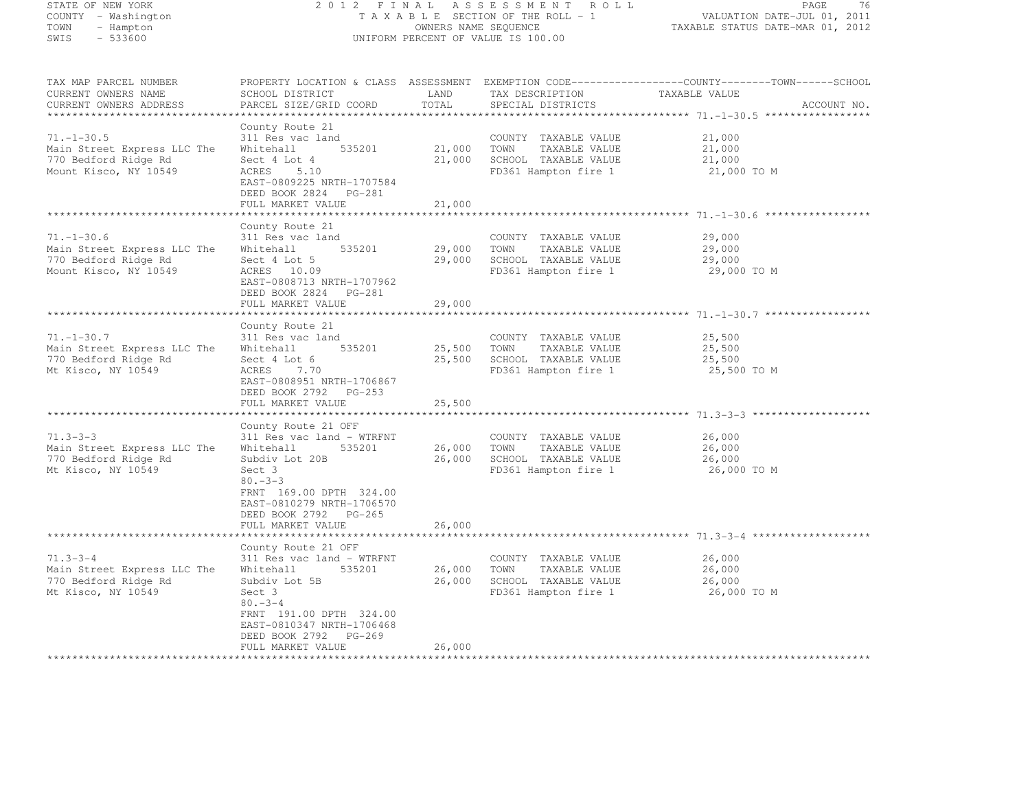STATE OF NEW YORK 2 0 1 2 F I N A L A S S E S S M E N T R O L L PAGE <sup>76</sup> COUNTY - Washington T A X A B L E SECTION OF THE ROLL - 1 VALUATION DATE-JUL 01, 2011 TOWN - Hampton OWNERS NAME SEQUENCE TAXABLE STATUS DATE-MAR 01, 2012 SWIS - 533600 UNIFORM PERCENT OF VALUE IS 100.00 TAX MAP PARCEL NUMBER PROPERTY LOCATION & CLASS ASSESSMENT EXEMPTION CODE------------------COUNTY--------TOWN------SCHOOL CURRENT OWNERS NAME SCHOOL DISTRICT LAND TAX DESCRIPTION TAXABLE VALUE CURRENT OWNERS ADDRESS PARCEL SIZE/GRID COORD TOTAL SPECIAL DISTRICTS ACCOUNT NO. \*\*\*\*\*\*\*\*\*\*\*\*\*\*\*\*\*\*\*\*\*\*\*\*\*\*\*\*\*\*\*\*\*\*\*\*\*\*\*\*\*\*\*\*\*\*\*\*\*\*\*\*\*\*\*\*\*\*\*\*\*\*\*\*\*\*\*\*\*\*\*\*\*\*\*\*\*\*\*\*\*\*\*\*\*\*\*\*\*\*\*\*\*\*\*\*\*\*\*\*\*\*\* 71.-1-30.5 \*\*\*\*\*\*\*\*\*\*\*\*\*\*\*\*\*County Route 21<br>71.-1-30.5 311 Res vac land COUNTY TAXABLE VALUE 21,000<br>72.000 21.000 21.000 21.000 21.000 22.000 22.000 22.000 22.000 Main Street Express LLC The Whitehall 535201 21,000 TOWN TAXABLE VALUE 21,000<br>The Street Express LLC The Whitehall 535201 21,000 TOWN TAXABLE VALUE 21,000 770 Bedford Ridge Rd Sect 4 Lot 4 21,000 SCHOOL TAXABLE VALUE 21,000 Mount Kisco, NY 10549 ACRES 5.10 FD361 Hampton fire 1 21,000 TO M EAST-0809225 NRTH-1707584 DEED BOOK 2824 PG-281 FULL MARKET VALUE 21,000 \*\*\*\*\*\*\*\*\*\*\*\*\*\*\*\*\*\*\*\*\*\*\*\*\*\*\*\*\*\*\*\*\*\*\*\*\*\*\*\*\*\*\*\*\*\*\*\*\*\*\*\*\*\*\*\*\*\*\*\*\*\*\*\*\*\*\*\*\*\*\*\*\*\*\*\*\*\*\*\*\*\*\*\*\*\*\*\*\*\*\*\*\*\*\*\*\*\*\*\*\*\*\* 71.-1-30.6 \*\*\*\*\*\*\*\*\*\*\*\*\*\*\*\*\*County Route 21<br>71.-1-30.6 311 Res vac land COUNTY TAXABLE VALUE 29,000<br>20.000 20.000 20.000 20.000 20.000 20.000 20.000 20.000 20.000 20.000 20.000 20.000 20.000 20.000 20.000 20.00 Main Street Express LLC The Whitehall 535201 29,000 TOWN TAXABLE VALUE 29,000 770 Bedford Ridge Rd Sect 4 Lot 5 29,000 SCHOOL TAXABLE VALUE 29,000 Mount Kisco, NY 10549 ACRES 10.09 FD361 Hampton fire 1 29,000 TO M EAST-0808713 NRTH-1707962 DEED BOOK 2824 PG-281 FULL MARKET VALUE 29,000 \*\*\*\*\*\*\*\*\*\*\*\*\*\*\*\*\*\*\*\*\*\*\*\*\*\*\*\*\*\*\*\*\*\*\*\*\*\*\*\*\*\*\*\*\*\*\*\*\*\*\*\*\*\*\*\*\*\*\*\*\*\*\*\*\*\*\*\*\*\*\*\*\*\*\*\*\*\*\*\*\*\*\*\*\*\*\*\*\*\*\*\*\*\*\*\*\*\*\*\*\*\*\* 71.-1-30.7 \*\*\*\*\*\*\*\*\*\*\*\*\*\*\*\*\*County Route 21<br>71.-1-30.7 311 Res vac land COUNTY TAXABLE VALUE 25,500<br>72.7 311 Res vac land COUNTY TAXABLE VALUE Main Street Express LLC The Whitehall 535201 25,500 TOWN TAXABLE VALUE 25,500<br>The Street Express LLC The Whitehall 535201 25,500 TOWN TAXABLE VALUE 25,500 770 Bedford Ridge Rd Sect 4 Lot 6 25,500 SCHOOL TAXABLE VALUE 25,500 Mt Kisco, NY 10549 ACRES 7.70 FD361 Hampton fire 1 25,500 TO M EAST-0808951 NRTH-1706867 DEED BOOK 2792 PG-253 FULL MARKET VALUE 25,500 \*\*\*\*\*\*\*\*\*\*\*\*\*\*\*\*\*\*\*\*\*\*\*\*\*\*\*\*\*\*\*\*\*\*\*\*\*\*\*\*\*\*\*\*\*\*\*\*\*\*\*\*\*\*\*\*\*\*\*\*\*\*\*\*\*\*\*\*\*\*\*\*\*\*\*\*\*\*\*\*\*\*\*\*\*\*\*\*\*\*\*\*\*\*\*\*\*\*\*\*\*\*\* 71.3-3-3 \*\*\*\*\*\*\*\*\*\*\*\*\*\*\*\*\*\*\* County Route 21 OFF 71.3-3-3 311 Res vac land - WTRFNT COUNTY TAXABLE VALUE 26,000 Main Street Express LLC The Whitehall 535201 26,000 TOWN TAXABLE VALUE 26,000 770 Bedford Ridge Rd Subdiv Lot 20B 26,000 SCHOOL TAXABLE VALUE 26,000 Mt Kisco, NY 10549 Sect 3 FD361 Hampton fire 1 26,000 TO M 80.-3-3 FRNT 169.00 DPTH 324.00 EAST-0810279 NRTH-1706570 DEED BOOK 2792 PG-265 FULL MARKET VALUE 26,000 \*\*\*\*\*\*\*\*\*\*\*\*\*\*\*\*\*\*\*\*\*\*\*\*\*\*\*\*\*\*\*\*\*\*\*\*\*\*\*\*\*\*\*\*\*\*\*\*\*\*\*\*\*\*\*\*\*\*\*\*\*\*\*\*\*\*\*\*\*\*\*\*\*\*\*\*\*\*\*\*\*\*\*\*\*\*\*\*\*\*\*\*\*\*\*\*\*\*\*\*\*\*\* 71.3-3-4 \*\*\*\*\*\*\*\*\*\*\*\*\*\*\*\*\*\*\*County Route 21 OFF<br>
311 Res vac land - WTRFNT COUNTY TAXABLE VALUE 26,000<br>
26,000 - 2011 Res vac land - WTRFNT 26,000 - 2011 TAXABLE VALUE Main Street Express LLC The Whitehall 535201 26,000 TOWN TAXABLE VALUE 26,000 770 Bedford Ridge Rd Subdiv Lot 5B 26,000 SCHOOL TAXABLE VALUE 26,000 Mt Kisco, NY 10549 Sect 3 FD361 Hampton fire 1 26,000 TO M 80.-3-4 FRNT 191.00 DPTH 324.00 EAST-0810347 NRTH-1706468 DEED BOOK 2792 PG-269 FULL MARKET VALUE 26,000 \*\*\*\*\*\*\*\*\*\*\*\*\*\*\*\*\*\*\*\*\*\*\*\*\*\*\*\*\*\*\*\*\*\*\*\*\*\*\*\*\*\*\*\*\*\*\*\*\*\*\*\*\*\*\*\*\*\*\*\*\*\*\*\*\*\*\*\*\*\*\*\*\*\*\*\*\*\*\*\*\*\*\*\*\*\*\*\*\*\*\*\*\*\*\*\*\*\*\*\*\*\*\*\*\*\*\*\*\*\*\*\*\*\*\*\*\*\*\*\*\*\*\*\*\*\*\*\*\*\*\*\*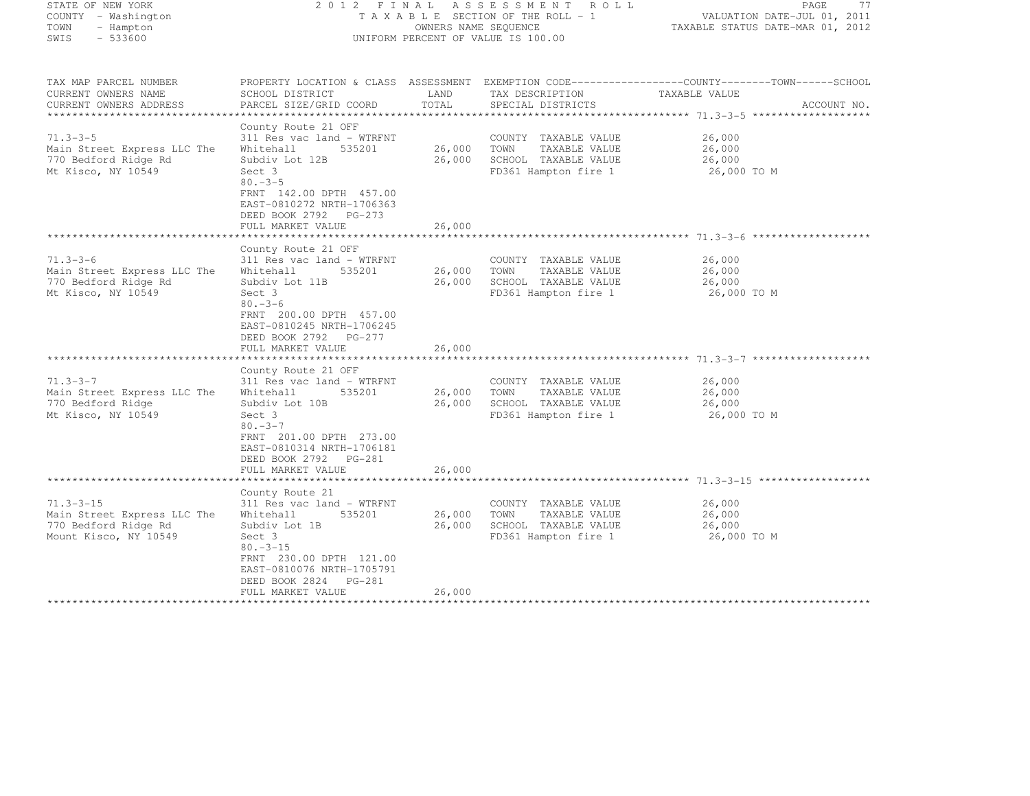| STATE OF NEW YORK<br>COUNTY - Washington<br>- Hampton<br>TOWN<br>$-533600$<br>SWIS                                                | 2012 FINAL<br>TAXABLE SECTION OF THE ROLL - 1<br>UNIFORM PERCENT OF VALUE IS 100.00                                                                                                                                                                  | PAGE<br>77<br>VALUATION DATE-JUL 01, 2011<br>TAXABLE STATUS DATE-MAR 01, 2012 |                                                                                               |                                                                                                                                 |
|-----------------------------------------------------------------------------------------------------------------------------------|------------------------------------------------------------------------------------------------------------------------------------------------------------------------------------------------------------------------------------------------------|-------------------------------------------------------------------------------|-----------------------------------------------------------------------------------------------|---------------------------------------------------------------------------------------------------------------------------------|
| TAX MAP PARCEL NUMBER<br>CURRENT OWNERS NAME<br>CURRENT OWNERS ADDRESS<br>****************                                        | SCHOOL DISTRICT<br>PARCEL SIZE/GRID COORD<br>************************************                                                                                                                                                                    | LAND<br>TOTAL                                                                 | TAX DESCRIPTION<br>SPECIAL DISTRICTS                                                          | PROPERTY LOCATION & CLASS ASSESSMENT EXEMPTION CODE----------------COUNTY-------TOWN-----SCHOOL<br>TAXABLE VALUE<br>ACCOUNT NO. |
| $71.3 - 3 - 5$<br>Main Street Express LLC The<br>770 Bedford Ridge Rd<br>Mt Kisco, NY 10549                                       | County Route 21 OFF<br>311 Res vac land - WTRFNT<br>Whitehall<br>535201<br>Subdiv Lot 12B<br>Sect 3<br>$80 - 3 - 5$<br>FRNT 142.00 DPTH 457.00<br>EAST-0810272 NRTH-1706363<br>DEED BOOK 2792 PG-273<br>FULL MARKET VALUE                            | 26,000<br>26,000<br>26,000                                                    | COUNTY TAXABLE VALUE<br>TOWN<br>TAXABLE VALUE<br>SCHOOL TAXABLE VALUE<br>FD361 Hampton fire 1 | 26,000<br>26,000<br>26,000<br>26,000 TO M                                                                                       |
|                                                                                                                                   |                                                                                                                                                                                                                                                      |                                                                               |                                                                                               |                                                                                                                                 |
| $71.3 - 3 - 6$<br>Main Street Express LLC The<br>770 Bedford Ridge Rd<br>Mt Kisco, NY 10549                                       | County Route 21 OFF<br>311 Res vac land - WTRFNT<br>Whitehall<br>535201<br>Subdiv Lot 11B<br>Sect 3<br>$80 - 3 - 6$<br>FRNT 200.00 DPTH 457.00<br>EAST-0810245 NRTH-1706245<br>DEED BOOK 2792 PG-277<br>FULL MARKET VALUE                            | 26,000<br>26,000<br>26,000                                                    | COUNTY TAXABLE VALUE<br>TOWN<br>TAXABLE VALUE<br>SCHOOL TAXABLE VALUE<br>FD361 Hampton fire 1 | 26,000<br>26,000<br>26,000<br>26,000 TO M                                                                                       |
|                                                                                                                                   | County Route 21 OFF                                                                                                                                                                                                                                  |                                                                               |                                                                                               |                                                                                                                                 |
| $71.3 - 3 - 7$<br>Main Street Express LLC The<br>770 Bedford Ridge<br>Mt Kisco, NY 10549                                          | 311 Res vac land - WTRFNT<br>Whitehall<br>535201<br>Subdiv Lot 10B<br>Sect 3<br>$80 - 3 - 7$                                                                                                                                                         | 26,000<br>26,000                                                              | COUNTY TAXABLE VALUE<br>TAXABLE VALUE<br>TOWN<br>SCHOOL TAXABLE VALUE<br>FD361 Hampton fire 1 | 26,000<br>26,000<br>26,000<br>26,000 TO M                                                                                       |
|                                                                                                                                   | FRNT 201.00 DPTH 273.00<br>EAST-0810314 NRTH-1706181<br>DEED BOOK 2792<br>$PG-281$<br>FULL MARKET VALUE<br>***********************                                                                                                                   | 26,000                                                                        |                                                                                               | ***************************** 71.3-3-15 *********                                                                               |
| $71.3 - 3 - 15$<br>Main Street Express LLC The<br>770 Bedford Ridge Rd<br>Mount Kisco, NY 10549<br><b>+++++++++++++++++++++++</b> | County Route 21<br>311 Res vac land - WTRFNT<br>Whitehall<br>535201<br>Subdiv Lot 1B<br>Sect 3<br>$80. -3 - 15$<br>FRNT 230.00 DPTH 121.00<br>EAST-0810076 NRTH-1705791<br>DEED BOOK 2824<br>PG-281<br>FULL MARKET VALUE<br>++++++++++++++++++++++++ | 26,000<br>26,000<br>26,000<br>********                                        | COUNTY TAXABLE VALUE<br>TOWN<br>TAXABLE VALUE<br>SCHOOL TAXABLE VALUE<br>FD361 Hampton fire 1 | 26,000<br>26,000<br>26,000<br>26,000 TO M                                                                                       |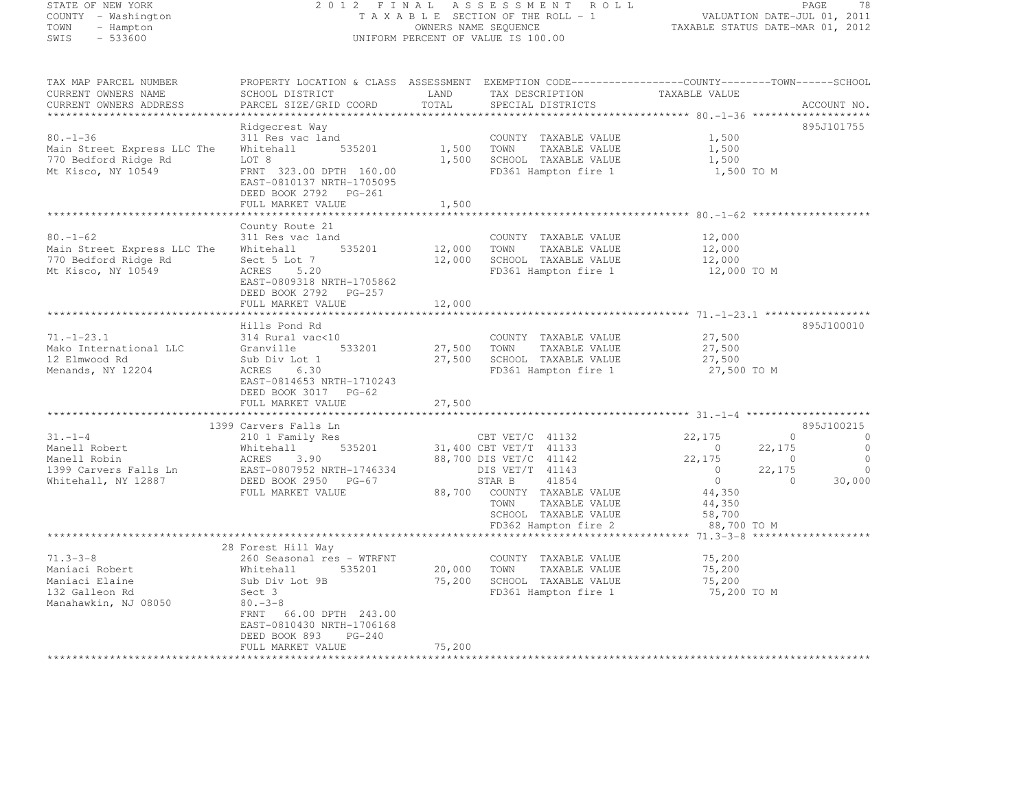#### STATE OF NEW YORK 2 0 1 2 F I N A L A S S E S S M E N T R O L L PAGE <sup>78</sup> COUNTY - Washington T A X A B L E SECTION OF THE ROLL - 1 VALUATION DATE-JUL 01, 2011 TOWN - Hampton OWNERS NAME SEQUENCE TAXABLE STATUS DATE-MAR 01, 2012 SWIS - 533600 UNIFORM PERCENT OF VALUE IS 100.00

TAX MAP PARCEL NUMBER PROPERTY LOCATION & CLASS ASSESSMENT EXEMPTION CODE------------------COUNTY--------TOWN------SCHOOL

| ----- ---- --------- ------<br>CURRENT OWNERS NAME | SCHOOL DISTRICT                         | LAND   | TAX DESCRIPTION                                      | TAXABLE VALUE    |                            |
|----------------------------------------------------|-----------------------------------------|--------|------------------------------------------------------|------------------|----------------------------|
| CURRENT OWNERS ADDRESS                             | PARCEL SIZE/GRID COORD                  | TOTAL  | SPECIAL DISTRICTS                                    |                  | ACCOUNT NO.                |
|                                                    |                                         |        |                                                      |                  |                            |
|                                                    | Ridgecrest Way                          |        |                                                      |                  | 895J101755                 |
| $80. - 1 - 36$                                     | 311 Res vac land                        |        | COUNTY TAXABLE VALUE                                 | 1,500            |                            |
| Main Street Express LLC The                        | 535201<br>Whitehall                     | 1,500  | TAXABLE VALUE<br>TOWN                                | 1,500            |                            |
| 770 Bedford Ridge Rd                               | LOT 8                                   | 1,500  | SCHOOL TAXABLE VALUE                                 | 1,500            |                            |
| Mt Kisco, NY 10549                                 | FRNT 323.00 DPTH 160.00                 |        | FD361 Hampton fire 1                                 | 1,500 TO M       |                            |
|                                                    | EAST-0810137 NRTH-1705095               |        |                                                      |                  |                            |
|                                                    | DEED BOOK 2792 PG-261                   |        |                                                      |                  |                            |
|                                                    | FULL MARKET VALUE                       | 1,500  |                                                      |                  |                            |
|                                                    |                                         |        |                                                      |                  |                            |
| $80. - 1 - 62$                                     | County Route 21                         |        |                                                      |                  |                            |
|                                                    | 311 Res vac land<br>535201              |        | COUNTY TAXABLE VALUE                                 | 12,000           |                            |
| Main Street Express LLC The                        | Whitehall                               | 12,000 | TOWN<br>TAXABLE VALUE                                | 12,000           |                            |
| 770 Bedford Ridge Rd                               | Sect 5 Lot 7                            | 12,000 | SCHOOL TAXABLE VALUE                                 | 12,000           |                            |
| Mt Kisco, NY 10549                                 | ACRES 5.20                              |        | FD361 Hampton fire 1                                 | 12,000 TO M      |                            |
|                                                    | EAST-0809318 NRTH-1705862               |        |                                                      |                  |                            |
|                                                    | DEED BOOK 2792 PG-257                   |        |                                                      |                  |                            |
|                                                    | FULL MARKET VALUE                       | 12,000 |                                                      |                  |                            |
|                                                    | Hills Pond Rd                           |        |                                                      |                  | 895J100010                 |
|                                                    |                                         |        |                                                      |                  |                            |
| $71. - 1 - 23.1$<br>Mako International LLC         | 314 Rural vac<10<br>Granville<br>533201 |        | COUNTY TAXABLE VALUE<br>27,500 TOWN<br>TAXABLE VALUE | 27,500<br>27,500 |                            |
| 12 Elmwood Rd                                      | Sub Div Lot 1                           |        | 27,500 SCHOOL TAXABLE VALUE                          | 27,500           |                            |
| Menands, NY 12204                                  | ACRES 6.30                              |        | FD361 Hampton fire 1                                 | 27,500 TO M      |                            |
|                                                    | EAST-0814653 NRTH-1710243               |        |                                                      |                  |                            |
|                                                    | DEED BOOK 3017 PG-62                    |        |                                                      |                  |                            |
|                                                    | FULL MARKET VALUE                       | 27,500 |                                                      |                  |                            |
|                                                    |                                         |        |                                                      |                  |                            |
|                                                    | 1399 Carvers Falls Ln                   |        |                                                      |                  | 895J100215                 |
| $31 - 1 - 4$                                       | 210 1 Family Res                        |        | CBT VET/C 41132                                      | 22,175           | $\Omega$<br>$\bigcirc$     |
| Manell Robert                                      | Whitehall<br>535201                     |        | 31,400 CBT VET/T 41133                               | $\sim$ 0         | $\bigcirc$<br>22,175       |
| Manell Robin                                       | ACRES<br>3.90                           |        | 88,700 DIS VET/C 41142                               | 22,175           | $\overline{0}$<br>$\sim$ 0 |
| 1399 Carvers Falls Ln EAST-0807952 NRTH-1746334    |                                         |        | DIS VET/T 41143                                      | $\overline{0}$   | 22,175<br>$\overline{0}$   |
| Whitehall, NY 12887                                | DEED BOOK 2950 PG-67                    |        | 41854<br>STAR B                                      | $\overline{0}$   | 30,000<br>$\sim$ 0         |
|                                                    | FULL MARKET VALUE                       |        | 88,700 COUNTY TAXABLE VALUE                          | 44,350           |                            |
|                                                    |                                         |        | TAXABLE VALUE<br>TOWN                                | 44,350           |                            |
|                                                    |                                         |        | SCHOOL TAXABLE VALUE                                 | 58,700           |                            |
|                                                    |                                         |        | FD362 Hampton fire 2                                 | 88,700 TO M      |                            |
|                                                    |                                         |        |                                                      |                  |                            |
|                                                    | 28 Forest Hill Way                      |        |                                                      |                  |                            |
| $71.3 - 3 - 8$                                     | 260 Seasonal res - WTRFNT               |        | COUNTY TAXABLE VALUE                                 | 75,200           |                            |
| Maniaci Robert                                     | Whitehall<br>535201                     | 20,000 | TAXABLE VALUE<br>TOWN                                | 75,200           |                            |
| Maniaci Elaine                                     | Sub Div Lot 9B                          | 75,200 | SCHOOL TAXABLE VALUE                                 | 75,200           |                            |
| 132 Galleon Rd                                     | Sect 3                                  |        | FD361 Hampton fire 1                                 | 75,200 TO M      |                            |
| Manahawkin, NJ 08050                               | $80 - 3 - 8$                            |        |                                                      |                  |                            |
|                                                    | FRNT 66.00 DPTH 243.00                  |        |                                                      |                  |                            |
|                                                    | EAST-0810430 NRTH-1706168               |        |                                                      |                  |                            |
|                                                    | DEED BOOK 893<br>$PG-240$               |        |                                                      |                  |                            |
|                                                    | FULL MARKET VALUE                       | 75,200 |                                                      |                  |                            |
|                                                    |                                         |        |                                                      |                  |                            |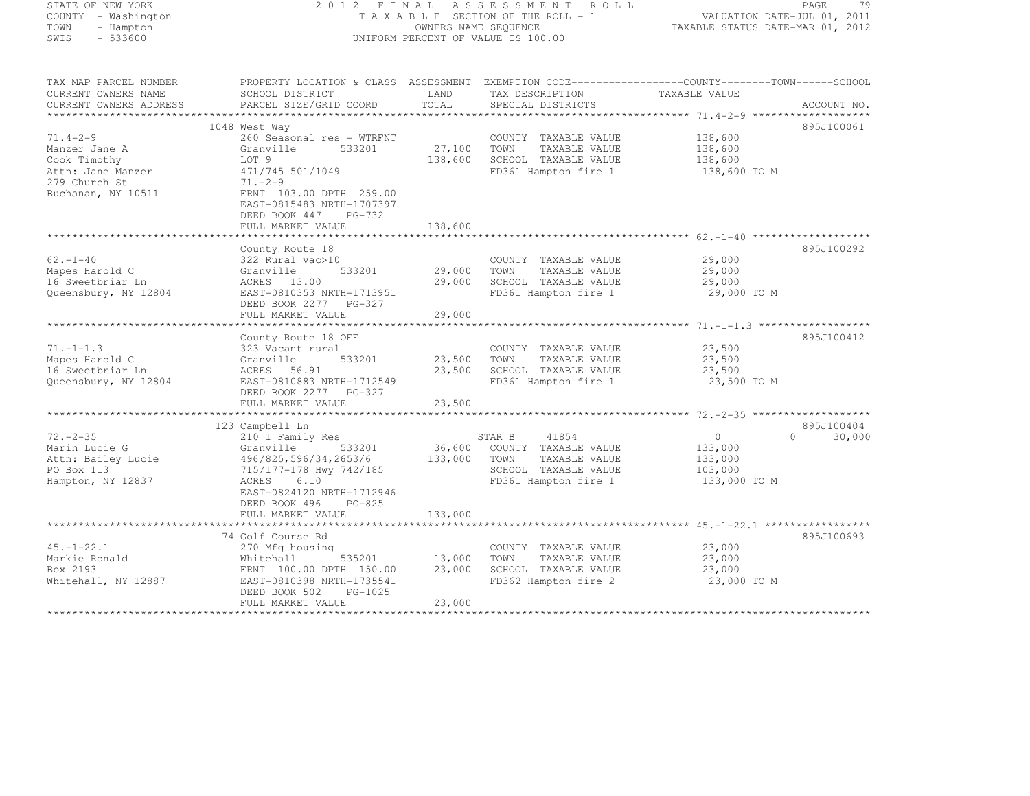| STATE OF NEW YORK                   |                                                                                                 |             | 2012 FINAL ASSESSMENT ROLL         |                                                               | -79<br>PAGE        |
|-------------------------------------|-------------------------------------------------------------------------------------------------|-------------|------------------------------------|---------------------------------------------------------------|--------------------|
| COUNTY - Washington                 |                                                                                                 |             | TAXABLE SECTION OF THE ROLL - 1    | VALUATION DATE-JUL 01, 2011                                   |                    |
| TOWN<br>- Hampton                   |                                                                                                 |             | OWNERS NAME SEQUENCE               | TAXABLE STATUS DATE-MAR 01, 2012                              |                    |
| $-533600$<br>SWIS                   |                                                                                                 |             | UNIFORM PERCENT OF VALUE IS 100.00 |                                                               |                    |
|                                     |                                                                                                 |             |                                    |                                                               |                    |
| TAX MAP PARCEL NUMBER               | PROPERTY LOCATION & CLASS ASSESSMENT EXEMPTION CODE----------------COUNTY-------TOWN-----SCHOOL |             |                                    |                                                               |                    |
| CURRENT OWNERS NAME                 | SCHOOL DISTRICT                                                                                 | LAND        | TAX DESCRIPTION                    | TAXABLE VALUE                                                 |                    |
| CURRENT OWNERS ADDRESS              | PARCEL SIZE/GRID COORD                                                                          | TOTAL       | SPECIAL DISTRICTS                  |                                                               | ACCOUNT NO.        |
| **********************              |                                                                                                 |             |                                    |                                                               |                    |
|                                     | 1048 West Way                                                                                   |             |                                    |                                                               | 895J100061         |
| $71.4 - 2 - 9$                      | 260 Seasonal res - WTRFNT                                                                       |             | COUNTY TAXABLE VALUE               | 138,600                                                       |                    |
| Manzer Jane A                       | Granville<br>533201                                                                             | 27,100      | TAXABLE VALUE<br>TOWN              | 138,600                                                       |                    |
| Cook Timothy                        | LOT 9                                                                                           | 138,600     | SCHOOL TAXABLE VALUE               | 138,600                                                       |                    |
| Attn: Jane Manzer                   | 471/745 501/1049                                                                                |             | FD361 Hampton fire 1               | 138,600 TO M                                                  |                    |
| 279 Church St<br>Buchanan, NY 10511 | $71. -2 - 9$<br>FRNT 103.00 DPTH 259.00                                                         |             |                                    |                                                               |                    |
|                                     | EAST-0815483 NRTH-1707397                                                                       |             |                                    |                                                               |                    |
|                                     | DEED BOOK 447<br>PG-732                                                                         |             |                                    |                                                               |                    |
|                                     | FULL MARKET VALUE                                                                               | 138,600     |                                    |                                                               |                    |
|                                     | ********************                                                                            | *********** |                                    | ******************************** 62.-1-40 ******************* |                    |
|                                     | County Route 18                                                                                 |             |                                    |                                                               | 895J100292         |
| $62 - 1 - 40$                       | 322 Rural vac>10                                                                                |             | COUNTY TAXABLE VALUE               | 29,000                                                        |                    |
| Mapes Harold C                      | 533201<br>Granville                                                                             | 29,000      | TOWN<br>TAXABLE VALUE              | 29,000                                                        |                    |
| 16 Sweetbriar Ln                    | ACRES 13.00                                                                                     | 29,000      | SCHOOL TAXABLE VALUE               | 29,000                                                        |                    |
| Queensbury, NY 12804                | EAST-0810353 NRTH-1713951                                                                       |             | FD361 Hampton fire 1               | 29,000 TO M                                                   |                    |
|                                     | DEED BOOK 2277<br>PG-327                                                                        |             |                                    |                                                               |                    |
|                                     | FULL MARKET VALUE                                                                               | 29,000      |                                    |                                                               |                    |
|                                     | *******************                                                                             |             |                                    |                                                               |                    |
|                                     | County Route 18 OFF                                                                             |             |                                    |                                                               | 895J100412         |
| $71. - 1 - 1.3$                     | 323 Vacant rural                                                                                |             | COUNTY TAXABLE VALUE               | 23,500                                                        |                    |
| Mapes Harold C                      | 533201<br>Granville                                                                             | 23,500      | TOWN<br>TAXABLE VALUE              | 23,500                                                        |                    |
| 16 Sweetbriar Ln                    | ACRES 56.91                                                                                     | 23,500      | SCHOOL TAXABLE VALUE               | 23,500                                                        |                    |
| Queensbury, NY 12804                | EAST-0810883 NRTH-1712549                                                                       |             | FD361 Hampton fire 1               | 23,500 TO M                                                   |                    |
|                                     | DEED BOOK 2277 PG-327                                                                           |             |                                    |                                                               |                    |
|                                     | FULL MARKET VALUE                                                                               | 23,500      |                                    |                                                               |                    |
|                                     | 123 Campbell Ln                                                                                 |             |                                    |                                                               | 895J100404         |
| $72 - 2 - 35$                       | 210 1 Family Res                                                                                |             | STAR B<br>41854                    | $\circ$                                                       | $\Omega$<br>30,000 |
| Marin Lucie G                       | Granville<br>533201                                                                             | 36,600      | COUNTY TAXABLE VALUE               | 133,000                                                       |                    |
| Attn: Bailey Lucie                  | 496/825,596/34,2653/6                                                                           | 133,000     | TOWN<br>TAXABLE VALUE              | 133,000                                                       |                    |
| PO Box 113                          | 715/177-178 Hwy 742/185                                                                         |             | SCHOOL TAXABLE VALUE               | 103,000                                                       |                    |
| Hampton, NY 12837                   | ACRES 6.10                                                                                      |             | FD361 Hampton fire 1               | 133,000 TO M                                                  |                    |
|                                     | EAST-0824120 NRTH-1712946                                                                       |             |                                    |                                                               |                    |
|                                     | DEED BOOK 496<br>$PG-825$                                                                       |             |                                    |                                                               |                    |
|                                     | FULL MARKET VALUE                                                                               | 133,000     |                                    |                                                               |                    |
|                                     |                                                                                                 |             |                                    |                                                               |                    |
|                                     | 74 Golf Course Rd                                                                               |             |                                    |                                                               | 895J100693         |
| $45. - 1 - 22.1$                    | 270 Mfg housing                                                                                 |             | COUNTY TAXABLE VALUE               | 23,000                                                        |                    |
| Markie Ronald                       | 535201<br>Whitehall                                                                             | 13,000      | TAXABLE VALUE<br>TOWN              | 23,000                                                        |                    |
| Box 2193                            | FRNT 100.00 DPTH 150.00                                                                         | 23,000      | SCHOOL TAXABLE VALUE               | 23,000                                                        |                    |
| Whitehall, NY 12887                 | EAST-0810398 NRTH-1735541                                                                       |             | FD362 Hampton fire 2               | 23,000 TO M                                                   |                    |
|                                     | DEED BOOK 502<br>PG-1025                                                                        |             |                                    |                                                               |                    |
|                                     | FULL MARKET VALUE                                                                               | 23,000      |                                    |                                                               |                    |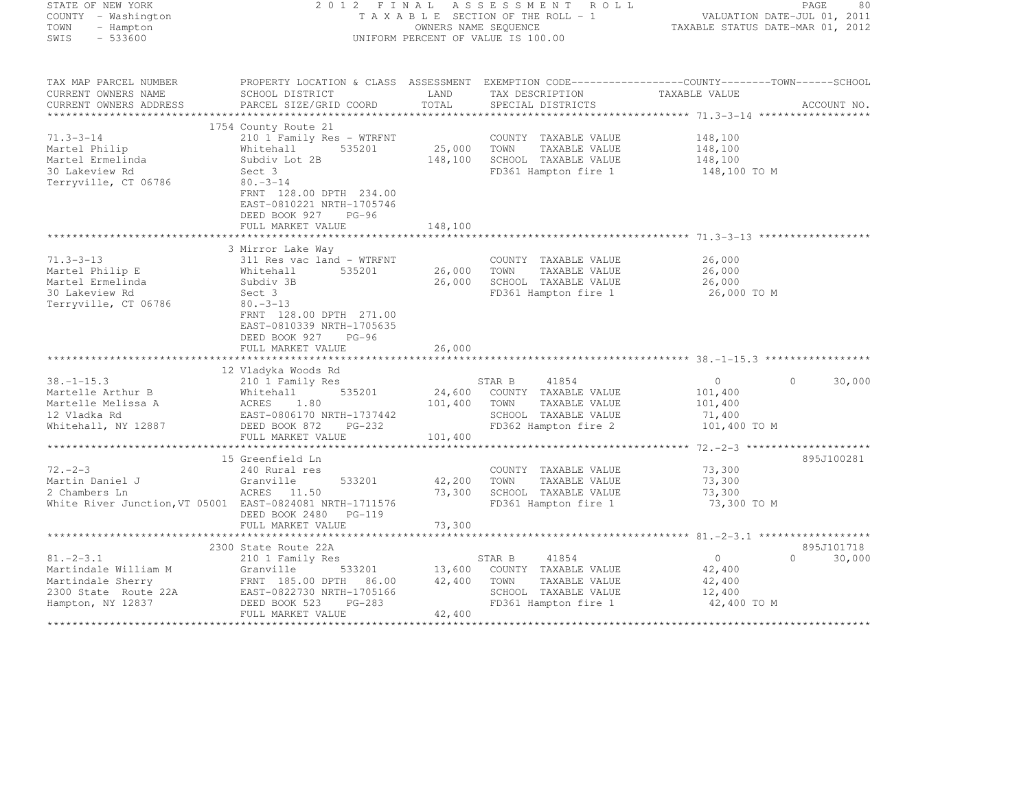| STATE OF NEW YORK<br>COUNTY - Washington<br>TOWN - Hampton<br>SWIS - 533600                                                                                                                                                                               |                                                                                                                                                                                                                                     |         | FINAL ASSESSMENT ROLL PAGE 80<br>TAXABLE SECTION OF THE ROLL - 1 VALUATION DATE-JUL 01, 2011<br>OWNERS NAME SEQUENCE<br>UNIFORM PERCENT OF VALUE TRANSIC STATUS DATE-MAR 01, 2012<br>2012 FINAL ASSESSMENT ROLL<br>OWNERS NAME SEQUENCE<br>UNIFORM PERCENT OF VALUE IS 100.00 |                      |                    |
|-----------------------------------------------------------------------------------------------------------------------------------------------------------------------------------------------------------------------------------------------------------|-------------------------------------------------------------------------------------------------------------------------------------------------------------------------------------------------------------------------------------|---------|-------------------------------------------------------------------------------------------------------------------------------------------------------------------------------------------------------------------------------------------------------------------------------|----------------------|--------------------|
| TAX MAP PARCEL NUMBER<br>CURRENT OWNERS NAME<br>CURRENT OWNERS ADDRESS                                                                                                                                                                                    | PROPERTY LOCATION & CLASS ASSESSMENT EXEMPTION CODE-----------------COUNTY-------TOWN------SCHOOL<br>SCHOOL DISTRICT<br>PARCEL SIZE/GRID COORD                                                                                      |         | TAX DESCRIPTION TAXABLE VALUE<br>SPECIAL DISTRICTS TAXABLE VALUE                                                                                                                                                                                                              |                      | ACCOUNT NO.        |
|                                                                                                                                                                                                                                                           |                                                                                                                                                                                                                                     |         |                                                                                                                                                                                                                                                                               |                      |                    |
|                                                                                                                                                                                                                                                           | 1754 County Route 21                                                                                                                                                                                                                |         |                                                                                                                                                                                                                                                                               |                      |                    |
| $71.3 - 3 - 14$<br>Martel Philip<br>Martel Ermelinda<br>30 Lakeview Rd<br>Terryville, CT 06786                                                                                                                                                            | County Route 21<br>210 1 Family Res - WTRFNT<br>Whitehall 535201 25,000 TOWN TAXABLE VALUE 148,100<br>Subdiv Lot 2B 148,100 SCHOOL TAXABLE VALUE 148,100<br>Sect. 3 148,100 TO M FD361 Hampton fire 1 148,100 TO M<br>$80 - 3 - 14$ |         |                                                                                                                                                                                                                                                                               |                      |                    |
|                                                                                                                                                                                                                                                           | FRNT 128.00 DPTH 234.00<br>EAST-0810221 NRTH-1705746<br>DEED BOOK 927 PG-96<br>FULL MARKET VALUE                                                                                                                                    | 148,100 |                                                                                                                                                                                                                                                                               |                      |                    |
|                                                                                                                                                                                                                                                           | 3 Mirror Lake Way                                                                                                                                                                                                                   |         |                                                                                                                                                                                                                                                                               |                      |                    |
| $71.3 - 3 - 13$                                                                                                                                                                                                                                           | 311 Res vac land - WTRFNT<br>311 Res vac land - WTRFNT<br>535201 26,000 TOWN TAXABLE VALUE<br>Subdiv 3B 26,000 SCHOOL TAXABLE VALUE<br>Sect 3 FD361 Hampton fire 1                                                                  |         |                                                                                                                                                                                                                                                                               | 26,000               |                    |
| Martel Philip E<br>Martel Ermelinda                                                                                                                                                                                                                       |                                                                                                                                                                                                                                     |         |                                                                                                                                                                                                                                                                               | $26,000$<br>$26,000$ |                    |
| 30 Lakeview Rd                                                                                                                                                                                                                                            |                                                                                                                                                                                                                                     |         | FD361 Hampton fire 1 26,000 TO M                                                                                                                                                                                                                                              |                      |                    |
| Terryville, CT 06786                                                                                                                                                                                                                                      | $80. -3 - 13$<br>FRNT 128.00 DPTH 271.00<br>EAST-0810339 NRTH-1705635<br>DEED BOOK 927 PG-96<br>FULL MARKET VALUE                                                                                                                   | 26,000  |                                                                                                                                                                                                                                                                               |                      |                    |
|                                                                                                                                                                                                                                                           |                                                                                                                                                                                                                                     |         |                                                                                                                                                                                                                                                                               |                      |                    |
|                                                                                                                                                                                                                                                           | 12 Vladyka Woods Rd                                                                                                                                                                                                                 |         |                                                                                                                                                                                                                                                                               |                      |                    |
| 38.-1-15.3<br>Martelle Arthur B<br>Martelle Arthur B<br>Martelle Melissa A<br>Martelle Melissa A<br>Martelle Melissa A<br>ACRES 1.80<br>101,400 TOWN TAXABLE VALUE<br>TAXABLE VALUE<br>Mitehall, NY 12887<br>DEED BOOK 872 PG-232<br>PG-232<br>PG-232<br> |                                                                                                                                                                                                                                     |         |                                                                                                                                                                                                                                                                               | $\overline{0}$       | $\Omega$<br>30,000 |
|                                                                                                                                                                                                                                                           |                                                                                                                                                                                                                                     |         |                                                                                                                                                                                                                                                                               | 101,400              |                    |
|                                                                                                                                                                                                                                                           |                                                                                                                                                                                                                                     |         |                                                                                                                                                                                                                                                                               | 101,400              |                    |
|                                                                                                                                                                                                                                                           |                                                                                                                                                                                                                                     |         |                                                                                                                                                                                                                                                                               | 71,400               |                    |
|                                                                                                                                                                                                                                                           | FULL MARKET VALUE 101,400                                                                                                                                                                                                           |         | FD362 Hampton fire 2                                                                                                                                                                                                                                                          | 101,400 TO M         |                    |
|                                                                                                                                                                                                                                                           |                                                                                                                                                                                                                                     |         |                                                                                                                                                                                                                                                                               |                      |                    |
|                                                                                                                                                                                                                                                           | 15 Greenfield Ln                                                                                                                                                                                                                    |         |                                                                                                                                                                                                                                                                               |                      | 895J100281         |
| $72 - 2 - 3$                                                                                                                                                                                                                                              | 240 Rural res<br>Granville                                                                                                                                                                                                          |         | COUNTY TAXABLE VALUE                                                                                                                                                                                                                                                          | 73,300               |                    |
| Martin Daniel J<br>2 Chambers Ln                                                                                                                                                                                                                          | 533201                                                                                                                                                                                                                              |         | 42,200 TOWN TAXABLE VALUE                                                                                                                                                                                                                                                     | 73,300               |                    |
| 2 Chambers Ln                                                                                                                                                                                                                                             | ACRES 11.50                                                                                                                                                                                                                         |         | 73,300 SCHOOL TAXABLE VALUE                                                                                                                                                                                                                                                   | 73,300               |                    |
| White River Junction, VT 05001 EAST-0824081 NRTH-1711576                                                                                                                                                                                                  | DEED BOOK 2480 PG-119                                                                                                                                                                                                               |         | FD361 Hampton fire 1                                                                                                                                                                                                                                                          | 73,300 TO M          |                    |
|                                                                                                                                                                                                                                                           | FULL MARKET VALUE                                                                                                                                                                                                                   | 73,300  |                                                                                                                                                                                                                                                                               |                      |                    |
|                                                                                                                                                                                                                                                           | 2300 State Route 22A                                                                                                                                                                                                                |         |                                                                                                                                                                                                                                                                               |                      | 895J101718         |
| $81. - 2 - 3.1$                                                                                                                                                                                                                                           | 210 1 Family Res                                                                                                                                                                                                                    |         | STAR B<br>41854                                                                                                                                                                                                                                                               | $\overline{0}$       | $0 \t 30,000$      |
|                                                                                                                                                                                                                                                           |                                                                                                                                                                                                                                     |         |                                                                                                                                                                                                                                                                               |                      |                    |
|                                                                                                                                                                                                                                                           |                                                                                                                                                                                                                                     |         |                                                                                                                                                                                                                                                                               | $42,400$<br>$42,400$ |                    |
|                                                                                                                                                                                                                                                           |                                                                                                                                                                                                                                     |         |                                                                                                                                                                                                                                                                               | 12,400               |                    |
| Martindale William M<br>Martindale Sherry FRNT 185.00 DPTH 86.00 13,600 COUNTY TAXABLE VALUE<br>2300 State Route 22A<br>Hampton, NY 12837 DESIT-0822730 NRTH-1705166 SCHOOL TAXABLE VALUE<br>Hampton, NY 12837 DESID BOOK 523 BG-283<br>                  |                                                                                                                                                                                                                                     |         | FD361 Hampton fire 1                                                                                                                                                                                                                                                          | 42,400 TO M          |                    |
|                                                                                                                                                                                                                                                           | FULL MARKET VALUE                                                                                                                                                                                                                   | 42,400  |                                                                                                                                                                                                                                                                               |                      |                    |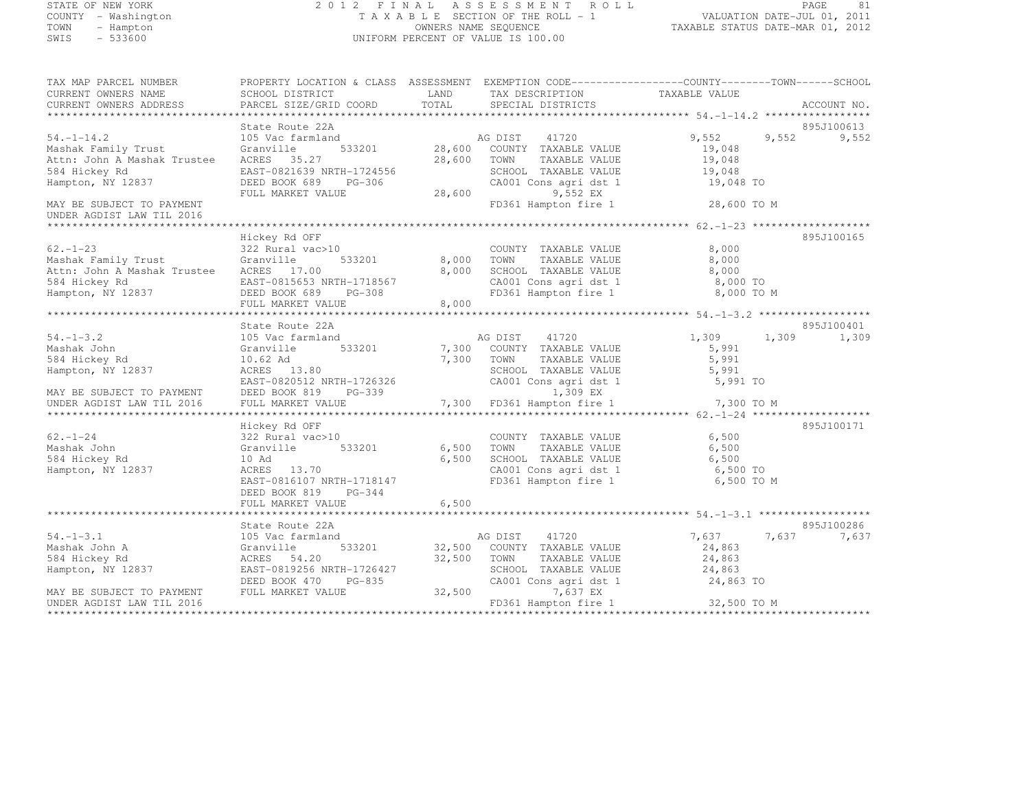# STATE OF NEW YORK 2 0 1 2 F I N A L A S S E S S M E N T R O L L PAGE <sup>81</sup> COUNTY - Washington T A X A B L E SECTION OF THE ROLL - 1 VALUATION DATE-JUL 01, 2011 TOWN - Hampton OWNERS NAME SEQUENCE TAXABLE STATUS DATE-MAR 01, 2012 SWIS - 533600 UNIFORM PERCENT OF VALUE IS 100.00

| TAX MAP PARCEL NUMBER<br>CURRENT OWNERS NAME<br>CURRENT OWNERS ADDRESS                                       | PROPERTY LOCATION & CLASS ASSESSMENT EXEMPTION CODE----------------COUNTY-------TOWN-----SCHOOL<br>SCHOOL DISTRICT<br>PARCEL SIZE/GRID COORD                  | LAND<br>TOTAL                | TAX DESCRIPTION<br>SPECIAL DISTRICTS                                                                                                      | TAXABLE VALUE                                     |       | ACCOUNT NO.<br>****** |
|--------------------------------------------------------------------------------------------------------------|---------------------------------------------------------------------------------------------------------------------------------------------------------------|------------------------------|-------------------------------------------------------------------------------------------------------------------------------------------|---------------------------------------------------|-------|-----------------------|
|                                                                                                              |                                                                                                                                                               |                              |                                                                                                                                           |                                                   |       |                       |
| $54. - 1 - 14.2$<br>Mashak Family Trust<br>Attn: John A Mashak Trustee<br>584 Hickey Rd<br>Hampton, NY 12837 | State Route 22A<br>105 Vac farmland<br>533201<br>Granville<br>ACRES 35.27<br>EAST-0821639 NRTH-1724556<br>DEED BOOK 689 PG-306<br>FULL MARKET VALUE           | 28,600                       | AG DIST 41720<br>28,600 COUNTY TAXABLE VALUE<br>28,600 TOWN<br>TAXABLE VALUE<br>SCHOOL TAXABLE VALUE<br>CA001 Cons agri dst 1<br>9,552 EX | 9,552<br>19,048<br>19,048<br>19,048<br>19,048 TO  | 9,552 | 895J100613<br>9,552   |
| MAY BE SUBJECT TO PAYMENT<br>UNDER AGDIST LAW TIL 2016                                                       |                                                                                                                                                               |                              | FD361 Hampton fire 1                                                                                                                      | 28,600 TO M                                       |       |                       |
| $62. - 1 - 23$<br>Mashak Family Trust<br>Attn: John A Mashak Trustee<br>584 Hickey Rd<br>Hampton, NY 12837   | Hickey Rd OFF<br>322 Rural vac>10<br>Granville<br>533201<br>ACRES 17.00<br>EAST-0815653 NRTH-1718567<br>DEED BOOK 689<br>PG-308<br>FULL MARKET VALUE          | 8,000 TOWN<br>8,000<br>8,000 | COUNTY TAXABLE VALUE<br>TAXABLE VALUE<br>SCHOOL TAXABLE VALUE<br>CA001 Cons agri dst 1<br>FD361 Hampton fire 1                            | 8,000<br>8,000<br>8,000<br>8,000 TO<br>8,000 TO M |       | 895J100165            |
|                                                                                                              | State Route 22A                                                                                                                                               |                              |                                                                                                                                           |                                                   |       | 895J100401            |
| $54. - 1 - 3.2$<br>Mashak John<br>584 Hickey Rd<br>Hampton, NY 12837<br>MAY BE SUBJECT TO PAYMENT            | 105 Vac farmland<br>533201<br>Granville<br>10.62 Ad<br>ACRES 13.80<br>EAST-0820512 NRTH-1726326<br>DEED BOOK 819 PG-339                                       | 7,300 TOWN                   | AG DIST<br>41720<br>7,300 COUNTY TAXABLE VALUE<br>TAXABLE VALUE<br>SCHOOL TAXABLE VALUE<br>CA001 Cons agri dst 1<br>1,309 EX              | 1,309<br>5,991<br>5,991<br>5,991<br>5,991 TO      | 1,309 | 1,309                 |
| UNDER AGDIST LAW TIL 2016                                                                                    | FULL MARKET VALUE                                                                                                                                             |                              | 7,300 FD361 Hampton fire 1                                                                                                                | 7,300 TO M                                        |       |                       |
| $62 - 1 - 24$<br>Mashak John<br>584 Hickey Rd<br>Hampton, NY 12837                                           | Hickey Rd OFF<br>322 Rural vac>10<br>533201<br>Granville<br>10 Ad<br>ACRES 13.70<br>EAST-0816107 NRTH-1718147<br>DEED BOOK 819<br>PG-344<br>FULL MARKET VALUE | 6,500<br>6,500               | COUNTY TAXABLE VALUE<br>6,500 TOWN<br>TAXABLE VALUE<br>SCHOOL TAXABLE VALUE<br>CA001 Cons agri dst 1<br>FD361 Hampton fire 1              | 6,500<br>6,500<br>6,500<br>6,500 TO<br>6,500 TO M |       | 895J100171            |
|                                                                                                              |                                                                                                                                                               |                              |                                                                                                                                           |                                                   |       |                       |
| $54. - 1 - 3.1$<br>Mashak John A<br>584 Hickey Rd<br>Hampton, NY 12837                                       | State Route 22A<br>105 Vac farmland<br>533201<br>Granville<br>ACRES 54.20<br>EAST-0819256 NRTH-1726427                                                        | 32,500                       | AG DIST<br>41720<br>32,500 COUNTY TAXABLE VALUE<br>TOWN<br>TAXABLE VALUE<br>SCHOOL TAXABLE VALUE                                          | 7,637<br>24,863<br>24,863<br>24,863               | 7,637 | 895J100286<br>7,637   |
| MAY BE SUBJECT TO PAYMENT<br>UNDER AGDIST LAW TIL 2016                                                       | DEED BOOK 470<br>PG-835<br>FULL MARKET VALUE                                                                                                                  | 32,500                       | CA001 Cons agri dst 1<br>7,637 EX<br>FD361 Hampton fire 1                                                                                 | 24,863 TO<br>32,500 TO M                          |       |                       |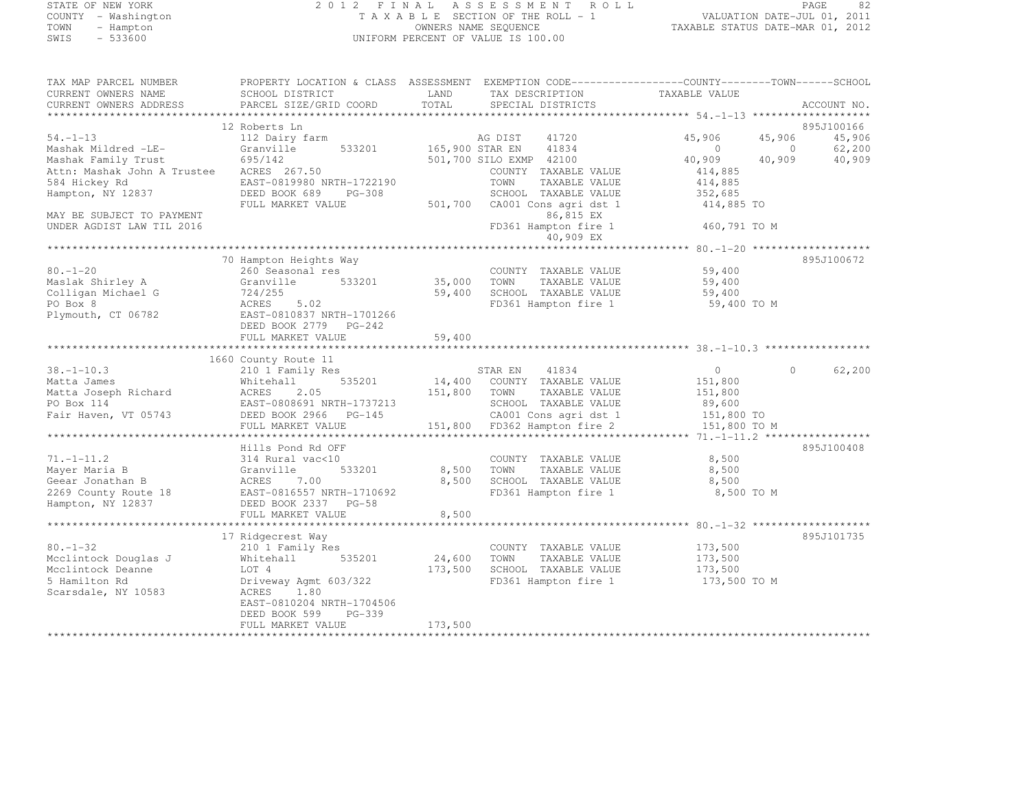## STATE OF NEW YORK 2 0 1 2 F I N A L A S S E S S M E N T R O L L PAGE <sup>82</sup> COUNTY - Washington T A X A B L E SECTION OF THE ROLL - 1 VALUATION DATE-JUL 01, 2011 TOWN - Hampton OWNERS NAME SEQUENCE TAXABLE STATUS DATE-MAR 01, 2012 SWIS - 533600 UNIFORM PERCENT OF VALUE IS 100.00

| TAX MAP PARCEL NUMBER<br>CURRENT OWNERS NAME       | PROPERTY LOCATION & CLASS ASSESSMENT EXEMPTION CODE-----------------COUNTY-------TOWN------SCHOOL<br>SCHOOL DISTRICT | LAND         | TAX DESCRIPTION                                 | TAXABLE VALUE            |                          |                  |
|----------------------------------------------------|----------------------------------------------------------------------------------------------------------------------|--------------|-------------------------------------------------|--------------------------|--------------------------|------------------|
| CURRENT OWNERS ADDRESS                             | PARCEL SIZE/GRID COORD                                                                                               | TOTAL        | SPECIAL DISTRICTS                               |                          |                          | ACCOUNT NO.      |
| **********************                             |                                                                                                                      |              |                                                 |                          |                          |                  |
|                                                    | 12 Roberts Ln                                                                                                        |              |                                                 |                          |                          | 895J100166       |
| $54. - 1 - 13$                                     | 112 Dairy farm                                                                                                       |              | AG DIST<br>41720                                | 45,906                   | 45,906                   | 45,906           |
| Mashak Mildred -LE-                                | Granville<br>533201<br>695/142                                                                                       |              | 165,900 STAR EN<br>41834                        | $\overline{0}$<br>40,909 | $\overline{0}$<br>40,909 | 62,200<br>40,909 |
| Mashak Family Trust<br>Attn: Mashak John A Trustee | ACRES 267.50                                                                                                         |              | 501,700 SILO EXMP 42100<br>COUNTY TAXABLE VALUE | 414,885                  |                          |                  |
| 584 Hickey Rd                                      | EAST-0819980 NRTH-1722190                                                                                            |              | TOWN<br>TAXABLE VALUE                           | 414,885                  |                          |                  |
| Hampton, NY 12837                                  | DEED BOOK 689 PG-308                                                                                                 |              | SCHOOL TAXABLE VALUE                            | 352,685                  |                          |                  |
|                                                    | FULL MARKET VALUE                                                                                                    | 501,700      | CA001 Cons agri dst 1                           | 414,885 TO               |                          |                  |
| MAY BE SUBJECT TO PAYMENT                          |                                                                                                                      |              | 86,815 EX                                       |                          |                          |                  |
| UNDER AGDIST LAW TIL 2016                          |                                                                                                                      |              | FD361 Hampton fire 1                            | 460,791 TO M             |                          |                  |
|                                                    |                                                                                                                      |              | 40,909 EX                                       |                          |                          |                  |
|                                                    |                                                                                                                      |              |                                                 |                          |                          |                  |
|                                                    | 70 Hampton Heights Way                                                                                               |              |                                                 |                          |                          | 895J100672       |
| $80. - 1 - 20$                                     | 260 Seasonal res                                                                                                     |              | COUNTY TAXABLE VALUE                            | 59,400                   |                          |                  |
| Maslak Shirley A                                   | Granville<br>533201                                                                                                  | 35,000       | TOWN<br>TAXABLE VALUE                           | 59,400                   |                          |                  |
| Colligan Michael G                                 | 724/255                                                                                                              | 59,400       | SCHOOL TAXABLE VALUE                            | 59,400                   |                          |                  |
| PO Box 8                                           | ACRES<br>5.02                                                                                                        |              | FD361 Hampton fire 1                            | 59,400 TO M              |                          |                  |
| Plymouth, CT 06782                                 | EAST-0810837 NRTH-1701266                                                                                            |              |                                                 |                          |                          |                  |
|                                                    | DEED BOOK 2779 PG-242                                                                                                |              |                                                 |                          |                          |                  |
|                                                    | FULL MARKET VALUE                                                                                                    | 59,400       |                                                 |                          |                          |                  |
|                                                    |                                                                                                                      |              |                                                 |                          |                          |                  |
| $38. - 1 - 10.3$                                   | 1660 County Route 11                                                                                                 |              |                                                 | $\Omega$                 | $\Omega$                 | 62,200           |
| Matta James                                        | 210 1 Family Res<br>535201<br>Whitehall                                                                              |              | STAR EN<br>41834<br>14,400 COUNTY TAXABLE VALUE | 151,800                  |                          |                  |
| Matta Joseph Richard                               | 2.05<br>ACRES                                                                                                        | 151,800 TOWN | TAXABLE VALUE                                   | 151,800                  |                          |                  |
| PO Box 114                                         | EAST-0808691 NRTH-1737213                                                                                            |              | SCHOOL TAXABLE VALUE                            | 89,600                   |                          |                  |
| Fair Haven, VT 05743                               | DEED BOOK 2966 PG-145                                                                                                |              | CA001 Cons agri dst 1                           | 151,800 TO               |                          |                  |
|                                                    | FULL MARKET VALUE                                                                                                    |              | 151,800 FD362 Hampton fire 2                    | 151,800 TO M             |                          |                  |
|                                                    |                                                                                                                      |              |                                                 |                          |                          |                  |
|                                                    | Hills Pond Rd OFF                                                                                                    |              |                                                 |                          |                          | 895J100408       |
| $71. - 1 - 11.2$                                   | 314 Rural vac<10                                                                                                     |              | COUNTY TAXABLE VALUE                            | 8,500                    |                          |                  |
| Mayer Maria B                                      | 533201<br>Granville                                                                                                  | 8,500        | TOWN<br>TAXABLE VALUE                           | 8,500                    |                          |                  |
| Geear Jonathan B                                   | ACRES 7.00                                                                                                           | 8,500        | SCHOOL TAXABLE VALUE                            | 8,500                    |                          |                  |
| 2269 County Route 18                               | EAST-0816557 NRTH-1710692                                                                                            |              | FD361 Hampton fire 1                            | 8,500 TO M               |                          |                  |
| Hampton, NY 12837                                  | DEED BOOK 2337 PG-58                                                                                                 |              |                                                 |                          |                          |                  |
|                                                    | FULL MARKET VALUE                                                                                                    | 8,500        |                                                 |                          |                          |                  |
|                                                    |                                                                                                                      |              |                                                 |                          |                          |                  |
|                                                    | 17 Ridgecrest Way                                                                                                    |              |                                                 |                          |                          | 895J101735       |
| $80. - 1 - 32$                                     | 210 1 Family Res                                                                                                     |              | COUNTY TAXABLE VALUE                            | 173,500                  |                          |                  |
| Mcclintock Douglas J                               | 535201<br>Whitehall                                                                                                  | 24,600       | TOWN<br>TAXABLE VALUE                           | 173,500                  |                          |                  |
| Mcclintock Deanne                                  | LOT 4                                                                                                                | 173,500      | SCHOOL TAXABLE VALUE                            | 173,500                  |                          |                  |
| 5 Hamilton Rd                                      | Driveway Agmt 603/322                                                                                                |              | FD361 Hampton fire 1                            | 173,500 TO M             |                          |                  |
| Scarsdale, NY 10583                                | ACRES<br>1.80                                                                                                        |              |                                                 |                          |                          |                  |
|                                                    | EAST-0810204 NRTH-1704506                                                                                            |              |                                                 |                          |                          |                  |
|                                                    |                                                                                                                      |              |                                                 |                          |                          |                  |
|                                                    | DEED BOOK 599<br>$PG-339$<br>FULL MARKET VALUE                                                                       | 173,500      |                                                 |                          |                          |                  |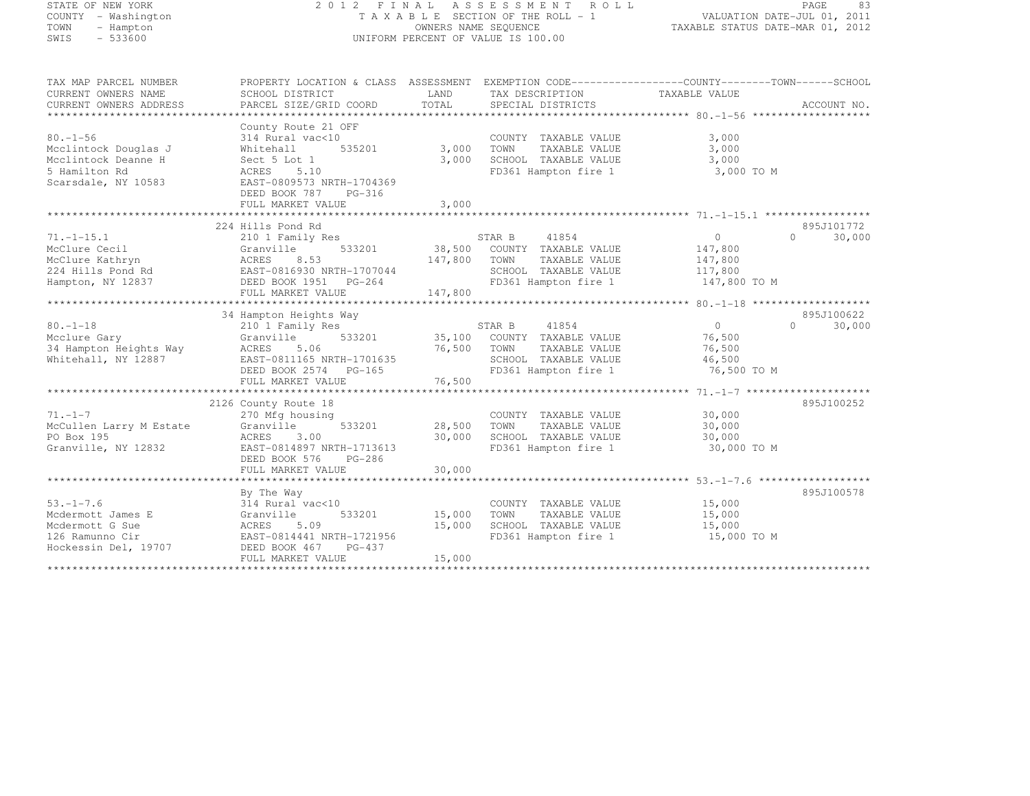| STATE OF NEW YORK |                     |
|-------------------|---------------------|
|                   | COUNTY - Washington |
| TOWN              | - Hampton           |
| SWIS              | $-533600$           |

# STATE OF NEW YORK 2 0 1 2 F I N A L A S S E S S M E N T R O L L PAGE <sup>83</sup> COUNTY - Washington T A X A B L E SECTION OF THE ROLL - 1 VALUATION DATE-JUL 01, 2011 TOWN - Hampton OWNERS NAME SEQUENCE TAXABLE STATUS DATE-MAR 01, 2012 SWIS - 533600 UNIFORM PERCENT OF VALUE IS 100.00

| TAX MAP PARCEL NUMBER   | PROPERTY LOCATION & CLASS ASSESSMENT EXEMPTION CODE----------------COUNTY-------TOWN------SCHOOL |              |                                    |                |                     |
|-------------------------|--------------------------------------------------------------------------------------------------|--------------|------------------------------------|----------------|---------------------|
| CURRENT OWNERS NAME     | SCHOOL DISTRICT                                                                                  | LAND         | TAX DESCRIPTION                    | TAXABLE VALUE  |                     |
| CURRENT OWNERS ADDRESS  | PARCEL SIZE/GRID COORD                                                                           | TOTAL        | SPECIAL DISTRICTS                  |                | ACCOUNT NO.         |
|                         |                                                                                                  |              |                                    |                |                     |
|                         | County Route 21 OFF                                                                              |              |                                    |                |                     |
| $80. - 1 - 56$          | 314 Rural vac<10                                                                                 |              | COUNTY TAXABLE VALUE               | 3,000          |                     |
| Mcclintock Douglas J    | 535201<br>Whitehall                                                                              | 3,000 TOWN   | TAXABLE VALUE                      | 3,000          |                     |
| Mcclintock Deanne H     | Sect 5 Lot 1                                                                                     | 3,000        | SCHOOL TAXABLE VALUE               | 3,000          |                     |
| 5 Hamilton Rd           | ACRES 5.10                                                                                       |              | FD361 Hampton fire 1               | 3,000 TO M     |                     |
| Scarsdale, NY 10583     | EAST-0809573 NRTH-1704369                                                                        |              |                                    |                |                     |
|                         | DEED BOOK 787<br>PG-316                                                                          |              |                                    |                |                     |
|                         | FULL MARKET VALUE                                                                                | 3,000        |                                    |                |                     |
|                         |                                                                                                  |              |                                    |                |                     |
|                         | 224 Hills Pond Rd                                                                                |              |                                    |                | 895J101772          |
| $71. - 1 - 15.1$        | 210 1 Family Res                                                                                 |              | STAR B<br>41854                    | $\overline{0}$ | $\bigcap$<br>30,000 |
| McClure Cecil           | 533201<br>Granville                                                                              |              | 38,500 COUNTY TAXABLE VALUE        | 147,800        |                     |
| McClure Kathryn         | ACRES<br>8.53                                                                                    | 147,800 TOWN | TAXABLE VALUE                      | 147,800        |                     |
| 224 Hills Pond Rd       | EAST-0816930 NRTH-1707044                                                                        |              | SCHOOL TAXABLE VALUE               | 117,800        |                     |
| Hampton, NY 12837       | DEED BOOK 1951 PG-264                                                                            |              | FD361 Hampton fire 1               | 147,800 TO M   |                     |
|                         | FULL MARKET VALUE                                                                                | 147,800      |                                    |                |                     |
|                         |                                                                                                  |              |                                    |                |                     |
|                         | 34 Hampton Heights Way                                                                           |              |                                    |                | 895J100622          |
| $80 - 1 - 18$           | 210 1 Family Res                                                                                 |              | STAR B<br>41854                    | $\Omega$       | $\Omega$<br>30,000  |
| Mcclure Gary            | Granville                                                                                        |              | 533201 35,100 COUNTY TAXABLE VALUE | 76,500         |                     |
| 34 Hampton Heights Way  | ACRES<br>5.06                                                                                    | 76,500       | TOWN<br>TAXABLE VALUE              | 76,500         |                     |
| Whitehall, NY 12887     | EAST-0811165 NRTH-1701635                                                                        |              | SCHOOL TAXABLE VALUE               | 46,500         |                     |
|                         | DEED BOOK 2574 PG-165                                                                            |              | FD361 Hampton fire 1               | 76,500 TO M    |                     |
|                         | FULL MARKET VALUE                                                                                | 76,500       |                                    |                |                     |
|                         |                                                                                                  |              |                                    |                |                     |
|                         | 2126 County Route 18                                                                             |              |                                    |                | 895J100252          |
| $71. - 1 - 7$           | 270 Mfg housing                                                                                  |              | COUNTY TAXABLE VALUE               | 30,000         |                     |
| McCullen Larry M Estate | Granville<br>533201                                                                              | 28,500       | TAXABLE VALUE<br>TOWN              | 30,000         |                     |
| PO Box 195              | 3.00<br>ACRES                                                                                    | 30,000       | SCHOOL TAXABLE VALUE               | 30,000         |                     |
| Granville, NY 12832     | EAST-0814897 NRTH-1713613                                                                        |              | FD361 Hampton fire 1               | 30,000 TO M    |                     |
|                         | DEED BOOK 576<br>PG-286                                                                          |              |                                    |                |                     |
|                         | FULL MARKET VALUE                                                                                | 30,000       |                                    |                |                     |
|                         |                                                                                                  |              |                                    |                |                     |
|                         | By The Way                                                                                       |              |                                    |                | 895J100578          |
| $53. - 1 - 7.6$         | 314 Rural vac<10                                                                                 |              | COUNTY TAXABLE VALUE               | 15,000         |                     |
| Mcdermott James E       | 533201<br>Granville                                                                              | 15,000       | TOWN<br>TAXABLE VALUE              | 15,000         |                     |
| Mcdermott G Sue         | ACRES 5.09                                                                                       | 15,000       | SCHOOL TAXABLE VALUE               | 15,000         |                     |
| 126 Ramunno Cir         | EAST-0814441 NRTH-1721956                                                                        |              | FD361 Hampton fire 1               | 15,000 TO M    |                     |
| Hockessin Del, 19707    | DEED BOOK 467<br>PG-437                                                                          |              |                                    |                |                     |
|                         | FULL MARKET VALUE                                                                                | 15,000       |                                    |                |                     |
|                         |                                                                                                  |              |                                    |                |                     |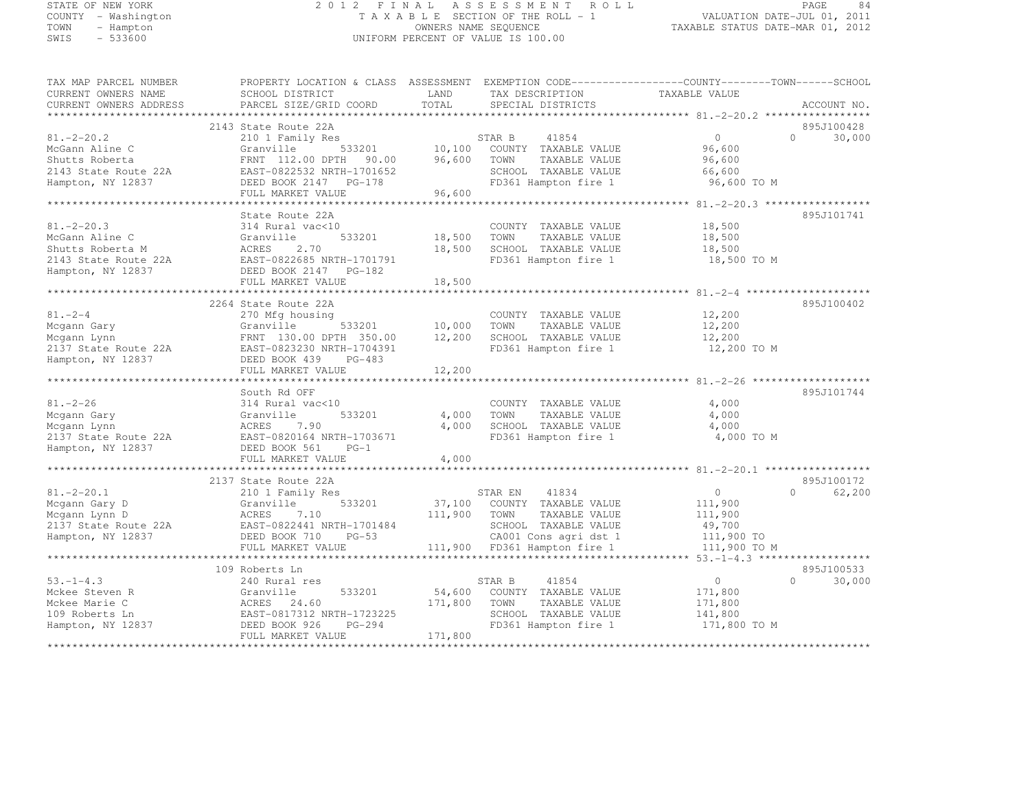# STATE OF NEW YORK 2 0 1 2 F I N A L A S S E S S M E N T R O L L PAGE <sup>84</sup> COUNTY - Washington T A X A B L E SECTION OF THE ROLL - 1 VALUATION DATE-JUL 01, 2011 TOWN - Hampton OWNERS NAME SEQUENCE TAXABLE STATUS DATE-MAR 01, 2012 SWIS - 533600 UNIFORM PERCENT OF VALUE IS 100.00

| TAX MAP PARCEL NUMBER<br>CURRENT OWNERS NAME<br>CURRENT OWNERS ADDRESS                              | PROPERTY LOCATION & CLASS ASSESSMENT EXEMPTION CODE----------------COUNTY-------TOWN------SCHOOL<br>SCHOOL DISTRICT<br>PARCEL SIZE/GRID COORD                            | LAND<br>TOTAL                | TAX DESCRIPTION<br>SPECIAL DISTRICTS                                                                                      | TAXABLE VALUE                                            | ACCOUNT NO.                      |
|-----------------------------------------------------------------------------------------------------|--------------------------------------------------------------------------------------------------------------------------------------------------------------------------|------------------------------|---------------------------------------------------------------------------------------------------------------------------|----------------------------------------------------------|----------------------------------|
|                                                                                                     |                                                                                                                                                                          |                              |                                                                                                                           |                                                          |                                  |
| $81, -2 - 20.2$<br>McGann Aline C<br>Shutts Roberta<br>2143 State Route 22A<br>Hampton, NY 12837    | 2143 State Route 22A<br>210 1 Family Res<br>533201<br>Granville<br>FRNT 112.00 DPTH<br>90.00<br>EAST-0822532 NRTH-1701652<br>DEED BOOK 2147 PG-178<br>FULL MARKET VALUE  | 10,100<br>96,600<br>96,600   | STAR B<br>41854<br>COUNTY TAXABLE VALUE<br>TOWN<br>TAXABLE VALUE<br>SCHOOL TAXABLE VALUE<br>FD361 Hampton fire 1          | $\circ$<br>96,600<br>96,600<br>66,600<br>96,600 TO M     | 895J100428<br>30,000<br>$\Omega$ |
|                                                                                                     |                                                                                                                                                                          |                              |                                                                                                                           | ****************** 81.-2-20.3 ******************         |                                  |
| $81. - 2 - 20.3$<br>McGann Aline C<br>Shutts Roberta M<br>2143 State Route 22A<br>Hampton, NY 12837 | State Route 22A<br>314 Rural vac<10<br>Granville<br>533201<br>ACRES<br>2.70<br>EAST-0822685 NRTH-1701791<br>DEED BOOK 2147 PG-182<br>FULL MARKET VALUE                   | 18,500<br>18,500<br>18,500   | COUNTY TAXABLE VALUE<br>TOWN<br>TAXABLE VALUE<br>SCHOOL TAXABLE VALUE<br>FD361 Hampton fire 1                             | 18,500<br>18,500<br>18,500<br>18,500 TO M                | 895J101741                       |
|                                                                                                     |                                                                                                                                                                          |                              |                                                                                                                           |                                                          |                                  |
| $81. - 2 - 4$<br>Mcgann Gary<br>Mcgann Lynn<br>2137 State Route 22A<br>Hampton, NY 12837            | 2264 State Route 22A<br>270 Mfg housing<br>Granville<br>533201<br>FRNT 130.00 DPTH 350.00<br>EAST-0823230 NRTH-1704391<br>DEED BOOK 439<br>$PG-483$<br>FULL MARKET VALUE | 10,000<br>12,200<br>12,200   | COUNTY TAXABLE VALUE<br>TOWN<br>TAXABLE VALUE<br>SCHOOL TAXABLE VALUE<br>FD361 Hampton fire 1                             | 12,200<br>12,200<br>12,200<br>12,200 TO M                | 895J100402                       |
|                                                                                                     |                                                                                                                                                                          |                              |                                                                                                                           |                                                          |                                  |
| $81. - 2 - 26$<br>Mcgann Gary<br>Mcgann Lynn<br>2137 State Route 22A<br>Hampton, NY 12837           | South Rd OFF<br>314 Rural vac<10<br>533201<br>Granville<br>ACRES<br>7.90<br>EAST-0820164 NRTH-1703671<br>DEED BOOK 561<br>$PG-1$<br>FULL MARKET VALUE                    | 4,000<br>4,000<br>4,000      | COUNTY TAXABLE VALUE<br>TOWN<br>TAXABLE VALUE<br>SCHOOL TAXABLE VALUE<br>FD361 Hampton fire 1                             | 4,000<br>4,000<br>4,000<br>4,000 TO M                    | 895J101744                       |
|                                                                                                     |                                                                                                                                                                          |                              |                                                                                                                           |                                                          |                                  |
| $81, -2 - 20, 1$<br>Mcgann Gary D<br>Mcgann Lynn D<br>2137 State Route 22A<br>Hampton, NY 12837     | 2137 State Route 22A<br>210 1 Family Res<br>533201<br>Granville<br>ACRES<br>7.10<br>EAST-0822441 NRTH-1701484<br>DEED BOOK 710<br>$PG-53$                                | 111,900                      | 41834<br>STAR EN<br>37,100 COUNTY TAXABLE VALUE<br>TOWN<br>TAXABLE VALUE<br>SCHOOL TAXABLE VALUE<br>CA001 Cons agri dst 1 | $\circ$<br>111,900<br>111,900<br>49,700<br>111,900 TO    | 895J100172<br>62,200<br>$\Omega$ |
|                                                                                                     | FULL MARKET VALUE                                                                                                                                                        |                              | 111,900 FD361 Hampton fire 1                                                                                              | 111,900 TO M                                             |                                  |
|                                                                                                     | ***********************<br>109 Roberts Ln                                                                                                                                |                              |                                                                                                                           | *** 53. -1-4.3 *******************                       | 895J100533                       |
| $53. - 1 - 4.3$<br>Mckee Steven R<br>Mckee Marie C<br>109 Roberts Ln<br>Hampton, NY 12837           | 240 Rural res<br>533201<br>Granville<br>ACRES 24.60<br>EAST-0817312 NRTH-1723225<br>DEED BOOK 926<br>PG-294<br>FULL MARKET VALUE                                         | 54,600<br>171,800<br>171,800 | STAR B<br>41854<br>COUNTY TAXABLE VALUE<br>TAXABLE VALUE<br>TOWN<br>SCHOOL TAXABLE VALUE<br>FD361 Hampton fire 1          | $\circ$<br>171,800<br>171,800<br>141,800<br>171,800 TO M | $\Omega$<br>30,000               |
|                                                                                                     |                                                                                                                                                                          |                              |                                                                                                                           |                                                          |                                  |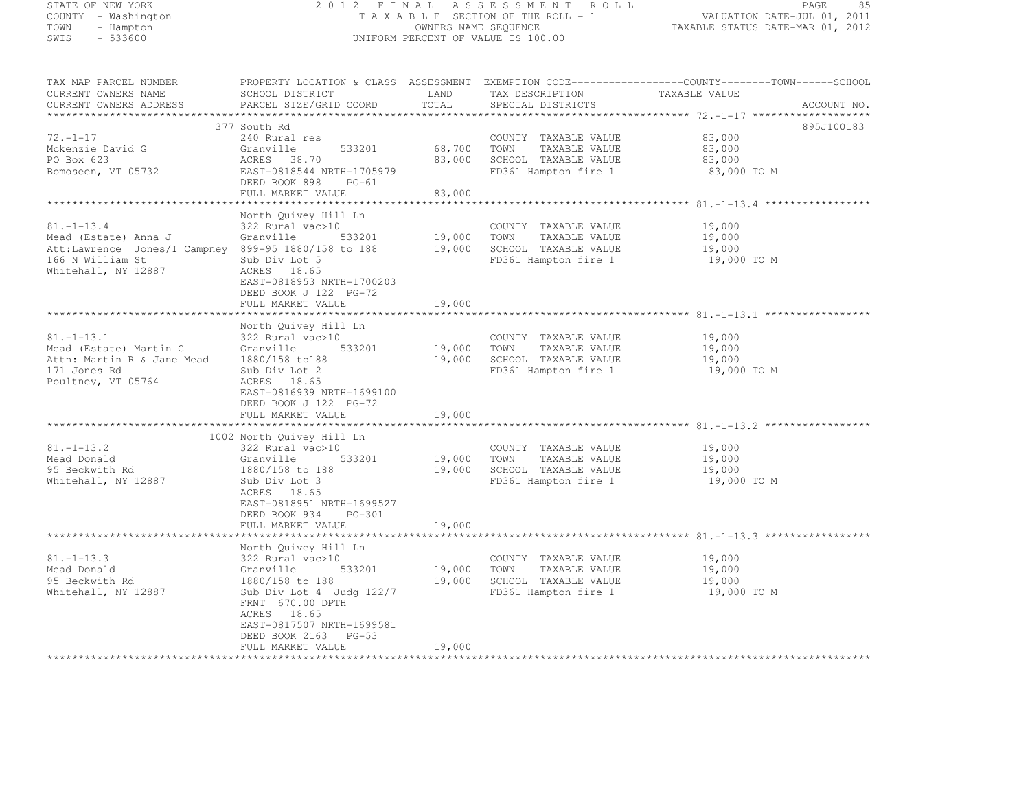# STATE OF NEW YORK 2 0 1 2 F I N A L A S S E S S M E N T R O L L PAGE <sup>85</sup> COUNTY - Washington T A X A B L E SECTION OF THE ROLL - 1 VALUATION DATE-JUL 01, 2011 TOWN - Hampton OWNERS NAME SEQUENCE TAXABLE STATUS DATE-MAR 01, 2012 SWIS - 533600 UNIFORM PERCENT OF VALUE IS 100.00

| TAX MAP PARCEL NUMBER<br>CURRENT OWNERS NAME        | SCHOOL DISTRICT                                    | LAND   | TAX DESCRIPTION             | PROPERTY LOCATION & CLASS ASSESSMENT EXEMPTION CODE-----------------COUNTY-------TOWN------SCHOOL<br>TAXABLE VALUE |
|-----------------------------------------------------|----------------------------------------------------|--------|-----------------------------|--------------------------------------------------------------------------------------------------------------------|
| CURRENT OWNERS ADDRESS                              | PARCEL SIZE/GRID COORD                             | TOTAL  | SPECIAL DISTRICTS           | ACCOUNT NO.                                                                                                        |
|                                                     |                                                    |        |                             |                                                                                                                    |
|                                                     | 377 South Rd                                       |        |                             | 895J100183                                                                                                         |
| $72. - 1 - 17$                                      | 240 Rural res                                      |        | COUNTY TAXABLE VALUE        | 83,000                                                                                                             |
| Mckenzie David G                                    | Granville<br>533201                                | 68,700 | TOWN<br>TAXABLE VALUE       | 83,000                                                                                                             |
| PO Box 623                                          | ACRES 38.70                                        | 83,000 | SCHOOL TAXABLE VALUE        | 83,000                                                                                                             |
| Bomoseen, VT 05732                                  | EAST-0818544 NRTH-1705979                          |        | FD361 Hampton fire 1        | 83,000 TO M                                                                                                        |
|                                                     | DEED BOOK 898<br>$PG-61$                           |        |                             |                                                                                                                    |
|                                                     | FULL MARKET VALUE                                  | 83,000 |                             |                                                                                                                    |
|                                                     |                                                    |        |                             |                                                                                                                    |
|                                                     | North Quivey Hill Ln                               |        |                             |                                                                                                                    |
| $81. - 1 - 13.4$                                    | 322 Rural vac>10                                   |        | COUNTY TAXABLE VALUE        | 19,000                                                                                                             |
| Mead (Estate) Anna J                                | Granville<br>533201                                | 19,000 | TOWN<br>TAXABLE VALUE       | 19,000                                                                                                             |
| Att:Lawrence Jones/I Campney 899-95 1880/158 to 188 |                                                    |        | 19,000 SCHOOL TAXABLE VALUE | 19,000                                                                                                             |
| 166 N William St                                    | Sub Div Lot 5                                      |        | FD361 Hampton fire 1        | 19,000 TO M                                                                                                        |
| Whitehall, NY 12887                                 | ACRES 18.65                                        |        |                             |                                                                                                                    |
|                                                     | EAST-0818953 NRTH-1700203<br>DEED BOOK J 122 PG-72 |        |                             |                                                                                                                    |
|                                                     | FULL MARKET VALUE                                  | 19,000 |                             |                                                                                                                    |
|                                                     |                                                    |        |                             |                                                                                                                    |
|                                                     | North Quivey Hill Ln                               |        |                             |                                                                                                                    |
| $81. - 1 - 13.1$                                    | 322 Rural vac>10                                   |        | COUNTY TAXABLE VALUE        | 19,000                                                                                                             |
| Mead (Estate) Martin C                              | 533201<br>Granville                                | 19,000 | TOWN<br>TAXABLE VALUE       | 19,000                                                                                                             |
| Attn: Martin R & Jane Mead                          | 1880/158 to188                                     | 19,000 | SCHOOL TAXABLE VALUE        | 19,000                                                                                                             |
| 171 Jones Rd                                        | Sub Div Lot 2                                      |        | FD361 Hampton fire 1        | 19,000 TO M                                                                                                        |
| Poultney, VT 05764                                  | ACRES 18.65                                        |        |                             |                                                                                                                    |
|                                                     | EAST-0816939 NRTH-1699100                          |        |                             |                                                                                                                    |
|                                                     | DEED BOOK J 122 PG-72                              |        |                             |                                                                                                                    |
|                                                     | FULL MARKET VALUE                                  | 19,000 |                             |                                                                                                                    |
|                                                     |                                                    |        |                             |                                                                                                                    |
|                                                     | 1002 North Quivey Hill Ln                          |        |                             |                                                                                                                    |
| $81. - 1 - 13.2$                                    | 322 Rural vac>10                                   |        | COUNTY TAXABLE VALUE        | 19,000                                                                                                             |
| Mead Donald                                         | Granville<br>533201                                | 19,000 | TOWN<br>TAXABLE VALUE       | 19,000                                                                                                             |
| 95 Beckwith Rd                                      | 1880/158 to 188                                    | 19,000 | SCHOOL TAXABLE VALUE        | 19,000                                                                                                             |
| Whitehall, NY 12887                                 | Sub Div Lot 3                                      |        | FD361 Hampton fire 1        | 19,000 TO M                                                                                                        |
|                                                     | ACRES 18.65                                        |        |                             |                                                                                                                    |
|                                                     | EAST-0818951 NRTH-1699527                          |        |                             |                                                                                                                    |
|                                                     | DEED BOOK 934<br>PG-301                            |        |                             |                                                                                                                    |
|                                                     | FULL MARKET VALUE<br>************************      | 19,000 |                             |                                                                                                                    |
|                                                     | North Quivey Hill Ln                               |        |                             |                                                                                                                    |
| $81. - 1 - 13.3$                                    | 322 Rural vac>10                                   |        | COUNTY TAXABLE VALUE        | 19,000                                                                                                             |
| Mead Donald                                         | 533201<br>Granville                                | 19,000 | TOWN<br>TAXABLE VALUE       | 19,000                                                                                                             |
| 95 Beckwith Rd                                      | 1880/158 to 188                                    | 19,000 | SCHOOL TAXABLE VALUE        | 19,000                                                                                                             |
| Whitehall, NY 12887                                 | Sub Div Lot 4 Judg 122/7                           |        | FD361 Hampton fire 1        | 19,000 TO M                                                                                                        |
|                                                     | FRNT 670.00 DPTH                                   |        |                             |                                                                                                                    |
|                                                     | ACRES 18.65                                        |        |                             |                                                                                                                    |
|                                                     | EAST-0817507 NRTH-1699581                          |        |                             |                                                                                                                    |
|                                                     | DEED BOOK 2163 PG-53                               |        |                             |                                                                                                                    |
|                                                     | FULL MARKET VALUE                                  | 19,000 |                             |                                                                                                                    |
|                                                     |                                                    |        |                             |                                                                                                                    |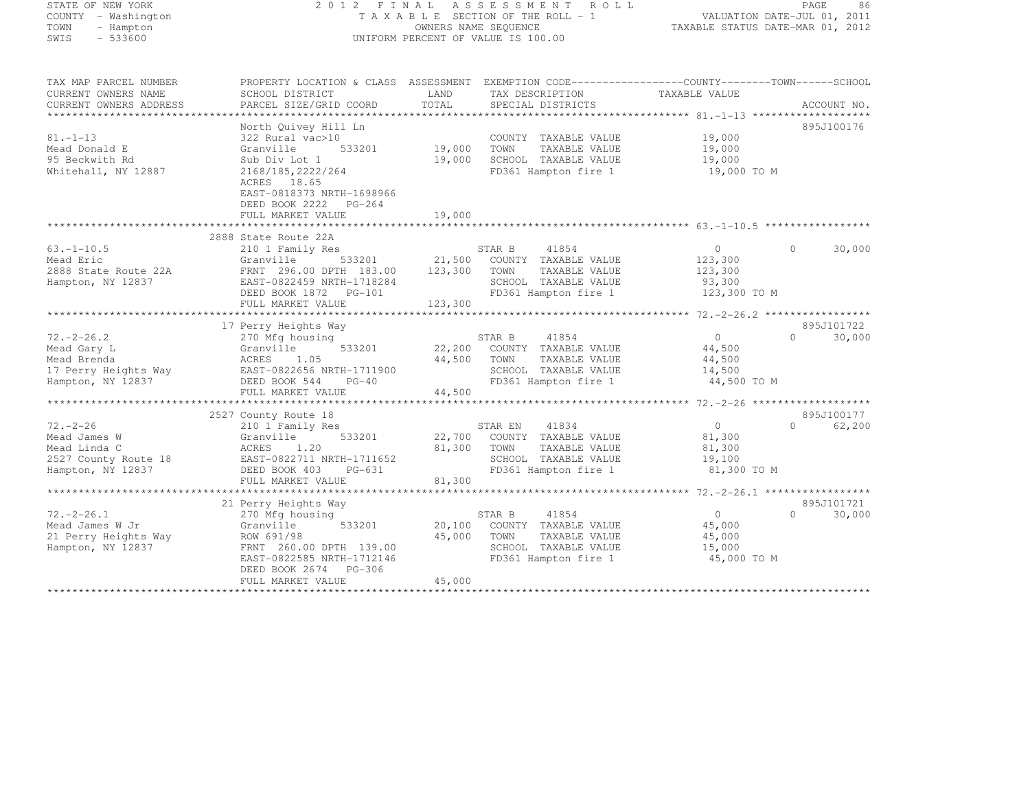# STATE OF NEW YORK 2 0 1 2 F I N A L A S S E S S M E N T R O L L PAGE <sup>86</sup> COUNTY - Washington T A X A B L E SECTION OF THE ROLL - 1 VALUATION DATE-JUL 01, 2011 TOWN - Hampton OWNERS NAME SEQUENCE TAXABLE STATUS DATE-MAR 01, 2012 SWIS - 533600 UNIFORM PERCENT OF VALUE IS 100.00

| TAX MAP PARCEL NUMBER<br>CURRENT OWNERS NAME<br>CURRENT OWNERS ADDRESS                      | PROPERTY LOCATION & CLASS ASSESSMENT EXEMPTION CODE----------------COUNTY-------TOWN-----SCHOOL<br>SCHOOL DISTRICT<br>PARCEL SIZE/GRID COORD                                                     | LAND<br>TOTAL                | TAX DESCRIPTION<br>SPECIAL DISTRICTS                                                                                     | TAXABLE VALUE                                               | ACCOUNT NO.                      |
|---------------------------------------------------------------------------------------------|--------------------------------------------------------------------------------------------------------------------------------------------------------------------------------------------------|------------------------------|--------------------------------------------------------------------------------------------------------------------------|-------------------------------------------------------------|----------------------------------|
| $81. - 1 - 13$<br>Mead Donald E<br>95 Beckwith Rd<br>Whitehall, NY 12887                    | North Quivey Hill Ln<br>322 Rural vac>10<br>Granville<br>533201<br>Sub Div Lot 1<br>2168/185, 2222/264<br>ACRES 18.65<br>EAST-0818373 NRTH-1698966<br>DEED BOOK 2222 PG-264<br>FULL MARKET VALUE | 19,000<br>19,000<br>19,000   | COUNTY TAXABLE VALUE<br>TOWN<br>TAXABLE VALUE<br>SCHOOL TAXABLE VALUE<br>FD361 Hampton fire 1                            | 19,000<br>19,000<br>19,000<br>19,000 TO M                   | 895J100176                       |
|                                                                                             | 2888 State Route 22A                                                                                                                                                                             |                              |                                                                                                                          |                                                             |                                  |
| $63. - 1 - 10.5$<br>Mead Eric<br>2888 State Route 22A<br>Hampton, NY 12837                  | 210 1 Family Res<br>Granville<br>533201<br>FRNT 296.00 DPTH 183.00<br>EAST-0822459 NRTH-1718284<br>DEED BOOK 1872 PG-101<br>FULL MARKET VALUE                                                    | 21,500<br>123,300<br>123,300 | STAR B<br>41854<br>COUNTY TAXABLE VALUE<br>TOWN<br>TAXABLE VALUE<br>SCHOOL TAXABLE VALUE<br>FD361 Hampton fire 1         | $\circ$<br>123,300<br>123,300<br>93,300<br>123,300 TO M     | 30,000<br>$\Omega$               |
|                                                                                             | 17 Perry Heights Way                                                                                                                                                                             |                              |                                                                                                                          |                                                             | 895J101722                       |
| $72. - 2 - 26.2$<br>Mead Gary L<br>Mead Brenda<br>17 Perry Heights Way<br>Hampton, NY 12837 | 270 Mfg housing<br>Granville<br>533201<br>1.05<br>ACRES<br>EAST-0822656 NRTH-1711900<br>DEED BOOK 544<br>$PG-40$<br>FULL MARKET VALUE                                                            | 44,500<br>44,500             | STAR B<br>41854<br>22,200 COUNTY TAXABLE VALUE<br>TOWN<br>TAXABLE VALUE<br>SCHOOL TAXABLE VALUE<br>FD361 Hampton fire 1  | $\overline{0}$<br>44,500<br>44,500<br>14,500<br>44,500 TO M | $\bigcap$<br>30,000              |
|                                                                                             | 2527 County Route 18                                                                                                                                                                             |                              |                                                                                                                          |                                                             | 895J100177                       |
| $72. - 2 - 26$<br>Mead James W<br>Mead Linda C<br>2527 County Route 18<br>Hampton, NY 12837 | 210 1 Family Res<br>Granville<br>533201<br>ACRES<br>1.20<br>EAST-0822711 NRTH-1711652<br>DEED BOOK 403<br>PG-631<br>FULL MARKET VALUE                                                            | 81,300<br>81,300             | STAR EN<br>41834<br>22,700 COUNTY TAXABLE VALUE<br>TAXABLE VALUE<br>TOWN<br>SCHOOL TAXABLE VALUE<br>FD361 Hampton fire 1 | $\bigcirc$<br>81,300<br>81,300<br>19,100<br>81,300 TO M     | $\bigcap$<br>62,200              |
|                                                                                             |                                                                                                                                                                                                  |                              |                                                                                                                          |                                                             |                                  |
| $72. -2 - 26.1$<br>Mead James W Jr<br>21 Perry Heights Way<br>Hampton, NY 12837             | 21 Perry Heights Way<br>270 Mfg housing<br>Granville<br>533201<br>ROW 691/98<br>FRNT 260.00 DPTH 139.00<br>EAST-0822585 NRTH-1712146<br>DEED BOOK 2674 PG-306<br>FULL MARKET VALUE               | 20,100<br>45,000<br>45,000   | STAR B<br>41854<br>COUNTY TAXABLE VALUE<br>TAXABLE VALUE<br>TOWN<br>SCHOOL TAXABLE VALUE<br>FD361 Hampton fire 1         | $\overline{0}$<br>45,000<br>45,000<br>15,000<br>45,000 TO M | 895J101721<br>30,000<br>$\Omega$ |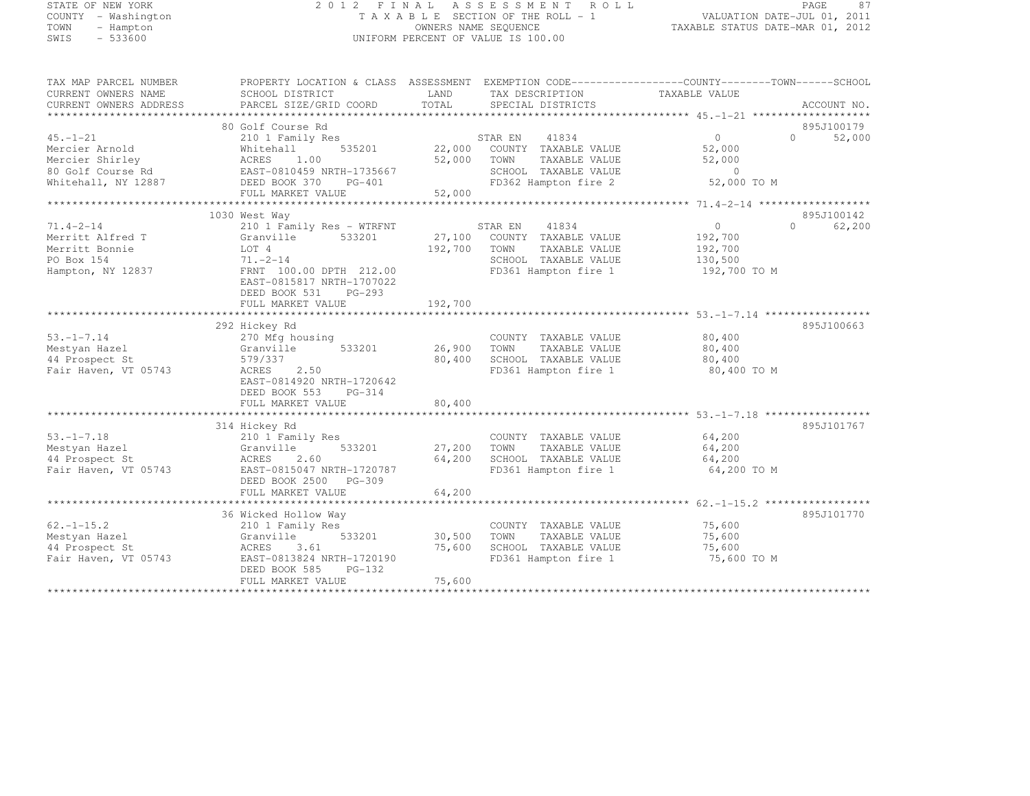# STATE OF NEW YORK 2 0 1 2 F I N A L A S S E S S M E N T R O L L PAGE <sup>87</sup> COUNTY - Washington T A X A B L E SECTION OF THE ROLL - 1 VALUATION DATE-JUL 01, 2011 TOWN - Hampton OWNERS NAME SEQUENCE TAXABLE STATUS DATE-MAR 01, 2012 SWIS - 533600 UNIFORM PERCENT OF VALUE IS 100.00

| TAX MAP PARCEL NUMBER<br>CURRENT OWNERS NAME<br>CURRENT OWNERS ADDRESS                          | SCHOOL DISTRICT<br>PARCEL SIZE/GRID COORD                                                                                                                                                              | PROPERTY LOCATION & CLASS ASSESSMENT EXEMPTION CODE---------------COUNTY-------TOWN-----SCHOOL<br>LAND<br>TAX DESCRIPTION<br>TOTAL<br>SPECIAL DISTRICTS | TAXABLE VALUE<br>ACCOUNT NO.                                                                          |
|-------------------------------------------------------------------------------------------------|--------------------------------------------------------------------------------------------------------------------------------------------------------------------------------------------------------|---------------------------------------------------------------------------------------------------------------------------------------------------------|-------------------------------------------------------------------------------------------------------|
| $45. - 1 - 21$<br>Mercier Arnold<br>Mercier Shirley<br>80 Golf Course Rd<br>Whitehall, NY 12887 | 80 Golf Course Rd<br>210 1 Family Res<br>535201<br>Whitehall<br>1.00<br>ACRES<br>EAST-0810459 NRTH-1735667<br>DEED BOOK 370 PG-401<br>FULL MARKET VALUE                                                | 41834<br>STAR EN<br>22,000 COUNTY TAXABLE VALUE<br>52,000 TOWN<br>TAXABLE VALUE<br>SCHOOL TAXABLE VALUE<br>FD362 Hampton fire 2<br>52,000               | 895J100179<br>$\overline{0}$<br>$\cap$<br>52,000<br>52,000<br>52,000<br>$\overline{0}$<br>52,000 TO M |
| $71.4 - 2 - 14$<br>Merritt Alfred T<br>Merritt Bonnie<br>PO Box 154<br>Hampton, NY 12837        | 1030 West Way<br>210 1 Family Res - WTRFNT<br>Granville<br>533201<br>LOT 4<br>$71. - 2 - 14$<br>FRNT 100.00 DPTH 212.00<br>EAST-0815817 NRTH-1707022<br>$PG-293$<br>DEED BOOK 531<br>FULL MARKET VALUE | 41834<br>STAR EN<br>27,100 COUNTY TAXABLE VALUE<br>192,700<br>TOWN<br>TAXABLE VALUE<br>SCHOOL TAXABLE VALUE<br>FD361 Hampton fire 1<br>192,700          | 895J100142<br>$\circ$<br>$\Omega$<br>62,200<br>192,700<br>192,700<br>130,500<br>192,700 TO M          |
| $53. - 1 - 7.14$<br>Mestyan Hazel<br>44 Prospect St<br>Fair Haven, VT 05743                     | 292 Hickey Rd<br>270 Mfg housing<br>533201<br>Granville<br>579/337<br>2.50<br>ACRES<br>EAST-0814920 NRTH-1720642<br>DEED BOOK 553 PG-314<br>FULL MARKET VALUE                                          | COUNTY TAXABLE VALUE<br>26,900<br>TOWN<br>TAXABLE VALUE<br>80,400<br>SCHOOL TAXABLE VALUE<br>FD361 Hampton fire 1<br>80,400                             | 895J100663<br>80,400<br>80,400<br>80,400<br>80,400 TO M                                               |
| $53. - 1 - 7.18$<br>Mestyan Hazel<br>44 Prospect St<br>Fair Haven, VT 05743                     | 314 Hickey Rd<br>210 1 Family Res<br>Granville<br>533201<br>ACRES<br>2.60<br>EAST-0815047 NRTH-1720787<br>DEED BOOK 2500 PG-309<br>FULL MARKET VALUE                                                   | COUNTY TAXABLE VALUE<br>27,200 TOWN<br>TAXABLE VALUE<br>64,200<br>SCHOOL TAXABLE VALUE<br>FD361 Hampton fire 1<br>64,200                                | 895J101767<br>64,200<br>64,200<br>64,200<br>64,200 TO M                                               |
| $62, -1 - 15, 2$<br>Mestyan Hazel<br>44 Prospect St<br>Fair Haven, VT 05743                     | 36 Wicked Hollow Way<br>210 1 Family Res<br>533201<br>Granville<br>ACRES<br>3.61<br>EAST-0813824 NRTH-1720190<br>DEED BOOK 585<br>PG-132<br>FULL MARKET VALUE                                          | COUNTY TAXABLE VALUE<br>30,500<br>TOWN<br>TAXABLE VALUE<br>75,600<br>SCHOOL TAXABLE VALUE<br>FD361 Hampton fire 1<br>75,600                             | 895J101770<br>75,600<br>75,600<br>75,600<br>75,600 TO M                                               |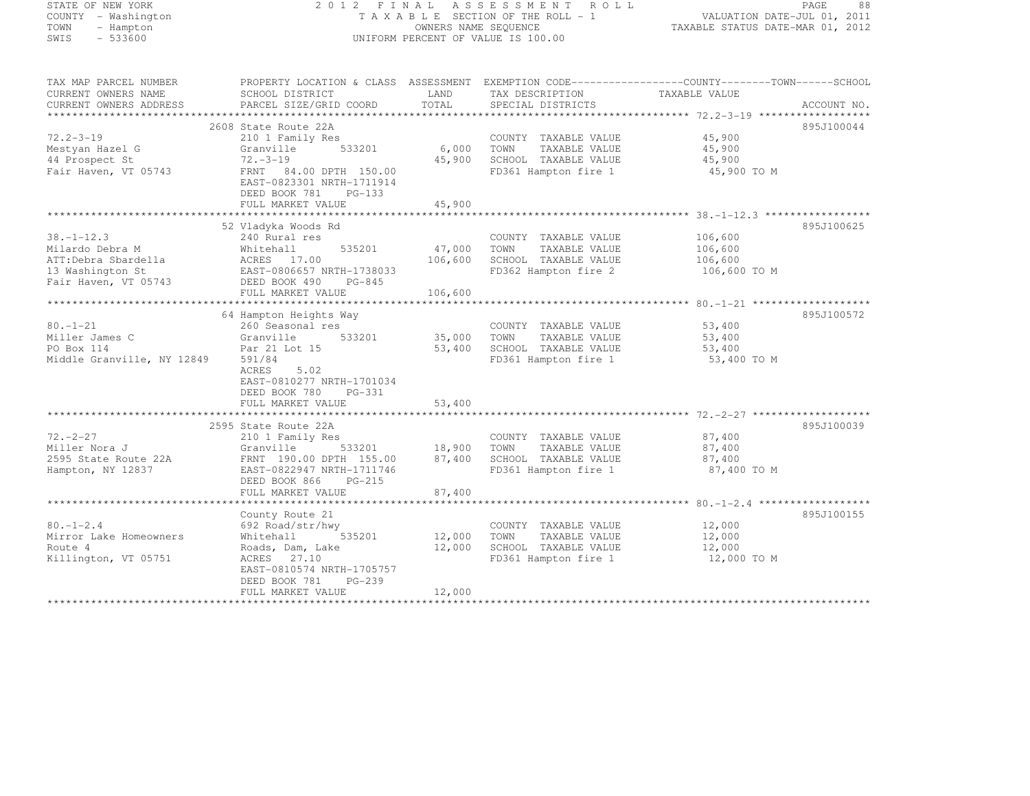#### STATE OF NEW YORK 2 0 1 2 F I N A L A S S E S S M E N T R O L L PAGE <sup>88</sup> COUNTY - Washington T A X A B L E SECTION OF THE ROLL - 1 VALUATION DATE-JUL 01, 2011 TOWN - Hampton OWNERS NAME SEQUENCE TAXABLE STATUS DATE-MAR 01, 2012 SWIS - 533600 UNIFORM PERCENT OF VALUE IS 100.00

TAX MAP PARCEL NUMBER PROPERTY LOCATION & CLASS ASSESSMENT EXEMPTION CODE------------------COUNTY--------TOWN------SCHOOL

| CURRENT OWNERS NAME                      | SCHOOL DISTRICT           | LAND    | TAX DESCRIPTION       | TAXABLE VALUE           |             |
|------------------------------------------|---------------------------|---------|-----------------------|-------------------------|-------------|
| CURRENT OWNERS ADDRESS                   | PARCEL SIZE/GRID COORD    | TOTAL   | SPECIAL DISTRICTS     |                         | ACCOUNT NO. |
|                                          |                           |         |                       |                         |             |
|                                          | 2608 State Route 22A      |         |                       |                         | 895J100044  |
| $72.2 - 3 - 19$                          | 210 1 Family Res          |         | COUNTY TAXABLE VALUE  | 45,900                  |             |
| Mestyan Hazel G                          | 533201<br>Granville       | 6,000   | TOWN<br>TAXABLE VALUE | 45,900                  |             |
| 44 Prospect St                           | $72 - 3 - 19$             | 45,900  | SCHOOL TAXABLE VALUE  | 45,900                  |             |
| Fair Haven, VT 05743                     | FRNT 84.00 DPTH 150.00    |         | FD361 Hampton fire 1  | 45,900 TO M             |             |
|                                          | EAST-0823301 NRTH-1711914 |         |                       |                         |             |
|                                          | DEED BOOK 781<br>PG-133   |         |                       |                         |             |
|                                          | FULL MARKET VALUE         | 45,900  |                       |                         |             |
|                                          | 52 Vladyka Woods Rd       |         |                       |                         | 895J100625  |
| $38. - 1 - 12.3$                         | 240 Rural res             |         | COUNTY TAXABLE VALUE  | 106,600                 |             |
| Milardo Debra M                          | Whitehall<br>535201       | 47,000  | TAXABLE VALUE<br>TOWN | 106,600                 |             |
|                                          | ACRES 17.00               | 106,600 | SCHOOL TAXABLE VALUE  |                         |             |
| ATT:Debra Sbardella                      | EAST-0806657 NRTH-1738033 |         | FD362 Hampton fire 2  | 106,600<br>106,600 TO M |             |
| 13 Washington St<br>Fair Haven, VT 05743 | DEED BOOK 490<br>PG-845   |         |                       |                         |             |
|                                          | FULL MARKET VALUE         | 106,600 |                       |                         |             |
|                                          |                           |         |                       |                         |             |
|                                          | 64 Hampton Heights Way    |         |                       |                         | 895J100572  |
| $80. - 1 - 21$                           | 260 Seasonal res          |         | COUNTY TAXABLE VALUE  | 53,400                  |             |
| Miller James C                           | Granville<br>533201       | 35,000  | TOWN<br>TAXABLE VALUE | 53,400                  |             |
| PO Box 114                               | Par 21 Lot 15             | 53,400  | SCHOOL TAXABLE VALUE  | 53,400                  |             |
| Middle Granville, NY 12849               | 591/84                    |         | FD361 Hampton fire 1  | 53,400 TO M             |             |
|                                          | ACRES<br>5.02             |         |                       |                         |             |
|                                          | EAST-0810277 NRTH-1701034 |         |                       |                         |             |
|                                          | DEED BOOK 780<br>PG-331   |         |                       |                         |             |
|                                          | FULL MARKET VALUE         | 53,400  |                       |                         |             |
|                                          |                           |         |                       |                         |             |
|                                          | 2595 State Route 22A      |         |                       |                         | 895J100039  |
| $72. - 2 - 27$                           | 210 1 Family Res          |         | COUNTY TAXABLE VALUE  | 87,400                  |             |
| Miller Nora J                            | 533201<br>Granville       | 18,900  | TOWN<br>TAXABLE VALUE | 87,400                  |             |
| 2595 State Route 22A                     | FRNT 190.00 DPTH 155.00   | 87,400  | SCHOOL TAXABLE VALUE  | 87,400                  |             |
| Hampton, NY 12837                        | EAST-0822947 NRTH-1711746 |         | FD361 Hampton fire 1  | 87,400 TO M             |             |
|                                          | DEED BOOK 866<br>PG-215   |         |                       |                         |             |
|                                          | FULL MARKET VALUE         | 87,400  |                       |                         |             |
|                                          |                           |         |                       |                         |             |
|                                          | County Route 21           |         |                       |                         | 895J100155  |
| $80. - 1 - 2.4$                          | 692 Road/str/hwy          |         | COUNTY TAXABLE VALUE  | 12,000                  |             |
| Mirror Lake Homeowners                   | Whitehall<br>535201       | 12,000  | TOWN<br>TAXABLE VALUE | 12,000                  |             |
| Route 4                                  | Roads, Dam, Lake          | 12,000  | SCHOOL TAXABLE VALUE  | 12,000                  |             |
| Killington, VT 05751                     | ACRES 27.10               |         | FD361 Hampton fire 1  | 12,000 TO M             |             |
|                                          | EAST-0810574 NRTH-1705757 |         |                       |                         |             |
|                                          | DEED BOOK 781<br>$PG-239$ |         |                       |                         |             |
|                                          | FULL MARKET VALUE         | 12,000  |                       |                         |             |
|                                          |                           |         |                       |                         |             |
|                                          |                           |         |                       |                         |             |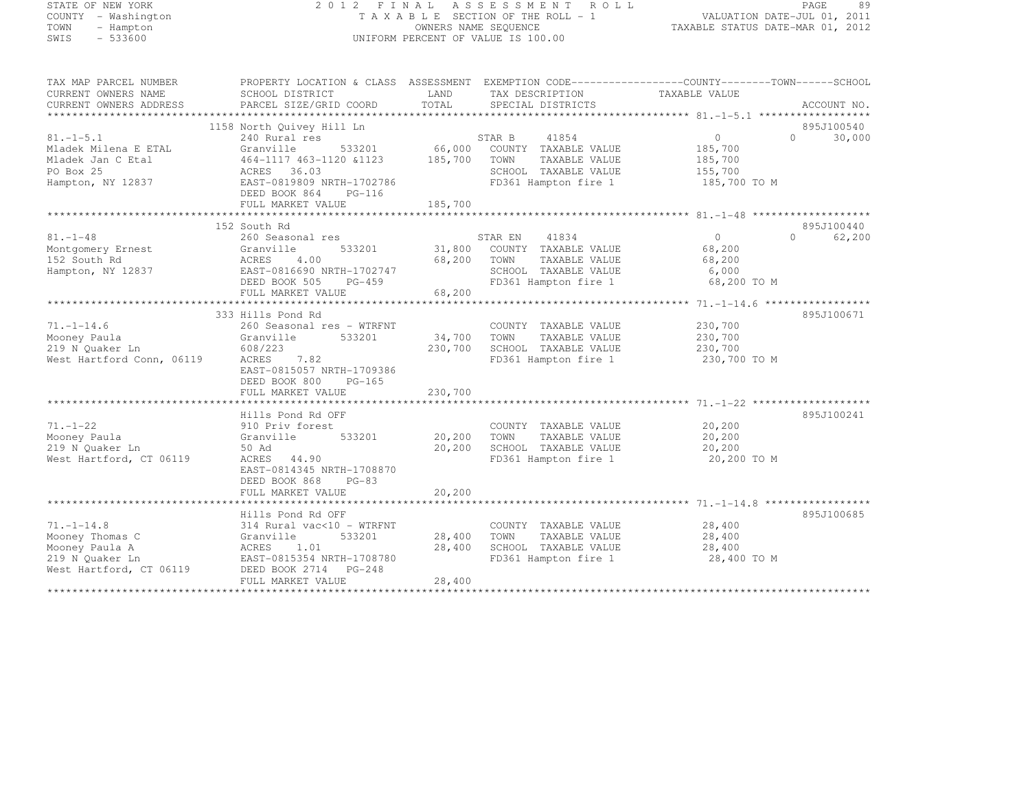# STATE OF NEW YORK 2 0 1 2 F I N A L A S S E S S M E N T R O L L PAGE <sup>89</sup> COUNTY - Washington T A X A B L E SECTION OF THE ROLL - 1 VALUATION DATE-JUL 01, 2011 TOWN - Hampton OWNERS NAME SEQUENCE TAXABLE STATUS DATE-MAR 01, 2012 SWIS - 533600 UNIFORM PERCENT OF VALUE IS 100.00

| TAX MAP PARCEL NUMBER<br>CURRENT OWNERS NAME | PROPERTY LOCATION & CLASS ASSESSMENT<br>SCHOOL DISTRICT | LAND                   | TAX DESCRIPTION             | TAXABLE VALUE |                    |
|----------------------------------------------|---------------------------------------------------------|------------------------|-----------------------------|---------------|--------------------|
| CURRENT OWNERS ADDRESS                       | PARCEL SIZE/GRID COORD                                  | TOTAL.                 | SPECIAL DISTRICTS           |               | ACCOUNT NO.        |
|                                              |                                                         |                        |                             |               |                    |
|                                              | 1158 North Quivey Hill Ln                               |                        |                             |               | 895J100540         |
| $81, -1 - 5, 1$                              | 240 Rural res                                           |                        | STAR B<br>41854             | $\circ$       | $\Omega$<br>30,000 |
| Mladek Milena E ETAL                         | 533201<br>Granville                                     |                        | 66,000 COUNTY TAXABLE VALUE | 185,700       |                    |
| Mladek Jan C Etal                            | 464-1117 463-1120 &1123                                 | 185,700                | TOWN<br>TAXABLE VALUE       | 185,700       |                    |
| PO Box 25                                    | ACRES<br>36.03                                          |                        | SCHOOL TAXABLE VALUE        | 155,700       |                    |
| Hampton, NY 12837                            | EAST-0819809 NRTH-1702786                               |                        | FD361 Hampton fire 1        | 185,700 TO M  |                    |
|                                              | DEED BOOK 864<br>$PG-116$                               |                        |                             |               |                    |
|                                              | FULL MARKET VALUE                                       | 185,700                |                             |               |                    |
|                                              |                                                         |                        |                             |               |                    |
|                                              | 152 South Rd                                            |                        |                             |               | 895J100440         |
| $81. - 1 - 48$                               | 260 Seasonal res                                        |                        | STAR EN<br>41834            | 0             | 62,200<br>$\Omega$ |
| Montgomery Ernest                            | 533201<br>Granville                                     | 31,800                 | COUNTY TAXABLE VALUE        | 68,200        |                    |
| 152 South Rd                                 | 4.00<br>ACRES                                           | 68,200                 | TAXABLE VALUE<br>TOWN       | 68,200        |                    |
| Hampton, NY 12837                            | EAST-0816690 NRTH-1702747                               |                        | SCHOOL TAXABLE VALUE        | 6,000         |                    |
|                                              | DEED BOOK 505<br>$PG-459$                               |                        | FD361 Hampton fire 1        | 68,200 TO M   |                    |
|                                              | FULL MARKET VALUE                                       | 68,200                 |                             |               |                    |
|                                              |                                                         |                        |                             |               |                    |
|                                              | 333 Hills Pond Rd                                       |                        |                             |               | 895J100671         |
| $71, -1 - 14.6$                              | 260 Seasonal res - WTRFNT                               |                        | COUNTY TAXABLE VALUE        | 230,700       |                    |
| Mooney Paula                                 | 533201<br>Granville                                     | 34,700                 | TOWN<br>TAXABLE VALUE       | 230,700       |                    |
| 219 N Ouaker Ln                              | 608/223                                                 | 230,700                | SCHOOL TAXABLE VALUE        | 230,700       |                    |
| West Hartford Conn, 06119                    | 7.82<br>ACRES                                           |                        | FD361 Hampton fire 1        | 230,700 TO M  |                    |
|                                              | EAST-0815057 NRTH-1709386                               |                        |                             |               |                    |
|                                              | DEED BOOK 800<br>$PG-165$                               |                        |                             |               |                    |
|                                              | FULL MARKET VALUE                                       | 230,700<br>*********** |                             |               |                    |
|                                              | ****************************                            |                        |                             |               |                    |
|                                              | Hills Pond Rd OFF                                       |                        |                             |               | 895J100241         |
| $71. - 1 - 22$                               | 910 Priv forest                                         |                        | COUNTY TAXABLE VALUE        | 20,200        |                    |
| Mooney Paula                                 | 533201<br>Granville                                     | 20,200                 | TOWN<br>TAXABLE VALUE       | 20,200        |                    |
| 219 N Quaker Ln                              | 50 Ad                                                   | 20, 200                | SCHOOL TAXABLE VALUE        | 20,200        |                    |
| West Hartford, CT 06119                      | ACRES<br>44.90                                          |                        | FD361 Hampton fire 1        | 20,200 TO M   |                    |
|                                              | EAST-0814345 NRTH-1708870                               |                        |                             |               |                    |
|                                              | DEED BOOK 868<br>$PG-83$                                | 20,200                 |                             |               |                    |
|                                              | FULL MARKET VALUE<br>*******************************    |                        |                             |               |                    |
|                                              | Hills Pond Rd OFF                                       |                        |                             |               | 895J100685         |
| $71, -1 - 14.8$                              | 314 Rural vac<10 - WTRFNT                               |                        | COUNTY TAXABLE VALUE        | 28,400        |                    |
| Mooney Thomas C                              | Granville<br>533201                                     | 28,400                 | TOWN<br>TAXABLE VALUE       | 28,400        |                    |
| Mooney Paula A                               | ACRES<br>1.01                                           | 28,400                 | SCHOOL TAXABLE VALUE        | 28,400        |                    |
| 219 N Quaker Ln                              | EAST-0815354 NRTH-1708780                               |                        | FD361 Hampton fire 1        | 28,400 TO M   |                    |
| West Hartford, CT 06119                      | DEED BOOK 2714 PG-248                                   |                        |                             |               |                    |
|                                              | FULL MARKET VALUE                                       | 28,400                 |                             |               |                    |
| *****************                            |                                                         |                        |                             |               |                    |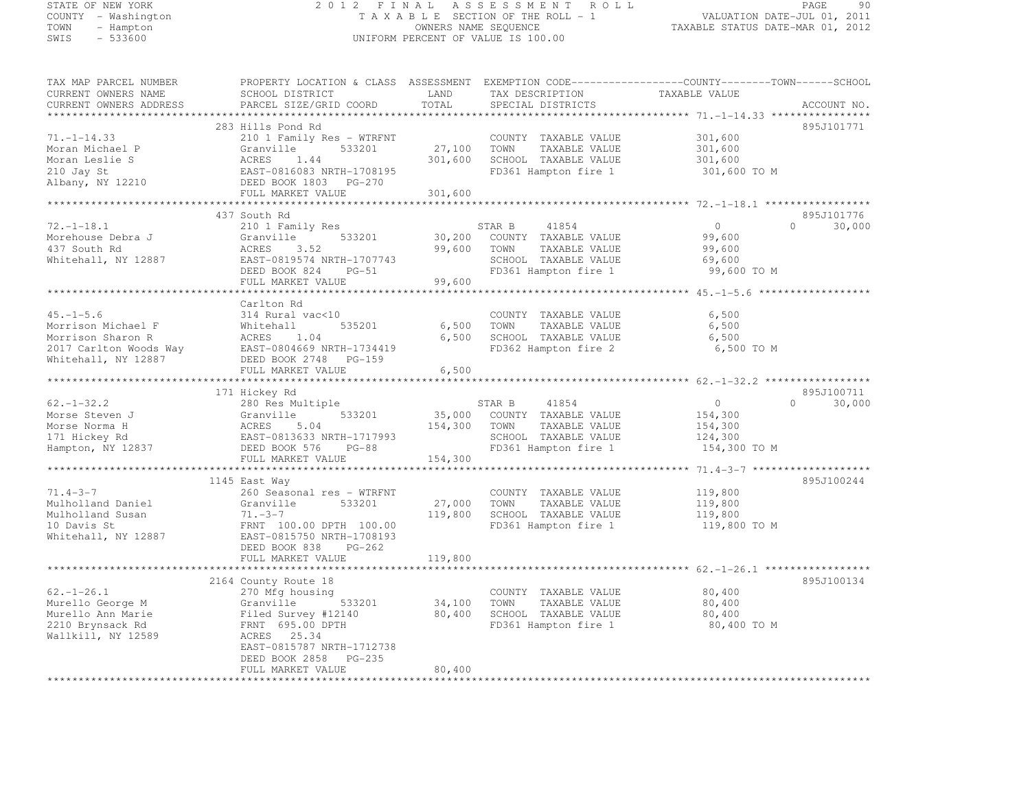# STATE OF NEW YORK 2 0 1 2 F I N A L A S S E S S M E N T R O L L PAGE <sup>90</sup> COUNTY - Washington T A X A B L E SECTION OF THE ROLL - 1 VALUATION DATE-JUL 01, 2011 TOWN - Hampton OWNERS NAME SEQUENCE TAXABLE STATUS DATE-MAR 01, 2012 SWIS - 533600 UNIFORM PERCENT OF VALUE IS 100.00

TAX MAP PARCEL NUMBER PROPERTY LOCATION & CLASS ASSESSMENT EXEMPTION CODE------------------COUNTY--------TOWN------SCHOOL CURRENT OWNERS NAME SCHOOL DISTRICT LAND TAX DESCRIPTION TAXABLE VALUE<br>CURRENT OWNERS ADDRESS PARCEL SIZE/GRID COORD TOTAL SPECIAL DISTRICTS ACCOUNT NO. \*\*\*\*\*\*\*\*\*\*\*\*\*\*\*\*\*\*\*\*\*\*\*\*\*\*\*\*\*\*\*\*\*\*\*\*\*\*\*\*\*\*\*\*\*\*\*\*\*\*\*\*\*\*\*\*\*\*\*\*\*\*\*\*\*\*\*\*\*\*\*\*\*\*\*\*\*\*\*\*\*\*\*\*\*\*\*\*\*\*\*\*\*\*\*\*\*\*\*\*\*\*\* 71.-1-14.33 \*\*\*\*\*\*\*\*\*\*\*\*\*\*\*\* 283 Hills Pond Rd 895J101771 71.-1-14.33 210 1 Family Res - WTRFNT COUNTY TAXABLE VALUE 301,600 Moran Michael P Granville 533201 27,100 TOWN TAXABLE VALUE 301,600 Moran Leslie S ACRES 1.44 301,600 SCHOOL TAXABLE VALUE 301,600 210 Jay St EAST-0816083 NRTH-1708195 FD361 Hampton fire 1 301,600 TO M Albany, NY 12210 DEED BOOK 1803 PG-270 FULL MARKET VALUE 301,600 \*\*\*\*\*\*\*\*\*\*\*\*\*\*\*\*\*\*\*\*\*\*\*\*\*\*\*\*\*\*\*\*\*\*\*\*\*\*\*\*\*\*\*\*\*\*\*\*\*\*\*\*\*\*\*\*\*\*\*\*\*\*\*\*\*\*\*\*\*\*\*\*\*\*\*\*\*\*\*\*\*\*\*\*\*\*\*\*\*\*\*\*\*\*\*\*\*\*\*\*\*\*\* 72.-1-18.1 \*\*\*\*\*\*\*\*\*\*\*\*\*\*\*\*\* 437 South Rd<br>210 1 Family Res 30,000 STAR B 41854 0 30,000 30,000<br>210 1 Family Res STAR 20,000 SCHEMEN TIMES 19,000 SOLO 2000 STAR B 41854 0 30,000 Morehouse Debra J Granville 533201 30,200 COUNTY TAXABLE VALUE 99,600 437 South Rd ACRES 3.52 99,600 TOWN TAXABLE VALUE 99,600 Whitehall, NY 12887 EAST-0819574 NRTH-1707743 SCHOOL TAXABLE VALUE 69,600 DEED BOOK 824 PG-51 FD361 Hampton fire 1 99,600 TO M FULL MARKET VALUE 99,600 \*\*\*\*\*\*\*\*\*\*\*\*\*\*\*\*\*\*\*\*\*\*\*\*\*\*\*\*\*\*\*\*\*\*\*\*\*\*\*\*\*\*\*\*\*\*\*\*\*\*\*\*\*\*\*\*\*\*\*\*\*\*\*\*\*\*\*\*\*\*\*\*\*\*\*\*\*\*\*\*\*\*\*\*\*\*\*\*\*\*\*\*\*\*\*\*\*\*\*\*\*\*\* 45.-1-5.6 \*\*\*\*\*\*\*\*\*\*\*\*\*\*\*\*\*\* Carlton Rd 45.-1-5.6 314 Rural vac<10 COUNTY TAXABLE VALUE 6,500 Morrison Michael F Whitehall 535201 6,500 TOWN TAXABLE VALUE 6,500 Morrison Sharon R ACRES 1.04 6,500 SCHOOL TAXABLE VALUE 6,500 2017 Carlton Woods Way EAST-0804669 NRTH-1734419 FD362 Hampton fire 2 6,500 TO M Whitehall, NY 12887 DEED BOOK 2748 PG-159 FULL MARKET VALUE 6,500 \*\*\*\*\*\*\*\*\*\*\*\*\*\*\*\*\*\*\*\*\*\*\*\*\*\*\*\*\*\*\*\*\*\*\*\*\*\*\*\*\*\*\*\*\*\*\*\*\*\*\*\*\*\*\*\*\*\*\*\*\*\*\*\*\*\*\*\*\*\*\*\*\*\*\*\*\*\*\*\*\*\*\*\*\*\*\*\*\*\*\*\*\*\*\*\*\*\*\*\*\*\*\* 62.-1-32.2 \*\*\*\*\*\*\*\*\*\*\*\*\*\*\*\*\* 171 Hickey Rd 895J100711 62.-1-32.2 280 Res Multiple STAR B <sup>41854</sup> <sup>0</sup> 0 30,000 Morse Steven J Granville 533201 35,000 COUNTY TAXABLE VALUE 154,300 Morse Norma H ACRES 5.04 154,300 TOWN TAXABLE VALUE 154,300 171 Hickey Rd EAST-0813633 NRTH-1717993 SCHOOL TAXABLE VALUE 124,300 Hampton, NY 12837 DEED BOOK 576 PG-88 FD361 Hampton fire 1 154,300 TO M FULL MARKET VALUE 154,300 \*\*\*\*\*\*\*\*\*\*\*\*\*\*\*\*\*\*\*\*\*\*\*\*\*\*\*\*\*\*\*\*\*\*\*\*\*\*\*\*\*\*\*\*\*\*\*\*\*\*\*\*\*\*\*\*\*\*\*\*\*\*\*\*\*\*\*\*\*\*\*\*\*\*\*\*\*\*\*\*\*\*\*\*\*\*\*\*\*\*\*\*\*\*\*\*\*\*\*\*\*\*\* 71.4-3-7 \*\*\*\*\*\*\*\*\*\*\*\*\*\*\*\*\*\*\*895J100244 1145 East Way 895J10024471.4-3-7 260 Seasonal res - WTRFNT COUNTY TAXABLE VALUE 119,800 Mulholland Daniel Granville 533201 27,000 TOWN TAXABLE VALUE 119,800 Mulholland Susan 71.-3-7 119,800 SCHOOL TAXABLE VALUE 119,800 10 Davis St FRNT 100.00 DPTH 100.00 FD361 Hampton fire 1 119,800 TO M Whitehall, NY 12887 EAST-0815750 NRTH-1708193 DEED BOOK 838 PG-262 FULL MARKET VALUE 119,800 \*\*\*\*\*\*\*\*\*\*\*\*\*\*\*\*\*\*\*\*\*\*\*\*\*\*\*\*\*\*\*\*\*\*\*\*\*\*\*\*\*\*\*\*\*\*\*\*\*\*\*\*\*\*\*\*\*\*\*\*\*\*\*\*\*\*\*\*\*\*\*\*\*\*\*\*\*\*\*\*\*\*\*\*\*\*\*\*\*\*\*\*\*\*\*\*\*\*\*\*\*\*\* 62.-1-26.1 \*\*\*\*\*\*\*\*\*\*\*\*\*\*\*\*\*895J100134 2164 County Route 18 895J10013462.-1-26.1 270 Mfg housing COUNTY TAXABLE VALUE 80,400 Murello George M Granville 533201 34,100 TOWN TAXABLE VALUE 80,400 Murello Ann Marie Filed Survey #12140 80,400 SCHOOL TAXABLE VALUE 80,400 2210 Brynsack Rd FRNT 695.00 DPTH FD361 Hampton fire 1 80,400 TO M Wallkill, NY 12589 ACRES 25.34 EAST-0815787 NRTH-1712738 DEED BOOK 2858 PG-235 FULL MARKET VALUE 80,400 \*\*\*\*\*\*\*\*\*\*\*\*\*\*\*\*\*\*\*\*\*\*\*\*\*\*\*\*\*\*\*\*\*\*\*\*\*\*\*\*\*\*\*\*\*\*\*\*\*\*\*\*\*\*\*\*\*\*\*\*\*\*\*\*\*\*\*\*\*\*\*\*\*\*\*\*\*\*\*\*\*\*\*\*\*\*\*\*\*\*\*\*\*\*\*\*\*\*\*\*\*\*\*\*\*\*\*\*\*\*\*\*\*\*\*\*\*\*\*\*\*\*\*\*\*\*\*\*\*\*\*\*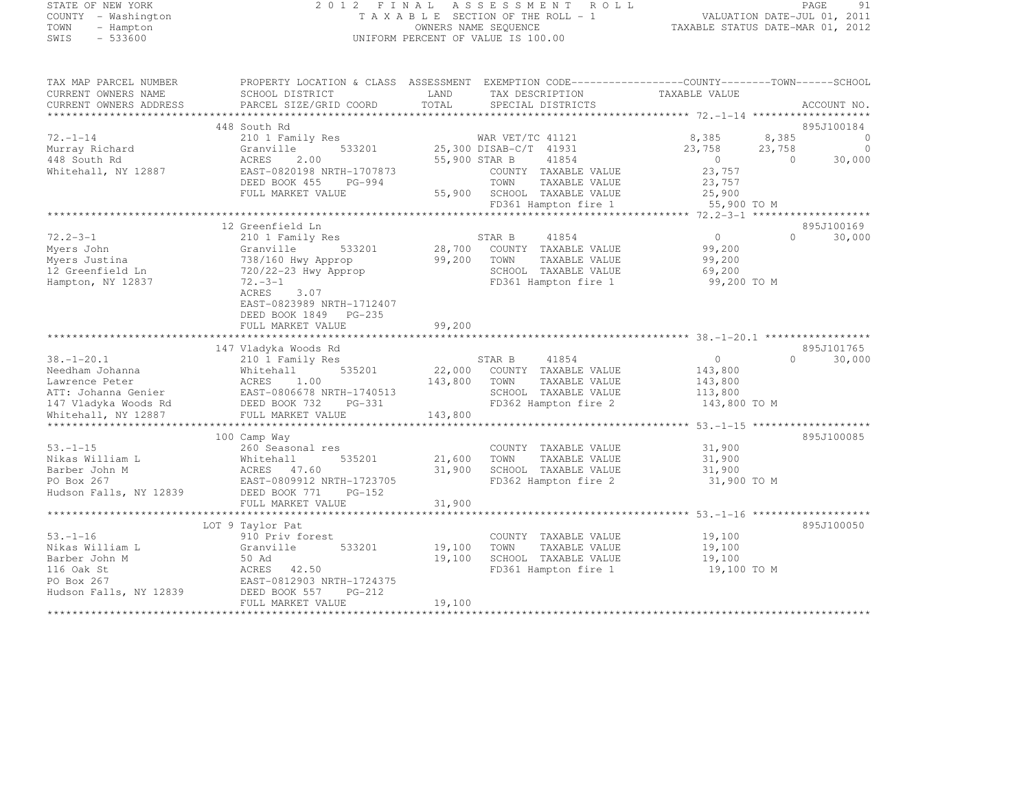## STATE OF NEW YORK 2 0 1 2 F I N A L A S S E S S M E N T R O L L PAGE <sup>91</sup> COUNTY - Washington T A X A B L E SECTION OF THE ROLL - 1 VALUATION DATE-JUL 01, 2011 TOWN - Hampton OWNERS NAME SEQUENCE TAXABLE STATUS DATE-MAR 01, 2012 SWIS - 533600 UNIFORM PERCENT OF VALUE IS 100.00

| TAX MAP PARCEL NUMBER<br>CURRENT OWNERS NAME<br>CURRENT OWNERS ADDRESS | PROPERTY LOCATION & CLASS ASSESSMENT EXEMPTION CODE----------------COUNTY-------TOWN------SCHOOL<br>SCHOOL DISTRICT<br>PARCEL SIZE/GRID COORD | LAND<br>TOTAL | TAX DESCRIPTION<br>SPECIAL DISTRICTS         | TAXABLE VALUE         |          | ACCOUNT NO.    |
|------------------------------------------------------------------------|-----------------------------------------------------------------------------------------------------------------------------------------------|---------------|----------------------------------------------|-----------------------|----------|----------------|
|                                                                        |                                                                                                                                               |               |                                              |                       |          |                |
|                                                                        | 448 South Rd                                                                                                                                  |               |                                              |                       |          | 895J100184     |
| $72. - 1 - 14$                                                         | 210 1 Family Res                                                                                                                              |               | WAR VET/TC 41121                             | 8,385                 | 8,385    | $\overline{0}$ |
| Murray Richard                                                         | 533201<br>Granville                                                                                                                           |               | 25,300 DISAB-C/T 41931                       | 23,758                | 23,758   | $\circ$        |
| 448 South Rd                                                           | ACRES<br>2.00                                                                                                                                 | 55,900 STAR B | 41854                                        | $\overline{0}$        | $\Omega$ | 30,000         |
| Whitehall, NY 12887                                                    | EAST-0820198 NRTH-1707873<br>DEED BOOK 455                                                                                                    |               | COUNTY TAXABLE VALUE<br>TOWN                 | 23,757<br>23,757      |          |                |
|                                                                        | PG-994<br>FULL MARKET VALUE                                                                                                                   |               | TAXABLE VALUE<br>55,900 SCHOOL TAXABLE VALUE |                       |          |                |
|                                                                        |                                                                                                                                               |               | FD361 Hampton fire 1                         | 25,900<br>55,900 TO M |          |                |
|                                                                        |                                                                                                                                               |               |                                              |                       |          |                |
|                                                                        | 12 Greenfield Ln                                                                                                                              |               |                                              |                       |          | 895J100169     |
| $72.2 - 3 - 1$                                                         | 210 1 Family Res                                                                                                                              |               | 41854<br>STAR B                              | $\overline{0}$        | $\Omega$ | 30,000         |
| Myers John                                                             | 533201<br>Granville                                                                                                                           | 28,700        | COUNTY TAXABLE VALUE                         | 99,200                |          |                |
| Myers Justina                                                          | 738/160 Hwy Approp                                                                                                                            | 99,200        | TOWN<br>TAXABLE VALUE                        | 99,200                |          |                |
| 12 Greenfield Ln                                                       | 720/22-23 Hwy Approp                                                                                                                          |               | SCHOOL TAXABLE VALUE                         | 69,200                |          |                |
| Hampton, NY 12837                                                      | $72. -3 - 1$                                                                                                                                  |               | FD361 Hampton fire 1                         | 99,200 TO M           |          |                |
|                                                                        | ACRES<br>3.07                                                                                                                                 |               |                                              |                       |          |                |
|                                                                        | EAST-0823989 NRTH-1712407                                                                                                                     |               |                                              |                       |          |                |
|                                                                        | DEED BOOK 1849 PG-235                                                                                                                         |               |                                              |                       |          |                |
|                                                                        | FULL MARKET VALUE                                                                                                                             | 99,200        |                                              |                       |          |                |
|                                                                        |                                                                                                                                               |               |                                              |                       |          |                |
|                                                                        | 147 Vladyka Woods Rd                                                                                                                          |               |                                              |                       |          | 895J101765     |
| $38. - 1 - 20.1$                                                       | 210 1 Family Res                                                                                                                              |               | 41854<br>STAR B                              | $\circ$               | $\Omega$ | 30,000         |
| Needham Johanna                                                        | Whitehall<br>535201                                                                                                                           | 22,000        | COUNTY TAXABLE VALUE                         | 143,800               |          |                |
| Lawrence Peter                                                         | ACRES<br>1.00                                                                                                                                 | 143,800       | TAXABLE VALUE<br>TOWN                        | 143,800               |          |                |
| ATT: Johanna Genier                                                    | EAST-0806678 NRTH-1740513                                                                                                                     |               | SCHOOL TAXABLE VALUE                         | 113,800               |          |                |
| 147 Vladyka Woods Rd                                                   | DEED BOOK 732<br>PG-331                                                                                                                       |               | FD362 Hampton fire 2                         | 143,800 TO M          |          |                |
| Whitehall, NY 12887                                                    | FULL MARKET VALUE                                                                                                                             | 143,800       |                                              |                       |          |                |
|                                                                        |                                                                                                                                               |               |                                              |                       |          |                |
|                                                                        | 100 Camp Way                                                                                                                                  |               |                                              |                       |          | 895J100085     |
| $53. - 1 - 15$                                                         | 260 Seasonal res                                                                                                                              |               | COUNTY TAXABLE VALUE                         | 31,900                |          |                |
| Nikas William L                                                        | 535201<br>Whitehall                                                                                                                           | 21,600        | TOWN<br>TAXABLE VALUE                        | 31,900                |          |                |
| Barber John M                                                          | ACRES 47.60                                                                                                                                   | 31,900        | SCHOOL TAXABLE VALUE                         | 31,900                |          |                |
| PO Box 267                                                             | EAST-0809912 NRTH-1723705                                                                                                                     |               | FD362 Hampton fire 2                         | 31,900 TO M           |          |                |
| Hudson Falls, NY 12839                                                 | DEED BOOK 771<br>$PG-152$<br>FULL MARKET VALUE                                                                                                | 31,900        |                                              |                       |          |                |
|                                                                        |                                                                                                                                               |               |                                              |                       |          |                |
|                                                                        | LOT 9 Taylor Pat                                                                                                                              |               |                                              |                       |          | 895J100050     |
| $53. - 1 - 16$                                                         | 910 Priv forest                                                                                                                               |               | COUNTY TAXABLE VALUE                         | 19,100                |          |                |
| Nikas William L                                                        | 533201<br>Granville                                                                                                                           | 19,100        | TOWN<br>TAXABLE VALUE                        | 19,100                |          |                |
| Barber John M                                                          | 50 Ad                                                                                                                                         | 19,100        | SCHOOL TAXABLE VALUE                         | 19,100                |          |                |
| 116 Oak St                                                             | ACRES<br>42.50                                                                                                                                |               | FD361 Hampton fire 1                         | 19,100 TO M           |          |                |
| PO Box 267                                                             | EAST-0812903 NRTH-1724375                                                                                                                     |               |                                              |                       |          |                |
| Hudson Falls, NY 12839                                                 | DEED BOOK 557<br>PG-212                                                                                                                       |               |                                              |                       |          |                |
|                                                                        | FULL MARKET VALUE                                                                                                                             | 19,100        |                                              |                       |          |                |
| ***********************                                                |                                                                                                                                               |               |                                              |                       |          |                |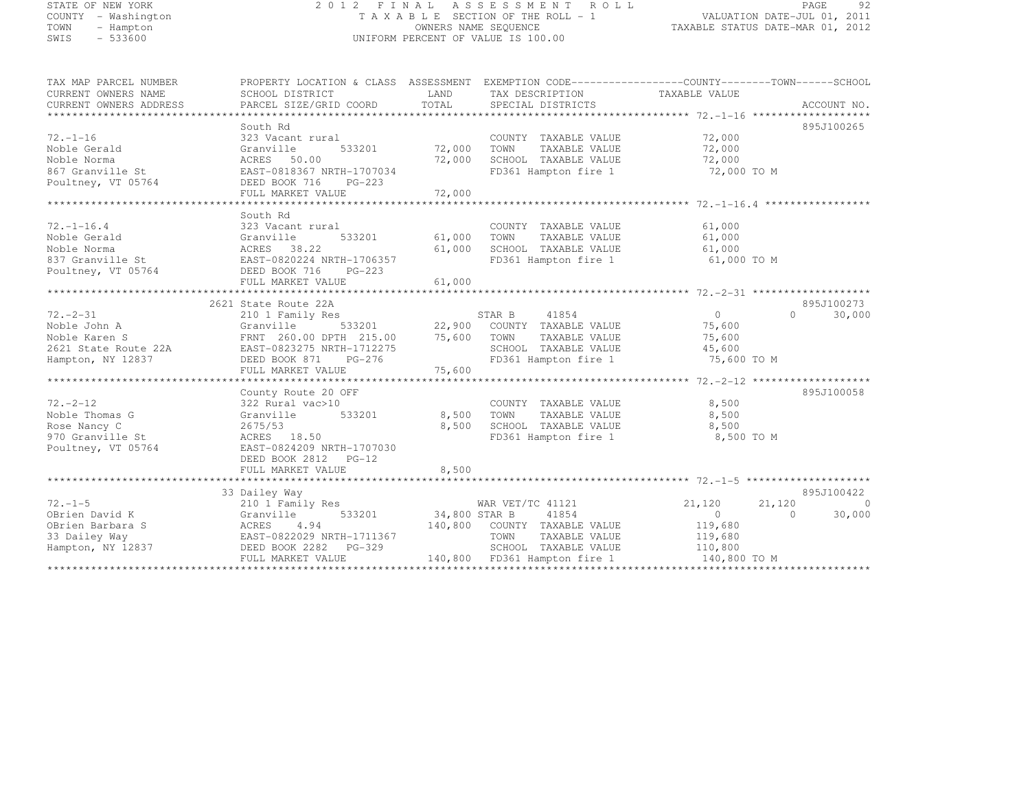# STATE OF NEW YORK 2 0 1 2 F I N A L A S S E S S M E N T R O L L PAGE <sup>92</sup> COUNTY - Washington T A X A B L E SECTION OF THE ROLL - 1 VALUATION DATE-JUL 01, 2011 TOWN - Hampton OWNERS NAME SEQUENCE TAXABLE STATUS DATE-MAR 01, 2012 SWIS - 533600 UNIFORM PERCENT OF VALUE IS 100.00

TAX MAP PARCEL NUMBER PROPERTY LOCATION & CLASS ASSESSMENT EXEMPTION CODE------------------COUNTY--------TOWN------SCHOOL CURRENT OWNERS NAME SCHOOL DISTRICT LAND TAX DESCRIPTION TAXABLE VALUE<br>CURRENT OWNERS ADDRESS PARCEL SIZE/GRID COORD TOTAL SPECIAL DISTRICTS ACCOUNT NO. \*\*\*\*\*\*\*\*\*\*\*\*\*\*\*\*\*\*\*\*\*\*\*\*\*\*\*\*\*\*\*\*\*\*\*\*\*\*\*\*\*\*\*\*\*\*\*\*\*\*\*\*\*\*\*\*\*\*\*\*\*\*\*\*\*\*\*\*\*\*\*\*\*\*\*\*\*\*\*\*\*\*\*\*\*\*\*\*\*\*\*\*\*\*\*\*\*\*\*\*\*\*\* 72.-1-16 \*\*\*\*\*\*\*\*\*\*\*\*\*\*\*\*\*\*\*895J100265 South Rd 895J100265 72.-1-16 323 Vacant rural COUNTY TAXABLE VALUE 72,000 Noble Gerald Granville 533201 72,000 TOWN TAXABLE VALUE 72,000 Noble Norma ACRES 50.00 72,000 SCHOOL TAXABLE VALUE 72,000 867 Granville St EAST-0818367 NRTH-1707034 FD361 Hampton fire 1 72,000 TO M Poultney, VT 05764 DEED BOOK 716 PG-223 FULL MARKET VALUE 72,000 \*\*\*\*\*\*\*\*\*\*\*\*\*\*\*\*\*\*\*\*\*\*\*\*\*\*\*\*\*\*\*\*\*\*\*\*\*\*\*\*\*\*\*\*\*\*\*\*\*\*\*\*\*\*\*\*\*\*\*\*\*\*\*\*\*\*\*\*\*\*\*\*\*\*\*\*\*\*\*\*\*\*\*\*\*\*\*\*\*\*\*\*\*\*\*\*\*\*\*\*\*\*\* 72.-1-16.4 \*\*\*\*\*\*\*\*\*\*\*\*\*\*\*\*\* South Rd 72.-1-16.4 323 Vacant rural COUNTY TAXABLE VALUE 61,000 Noble Gerald Granville 533201 61,000 TOWN TAXABLE VALUE 61,000 Noble Norma ACRES 38.22 61,000 SCHOOL TAXABLE VALUE 61,000 837 Granville St EAST-0820224 NRTH-1706357 FD361 Hampton fire 1 61,000 TO M Poultney, VT 05764 DEED BOOK 716 PG-223 FULL MARKET VALUE 61,000 \*\*\*\*\*\*\*\*\*\*\*\*\*\*\*\*\*\*\*\*\*\*\*\*\*\*\*\*\*\*\*\*\*\*\*\*\*\*\*\*\*\*\*\*\*\*\*\*\*\*\*\*\*\*\*\*\*\*\*\*\*\*\*\*\*\*\*\*\*\*\*\*\*\*\*\*\*\*\*\*\*\*\*\*\*\*\*\*\*\*\*\*\*\*\*\*\*\*\*\*\*\*\* 72.-2-31 \*\*\*\*\*\*\*\*\*\*\*\*\*\*\*\*\*\*\*2621 State Route 22A 895J100273<br>210 1 Family Res 30,000 STAR B 41854 0 30,000 30,000 30,000 30,000 Noble John A Granville 533201 22,900 COUNTY TAXABLE VALUE 75,600 Noble Karen S FRNT 260.00 DPTH 215.00 75,600 TOWN TAXABLE VALUE 75,600 2621 State Route 22A EAST-0823275 NRTH-1712275 SCHOOL TAXABLE VALUE 45,600 Hampton, NY 12837 DEED BOOK 871 PG-276 FD361 Hampton fire 1 75,600 TO M FULL MARKET VALUE 75,600 \*\*\*\*\*\*\*\*\*\*\*\*\*\*\*\*\*\*\*\*\*\*\*\*\*\*\*\*\*\*\*\*\*\*\*\*\*\*\*\*\*\*\*\*\*\*\*\*\*\*\*\*\*\*\*\*\*\*\*\*\*\*\*\*\*\*\*\*\*\*\*\*\*\*\*\*\*\*\*\*\*\*\*\*\*\*\*\*\*\*\*\*\*\*\*\*\*\*\*\*\*\*\* 72.-2-12 \*\*\*\*\*\*\*\*\*\*\*\*\*\*\*\*\*\*\*895.T100058 County Route 20 OFF 895J10005872.-2-12 322 Rural vac>10 COUNTY TAXABLE VALUE 8,500 Noble Thomas G Granville 533201 8,500 TOWN TAXABLE VALUE 8,500<br>Noble Thomas G Granville 533201 Rose Nancy C 2675/53 8,500 SCHOOL TAXABLE VALUE 8,500 970 Granville St ACRES 18.50 FD361 Hampton fire 1 8,500 TO M Poultney, VT 05764 EAST-0824209 NRTH-1707030 DEED BOOK 2812 PG-12 FULL MARKET VALUE 8,500 \*\*\*\*\*\*\*\*\*\*\*\*\*\*\*\*\*\*\*\*\*\*\*\*\*\*\*\*\*\*\*\*\*\*\*\*\*\*\*\*\*\*\*\*\*\*\*\*\*\*\*\*\*\*\*\*\*\*\*\*\*\*\*\*\*\*\*\*\*\*\*\*\*\*\*\*\*\*\*\*\*\*\*\*\*\*\*\*\*\*\*\*\*\*\*\*\*\*\*\*\*\*\* 72.-1-5 \*\*\*\*\*\*\*\*\*\*\*\*\*\*\*\*\*\*\*\*

33 Dailey Way 895J100422<br>21,120 21,120 21,120 21,120 21,120<br>20.000 20.000 21,120 21,120 21,120 21,120 21,120 21,120 21,120 21,000 OBrien David K Granville 533201 34,800 STAR B 41854 0 0 30,000 0 30,000 0 30,000 OBrien Barbara S ACRES 4.94 140,800 COUNTY TAXABLE VALUE 119,680 33 Dailey Way EAST-0822029 NRTH-1711367 TOWN TAXABLE VALUE 119,680 Hampton, NY 12837 DEED BOOK 2282 PG-329 SCHOOL TAXABLE VALUE 110,800 FULL MARKET VALUE 140,800 FD361 Hampton fire 1 140,800 TO M \*\*\*\*\*\*\*\*\*\*\*\*\*\*\*\*\*\*\*\*\*\*\*\*\*\*\*\*\*\*\*\*\*\*\*\*\*\*\*\*\*\*\*\*\*\*\*\*\*\*\*\*\*\*\*\*\*\*\*\*\*\*\*\*\*\*\*\*\*\*\*\*\*\*\*\*\*\*\*\*\*\*\*\*\*\*\*\*\*\*\*\*\*\*\*\*\*\*\*\*\*\*\*\*\*\*\*\*\*\*\*\*\*\*\*\*\*\*\*\*\*\*\*\*\*\*\*\*\*\*\*\*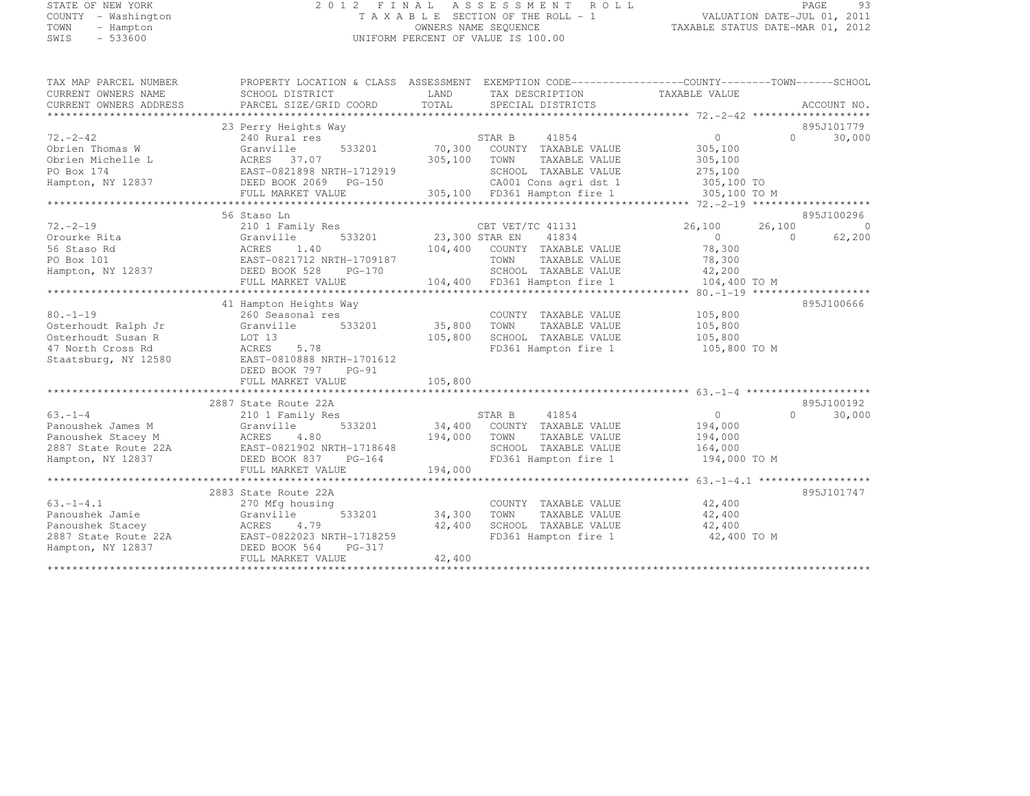## STATE OF NEW YORK 2 0 1 2 F I N A L A S S E S S M E N T R O L L PAGE <sup>93</sup> COUNTY - Washington T A X A B L E SECTION OF THE ROLL - 1 VALUATION DATE-JUL 01, 2011 TOWN - Hampton OWNERS NAME SEQUENCE TAXABLE STATUS DATE-MAR 01, 2012 SWIS - 533600 UNIFORM PERCENT OF VALUE IS 100.00

| TAX MAP PARCEL NUMBER<br>CURRENT OWNERS NAME<br>CURRENT OWNERS ADDRESS | PROPERTY LOCATION & CLASS ASSESSMENT EXEMPTION CODE----------------COUNTY-------TOWN-----SCHOOL<br>SCHOOL DISTRICT<br>PARCEL SIZE/GRID COORD | LAND<br>TOTAL  | TAX DESCRIPTION TAXABLE VALUE<br>SPECIAL DISTRICTS |                | ACCOUNT NO.          |
|------------------------------------------------------------------------|----------------------------------------------------------------------------------------------------------------------------------------------|----------------|----------------------------------------------------|----------------|----------------------|
|                                                                        |                                                                                                                                              |                |                                                    |                |                      |
|                                                                        | 23 Perry Heights Way                                                                                                                         |                |                                                    |                | 895J101779           |
| $72. - 2 - 42$                                                         | 240 Rural res                                                                                                                                |                | 41854<br>STAR B                                    | $\overline{0}$ | $\Omega$<br>30,000   |
| Obrien Thomas W                                                        | 533201<br>Granville                                                                                                                          | 70,300         | COUNTY TAXABLE VALUE                               | 305,100        |                      |
| Obrien Michelle L                                                      | ACRES 37.07                                                                                                                                  | 305,100        | TOWN<br>TAXABLE VALUE                              | 305,100        |                      |
| PO Box 174                                                             | EAST-0821898 NRTH-1712919                                                                                                                    |                | SCHOOL TAXABLE VALUE                               | 275,100        |                      |
| Hampton, NY 12837                                                      | DEED BOOK 2069 PG-150                                                                                                                        |                | CA001 Cons agri dst 1                              | 305,100 TO     |                      |
|                                                                        | FULL MARKET VALUE                                                                                                                            |                | 305,100 FD361 Hampton fire 1                       | 305,100 TO M   |                      |
|                                                                        |                                                                                                                                              |                |                                                    |                |                      |
|                                                                        | 56 Staso Ln                                                                                                                                  |                |                                                    |                | 895J100296           |
| $72. - 2 - 19$                                                         | 210 1 Family Res                                                                                                                             |                | CBT VET/TC 41131                                   | 26,100         | $\bigcirc$<br>26,100 |
| Orourke Rita                                                           | 533201<br>Granville                                                                                                                          | 23,300 STAR EN | 41834                                              | $\overline{0}$ | 62,200<br>$\Omega$   |
| 56 Staso Rd                                                            | 1.40<br>ACRES                                                                                                                                |                | 104,400 COUNTY TAXABLE VALUE                       | 78,300         |                      |
| PO Box 101                                                             | EAST-0821712 NRTH-1709187                                                                                                                    |                | TOWN<br>TAXABLE VALUE                              | 78,300         |                      |
| Hampton, NY 12837                                                      | DEED BOOK 528<br>$PG-170$                                                                                                                    |                | SCHOOL TAXABLE VALUE                               | 42,200         |                      |
|                                                                        | FULL MARKET VALUE                                                                                                                            |                | 104,400 FD361 Hampton fire 1                       | 104,400 TO M   |                      |
|                                                                        |                                                                                                                                              |                |                                                    |                |                      |
|                                                                        | 41 Hampton Heights Way                                                                                                                       |                |                                                    |                | 895J100666           |
| $80. - 1 - 19$                                                         | 260 Seasonal res                                                                                                                             |                | COUNTY TAXABLE VALUE                               | 105,800        |                      |
| Osterhoudt Ralph Jr                                                    | Granville<br>533201                                                                                                                          | 35,800         | TAXABLE VALUE<br>TOWN                              | 105,800        |                      |
| Osterhoudt Susan R                                                     | LOT 13                                                                                                                                       | 105,800        | SCHOOL TAXABLE VALUE                               | 105,800        |                      |
| 47 North Cross Rd                                                      | 5.78<br>ACRES                                                                                                                                |                | FD361 Hampton fire 1                               | 105,800 TO M   |                      |
| Staatsburg, NY 12580                                                   | EAST-0810888 NRTH-1701612                                                                                                                    |                |                                                    |                |                      |
|                                                                        | DEED BOOK 797 PG-91                                                                                                                          |                |                                                    |                |                      |
|                                                                        | FULL MARKET VALUE                                                                                                                            | 105,800        |                                                    |                |                      |
|                                                                        |                                                                                                                                              |                |                                                    |                |                      |
|                                                                        | 2887 State Route 22A                                                                                                                         |                |                                                    |                | 895J100192           |
| $63 - 1 - 4$                                                           | 210 1 Family Res                                                                                                                             |                | STAR B<br>41854                                    | $\circ$        | 30,000<br>$\cap$     |
| Panoushek James M                                                      | 533201<br>Granville                                                                                                                          |                | 34,400 COUNTY TAXABLE VALUE                        | 194,000        |                      |
| Panoushek Stacey M                                                     | ACRES<br>4.80                                                                                                                                | 194,000        | TOWN<br>TAXABLE VALUE                              | 194,000        |                      |
| 2887 State Route 22A                                                   | EAST-0821902 NRTH-1718648                                                                                                                    |                | SCHOOL TAXABLE VALUE                               | 164,000        |                      |
| Hampton, NY 12837                                                      | DEED BOOK 837<br>PG-164                                                                                                                      |                | FD361 Hampton fire 1                               | 194,000 TO M   |                      |
|                                                                        | FULL MARKET VALUE                                                                                                                            | 194,000        |                                                    |                |                      |
|                                                                        |                                                                                                                                              |                |                                                    |                |                      |
|                                                                        | 2883 State Route 22A                                                                                                                         |                |                                                    |                | 895J101747           |
| $63, -1 - 4, 1$                                                        | 270 Mfg housing                                                                                                                              |                | COUNTY TAXABLE VALUE                               | 42,400         |                      |
| Panoushek Jamie                                                        | Granville<br>533201                                                                                                                          | 34,300         | TOWN<br>TAXABLE VALUE                              | 42,400         |                      |
| Panoushek Stacey                                                       | ACRES<br>4.79                                                                                                                                | 42,400         | SCHOOL TAXABLE VALUE                               | 42,400         |                      |
| 2887 State Route 22A                                                   | EAST-0822023 NRTH-1718259                                                                                                                    |                | FD361 Hampton fire 1                               | 42,400 TO M    |                      |
| Hampton, NY 12837                                                      | DEED BOOK 564<br>PG-317                                                                                                                      |                |                                                    |                |                      |
|                                                                        | FULL MARKET VALUE                                                                                                                            | 42,400         |                                                    |                |                      |
|                                                                        |                                                                                                                                              |                |                                                    |                |                      |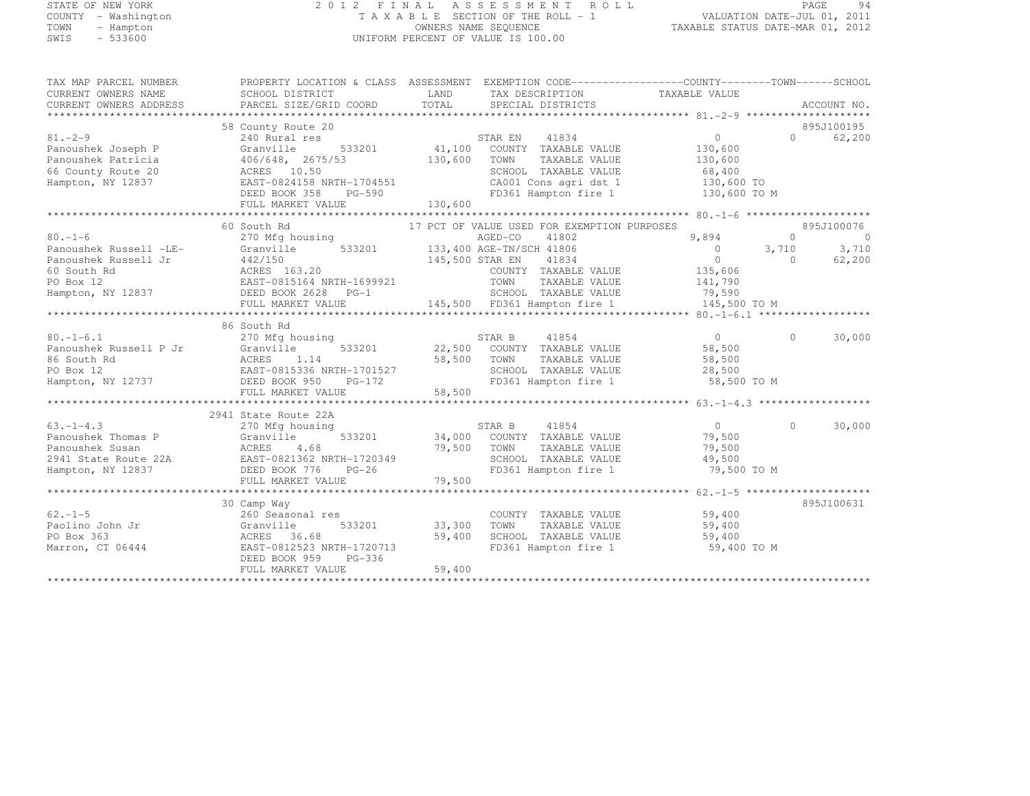## STATE OF NEW YORK 2 0 1 2 F I N A L A S S E S S M E N T R O L L PAGE <sup>94</sup> COUNTY - Washington T A X A B L E SECTION OF THE ROLL - 1 VALUATION DATE-JUL 01, 2011 TOWN - Hampton OWNERS NAME SEQUENCE TAXABLE STATUS DATE-MAR 01, 2012 SWIS - 533600 UNIFORM PERCENT OF VALUE IS 100.00

| TAX MAP PARCEL NUMBER<br>CURRENT OWNERS NAME<br>CURRENT OWNERS ADDRESS                                          | PROPERTY LOCATION & CLASS ASSESSMENT EXEMPTION CODE----------------COUNTY-------TOWN-----SCHOOL<br>SCHOOL DISTRICT<br>PARCEL SIZE/GRID COORD                        | LAND<br>TOTAL                       | TAX DESCRIPTION<br>SPECIAL DISTRICTS                                                                                                                           | TAXABLE VALUE                                                                                                       |                               | ACCOUNT NO.                |
|-----------------------------------------------------------------------------------------------------------------|---------------------------------------------------------------------------------------------------------------------------------------------------------------------|-------------------------------------|----------------------------------------------------------------------------------------------------------------------------------------------------------------|---------------------------------------------------------------------------------------------------------------------|-------------------------------|----------------------------|
| $81. - 2 - 9$<br>Panoushek Joseph P<br>Panoushek Patricia<br>66 County Route 20<br>Hampton, NY 12837            | 58 County Route 20<br>240 Rural res<br>Granville<br>$406/648$ , 2675/53<br>ACRES 10.50<br>EAST-0824158 NRTH-1704551<br>DEED BOOK 358<br>PG-590<br>FULL MARKET VALUE | 533201 41,100<br>130,600<br>130,600 | STAR EN<br>41834<br>COUNTY TAXABLE VALUE<br>TOWN<br>TAXABLE VALUE<br>SCHOOL TAXABLE VALUE<br>CA001 Cons agri dst 1<br>FD361 Hampton fire 1                     | $\Omega$<br>130,600<br>130,600<br>68,400<br>130,600 TO<br>130,600 TO M                                              | $\Omega$                      | 895J100195<br>62,200       |
|                                                                                                                 | 60 South Rd                                                                                                                                                         |                                     | 17 PCT OF VALUE USED FOR EXEMPTION PURPOSES                                                                                                                    |                                                                                                                     |                               | 895J100076                 |
| $80, -1 - 6$<br>Panoushek Russell -LE-<br>Panoushek Russell Jr<br>60 South Rd<br>PO Box 12<br>Hampton, NY 12837 | 270 Mfg housing<br>533201<br>Granville<br>442/150<br>ACRES 163.20<br>EAST-0815164 NRTH-1699921<br>DEED BOOK 2628 PG-1<br>FULL MARKET VALUE                          | 145,500 STAR EN                     | AGED-CO<br>41802<br>133,400 AGE-TN/SCH 41806<br>41834<br>COUNTY TAXABLE VALUE<br>TAXABLE VALUE<br>TOWN<br>SCHOOL TAXABLE VALUE<br>145,500 FD361 Hampton fire 1 | 9,894<br>$\begin{array}{ccc} & & 0 & \end{array}$<br>$\overline{0}$<br>135,606<br>141,790<br>79,590<br>145,500 TO M | $\Omega$<br>3,710<br>$\Omega$ | $\circ$<br>3,710<br>62,200 |
|                                                                                                                 | 86 South Rd                                                                                                                                                         |                                     |                                                                                                                                                                |                                                                                                                     |                               |                            |
| $80. - 1 - 6.1$<br>Panoushek Russell P Jr<br>86 South Rd<br>PO Box 12<br>Hampton, NY 12737                      | 270 Mfg housing<br>Granville<br>533201<br>ACRES<br>1.14<br>EAST-0815336 NRTH-1701527<br>DEED BOOK 950<br>PG-172<br>FULL MARKET VALUE                                | 22,500<br>58,500<br>58,500          | STAR B<br>41854<br>COUNTY TAXABLE VALUE<br>TOWN<br>TAXABLE VALUE<br>SCHOOL TAXABLE VALUE<br>FD361 Hampton fire 1                                               | $\overline{0}$<br>58,500<br>58,500<br>28,500<br>58,500 TO M                                                         | $\Omega$                      | 30,000                     |
|                                                                                                                 |                                                                                                                                                                     |                                     |                                                                                                                                                                |                                                                                                                     |                               |                            |
| $63. -1 - 4.3$<br>Panoushek Thomas P<br>Panoushek Susan<br>2941 State Route 22A<br>Hampton, NY 12837            | 2941 State Route 22A<br>270 Mfg housing<br>Granville<br>533201<br>ACRES<br>4.68<br>EAST-0821362 NRTH-1720349<br>DEED BOOK 776<br>$PG-26$<br>FULL MARKET VALUE       | 79,500<br>79,500                    | STAR B<br>41854<br>34,000 COUNTY TAXABLE VALUE<br>TOWN<br>TAXABLE VALUE<br>SCHOOL TAXABLE VALUE<br>FD361 Hampton fire 1                                        | 0<br>79,500<br>79,500<br>49,500<br>79,500 TO M                                                                      | $\Omega$                      | 30,000                     |
|                                                                                                                 |                                                                                                                                                                     |                                     |                                                                                                                                                                |                                                                                                                     |                               |                            |
| $62 - 1 - 5$<br>Paolino John Jr<br>PO Box 363<br>Marron, CT 06444                                               | 30 Camp Way<br>260 Seasonal res<br>533201<br>Granville<br>ACRES<br>36.68<br>EAST-0812523 NRTH-1720713<br>$PG-336$<br>DEED BOOK 959<br>FULL MARKET VALUE             | 33,300<br>59,400<br>59,400          | COUNTY TAXABLE VALUE<br>TAXABLE VALUE<br>TOWN<br>SCHOOL TAXABLE VALUE<br>FD361 Hampton fire 1                                                                  | 59,400<br>59,400<br>59,400<br>59,400 TO M                                                                           |                               | 895J100631                 |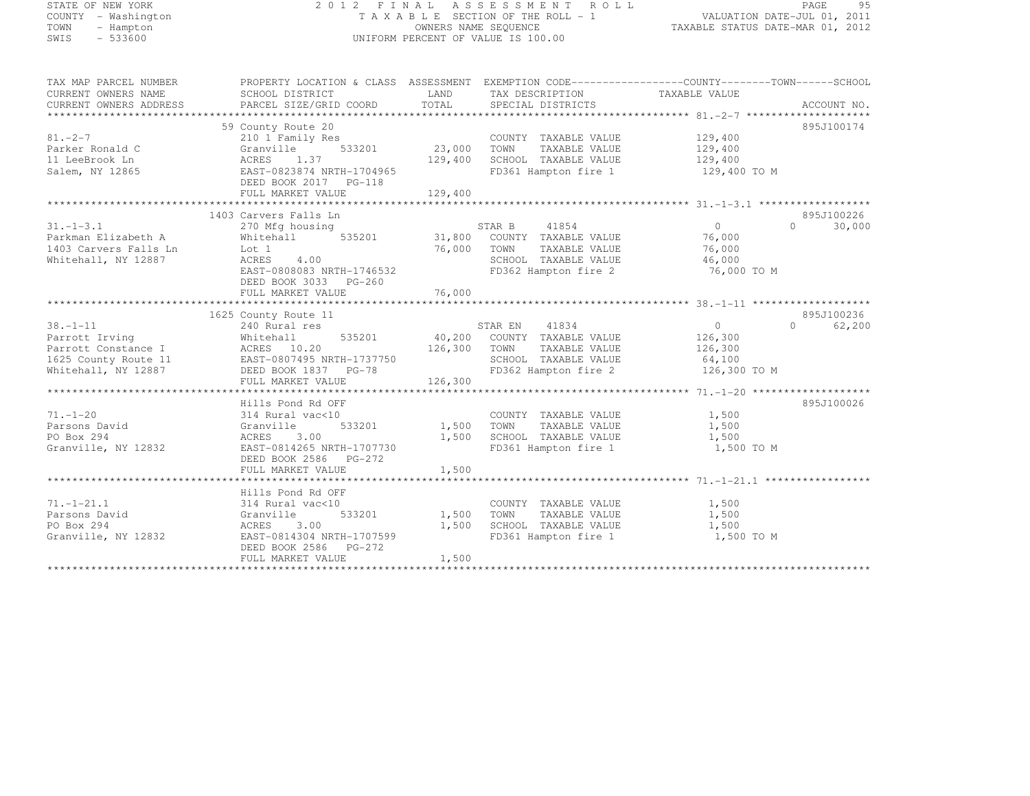| STATE OF NEW YORK   |           |  |
|---------------------|-----------|--|
| COUNTY - Washington |           |  |
| TOWN                | - Hampton |  |
| SMTS                | $-533600$ |  |

#### STATE OF NEW YORK 2 0 1 2 F I N A L A S S E S S M E N T R O L L PAGE <sup>95</sup> COUNTY - Washington T A X A B L E SECTION OF THE ROLL - 1 VALUATION DATE-JUL 01, 2011 TOWN - Hampton OWNERS NAME SEQUENCE TAXABLE STATUS DATE-MAR 01, 2012 SWIS - 533600 CONTROL CONTROL CONTROL UNIFORM PERCENT OF VALUE IS 100.00

TAX MAP PARCEL NUMBER PROPERTY LOCATION & CLASS ASSESSMENT EXEMPTION CODE--------------------------------TOWN-------SCHOOL

| CURRENT OWNERS NAME             | SCHOOL DISTRICT                                             | LAND    | TAX DESCRIPTION                               | TAXABLE VALUE |                    |
|---------------------------------|-------------------------------------------------------------|---------|-----------------------------------------------|---------------|--------------------|
| CURRENT OWNERS ADDRESS          | PARCEL SIZE/GRID COORD                                      | TOTAL   | SPECIAL DISTRICTS                             |               | ACCOUNT NO.        |
|                                 |                                                             |         |                                               |               |                    |
|                                 | 59 County Route 20                                          |         |                                               |               | 895J100174         |
| $81. - 2 - 7$                   | 210 1 Family Res                                            |         | COUNTY TAXABLE VALUE                          | 129,400       |                    |
| Parker Ronald C                 | Granville<br>533201                                         | 23,000  | TOWN<br>TAXABLE VALUE                         | 129,400       |                    |
| 11 LeeBrook Ln                  | ACRES<br>1.37                                               | 129,400 | SCHOOL TAXABLE VALUE                          | 129,400       |                    |
| Salem, NY 12865                 | EAST-0823874 NRTH-1704965                                   |         | FD361 Hampton fire 1                          | 129,400 TO M  |                    |
|                                 | DEED BOOK 2017    PG-118                                    |         |                                               |               |                    |
|                                 | FULL MARKET VALUE                                           | 129,400 |                                               |               |                    |
|                                 |                                                             |         |                                               |               |                    |
|                                 | 1403 Carvers Falls Ln                                       |         |                                               |               | 895J100226         |
| $31. - 1 - 3.1$                 | 270 Mfg housing                                             |         | 41854<br>STAR B                               | $\Omega$      | 30,000<br>$\Omega$ |
| Parkman Elizabeth A             | Whitehall<br>535201                                         | 31,800  | COUNTY TAXABLE VALUE                          | 76,000        |                    |
| 1403 Carvers Falls Ln           | Lot 1                                                       | 76,000  | TOWN<br>TAXABLE VALUE                         | 76,000        |                    |
| Whitehall, NY 12887             | ACRES<br>4.00                                               |         | SCHOOL TAXABLE VALUE                          | 46,000        |                    |
|                                 | EAST-0808083 NRTH-1746532                                   |         | FD362 Hampton fire 2                          | 76,000 TO M   |                    |
|                                 | DEED BOOK 3033 PG-260                                       |         |                                               |               |                    |
|                                 | FULL MARKET VALUE                                           | 76,000  |                                               |               |                    |
|                                 |                                                             |         |                                               |               |                    |
|                                 | 1625 County Route 11                                        |         |                                               |               | 895J100236         |
| $38. - 1 - 11$                  | 240 Rural res                                               |         | 41834<br>STAR EN                              | $\circ$       | $\cap$<br>62,200   |
| Parrott Irving                  | 535201<br>Whitehall                                         | 40,200  | COUNTY TAXABLE VALUE                          | 126,300       |                    |
| Parrott Constance I             | ACRES 10.20                                                 | 126,300 | TAXABLE VALUE<br>TOWN                         | 126,300       |                    |
| 1625 County Route 11            | EAST-0807495 NRTH-1737750                                   |         | SCHOOL TAXABLE VALUE                          | 64,100        |                    |
| Whitehall, NY 12887             | DEED BOOK 1837 PG-78                                        |         | FD362 Hampton fire 2                          | 126,300 TO M  |                    |
|                                 | FULL MARKET VALUE<br>************************************** | 126,300 |                                               |               |                    |
|                                 |                                                             |         |                                               |               | 895J100026         |
|                                 | Hills Pond Rd OFF                                           |         |                                               |               |                    |
| $71. - 1 - 20$<br>Parsons David | 314 Rural vac<10<br>533201                                  | 1,500   | COUNTY TAXABLE VALUE<br>TOWN<br>TAXABLE VALUE | 1,500         |                    |
| PO Box 294                      | Granville                                                   | 1,500   | SCHOOL TAXABLE VALUE                          | 1,500         |                    |
|                                 | ACRES 3.00                                                  |         |                                               | 1,500         |                    |
| Granville, NY 12832             | EAST-0814265 NRTH-1707730<br>DEED BOOK 2586                 |         | FD361 Hampton fire 1                          | 1,500 TO M    |                    |
|                                 | PG-272<br>FULL MARKET VALUE                                 |         |                                               |               |                    |
|                                 |                                                             | 1,500   |                                               |               |                    |
|                                 | Hills Pond Rd OFF                                           |         |                                               |               |                    |
| $71. - 1 - 21.1$                | 314 Rural vac<10                                            |         | COUNTY TAXABLE VALUE                          | 1,500         |                    |
| Parsons David                   | 533201<br>Granville                                         | 1,500   | TOWN<br>TAXABLE VALUE                         | 1,500         |                    |
| PO Box 294                      | 3.00<br>ACRES                                               | 1,500   | SCHOOL TAXABLE VALUE                          | 1,500         |                    |
| Granville, NY 12832             | EAST-0814304 NRTH-1707599                                   |         | FD361 Hampton fire 1                          | 1,500 TO M    |                    |
|                                 | DEED BOOK 2586<br>$PG-272$                                  |         |                                               |               |                    |
|                                 | FULL MARKET VALUE                                           | 1,500   |                                               |               |                    |
|                                 |                                                             |         |                                               |               |                    |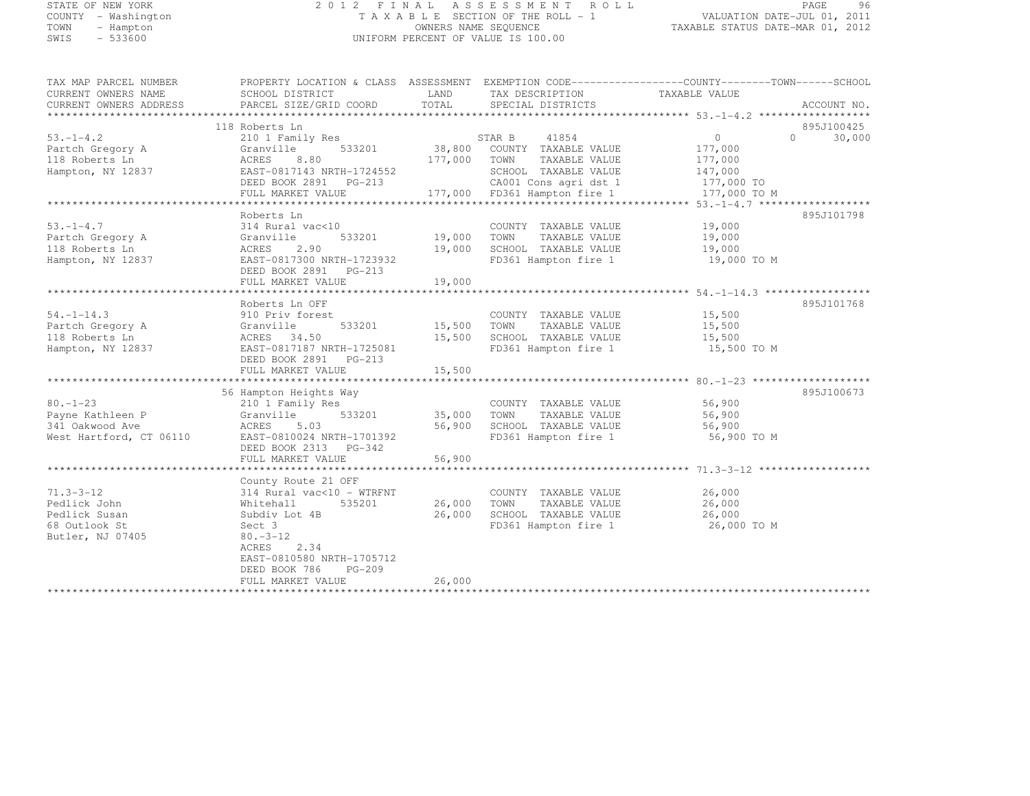# STATE OF NEW YORK 2 0 1 2 F I N A L A S S E S S M E N T R O L L PAGE <sup>96</sup> COUNTY - Washington T A X A B L E SECTION OF THE ROLL - 1 VALUATION DATE-JUL 01, 2011 TOWN - Hampton OWNERS NAME SEQUENCE TAXABLE STATUS DATE-MAR 01, 2012 SWIS - 533600 UNIFORM PERCENT OF VALUE IS 100.00

| TAX MAP PARCEL NUMBER<br>CURRENT OWNERS NAME<br>CURRENT OWNERS ADDRESS                | PROPERTY LOCATION & CLASS ASSESSMENT EXEMPTION CODE----------------COUNTY-------TOWN------SCHOOL<br>SCHOOL DISTRICT<br>PARCEL SIZE/GRID COORD                                                                            | LAND<br>TOTAL                   | TAX DESCRIPTION<br>SPECIAL DISTRICTS                                                                                                                                                   | TAXABLE VALUE                             | ACCOUNT NO.                       |
|---------------------------------------------------------------------------------------|--------------------------------------------------------------------------------------------------------------------------------------------------------------------------------------------------------------------------|---------------------------------|----------------------------------------------------------------------------------------------------------------------------------------------------------------------------------------|-------------------------------------------|-----------------------------------|
| $53. - 1 - 4.2$<br>Partch Gregory A<br>118 Roberts Ln<br>Hampton, NY 12837            | 118 Roberts Ln<br>210 1 Family Res<br>533201<br>Granville<br>ACRES<br>8.80<br>EAST-0817143 NRTH-1724552<br>DEED BOOK 2891 PG-213<br>FULL MARKET VALUE                                                                    | 177,000 TOWN                    | STAR B<br>41854<br>38,800 COUNTY TAXABLE VALUE<br>TAXABLE VALUE<br>SCHOOL TAXABLE VALUE 147,000<br>3-213 CA001 Cons agri dst 1 177,000 TO<br>177,000 FD361 Hampton fire 1 177,000 TO M | $\circ$<br>177,000<br>177,000             | 895J100425<br>$\bigcap$<br>30,000 |
| $53. - 1 - 4.7$<br>Partch Gregory A<br>118 Roberts Ln<br>Hampton, NY 12837            | Roberts Ln<br>314 Rural vac<10<br>533201<br>Granville<br>ACRES<br>2.90<br>EAST-0817300 NRTH-1723932<br>DEED BOOK 2891    PG-213<br>FULL MARKET VALUE                                                                     | 19,000 TOWN<br>19,000<br>19,000 | COUNTY TAXABLE VALUE<br>TAXABLE VALUE<br>SCHOOL TAXABLE VALUE<br>FD361 Hampton fire 1 19,000 TO M                                                                                      | 19,000<br>19,000<br>19,000                | 895J101798                        |
| $54. -1 - 14.3$<br>Partch Gregory A<br>118 Roberts Ln<br>Hampton, NY 12837            | Roberts Ln OFF<br>910 Priv forest<br>533201<br>Granville<br>ACRES 34.50<br>EAST-0817187 NRTH-1725081<br>DEED BOOK 2891 PG-213<br>FULL MARKET VALUE                                                                       | 15,500                          | COUNTY TAXABLE VALUE<br>15,500 TOWN TAXABLE VALUE<br>15,500 SCHOOL TAXABLE VALUE<br>FD361 Hampton fire 1                                                                               | 15,500<br>15,500<br>15,500<br>15,500 TO M | 895J101768                        |
| $80. - 1 - 23$<br>Payne Kathleen P<br>341 Oakwood Ave<br>West Hartford, CT 06110      | 56 Hampton Heights Way<br>210 1 Family Res<br>533201<br>Granville<br>ACRES<br>5.03<br>EAST-0810024 NRTH-1701392<br>DEED BOOK 2313 PG-342<br>FULL MARKET VALUE                                                            | 35,000 TOWN<br>56,900           | COUNTY TAXABLE VALUE<br>TAXABLE VALUE<br>56,900 SCHOOL TAXABLE VALUE<br>FD361 Hampton fire 1                                                                                           | 56,900<br>56,900<br>56,900<br>56,900 TO M | 895J100673                        |
| $71.3 - 3 - 12$<br>Pedlick John<br>Pedlick Susan<br>68 Outlook St<br>Butler, NJ 07405 | County Route 21 OFF<br>$314$ Rural vac< $10$ - WTRFNT<br>535201<br>Whitehall<br>Subdiv Lot 4B<br>Sect 3<br>$80. -3 - 12$<br>2.34<br>ACRES<br>EAST-0810580 NRTH-1705712<br>DEED BOOK 786<br>$PG-209$<br>FULL MARKET VALUE | 26,000<br>26,000                | COUNTY TAXABLE VALUE<br>26,000 TOWN<br>TAXABLE VALUE<br>SCHOOL TAXABLE VALUE<br>FD361 Hampton fire 1                                                                                   | 26,000<br>26,000<br>26,000<br>26,000 TO M |                                   |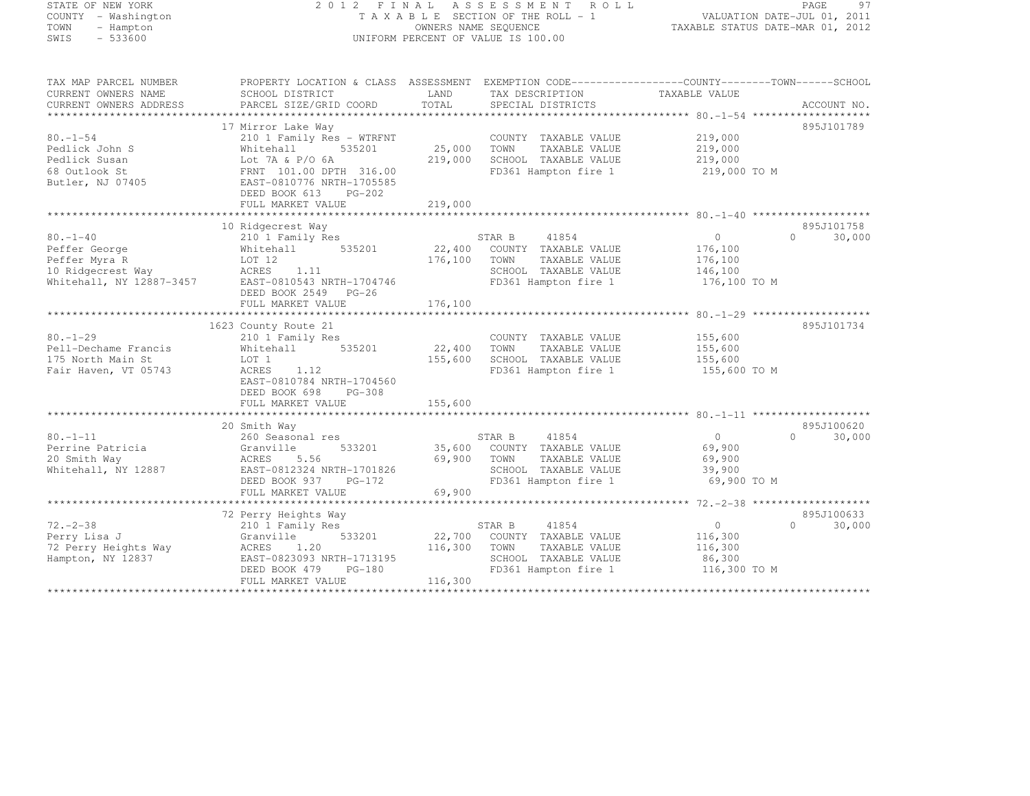#### STATE OF NEW YORK 2 0 1 2 F I N A L A S S E S S M E N T R O L L PAGE <sup>97</sup> COUNTY - Washington T A X A B L E SECTION OF THE ROLL - 1 VALUATION DATE-JUL 01, 2011 TOWN - Hampton OWNERS NAME SEQUENCE TAXABLE STATUS DATE-MAR 01, 2012 SWIS - 533600 UNIFORM PERCENT OF VALUE IS 100.00

| TAX MAP PARCEL NUMBER    | PROPERTY LOCATION & CLASS ASSESSMENT EXEMPTION CODE----------------COUNTY-------TOWN-----SCHOOL |             |                             |                |                    |
|--------------------------|-------------------------------------------------------------------------------------------------|-------------|-----------------------------|----------------|--------------------|
| CURRENT OWNERS NAME      | SCHOOL DISTRICT                                                                                 | LAND        | TAX DESCRIPTION             | TAXABLE VALUE  |                    |
| CURRENT OWNERS ADDRESS   | PARCEL SIZE/GRID COORD                                                                          | TOTAL       | SPECIAL DISTRICTS           |                | ACCOUNT NO.        |
|                          |                                                                                                 |             |                             |                |                    |
|                          | 17 Mirror Lake Way                                                                              |             |                             |                | 895J101789         |
| $80. - 1 - 54$           | 210 1 Family Res - WTRFNT                                                                       |             | COUNTY TAXABLE VALUE        | 219,000        |                    |
| Pedlick John S           | Whitehall 535201                                                                                | 25,000 TOWN | TAXABLE VALUE               | 219,000        |                    |
| Pedlick Susan            | Lot 7A & P/O 6A                                                                                 | 219,000     | SCHOOL TAXABLE VALUE        | 219,000        |                    |
| 68 Outlook St            | FRNT 101.00 DPTH 316.00                                                                         |             | FD361 Hampton fire 1        | 219,000 TO M   |                    |
| Butler, NJ 07405         | EAST-0810776 NRTH-1705585                                                                       |             |                             |                |                    |
|                          | DEED BOOK 613 PG-202                                                                            |             |                             |                |                    |
|                          | FULL MARKET VALUE                                                                               | 219,000     |                             |                |                    |
|                          |                                                                                                 |             |                             |                |                    |
|                          | 10 Ridgecrest Way                                                                               |             |                             |                | 895J101758         |
| $80. - 1 - 40$           | 210 1 Family Res                                                                                |             | STAR B<br>41854             | $\overline{0}$ | $\Omega$<br>30,000 |
| Peffer George            | Whitehall 535201                                                                                | 22,400      | COUNTY TAXABLE VALUE        | 176,100        |                    |
| Peffer Myra R            | LOT 12                                                                                          | 176,100     | TOWN<br>TAXABLE VALUE       | 176,100        |                    |
| 10 Ridgecrest Way        | ACRES<br>1.11                                                                                   |             | SCHOOL TAXABLE VALUE        | 146, 100       |                    |
| Whitehall, NY 12887-3457 | AURDS 1.11<br>EAST-0810543 NRTH-1704746                                                         |             | FD361 Hampton fire 1        | 176,100 TO M   |                    |
|                          | DEED BOOK 2549 PG-26                                                                            |             |                             |                |                    |
|                          |                                                                                                 |             |                             |                |                    |
|                          |                                                                                                 |             |                             |                |                    |
|                          | 1623 County Route 21                                                                            |             |                             |                | 895J101734         |
| $80. - 1 - 29$           | 210 1 Family Res                                                                                |             | COUNTY TAXABLE VALUE        | 155,600        |                    |
| Pell-Dechame Francis     | Whitehall 535201                                                                                | 22,400      | TAXABLE VALUE<br>TOWN       | 155,600        |                    |
| 175 North Main St        | LOT 1                                                                                           | 155,600     | SCHOOL TAXABLE VALUE        | 155,600        |                    |
| Fair Haven, VT 05743     | 1.12<br>ACRES                                                                                   |             | FD361 Hampton fire 1        | 155,600 TO M   |                    |
|                          | EAST-0810784 NRTH-1704560                                                                       |             |                             |                |                    |
|                          | DEED BOOK 698 PG-308                                                                            |             |                             |                |                    |
|                          | FULL MARKET VALUE                                                                               | 155,600     |                             |                |                    |
|                          |                                                                                                 |             |                             |                |                    |
|                          | 20 Smith Way                                                                                    |             |                             |                | 895J100620         |
| $80. - 1 - 11$           | 260 Seasonal res                                                                                |             | STAR B<br>41854             | $\overline{0}$ | $\Omega$<br>30,000 |
| Perrine Patricia         | 533201<br>Granville                                                                             |             | 35,600 COUNTY TAXABLE VALUE | 69,900         |                    |
| 20 Smith Way             | ACRES<br>5.56                                                                                   | 69,900 TOWN | TAXABLE VALUE               | 69,900         |                    |
| Whitehall, NY 12887      | EAST-0812324 NRTH-1701826                                                                       |             | SCHOOL TAXABLE VALUE        | 39,900         |                    |
|                          | DEED BOOK 937 PG-172                                                                            |             | FD361 Hampton fire 1        | 69,900 TO M    |                    |
|                          | FULL MARKET VALUE                                                                               | 69,900      |                             |                |                    |
|                          |                                                                                                 |             |                             |                |                    |
|                          | 72 Perry Heights Way                                                                            |             |                             |                | 895J100633         |
| $72. - 2 - 38$           | 210 1 Family Res                                                                                |             | STAR B<br>41854             | $\overline{0}$ | $\Omega$<br>30,000 |
| Perry Lisa J             | Granville<br>533201                                                                             |             | 22,700 COUNTY TAXABLE VALUE | 116,300        |                    |
| 72 Perry Heights Way     | 1.20<br>ACRES                                                                                   | 116,300     | TAXABLE VALUE<br>TOWN       | 116,300        |                    |
| Hampton, NY 12837        | EAST-0823093 NRTH-1713195                                                                       |             | SCHOOL TAXABLE VALUE        | 86,300         |                    |
|                          | 2.2.2. 0020090 NKIH-1713195<br>DEED BOOK 479 PG-180                                             |             | FD361 Hampton fire 1        | 116,300 TO M   |                    |
|                          | FULL MARKET VALUE                                                                               | 116,300     |                             |                |                    |
|                          |                                                                                                 |             |                             |                |                    |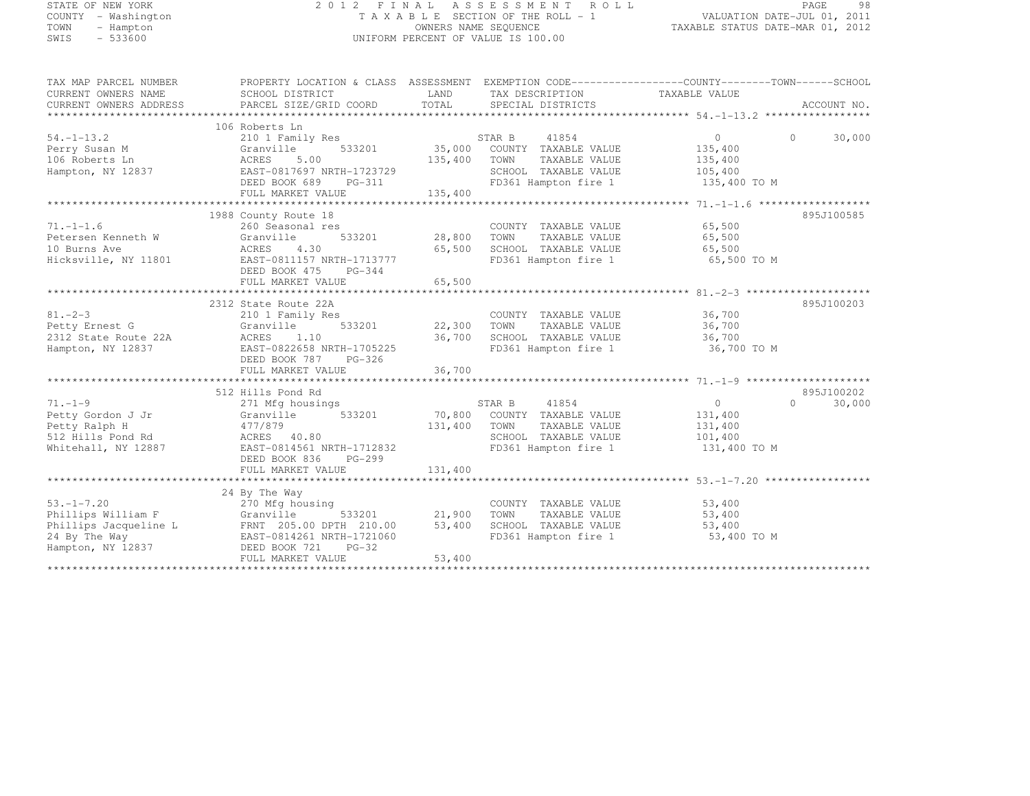# STATE OF NEW YORK 2 0 1 2 F I N A L A S S E S S M E N T R O L L PAGE <sup>98</sup> COUNTY - Washington T A X A B L E SECTION OF THE ROLL - 1 VALUATION DATE-JUL 01, 2011 TOWN - Hampton OWNERS NAME SEQUENCE TAXABLE STATUS DATE-MAR 01, 2012 SWIS - 533600 UNIFORM PERCENT OF VALUE IS 100.00

| TAX MAP PARCEL NUMBER<br>CURRENT OWNERS NAME | PROPERTY LOCATION & CLASS ASSESSMENT EXEMPTION CODE----------------COUNTY-------TOWN------SCHOOL<br>SCHOOL DISTRICT | LAND<br>TOTAL | TAX DESCRIPTION                              | TAXABLE VALUE                     |                    |
|----------------------------------------------|---------------------------------------------------------------------------------------------------------------------|---------------|----------------------------------------------|-----------------------------------|--------------------|
| CURRENT OWNERS ADDRESS                       | PARCEL SIZE/GRID COORD                                                                                              |               | SPECIAL DISTRICTS                            |                                   | ACCOUNT NO.        |
|                                              | 106 Roberts Ln                                                                                                      |               |                                              |                                   |                    |
| $54. - 1 - 13.2$                             | 210 1 Family Res                                                                                                    |               | 533201 535,000 COUNTY TAXABLE VALUE          | $\overline{0}$                    | $\Omega$<br>30,000 |
| Perry Susan M<br>106 Roberts Ln              | Granville<br>ACRES<br>5.00                                                                                          | 135,400 TOWN  | TAXABLE VALUE                                | 135,400<br>135,400                |                    |
| Hampton, NY 12837                            | EAST-0817697 NRTH-1723729                                                                                           |               |                                              | 105,400                           |                    |
|                                              | DEED BOOK 689 PG-311                                                                                                |               | SCHOOL TAXABLE VALUE<br>FD361 Hampton fire 1 | 135,400 TO M                      |                    |
|                                              | FULL MARKET VALUE                                                                                                   | 135,400       |                                              |                                   |                    |
|                                              |                                                                                                                     |               |                                              |                                   |                    |
|                                              | 1988 County Route 18                                                                                                |               |                                              |                                   | 895J100585         |
| $71. - 1 - 1.6$                              | 260 Seasonal res                                                                                                    |               | COUNTY TAXABLE VALUE                         | 65,500                            |                    |
| Petersen Kenneth W                           | 533201<br>Granville                                                                                                 | 28,800 TOWN   | TAXABLE VALUE                                | 65,500                            |                    |
| 10 Burns Ave                                 | 4.30<br>ACRES                                                                                                       |               | 65,500 SCHOOL TAXABLE VALUE                  | 65,500                            |                    |
| Hicksville, NY 11801                         | EAST-0811157 NRTH-1713777                                                                                           |               | FD361 Hampton fire 1                         | 65,500 TO M                       |                    |
|                                              | DEED BOOK 475<br>$PG-344$                                                                                           |               |                                              |                                   |                    |
|                                              | FULL MARKET VALUE                                                                                                   | 65,500        |                                              |                                   |                    |
|                                              | 2312 State Route 22A                                                                                                |               |                                              |                                   | 895J100203         |
| $81 - 2 - 3$                                 | 210 1 Family Res                                                                                                    | 533201 COUNT  | COUNTY TAXABLE VALUE                         | 36,700                            |                    |
| Petty Ernest G                               | Granville                                                                                                           |               | TAXABLE VALUE                                | 36,700                            |                    |
| 2312 State Route 22A                         | ACRES<br>1.10                                                                                                       | 36,700        | SCHOOL TAXABLE VALUE                         | 36,700                            |                    |
| Hampton, NY 12837                            | EAST-0822658 NRTH-1705225<br>DEED BOOK 787 PG-326                                                                   |               | FD361 Hampton fire 1                         | 36,700 TO M                       |                    |
|                                              | FULL MARKET VALUE                                                                                                   | 36,700        |                                              |                                   |                    |
|                                              |                                                                                                                     |               |                                              |                                   |                    |
|                                              | 512 Hills Pond Rd                                                                                                   |               |                                              |                                   | 895J100202         |
| $71. - 1 - 9$                                | 271 Mfg housings                                                                                                    |               | STAR B<br>41854                              | $\Omega$                          | $\Omega$<br>30,000 |
| Petty Gordon J Jr                            | 533201<br>Granville                                                                                                 |               | 70,800 COUNTY TAXABLE VALUE                  | 131,400                           |                    |
| Petty Ralph H                                | 477/879                                                                                                             | 131,400 TOWN  | TAXABLE VALUE                                | 131,400                           |                    |
| 512 Hills Pond Rd                            | ACRES 40.80                                                                                                         |               | SCHOOL TAXABLE VALUE                         | 101,400                           |                    |
| Whitehall, NY 12887                          | EAST-0814561 NRTH-1712832                                                                                           |               |                                              | FD361 Hampton fire 1 131,400 TO M |                    |
|                                              | DEED BOOK 836<br>PG-299                                                                                             |               |                                              |                                   |                    |
|                                              | FULL MARKET VALUE                                                                                                   | 131,400       |                                              |                                   |                    |
|                                              |                                                                                                                     |               |                                              |                                   |                    |
| $53. - 1 - 7.20$                             | 24 By The Way<br>270 Mfg housing                                                                                    |               | COUNTY TAXABLE VALUE                         | 53,400                            |                    |
| Phillips William F                           | Granville                                                                                                           | 533201 21,900 | TOWN<br>TAXABLE VALUE                        | 53,400                            |                    |
|                                              |                                                                                                                     | 53,400        | SCHOOL TAXABLE VALUE                         | 53,400                            |                    |
| 24 By The Way                                | Phillips Jacqueline L FRNT 205.00 DPTH 210.00<br>EAST-0814261 NRTH-1721060                                          |               | FD361 Hampton fire 1                         | 53,400 TO M                       |                    |
| Hampton, NY 12837                            | $PG-32$<br>DEED BOOK 721                                                                                            |               |                                              |                                   |                    |
|                                              | FULL MARKET VALUE                                                                                                   | 53,400        |                                              |                                   |                    |
|                                              |                                                                                                                     |               |                                              |                                   |                    |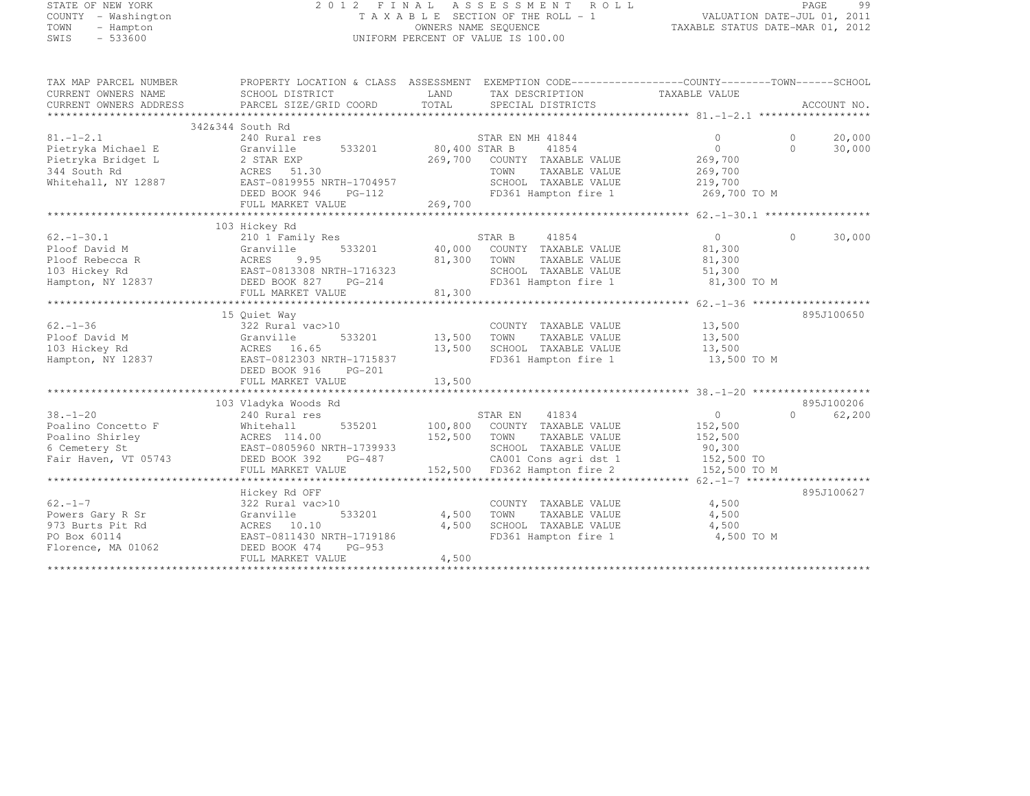## STATE OF NEW YORK 2 0 1 2 F I N A L A S S E S S M E N T R O L L PAGE <sup>99</sup> COUNTY - Washington T A X A B L E SECTION OF THE ROLL - 1 VALUATION DATE-JUL 01, 2011 TOWN - Hampton OWNERS NAME SEQUENCE TAXABLE STATUS DATE-MAR 01, 2012 SWIS - 533600 UNIFORM PERCENT OF VALUE IS 100.00

| TAX MAP PARCEL NUMBER              | PROPERTY LOCATION & CLASS ASSESSMENT                                        |               |                                               |                |          |             |
|------------------------------------|-----------------------------------------------------------------------------|---------------|-----------------------------------------------|----------------|----------|-------------|
| CURRENT OWNERS NAME                | SCHOOL DISTRICT                                                             | LAND          | TAX DESCRIPTION                               | TAXABLE VALUE  |          |             |
| CURRENT OWNERS ADDRESS             | PARCEL SIZE/GRID COORD                                                      | TOTAL         | SPECIAL DISTRICTS                             |                |          | ACCOUNT NO. |
|                                    |                                                                             |               |                                               |                |          |             |
| $81. - 1 - 2.1$                    | 342&344 South Rd<br>240 Rural res                                           |               | STAR EN MH 41844                              | $\Omega$       | $\Omega$ | 20,000      |
|                                    | 533201                                                                      | 80,400 STAR B | 41854                                         | $\Omega$       | $\Omega$ | 30,000      |
| Pietryka Michael E                 | Granville                                                                   | 269,700       | COUNTY TAXABLE VALUE                          |                |          |             |
| Pietryka Bridget L                 | 2 STAR EXP                                                                  |               |                                               | 269,700        |          |             |
| 344 South Rd                       | ACRES 51.30                                                                 |               | TOWN<br>TAXABLE VALUE                         | 269,700        |          |             |
| Whitehall, NY 12887                | EAST-0819955 NRTH-1704957                                                   |               | SCHOOL TAXABLE VALUE                          | 219,700        |          |             |
|                                    | DEED BOOK 946<br>$PG-112$                                                   |               | FD361 Hampton fire 1                          | 269,700 TO M   |          |             |
|                                    |                                                                             |               |                                               |                |          |             |
|                                    |                                                                             |               |                                               |                |          |             |
| $62. - 1 - 30.1$                   | 103 Hickey Rd<br>210 1 Family Res                                           |               | STAR B<br>41854                               | $\overline{0}$ | $\Omega$ | 30,000      |
|                                    |                                                                             |               |                                               |                |          |             |
| Ploof David M                      | 533201<br>Granville                                                         |               | 40,000 COUNTY TAXABLE VALUE                   | 81,300         |          |             |
| Ploof Rebecca R                    | 9.95<br>ACRES<br>EAST-0813308 NRTH-1716323                                  | 81,300        | TOWN<br>TAXABLE VALUE<br>SCHOOL TAXABLE VALUE | 81,300         |          |             |
| 103 Hickey Rd                      |                                                                             |               |                                               | 51,300         |          |             |
| Hampton, NY 12837                  | DEED BOOK 827<br>PG-214                                                     | 81,300        | FD361 Hampton fire 1                          | 81,300 TO M    |          |             |
|                                    | FULL MARKET VALUE                                                           |               |                                               |                |          |             |
|                                    | 15 Quiet Way                                                                |               |                                               |                |          | 895J100650  |
| $62 - 1 - 36$                      | 322 Rural vac>10                                                            |               | COUNTY TAXABLE VALUE                          | 13,500         |          |             |
| Ploof David M                      | Granville<br>533201                                                         | 13,500        | TOWN<br>TAXABLE VALUE                         | 13,500         |          |             |
| 103 Hickey Rd                      | ACRES 16.65                                                                 | 13,500        | SCHOOL TAXABLE VALUE                          | 13,500         |          |             |
| Hampton, NY 12837                  | EAST-0812303 NRTH-1715837                                                   |               | FD361 Hampton fire 1                          | 13,500 TO M    |          |             |
|                                    | DEED BOOK 916<br>$PG-201$                                                   |               |                                               |                |          |             |
|                                    | FULL MARKET VALUE                                                           | 13,500        |                                               |                |          |             |
|                                    |                                                                             |               |                                               |                |          |             |
|                                    | 103 Vladyka Woods Rd                                                        |               |                                               |                |          | 895J100206  |
| $38. - 1 - 20$                     | 240 Rural res                                                               |               | 41834<br>STAR EN                              | $\overline{0}$ | $\cap$   | 62,200      |
| Poalino Concetto F                 | Whitehall<br>535201                                                         |               | 100,800 COUNTY TAXABLE VALUE                  | 152,500        |          |             |
| Poalino Shirley                    | ACRES 114.00                                                                | 152,500       | TOWN<br>TAXABLE VALUE                         | 152,500        |          |             |
| 6 Cemetery St                      | EAST-0805960 NRTH-1739933                                                   |               | SCHOOL TAXABLE VALUE                          | 90,300         |          |             |
| Fair Haven, VT 05743               | DEED BOOK 392<br>PG-487                                                     |               | CA001 Cons agri dst 1                         | 152,500 TO     |          |             |
|                                    | FULL MARKET VALUE                                                           |               | 152,500 FD362 Hampton fire 2                  | 152,500 TO M   |          |             |
|                                    |                                                                             |               |                                               |                |          |             |
|                                    | Hickey Rd OFF                                                               |               |                                               |                |          | 895J100627  |
| $62. -1 - 7$                       | 322 Rural vac>10                                                            |               | COUNTY TAXABLE VALUE                          | 4,500          |          |             |
| Powers Gary R Sr                   | 533201<br>Granville                                                         | 4,500         | TOWN<br>TAXABLE VALUE                         | 4,500          |          |             |
| 973 Burts Pit Rd                   | ACRES 10.10                                                                 | 4,500         | SCHOOL TAXABLE VALUE                          | 4,500          |          |             |
|                                    |                                                                             |               |                                               |                |          |             |
|                                    |                                                                             |               |                                               |                |          |             |
|                                    |                                                                             |               |                                               |                |          |             |
|                                    |                                                                             |               |                                               |                |          |             |
| PO Box 60114<br>Florence, MA 01062 | EAST-0811430 NRTH-1719186<br>DEED BOOK 474<br>$PG-953$<br>FULL MARKET VALUE | 4,500         | FD361 Hampton fire 1                          | 4,500 TO M     |          |             |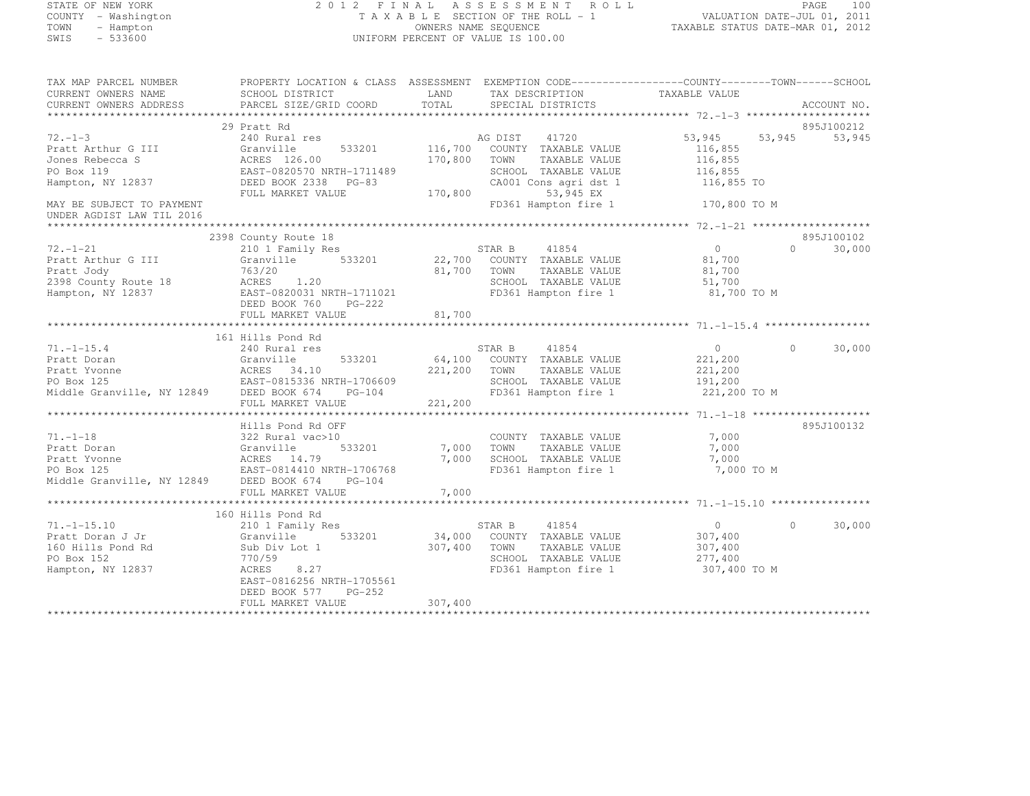#### STATE OF NEW YORK 2 0 1 2 F I N A L A S S E S S M E N T R O L L PAGE <sup>100</sup> COUNTY - Washington T A X A B L E SECTION OF THE ROLL - 1 VALUATION DATE-JUL 01, 2011 TOWN - Hampton OWNERS NAME SEQUENCE TAXABLE STATUS DATE-MAR 01, 2012 SWIS - 533600 UNIFORM PERCENT OF VALUE IS 100.00

| TAX MAP PARCEL NUMBER                    | PROPERTY LOCATION & CLASS ASSESSMENT EXEMPTION CODE-----------------COUNTY-------TOWN------SCHOOL |         |                              |                |                    |
|------------------------------------------|---------------------------------------------------------------------------------------------------|---------|------------------------------|----------------|--------------------|
| CURRENT OWNERS NAME                      | SCHOOL DISTRICT                                                                                   | LAND    | TAX DESCRIPTION              | TAXABLE VALUE  |                    |
| CURRENT OWNERS ADDRESS                   | PARCEL SIZE/GRID COORD                                                                            | TOTAL   | SPECIAL DISTRICTS            |                | ACCOUNT NO.        |
|                                          |                                                                                                   |         |                              |                |                    |
|                                          | 29 Pratt Rd                                                                                       |         |                              |                | 895J100212         |
| $72. - 1 - 3$                            | 240 Rural res                                                                                     |         | AG DIST<br>41720             | 53,945         | 53,945<br>53,945   |
| Pratt Arthur G III                       | 533201<br>Granville                                                                               |         | 116,700 COUNTY TAXABLE VALUE | 116,855        |                    |
| Jones Rebecca S                          | ACRES 126.00                                                                                      | 170,800 | TOWN<br>TAXABLE VALUE        | 116,855        |                    |
| PO Box 119                               | EAST-0820570 NRTH-1711489                                                                         |         | SCHOOL TAXABLE VALUE         | 116,855        |                    |
| Hampton, NY 12837                        | DEED BOOK 2338 PG-83                                                                              |         | CA001 Cons agri dst 1        | 116,855 TO     |                    |
|                                          | FULL MARKET VALUE                                                                                 |         | 170,800<br>53,945 EX         |                |                    |
| MAY BE SUBJECT TO PAYMENT                |                                                                                                   |         | FD361 Hampton fire 1         | 170,800 TO M   |                    |
| UNDER AGDIST LAW TIL 2016                |                                                                                                   |         |                              |                |                    |
|                                          |                                                                                                   |         |                              |                |                    |
|                                          | 2398 County Route 18                                                                              |         |                              |                | 895J100102         |
| $72. - 1 - 21$                           | 210 1 Family Res                                                                                  |         | STAR B<br>41854              | $\overline{0}$ | $\Omega$<br>30,000 |
| Pratt Arthur G III                       | Granville<br>533201                                                                               |         | 22,700 COUNTY TAXABLE VALUE  | 81,700         |                    |
| Pratt Jody                               | 763/20                                                                                            | 81,700  | TOWN<br>TAXABLE VALUE        | 81,700         |                    |
| 2398 County Route 18                     | ACRES 1.20                                                                                        |         | SCHOOL TAXABLE VALUE         | 51,700         |                    |
| Hampton, NY 12837                        | EAST-0820031 NRTH-1711021                                                                         |         | FD361 Hampton fire 1         | 81,700 TO M    |                    |
|                                          | DEED BOOK 760 PG-222                                                                              |         |                              |                |                    |
|                                          | FULL MARKET VALUE                                                                                 | 81,700  |                              |                |                    |
|                                          |                                                                                                   |         |                              |                |                    |
|                                          | 161 Hills Pond Rd                                                                                 |         |                              |                |                    |
| $71. - 1 - 15.4$                         | 240 Rural res                                                                                     |         | STAR B<br>41854              | $\overline{0}$ | $\Omega$<br>30,000 |
| Pratt Doran                              | Granville<br>533201                                                                               |         | 64,100 COUNTY TAXABLE VALUE  | 221,200        |                    |
| Pratt Yvonne                             | ACRES 34.10<br>EAST-0815336 NRTH-1706609                                                          | 221,200 | TOWN<br>TAXABLE VALUE        | 221,200        |                    |
| PO Box 125                               |                                                                                                   |         | SCHOOL TAXABLE VALUE         | 191,200        |                    |
| Middle Granville, NY 12849 DEED BOOK 674 | PG-104                                                                                            |         | FD361 Hampton fire 1         | 221,200 TO M   |                    |
|                                          | FULL MARKET VALUE                                                                                 | 221,200 |                              |                |                    |
|                                          |                                                                                                   |         |                              |                |                    |
|                                          | Hills Pond Rd OFF                                                                                 |         |                              |                | 895J100132         |
| $71. - 1 - 18$                           | 322 Rural vac>10                                                                                  |         | COUNTY TAXABLE VALUE         | 7,000          |                    |
| Pratt Doran                              | Granville<br>533201                                                                               |         | 7,000 TOWN<br>TAXABLE VALUE  | 7,000          |                    |
| Pratt Yvonne                             | ACRES 14.79<br>EAST-0814410 NRTH-1706768                                                          | 7,000   | SCHOOL TAXABLE VALUE         | 7,000          |                    |
| PO Box 125                               |                                                                                                   |         | FD361 Hampton fire 1         | 7,000 TO M     |                    |
| Middle Granville, NY 12849 DEED BOOK 674 | $PG-104$                                                                                          |         |                              |                |                    |
|                                          | FULL MARKET VALUE                                                                                 | 7,000   |                              |                |                    |
|                                          |                                                                                                   |         |                              |                |                    |
|                                          | 160 Hills Pond Rd                                                                                 |         |                              |                |                    |
| $71. - 1 - 15.10$                        | 210 1 Family Res                                                                                  |         | STAR B<br>41854              | $\overline{0}$ | 30,000<br>$\Omega$ |
| Pratt Doran J Jr                         | Granville<br>533201                                                                               |         | 34,000 COUNTY TAXABLE VALUE  | 307,400        |                    |
| 160 Hills Pond Rd                        | Sub Div Lot 1                                                                                     | 307,400 | TOWN<br>TAXABLE VALUE        | 307,400        |                    |
| PO Box 152                               | 770/59                                                                                            |         | SCHOOL TAXABLE VALUE         | 277,400        |                    |
| Hampton, NY 12837                        | 8.27<br>ACRES                                                                                     |         | FD361 Hampton fire 1         | 307,400 TO M   |                    |
|                                          | EAST-0816256 NRTH-1705561                                                                         |         |                              |                |                    |
|                                          | DEED BOOK 577<br>PG-252                                                                           |         |                              |                |                    |
|                                          | FULL MARKET VALUE                                                                                 | 307,400 |                              |                |                    |
|                                          |                                                                                                   |         |                              |                |                    |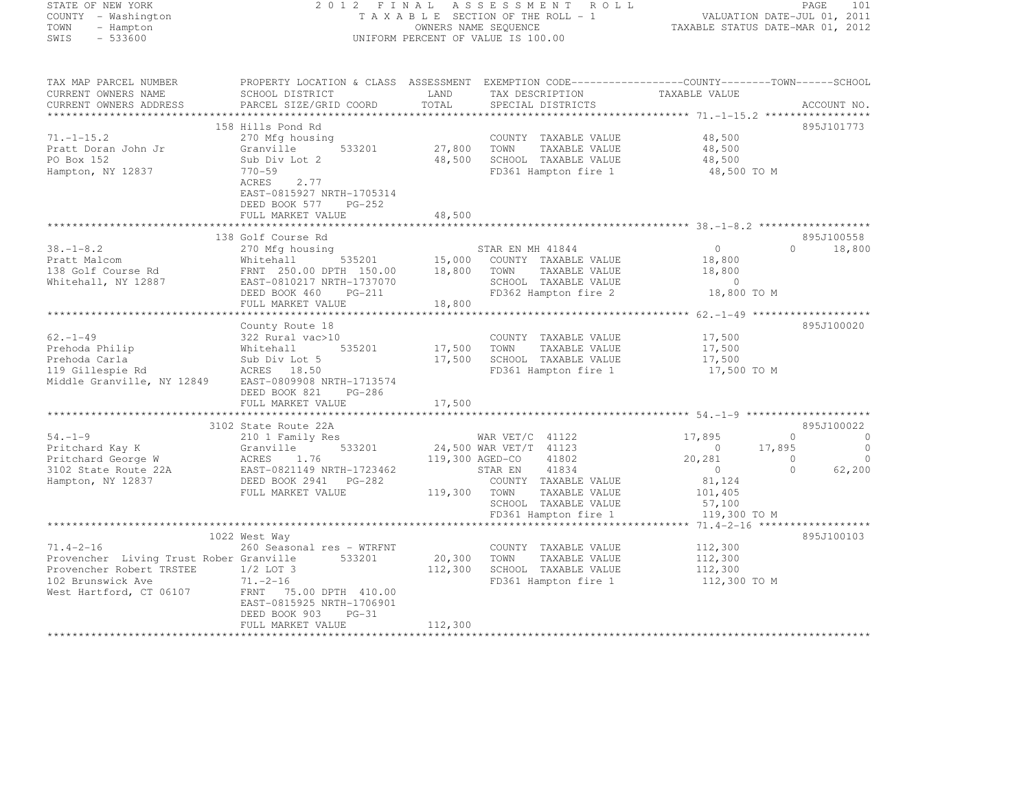| STATE OF NEW YORK<br>COUNTY - Washington<br>TOWN - Hampton<br>SWIS - 533600 | FINAL ASSESSMENT ROLL PAGE 101<br>TAXABLE SECTION OF THE ROLL - 1 VALUATION DATE-JUL 01, 2011<br>OWNERS NAME SEQUENCE TAXABLE STATUS DATE-MAR 01, 2012<br>2012 FINAL ASSESSMENT ROLL<br>UNIFORM PERCENT OF VALUE IS 100.00                                                       |        |                                                     |                                            |                                              |  |
|-----------------------------------------------------------------------------|----------------------------------------------------------------------------------------------------------------------------------------------------------------------------------------------------------------------------------------------------------------------------------|--------|-----------------------------------------------------|--------------------------------------------|----------------------------------------------|--|
|                                                                             | TAX MAP PARCEL NUMBER     PROPERTY LOCATION & CLASS ASSESSMENT EXEMPTION CODE---------------COUNTY--------TOWN------SCHOOL                                                                                                                                                       |        |                                                     |                                            |                                              |  |
| CURRENT OWNERS NAME<br>CURRENT OWNERS ADDRESS                               | SCHOOL DISTRICT                   LAND       TAX DESCRIPTION               TAXABLE VALUE<br>PARCEL SIZE/GRID COORD                                                                                                                                                               | TOTAL  | SPECIAL DISTRICTS                                   |                                            | ACCOUNT NO.                                  |  |
| ************************                                                    |                                                                                                                                                                                                                                                                                  |        |                                                     |                                            |                                              |  |
|                                                                             | 158 Hills Pond Rd                                                                                                                                                                                                                                                                |        |                                                     |                                            | 895J101773                                   |  |
|                                                                             |                                                                                                                                                                                                                                                                                  |        |                                                     | 48,500<br>48,500                           |                                              |  |
|                                                                             |                                                                                                                                                                                                                                                                                  |        |                                                     | 48,500                                     |                                              |  |
|                                                                             | 1.1-15.2<br>Pratt Doran John Jr (Canville 533201)<br>Po Box 152 (Stanville 533201)<br>Hampton, NY 12837 (PO Box 152)<br>Hampton, NY 12837 (PO Box 152)<br>ACRES 2.77                                                                                                             |        | FD361 Hampton fire 1                                | 48,500 TO M                                |                                              |  |
|                                                                             | EAST-0815927 NRTH-1705314<br>DEED BOOK 577 PG-252                                                                                                                                                                                                                                |        |                                                     |                                            |                                              |  |
|                                                                             | FULL MARKET VALUE                                                                                                                                                                                                                                                                | 48,500 |                                                     |                                            |                                              |  |
|                                                                             | 138 Golf Course Rd                                                                                                                                                                                                                                                               |        |                                                     |                                            | 895J100558                                   |  |
|                                                                             |                                                                                                                                                                                                                                                                                  |        |                                                     | $\overline{0}$                             | $0 \t 18,800$                                |  |
|                                                                             |                                                                                                                                                                                                                                                                                  |        | 535201 15,000 COUNTY TAXABLE VALUE                  | $18,800$<br>$18,800$                       |                                              |  |
|                                                                             |                                                                                                                                                                                                                                                                                  |        |                                                     | $\sim$ 0                                   |                                              |  |
|                                                                             | 38.-1-8.2<br>Pratt Malcom Mitehall 535201 STAR EN MH 41844<br>138 Golf Course Rd FRNT 250.00 DPTH 150.00 18,800 TOWN TAXABLE VALUE<br>Whitehall, NY 12887 EAST-0810217 NRTH-1737070 SCHOOL TAXABLE VALUE<br>MEED BOOK 460 PG-211 18,80                                           |        | SCHOOL TAXABLE VALUE<br>FD362 Hampton fire 2        | 18,800 TO M                                |                                              |  |
|                                                                             |                                                                                                                                                                                                                                                                                  |        |                                                     |                                            |                                              |  |
|                                                                             |                                                                                                                                                                                                                                                                                  |        |                                                     |                                            | 895J100020                                   |  |
|                                                                             |                                                                                                                                                                                                                                                                                  |        | COUNTY TAXABLE VALUE                                | 17,500                                     |                                              |  |
|                                                                             |                                                                                                                                                                                                                                                                                  |        | 17,500 TOWN TAXABLE VALUE                           | 17,500                                     |                                              |  |
|                                                                             |                                                                                                                                                                                                                                                                                  |        | 17,500 SCHOOL TAXABLE VALUE<br>FD361 Hampton fire 1 | 17,500<br>17,500 TO M                      |                                              |  |
|                                                                             | County Route 18<br>Prehoda Philip<br>Prehoda Carla<br>Prehoda Carla<br>119 Gillespie Rd<br>Middle Granville, NY 12849<br>Prehoda Carla<br>2009 BAST-0809908<br>Niddle Granville, NY 12849<br>Prehoda NRTH-1713574<br>2006<br>PRINCES<br>2009908<br>RTH-1<br>DEED BOOK 821 PG-286 |        |                                                     |                                            |                                              |  |
|                                                                             | FULL MARKET VALUE                                                                                                                                                                                                                                                                | 17,500 |                                                     |                                            |                                              |  |
|                                                                             | 3102 State Route 22A                                                                                                                                                                                                                                                             |        |                                                     |                                            | 895J100022                                   |  |
|                                                                             | 3102 State Route 22A<br>210 1 Family Res<br>Pritchard Kay K Granville 533201 24,500 WAR VET/C 41122 17,895<br>Pritchard George W ACRES 1.76 119,300 AGED-CO 41802 20,281<br>3102 State Route 22A EAST-0821149 NRTH-1723462 STAR EN 418                                           |        |                                                     |                                            | $\begin{matrix} 0 & 0 \\ 0 & 0 \end{matrix}$ |  |
|                                                                             |                                                                                                                                                                                                                                                                                  |        |                                                     | $0 \t 17,895$<br>20, 281                   | $\overline{0}$                               |  |
|                                                                             |                                                                                                                                                                                                                                                                                  |        |                                                     | $\sim$ 0<br>$\overline{0}$                 | $\overline{0}$<br>62,200                     |  |
|                                                                             |                                                                                                                                                                                                                                                                                  |        |                                                     | $\begin{array}{c} 0 \\ 81,124 \end{array}$ |                                              |  |
|                                                                             | FULL MARKET VALUE                                                                                                                                                                                                                                                                |        | 119,300 TOWN TAXABLE VALUE                          |                                            |                                              |  |
|                                                                             |                                                                                                                                                                                                                                                                                  |        | SCHOOL TAXABLE VALUE                                | 101,405<br>57,100<br>119,300 TO M          |                                              |  |
|                                                                             |                                                                                                                                                                                                                                                                                  |        | FD361 Hampton fire 1                                |                                            |                                              |  |
|                                                                             | 1022 West Way                                                                                                                                                                                                                                                                    |        |                                                     |                                            | 895J100103                                   |  |
| $71.4 - 2 - 16$                                                             | 260 Seasonal res – WTRFNT                                                                                                                                                                                                                                                        |        | COUNTY TAXABLE VALUE 112,300                        |                                            |                                              |  |
|                                                                             |                                                                                                                                                                                                                                                                                  |        | 20,300 TOWN TAXABLE VALUE                           | 112,300                                    |                                              |  |
| Provencher Robert TRSTEE 1/2 LOT 3                                          |                                                                                                                                                                                                                                                                                  |        | 112,300 SCHOOL TAXABLE VALUE                        | 112,300<br>112,300 TO M                    |                                              |  |
| 102 Brunswick Ave                                                           | $71. -2 - 16$                                                                                                                                                                                                                                                                    |        | FD361 Hampton fire 1                                |                                            |                                              |  |
|                                                                             | West Hartford, CT 06107 $\,$ FRNT $\,$ 75.00 DPTH $\,$ 410.00 $\,$<br>EAST-0815925 NRTH-1706901                                                                                                                                                                                  |        |                                                     |                                            |                                              |  |
|                                                                             | DEED BOOK 903<br>$PG-31$                                                                                                                                                                                                                                                         |        |                                                     |                                            |                                              |  |
|                                                                             | סוונות יפסאר ביווס                                                                                                                                                                                                                                                               | 112200 |                                                     |                                            |                                              |  |

FULL MARKET VALUE 112,300 \*\*\*\*\*\*\*\*\*\*\*\*\*\*\*\*\*\*\*\*\*\*\*\*\*\*\*\*\*\*\*\*\*\*\*\*\*\*\*\*\*\*\*\*\*\*\*\*\*\*\*\*\*\*\*\*\*\*\*\*\*\*\*\*\*\*\*\*\*\*\*\*\*\*\*\*\*\*\*\*\*\*\*\*\*\*\*\*\*\*\*\*\*\*\*\*\*\*\*\*\*\*\*\*\*\*\*\*\*\*\*\*\*\*\*\*\*\*\*\*\*\*\*\*\*\*\*\*\*\*\*\*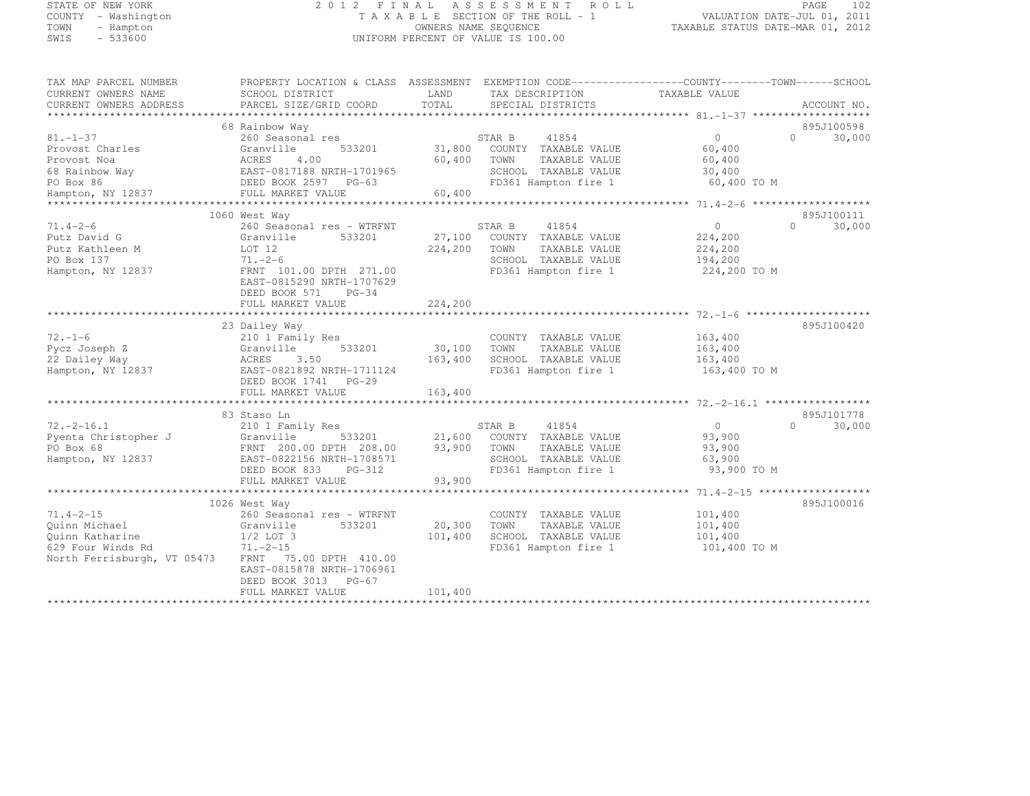# STATE OF NEW YORK 2 0 1 2 F I N A L A S S E S S M E N T R O L L PAGE <sup>102</sup> COUNTY - Washington T A X A B L E SECTION OF THE ROLL - 1 VALUATION DATE-JUL 01, 2011 TOWN - Hampton OWNERS NAME SEQUENCE TAXABLE STATUS DATE-MAR 01, 2012 SWIS - 533600 UNIFORM PERCENT OF VALUE IS 100.00

| TAX MAP PARCEL NUMBER       | PROPERTY LOCATION & CLASS ASSESSMENT EXEMPTION CODE----------------COUNTY-------TOWN-----SCHOOL                                                                                                                                                                                                                                                                                                                         |         |                                    |                    |                             |
|-----------------------------|-------------------------------------------------------------------------------------------------------------------------------------------------------------------------------------------------------------------------------------------------------------------------------------------------------------------------------------------------------------------------------------------------------------------------|---------|------------------------------------|--------------------|-----------------------------|
| CURRENT OWNERS NAME         | SCHOOL DISTRICT                                                                                                                                                                                                                                                                                                                                                                                                         | LAND    | TAX DESCRIPTION                    | TAXABLE VALUE      |                             |
| CURRENT OWNERS ADDRESS      | PARCEL SIZE/GRID COORD                                                                                                                                                                                                                                                                                                                                                                                                  | TOTAL   | SPECIAL DISTRICTS                  |                    | ACCOUNT NO.                 |
|                             |                                                                                                                                                                                                                                                                                                                                                                                                                         |         |                                    |                    |                             |
|                             | 68 Rainbow Way                                                                                                                                                                                                                                                                                                                                                                                                          |         |                                    |                    | 895J100598                  |
| $81. - 1 - 37$              | 260 Seasonal res                                                                                                                                                                                                                                                                                                                                                                                                        |         | STAR B<br>41854                    | $\overline{0}$     | $0 \qquad \qquad$<br>30,000 |
|                             |                                                                                                                                                                                                                                                                                                                                                                                                                         |         | 31,800 COUNTY TAXABLE VALUE        | 60,400             |                             |
|                             |                                                                                                                                                                                                                                                                                                                                                                                                                         | 60,400  | TOWN<br>TAXABLE VALUE              | 60,400             |                             |
|                             |                                                                                                                                                                                                                                                                                                                                                                                                                         |         | SCHOOL TAXABLE VALUE               | 30,400             |                             |
|                             |                                                                                                                                                                                                                                                                                                                                                                                                                         |         | FD361 Hampton fire 1               | 60,400 TO M        |                             |
| Hampton, NY 12837           | $\begin{tabular}{lllllllllll} 81.-1-37 & & & & & & & & & & & & \\ \hline \texttt{Provost Charles} & & & & & & & & & & \\ \texttt{Provost Noa} & & & & & & & & & \\ \texttt{68 RBS} & & & & & & & & & \\ \texttt{69 RST-0817188 NRH-1701965} & & & & & & \\ \texttt{79 RST-0817188 NRH-1701965} & & & & & & \\ \texttt{89 RST-0817188 NRH-1701965} & & & & & & \\ \texttt{99 RST-0817188 NRH-17019$<br>FULL MARKET VALUE | 60,400  |                                    |                    |                             |
|                             |                                                                                                                                                                                                                                                                                                                                                                                                                         |         |                                    |                    |                             |
|                             | 1060 West Way                                                                                                                                                                                                                                                                                                                                                                                                           |         |                                    |                    | 895J100111                  |
| $71.4 - 2 - 6$              | 260 Seasonal res - WTRFNT                                                                                                                                                                                                                                                                                                                                                                                               |         | 41854<br>STAR B                    | $\overline{0}$     | $\Omega$<br>30,000          |
| Putz David G                | Granville<br>533201                                                                                                                                                                                                                                                                                                                                                                                                     |         | 27,100 COUNTY TAXABLE VALUE        | 224,200            |                             |
| Putz Kathleen M             | LOT 12                                                                                                                                                                                                                                                                                                                                                                                                                  | 224,200 | TOWN<br>TAXABLE VALUE              | 224,200            |                             |
| PO Box 137                  | $71. - 2 - 6$                                                                                                                                                                                                                                                                                                                                                                                                           |         | SCHOOL TAXABLE VALUE               | 194,200            |                             |
| Hampton, NY 12837           | FRNT 101.00 DPTH 271.00                                                                                                                                                                                                                                                                                                                                                                                                 |         | FD361 Hampton fire 1               | 224,200 TO M       |                             |
|                             | EAST-0815290 NRTH-1707629                                                                                                                                                                                                                                                                                                                                                                                               |         |                                    |                    |                             |
|                             | DEED BOOK 571 PG-34                                                                                                                                                                                                                                                                                                                                                                                                     |         |                                    |                    |                             |
|                             | FULL MARKET VALUE                                                                                                                                                                                                                                                                                                                                                                                                       | 224,200 |                                    |                    |                             |
|                             |                                                                                                                                                                                                                                                                                                                                                                                                                         |         |                                    |                    |                             |
|                             | 23 Dailey Way                                                                                                                                                                                                                                                                                                                                                                                                           |         |                                    |                    | 895J100420                  |
| $72. - 1 - 6$               | 210 1 Family Res                                                                                                                                                                                                                                                                                                                                                                                                        |         | COUNTY TAXABLE VALUE               |                    |                             |
| Pycz Joseph Z               | 533201<br>Granville                                                                                                                                                                                                                                                                                                                                                                                                     | 30,100  | TAXABLE VALUE<br>TOWN              | 163,400<br>163,400 |                             |
| 22 Dailey Way               |                                                                                                                                                                                                                                                                                                                                                                                                                         | 163,400 | SCHOOL TAXABLE VALUE               | 163,400            |                             |
| Hampton, NY 12837           |                                                                                                                                                                                                                                                                                                                                                                                                                         |         | FD361 Hampton fire 1               | 163,400 TO M       |                             |
|                             |                                                                                                                                                                                                                                                                                                                                                                                                                         |         |                                    |                    |                             |
|                             | FULL MARKET VALUE                                                                                                                                                                                                                                                                                                                                                                                                       | 163,400 |                                    |                    |                             |
|                             |                                                                                                                                                                                                                                                                                                                                                                                                                         |         |                                    |                    |                             |
|                             | 83 Staso Ln                                                                                                                                                                                                                                                                                                                                                                                                             |         |                                    |                    | 895J101778                  |
| $72. - 2 - 16.1$            | 210 1 Family Res                                                                                                                                                                                                                                                                                                                                                                                                        |         | STAR B<br>41854                    | $\Omega$           | 30,000<br>$\Omega$          |
| Pyenta Christopher J        |                                                                                                                                                                                                                                                                                                                                                                                                                         |         | 533201 21,600 COUNTY TAXABLE VALUE | 93,900             |                             |
| PO Box 68                   | Granville<br>FRNT 200.00 DPTH 208.00                                                                                                                                                                                                                                                                                                                                                                                    | 93,900  | TOWN<br>TAXABLE VALUE              | 93,900             |                             |
| Hampton, NY 12837           | EAST-0822156 NRTH-1708571                                                                                                                                                                                                                                                                                                                                                                                               |         | SCHOOL TAXABLE VALUE               | 63,900             |                             |
|                             | DEED BOOK 833<br>PG-312                                                                                                                                                                                                                                                                                                                                                                                                 |         | FD361 Hampton fire 1               | 93,900 TO M        |                             |
|                             |                                                                                                                                                                                                                                                                                                                                                                                                                         | 93,900  |                                    |                    |                             |
|                             | FULL MARKET VALUE                                                                                                                                                                                                                                                                                                                                                                                                       |         |                                    |                    |                             |
|                             |                                                                                                                                                                                                                                                                                                                                                                                                                         |         |                                    |                    | 895J100016                  |
|                             | 1026 West Way                                                                                                                                                                                                                                                                                                                                                                                                           |         |                                    |                    |                             |
| $71.4 - 2 - 15$             | 260 Seasonal res - WTRFNT                                                                                                                                                                                                                                                                                                                                                                                               |         | COUNTY TAXABLE VALUE               | 101,400            |                             |
| Ouinn Michael               | 533201<br>Granville                                                                                                                                                                                                                                                                                                                                                                                                     | 20,300  | TOWN<br>TAXABLE VALUE              | 101,400            |                             |
| Ouinn Katharine             | $1/2$ LOT 3                                                                                                                                                                                                                                                                                                                                                                                                             | 101,400 | SCHOOL TAXABLE VALUE               | 101,400            |                             |
| 629 Four Winds Rd           | $71. -2 - 15$                                                                                                                                                                                                                                                                                                                                                                                                           |         | FD361 Hampton fire 1               | 101,400 TO M       |                             |
| North Ferrisburgh, VT 05473 | FRNT 75.00 DPTH 410.00                                                                                                                                                                                                                                                                                                                                                                                                  |         |                                    |                    |                             |
|                             | EAST-0815878 NRTH-1706961                                                                                                                                                                                                                                                                                                                                                                                               |         |                                    |                    |                             |
|                             | DEED BOOK 3013 PG-67                                                                                                                                                                                                                                                                                                                                                                                                    |         |                                    |                    |                             |
|                             | FULL MARKET VALUE                                                                                                                                                                                                                                                                                                                                                                                                       | 101,400 |                                    |                    |                             |
|                             |                                                                                                                                                                                                                                                                                                                                                                                                                         |         |                                    |                    |                             |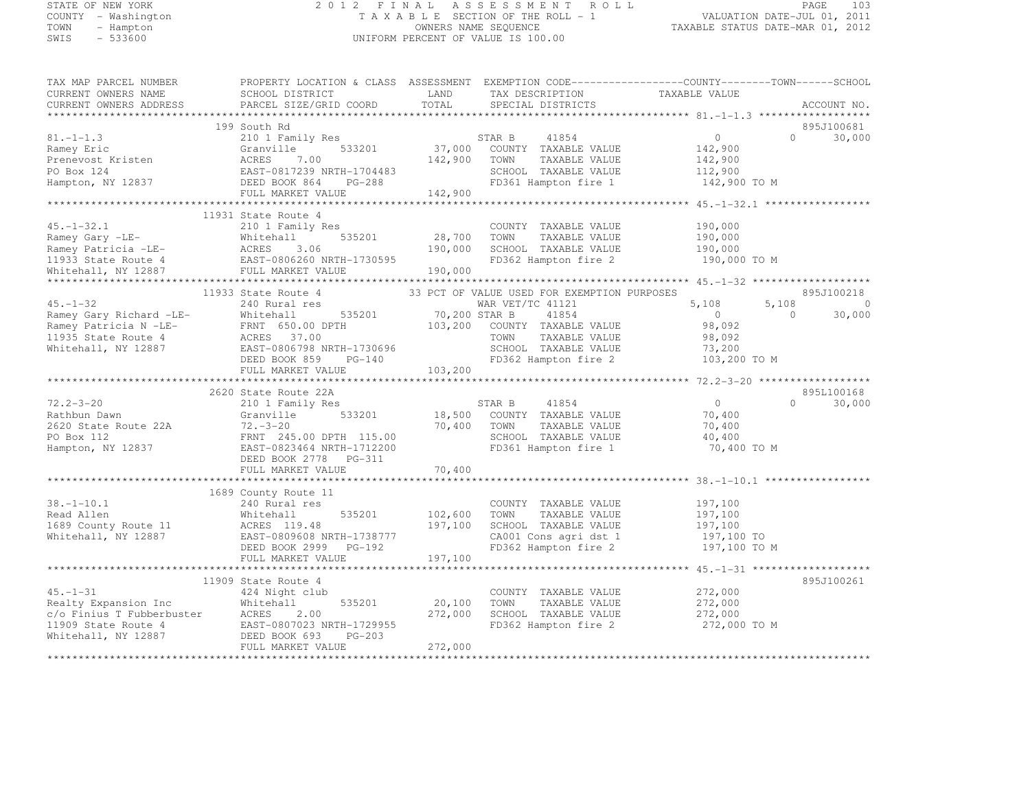# STATE OF NEW YORK 2 0 1 2 F I N A L A S S E S S M E N T R O L L PAGE <sup>103</sup> COUNTY - Washington T A X A B L E SECTION OF THE ROLL - 1 VALUATION DATE-JUL 01, 2011 TOWN - Hampton OWNERS NAME SEQUENCE TAXABLE STATUS DATE-MAR 01, 2012 SWIS - 533600 UNIFORM PERCENT OF VALUE IS 100.00

| TAX MAP PARCEL NUMBER                                                               |                                                                                                                                                                                                                                                    |                   |                                               | PROPERTY LOCATION & CLASS ASSESSMENT EXEMPTION CODE----------------COUNTY-------TOWN------SCHOOL |                    |
|-------------------------------------------------------------------------------------|----------------------------------------------------------------------------------------------------------------------------------------------------------------------------------------------------------------------------------------------------|-------------------|-----------------------------------------------|--------------------------------------------------------------------------------------------------|--------------------|
| CURRENT OWNERS NAME                                                                 | SCHOOL DISTRICT                                                                                                                                                                                                                                    | LAND              | TAX DESCRIPTION TAXABLE VALUE                 |                                                                                                  |                    |
| CURRENT OWNERS ADDRESS                                                              | PARCEL SIZE/GRID COORD                                                                                                                                                                                                                             | TOTAL             | SPECIAL DISTRICTS                             |                                                                                                  | ACCOUNT NO.        |
|                                                                                     |                                                                                                                                                                                                                                                    |                   |                                               |                                                                                                  |                    |
|                                                                                     | 199 South Rd                                                                                                                                                                                                                                       |                   |                                               |                                                                                                  | 895J100681         |
| $81, -1 - 1.3$                                                                      | 210 1 Family Res                                                                                                                                                                                                                                   | STAR B            | 41854                                         | $\circ$                                                                                          | $\Omega$<br>30,000 |
| Ramey Eric                                                                          | 533201<br>Granville                                                                                                                                                                                                                                |                   | 37,000 COUNTY TAXABLE VALUE                   | 142,900                                                                                          |                    |
| Prenevost Kristen                                                                   | ACRES<br>7.00                                                                                                                                                                                                                                      | 142,900           | TOWN<br>TAXABLE VALUE                         | 142,900                                                                                          |                    |
| PO Box 124<br>Hampton, NY 12837                                                     | EAST-0817239 NRTH-1704483<br>DEED BOOK 864 PG-288<br>N EAST-0817233 N<br>DEED BOOK 864                                                                                                                                                             |                   | SCHOOL TAXABLE VALUE<br>FD361 Hampton fire 1  | 112,900<br>142,900 TO M                                                                          |                    |
|                                                                                     | FULL MARKET VALUE 142,900                                                                                                                                                                                                                          |                   |                                               |                                                                                                  |                    |
|                                                                                     |                                                                                                                                                                                                                                                    |                   |                                               |                                                                                                  |                    |
|                                                                                     | 11931 State Route 4                                                                                                                                                                                                                                |                   |                                               |                                                                                                  |                    |
| $45. - 1 - 32.1$                                                                    | 210 1 Family Res                                                                                                                                                                                                                                   |                   | COUNTY TAXABLE VALUE                          | 190,000                                                                                          |                    |
|                                                                                     | Ramey Gary -LE-<br>Ramey Patricia -LE-<br>11933 State Route 4<br>11933 State Route 4<br>11934 State Route 4<br>11934 State Route 4<br>11934 State Route 4<br>11934 State Route 4<br>11934 State Route 4<br>11934 State Route 4<br>11934 State Rout | 28,700            | TOWN<br>TAXABLE VALUE                         | 190,000                                                                                          |                    |
|                                                                                     |                                                                                                                                                                                                                                                    | 190,000           | SCHOOL TAXABLE VALUE                          | 190,000                                                                                          |                    |
|                                                                                     |                                                                                                                                                                                                                                                    |                   | FD362 Hampton fire 2                          | 190,000 TO M                                                                                     |                    |
|                                                                                     |                                                                                                                                                                                                                                                    | 190,000           |                                               |                                                                                                  |                    |
|                                                                                     |                                                                                                                                                                                                                                                    |                   |                                               |                                                                                                  |                    |
|                                                                                     | 11933 State Route 4                                                                                                                                                                                                                                |                   | 33 PCT OF VALUE USED FOR EXEMPTION PURPOSES   |                                                                                                  | 895J100218         |
| $45. - 1 - 32$                                                                      | 240 Rural res                                                                                                                                                                                                                                      |                   | WAR VET/TC 41121                              | 5,108<br>5,108                                                                                   | $\overline{0}$     |
|                                                                                     | 535201                                                                                                                                                                                                                                             | 70,200 STAR B     | 41854                                         | $\overline{0}$<br>$\Omega$                                                                       | 30,000             |
| Ramey Gary Richard -LE-<br>Ramey Patricia N -LE-<br>11935 State Route 4 ACRES 37.00 |                                                                                                                                                                                                                                                    |                   | 103,200 COUNTY TAXABLE VALUE                  | 98,092                                                                                           |                    |
|                                                                                     |                                                                                                                                                                                                                                                    |                   | TOWN<br>TAXABLE VALUE                         | 98,092                                                                                           |                    |
| Whitehall, NY 12887                                                                 | EAST-0806798 NRTH-1730696                                                                                                                                                                                                                          |                   | SCHOOL TAXABLE VALUE                          | 73,200                                                                                           |                    |
|                                                                                     | DEED BOOK 859<br>$PG-140$                                                                                                                                                                                                                          |                   | FD362 Hampton fire 2                          | 103,200 TO M                                                                                     |                    |
|                                                                                     | FULL MARKET VALUE                                                                                                                                                                                                                                  | 103,200           |                                               |                                                                                                  |                    |
|                                                                                     | 2620 State Route 22A                                                                                                                                                                                                                               |                   |                                               |                                                                                                  | 895L100168         |
| $72.2 - 3 - 20$                                                                     | 210 1 Family Res                                                                                                                                                                                                                                   |                   | 41854<br>STAR B                               | $\overline{0}$<br>$\Omega$                                                                       | 30,000             |
| Rathbun Dawn                                                                        | 533201<br>Granville                                                                                                                                                                                                                                | 18,500            | COUNTY TAXABLE VALUE                          | 70,400                                                                                           |                    |
| 2620 State Route 22A                                                                | $72 - 3 - 20$                                                                                                                                                                                                                                      | 70,400            | TAXABLE VALUE<br>TOWN                         | 70,400                                                                                           |                    |
| PO Box 112                                                                          | FRNT 245.00 DPTH 115.00                                                                                                                                                                                                                            |                   | SCHOOL TAXABLE VALUE                          | 40,400                                                                                           |                    |
| Hampton, NY 12837                                                                   | EAST-0823464 NRTH-1712200                                                                                                                                                                                                                          |                   | FD361 Hampton fire 1                          | 70,400 TO M                                                                                      |                    |
|                                                                                     | DEED BOOK 2778 PG-311                                                                                                                                                                                                                              |                   |                                               |                                                                                                  |                    |
|                                                                                     | FULL MARKET VALUE                                                                                                                                                                                                                                  | 70,400            |                                               |                                                                                                  |                    |
|                                                                                     |                                                                                                                                                                                                                                                    |                   |                                               |                                                                                                  |                    |
|                                                                                     | 1689 County Route 11                                                                                                                                                                                                                               |                   |                                               |                                                                                                  |                    |
| $38. - 1 - 10.1$                                                                    | 240 Rural res                                                                                                                                                                                                                                      |                   | COUNTY TAXABLE VALUE                          | 197,100                                                                                          |                    |
| Read Allen                                                                          | Whitehall<br>535201                                                                                                                                                                                                                                | 102,600           | TOWN<br>TAXABLE VALUE                         | 197,100                                                                                          |                    |
| 1689 County Route 11                                                                | ACRES 119.48                                                                                                                                                                                                                                       | 197,100           | SCHOOL TAXABLE VALUE                          | 197,100                                                                                          |                    |
| Whitehall, NY 12887                                                                 | EAST-0809608 NRTH-1738777                                                                                                                                                                                                                          |                   | CA001 Cons agri dst 1                         | 197,100 TO                                                                                       |                    |
|                                                                                     | DEED BOOK 2999 PG-192                                                                                                                                                                                                                              |                   | FD362 Hampton fire 2                          | 197,100 TO M                                                                                     |                    |
|                                                                                     | FULL MARKET VALUE                                                                                                                                                                                                                                  | 197,100           |                                               |                                                                                                  |                    |
|                                                                                     |                                                                                                                                                                                                                                                    |                   |                                               |                                                                                                  |                    |
|                                                                                     | 11909 State Route 4                                                                                                                                                                                                                                |                   |                                               |                                                                                                  | 895J100261         |
| $45. - 1 - 31$                                                                      | 424 Night club                                                                                                                                                                                                                                     |                   | COUNTY TAXABLE VALUE                          | 272,000                                                                                          |                    |
|                                                                                     | Whitehall<br>535201<br>ACRES<br>2.00                                                                                                                                                                                                               | 20,100<br>272,000 | TOWN<br>TAXABLE VALUE<br>SCHOOL TAXABLE VALUE | 272,000<br>272,000                                                                               |                    |
| Realty Expansion Inc<br>c/o Finius T Fubberbuster<br>11909 State Route 4            | EAST-0807023 NRTH-1729955                                                                                                                                                                                                                          |                   | FD362 Hampton fire 2                          | 272,000 TO M                                                                                     |                    |
| Whitehall, NY 12887                                                                 | DEED BOOK 693<br>$PG-203$                                                                                                                                                                                                                          |                   |                                               |                                                                                                  |                    |
|                                                                                     | FULL MARKET VALUE                                                                                                                                                                                                                                  | 272,000           |                                               |                                                                                                  |                    |
|                                                                                     |                                                                                                                                                                                                                                                    |                   |                                               |                                                                                                  |                    |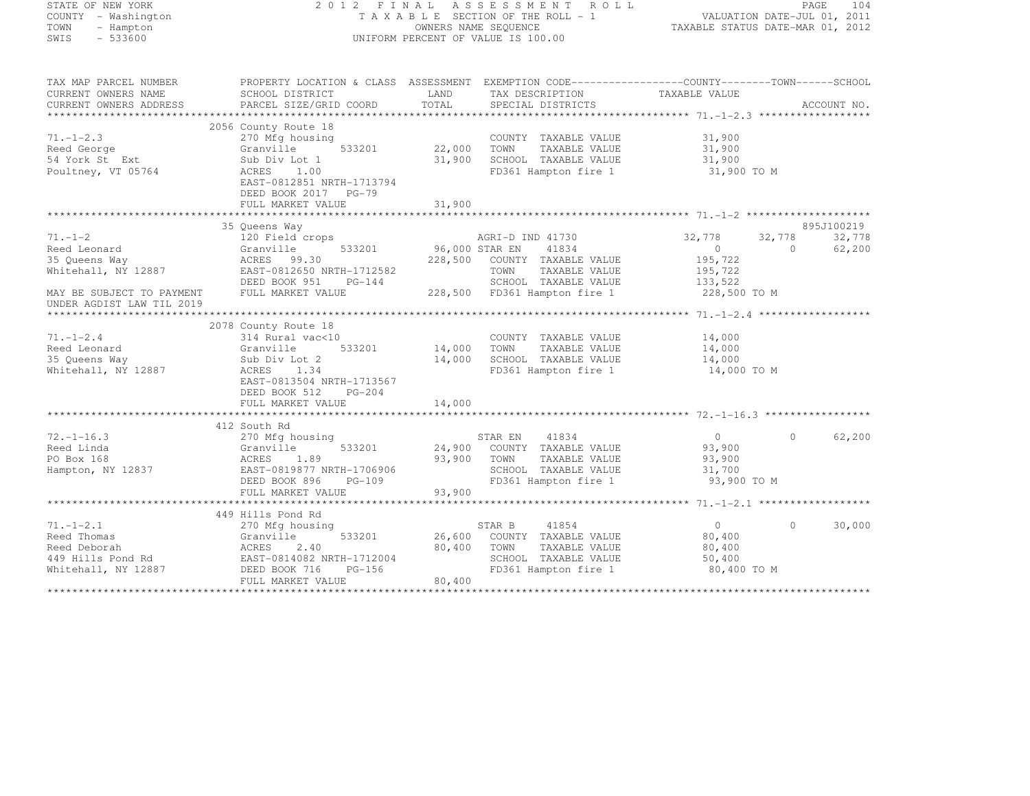| STATE OF NEW YORK<br>COUNTY - Washington<br>TOWN<br>- Hampton<br>SWIS<br>$-533600$ | 2012 FINAL ASSESSMENT ROLL<br>TAXABLE SECTION OF THE ROLL - 1<br>OWNERS NAME SEQUENCE<br>UNIFORM PERCENT OF VALUE IS 100.00 |                |                                       | PAGE<br>104<br>VALUATION DATE-JUL 01, 2011<br>TAXABLE STATUS DATE-MAR 01, 2012 |          |             |
|------------------------------------------------------------------------------------|-----------------------------------------------------------------------------------------------------------------------------|----------------|---------------------------------------|--------------------------------------------------------------------------------|----------|-------------|
| TAX MAP PARCEL NUMBER<br>CURRENT OWNERS NAME                                       | PROPERTY LOCATION & CLASS ASSESSMENT EXEMPTION CODE----------------COUNTY-------TOWN------SCHOOL<br>SCHOOL DISTRICT         | LAND           | TAX DESCRIPTION                       | TAXABLE VALUE                                                                  |          |             |
| CURRENT OWNERS ADDRESS                                                             | PARCEL SIZE/GRID COORD                                                                                                      | TOTAL          | SPECIAL DISTRICTS                     |                                                                                |          | ACCOUNT NO. |
|                                                                                    |                                                                                                                             |                |                                       |                                                                                |          |             |
|                                                                                    | 2056 County Route 18                                                                                                        |                |                                       |                                                                                |          |             |
| $71. - 1 - 2.3$                                                                    | 270 Mfg housing                                                                                                             |                | COUNTY TAXABLE VALUE                  | 31,900                                                                         |          |             |
| Reed George                                                                        | 533201<br>Granville                                                                                                         | 22,000         | TAXABLE VALUE<br>TOWN                 | 31,900                                                                         |          |             |
| 54 York St Ext                                                                     | Sub Div Lot 1                                                                                                               | 31,900         | SCHOOL TAXABLE VALUE                  | 31,900                                                                         |          |             |
| Poultney, VT 05764                                                                 | ACRES<br>1.00<br>EAST-0812851 NRTH-1713794<br>DEED BOOK 2017 PG-79                                                          |                | FD361 Hampton fire 1                  | 31,900 TO M                                                                    |          |             |
|                                                                                    | FULL MARKET VALUE                                                                                                           | 31,900         |                                       |                                                                                |          |             |
|                                                                                    |                                                                                                                             |                |                                       |                                                                                |          |             |
|                                                                                    | 35 Queens Way                                                                                                               |                |                                       |                                                                                |          | 895J100219  |
| $71. - 1 - 2$                                                                      | 120 Field crops                                                                                                             |                | AGRI-D IND 41730                      | 32,778                                                                         | 32,778   | 32,778      |
| Reed Leonard                                                                       | Granville 533201<br>ACRES 99.30<br>EAST-0812650 NRTH-1712582                                                                | 96,000 STAR EN | 41834                                 | $\overline{0}$                                                                 | $\cap$   | 62,200      |
| 35 Queens Way<br>Whitehall, NY 12887                                               |                                                                                                                             | 228,500        | COUNTY TAXABLE VALUE<br>TAXABLE VALUE | 195,722                                                                        |          |             |
|                                                                                    | DEED BOOK 951<br>$PG-144$                                                                                                   |                | TOWN<br>SCHOOL TAXABLE VALUE          | 195,722<br>133,522                                                             |          |             |
| MAY BE SUBJECT TO PAYMENT<br>UNDER AGDIST LAW TIL 2019                             | FULL MARKET VALUE                                                                                                           |                | 228,500 FD361 Hampton fire 1          | 228,500 TO M                                                                   |          |             |
|                                                                                    |                                                                                                                             |                |                                       |                                                                                |          |             |
|                                                                                    | 2078 County Route 18                                                                                                        |                |                                       |                                                                                |          |             |
| $71. - 1 - 2.4$                                                                    | 314 Rural vac<10                                                                                                            |                | COUNTY TAXABLE VALUE                  | 14,000                                                                         |          |             |
| Reed Leonard                                                                       | Granville<br>533201                                                                                                         | 14,000         | TOWN<br>TAXABLE VALUE                 | 14,000                                                                         |          |             |
| 35 Queens Way                                                                      | Sub Div Lot 2                                                                                                               | 14,000         | SCHOOL TAXABLE VALUE                  | 14,000                                                                         |          |             |
| Whitehall, NY 12887                                                                | ACRES 1.34                                                                                                                  |                | FD361 Hampton fire 1                  | 14,000 TO M                                                                    |          |             |
|                                                                                    | EAST-0813504 NRTH-1713567                                                                                                   |                |                                       |                                                                                |          |             |
|                                                                                    | DEED BOOK 512<br>PG-204                                                                                                     |                |                                       |                                                                                |          |             |
|                                                                                    | FULL MARKET VALUE                                                                                                           | 14,000         |                                       |                                                                                |          |             |
|                                                                                    |                                                                                                                             |                |                                       |                                                                                |          |             |
| $72. - 1 - 16.3$                                                                   | 412 South Rd<br>270 Mfg housing                                                                                             |                | 41834<br>STAR EN                      | $\circ$                                                                        | $\Omega$ | 62,200      |
| Reed Linda                                                                         | Granville<br>533201                                                                                                         | 24,900         | COUNTY TAXABLE VALUE                  | 93,900                                                                         |          |             |
| PO Box 168                                                                         | 1.89<br>ACRES                                                                                                               | 93,900         | TOWN<br>TAXABLE VALUE                 | 93,900                                                                         |          |             |
| Hampton, NY 12837                                                                  | EAST-0819877 NRTH-1706906                                                                                                   |                | SCHOOL TAXABLE VALUE                  | 31,700                                                                         |          |             |
|                                                                                    | DEED BOOK 896<br>$PG-109$                                                                                                   |                | FD361 Hampton fire 1                  | 93,900 TO M                                                                    |          |             |
|                                                                                    | FULL MARKET VALUE                                                                                                           | 93,900         |                                       |                                                                                |          |             |
|                                                                                    |                                                                                                                             |                |                                       |                                                                                |          |             |
|                                                                                    | 449 Hills Pond Rd                                                                                                           |                |                                       |                                                                                |          |             |
| $71. - 1 - 2.1$                                                                    | 270 Mfg housing                                                                                                             |                | 41854<br>STAR B                       | $\overline{0}$                                                                 | $\Omega$ | 30,000      |
| Reed Thomas                                                                        | Granville<br>533201                                                                                                         | 26,600         | COUNTY TAXABLE VALUE                  | 80,400                                                                         |          |             |
| Reed Deborah                                                                       | ACRES<br>2.40                                                                                                               | 80,400         | TOWN<br>TAXABLE VALUE                 | 80,400                                                                         |          |             |
| 449 Hills Pond Rd                                                                  | EAST-0814082 NRTH-1712004                                                                                                   |                | SCHOOL TAXABLE VALUE                  | 50,400                                                                         |          |             |
| Whitehall, NY 12887                                                                | DEED BOOK 716<br>$PG-156$                                                                                                   |                | FD361 Hampton fire 1                  | 80,400 TO M                                                                    |          |             |
|                                                                                    | FULL MARKET VALUE                                                                                                           | 80,400         |                                       |                                                                                |          |             |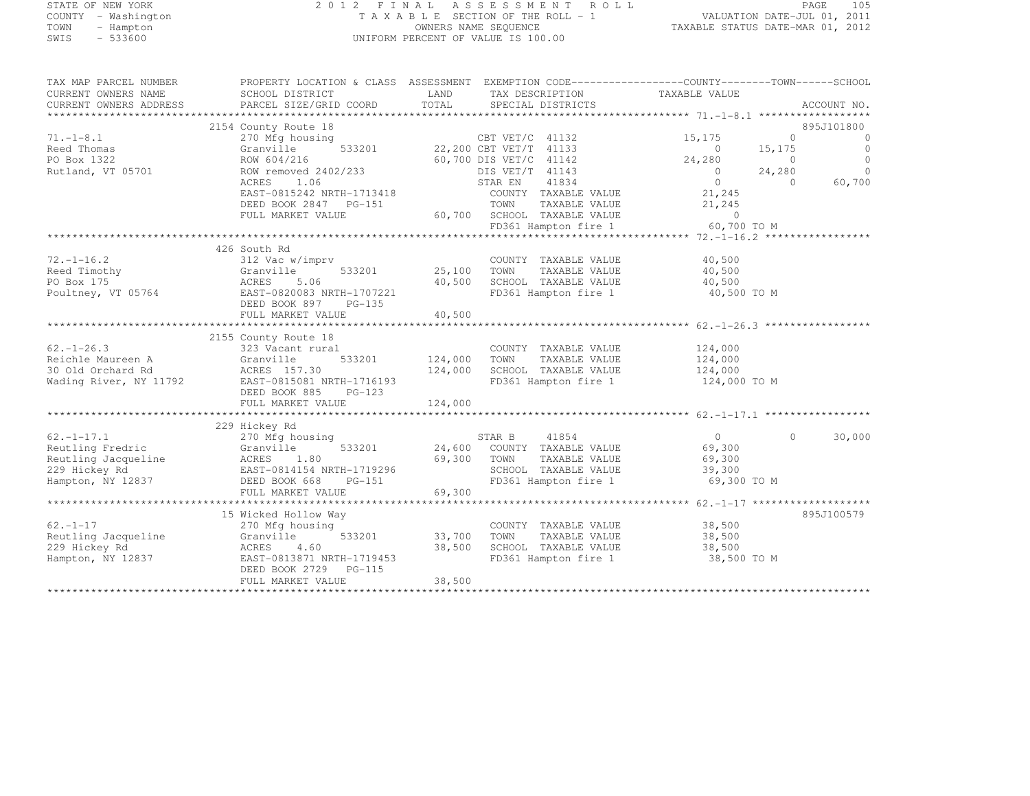# STATE OF NEW YORK 2 0 1 2 F I N A L A S S E S S M E N T R O L L PAGE <sup>105</sup> COUNTY - Washington T A X A B L E SECTION OF THE ROLL - 1 VALUATION DATE-JUL 01, 2011 TOWN - Hampton OWNERS NAME SEQUENCE TAXABLE STATUS DATE-MAR 01, 2012 SWIS - 533600 UNIFORM PERCENT OF VALUE IS 100.00

| TAX MAP PARCEL NUMBER<br>CURRENT OWNERS NAME<br>CURRENT OWNERS ADDRESS | PROPERTY LOCATION & CLASS ASSESSMENT EXEMPTION CODE----------------COUNTY-------TOWN-----SCHOOL<br>SCHOOL DISTRICT<br>PARCEL SIZE/GRID COORD | LAND<br>TOTAL | TAX DESCRIPTION TAXABLE VALUE<br>SPECIAL DISTRICTS |                | ACCOUNT NO.          |
|------------------------------------------------------------------------|----------------------------------------------------------------------------------------------------------------------------------------------|---------------|----------------------------------------------------|----------------|----------------------|
|                                                                        | 2154 County Route 18                                                                                                                         |               |                                                    |                | 895J101800           |
|                                                                        |                                                                                                                                              |               |                                                    |                |                      |
| $71. - 1 - 8.1$                                                        | 270 Mfg housing                                                                                                                              |               | CBT VET/C 41132<br>22,200 CBT VET/T 41133          | 15,175         | $\Omega$<br>$\Omega$ |
| Reed Thomas                                                            | 533201<br>Granville                                                                                                                          |               |                                                    | $\circ$        | $\Omega$<br>15,175   |
| PO Box 1322                                                            | ROW 604/216                                                                                                                                  |               | 60,700 DIS VET/C 41142                             | 24,280         | $\Omega$<br>$\Omega$ |
| Rutland, VT 05701                                                      | ROW removed 2402/233                                                                                                                         |               | DIS VET/T 41143                                    | $\Omega$       | $\bigcap$<br>24,280  |
|                                                                        | 1.06<br>ACRES                                                                                                                                |               | 41834<br>STAR EN                                   | $\overline{0}$ | 60,700<br>$\Omega$   |
|                                                                        | EAST-0815242 NRTH-1713418                                                                                                                    |               | COUNTY TAXABLE VALUE                               | 21,245         |                      |
|                                                                        | DEED BOOK 2847 PG-151                                                                                                                        |               | TOWN<br>TAXABLE VALUE                              | 21,245         |                      |
|                                                                        | FULL MARKET VALUE                                                                                                                            |               | 60,700 SCHOOL TAXABLE VALUE                        | $\circ$        |                      |
|                                                                        |                                                                                                                                              |               | FD361 Hampton fire 1                               | 60,700 TO M    |                      |
|                                                                        |                                                                                                                                              |               |                                                    |                |                      |
|                                                                        | 426 South Rd                                                                                                                                 |               |                                                    |                |                      |
| $72. - 1 - 16.2$                                                       | 312 Vac w/imprv                                                                                                                              |               | COUNTY TAXABLE VALUE                               | 40,500         |                      |
| Reed Timothy                                                           | 533201<br>Granville                                                                                                                          | 25,100        | TOWN<br>TAXABLE VALUE                              | 40,500         |                      |
| PO Box 175                                                             | ACRES<br>5.06                                                                                                                                | 40,500        | SCHOOL TAXABLE VALUE                               | 40,500         |                      |
|                                                                        | EAST-0820083 NRTH-1707221                                                                                                                    |               |                                                    |                |                      |
| Poultney, VT 05764                                                     |                                                                                                                                              |               | FD361 Hampton fire 1                               | 40,500 TO M    |                      |
|                                                                        | DEED BOOK 897<br>PG-135                                                                                                                      |               |                                                    |                |                      |
|                                                                        | FULL MARKET VALUE                                                                                                                            | 40,500        |                                                    |                |                      |
|                                                                        |                                                                                                                                              |               |                                                    |                |                      |
|                                                                        | 2155 County Route 18                                                                                                                         |               |                                                    |                |                      |
| $62. - 1 - 26.3$                                                       | 323 Vacant rural                                                                                                                             |               | COUNTY TAXABLE VALUE                               | 124,000        |                      |
| Reichle Maureen A                                                      | 533201<br>Granville                                                                                                                          | 124,000       | TOWN<br>TAXABLE VALUE                              | 124,000        |                      |
| 30 Old Orchard Rd                                                      | ACRES 157.30                                                                                                                                 | 124,000       | SCHOOL TAXABLE VALUE                               | 124,000        |                      |
| Wading River, NY 11792                                                 | EAST-0815081 NRTH-1716193                                                                                                                    |               | FD361 Hampton fire 1                               | 124,000 TO M   |                      |
|                                                                        | DEED BOOK 885<br>$PG-123$                                                                                                                    |               |                                                    |                |                      |
|                                                                        | FULL MARKET VALUE                                                                                                                            | 124,000       |                                                    |                |                      |
|                                                                        |                                                                                                                                              |               |                                                    |                |                      |
|                                                                        | 229 Hickey Rd                                                                                                                                |               |                                                    |                |                      |
| $62, -1 - 17, 1$                                                       | 270 Mfg housing                                                                                                                              |               | STAR B<br>41854                                    | $\overline{0}$ | 30,000<br>$\Omega$   |
| Reutling Fredric                                                       | 533201<br>Granville                                                                                                                          |               | 24,600 COUNTY TAXABLE VALUE                        | 69,300         |                      |
| Reutling Jacqueline                                                    | ACRES<br>1.80                                                                                                                                | 69,300        | TOWN<br>TAXABLE VALUE                              | 69,300         |                      |
| 229 Hickey Rd                                                          |                                                                                                                                              |               |                                                    |                |                      |
|                                                                        | EAST-0814154 NRTH-1719296                                                                                                                    |               | SCHOOL TAXABLE VALUE                               | 39,300         |                      |
| Hampton, NY 12837                                                      | DEED BOOK 668<br>PG-151                                                                                                                      |               | FD361 Hampton fire 1                               | 69,300 TO M    |                      |
|                                                                        | FULL MARKET VALUE                                                                                                                            | 69,300        |                                                    |                |                      |
|                                                                        |                                                                                                                                              |               |                                                    |                |                      |
|                                                                        | 15 Wicked Hollow Way                                                                                                                         |               |                                                    |                | 895J100579           |
| $62. - 1 - 17$                                                         | 270 Mfg housing                                                                                                                              |               | COUNTY TAXABLE VALUE                               | 38,500         |                      |
| Reutling Jacqueline                                                    | 533201<br>Granville                                                                                                                          | 33,700        | TAXABLE VALUE<br>TOWN                              | 38,500         |                      |
| 229 Hickey Rd                                                          | ACRES<br>4.60                                                                                                                                | 38,500        | SCHOOL TAXABLE VALUE                               | 38,500         |                      |
| Hampton, NY 12837                                                      | EAST-0813871 NRTH-1719453                                                                                                                    |               | FD361 Hampton fire 1                               | 38,500 TO M    |                      |
|                                                                        | DEED BOOK 2729 PG-115                                                                                                                        |               |                                                    |                |                      |
|                                                                        | FULL MARKET VALUE                                                                                                                            | 38,500        |                                                    |                |                      |
|                                                                        |                                                                                                                                              |               |                                                    |                |                      |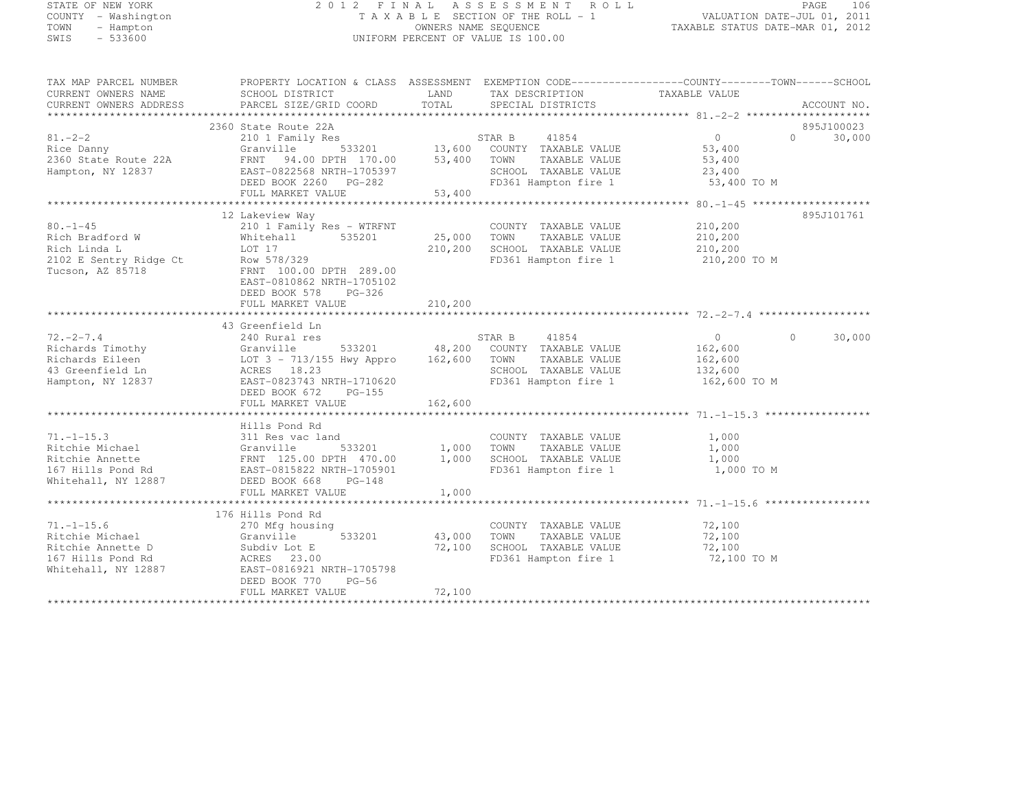#### STATE OF NEW YORK 2 0 1 2 F I N A L A S S E S S M E N T R O L L PAGE <sup>106</sup> COUNTY - Washington T A X A B L E SECTION OF THE ROLL - 1 VALUATION DATE-JUL 01, 2011 TOWN - Hampton OWNERS NAME SEQUENCE TAXABLE STATUS DATE-MAR 01, 2012 SWIS - 533600 UNIFORM PERCENT OF VALUE IS 100.00

| TAX MAP PARCEL NUMBER<br>CURRENT OWNERS NAME                                                        | PROPERTY LOCATION & CLASS ASSESSMENT EXEMPTION CODE----------------COUNTY-------TOWN-----SCHOOL<br>SCHOOL DISTRICT                                                                                                                                                                                                                                   | LAND                    | TAX DESCRIPTION                                                                                                                            | TAXABLE VALUE                                              |                                 |
|-----------------------------------------------------------------------------------------------------|------------------------------------------------------------------------------------------------------------------------------------------------------------------------------------------------------------------------------------------------------------------------------------------------------------------------------------------------------|-------------------------|--------------------------------------------------------------------------------------------------------------------------------------------|------------------------------------------------------------|---------------------------------|
| CURRENT OWNERS ADDRESS                                                                              | PARCEL SIZE/GRID COORD                                                                                                                                                                                                                                                                                                                               | TOTAL                   | SPECIAL DISTRICTS                                                                                                                          |                                                            | ACCOUNT NO.                     |
|                                                                                                     | 2360 State Route 22A                                                                                                                                                                                                                                                                                                                                 |                         |                                                                                                                                            |                                                            | 895J100023                      |
| $81 - 2 - 2$<br>Rice Danny<br>2360 State Route 22A<br>Hampton NY 12837<br>Hampton, NY 12837         | 210 1 Family Res<br>Granville<br>FRNT 94.00 DPTH 170.00 53,400 TOWN<br>EAST-0822568 NRTH-1705397 SCHOOL<br>DEED BOOK 2260 PG-282<br>FULL MARKET VALUE                                                                                                                                                                                                | 53,400<br>53,400        | STAR B 41854<br>533201 13,600 COUNTY TAXABLE VALUE<br>TAXABLE VALUE<br>SCHOOL TAXABLE VALUE 23,400<br>FD361 Hampton fire 1 53,400 TO M     | $\overline{0}$<br>53,400<br>53,400                         | $\Omega$ and $\Omega$<br>30,000 |
|                                                                                                     |                                                                                                                                                                                                                                                                                                                                                      |                         |                                                                                                                                            |                                                            |                                 |
| $80. -1 - 45$<br>Rich Bradford W<br>Rich Linda L<br>2102 E Sentry Ridge Ct<br>Tucson, AZ 85718      | 12 Lakeview Way<br>210 1 Family Res - WTRFNT<br>Whitehall 535201<br>LOT 17<br>Row 578/329<br>FRNT 100.00 DPTH 289.00<br>EAST-0810862 NRTH-1705102<br>DEED BOOK 578 PG-326                                                                                                                                                                            | 25,000<br>210,200       | COUNTY TAXABLE VALUE<br>TOWN<br>TAXABLE VALUE<br>SCHOOL TAXABLE VALUE<br>FD361 Hampton fire 1 210,200 TO M                                 | 210,200<br>210,200<br>210, 200                             | 895J101761                      |
|                                                                                                     | FULL MARKET VALUE                                                                                                                                                                                                                                                                                                                                    | 210,200                 |                                                                                                                                            |                                                            |                                 |
|                                                                                                     |                                                                                                                                                                                                                                                                                                                                                      |                         |                                                                                                                                            |                                                            |                                 |
| $72. -2 - 7.4$<br>Richards Timothy<br>43 Greenfield Ln<br>Hampton, NY 12837                         | 43 Greenfield Ln<br>240 Rural res<br>Granville<br>Exercise transfer and the contract of the contract of the contract of the contract of the contract of the contract of the contract of the contract of the contract of the contract of the contract of the contract of the cont<br>ACRES 18.23<br>EAST-0823743 NRTH-1710620<br>DEED BOOK 672 PG-155 |                         | STAR B 41854<br>$1034$<br>533201 48,200 COUNTY TAXABLE VALUE<br>TAXABLE VALUE<br>SCHOOL TAXABLE VALUE<br>FD361 Hampton fire 1 162,600 TO M | $\Omega$<br>162,600<br>162,600<br>132,600                  | 30,000<br>$\Omega$              |
|                                                                                                     |                                                                                                                                                                                                                                                                                                                                                      |                         |                                                                                                                                            |                                                            |                                 |
|                                                                                                     | Hills Pond Rd<br>71.-1-15.3 311 Res vac land<br>Ritchie Michael Granville 533201<br>Ritchie Annette FRNT 125.00 DPTH 470.00<br>167 Hills Pond Rd EAST-0815822 NRTH-1705901<br>Whitehall, NY 12887 DEED BOOK 668 PG-148<br>-and<br>533201 1,000 TOWN                                                                                                  | 1,000                   | COUNTY TAXABLE VALUE<br>TAXABLE VALUE<br>SCHOOL TAXABLE VALUE<br>FD361 Hampton fire 1                                                      | 1,000<br>1,000<br>1,000<br>1,000 TO M                      |                                 |
|                                                                                                     |                                                                                                                                                                                                                                                                                                                                                      |                         |                                                                                                                                            |                                                            |                                 |
| $71, -1 - 15.6$<br>Ritchie Michael<br>Ritchie Annette D<br>167 Hills Pond Rd<br>Whitehall, NY 12887 | 176 Hills Pond Rd<br>270 Mfg housing<br>Granville<br>Subdiv Lot E<br>ACRES 23.00<br>EAST-0816921 NRTH-1705798<br>DEED BOOK 770<br>$PG-56$                                                                                                                                                                                                            | 533201 43,000<br>72,100 | COUNTY TAXABLE VALUE<br>TOWN<br>TAXABLE VALUE<br>SCHOOL TAXABLE VALUE<br>FD361 Hampton fire 1                                              | 72,100<br>72,100<br>72,100<br>$\frac{72,100}{72,100}$ TO M |                                 |
|                                                                                                     | FULL MARKET VALUE                                                                                                                                                                                                                                                                                                                                    | 72,100                  |                                                                                                                                            |                                                            |                                 |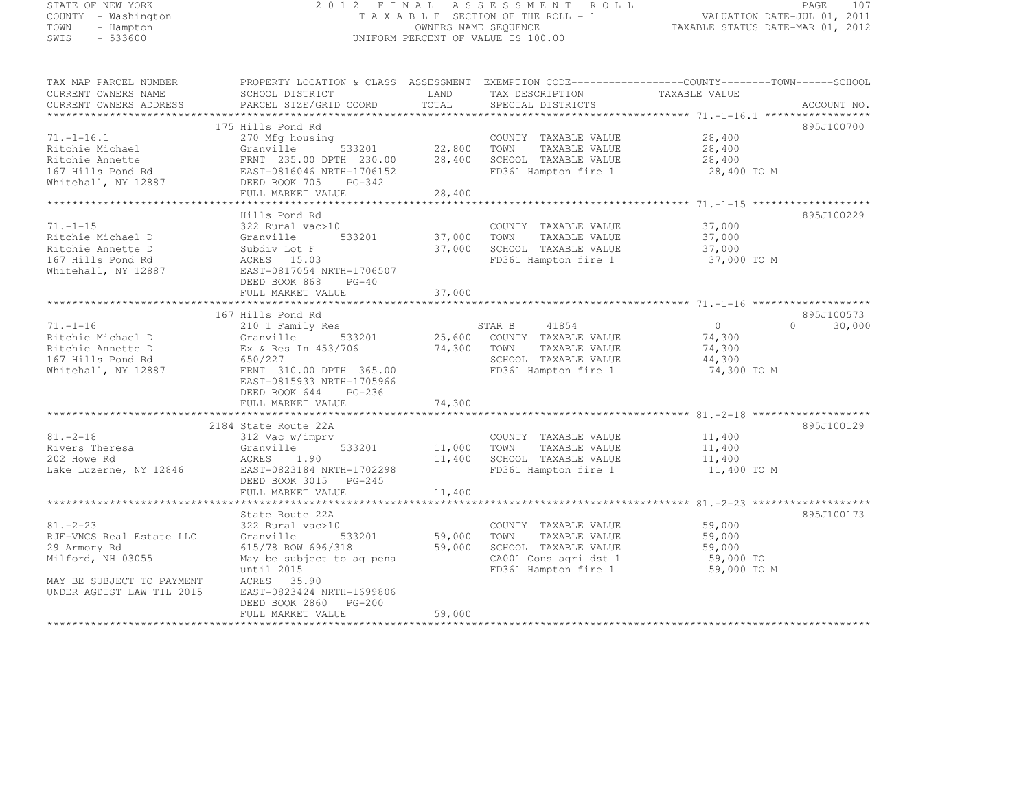| STATE OF NEW YORK<br>COUNTY - Washington |                                                                                                  |                                                                 | 2012 FINAL ASSESSMENT ROLL<br>TAXABLE SECTION OF THE ROLL - 1 |                       | PAGE<br>107        |
|------------------------------------------|--------------------------------------------------------------------------------------------------|-----------------------------------------------------------------|---------------------------------------------------------------|-----------------------|--------------------|
| TOWN<br>- Hampton                        |                                                                                                  | VALUATION DATE-JUL 01, 2011<br>TAXABLE STATUS DATE-MAR 01, 2012 |                                                               |                       |                    |
| SWIS<br>$-533600$                        |                                                                                                  | OWNERS NAME SEQUENCE                                            | UNIFORM PERCENT OF VALUE IS 100.00                            |                       |                    |
|                                          |                                                                                                  |                                                                 |                                                               |                       |                    |
| TAX MAP PARCEL NUMBER                    | PROPERTY LOCATION & CLASS ASSESSMENT EXEMPTION CODE----------------COUNTY-------TOWN------SCHOOL |                                                                 |                                                               |                       |                    |
| CURRENT OWNERS NAME                      | SCHOOL DISTRICT                                                                                  | LAND                                                            | TAX DESCRIPTION                                               | TAXABLE VALUE         |                    |
| CURRENT OWNERS ADDRESS                   | PARCEL SIZE/GRID COORD                                                                           | TOTAL                                                           | SPECIAL DISTRICTS                                             |                       | ACCOUNT NO.        |
|                                          |                                                                                                  |                                                                 |                                                               |                       |                    |
|                                          | 175 Hills Pond Rd                                                                                |                                                                 |                                                               |                       | 895J100700         |
| $71. - 1 - 16.1$                         | 270 Mfg housing<br>Granville<br>533201                                                           | 22,800                                                          | COUNTY TAXABLE VALUE<br>TOWN                                  | 28,400                |                    |
| Ritchie Michael                          |                                                                                                  |                                                                 | TAXABLE VALUE                                                 | 28,400                |                    |
| Ritchie Annette<br>167 Hills Pond Rd     |                                                                                                  | 28,400                                                          | SCHOOL TAXABLE VALUE<br>FD361 Hampton fire 1                  | 28,400<br>28,400 TO M |                    |
| Whitehall, NY 12887                      |                                                                                                  |                                                                 |                                                               |                       |                    |
|                                          | FULL MARKET VALUE                                                                                | 28,400                                                          |                                                               |                       |                    |
| *************                            | ********************************                                                                 |                                                                 |                                                               |                       |                    |
|                                          | Hills Pond Rd                                                                                    |                                                                 |                                                               |                       | 895J100229         |
| 71.-1-15                                 | 322 Rural vac>10                                                                                 |                                                                 | COUNTY TAXABLE VALUE                                          | 37,000                |                    |
| Ritchie Michael D                        | 533201<br>Granville                                                                              | 37,000                                                          | TOWN<br>TAXABLE VALUE                                         | 37,000                |                    |
| Ritchie Annette D                        | Subdiv Lot F                                                                                     | 37,000                                                          | SCHOOL TAXABLE VALUE                                          | 37,000                |                    |
| 167 Hills Pond Rd                        | ACRES 15.03                                                                                      |                                                                 | FD361 Hampton fire 1                                          | 37,000 TO M           |                    |
| Whitehall, NY 12887                      | EAST-0817054 NRTH-1706507                                                                        |                                                                 |                                                               |                       |                    |
|                                          | DEED BOOK 868<br>$PG-40$                                                                         |                                                                 |                                                               |                       |                    |
|                                          | FULL MARKET VALUE                                                                                | 37,000                                                          |                                                               |                       |                    |
|                                          |                                                                                                  |                                                                 |                                                               |                       |                    |
|                                          | 167 Hills Pond Rd                                                                                |                                                                 |                                                               |                       | 895J100573         |
| 71.-1-16                                 | 210 1 Family Res                                                                                 |                                                                 | STAR B<br>41854                                               | $\overline{0}$        | $\Omega$<br>30,000 |
| Ritchie Michael D                        | 533201<br>Granville                                                                              | 25,600                                                          | COUNTY TAXABLE VALUE                                          | 74,300                |                    |
| Ritchie Annette D                        | Ex & Res In 453/706                                                                              | 74,300                                                          | TOWN<br>TAXABLE VALUE                                         | 74,300                |                    |
| 167 Hills Pond Rd                        | 650/227<br>FRNT 310.00 DPTH 365.00                                                               |                                                                 | SCHOOL TAXABLE VALUE<br>FD361 Hampton fire 1                  | 44,300<br>74,300 TO M |                    |
| Whitehall, NY 12887                      | EAST-0815933 NRTH-1705966                                                                        |                                                                 |                                                               |                       |                    |
|                                          | DEED BOOK 644<br>PG-236                                                                          |                                                                 |                                                               |                       |                    |
|                                          | FULL MARKET VALUE                                                                                | 74,300                                                          |                                                               |                       |                    |
|                                          | 2184 State Route 22A                                                                             |                                                                 |                                                               |                       | 895J100129         |
| $81.-2-18$                               | 312 Vac w/imprv                                                                                  |                                                                 | COUNTY TAXABLE VALUE                                          | 11,400                |                    |
| Rivers Theresa                           | Granville<br>533201                                                                              | 11,000                                                          | TOWN<br>TAXABLE VALUE                                         | 11,400                |                    |
| 202 Howe Rd                              | ACRES 1.90                                                                                       | 11,400                                                          | SCHOOL TAXABLE VALUE                                          | 11,400                |                    |
| Lake Luzerne, NY 12846                   | EAST-0823184 NRTH-1702298                                                                        |                                                                 | FD361 Hampton fire 1                                          | 11,400 TO M           |                    |
|                                          | DEED BOOK 3015 PG-245                                                                            |                                                                 |                                                               |                       |                    |
|                                          | FULL MARKET VALUE                                                                                | 11,400                                                          |                                                               |                       |                    |
|                                          |                                                                                                  |                                                                 |                                                               |                       |                    |
|                                          | State Route 22A                                                                                  |                                                                 |                                                               |                       | 895J100173         |
| $81 - 2 - 23$                            | 322 Rural vac>10                                                                                 |                                                                 | COUNTY TAXABLE VALUE                                          | 59,000                |                    |
| RJF-VNCS Real Estate LLC                 | Granville<br>533201                                                                              | 59,000                                                          | TOWN<br>TAXABLE VALUE                                         | 59,000                |                    |
| 29 Armory Rd                             | 615/78 ROW 696/318                                                                               | 59,000                                                          | SCHOOL TAXABLE VALUE                                          | 59,000                |                    |
| Milford, NH 03055                        | May be subject to ag pena                                                                        |                                                                 | CA001 Cons agri dst 1                                         | 59,000 TO             |                    |
|                                          | until 2015                                                                                       |                                                                 | FD361 Hampton fire 1                                          | 59,000 TO M           |                    |
| MAY BE SUBJECT TO PAYMENT                | ACRES 35.90                                                                                      |                                                                 |                                                               |                       |                    |

FULL MARKET VALUE 59,000 \*\*\*\*\*\*\*\*\*\*\*\*\*\*\*\*\*\*\*\*\*\*\*\*\*\*\*\*\*\*\*\*\*\*\*\*\*\*\*\*\*\*\*\*\*\*\*\*\*\*\*\*\*\*\*\*\*\*\*\*\*\*\*\*\*\*\*\*\*\*\*\*\*\*\*\*\*\*\*\*\*\*\*\*\*\*\*\*\*\*\*\*\*\*\*\*\*\*\*\*\*\*\*\*\*\*\*\*\*\*\*\*\*\*\*\*\*\*\*\*\*\*\*\*\*\*\*\*\*\*\*\*

UNDER AGDIST LAW TIL 2015 EAST-0823424 NRTH-1699806

DEED BOOK 2860 PG-200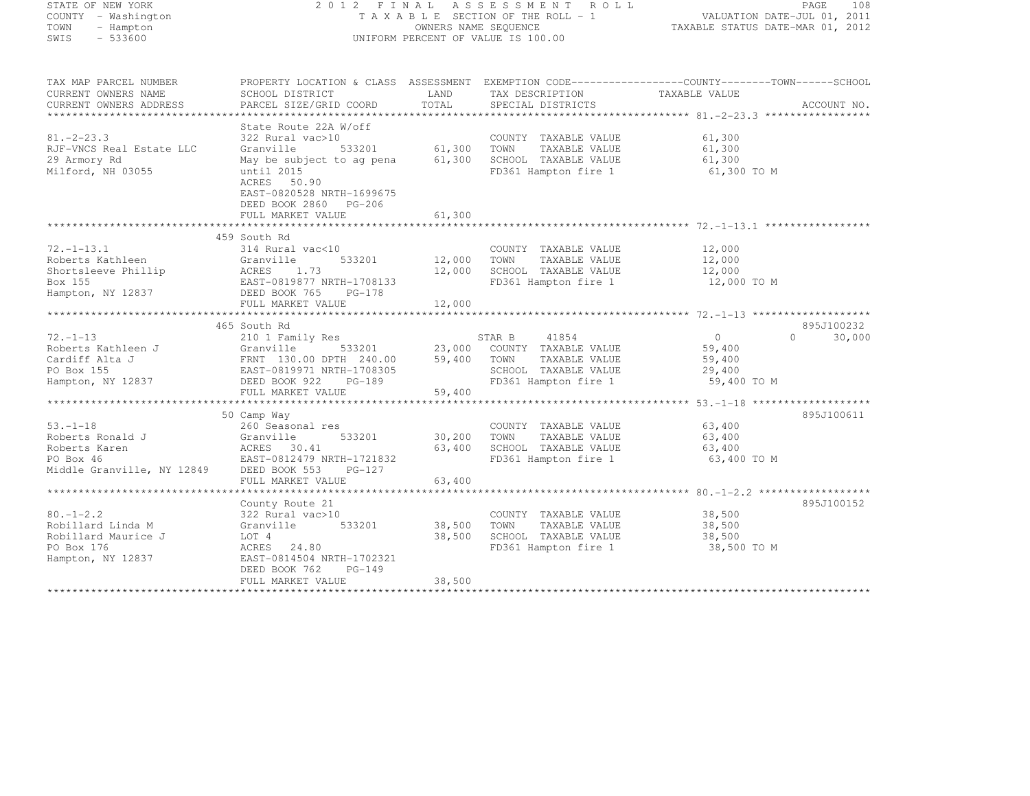| STATE OF NEW YORK<br>COUNTY - Washington<br>TOWN<br>- Hampton<br>SWIS<br>$-533600$             | 2012 FINAL ASSESSMENT ROLL<br>TAXABLE SECTION OF THE ROLL - 1<br>OWNERS NAME SEQUENCE<br>UNIFORM PERCENT OF VALUE IS 100.00                                                                              |                            |                                                                                                                  | 108<br>PAGE<br>VALUATION DATE-JUL 01, 2011<br>TAXABLE STATUS DATE-MAR 01, 2012                                                     |
|------------------------------------------------------------------------------------------------|----------------------------------------------------------------------------------------------------------------------------------------------------------------------------------------------------------|----------------------------|------------------------------------------------------------------------------------------------------------------|------------------------------------------------------------------------------------------------------------------------------------|
| TAX MAP PARCEL NUMBER<br>CURRENT OWNERS NAME<br>CURRENT OWNERS ADDRESS                         | SCHOOL DISTRICT<br>PARCEL SIZE/GRID COORD                                                                                                                                                                | LAND<br>TOTAL              | TAX DESCRIPTION<br>SPECIAL DISTRICTS                                                                             | PROPERTY LOCATION & CLASS ASSESSMENT EXEMPTION CODE-----------------COUNTY--------TOWN------SCHOOL<br>TAXABLE VALUE<br>ACCOUNT NO. |
| $81 - 2 - 23.3$<br>RJF-VNCS Real Estate LLC<br>29 Armory Rd<br>Milford, NH 03055               | State Route 22A W/off<br>322 Rural vac>10<br>Granville<br>533201<br>May be subject to ag pena<br>until 2015<br>ACRES 50.90<br>EAST-0820528 NRTH-1699675<br>DEED BOOK 2860<br>PG-206<br>FULL MARKET VALUE | 61,300<br>61,300<br>61,300 | COUNTY TAXABLE VALUE<br>TOWN<br>TAXABLE VALUE<br>SCHOOL TAXABLE VALUE<br>FD361 Hampton fire 1                    | 61,300<br>61,300<br>61,300<br>61,300 TO M                                                                                          |
|                                                                                                |                                                                                                                                                                                                          |                            |                                                                                                                  |                                                                                                                                    |
| $72, -1 - 13, 1$<br>Roberts Kathleen<br>Shortsleeve Phillip<br>Box 155<br>Hampton, NY 12837    | 459 South Rd<br>314 Rural vac<10<br>533201<br>Granville<br>ACRES 1.73<br>EAST-0819877 NRTH-1708133<br>EAST-0819877 NRTH-1708133<br>DEED BOOK 765<br>PG-178                                               | 12,000<br>12,000           | COUNTY TAXABLE VALUE<br>TOWN<br>TAXABLE VALUE<br>SCHOOL TAXABLE VALUE<br>FD361 Hampton fire 1                    | 12,000<br>12,000<br>12,000<br>12,000 TO M                                                                                          |
|                                                                                                | FULL MARKET VALUE                                                                                                                                                                                        | 12,000                     |                                                                                                                  |                                                                                                                                    |
| $72. - 1 - 13$<br>Hampton, NY 12837                                                            | 465 South Rd<br>210 1 Family Res<br>533201<br>DEED BOOK 922<br>PG-189<br>FULL MARKET VALUE                                                                                                               | 23,000<br>59,400<br>59,400 | 41854<br>STAR B<br>COUNTY TAXABLE VALUE<br>TOWN<br>TAXABLE VALUE<br>SCHOOL TAXABLE VALUE<br>FD361 Hampton fire 1 | 895J100232<br>$\overline{0}$<br>$\Omega$<br>30,000<br>59,400<br>59,400<br>29,400<br>59,400 TO M                                    |
|                                                                                                |                                                                                                                                                                                                          |                            |                                                                                                                  |                                                                                                                                    |
| 53.–1–18<br>Roberts Ronald J                                                                   | 50 Camp Way<br>260 Seasonal res<br>Granville<br>533201<br>FULL MARKET VALUE                                                                                                                              | 30,200<br>63,400<br>63,400 | COUNTY TAXABLE VALUE<br>TAXABLE VALUE<br>TOWN<br>SCHOOL TAXABLE VALUE<br>FD361 Hampton fire 1                    | 895J100611<br>63,400<br>63,400<br>63,400<br>63,400 TO M                                                                            |
|                                                                                                |                                                                                                                                                                                                          |                            |                                                                                                                  | 895J100152                                                                                                                         |
| $80. - 1 - 2.2$<br>Robillard Linda M<br>Robillard Maurice J<br>PO Box 176<br>Hampton, NY 12837 | County Route 21<br>322 Rural vac>10<br>Granville<br>533201<br>LOT 4<br>ACRES 24.80<br>EAST-0814504 NRTH-1702321<br>DEED BOOK 762<br>$PG-149$                                                             | 38,500<br>38,500           | COUNTY TAXABLE VALUE<br>TAXABLE VALUE<br>TOWN<br>SCHOOL TAXABLE VALUE<br>FD361 Hampton fire 1                    | 38,500<br>38,500<br>38,500<br>38,500 TO M                                                                                          |
|                                                                                                | FULL MARKET VALUE                                                                                                                                                                                        | 38,500                     |                                                                                                                  |                                                                                                                                    |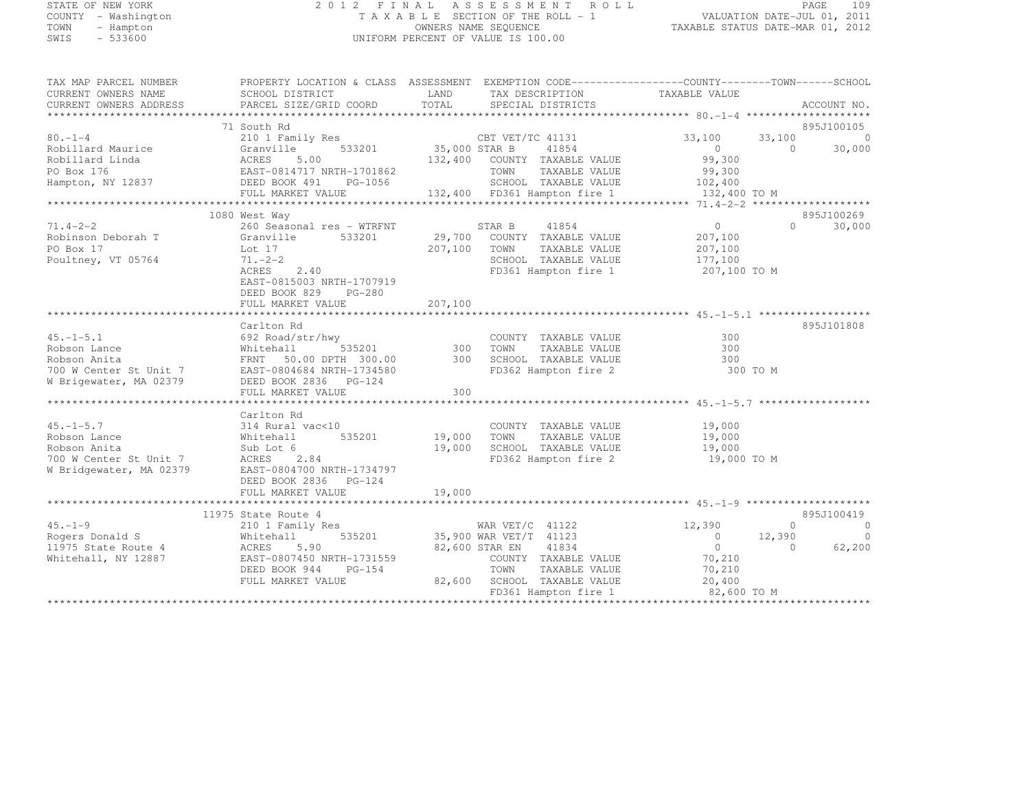#### STATE OF NEW YORK 2 0 1 2 F I N A L A S S E S S M E N T R O L L PAGE <sup>109</sup> COUNTY - Washington T A X A B L E SECTION OF THE ROLL - 1 VALUATION DATE-JUL 01, 2011 TOWN - Hampton OWNERS NAME SEQUENCE TAXABLE STATUS DATE-MAR 01, 2012 SWIS - 533600 UNIFORM PERCENT OF VALUE IS 100.00

TAX MAP PARCEL NUMBER PROPERTY LOCATION & CLASS ASSESSMENT EXEMPTION CODE------------------COUNTY--------TOWN------SCHOOL

| CURRENT OWNERS NAME<br>CURRENT OWNERS ADDRESS                                                   | SCHOOL DISTRICT<br>PARCEL SIZE/GRID COORD                                                           | LAND<br>TOTAL | TAX DESCRIPTION<br>SPECIAL DISTRICTS                            | TAXABLE VALUE            | ACCOUNT NO.                |
|-------------------------------------------------------------------------------------------------|-----------------------------------------------------------------------------------------------------|---------------|-----------------------------------------------------------------|--------------------------|----------------------------|
|                                                                                                 |                                                                                                     |               |                                                                 |                          |                            |
|                                                                                                 | 71 South Rd                                                                                         |               |                                                                 |                          | 895J100105                 |
| $80. - 1 - 4$                                                                                   | 210 1 Family Res                                                                                    |               | CBT VET/TC 41131 33,100<br>35,000 STAR B 41854 0                | 33,100                   | $\bigcirc$                 |
| Robillard Maurice                                                                               |                                                                                                     |               |                                                                 | $\overline{0}$           | $\Omega$<br>30,000         |
| Robillard Linda                                                                                 |                                                                                                     |               | 132,400 COUNTY TAXABLE VALUE                                    | 99,300                   |                            |
| PO Box 176                                                                                      |                                                                                                     |               |                                                                 | 99,300                   |                            |
| Hampton, NY 12837                                                                               |                                                                                                     |               | TOWN      TAXABLE VALUE<br>SCHOOL   TAXABLE VALUE               | 102,400                  |                            |
|                                                                                                 |                                                                                                     |               | 132,400 FD361 Hampton fire 1                                    | 132,400 TO M             |                            |
|                                                                                                 | Granville<br>ACRES 5.00<br>EAST-0814717 NRTH-1701862<br>DEED BOOK 491 PG-1056<br>THIJ, MARKET VALUE |               |                                                                 |                          |                            |
|                                                                                                 | 1080 West Way                                                                                       |               |                                                                 |                          | 895J100269                 |
| $71.4 - 2 - 2$                                                                                  | 260 Seasonal res - WTRFNT                                                                           |               | STAR B 41854                                                    | 0                        | $\Omega$<br>30,000         |
| Robinson Deborah T                                                                              | 533201<br>Granville                                                                                 |               | 29,700 COUNTY TAXABLE VALUE                                     | 207,100                  |                            |
| PO Box 17                                                                                       | Lot 17                                                                                              |               | 207,100 TOWN<br>TAXABLE VALUE                                   | 207,100                  |                            |
| Poultney, VT 05764                                                                              | $71. - 2 - 2$                                                                                       |               | SCHOOL TAXABLE VALUE                                            | 177,100<br>207,100 TO M  |                            |
|                                                                                                 | 2.40<br>ACRES                                                                                       |               | FD361 Hampton fire 1                                            |                          |                            |
|                                                                                                 | EAST-0815003 NRTH-1707919                                                                           |               |                                                                 |                          |                            |
|                                                                                                 | DEED BOOK 829 PG-280                                                                                |               |                                                                 |                          |                            |
|                                                                                                 | FULL MARKET VALUE                                                                                   | 207,100       |                                                                 |                          |                            |
|                                                                                                 |                                                                                                     |               |                                                                 |                          |                            |
|                                                                                                 | Carlton Rd                                                                                          |               |                                                                 |                          | 895J101808                 |
| $45. - 1 - 5.1$                                                                                 | wy<br>535201 300 TOWN<br>692 Road/str/hwy                                                           |               | COUNTY TAXABLE VALUE                                            | 300                      |                            |
| Robson Lance                                                                                    | Whitehall                                                                                           |               | TAXABLE VALUE                                                   | 300                      |                            |
| Robson Anita                                                                                    | FRNT 50.00 DPTH 300.00 300 SCHOOL TAXABLE VALUE                                                     |               |                                                                 | 300                      |                            |
| 700 W Center St Unit 7 EAST-0804684 NRTH-173458<br>W Brigewater, MA 02379 DEED BOOK 2836 PG-124 | EAST-0804684 NRTH-1734580                                                                           |               | FD362 Hampton fire 2                                            | 300 TO M                 |                            |
|                                                                                                 |                                                                                                     |               |                                                                 |                          |                            |
|                                                                                                 | FULL MARKET VALUE                                                                                   | 300           |                                                                 |                          |                            |
|                                                                                                 |                                                                                                     |               |                                                                 |                          |                            |
|                                                                                                 | Carlton Rd                                                                                          |               |                                                                 |                          |                            |
| $45. - 1 - 5.7$                                                                                 | 314 Rural vac<10                                                                                    |               | COUNTY TAXABLE VALUE                                            | 19,000                   |                            |
| Robson Lance                                                                                    | Whitehall<br>535201                                                                                 | 19,000 TOWN   | TAXABLE VALUE                                                   | 19,000                   |                            |
| Robson Anita                                                                                    | Sub Lot 6                                                                                           |               | 19,000 SCHOOL TAXABLE VALUE                                     | 19,000                   |                            |
| 700 W Center St Unit 7                                                                          | ACRES 2.84                                                                                          |               | FD362 Hampton fire 2                                            | 19,000 TO M              |                            |
| W Bridgewater, MA 02379                                                                         | EAST-0804700 NRTH-1734797                                                                           |               |                                                                 |                          |                            |
|                                                                                                 | DEED BOOK 2836 PG-124                                                                               |               |                                                                 |                          |                            |
|                                                                                                 |                                                                                                     |               |                                                                 |                          |                            |
|                                                                                                 |                                                                                                     |               |                                                                 |                          |                            |
|                                                                                                 | 11975 State Route 4                                                                                 |               |                                                                 |                          | 895J100419                 |
| $45. - 1 - 9$                                                                                   | 210 1 Family Res                                                                                    |               | WAR $VET/C$ 41122                                               | 12,390                   | $\overline{0}$<br>$\Omega$ |
| Rogers Donald S                                                                                 | Whitehall                                                                                           |               | 535201 35,900 WAR VET/T 41123                                   | $\overline{0}$<br>12,390 | $\overline{0}$             |
| 11975 State Route 4                                                                             | ACRES<br>5.90                                                                                       |               | 82,600 STAR EN 41834                                            | $\overline{0}$           | $\bigcirc$<br>62,200       |
| Whitehall, NY 12887                                                                             | EAST-0807450 NRTH-1731559                                                                           |               | COUNTY TAXABLE VALUE 70,210                                     |                          |                            |
|                                                                                                 | DEED BOOK 944<br>$PG-154$                                                                           |               | TOWN<br>TAXABLE VALUE                                           | 70,210                   |                            |
|                                                                                                 | FULL MARKET VALUE                                                                                   |               | 82,600 SCHOOL TAXABLE VALUE<br>FD361 Hampton fire 1 82,600 TO M | 20,400                   |                            |
|                                                                                                 |                                                                                                     |               |                                                                 |                          |                            |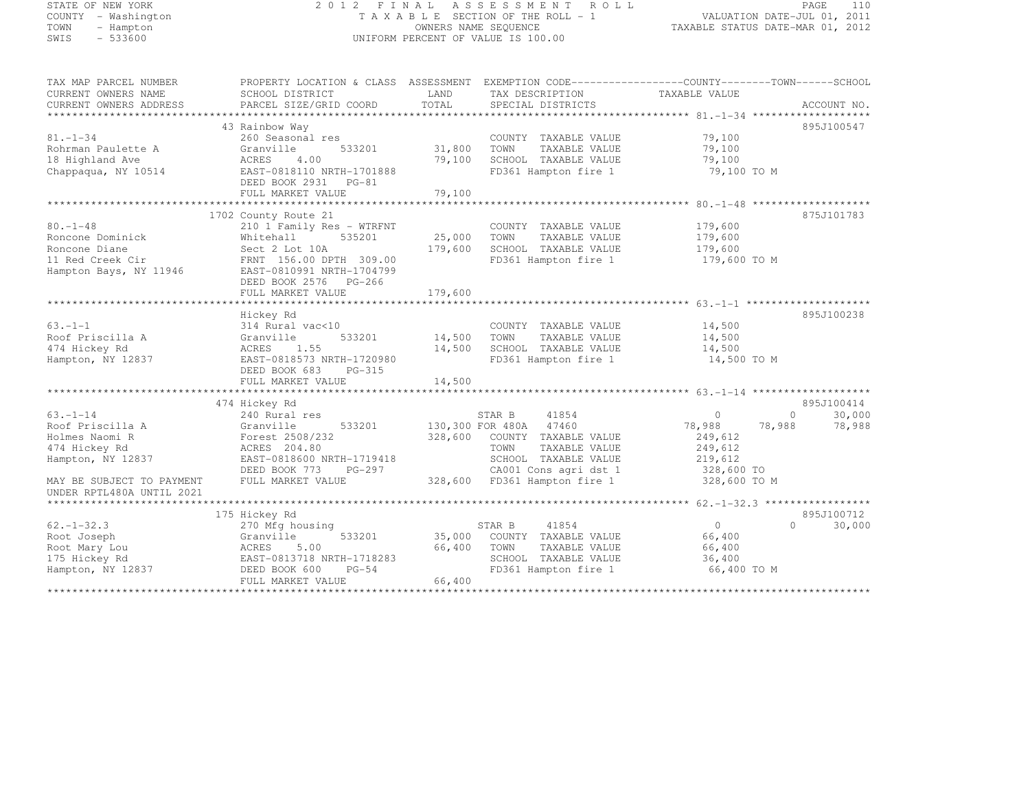## STATE OF NEW YORK 2 0 1 2 F I N A L A S S E S S M E N T R O L L PAGE <sup>110</sup> COUNTY - Washington T A X A B L E SECTION OF THE ROLL - 1 VALUATION DATE-JUL 01, 2011 TOWN - Hampton OWNERS NAME SEQUENCE TAXABLE STATUS DATE-MAR 01, 2012 SWIS - 533600 UNIFORM PERCENT OF VALUE IS 100.00

| TAX MAP PARCEL NUMBER<br>CURRENT OWNERS NAME<br>CURRENT OWNERS ADDRESS                            | PROPERTY LOCATION & CLASS ASSESSMENT EXEMPTION CODE----------------COUNTY-------TOWN------SCHOOL<br>SCHOOL DISTRICT<br>PARCEL SIZE/GRID COORD | LAND<br>TOTAL     | TAX DESCRIPTION<br>SPECIAL DISTRICTS                                                            | TAXABLE VALUE                                 | ACCOUNT NO.        |
|---------------------------------------------------------------------------------------------------|-----------------------------------------------------------------------------------------------------------------------------------------------|-------------------|-------------------------------------------------------------------------------------------------|-----------------------------------------------|--------------------|
|                                                                                                   |                                                                                                                                               |                   |                                                                                                 |                                               |                    |
|                                                                                                   | 43 Rainbow Way                                                                                                                                |                   |                                                                                                 |                                               | 895J100547         |
| $81. - 1 - 34$<br>Rohrman Paulette A<br>18 Highland Ave                                           | 260 Seasonal res<br>Granville<br>533201<br>4.00<br>ACRES                                                                                      | 31,800<br>79,100  | COUNTY TAXABLE VALUE<br>TAXABLE VALUE<br>TOWN<br>SCHOOL TAXABLE VALUE                           | 79,100<br>79,100<br>79,100                    |                    |
| Chappaqua, NY 10514                                                                               | EAST-0818110 NRTH-1701888<br>DEED BOOK 2931 PG-81<br>FULL MARKET VALUE                                                                        | 79,100            | FD361 Hampton fire 1                                                                            | 79,100 TO M                                   |                    |
|                                                                                                   |                                                                                                                                               |                   |                                                                                                 |                                               |                    |
|                                                                                                   | 1702 County Route 21                                                                                                                          |                   |                                                                                                 |                                               | 875J101783         |
| $80. - 1 - 48$<br>Roncone Dominick<br>Roncone Diane<br>11 Red Creek Cir<br>Hampton Bays, NY 11946 | 210 1 Family Res - WTRFNT<br>535201<br>Whitehall<br>Sect 2 Lot 10A<br>FRNT 156.00 DPTH 309.00<br>EAST-0810991 NRTH-1704799                    | 25,000<br>179,600 | COUNTY TAXABLE VALUE<br>TOWN<br>TAXABLE VALUE<br>SCHOOL TAXABLE VALUE<br>FD361 Hampton fire 1   | 179,600<br>179,600<br>179,600<br>179,600 TO M |                    |
|                                                                                                   | DEED BOOK 2576 PG-266<br>FULL MARKET VALUE                                                                                                    | 179,600           |                                                                                                 |                                               |                    |
|                                                                                                   |                                                                                                                                               |                   |                                                                                                 |                                               |                    |
|                                                                                                   | Hickey Rd                                                                                                                                     |                   |                                                                                                 |                                               | 895J100238         |
| $63. -1 - 1$                                                                                      | 314 Rural vac<10                                                                                                                              |                   | COUNTY TAXABLE VALUE                                                                            | 14,500                                        |                    |
| Roof Priscilla A                                                                                  | Granville<br>533201                                                                                                                           | 14,500 TOWN       | TAXABLE VALUE                                                                                   | 14,500                                        |                    |
| 474 Hickey Rd                                                                                     | 1.55<br>ACRES                                                                                                                                 | 14,500            | SCHOOL TAXABLE VALUE                                                                            | 14,500                                        |                    |
| Hampton, NY 12837                                                                                 | EAST-0818573 NRTH-1720980<br>DEED BOOK 683<br>PG-315<br>FULL MARKET VALUE                                                                     | 14,500            | FD361 Hampton fire 1                                                                            | 14,500 TO M                                   |                    |
|                                                                                                   |                                                                                                                                               |                   |                                                                                                 |                                               |                    |
|                                                                                                   | 474 Hickey Rd                                                                                                                                 |                   |                                                                                                 |                                               | 895J100414         |
| $63. - 1 - 14$                                                                                    | 240 Rural res                                                                                                                                 |                   | 41854<br>STAR B                                                                                 | $\bigcirc$                                    | 30,000<br>$\Omega$ |
| Roof Priscilla A<br>Holmes Naomi R<br>474 Hickey Rd<br>Hampton, NY 12837                          | Granville<br>533201<br>Forest 2508/232<br>ACRES 204.80<br>EAST-0818600 NRTH-1719418                                                           | 328,600           | 130,300 FOR 480A 47460<br>COUNTY TAXABLE VALUE<br>TOWN<br>TAXABLE VALUE<br>SCHOOL TAXABLE VALUE | 78,988<br>249,612<br>249,612<br>219,612       | 78,988<br>78,988   |
|                                                                                                   | DEED BOOK 773<br>PG-297                                                                                                                       |                   | CA001 Cons agri dst 1                                                                           | 328,600 TO                                    |                    |
| MAY BE SUBJECT TO PAYMENT<br>UNDER RPTL480A UNTIL 2021                                            | FULL MARKET VALUE                                                                                                                             |                   | 328,600 FD361 Hampton fire 1                                                                    | 328,600 TO M                                  |                    |
|                                                                                                   |                                                                                                                                               |                   |                                                                                                 |                                               |                    |
|                                                                                                   | 175 Hickey Rd                                                                                                                                 |                   |                                                                                                 |                                               | 895J100712         |
| $62. - 1 - 32.3$                                                                                  | 270 Mfg housing                                                                                                                               |                   | STAR B<br>41854                                                                                 | $\Omega$                                      | 30,000<br>$\Omega$ |
| Root Joseph                                                                                       | 533201<br>Granville                                                                                                                           |                   | 35,000 COUNTY TAXABLE VALUE                                                                     | 66,400                                        |                    |
| Root Mary Lou                                                                                     | 5.00<br>ACRES                                                                                                                                 | 66,400            | TOWN<br>TAXABLE VALUE                                                                           | 66,400                                        |                    |
| 175 Hickey Rd                                                                                     | EAST-0813718 NRTH-1718283                                                                                                                     |                   | SCHOOL TAXABLE VALUE                                                                            | 36,400                                        |                    |
| Hampton, NY 12837                                                                                 | $PG-54$<br>DEED BOOK 600                                                                                                                      |                   | FD361 Hampton fire 1                                                                            | 66,400 TO M                                   |                    |
|                                                                                                   | FULL MARKET VALUE                                                                                                                             | 66,400            |                                                                                                 |                                               |                    |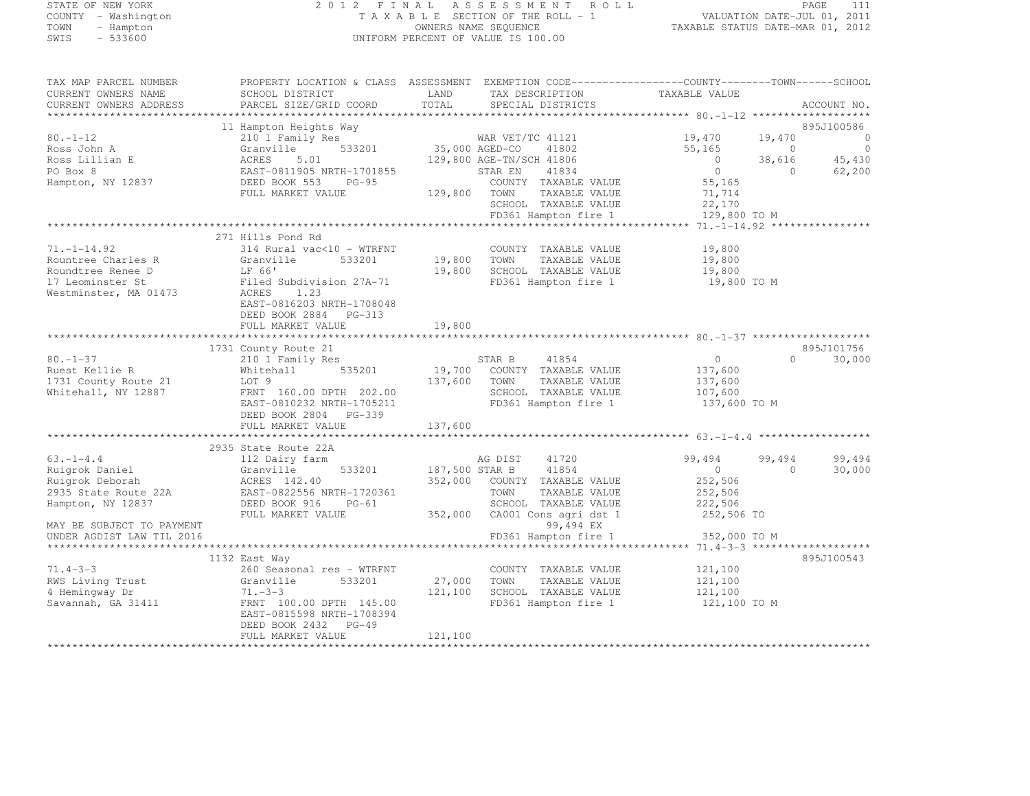## STATE OF NEW YORK 2 0 1 2 F I N A L A S S E S S M E N T R O L L PAGE <sup>111</sup> COUNTY - Washington T A X A B L E SECTION OF THE ROLL - 1 VALUATION DATE-JUL 01, 2011 TOWN - Hampton OWNERS NAME SEQUENCE TAXABLE STATUS DATE-MAR 01, 2012 SWIS - 533600 UNIFORM PERCENT OF VALUE IS 100.00

| TAX MAP PARCEL NUMBER<br>CURRENT OWNERS NAME    | PROPERTY LOCATION & CLASS ASSESSMENT EXEMPTION CODE----------------COUNTY-------TOWN------SCHOOL<br>SCHOOL DISTRICT | LAND                       | TAX DESCRIPTION                                                      | TAXABLE VALUE                              |                          |                                  |
|-------------------------------------------------|---------------------------------------------------------------------------------------------------------------------|----------------------------|----------------------------------------------------------------------|--------------------------------------------|--------------------------|----------------------------------|
| CURRENT OWNERS ADDRESS                          | PARCEL SIZE/GRID COORD                                                                                              | TOTAL                      | SPECIAL DISTRICTS                                                    |                                            |                          | ACCOUNT NO.                      |
|                                                 | 11 Hampton Heights Way                                                                                              |                            |                                                                      |                                            |                          | 895J100586                       |
| $80. - 1 - 12$<br>Ross John A                   | 210 1 Family Res<br>533201<br>Granville                                                                             | WAR VET/<br>35,000 AGED-CO | WAR VET/TC 41121<br>41802                                            | 19,470<br>55,165                           | 19,470<br>$\overline{0}$ | $\overline{0}$<br>$\overline{0}$ |
| Ross Lillian E<br>PO Box 8<br>Hampton, NY 12837 | ACRES<br>5.01<br>EAST-0811905 NRTH-1701855<br>DEED BOOK 553<br>$PG-95$                                              |                            | 129,800 AGE-TN/SCH 41806<br>41834<br>STAR EN<br>COUNTY TAXABLE VALUE | $\overline{0}$<br>$\overline{0}$<br>55,165 | 38,616<br>$\overline{0}$ | 45,430<br>62,200                 |
|                                                 | FULL MARKET VALUE                                                                                                   | 129,800                    | TAXABLE VALUE<br>TOWN<br>SCHOOL TAXABLE VALUE                        | 71,714<br>22,170                           |                          |                                  |
|                                                 |                                                                                                                     |                            | FD361 Hampton fire 1                                                 | 129,800 TO M                               |                          |                                  |
|                                                 | 271 Hills Pond Rd                                                                                                   |                            |                                                                      |                                            |                          |                                  |
| $71. - 1 - 14.92$<br>Rountree Charles R         | 314 Rural vac<10 - WTRFNT<br>Granville<br>533201                                                                    | 19,800                     | COUNTY TAXABLE VALUE<br>TOWN                                         | 19,800                                     |                          |                                  |
| Roundtree Renee D                               | LF 66'                                                                                                              | 19,800                     | TAXABLE VALUE<br>SCHOOL TAXABLE VALUE                                | 19,800<br>19,800                           |                          |                                  |
| 17 Leominster St                                | Filed Subdivision 27A-71                                                                                            |                            | FD361 Hampton fire 1                                                 | 19,800 TO M                                |                          |                                  |
| Westminster, MA 01473                           | ACRES<br>1.23<br>EAST-0816203 NRTH-1708048<br>DEED BOOK 2884 PG-313                                                 |                            |                                                                      |                                            |                          |                                  |
|                                                 | FULL MARKET VALUE                                                                                                   | 19,800                     |                                                                      |                                            |                          |                                  |
|                                                 |                                                                                                                     |                            |                                                                      |                                            |                          |                                  |
|                                                 | 1731 County Route 21                                                                                                |                            |                                                                      |                                            |                          | 895J101756                       |
| $80. - 1 - 37$<br>Ruest Kellie R                | 210 1 Family Res<br>535201                                                                                          |                            | STAR B<br>41854<br>19,700 COUNTY TAXABLE VALUE                       | 0<br>137,600                               | $\Omega$                 | 30,000                           |
| 1731 County Route 21                            | Whitehall<br>LOT 9                                                                                                  | 137,600                    | TOWN<br>TAXABLE VALUE                                                | 137,600                                    |                          |                                  |
| Whitehall, NY 12887                             | FRNT 160.00 DPTH 202.00                                                                                             |                            | SCHOOL TAXABLE VALUE                                                 | 107,600                                    |                          |                                  |
|                                                 | EAST-0810232 NRTH-1705211                                                                                           |                            | FD361 Hampton fire 1                                                 | 137,600 TO M                               |                          |                                  |
|                                                 | DEED BOOK 2804 PG-339                                                                                               |                            |                                                                      |                                            |                          |                                  |
|                                                 | FULL MARKET VALUE                                                                                                   | 137,600                    |                                                                      |                                            |                          |                                  |
|                                                 |                                                                                                                     |                            |                                                                      |                                            |                          |                                  |
|                                                 | 2935 State Route 22A                                                                                                |                            |                                                                      |                                            |                          |                                  |
| $63. -1 - 4.4$                                  | 112 Dairy farm                                                                                                      |                            | AG DIST<br>41720                                                     | 99,494                                     | 99,494                   | 99,494                           |
| Ruigrok Daniel                                  | Granville<br>533201                                                                                                 | 187,500 STAR B             | 41854                                                                | $\overline{0}$                             | $\Omega$                 | 30,000                           |
| Ruigrok Deborah                                 | ACRES 142.40                                                                                                        |                            | 352,000 COUNTY TAXABLE VALUE                                         | 252,506                                    |                          |                                  |
| 2935 State Route 22A<br>Hampton, NY 12837       | EAST-0822556 NRTH-1720361<br>DEED BOOK 916<br>PG-61                                                                 |                            | TOWN<br>TAXABLE VALUE<br>SCHOOL TAXABLE VALUE                        | 252,506<br>222,506                         |                          |                                  |
|                                                 | FULL MARKET VALUE                                                                                                   | 352,000                    | CA001 Cons agri dst 1                                                | 252,506 TO                                 |                          |                                  |
| MAY BE SUBJECT TO PAYMENT                       |                                                                                                                     |                            | 99,494 EX                                                            |                                            |                          |                                  |
| UNDER AGDIST LAW TIL 2016                       |                                                                                                                     |                            | FD361 Hampton fire 1                                                 | 352,000 TO M                               |                          |                                  |
|                                                 |                                                                                                                     |                            |                                                                      |                                            |                          |                                  |
|                                                 | 1132 East Way                                                                                                       |                            |                                                                      |                                            |                          | 895J100543                       |
| $71.4 - 3 - 3$                                  | 260 Seasonal res - WTRFNT                                                                                           |                            | COUNTY TAXABLE VALUE                                                 | 121,100                                    |                          |                                  |
| RWS Living Trust                                | 533201<br>Granville                                                                                                 | 27,000                     | TOWN<br>TAXABLE VALUE                                                | 121,100                                    |                          |                                  |
| 4 Hemingway Dr                                  | $71. - 3 - 3$                                                                                                       | 121,100                    | SCHOOL TAXABLE VALUE                                                 | 121,100                                    |                          |                                  |
| Savannah, GA 31411                              | FRNT 100.00 DPTH 145.00<br>EAST-0815598 NRTH-1708394                                                                |                            | FD361 Hampton fire 1                                                 | 121,100 TO M                               |                          |                                  |
|                                                 | DEED BOOK 2432 PG-49                                                                                                |                            |                                                                      |                                            |                          |                                  |
|                                                 | FULL MARKET VALUE                                                                                                   | 121,100                    |                                                                      |                                            |                          |                                  |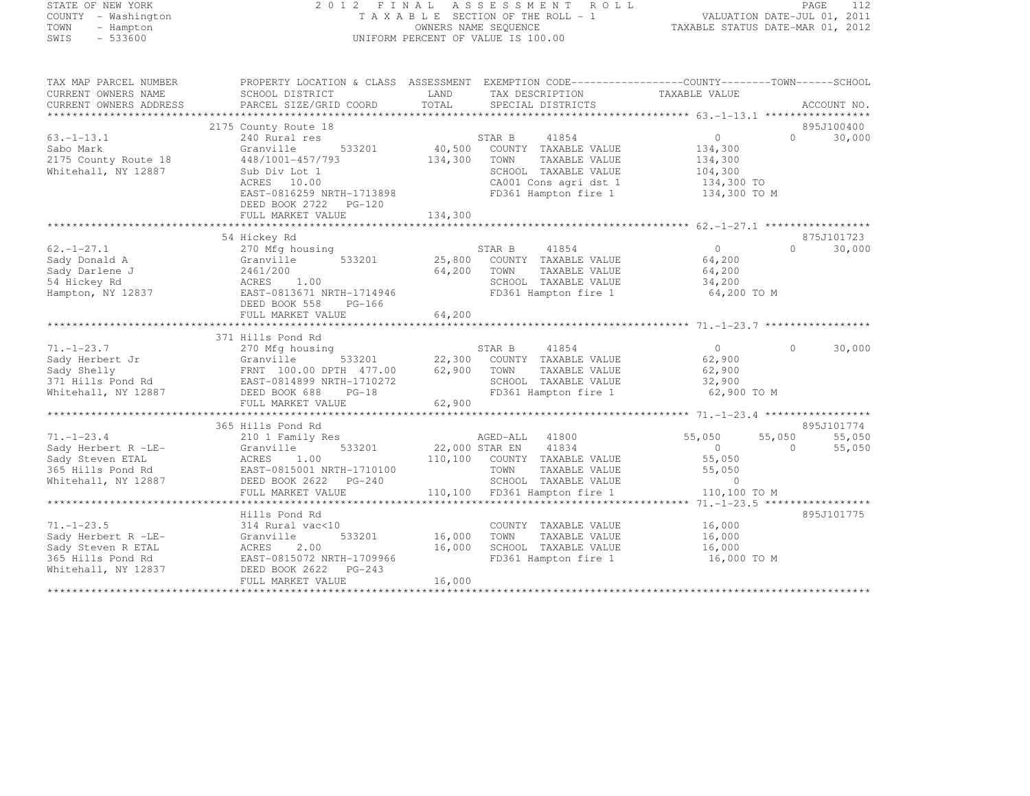## STATE OF NEW YORK 2 0 1 2 F I N A L A S S E S S M E N T R O L L PAGE <sup>112</sup> COUNTY - Washington T A X A B L E SECTION OF THE ROLL - 1 VALUATION DATE-JUL 01, 2011 TOWN - Hampton OWNERS NAME SEQUENCE TAXABLE STATUS DATE-MAR 01, 2012 SWIS - 533600 UNIFORM PERCENT OF VALUE IS 100.00

TAX MAP PARCEL NUMBER PROPERTY LOCATION & CLASS ASSESSMENT EXEMPTION CODE------------------COUNTY--------TOWN------SCHOOL

| CURRENT OWNERS NAME    | SCHOOL DISTRICT            | LAND    | TAX DESCRIPTION         | TAXABLE VALUE                                    |                    |
|------------------------|----------------------------|---------|-------------------------|--------------------------------------------------|--------------------|
| CURRENT OWNERS ADDRESS | PARCEL SIZE/GRID COORD     | TOTAL   | SPECIAL DISTRICTS       |                                                  | ACCOUNT NO.        |
|                        |                            |         |                         |                                                  |                    |
|                        | 2175 County Route 18       |         |                         |                                                  | 895J100400         |
| $63. - 1 - 13.1$       | 240 Rural res              |         | STAR B<br>41854         | $\circ$                                          | $\Omega$<br>30,000 |
| Sabo Mark              | 533201<br>Granville        | 40,500  | COUNTY TAXABLE VALUE    | 134,300                                          |                    |
| 2175 County Route 18   | 448/1001-457/793           | 134,300 | TOWN<br>TAXABLE VALUE   | 134,300                                          |                    |
| Whitehall, NY 12887    | Sub Div Lot 1              |         | SCHOOL TAXABLE VALUE    | 104,300                                          |                    |
|                        | ACRES 10.00                |         | CA001 Cons agri dst 1   | 134,300 TO                                       |                    |
|                        | EAST-0816259 NRTH-1713898  |         | FD361 Hampton fire 1    | 134,300 TO M                                     |                    |
|                        | DEED BOOK 2722<br>$PG-120$ |         |                         |                                                  |                    |
|                        | FULL MARKET VALUE          | 134,300 |                         |                                                  |                    |
|                        |                            |         |                         |                                                  |                    |
|                        | 54 Hickey Rd               |         |                         |                                                  | 875J101723         |
| $62. - 1 - 27.1$       | 270 Mfg housing            |         | 41854<br>STAR B         | $\Omega$                                         | $\Omega$<br>30,000 |
| Sady Donald A          | 533201<br>Granville        | 25,800  | COUNTY TAXABLE VALUE    | 64,200                                           |                    |
| Sady Darlene J         | 2461/200                   | 64,200  | TOWN<br>TAXABLE VALUE   | 64,200                                           |                    |
| 54 Hickey Rd           | 1.00<br>ACRES              |         | SCHOOL TAXABLE VALUE    | 34,200                                           |                    |
| Hampton, NY 12837      | EAST-0813671 NRTH-1714946  |         | FD361 Hampton fire 1    | 64,200 TO M                                      |                    |
|                        | DEED BOOK 558<br>$PG-166$  |         |                         |                                                  |                    |
|                        | FULL MARKET VALUE          | 64,200  |                         |                                                  |                    |
|                        |                            |         |                         |                                                  |                    |
|                        | 371 Hills Pond Rd          |         |                         |                                                  |                    |
| $71. - 1 - 23.7$       | 270 Mfg housing            |         | 41854<br>STAR B         | $\circ$                                          | $\Omega$<br>30,000 |
| Sady Herbert Jr        | Granville<br>533201        | 22,300  | COUNTY TAXABLE VALUE    | 62,900                                           |                    |
| Sady Shelly            |                            | 62,900  | TOWN                    |                                                  |                    |
|                        | FRNT 100.00 DPTH 477.00    |         | TAXABLE VALUE           | 62,900                                           |                    |
| 371 Hills Pond Rd      | EAST-0814899 NRTH-1710272  |         | SCHOOL TAXABLE VALUE    | 32,900                                           |                    |
| Whitehall, NY 12887    | DEED BOOK 688<br>$PG-18$   |         | FD361 Hampton fire 1    | 62,900 TO M                                      |                    |
|                        | FULL MARKET VALUE          | 62,900  |                         |                                                  |                    |
|                        |                            |         |                         | ****************** 71.-1-23.4 ****************** |                    |
|                        | 365 Hills Pond Rd          |         |                         |                                                  | 895J101774         |
| $71. - 1 - 23.4$       | 210 1 Family Res           |         | 41800<br>AGED-ALL       | 55,050<br>55,050                                 | 55,050             |
| Sady Herbert R -LE-    | 533201<br>Granville        |         | 41834<br>22,000 STAR EN | $\circ$                                          | $\Omega$<br>55,050 |
| Sady Steven ETAL       | ACRES<br>1.00              | 110,100 | COUNTY TAXABLE VALUE    | 55,050                                           |                    |
| 365 Hills Pond Rd      | EAST-0815001 NRTH-1710100  |         | TOWN<br>TAXABLE VALUE   | 55,050                                           |                    |
| Whitehall, NY 12887    | DEED BOOK 2622<br>$PG-240$ |         | SCHOOL TAXABLE VALUE    | $\Omega$                                         |                    |
|                        | FULL MARKET VALUE          | 110,100 | FD361 Hampton fire 1    | 110,100 TO M                                     |                    |
|                        |                            |         |                         | $71. - 1 - 23.5$ ******************              |                    |
|                        | Hills Pond Rd              |         |                         |                                                  | 895J101775         |
| $71. - 1 - 23.5$       | 314 Rural vac<10           |         | COUNTY TAXABLE VALUE    | 16,000                                           |                    |
| Sady Herbert R -LE-    | 533201<br>Granville        | 16,000  | TAXABLE VALUE<br>TOWN   | 16,000                                           |                    |
| Sady Steven R ETAL     | ACRES<br>2.00              | 16,000  | SCHOOL TAXABLE VALUE    | 16,000                                           |                    |
| 365 Hills Pond Rd      | EAST-0815072 NRTH-1709966  |         | FD361 Hampton fire 1    | 16,000 TO M                                      |                    |
| Whitehall, NY 12837    | DEED BOOK 2622<br>$PG-243$ |         |                         |                                                  |                    |
|                        | FULL MARKET VALUE          | 16,000  |                         |                                                  |                    |
|                        |                            |         |                         |                                                  |                    |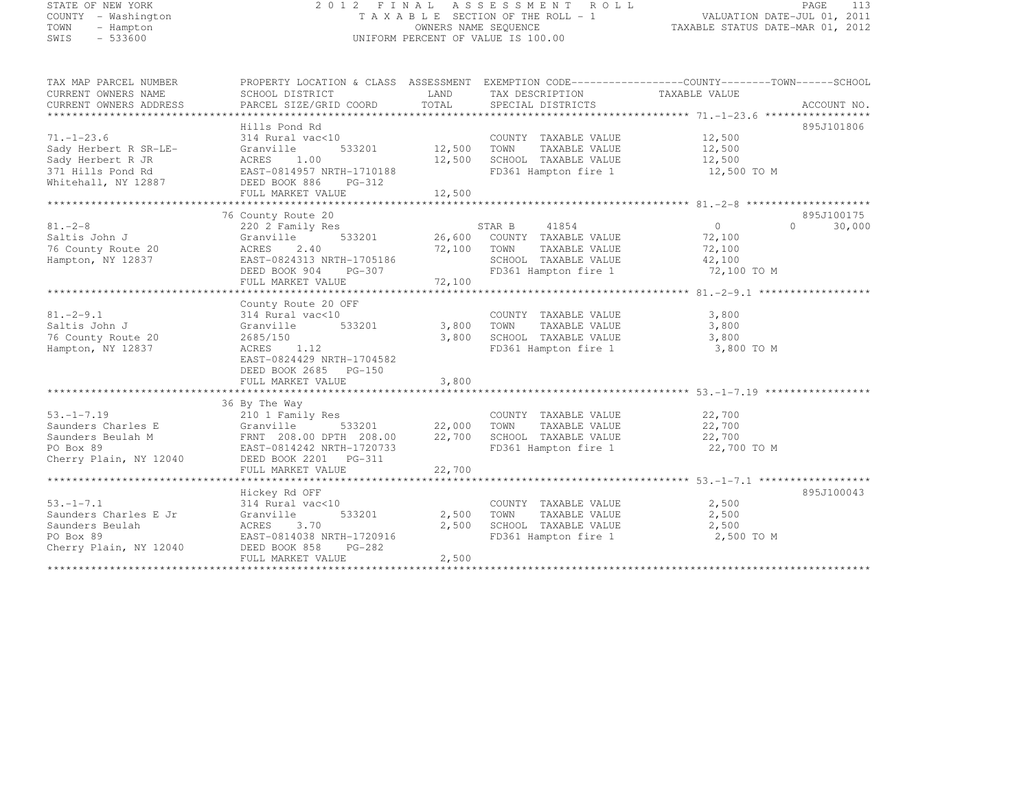| STATE OF NEW YORK<br>COUNTY - Washington<br>TOWN<br>- Hampton |                                                      | OWNERS NAME SEQUENCE | 2012 FINAL ASSESSMENT ROLL<br>TAXABLE SECTION OF THE ROLL - 1 | VALUATION DATE-JUL 01, 2011<br>TAXABLE STATUS DATE-MAR 01, 2012                                 | PAGE<br>113 |
|---------------------------------------------------------------|------------------------------------------------------|----------------------|---------------------------------------------------------------|-------------------------------------------------------------------------------------------------|-------------|
| SWIS<br>$-533600$                                             |                                                      |                      | UNIFORM PERCENT OF VALUE IS 100.00                            |                                                                                                 |             |
| TAX MAP PARCEL NUMBER                                         |                                                      |                      |                                                               | PROPERTY LOCATION & CLASS ASSESSMENT EXEMPTION CODE----------------COUNTY-------TOWN-----SCHOOL |             |
| CURRENT OWNERS NAME                                           | SCHOOL DISTRICT                                      | LAND                 | TAX DESCRIPTION                                               | TAXABLE VALUE                                                                                   |             |
| CURRENT OWNERS ADDRESS                                        | PARCEL SIZE/GRID COORD                               | TOTAL                | SPECIAL DISTRICTS                                             |                                                                                                 | ACCOUNT NO. |
|                                                               | Hills Pond Rd                                        |                      |                                                               |                                                                                                 | 895J101806  |
| $71, -1 - 23.6$                                               | 314 Rural vac<10                                     |                      | COUNTY TAXABLE VALUE                                          | 12,500                                                                                          |             |
| Sady Herbert R SR-LE-                                         | 533201<br>Granville                                  | 12,500               | TOWN<br>TAXABLE VALUE                                         | 12,500                                                                                          |             |
| Sady Herbert R JR                                             | 1.00<br>ACRES                                        | 12,500               | SCHOOL TAXABLE VALUE                                          | 12,500                                                                                          |             |
| 371 Hills Pond Rd                                             | EAST-0814957 NRTH-1710188                            |                      | FD361 Hampton fire 1                                          | 12,500 TO M                                                                                     |             |
| Whitehall, NY 12887                                           | DEED BOOK 886<br>PG-312                              |                      |                                                               |                                                                                                 |             |
|                                                               | FULL MARKET VALUE                                    | 12,500               |                                                               |                                                                                                 |             |
|                                                               | ******************                                   |                      |                                                               |                                                                                                 |             |
|                                                               | 76 County Route 20                                   |                      |                                                               |                                                                                                 | 895J100175  |
| $81. - 2 - 8$                                                 | 220 2 Family Res                                     |                      | STAR B<br>41854                                               | $\circ$<br>$\Omega$                                                                             | 30,000      |
| Saltis John J                                                 | 533201<br>Granville                                  | 26,600               | COUNTY TAXABLE VALUE                                          | 72,100                                                                                          |             |
| 76 County Route 20                                            | ACRES<br>2.40                                        | 72,100               | TAXABLE VALUE<br>TOWN                                         | 72,100                                                                                          |             |
| Hampton, NY 12837                                             | EAST-0824313 NRTH-1705186<br>DEED BOOK 904<br>PG-307 |                      | SCHOOL TAXABLE VALUE<br>FD361 Hampton fire 1                  | 42,100<br>72,100 TO M                                                                           |             |
|                                                               | FULL MARKET VALUE                                    | 72,100               |                                                               |                                                                                                 |             |
|                                                               | ***********************                              | *********            |                                                               |                                                                                                 |             |
|                                                               | County Route 20 OFF                                  |                      |                                                               |                                                                                                 |             |
| $81, -2 - 9, 1$                                               | 314 Rural vac<10                                     |                      | COUNTY TAXABLE VALUE                                          | 3,800                                                                                           |             |
| Saltis John J                                                 | 533201<br>Granville                                  | 3,800                | TOWN<br>TAXABLE VALUE                                         | 3,800                                                                                           |             |
| 76 County Route 20                                            | 2685/150                                             | 3,800                | SCHOOL TAXABLE VALUE                                          | 3,800                                                                                           |             |
| Hampton, NY 12837                                             | ACRES<br>1.12                                        |                      | FD361 Hampton fire 1                                          | 3,800 TO M                                                                                      |             |
|                                                               | EAST-0824429 NRTH-1704582                            |                      |                                                               |                                                                                                 |             |
|                                                               | DEED BOOK 2685 PG-150                                |                      |                                                               |                                                                                                 |             |
|                                                               | FULL MARKET VALUE                                    | 3,800                |                                                               |                                                                                                 |             |
|                                                               |                                                      |                      |                                                               |                                                                                                 |             |
| $53. - 1 - 7.19$                                              | 36 By The Way                                        |                      | COUNTY TAXABLE VALUE                                          |                                                                                                 |             |
| Saunders Charles E                                            | 210 1 Family Res<br>Granville<br>533201              | 22,000               | TOWN<br>TAXABLE VALUE                                         | 22,700<br>22,700                                                                                |             |
| Saunders Beulah M                                             | FRNT 208.00 DPTH 208.00                              | 22,700               | SCHOOL TAXABLE VALUE                                          | 22,700                                                                                          |             |
| PO Box 89                                                     | EAST-0814242 NRTH-1720733                            |                      | FD361 Hampton fire 1                                          | 22,700 TO M                                                                                     |             |
| Cherry Plain, NY 12040                                        | DEED BOOK 2201 PG-311                                |                      |                                                               |                                                                                                 |             |
|                                                               | FULL MARKET VALUE                                    | 22,700               |                                                               |                                                                                                 |             |
|                                                               |                                                      |                      |                                                               |                                                                                                 |             |
|                                                               | Hickey Rd OFF                                        |                      |                                                               |                                                                                                 | 895J100043  |
| $53. - 1 - 7.1$                                               | 314 Rural vac<10                                     |                      | COUNTY TAXABLE VALUE                                          | 2,500                                                                                           |             |
| Saunders Charles E Jr                                         | 533201<br>Granville                                  | 2,500                | TOWN<br>TAXABLE VALUE                                         | 2,500                                                                                           |             |
| Saunders Beulah                                               | ACRES<br>3.70                                        | 2,500                | SCHOOL TAXABLE VALUE                                          | 2,500                                                                                           |             |
| PO Box 89                                                     | EAST-0814038 NRTH-1720916                            |                      | FD361 Hampton fire 1                                          | 2,500 TO M                                                                                      |             |
| Cherry Plain, NY 12040                                        | DEED BOOK 858<br>PG-282                              |                      |                                                               |                                                                                                 |             |
|                                                               | FULL MARKET VALUE                                    | 2,500                |                                                               |                                                                                                 |             |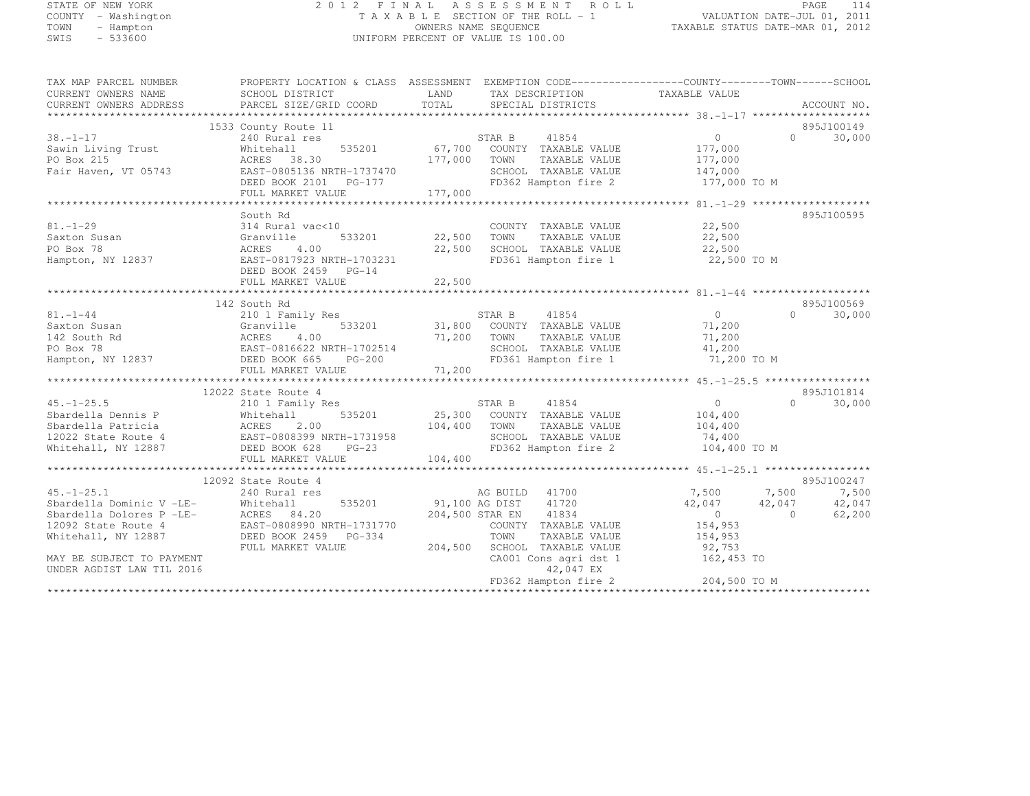## STATE OF NEW YORK 2 0 1 2 F I N A L A S S E S S M E N T R O L L PAGE <sup>114</sup> COUNTY - Washington T A X A B L E SECTION OF THE ROLL - 1 VALUATION DATE-JUL 01, 2011 TOWN - Hampton OWNERS NAME SEQUENCE TAXABLE STATUS DATE-MAR 01, 2012 SWIS - 533600 UNIFORM PERCENT OF VALUE IS 100.00

| TAX MAP PARCEL NUMBER<br>CURRENT OWNERS NAME<br>CURRENT OWNERS ADDRESS | PROPERTY LOCATION & CLASS ASSESSMENT EXEMPTION CODE----------------COUNTY-------TOWN-----SCHOOL<br>SCHOOL DISTRICT<br>PARCEL SIZE/GRID COORD | LAND<br>TOTAL     | TAX DESCRIPTION<br>SPECIAL DISTRICTS              | TAXABLE VALUE  | ACCOUNT NO.        |
|------------------------------------------------------------------------|----------------------------------------------------------------------------------------------------------------------------------------------|-------------------|---------------------------------------------------|----------------|--------------------|
|                                                                        |                                                                                                                                              |                   |                                                   |                |                    |
|                                                                        | 1533 County Route 11                                                                                                                         |                   |                                                   |                | 895J100149         |
| $38. - 1 - 17$                                                         | 240 Rural res                                                                                                                                |                   | STAR B 41854<br>35201 67,700 COUNTY TAXABLE VALUE | 0              | 30,000<br>$\Omega$ |
| Sawin Living Trust                                                     | 535201<br>Whitehall                                                                                                                          |                   |                                                   | 177,000        |                    |
| PO Box 215                                                             | ACRES 38.30                                                                                                                                  | 177,000           | TOWN<br>TAXABLE VALUE                             | 177,000        |                    |
| Fair Haven, VT 05743                                                   | EAST-0805136 NRTH-1737470                                                                                                                    |                   | SCHOOL TAXABLE VALUE                              | 147,000        |                    |
|                                                                        |                                                                                                                                              |                   | FD362 Hampton fire 2                              | 177,000 TO M   |                    |
|                                                                        | FULL MARKET VALUE                                                                                                                            | 177,000           |                                                   |                |                    |
|                                                                        |                                                                                                                                              |                   |                                                   |                |                    |
|                                                                        | South Rd                                                                                                                                     |                   |                                                   |                | 895J100595         |
| $81. - 1 - 29$                                                         | 314 Rural vac<10                                                                                                                             |                   | COUNTY TAXABLE VALUE                              | 22,500         |                    |
| Saxton Susan                                                           | Granville<br>533201                                                                                                                          | 22,500 TOWN       | TAXABLE VALUE                                     | 22,500         |                    |
| PO Box 78                                                              | 4.00<br>ACRES                                                                                                                                | 22,500            | SCHOOL TAXABLE VALUE                              | 22,500         |                    |
| Hampton, NY 12837                                                      | EAST-0817923 NRTH-1703231                                                                                                                    |                   | FD361 Hampton fire 1                              | 22,500 TO M    |                    |
|                                                                        | DEED BOOK 2459 PG-14                                                                                                                         |                   |                                                   |                |                    |
|                                                                        | FULL MARKET VALUE                                                                                                                            | 22,500            |                                                   |                |                    |
|                                                                        |                                                                                                                                              |                   |                                                   |                |                    |
|                                                                        | 142 South Rd                                                                                                                                 |                   |                                                   |                | 895J100569         |
| $81. - 1 - 44$                                                         | 210 1 Family Res                                                                                                                             |                   | STAR B 41854                                      | $\overline{0}$ | $\Omega$<br>30,000 |
| Saxton Susan                                                           | Granville 533201<br>ACRES 4.00<br>EAST-0816622 NRTH-1702514                                                                                  |                   | 31,800 COUNTY TAXABLE VALUE                       | 71,200         |                    |
| 142 South Rd                                                           |                                                                                                                                              | 71,200 TOWN       | TAXABLE VALUE                                     | 71,200         |                    |
| PO Box 78                                                              |                                                                                                                                              |                   | SCHOOL TAXABLE VALUE                              | 41,200         |                    |
| Hampton, NY 12837                                                      | DEED BOOK 665<br><b>PG-200</b>                                                                                                               | $(4)$<br>$-4$ 200 | FD361 Hampton fire 1                              | 71,200 TO M    |                    |
|                                                                        |                                                                                                                                              |                   |                                                   |                |                    |
|                                                                        |                                                                                                                                              |                   |                                                   |                |                    |
|                                                                        | 12022 State Route 4                                                                                                                          |                   |                                                   |                | 895J101814         |
| $45. - 1 - 25.5$                                                       | 210 1 Family Res                                                                                                                             |                   | STAR B<br>41854                                   | $\Omega$       | $\cap$<br>30,000   |
| Sbardella Dennis P                                                     | 535201<br>Whitehall                                                                                                                          |                   | 25,300 COUNTY TAXABLE VALUE                       | 104,400        |                    |
| Whiteh<br>ACRES<br>Sbardella Patricia                                  | 2.00                                                                                                                                         | 104,400           | TOWN<br>TAXABLE VALUE                             | 104,400        |                    |
| 12022 State Route 4                                                    | EAST-0808399 NRTH-1731958                                                                                                                    |                   | SCHOOL TAXABLE VALUE                              | 74,400         |                    |
| Whitehall, NY 12887                                                    | DEED BOOK 628<br>$PG-23$                                                                                                                     |                   | FD362 Hampton fire 2                              | 104,400 TO M   |                    |
|                                                                        | FULL MARKET VALUE                                                                                                                            | 104,400           |                                                   |                |                    |
|                                                                        |                                                                                                                                              |                   |                                                   |                |                    |
|                                                                        | 12092 State Route 4                                                                                                                          |                   |                                                   |                | 895J100247         |
| $45. - 1 - 25.1$                                                       | 240 Rural res                                                                                                                                |                   | AG BUILD 41700                                    | 7,500          | 7,500<br>7,500     |
| Sbardella Dominic V -LE-<br>Sbardella Dolores P -LE-                   | 535201<br>Whitehall                                                                                                                          |                   | 91,100 AG DIST<br>41720                           | 42,047         | 42,047<br>42,047   |
|                                                                        | ACRES 84.20                                                                                                                                  |                   | 204,500 STAR EN 41834                             | $\sim$ 0       | $\Omega$<br>62,200 |
| 12092 State Route 4                                                    | EAST-0808990 NRTH-1731770                                                                                                                    |                   | COUNTY TAXABLE VALUE                              | 154,953        |                    |
| Whitehall, NY 12887                                                    | DEED BOOK 2459 PG-334                                                                                                                        |                   | TOWN<br>TAXABLE VALUE                             | 154,953        |                    |
|                                                                        | FULL MARKET VALUE                                                                                                                            | 204,500           | SCHOOL TAXABLE VALUE                              | 92,753         |                    |
| MAY BE SUBJECT TO PAYMENT                                              |                                                                                                                                              |                   | CA001 Cons agri dst 1                             | 162,453 TO     |                    |
| UNDER AGDIST LAW TIL 2016                                              |                                                                                                                                              |                   | 42,047 EX                                         |                |                    |
|                                                                        |                                                                                                                                              |                   | FD362 Hampton fire 2                              | 204,500 TO M   |                    |
|                                                                        |                                                                                                                                              |                   |                                                   |                |                    |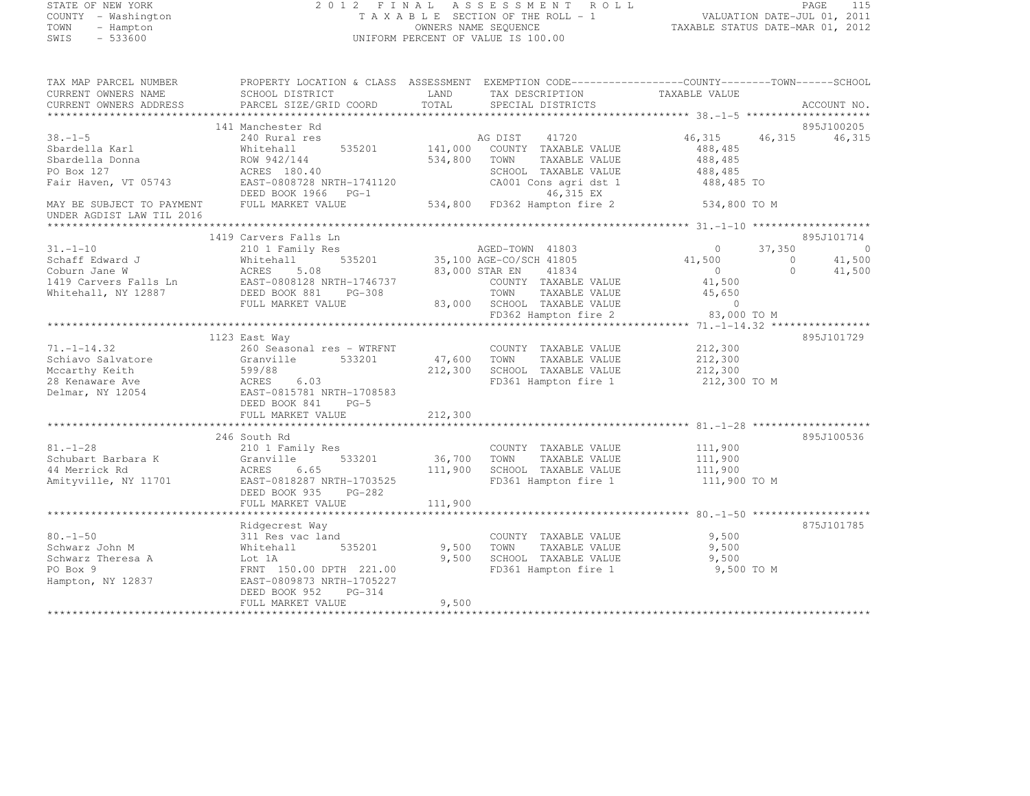## STATE OF NEW YORK 2 0 1 2 F I N A L A S S E S S M E N T R O L L PAGE <sup>115</sup> COUNTY - Washington T A X A B L E SECTION OF THE ROLL - 1 VALUATION DATE-JUL 01, 2011 TOWN - Hampton OWNERS NAME SEQUENCE TAXABLE STATUS DATE-MAR 01, 2012 SWIS - 533600 UNIFORM PERCENT OF VALUE IS 100.00

| TAX MAP PARCEL NUMBER                                                                    | PROPERTY LOCATION & CLASS ASSESSMENT EXEMPTION CODE-----------------COUNTY-------TOWN------SCHOOL                                                             |              |                                           |                    |                |             |
|------------------------------------------------------------------------------------------|---------------------------------------------------------------------------------------------------------------------------------------------------------------|--------------|-------------------------------------------|--------------------|----------------|-------------|
| CURRENT OWNERS NAME                                                                      | SCHOOL DISTRICT                                                                                                                                               | LAND         | TAX DESCRIPTION                           | TAXABLE VALUE      |                |             |
| CURRENT OWNERS ADDRESS                                                                   | PARCEL SIZE/GRID COORD                                                                                                                                        | TOTAL        | SPECIAL DISTRICTS                         |                    |                | ACCOUNT NO. |
|                                                                                          |                                                                                                                                                               |              |                                           |                    |                |             |
|                                                                                          | 141 Manchester Rd                                                                                                                                             |              |                                           |                    |                | 895J100205  |
| $38. - 1 - 5$                                                                            | $240$ Rural res                                                                                                                                               |              | AG DIST 41720                             | 46,315 46,315      |                | 46,315      |
| Sbardella Karl                                                                           | Whitehall                                                                                                                                                     |              | 535201 141,000 COUNTY TAXABLE VALUE       | 488,485            |                |             |
| Sbardella Donna                                                                          | ROW 942/144                                                                                                                                                   | 534,800 TOWN | TAXABLE VALUE                             | 488,485            |                |             |
| PO Box 127                                                                               | ACRES 180.40                                                                                                                                                  |              | SCHOOL TAXABLE VALUE                      | 488, 485           |                |             |
| Fair Haven, VT 05743                                                                     | EAST-0808728 NRTH-1741120                                                                                                                                     |              | CA001 Cons agri dst 1                     | 488,485 TO         |                |             |
|                                                                                          | DEED BOOK 1966 PG-1                                                                                                                                           |              | 46,315 EX<br>534,800 FD362 Hampton fire 2 |                    |                |             |
| MAY BE SUBJECT TO PAYMENT FULL MARKET VALUE                                              |                                                                                                                                                               |              |                                           | 534,800 TO M       |                |             |
| UNDER AGDIST LAW TIL 2016                                                                |                                                                                                                                                               |              |                                           |                    |                |             |
|                                                                                          |                                                                                                                                                               |              |                                           |                    |                |             |
|                                                                                          | 1419 Carvers Falls Ln                                                                                                                                         |              |                                           |                    |                | 895J101714  |
| $31. - 1 - 10$                                                                           | 210 1 Family Res                                                                                                                                              |              | s<br>535201 35,100 AGE-CO/SCH 41805       | $\overline{0}$     | 37,350         | $\sim$ 0    |
|                                                                                          | Schaff Edward J<br>Coburn Jane W<br>1419 Carvers Falls Ln<br>1419 Carvers Falls Ln<br>1419 Carvers Falls Ln<br>1419 Carvers Falls Ln<br>1419 Carvers Falls Ln |              |                                           | 41,500             | $\overline{0}$ | 41,500      |
|                                                                                          |                                                                                                                                                               |              | 83,000 STAR EN 41834                      | $0$<br>41,500      | $\circ$        | 41,500      |
|                                                                                          |                                                                                                                                                               |              | COUNTY TAXABLE VALUE                      |                    |                |             |
| Whitehall, NY 12887 DEED BOOK 881                                                        | PG-308                                                                                                                                                        |              | TOWN<br>TAXABLE VALUE                     | 45,650             |                |             |
|                                                                                          | FULL MARKET VALUE                                                                                                                                             |              | 83,000 SCHOOL TAXABLE VALUE               | $\sim$ 0           |                |             |
|                                                                                          |                                                                                                                                                               |              | FD362 Hampton fire 2 83,000 TO M          |                    |                |             |
|                                                                                          |                                                                                                                                                               |              |                                           |                    |                |             |
|                                                                                          | 1123 East Way                                                                                                                                                 |              |                                           |                    |                | 895J101729  |
| $71. - 1 - 14.32$                                                                        | 260 Seasonal res - WTRFNT                                                                                                                                     |              | COUNTY TAXABLE VALUE                      | 212,300            |                |             |
| Schiavo Salvatore                                                                        | 533201 47,600 TOWN<br>Granville                                                                                                                               |              | TAXABLE VALUE                             | 212,300            |                |             |
| Mccarthy Keith                                                                           |                                                                                                                                                               | 212,300      | SCHOOL TAXABLE VALUE                      | 212,300            |                |             |
| 28 Kenaware Ave                                                                          |                                                                                                                                                               |              | FD361 Hampton fire 1                      | 212,300 TO M       |                |             |
| Delmar, NY 12054                                                                         | 599/88<br>ACRES 6.03<br>EAST-0815781 NRTH-1708583                                                                                                             |              |                                           |                    |                |             |
|                                                                                          | DEED BOOK 841 PG-5                                                                                                                                            |              |                                           |                    |                |             |
|                                                                                          |                                                                                                                                                               |              |                                           |                    |                |             |
|                                                                                          |                                                                                                                                                               |              |                                           |                    |                |             |
|                                                                                          | 246 South Rd                                                                                                                                                  |              |                                           |                    |                | 895J100536  |
| $81. - 1 - 28$                                                                           | 210 1 Family Res                                                                                                                                              |              | COUNTY TAXABLE VALUE                      | 111,900            |                |             |
|                                                                                          | 533201                                                                                                                                                        | 36,700 TOWN  | TAXABLE VALUE                             |                    |                |             |
| Schubart Barbara K Granville<br>44 Merrick Rd                           ACRES       6.65 |                                                                                                                                                               | 111,900      | SCHOOL TAXABLE VALUE                      | 111,900<br>111,900 |                |             |
|                                                                                          | Amityville, NY 11701 EAST-0818287 NRTH-1703525                                                                                                                |              | FD361 Hampton fire 1 111,900 TO M         |                    |                |             |
|                                                                                          | DEED BOOK 935<br>PG-282                                                                                                                                       |              |                                           |                    |                |             |
|                                                                                          | FULL MARKET VALUE                                                                                                                                             | 111,900      |                                           |                    |                |             |
|                                                                                          |                                                                                                                                                               |              |                                           |                    |                |             |
|                                                                                          | Ridgecrest Way                                                                                                                                                |              |                                           |                    |                | 875J101785  |
| $80. - 1 - 50$                                                                           | 311 Res vac land                                                                                                                                              |              | COUNTY TAXABLE VALUE                      | 9,500              |                |             |
| Schwarz John M                                                                           | 535201<br>Whitehall                                                                                                                                           | 9,500 TOWN   | TAXABLE VALUE                             | 9,500              |                |             |
| Schwarz Theresa A Lot 1A                                                                 |                                                                                                                                                               | 9,500        | SCHOOL TAXABLE VALUE                      | 9,500              |                |             |
| PO Box 9                                                                                 | FRNT 150.00 DPTH 221.00                                                                                                                                       |              | FD361 Hampton fire 1                      | 9,500 TO M         |                |             |
| Hampton, NY 12837                                                                        | EAST-0809873 NRTH-1705227                                                                                                                                     |              |                                           |                    |                |             |
|                                                                                          | DEED BOOK 952 PG-314                                                                                                                                          |              |                                           |                    |                |             |
|                                                                                          | FULL MARKET VALUE                                                                                                                                             | 9,500        |                                           |                    |                |             |
|                                                                                          |                                                                                                                                                               |              |                                           |                    |                |             |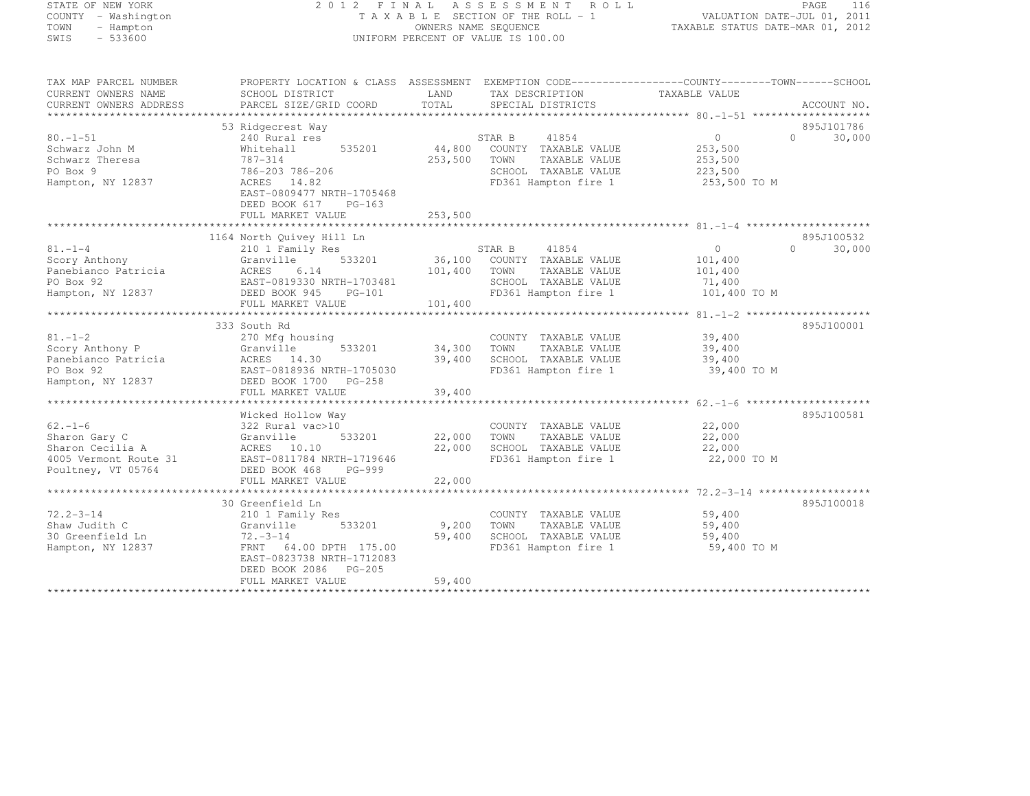## STATE OF NEW YORK 2 0 1 2 F I N A L A S S E S S M E N T R O L L PAGE <sup>116</sup> COUNTY - Washington T A X A B L E SECTION OF THE ROLL - 1 VALUATION DATE-JUL 01, 2011 TOWN - Hampton OWNERS NAME SEQUENCE TAXABLE STATUS DATE-MAR 01, 2012 SWIS - 533600 UNIFORM PERCENT OF VALUE IS 100.00

| TAX MAP PARCEL NUMBER<br>CURRENT OWNERS NAME<br>CURRENT OWNERS ADDRESS | PROPERTY LOCATION & CLASS ASSESSMENT EXEMPTION CODE---------------COUNTY-------TOWN------SCHOOL<br>SCHOOL DISTRICT<br>PARCEL SIZE/GRID COORD | LAND<br>TOTAL     | TAX DESCRIPTION<br>SPECIAL DISTRICTS                                  | TAXABLE VALUE                                  | ACCOUNT NO.                    |
|------------------------------------------------------------------------|----------------------------------------------------------------------------------------------------------------------------------------------|-------------------|-----------------------------------------------------------------------|------------------------------------------------|--------------------------------|
|                                                                        |                                                                                                                                              |                   |                                                                       |                                                |                                |
| $80. - 1 - 51$                                                         | 53 Ridgecrest Way<br>240 Rural res                                                                                                           |                   | 41854<br>STAR B                                                       | $\circ$                                        | 895J101786<br>30,000<br>$\cap$ |
| Schwarz John M<br>Schwarz Theresa<br>PO Box 9                          | 535201<br>Whitehall<br>787-314<br>786-203 786-206                                                                                            | 44,800<br>253,500 | COUNTY TAXABLE VALUE<br>TOWN<br>TAXABLE VALUE<br>SCHOOL TAXABLE VALUE | 253,500<br>253,500<br>223,500                  |                                |
| Hampton, NY 12837                                                      | ACRES 14.82<br>EAST-0809477 NRTH-1705468<br>DEED BOOK 617<br>$PG-163$<br>FULL MARKET VALUE                                                   | 253,500           | FD361 Hampton fire 1                                                  | 253,500 TO M                                   |                                |
|                                                                        |                                                                                                                                              |                   |                                                                       |                                                |                                |
|                                                                        | 1164 North Quivey Hill Ln                                                                                                                    |                   |                                                                       |                                                | 895J100532                     |
| $81. - 1 - 4$                                                          | 210 1 Family Res                                                                                                                             |                   | STAR B<br>41854                                                       | $\circ$                                        | 30,000<br>$\Omega$             |
| Scory Anthony                                                          | Granville<br>533201                                                                                                                          |                   | 36,100 COUNTY TAXABLE VALUE                                           | 101,400                                        |                                |
| Panebianco Patricia                                                    | ACRES<br>6.14                                                                                                                                | 101,400           | TOWN<br>TAXABLE VALUE                                                 | 101,400                                        |                                |
| PO Box 92                                                              | EAST-0819330 NRTH-1703481                                                                                                                    |                   | SCHOOL TAXABLE VALUE                                                  | 71,400                                         |                                |
| Hampton, NY 12837                                                      | DEED BOOK 945 PG-101<br>FULL MARKET VALUE                                                                                                    | 101,400           | FD361 Hampton fire 1                                                  | 101,400 TO M                                   |                                |
|                                                                        |                                                                                                                                              |                   |                                                                       | *************** 81.-1-2 ********************** |                                |
|                                                                        | 333 South Rd                                                                                                                                 |                   |                                                                       |                                                | 895J100001                     |
| $81. - 1 - 2$                                                          | 270 Mfg housing                                                                                                                              |                   | COUNTY TAXABLE VALUE                                                  | 39,400                                         |                                |
| Scory Anthony P                                                        | Granville<br>533201                                                                                                                          | 34,300            | TAXABLE VALUE<br>TOWN                                                 | 39,400                                         |                                |
| Panebianco Patricia                                                    | ACRES 14.30                                                                                                                                  | 39,400            | SCHOOL TAXABLE VALUE                                                  | 39,400                                         |                                |
| PO Box 92                                                              | EAST-0818936 NRTH-1705030                                                                                                                    |                   | FD361 Hampton fire 1                                                  | 39,400 TO M                                    |                                |
| Hampton, NY 12837                                                      | DEED BOOK 1700 PG-258                                                                                                                        |                   |                                                                       |                                                |                                |
|                                                                        | FULL MARKET VALUE                                                                                                                            | 39,400            |                                                                       |                                                |                                |
|                                                                        |                                                                                                                                              |                   |                                                                       |                                                |                                |
|                                                                        | Wicked Hollow Way                                                                                                                            |                   |                                                                       |                                                | 895J100581                     |
| $62. - 1 - 6$                                                          | 322 Rural vac>10                                                                                                                             |                   | COUNTY TAXABLE VALUE                                                  | 22,000                                         |                                |
| Sharon Gary C                                                          | Granville<br>533201                                                                                                                          | 22,000            | TOWN<br>TAXABLE VALUE                                                 | 22,000                                         |                                |
| Sharon Cecilia A                                                       | ACRES 10.10                                                                                                                                  | 22,000            | SCHOOL TAXABLE VALUE                                                  | 22,000                                         |                                |
| 4005 Vermont Route 31                                                  | EAST-0811784 NRTH-1719646                                                                                                                    |                   | FD361 Hampton fire 1                                                  | 22,000 TO M                                    |                                |
| Poultney, VT 05764                                                     | DEED BOOK 468<br>PG-999                                                                                                                      |                   |                                                                       |                                                |                                |
|                                                                        | FULL MARKET VALUE                                                                                                                            | 22,000            |                                                                       |                                                |                                |
|                                                                        |                                                                                                                                              |                   |                                                                       |                                                |                                |
|                                                                        | 30 Greenfield Ln                                                                                                                             |                   |                                                                       |                                                | 895J100018                     |
| $72.2 - 3 - 14$                                                        | 210 1 Family Res                                                                                                                             |                   | COUNTY TAXABLE VALUE                                                  | 59,400                                         |                                |
| Shaw Judith C                                                          | Granville<br>533201                                                                                                                          | 9,200             | TOWN<br>TAXABLE VALUE                                                 | 59,400                                         |                                |
| 30 Greenfield Ln                                                       | $72. - 3 - 14$<br>FRNT 64.00 DPTH 175.00                                                                                                     | 59,400            | SCHOOL TAXABLE VALUE                                                  | 59,400<br>59,400 TO M                          |                                |
| Hampton, NY 12837                                                      | EAST-0823738 NRTH-1712083                                                                                                                    |                   | FD361 Hampton fire 1                                                  |                                                |                                |
|                                                                        | DEED BOOK 2086 PG-205                                                                                                                        |                   |                                                                       |                                                |                                |
|                                                                        | FULL MARKET VALUE                                                                                                                            | 59,400            |                                                                       |                                                |                                |
|                                                                        |                                                                                                                                              |                   |                                                                       |                                                |                                |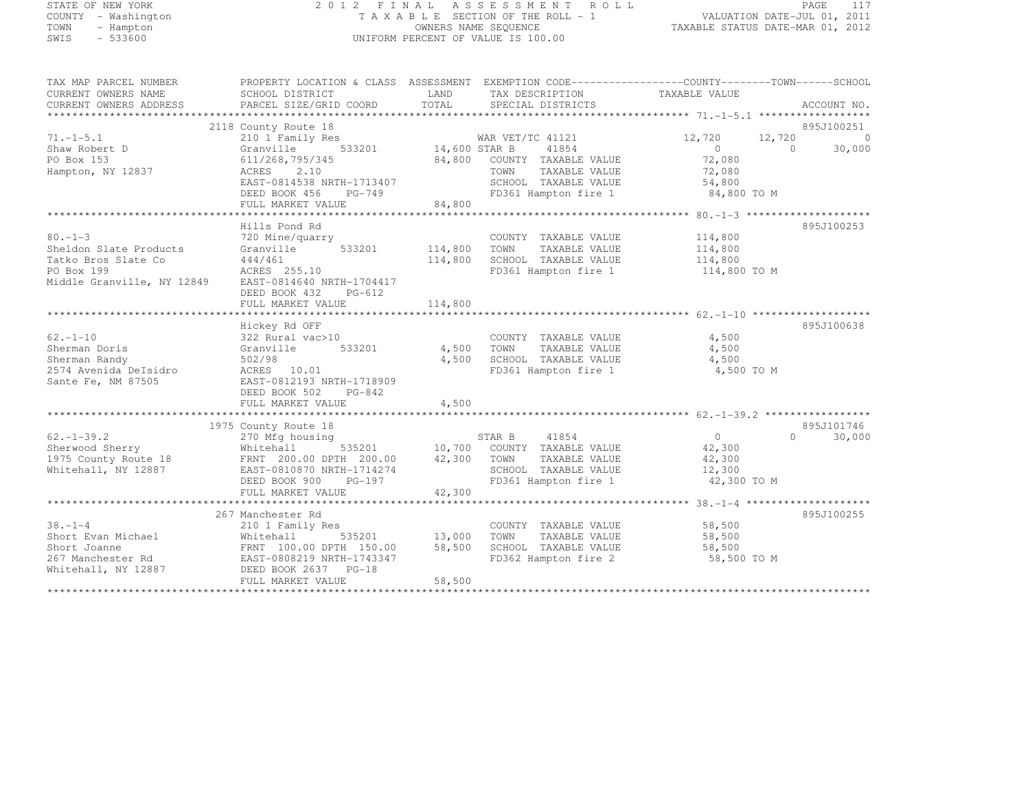## STATE OF NEW YORK 2 0 1 2 F I N A L A S S E S S M E N T R O L L PAGE <sup>117</sup> COUNTY - Washington T A X A B L E SECTION OF THE ROLL - 1 VALUATION DATE-JUL 01, 2011 TOWN - Hampton OWNERS NAME SEQUENCE TAXABLE STATUS DATE-MAR 01, 2012 SWIS - 533600 UNIFORM PERCENT OF VALUE IS 100.00

| TAX MAP PARCEL NUMBER<br>CURRENT OWNERS NAME<br>CURRENT OWNERS ADDRESS           | PROPERTY LOCATION & CLASS ASSESSMENT EXEMPTION CODE----------------COUNTY-------TOWN-----SCHOOL<br>SCHOOL DISTRICT<br>PARCEL SIZE/GRID COORD | <b>EXAMPLE EXAMPLE EXAMPLE EXAMPLE EXAMPLE EXAMPLE EXAMPLE EXAMPLE EXAMPLE EXAMPLE EXAMPLE EXAMPLE EXAMPLE EXAMPLE EXAMPLE EXAMPLE EXAMPLE EXAMPLE EXAMPLE EXAMPLE EXAMPLE EXAMPLE EXAMPLE EXAMPLE EXAMPLE EXAMPLE EXAMPLE EXAMP</b><br>TOTAL | TAX DESCRIPTION TAXABLE VALUE<br>SPECIAL DISTRICTS                                         |                                  | ACCOUNT NO.         |
|----------------------------------------------------------------------------------|----------------------------------------------------------------------------------------------------------------------------------------------|-----------------------------------------------------------------------------------------------------------------------------------------------------------------------------------------------------------------------------------------------|--------------------------------------------------------------------------------------------|----------------------------------|---------------------|
|                                                                                  |                                                                                                                                              |                                                                                                                                                                                                                                               |                                                                                            |                                  |                     |
|                                                                                  | 2118 County Route 18                                                                                                                         |                                                                                                                                                                                                                                               |                                                                                            |                                  | 895J100251          |
| $71. - 1 - 5.1$                                                                  | 210 1 Family Res                                                                                                                             |                                                                                                                                                                                                                                               | -1 1121<br>14,600 STAR B 41854                                                             | 12,720<br>12,720                 | $\overline{0}$      |
| Shaw Robert D                                                                    | Granville                                                                                                                                    |                                                                                                                                                                                                                                               | 41854                                                                                      | $\overline{0}$<br>$\overline{0}$ | 30,000              |
| PO Box 153                                                                       | 611/268,795/345                                                                                                                              |                                                                                                                                                                                                                                               | 84,800 COUNTY TAXABLE VALUE 72,080                                                         |                                  |                     |
| Hampton, NY 12837                                                                | ACRES 2.10                                                                                                                                   |                                                                                                                                                                                                                                               | TOWN<br>TAXABLE VALUE                                                                      | 72,080                           |                     |
|                                                                                  |                                                                                                                                              |                                                                                                                                                                                                                                               | SCHOOL TAXABLE VALUE 54,800                                                                |                                  |                     |
|                                                                                  |                                                                                                                                              |                                                                                                                                                                                                                                               | FD361 Hampton fire 1 84,800 TO M                                                           |                                  |                     |
|                                                                                  |                                                                                                                                              |                                                                                                                                                                                                                                               |                                                                                            |                                  |                     |
|                                                                                  |                                                                                                                                              |                                                                                                                                                                                                                                               |                                                                                            |                                  |                     |
|                                                                                  | Hills Pond Rd                                                                                                                                |                                                                                                                                                                                                                                               |                                                                                            |                                  | 895J100253          |
| $80 - 1 - 3$                                                                     | 720 Mine/quarry                                                                                                                              |                                                                                                                                                                                                                                               | COUNTY TAXABLE VALUE                                                                       | 114,800                          |                     |
| Sheldon Slate Products                                                           | 533201 114,800<br>Granville                                                                                                                  |                                                                                                                                                                                                                                               | TOWN<br>TAXABLE VALUE                                                                      | 114,800                          |                     |
| Tatko Bros Slate Co                                                              |                                                                                                                                              | 114,800                                                                                                                                                                                                                                       | SCHOOL TAXABLE VALUE                                                                       | 114,800                          |                     |
| PO Box 199                                                                       | 444/461<br>ACRES 255.10                                                                                                                      |                                                                                                                                                                                                                                               | FD361 Hampton fire 1 114,800 TO M                                                          |                                  |                     |
| Middle Granville, NY 12849                                                       | EAST-0814640 NRTH-1704417                                                                                                                    |                                                                                                                                                                                                                                               |                                                                                            |                                  |                     |
|                                                                                  | DEED BOOK 432 PG-612                                                                                                                         |                                                                                                                                                                                                                                               |                                                                                            |                                  |                     |
|                                                                                  |                                                                                                                                              |                                                                                                                                                                                                                                               |                                                                                            |                                  |                     |
|                                                                                  |                                                                                                                                              |                                                                                                                                                                                                                                               |                                                                                            |                                  |                     |
|                                                                                  | Hickey Rd OFF                                                                                                                                |                                                                                                                                                                                                                                               |                                                                                            |                                  | 895J100638          |
| $62 - 1 - 10$                                                                    | 322 Rural vac>10                                                                                                                             |                                                                                                                                                                                                                                               | COUNTY TAXABLE VALUE                                                                       | 4,500                            |                     |
| Sherman Doris                                                                    | Granville 533201 4,500 TOWN                                                                                                                  |                                                                                                                                                                                                                                               | TAXABLE VALUE                                                                              | 4,500                            |                     |
| Sherman Randy                                                                    | 502/98                                                                                                                                       | 4,500                                                                                                                                                                                                                                         | SCHOOL TAXABLE VALUE                                                                       | 4,500                            |                     |
| 2574 Avenida DeIsidro                                                            | ACRES 10.01                                                                                                                                  |                                                                                                                                                                                                                                               | FD361 Hampton fire 1                                                                       | 4,500 TO M                       |                     |
| Sante Fe, NM 87505                                                               | EAST-0812193 NRTH-1718909                                                                                                                    |                                                                                                                                                                                                                                               |                                                                                            |                                  |                     |
|                                                                                  | DEED BOOK 502<br>PG-842                                                                                                                      |                                                                                                                                                                                                                                               |                                                                                            |                                  |                     |
|                                                                                  | FULL MARKET VALUE                                                                                                                            | 4,500                                                                                                                                                                                                                                         |                                                                                            |                                  |                     |
|                                                                                  |                                                                                                                                              |                                                                                                                                                                                                                                               |                                                                                            |                                  |                     |
|                                                                                  | 1975 County Route 18                                                                                                                         |                                                                                                                                                                                                                                               |                                                                                            |                                  | 895J101746          |
| $62. - 1 - 39.2$                                                                 | 270 Mfg housing                                                                                                                              |                                                                                                                                                                                                                                               | STAR B 41854                                                                               | $\overline{0}$                   | $\bigcap$<br>30,000 |
|                                                                                  |                                                                                                                                              |                                                                                                                                                                                                                                               |                                                                                            | 42,300                           |                     |
| Sherwood Sherry Mhitehall 535201<br>1975 County Route 18 FRNT 200.00 DPTH 200.00 |                                                                                                                                              |                                                                                                                                                                                                                                               | 535201 10,700 COUNTY TAXABLE VALUE<br>TH 200.00 42,300 TOWN TAXABLE VALUE<br>TAXABLE VALUE | 42,300                           |                     |
| Whitehall, NY 12887                                                              | EAST-0810870 NRTH-1714274                                                                                                                    |                                                                                                                                                                                                                                               | SCHOOL TAXABLE VALUE 12,300                                                                |                                  |                     |
|                                                                                  | DEED BOOK 900 PG-197                                                                                                                         |                                                                                                                                                                                                                                               | FD361 Hampton fire 1                                                                       | 42,300 TO M                      |                     |
|                                                                                  | FULL MARKET VALUE                                                                                                                            | 42,300                                                                                                                                                                                                                                        |                                                                                            |                                  |                     |
|                                                                                  |                                                                                                                                              |                                                                                                                                                                                                                                               |                                                                                            |                                  |                     |
|                                                                                  | 267 Manchester Rd                                                                                                                            |                                                                                                                                                                                                                                               |                                                                                            |                                  | 895J100255          |
| $38 - 1 - 4$                                                                     | 210 1 Family Res                                                                                                                             |                                                                                                                                                                                                                                               | COUNTY TAXABLE VALUE                                                                       | 58,500                           |                     |
| Short Evan Michael                                                               | $535201$ 13,000<br>Whitehall                                                                                                                 |                                                                                                                                                                                                                                               | TAXABLE VALUE<br>TOWN                                                                      | 58,500                           |                     |
| Short Joanne                                                                     | FRNT 100.00 DPTH 150.00                                                                                                                      | 58,500                                                                                                                                                                                                                                        | SCHOOL TAXABLE VALUE                                                                       | 58,500                           |                     |
|                                                                                  | EAST-0808219 NRTH-1743347                                                                                                                    |                                                                                                                                                                                                                                               | FD362 Hampton fire 2                                                                       | 58,500 TO M                      |                     |
| Whitehall, NY 12887                                                              | DEED BOOK 2637 PG-18                                                                                                                         |                                                                                                                                                                                                                                               |                                                                                            |                                  |                     |
|                                                                                  | FULL MARKET VALUE                                                                                                                            | 58,500                                                                                                                                                                                                                                        |                                                                                            |                                  |                     |
|                                                                                  |                                                                                                                                              |                                                                                                                                                                                                                                               |                                                                                            |                                  |                     |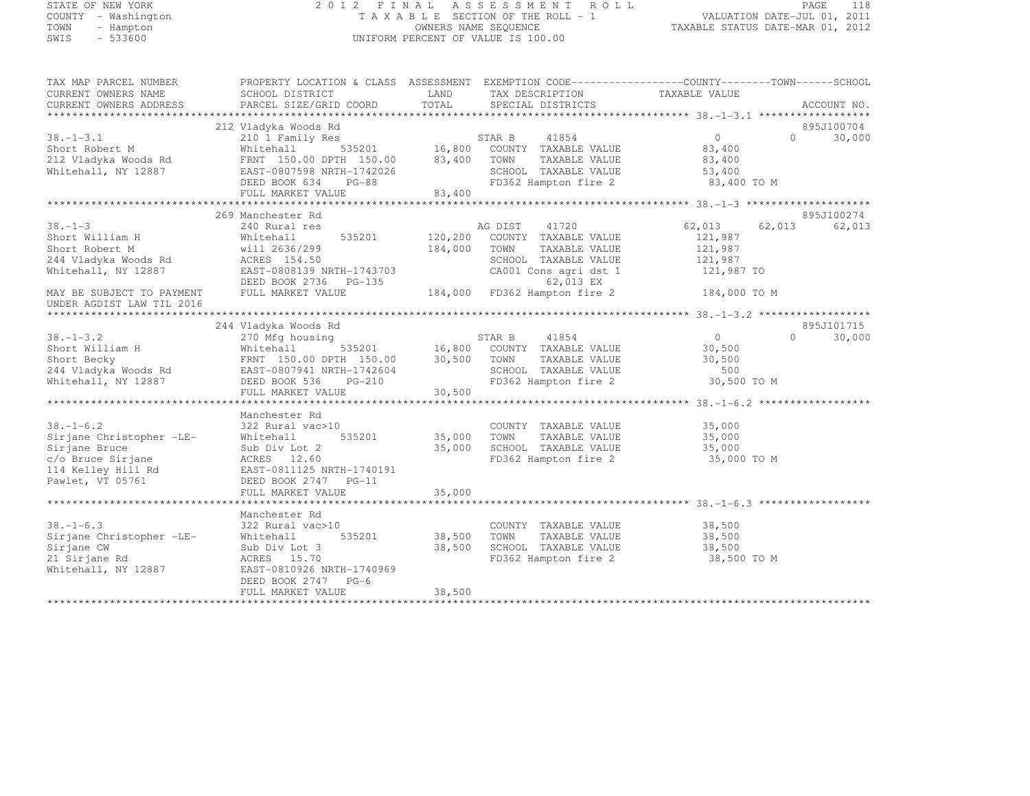## STATE OF NEW YORK 2 0 1 2 F I N A L A S S E S S M E N T R O L L PAGE <sup>118</sup> COUNTY - Washington T A X A B L E SECTION OF THE ROLL - 1 VALUATION DATE-JUL 01, 2011 TOWN - Hampton OWNERS NAME SEQUENCE TAXABLE STATUS DATE-MAR 01, 2012 SWIS - 533600 UNIFORM PERCENT OF VALUE IS 100.00

| TAX MAP PARCEL NUMBER<br>CURRENT OWNERS NAME           | PROPERTY LOCATION & CLASS ASSESSMENT EXEMPTION CODE---------------COUNTY-------TOWN-----SCHOOL<br>SCHOOL DISTRICT                                                                                                    | LAND               | TAX DESCRIPTION TAXABLE VALUE<br>SPECIAL DISTRICTS |                                  |                                     |
|--------------------------------------------------------|----------------------------------------------------------------------------------------------------------------------------------------------------------------------------------------------------------------------|--------------------|----------------------------------------------------|----------------------------------|-------------------------------------|
| CURRENT OWNERS ADDRESS                                 | PARCEL SIZE/GRID COORD                                                                                                                                                                                               | TOTAL              | SPECIAL DISTRICTS                                  |                                  | ACCOUNT NO.                         |
|                                                        |                                                                                                                                                                                                                      |                    |                                                    |                                  |                                     |
|                                                        | 212 Vladyka Woods Rd                                                                                                                                                                                                 |                    |                                                    | $\overline{0}$                   | 895J100704<br>$\Omega$ and $\Omega$ |
| $38. - 1 - 3.1$                                        | 210 1 Family Res                                                                                                                                                                                                     |                    |                                                    |                                  | 30,000                              |
| Short Robert M                                         | Whitehall                                                                                                                                                                                                            |                    |                                                    | 83,400                           |                                     |
|                                                        | 212 Vladyka Woods Rd<br>FRNT 150.00 DPTH 150.00 83,400 TOWN                                                                                                                                                          |                    | TAXABLE VALUE                                      | 83,400                           |                                     |
| Whitehall, NY 12887                                    | EAST-0807598 NRTH-1742026<br>DEED BOOK 634 PG-88                                                                                                                                                                     |                    | SCHOOL TAXABLE VALUE                               | 53,400                           |                                     |
|                                                        |                                                                                                                                                                                                                      |                    |                                                    | FD362 Hampton fire 2 83,400 TO M |                                     |
|                                                        | FULL MARKET VALUE                                                                                                                                                                                                    | 83,400             |                                                    |                                  |                                     |
|                                                        |                                                                                                                                                                                                                      |                    |                                                    |                                  |                                     |
|                                                        | 269 Manchester Rd                                                                                                                                                                                                    |                    |                                                    |                                  | 895J100274                          |
| $38. - 1 - 3$                                          | 240 Rural res                                                                                                                                                                                                        |                    | 41720<br>AG DIST                                   | 62,013                           | 62,013<br>62,013                    |
| Short William H<br>Short Robert M                      | Whitenail<br>will 2636/299                                                                                                                                                                                           | 535201 120,200     | COUNTY TAXABLE VALUE                               | 121,987                          |                                     |
| Short Robert M                                         |                                                                                                                                                                                                                      | 184,000            | TOWN<br>TAXABLE VALUE                              | 121,987                          |                                     |
| 244 Vladyka Woods Rd                                   | ACRES 154.50                                                                                                                                                                                                         |                    | SCHOOL TAXABLE VALUE                               | 121,987                          |                                     |
| Whitehall, NY 12887                                    | EAST-0808139 NRTH-1743703                                                                                                                                                                                            |                    | CA001 Cons agri dst 1                              | 121,987 TO                       |                                     |
|                                                        |                                                                                                                                                                                                                      |                    |                                                    |                                  |                                     |
| MAY BE SUBJECT TO PAYMENT<br>UNDER AGDIST LAW TIL 2016 | FULL MARKET VALUE                                                                                                                                                                                                    |                    | $-135$ 62,013 EX<br>184,000 FD362 Hampton fire 2   | 184,000 TO M                     |                                     |
|                                                        |                                                                                                                                                                                                                      |                    |                                                    |                                  |                                     |
|                                                        | 244 Vladyka Woods Rd                                                                                                                                                                                                 |                    |                                                    |                                  | 895J101715                          |
|                                                        | 38.-1-3.2<br>Short William H 270 Mfg housing<br>Short Becky FRNT 150.00 DPTH 150.00 30,500 TOWN<br>244 Vladyka Woods Rd EAST-0807941 NRTH-1742604 SCHOOL<br>Whitehall, NY 12887 DEED BOOK 536 PG-210 20.500 FD362 Ha |                    | STAR B 41854<br>535201 16,800 COUNTY TAXABLE VALUE | $\overline{0}$                   | 30,000<br>$\Omega$                  |
|                                                        |                                                                                                                                                                                                                      |                    |                                                    | 30,500                           |                                     |
|                                                        |                                                                                                                                                                                                                      |                    | TAXABLE VALUE                                      | 30,500                           |                                     |
|                                                        |                                                                                                                                                                                                                      |                    |                                                    | 500                              |                                     |
|                                                        |                                                                                                                                                                                                                      |                    | SCHOOL TAXABLE VALUE<br>FD362 Hampton fire 2       | 30,500 TO M                      |                                     |
|                                                        | FULL MARKET VALUE                                                                                                                                                                                                    | 30,500             |                                                    |                                  |                                     |
|                                                        |                                                                                                                                                                                                                      |                    |                                                    |                                  |                                     |
|                                                        | Manchester Rd                                                                                                                                                                                                        |                    |                                                    |                                  |                                     |
| $38. - 1 - 6.2$                                        | 322 Rural vac>10                                                                                                                                                                                                     |                    | COUNTY TAXABLE VALUE                               | 35,000                           |                                     |
| Sirjane Christopher -LE-                               | Whitehall                                                                                                                                                                                                            | 535201 35,000 TOWN |                                                    | TAXABLE VALUE 35,000             |                                     |
| Sirjane Bruce                                          | Sub Div Lot 2                                                                                                                                                                                                        | 35,000             |                                                    |                                  |                                     |
| c/o Bruce Sirjane                                      | ACRES 12.60                                                                                                                                                                                                          |                    |                                                    |                                  |                                     |
|                                                        | EAST-0811125 NRTH-1740191                                                                                                                                                                                            |                    |                                                    |                                  |                                     |
| 114 Kelley Hill Rd<br>Pawlet, VT 05761                 |                                                                                                                                                                                                                      |                    |                                                    |                                  |                                     |
|                                                        | DEED BOOK 2747 PG-11                                                                                                                                                                                                 |                    |                                                    |                                  |                                     |
|                                                        | FULL MARKET VALUE                                                                                                                                                                                                    | 35,000             |                                                    |                                  |                                     |
|                                                        |                                                                                                                                                                                                                      |                    |                                                    |                                  |                                     |
|                                                        | Manchester Rd                                                                                                                                                                                                        |                    |                                                    |                                  |                                     |
| $38. - 1 - 6.3$                                        | 322 Rural vac>10                                                                                                                                                                                                     |                    | COUNTY TAXABLE VALUE                               | 38,500                           |                                     |
| Sirjane Christopher -LE-                               | Whitehall                                                                                                                                                                                                            | 535201 38,500      | TOWN<br>TAXABLE VALUE                              | 38,500                           |                                     |
| Sirjane CW                                             | Sub Div Lot 3                                                                                                                                                                                                        | 38,500             | SCHOOL  TAXABLE VALUE<br>FD362 Hampton fire 2      | 38,500                           |                                     |
| 21 Sirjane Rd                                          | ACRES 15.70                                                                                                                                                                                                          |                    |                                                    | 38,500 TO M                      |                                     |
| Whitehall, NY 12887                                    | EAST-0810926 NRTH-1740969                                                                                                                                                                                            |                    |                                                    |                                  |                                     |
|                                                        | DEED BOOK 2747 PG-6                                                                                                                                                                                                  |                    |                                                    |                                  |                                     |
|                                                        | FULL MARKET VALUE                                                                                                                                                                                                    | 38,500             |                                                    |                                  |                                     |
|                                                        |                                                                                                                                                                                                                      |                    |                                                    |                                  |                                     |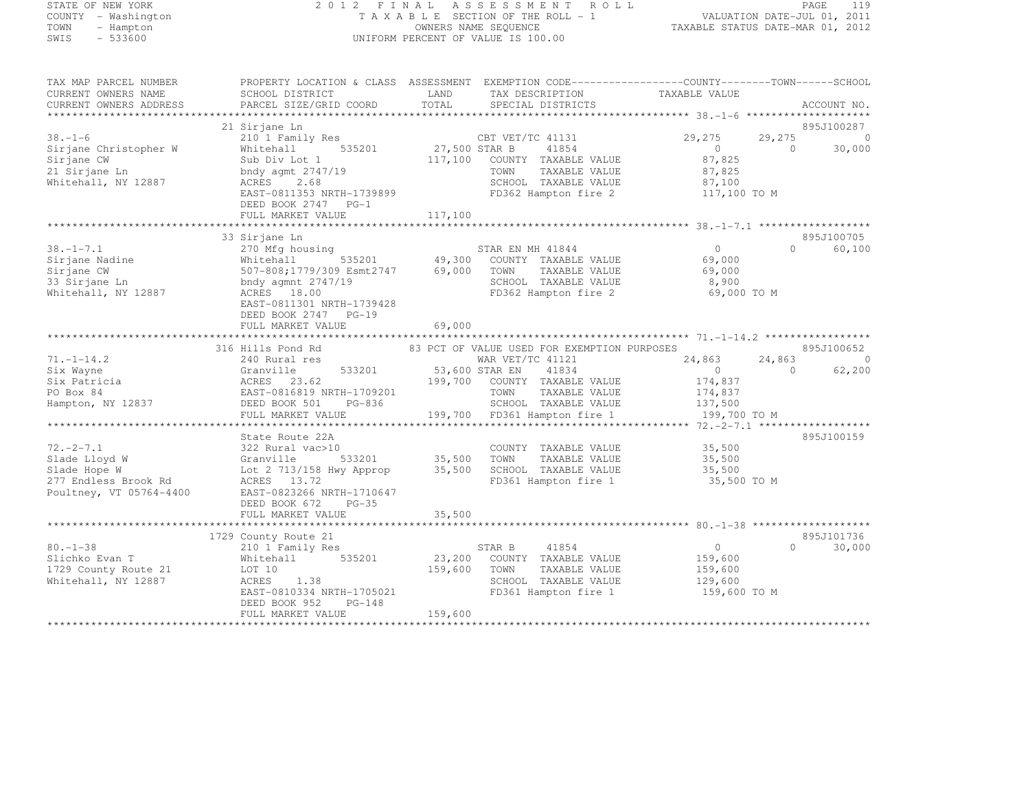#### STATE OF NEW YORK 2 0 1 2 F I N A L A S S E S S M E N T R O L L PAGE <sup>119</sup> COUNTY - Washington T A X A B L E SECTION OF THE ROLL - 1 VALUATION DATE-JUL 01, 2011 TOWN - Hampton OWNERS NAME SEQUENCE TAXABLE STATUS DATE-MAR 01, 2012 SWIS - 533600 UNIFORM PERCENT OF VALUE IS 100.00

| TAX MAP PARCEL NUMBER<br>CURRENT OWNERS NAME<br>CURRENT OWNERS ADDRESS                       | SCHOOL DISTRICT<br>PARCEL SIZE/GRID COORD                                                                                                                       | LAND<br>TOTAL             | PROPERTY LOCATION & CLASS ASSESSMENT EXEMPTION CODE----------------COUNTY-------TOWN------SCHOOL<br>TAX DESCRIPTION<br>SPECIAL DISTRICTS | TAXABLE VALUE                                        |                    | ACCOUNT NO.              |
|----------------------------------------------------------------------------------------------|-----------------------------------------------------------------------------------------------------------------------------------------------------------------|---------------------------|------------------------------------------------------------------------------------------------------------------------------------------|------------------------------------------------------|--------------------|--------------------------|
| **************************                                                                   |                                                                                                                                                                 |                           |                                                                                                                                          |                                                      |                    |                          |
|                                                                                              | 21 Sirjane Ln                                                                                                                                                   |                           |                                                                                                                                          |                                                      |                    | 895J100287               |
| $38. - 1 - 6$<br>Sirjane Christopher W<br>Sirjane CW<br>21 Sirjane Ln<br>Whitehall, NY 12887 | 210 1 Family Res<br>535201<br>Whitehall<br>Sub Div Lot 1<br>bndy agmt $2747/19$<br>ACRES<br>2.68                                                                | 27,500 STAR B<br>117,100  | CBT VET/TC 41131<br>41854<br>COUNTY TAXABLE VALUE<br>TAXABLE VALUE<br>TOWN<br>SCHOOL TAXABLE VALUE                                       | 29,275<br>$\circ$<br>87,825<br>87,825<br>87,100      | 29,275<br>$\Omega$ | $\circ$<br>30,000        |
|                                                                                              | EAST-0811353 NRTH-1739899<br>DEED BOOK 2747 PG-1<br>FULL MARKET VALUE                                                                                           | 117,100                   | FD362 Hampton fire 2                                                                                                                     | 117,100 TO M                                         |                    |                          |
|                                                                                              |                                                                                                                                                                 |                           |                                                                                                                                          |                                                      |                    |                          |
|                                                                                              | 33 Sirjane Ln                                                                                                                                                   |                           |                                                                                                                                          |                                                      |                    | 895J100705               |
| $38. - 1 - 7.1$<br>Sirjane Nadine<br>Sirjane CW<br>33 Sirjane Ln<br>Whitehall, NY 12887      | 270 Mfg housing<br>535201<br>Whitehall<br>507-808;1779/309 Esmt2747<br>bndy agmnt $2747/19$<br>ACRES 18.00<br>EAST-0811301 NRTH-1739428<br>DEED BOOK 2747 PG-19 | 49,300<br>69,000          | STAR EN MH 41844<br>COUNTY TAXABLE VALUE<br>TOWN<br>TAXABLE VALUE<br>SCHOOL TAXABLE VALUE<br>FD362 Hampton fire 2                        | $\Omega$<br>69,000<br>69,000<br>8,900<br>69,000 TO M | $\Omega$           | 60,100                   |
|                                                                                              | FULL MARKET VALUE                                                                                                                                               | 69,000                    |                                                                                                                                          |                                                      |                    |                          |
|                                                                                              | ********************                                                                                                                                            |                           |                                                                                                                                          |                                                      |                    |                          |
|                                                                                              | 316 Hills Pond Rd                                                                                                                                               |                           | 83 PCT OF VALUE USED FOR EXEMPTION PURPOSES                                                                                              |                                                      |                    | 895J100652               |
| $71. - 1 - 14.2$                                                                             | 240 Rural res<br>533201                                                                                                                                         |                           | WAR VET/TC 41121                                                                                                                         | 24,863<br>$\circ$                                    | 24,863<br>$\Omega$ | $\overline{0}$<br>62,200 |
| Six Wayne<br>Six Patricia                                                                    | Granville<br>ACRES<br>23.62                                                                                                                                     | 53,600 STAR EN<br>199,700 | 41834<br>COUNTY TAXABLE VALUE                                                                                                            | 174,837                                              |                    |                          |
| PO Box 84                                                                                    | EAST-0816819 NRTH-1709201                                                                                                                                       |                           | TOWN<br>TAXABLE VALUE                                                                                                                    | 174,837                                              |                    |                          |
| Hampton, NY 12837                                                                            | DEED BOOK 501<br>PG-836                                                                                                                                         |                           | SCHOOL TAXABLE VALUE                                                                                                                     | 137,500                                              |                    |                          |
|                                                                                              | FULL MARKET VALUE                                                                                                                                               |                           | 199,700 FD361 Hampton fire 1                                                                                                             | 199,700 TO M                                         |                    |                          |
|                                                                                              | ***********************                                                                                                                                         |                           |                                                                                                                                          |                                                      |                    |                          |
|                                                                                              | State Route 22A                                                                                                                                                 |                           |                                                                                                                                          |                                                      |                    | 895J100159               |
| $72. -2 - 7.1$                                                                               | 322 Rural vac>10                                                                                                                                                |                           | COUNTY TAXABLE VALUE                                                                                                                     | 35,500                                               |                    |                          |
| Slade Lloyd W<br>Slade Hope W                                                                | Granville<br>533201<br>Lot 2 713/158 Hwy Approp                                                                                                                 | 35,500<br>35,500          | TOWN<br>TAXABLE VALUE<br>SCHOOL TAXABLE VALUE                                                                                            | 35,500<br>35,500                                     |                    |                          |
| 277 Endless Brook Rd<br>Poultney, VT 05764-4400                                              | ACRES 13.72<br>EAST-0823266 NRTH-1710647<br>DEED BOOK 672<br>$PG-35$<br>FULL MARKET VALUE                                                                       | 35,500                    | FD361 Hampton fire 1                                                                                                                     | 35,500 TO M                                          |                    |                          |
|                                                                                              | * * * * * * * * * * * * * * * * * *                                                                                                                             |                           |                                                                                                                                          | ************** 80.-1-38 *******                      |                    |                          |
|                                                                                              | 1729 County Route 21                                                                                                                                            |                           |                                                                                                                                          |                                                      |                    | 895J101736               |
| $80. - 1 - 38$                                                                               | 210 1 Family Res                                                                                                                                                |                           | 41854<br>STAR B                                                                                                                          | $\circ$                                              | $\Omega$           | 30,000                   |
| Slichko Evan T<br>1729 County Route 21                                                       | 535201<br>Whitehall<br>LOT 10                                                                                                                                   | 23,200<br>159,600         | COUNTY TAXABLE VALUE<br>TOWN<br>TAXABLE VALUE                                                                                            | 159,600<br>159,600                                   |                    |                          |
| Whitehall, NY 12887                                                                          | 1.38<br>ACRES                                                                                                                                                   |                           | SCHOOL TAXABLE VALUE                                                                                                                     | 129,600                                              |                    |                          |
|                                                                                              | EAST-0810334 NRTH-1705021                                                                                                                                       |                           | FD361 Hampton fire 1                                                                                                                     | 159,600 TO M                                         |                    |                          |
|                                                                                              | DEED BOOK 952<br>PG-148                                                                                                                                         |                           |                                                                                                                                          |                                                      |                    |                          |
|                                                                                              | FULL MARKET VALUE                                                                                                                                               | 159,600                   |                                                                                                                                          |                                                      |                    |                          |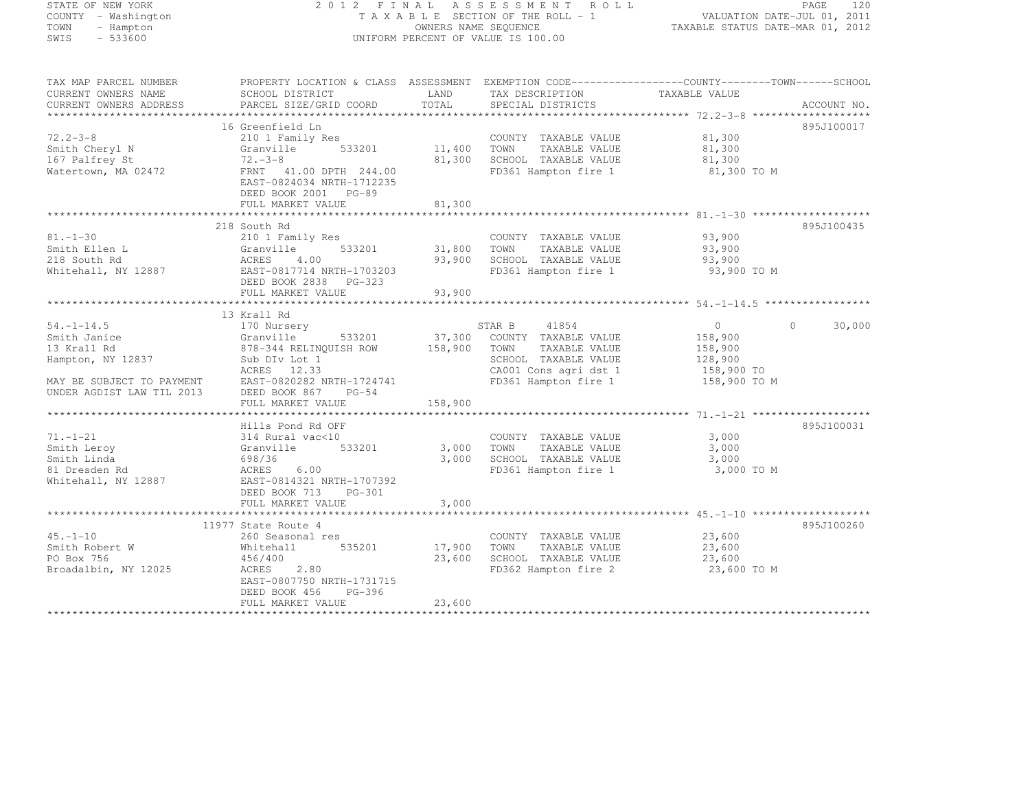## STATE OF NEW YORK 2 0 1 2 F I N A L A S S E S S M E N T R O L L PAGE <sup>120</sup> COUNTY - Washington T A X A B L E SECTION OF THE ROLL - 1 VALUATION DATE-JUL 01, 2011 TOWN - Hampton OWNERS NAME SEQUENCE TAXABLE STATUS DATE-MAR 01, 2012 SWIS - 533600 UNIFORM PERCENT OF VALUE IS 100.00

| TAX MAP PARCEL NUMBER                                                                                                                                                                                         |                                                        |         | PROPERTY LOCATION & CLASS ASSESSMENT EXEMPTION CODE-----------------COUNTY-------TOWN------SCHOOL                                                                                      |                      |                    |
|---------------------------------------------------------------------------------------------------------------------------------------------------------------------------------------------------------------|--------------------------------------------------------|---------|----------------------------------------------------------------------------------------------------------------------------------------------------------------------------------------|----------------------|--------------------|
| CURRENT OWNERS NAME<br>SCHOOL DISTRICT                                                                                                                                                                        |                                                        | LAND    | TAX DESCRIPTION TAXABLE VALUE                                                                                                                                                          |                      |                    |
| -CURRENT OWNERS ADDRESS PARCEL SIZE/GRID COORD TOTAL SPECIAL DISTRICTS ACCOUNT NO ACCOUNT NO ACCOUNT NO ACCOUNT NO ACCOUNT NO ACCOUNT NO ACCOUNT NO A THE REAL PARCEL SIZE/GRID COORD TOTAL SPECIAL DISTRICTS |                                                        |         |                                                                                                                                                                                        |                      |                    |
|                                                                                                                                                                                                               |                                                        |         |                                                                                                                                                                                        |                      |                    |
| 16 Greenfield Ln                                                                                                                                                                                              |                                                        |         | Greenfield Ln<br>210 1 Family Res<br>Granville 533201 11,400 TOWN TAXABLE VALUE 81,300<br>31,300 SCHOOL TAXABLE VALUE 81,300<br>22-8 81,300 SCHOOL TAXABLE VALUE 81,300<br>22-8 81,300 |                      | 895J100017         |
| $72.2 - 3 - 8$                                                                                                                                                                                                |                                                        |         |                                                                                                                                                                                        |                      |                    |
| 72.2-5-0<br>Smith Cheryl N<br>In Politrow St.                                                                                                                                                                 |                                                        |         |                                                                                                                                                                                        |                      |                    |
|                                                                                                                                                                                                               |                                                        |         |                                                                                                                                                                                        |                      |                    |
| Watertown, MA 02472                                                                                                                                                                                           |                                                        |         | FD361 Hampton fire 1 81,300 TO M                                                                                                                                                       |                      |                    |
|                                                                                                                                                                                                               | EAST-0824034 NRTH-1712235                              |         |                                                                                                                                                                                        |                      |                    |
|                                                                                                                                                                                                               | DEED BOOK 2001 PG-89                                   |         |                                                                                                                                                                                        |                      |                    |
| FULL MARKET VALUE                                                                                                                                                                                             |                                                        |         |                                                                                                                                                                                        |                      |                    |
|                                                                                                                                                                                                               |                                                        |         |                                                                                                                                                                                        |                      |                    |
| 218 South Rd                                                                                                                                                                                                  |                                                        |         |                                                                                                                                                                                        |                      | 895J100435         |
| $81. - 1 - 30$                                                                                                                                                                                                |                                                        |         | COUNTY TAXABLE VALUE 93,900                                                                                                                                                            |                      |                    |
|                                                                                                                                                                                                               |                                                        |         |                                                                                                                                                                                        | 93,900               |                    |
|                                                                                                                                                                                                               |                                                        |         | 93,900 SCHOOL TAXABLE VALUE 93,900                                                                                                                                                     |                      |                    |
| Smith Ellen L<br>218 South Rd<br>218 South Rd<br>218 South Rd<br>218 South Rd<br>2887 22357-0817714 NRTH-1703203<br>285T-0817714 NRTH-1703203<br>285T-0817714 NRTH-1703203                                    |                                                        |         | FD361 Hampton fire 1                                                                                                                                                                   | 93,900 TO M          |                    |
|                                                                                                                                                                                                               | DEED BOOK 2838 PG-323                                  |         |                                                                                                                                                                                        |                      |                    |
|                                                                                                                                                                                                               |                                                        |         |                                                                                                                                                                                        |                      |                    |
|                                                                                                                                                                                                               |                                                        |         |                                                                                                                                                                                        |                      |                    |
| 13 Krall Rd                                                                                                                                                                                                   |                                                        |         |                                                                                                                                                                                        |                      |                    |
| $54. -1 - 14.5$                                                                                                                                                                                               |                                                        |         |                                                                                                                                                                                        |                      | $0 \t 0 \t 30,000$ |
| Smith Janice                                                                                                                                                                                                  |                                                        |         |                                                                                                                                                                                        |                      |                    |
| 13 Krall Rd                                                                                                                                                                                                   |                                                        |         |                                                                                                                                                                                        |                      |                    |
| Hampton, NY 12837 Sub DIv Lot 1                                                                                                                                                                               |                                                        |         |                                                                                                                                                                                        |                      |                    |
| ACRES 12.33                                                                                                                                                                                                   |                                                        |         | SCHOOL TAXABLE VALUE 128,900<br>CA001 Cons agri dst 1 158,900 TO<br>FD361 Hampton fire 1 158,900 TO M                                                                                  |                      |                    |
| MAY BE SUBJECT TO PAYMENT EAST-0820282 NRTH-1724741                                                                                                                                                           |                                                        |         |                                                                                                                                                                                        |                      |                    |
| UNDER AGDIST LAW TIL 2013                                                                                                                                                                                     | DEED BOOK 867 PG-54                                    |         |                                                                                                                                                                                        |                      |                    |
| FULL MARKET VALUE                                                                                                                                                                                             |                                                        | 158,900 |                                                                                                                                                                                        |                      |                    |
|                                                                                                                                                                                                               |                                                        |         |                                                                                                                                                                                        |                      |                    |
| Hills Pond Rd OFF                                                                                                                                                                                             |                                                        |         |                                                                                                                                                                                        |                      | 895J100031         |
| $71. - 1 - 21$<br>Smith Leroy                                                                                                                                                                                 |                                                        |         | COUNTY TAXABLE VALUE<br>TOWN TAXABLE VALUE                                                                                                                                             | 3,000                |                    |
|                                                                                                                                                                                                               | 314 Rural vac<10 COUNT:<br>Granville 533201 3,000 TOWN |         |                                                                                                                                                                                        | 3,000                |                    |
| Smith Linda<br>698/36                                                                                                                                                                                         |                                                        | 3,000   | SCHOOL TAXABLE VALUE<br>FD361 Hampton fire 1                                                                                                                                           | 3,000                |                    |
| 81 Dresden Rd<br>ACRES 6.00                                                                                                                                                                                   |                                                        |         |                                                                                                                                                                                        | 3,000 TO M           |                    |
| Whitehall, NY 12887                                                                                                                                                                                           | EAST-0814321 NRTH-1707392                              |         |                                                                                                                                                                                        |                      |                    |
|                                                                                                                                                                                                               | DEED BOOK 713 PG-301                                   |         |                                                                                                                                                                                        |                      |                    |
| FULL MARKET VALUE                                                                                                                                                                                             |                                                        | 3,000   |                                                                                                                                                                                        |                      |                    |
|                                                                                                                                                                                                               |                                                        |         |                                                                                                                                                                                        |                      |                    |
| 11977 State Route 4                                                                                                                                                                                           |                                                        |         |                                                                                                                                                                                        |                      | 895J100260         |
| $45. - 1 - 10$<br>45.-1-10<br>Smith Robert W                                                                                                                                                                  | 260 Seasonal res<br>Whitehall 535201 17,900            |         | COUNTY TAXABLE VALUE 23,600                                                                                                                                                            |                      |                    |
|                                                                                                                                                                                                               |                                                        |         | TOWN                                                                                                                                                                                   | TAXABLE VALUE 23,600 |                    |
| PO Box 756<br>456/400                                                                                                                                                                                         | ACRES 2.80                                             | 23,600  | SCHOOL TAXABLE VALUE $23,600$<br>FD362 Hampton fire 2 23,600 TO M                                                                                                                      |                      |                    |
| Broadalbin, NY 12025                                                                                                                                                                                          |                                                        |         |                                                                                                                                                                                        |                      |                    |
|                                                                                                                                                                                                               | EAST-0807750 NRTH-1731715                              |         |                                                                                                                                                                                        |                      |                    |
| DEED BOOK 456                                                                                                                                                                                                 | PG-396                                                 |         |                                                                                                                                                                                        |                      |                    |
| FULL MARKET VALUE                                                                                                                                                                                             |                                                        | 23,600  |                                                                                                                                                                                        |                      |                    |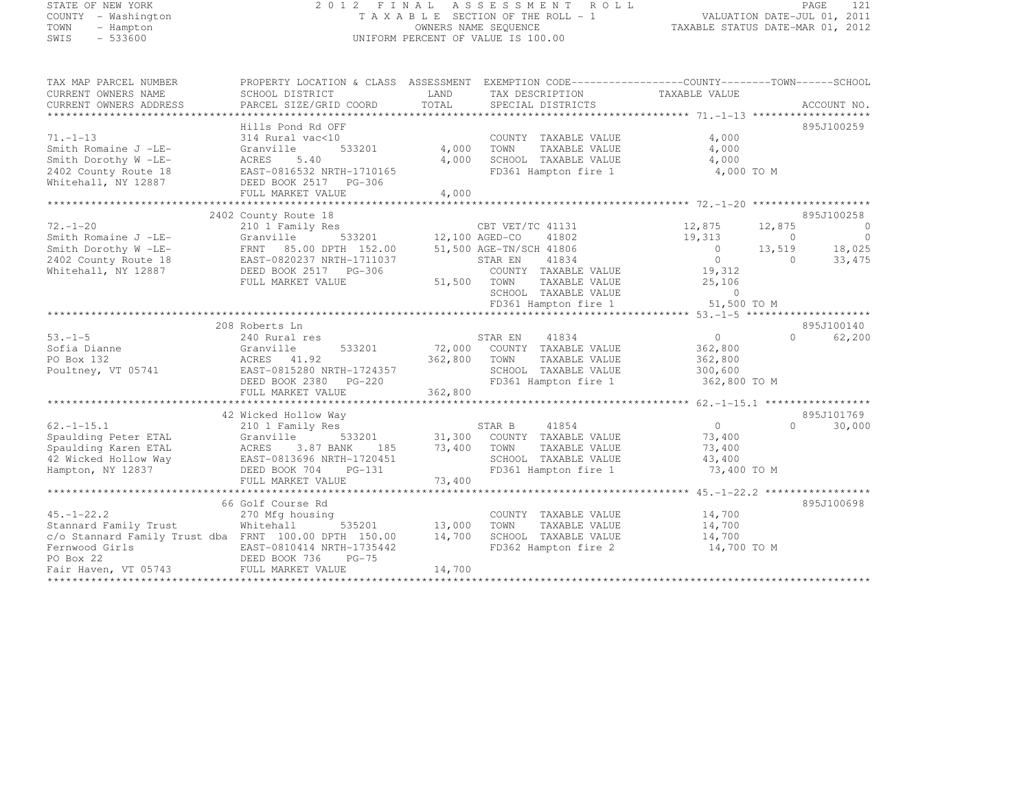#### STATE OF NEW YORK 2 0 1 2 F I N A L A S S E S S M E N T R O L L PAGE <sup>121</sup> COUNTY - Washington T A X A B L E SECTION OF THE ROLL - 1 VALUATION DATE-JUL 01, 2011 TOWN - Hampton OWNERS NAME SEQUENCE TAXABLE STATUS DATE-MAR 01, 2012 SWIS - 533600 UNIFORM PERCENT OF VALUE IS 100.00

| TAXABLE VALUE<br>CURRENT OWNERS NAME<br>SCHOOL DISTRICT<br>LAND<br>TAX DESCRIPTION<br>TOTAL<br>PARCEL SIZE/GRID COORD<br>ACCOUNT NO.<br>SPECIAL DISTRICTS<br>895J100259<br>Hills Pond Rd OFF<br>4,000<br>$71. - 1 - 13$<br>314 Rural vac<10<br>COUNTY TAXABLE VALUE<br>533201<br>4,000<br>4,000<br>Smith Romaine J -LE-<br>TOWN<br>TAXABLE VALUE<br>Granville<br>4,000<br>SCHOOL TAXABLE VALUE<br>Smith Dorothy W -LE-<br>ACRES<br>5.40<br>4,000<br>2402 County Route 18<br>FD361 Hampton fire 1<br>4,000 TO M<br>EAST-0816532 NRTH-1710165<br>Whitehall, NY 12887<br>DEED BOOK 2517 PG-306<br>4,000<br>FULL MARKET VALUE<br>895J100258<br>2402 County Route 18<br>12,875<br>$72. - 1 - 20$<br>CBT VET/TC 41131<br>12,875<br>$\overline{0}$<br>210 1 Family Res<br>$\overline{0}$<br>533201 12,100 AGED-CO 41802<br>19,313<br>Smith Romaine J -LE-<br>Granville<br>$\bigcirc$<br>13,519 18,025<br>$\overline{0}$<br>Smith Dorothy W -LE-<br>FRNT 85.00 DPTH 152.00<br>51,500 AGE-TN/SCH 41806<br>EAST-0820237 NRTH-1711037<br>$\overline{0}$<br>33,475<br>2402 County Route 18<br>STAR EN<br>41834<br>$\bigcirc$<br>19,312<br>Whitehall, NY 12887<br>DEED BOOK 2517 PG-306<br>COUNTY TAXABLE VALUE<br>FULL MARKET VALUE<br>51,500 TOWN<br>25,106<br>TAXABLE VALUE<br>SCHOOL TAXABLE VALUE<br>$\Omega$<br>SCHOOL TAXABLE VALUE 0<br>FD361 Hampton fire 1 51,500 TO M<br>895J100140<br>208 Roberts Ln<br>$53. - 1 - 5$<br>STAR EN 41834<br>$\overline{0}$<br>$\Omega$<br>62,200<br>240 Rural res<br>Sofia Dianne<br>72,000 COUNTY TAXABLE VALUE<br>Granville<br>533201<br>362,800<br>362,800 TOWN<br>PO Box 132<br>ACRES 41.92<br>TAXABLE VALUE<br>362,800<br>ACRES 41.92<br>EAST-0815280 NRTH-1724357<br>DEED BOOK 2380 PG-220<br>FULL MARKET VALUE 362,800<br>300,600<br>Poultney, VT 05741<br>SCHOOL TAXABLE VALUE<br>FD361 Hampton fire 1 362,800 TO M<br>42 Wicked Hollow Way<br>895J101769<br>$\overline{\text{S}}$ 533201 31,300 COUNTY TAXABLE VALUE<br>$\overline{0}$<br>30,000<br>$62. - 1 - 15.1$<br>$\Omega$<br>210 1 Family Res<br>Spaulding Peter ETAL<br>73,400<br>Granville<br>Spaulding Karen ETAL<br>73,400<br>TOWN<br>TAXABLE VALUE<br>73,400<br>185<br>ACRES 3.87 BANK 185<br>EAST-0813696 NRTH-1720451<br>42 Wicked Hollow Way<br>SCHOOL TAXABLE VALUE<br>43,400<br>FD361 Hampton fire 1<br>Hampton, NY 12837<br>DEED BOOK 704<br>$PG-131$<br>73,400 TO M<br>73,400<br>FULL MARKET VALUE<br>895J100698<br>66 Golf Course Rd<br>$45. - 1 - 22.2$<br>14,700<br>270 Mfg housing<br>COUNTY TAXABLE VALUE<br>Stannard Family Trust<br>Whitehall<br>535201 13,000<br>TOWN<br>TAXABLE VALUE<br>14,700<br>c/o Stannard Family Trust dba FRNT 100.00 DPTH 150.00<br>14,700<br>SCHOOL TAXABLE VALUE<br>14,700<br>Fernwood Girls<br>EAST-0810414 NRTH-1735442<br>FD362 Hampton fire 2<br>14,700 TO M<br>EAST-0810414 N<br>DEED BOOK 736<br>DEED BOOK 736<br>PO Box 22<br>$PG-75$<br>Fair Haven, VT 05743 FULL MARKET VALUE<br>14,700 | TAX MAP PARCEL NUMBER  | PROPERTY LOCATION & CLASS ASSESSMENT EXEMPTION CODE-----------------COUNTY-------TOWN------SCHOOL |  |  |  |
|----------------------------------------------------------------------------------------------------------------------------------------------------------------------------------------------------------------------------------------------------------------------------------------------------------------------------------------------------------------------------------------------------------------------------------------------------------------------------------------------------------------------------------------------------------------------------------------------------------------------------------------------------------------------------------------------------------------------------------------------------------------------------------------------------------------------------------------------------------------------------------------------------------------------------------------------------------------------------------------------------------------------------------------------------------------------------------------------------------------------------------------------------------------------------------------------------------------------------------------------------------------------------------------------------------------------------------------------------------------------------------------------------------------------------------------------------------------------------------------------------------------------------------------------------------------------------------------------------------------------------------------------------------------------------------------------------------------------------------------------------------------------------------------------------------------------------------------------------------------------------------------------------------------------------------------------------------------------------------------------------------------------------------------------------------------------------------------------------------------------------------------------------------------------------------------------------------------------------------------------------------------------------------------------------------------------------------------------------------------------------------------------------------------------------------------------------------------------------------------------------------------------------------------------------------------------------------------------------------------------------------------------------------------------------------------------------------------------------------------------------------------------------------------------------------------------------------------------------------------------------------------------------------------------------------------------|------------------------|---------------------------------------------------------------------------------------------------|--|--|--|
|                                                                                                                                                                                                                                                                                                                                                                                                                                                                                                                                                                                                                                                                                                                                                                                                                                                                                                                                                                                                                                                                                                                                                                                                                                                                                                                                                                                                                                                                                                                                                                                                                                                                                                                                                                                                                                                                                                                                                                                                                                                                                                                                                                                                                                                                                                                                                                                                                                                                                                                                                                                                                                                                                                                                                                                                                                                                                                                                              |                        |                                                                                                   |  |  |  |
|                                                                                                                                                                                                                                                                                                                                                                                                                                                                                                                                                                                                                                                                                                                                                                                                                                                                                                                                                                                                                                                                                                                                                                                                                                                                                                                                                                                                                                                                                                                                                                                                                                                                                                                                                                                                                                                                                                                                                                                                                                                                                                                                                                                                                                                                                                                                                                                                                                                                                                                                                                                                                                                                                                                                                                                                                                                                                                                                              | CURRENT OWNERS ADDRESS |                                                                                                   |  |  |  |
|                                                                                                                                                                                                                                                                                                                                                                                                                                                                                                                                                                                                                                                                                                                                                                                                                                                                                                                                                                                                                                                                                                                                                                                                                                                                                                                                                                                                                                                                                                                                                                                                                                                                                                                                                                                                                                                                                                                                                                                                                                                                                                                                                                                                                                                                                                                                                                                                                                                                                                                                                                                                                                                                                                                                                                                                                                                                                                                                              |                        |                                                                                                   |  |  |  |
|                                                                                                                                                                                                                                                                                                                                                                                                                                                                                                                                                                                                                                                                                                                                                                                                                                                                                                                                                                                                                                                                                                                                                                                                                                                                                                                                                                                                                                                                                                                                                                                                                                                                                                                                                                                                                                                                                                                                                                                                                                                                                                                                                                                                                                                                                                                                                                                                                                                                                                                                                                                                                                                                                                                                                                                                                                                                                                                                              |                        |                                                                                                   |  |  |  |
|                                                                                                                                                                                                                                                                                                                                                                                                                                                                                                                                                                                                                                                                                                                                                                                                                                                                                                                                                                                                                                                                                                                                                                                                                                                                                                                                                                                                                                                                                                                                                                                                                                                                                                                                                                                                                                                                                                                                                                                                                                                                                                                                                                                                                                                                                                                                                                                                                                                                                                                                                                                                                                                                                                                                                                                                                                                                                                                                              |                        |                                                                                                   |  |  |  |
|                                                                                                                                                                                                                                                                                                                                                                                                                                                                                                                                                                                                                                                                                                                                                                                                                                                                                                                                                                                                                                                                                                                                                                                                                                                                                                                                                                                                                                                                                                                                                                                                                                                                                                                                                                                                                                                                                                                                                                                                                                                                                                                                                                                                                                                                                                                                                                                                                                                                                                                                                                                                                                                                                                                                                                                                                                                                                                                                              |                        |                                                                                                   |  |  |  |
|                                                                                                                                                                                                                                                                                                                                                                                                                                                                                                                                                                                                                                                                                                                                                                                                                                                                                                                                                                                                                                                                                                                                                                                                                                                                                                                                                                                                                                                                                                                                                                                                                                                                                                                                                                                                                                                                                                                                                                                                                                                                                                                                                                                                                                                                                                                                                                                                                                                                                                                                                                                                                                                                                                                                                                                                                                                                                                                                              |                        |                                                                                                   |  |  |  |
|                                                                                                                                                                                                                                                                                                                                                                                                                                                                                                                                                                                                                                                                                                                                                                                                                                                                                                                                                                                                                                                                                                                                                                                                                                                                                                                                                                                                                                                                                                                                                                                                                                                                                                                                                                                                                                                                                                                                                                                                                                                                                                                                                                                                                                                                                                                                                                                                                                                                                                                                                                                                                                                                                                                                                                                                                                                                                                                                              |                        |                                                                                                   |  |  |  |
|                                                                                                                                                                                                                                                                                                                                                                                                                                                                                                                                                                                                                                                                                                                                                                                                                                                                                                                                                                                                                                                                                                                                                                                                                                                                                                                                                                                                                                                                                                                                                                                                                                                                                                                                                                                                                                                                                                                                                                                                                                                                                                                                                                                                                                                                                                                                                                                                                                                                                                                                                                                                                                                                                                                                                                                                                                                                                                                                              |                        |                                                                                                   |  |  |  |
|                                                                                                                                                                                                                                                                                                                                                                                                                                                                                                                                                                                                                                                                                                                                                                                                                                                                                                                                                                                                                                                                                                                                                                                                                                                                                                                                                                                                                                                                                                                                                                                                                                                                                                                                                                                                                                                                                                                                                                                                                                                                                                                                                                                                                                                                                                                                                                                                                                                                                                                                                                                                                                                                                                                                                                                                                                                                                                                                              |                        |                                                                                                   |  |  |  |
|                                                                                                                                                                                                                                                                                                                                                                                                                                                                                                                                                                                                                                                                                                                                                                                                                                                                                                                                                                                                                                                                                                                                                                                                                                                                                                                                                                                                                                                                                                                                                                                                                                                                                                                                                                                                                                                                                                                                                                                                                                                                                                                                                                                                                                                                                                                                                                                                                                                                                                                                                                                                                                                                                                                                                                                                                                                                                                                                              |                        |                                                                                                   |  |  |  |
|                                                                                                                                                                                                                                                                                                                                                                                                                                                                                                                                                                                                                                                                                                                                                                                                                                                                                                                                                                                                                                                                                                                                                                                                                                                                                                                                                                                                                                                                                                                                                                                                                                                                                                                                                                                                                                                                                                                                                                                                                                                                                                                                                                                                                                                                                                                                                                                                                                                                                                                                                                                                                                                                                                                                                                                                                                                                                                                                              |                        |                                                                                                   |  |  |  |
|                                                                                                                                                                                                                                                                                                                                                                                                                                                                                                                                                                                                                                                                                                                                                                                                                                                                                                                                                                                                                                                                                                                                                                                                                                                                                                                                                                                                                                                                                                                                                                                                                                                                                                                                                                                                                                                                                                                                                                                                                                                                                                                                                                                                                                                                                                                                                                                                                                                                                                                                                                                                                                                                                                                                                                                                                                                                                                                                              |                        |                                                                                                   |  |  |  |
|                                                                                                                                                                                                                                                                                                                                                                                                                                                                                                                                                                                                                                                                                                                                                                                                                                                                                                                                                                                                                                                                                                                                                                                                                                                                                                                                                                                                                                                                                                                                                                                                                                                                                                                                                                                                                                                                                                                                                                                                                                                                                                                                                                                                                                                                                                                                                                                                                                                                                                                                                                                                                                                                                                                                                                                                                                                                                                                                              |                        |                                                                                                   |  |  |  |
|                                                                                                                                                                                                                                                                                                                                                                                                                                                                                                                                                                                                                                                                                                                                                                                                                                                                                                                                                                                                                                                                                                                                                                                                                                                                                                                                                                                                                                                                                                                                                                                                                                                                                                                                                                                                                                                                                                                                                                                                                                                                                                                                                                                                                                                                                                                                                                                                                                                                                                                                                                                                                                                                                                                                                                                                                                                                                                                                              |                        |                                                                                                   |  |  |  |
|                                                                                                                                                                                                                                                                                                                                                                                                                                                                                                                                                                                                                                                                                                                                                                                                                                                                                                                                                                                                                                                                                                                                                                                                                                                                                                                                                                                                                                                                                                                                                                                                                                                                                                                                                                                                                                                                                                                                                                                                                                                                                                                                                                                                                                                                                                                                                                                                                                                                                                                                                                                                                                                                                                                                                                                                                                                                                                                                              |                        |                                                                                                   |  |  |  |
|                                                                                                                                                                                                                                                                                                                                                                                                                                                                                                                                                                                                                                                                                                                                                                                                                                                                                                                                                                                                                                                                                                                                                                                                                                                                                                                                                                                                                                                                                                                                                                                                                                                                                                                                                                                                                                                                                                                                                                                                                                                                                                                                                                                                                                                                                                                                                                                                                                                                                                                                                                                                                                                                                                                                                                                                                                                                                                                                              |                        |                                                                                                   |  |  |  |
|                                                                                                                                                                                                                                                                                                                                                                                                                                                                                                                                                                                                                                                                                                                                                                                                                                                                                                                                                                                                                                                                                                                                                                                                                                                                                                                                                                                                                                                                                                                                                                                                                                                                                                                                                                                                                                                                                                                                                                                                                                                                                                                                                                                                                                                                                                                                                                                                                                                                                                                                                                                                                                                                                                                                                                                                                                                                                                                                              |                        |                                                                                                   |  |  |  |
|                                                                                                                                                                                                                                                                                                                                                                                                                                                                                                                                                                                                                                                                                                                                                                                                                                                                                                                                                                                                                                                                                                                                                                                                                                                                                                                                                                                                                                                                                                                                                                                                                                                                                                                                                                                                                                                                                                                                                                                                                                                                                                                                                                                                                                                                                                                                                                                                                                                                                                                                                                                                                                                                                                                                                                                                                                                                                                                                              |                        |                                                                                                   |  |  |  |
|                                                                                                                                                                                                                                                                                                                                                                                                                                                                                                                                                                                                                                                                                                                                                                                                                                                                                                                                                                                                                                                                                                                                                                                                                                                                                                                                                                                                                                                                                                                                                                                                                                                                                                                                                                                                                                                                                                                                                                                                                                                                                                                                                                                                                                                                                                                                                                                                                                                                                                                                                                                                                                                                                                                                                                                                                                                                                                                                              |                        |                                                                                                   |  |  |  |
|                                                                                                                                                                                                                                                                                                                                                                                                                                                                                                                                                                                                                                                                                                                                                                                                                                                                                                                                                                                                                                                                                                                                                                                                                                                                                                                                                                                                                                                                                                                                                                                                                                                                                                                                                                                                                                                                                                                                                                                                                                                                                                                                                                                                                                                                                                                                                                                                                                                                                                                                                                                                                                                                                                                                                                                                                                                                                                                                              |                        |                                                                                                   |  |  |  |
|                                                                                                                                                                                                                                                                                                                                                                                                                                                                                                                                                                                                                                                                                                                                                                                                                                                                                                                                                                                                                                                                                                                                                                                                                                                                                                                                                                                                                                                                                                                                                                                                                                                                                                                                                                                                                                                                                                                                                                                                                                                                                                                                                                                                                                                                                                                                                                                                                                                                                                                                                                                                                                                                                                                                                                                                                                                                                                                                              |                        |                                                                                                   |  |  |  |
|                                                                                                                                                                                                                                                                                                                                                                                                                                                                                                                                                                                                                                                                                                                                                                                                                                                                                                                                                                                                                                                                                                                                                                                                                                                                                                                                                                                                                                                                                                                                                                                                                                                                                                                                                                                                                                                                                                                                                                                                                                                                                                                                                                                                                                                                                                                                                                                                                                                                                                                                                                                                                                                                                                                                                                                                                                                                                                                                              |                        |                                                                                                   |  |  |  |
|                                                                                                                                                                                                                                                                                                                                                                                                                                                                                                                                                                                                                                                                                                                                                                                                                                                                                                                                                                                                                                                                                                                                                                                                                                                                                                                                                                                                                                                                                                                                                                                                                                                                                                                                                                                                                                                                                                                                                                                                                                                                                                                                                                                                                                                                                                                                                                                                                                                                                                                                                                                                                                                                                                                                                                                                                                                                                                                                              |                        |                                                                                                   |  |  |  |
|                                                                                                                                                                                                                                                                                                                                                                                                                                                                                                                                                                                                                                                                                                                                                                                                                                                                                                                                                                                                                                                                                                                                                                                                                                                                                                                                                                                                                                                                                                                                                                                                                                                                                                                                                                                                                                                                                                                                                                                                                                                                                                                                                                                                                                                                                                                                                                                                                                                                                                                                                                                                                                                                                                                                                                                                                                                                                                                                              |                        |                                                                                                   |  |  |  |
|                                                                                                                                                                                                                                                                                                                                                                                                                                                                                                                                                                                                                                                                                                                                                                                                                                                                                                                                                                                                                                                                                                                                                                                                                                                                                                                                                                                                                                                                                                                                                                                                                                                                                                                                                                                                                                                                                                                                                                                                                                                                                                                                                                                                                                                                                                                                                                                                                                                                                                                                                                                                                                                                                                                                                                                                                                                                                                                                              |                        |                                                                                                   |  |  |  |
|                                                                                                                                                                                                                                                                                                                                                                                                                                                                                                                                                                                                                                                                                                                                                                                                                                                                                                                                                                                                                                                                                                                                                                                                                                                                                                                                                                                                                                                                                                                                                                                                                                                                                                                                                                                                                                                                                                                                                                                                                                                                                                                                                                                                                                                                                                                                                                                                                                                                                                                                                                                                                                                                                                                                                                                                                                                                                                                                              |                        |                                                                                                   |  |  |  |
|                                                                                                                                                                                                                                                                                                                                                                                                                                                                                                                                                                                                                                                                                                                                                                                                                                                                                                                                                                                                                                                                                                                                                                                                                                                                                                                                                                                                                                                                                                                                                                                                                                                                                                                                                                                                                                                                                                                                                                                                                                                                                                                                                                                                                                                                                                                                                                                                                                                                                                                                                                                                                                                                                                                                                                                                                                                                                                                                              |                        |                                                                                                   |  |  |  |
|                                                                                                                                                                                                                                                                                                                                                                                                                                                                                                                                                                                                                                                                                                                                                                                                                                                                                                                                                                                                                                                                                                                                                                                                                                                                                                                                                                                                                                                                                                                                                                                                                                                                                                                                                                                                                                                                                                                                                                                                                                                                                                                                                                                                                                                                                                                                                                                                                                                                                                                                                                                                                                                                                                                                                                                                                                                                                                                                              |                        |                                                                                                   |  |  |  |
|                                                                                                                                                                                                                                                                                                                                                                                                                                                                                                                                                                                                                                                                                                                                                                                                                                                                                                                                                                                                                                                                                                                                                                                                                                                                                                                                                                                                                                                                                                                                                                                                                                                                                                                                                                                                                                                                                                                                                                                                                                                                                                                                                                                                                                                                                                                                                                                                                                                                                                                                                                                                                                                                                                                                                                                                                                                                                                                                              |                        |                                                                                                   |  |  |  |
|                                                                                                                                                                                                                                                                                                                                                                                                                                                                                                                                                                                                                                                                                                                                                                                                                                                                                                                                                                                                                                                                                                                                                                                                                                                                                                                                                                                                                                                                                                                                                                                                                                                                                                                                                                                                                                                                                                                                                                                                                                                                                                                                                                                                                                                                                                                                                                                                                                                                                                                                                                                                                                                                                                                                                                                                                                                                                                                                              |                        |                                                                                                   |  |  |  |
|                                                                                                                                                                                                                                                                                                                                                                                                                                                                                                                                                                                                                                                                                                                                                                                                                                                                                                                                                                                                                                                                                                                                                                                                                                                                                                                                                                                                                                                                                                                                                                                                                                                                                                                                                                                                                                                                                                                                                                                                                                                                                                                                                                                                                                                                                                                                                                                                                                                                                                                                                                                                                                                                                                                                                                                                                                                                                                                                              |                        |                                                                                                   |  |  |  |
|                                                                                                                                                                                                                                                                                                                                                                                                                                                                                                                                                                                                                                                                                                                                                                                                                                                                                                                                                                                                                                                                                                                                                                                                                                                                                                                                                                                                                                                                                                                                                                                                                                                                                                                                                                                                                                                                                                                                                                                                                                                                                                                                                                                                                                                                                                                                                                                                                                                                                                                                                                                                                                                                                                                                                                                                                                                                                                                                              |                        |                                                                                                   |  |  |  |
|                                                                                                                                                                                                                                                                                                                                                                                                                                                                                                                                                                                                                                                                                                                                                                                                                                                                                                                                                                                                                                                                                                                                                                                                                                                                                                                                                                                                                                                                                                                                                                                                                                                                                                                                                                                                                                                                                                                                                                                                                                                                                                                                                                                                                                                                                                                                                                                                                                                                                                                                                                                                                                                                                                                                                                                                                                                                                                                                              |                        |                                                                                                   |  |  |  |
|                                                                                                                                                                                                                                                                                                                                                                                                                                                                                                                                                                                                                                                                                                                                                                                                                                                                                                                                                                                                                                                                                                                                                                                                                                                                                                                                                                                                                                                                                                                                                                                                                                                                                                                                                                                                                                                                                                                                                                                                                                                                                                                                                                                                                                                                                                                                                                                                                                                                                                                                                                                                                                                                                                                                                                                                                                                                                                                                              |                        |                                                                                                   |  |  |  |
|                                                                                                                                                                                                                                                                                                                                                                                                                                                                                                                                                                                                                                                                                                                                                                                                                                                                                                                                                                                                                                                                                                                                                                                                                                                                                                                                                                                                                                                                                                                                                                                                                                                                                                                                                                                                                                                                                                                                                                                                                                                                                                                                                                                                                                                                                                                                                                                                                                                                                                                                                                                                                                                                                                                                                                                                                                                                                                                                              |                        |                                                                                                   |  |  |  |
|                                                                                                                                                                                                                                                                                                                                                                                                                                                                                                                                                                                                                                                                                                                                                                                                                                                                                                                                                                                                                                                                                                                                                                                                                                                                                                                                                                                                                                                                                                                                                                                                                                                                                                                                                                                                                                                                                                                                                                                                                                                                                                                                                                                                                                                                                                                                                                                                                                                                                                                                                                                                                                                                                                                                                                                                                                                                                                                                              |                        |                                                                                                   |  |  |  |
|                                                                                                                                                                                                                                                                                                                                                                                                                                                                                                                                                                                                                                                                                                                                                                                                                                                                                                                                                                                                                                                                                                                                                                                                                                                                                                                                                                                                                                                                                                                                                                                                                                                                                                                                                                                                                                                                                                                                                                                                                                                                                                                                                                                                                                                                                                                                                                                                                                                                                                                                                                                                                                                                                                                                                                                                                                                                                                                                              |                        |                                                                                                   |  |  |  |
|                                                                                                                                                                                                                                                                                                                                                                                                                                                                                                                                                                                                                                                                                                                                                                                                                                                                                                                                                                                                                                                                                                                                                                                                                                                                                                                                                                                                                                                                                                                                                                                                                                                                                                                                                                                                                                                                                                                                                                                                                                                                                                                                                                                                                                                                                                                                                                                                                                                                                                                                                                                                                                                                                                                                                                                                                                                                                                                                              |                        |                                                                                                   |  |  |  |
|                                                                                                                                                                                                                                                                                                                                                                                                                                                                                                                                                                                                                                                                                                                                                                                                                                                                                                                                                                                                                                                                                                                                                                                                                                                                                                                                                                                                                                                                                                                                                                                                                                                                                                                                                                                                                                                                                                                                                                                                                                                                                                                                                                                                                                                                                                                                                                                                                                                                                                                                                                                                                                                                                                                                                                                                                                                                                                                                              |                        |                                                                                                   |  |  |  |
|                                                                                                                                                                                                                                                                                                                                                                                                                                                                                                                                                                                                                                                                                                                                                                                                                                                                                                                                                                                                                                                                                                                                                                                                                                                                                                                                                                                                                                                                                                                                                                                                                                                                                                                                                                                                                                                                                                                                                                                                                                                                                                                                                                                                                                                                                                                                                                                                                                                                                                                                                                                                                                                                                                                                                                                                                                                                                                                                              |                        |                                                                                                   |  |  |  |
|                                                                                                                                                                                                                                                                                                                                                                                                                                                                                                                                                                                                                                                                                                                                                                                                                                                                                                                                                                                                                                                                                                                                                                                                                                                                                                                                                                                                                                                                                                                                                                                                                                                                                                                                                                                                                                                                                                                                                                                                                                                                                                                                                                                                                                                                                                                                                                                                                                                                                                                                                                                                                                                                                                                                                                                                                                                                                                                                              |                        |                                                                                                   |  |  |  |
|                                                                                                                                                                                                                                                                                                                                                                                                                                                                                                                                                                                                                                                                                                                                                                                                                                                                                                                                                                                                                                                                                                                                                                                                                                                                                                                                                                                                                                                                                                                                                                                                                                                                                                                                                                                                                                                                                                                                                                                                                                                                                                                                                                                                                                                                                                                                                                                                                                                                                                                                                                                                                                                                                                                                                                                                                                                                                                                                              |                        |                                                                                                   |  |  |  |
|                                                                                                                                                                                                                                                                                                                                                                                                                                                                                                                                                                                                                                                                                                                                                                                                                                                                                                                                                                                                                                                                                                                                                                                                                                                                                                                                                                                                                                                                                                                                                                                                                                                                                                                                                                                                                                                                                                                                                                                                                                                                                                                                                                                                                                                                                                                                                                                                                                                                                                                                                                                                                                                                                                                                                                                                                                                                                                                                              |                        |                                                                                                   |  |  |  |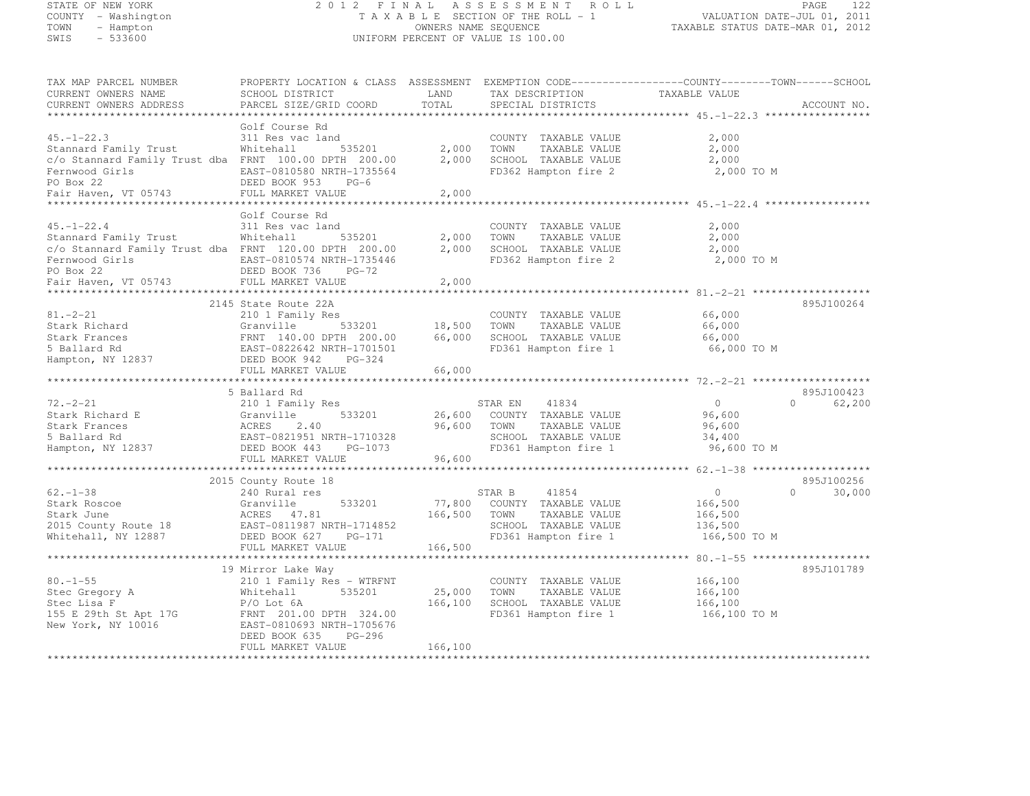#### STATE OF NEW YORK 2 0 1 2 F I N A L A S S E S S M E N T R O L L PAGE <sup>122</sup> COUNTY - Washington T A X A B L E SECTION OF THE ROLL - 1 VALUATION DATE-JUL 01, 2011 TOWN - Hampton OWNERS NAME SEQUENCE TAXABLE STATUS DATE-MAR 01, 2012 SWIS - 533600 UNIFORM PERCENT OF VALUE IS 100.00

| TAX MAP PARCEL NUMBER                                             |                           |         |                       | PROPERTY LOCATION & CLASS ASSESSMENT EXEMPTION CODE----------------COUNTY-------TOWN-----SCHOOL |             |
|-------------------------------------------------------------------|---------------------------|---------|-----------------------|-------------------------------------------------------------------------------------------------|-------------|
| CURRENT OWNERS NAME                                               | SCHOOL DISTRICT           | LAND    | TAX DESCRIPTION       | TAXABLE VALUE                                                                                   |             |
| CURRENT OWNERS ADDRESS                                            | PARCEL SIZE/GRID COORD    | TOTAL   | SPECIAL DISTRICTS     |                                                                                                 | ACCOUNT NO. |
|                                                                   |                           |         |                       |                                                                                                 |             |
|                                                                   | Golf Course Rd            |         |                       |                                                                                                 |             |
| $45. - 1 - 22.3$                                                  | 311 Res vac land          |         | COUNTY TAXABLE VALUE  | 2,000                                                                                           |             |
| Stannard Family Trust                                             | Whitehall<br>535201       | 2,000   | TAXABLE VALUE<br>TOWN | 2,000                                                                                           |             |
| c/o Stannard Family Trust dba FRNT 100.00 DPTH 200.00             |                           | 2,000   | SCHOOL TAXABLE VALUE  | 2,000                                                                                           |             |
| Fernwood Girls                                                    | EAST-0810580 NRTH-1735564 |         | FD362 Hampton fire 2  | 2,000 TO M                                                                                      |             |
| PO Box 22                                                         | DEED BOOK 953<br>$PG-6$   |         |                       |                                                                                                 |             |
| Fair Haven, VT 05743                                              | FULL MARKET VALUE         | 2,000   |                       |                                                                                                 |             |
|                                                                   |                           |         |                       |                                                                                                 |             |
|                                                                   | Golf Course Rd            |         |                       |                                                                                                 |             |
| $45. - 1 - 22.4$                                                  | 311 Res vac land          |         | COUNTY TAXABLE VALUE  | 2,000                                                                                           |             |
| Stannard Family Trust                                             | Whitehall<br>535201       | 2,000   | TOWN<br>TAXABLE VALUE | 2,000                                                                                           |             |
| c/o Stannard Family Trust dba FRNT 120.00 DPTH 200.00             |                           | 2,000   | SCHOOL TAXABLE VALUE  | 2,000                                                                                           |             |
| Fernwood Girls                                                    | EAST-0810574 NRTH-1735446 |         | FD362 Hampton fire 2  | 2,000 TO M                                                                                      |             |
| PO Box 22                                                         | DEED BOOK 736<br>$PG-72$  |         |                       |                                                                                                 |             |
| Fair Haven, VT 05743                                              | FULL MARKET VALUE         | 2,000   |                       |                                                                                                 |             |
|                                                                   |                           |         |                       |                                                                                                 |             |
|                                                                   | 2145 State Route 22A      |         |                       |                                                                                                 | 895J100264  |
| $81. - 2 - 21$                                                    | 210 1 Family Res          |         | COUNTY TAXABLE VALUE  | 66,000                                                                                          |             |
| Stark Richard                                                     | 533201<br>Granville       | 18,500  | TOWN<br>TAXABLE VALUE | 66,000                                                                                          |             |
| Stark Frances                                                     | FRNT 140.00 DPTH 200.00   | 66,000  | SCHOOL TAXABLE VALUE  | 66,000                                                                                          |             |
| 5 Ballard Rd                                                      | EAST-0822642 NRTH-1701501 |         | FD361 Hampton fire 1  | 66,000 TO M                                                                                     |             |
| Hampton, NY 12837                                                 | DEED BOOK 942<br>PG-324   |         |                       |                                                                                                 |             |
|                                                                   | FULL MARKET VALUE         | 66,000  |                       |                                                                                                 |             |
|                                                                   |                           |         |                       |                                                                                                 |             |
|                                                                   | 5 Ballard Rd              |         |                       |                                                                                                 | 895J100423  |
| $72. - 2 - 21$                                                    | 210 1 Family Res          |         | 41834<br>STAR EN      | $\overline{0}$<br>$\Omega$                                                                      | 62,200      |
| Stark Richard E                                                   | 533201<br>Granville       | 26,600  | COUNTY TAXABLE VALUE  | 96,600                                                                                          |             |
| Stark Frances                                                     | ACRES<br>2.40             | 96,600  | TOWN<br>TAXABLE VALUE | 96,600                                                                                          |             |
| 5 Ballard Rd                                                      | EAST-0821951 NRTH-1710328 |         | SCHOOL TAXABLE VALUE  | 34,400                                                                                          |             |
| Hampton, NY 12837                                                 | DEED BOOK 443 PG-1073     |         | FD361 Hampton fire 1  | 96,600 TO M                                                                                     |             |
|                                                                   | FULL MARKET VALUE         | 96,600  |                       |                                                                                                 |             |
|                                                                   |                           |         |                       |                                                                                                 |             |
|                                                                   | 2015 County Route 18      |         |                       |                                                                                                 | 895J100256  |
| $62 - 1 - 38$                                                     | 240 Rural res             |         | 41854<br>STAR B       | $\Omega$<br>$\circ$                                                                             | 30,000      |
| Stark Roscoe                                                      | 533201<br>Granville       | 77,800  | COUNTY TAXABLE VALUE  | 166,500                                                                                         |             |
| Stark June                                                        | ACRES 47.81               | 166,500 | TOWN<br>TAXABLE VALUE | 166,500                                                                                         |             |
| 2015 County Route 18                                              | EAST-0811987 NRTH-1714852 |         | SCHOOL TAXABLE VALUE  | 136,500                                                                                         |             |
| Whitehall, NY 12887                                               | DEED BOOK 627<br>PG-171   |         | FD361 Hampton fire 1  | 166,500 TO M                                                                                    |             |
|                                                                   | FULL MARKET VALUE         | 166,500 |                       |                                                                                                 |             |
|                                                                   |                           |         |                       |                                                                                                 |             |
|                                                                   | 19 Mirror Lake Way        |         |                       |                                                                                                 | 895J101789  |
| $80. - 1 - 55$                                                    | 210 1 Family Res - WTRFNT |         | COUNTY TAXABLE VALUE  | 166,100                                                                                         |             |
| Stec Gregory A                                                    | 535201<br>Whitehall       | 25,000  | TOWN<br>TAXABLE VALUE | 166,100                                                                                         |             |
| Stec Lisa F                                                       | $P/O$ Lot $6A$            | 166,100 | SCHOOL TAXABLE VALUE  | 166,100                                                                                         |             |
|                                                                   | FRNT 201.00 DPTH 324.00   |         | FD361 Hampton fire 1  | 166,100 TO M                                                                                    |             |
| 155 E 29th St Apt 17G<br>New York, NY 10016<br>New York, NY 10016 | EAST-0810693 NRTH-1705676 |         |                       |                                                                                                 |             |
|                                                                   | DEED BOOK 635<br>PG-296   |         |                       |                                                                                                 |             |
|                                                                   | FULL MARKET VALUE         | 166,100 |                       |                                                                                                 |             |
|                                                                   |                           |         |                       |                                                                                                 |             |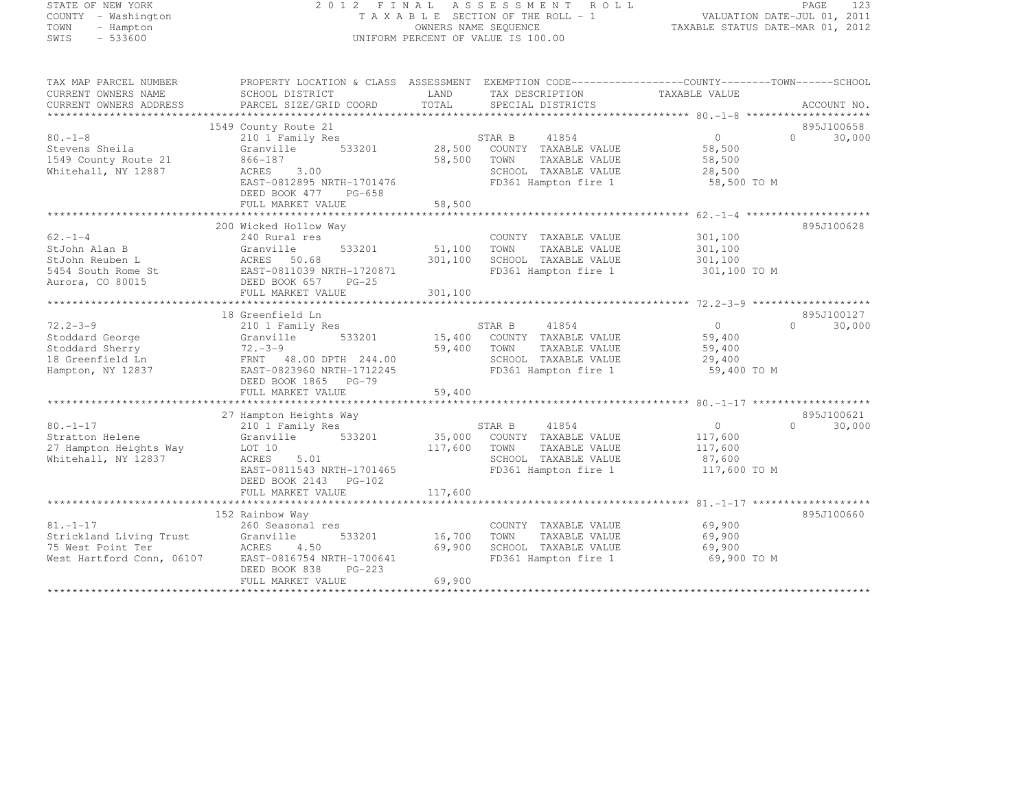#### STATE OF NEW YORK 2 0 1 2 F I N A L A S S E S S M E N T R O L L PAGE <sup>123</sup> COUNTY - Washington T A X A B L E SECTION OF THE ROLL - 1 VALUATION DATE-JUL 01, 2011 TOWN - Hampton OWNERS NAME SEQUENCE TAXABLE STATUS DATE-MAR 01, 2012 SWIS - 533600 UNIFORM PERCENT OF VALUE IS 100.00

| TAX MAP PARCEL NUMBER     | PROPERTY LOCATION & CLASS ASSESSMENT EXEMPTION CODE-----------------COUNTY-------TOWN------SCHOOL                                                                                                                                                                                                                                                                                                                                                                                                                                                                                                                                                                                                             |              |                                   |                   |                        |
|---------------------------|---------------------------------------------------------------------------------------------------------------------------------------------------------------------------------------------------------------------------------------------------------------------------------------------------------------------------------------------------------------------------------------------------------------------------------------------------------------------------------------------------------------------------------------------------------------------------------------------------------------------------------------------------------------------------------------------------------------|--------------|-----------------------------------|-------------------|------------------------|
| CURRENT OWNERS NAME       | SCHOOL DISTRICT                                                                                                                                                                                                                                                                                                                                                                                                                                                                                                                                                                                                                                                                                               | LAND         | TAX DESCRIPTION                   | TAXABLE VALUE     |                        |
| CURRENT OWNERS ADDRESS    | PARCEL SIZE/GRID COORD                                                                                                                                                                                                                                                                                                                                                                                                                                                                                                                                                                                                                                                                                        | TOTAL        | SPECIAL DISTRICTS                 |                   | ACCOUNT NO.            |
|                           |                                                                                                                                                                                                                                                                                                                                                                                                                                                                                                                                                                                                                                                                                                               |              |                                   |                   |                        |
|                           | 1549 County Route 21                                                                                                                                                                                                                                                                                                                                                                                                                                                                                                                                                                                                                                                                                          |              |                                   |                   | 895J100658<br>$\Omega$ |
| $80. -1 - 8$              | 210 1 Family Res<br>533201                                                                                                                                                                                                                                                                                                                                                                                                                                                                                                                                                                                                                                                                                    |              | 41854<br>STAR B                   | $0 \qquad \qquad$ | 30,000                 |
| Stevens Sheila            | Granville                                                                                                                                                                                                                                                                                                                                                                                                                                                                                                                                                                                                                                                                                                     |              | 28,500 COUNTY TAXABLE VALUE       | 58,500            |                        |
| 1549 County Route 21      | 866-187                                                                                                                                                                                                                                                                                                                                                                                                                                                                                                                                                                                                                                                                                                       | 58,500       | TOWN<br>TAXABLE VALUE             | 58,500            |                        |
| Whitehall, NY 12887       | ACRES<br>3.00                                                                                                                                                                                                                                                                                                                                                                                                                                                                                                                                                                                                                                                                                                 |              | SCHOOL TAXABLE VALUE              | 28,500            |                        |
|                           | EAST-0812895 NRTH-1701476                                                                                                                                                                                                                                                                                                                                                                                                                                                                                                                                                                                                                                                                                     |              | FD361 Hampton fire 1              | 58,500 TO M       |                        |
|                           | DEED BOOK 477 PG-658                                                                                                                                                                                                                                                                                                                                                                                                                                                                                                                                                                                                                                                                                          |              |                                   |                   |                        |
|                           |                                                                                                                                                                                                                                                                                                                                                                                                                                                                                                                                                                                                                                                                                                               |              |                                   |                   |                        |
|                           |                                                                                                                                                                                                                                                                                                                                                                                                                                                                                                                                                                                                                                                                                                               |              |                                   |                   |                        |
|                           | 200 Wicked Hollow Way                                                                                                                                                                                                                                                                                                                                                                                                                                                                                                                                                                                                                                                                                         |              |                                   |                   | 895J100628             |
| $62 - 1 - 4$              | 240 Rural res                                                                                                                                                                                                                                                                                                                                                                                                                                                                                                                                                                                                                                                                                                 |              | COUNTY TAXABLE VALUE              | 301,100           |                        |
| StJohn Alan B             | Granville<br>533201                                                                                                                                                                                                                                                                                                                                                                                                                                                                                                                                                                                                                                                                                           | 51,100       | TOWN<br>TAXABLE VALUE             | 301,100           |                        |
| StJohn Reuben L           | ACRES 50.68                                                                                                                                                                                                                                                                                                                                                                                                                                                                                                                                                                                                                                                                                                   | 301,100      | SCHOOL TAXABLE VALUE              | 301,100           |                        |
| 5454 South Rome St        | EAST-0811039 NRTH-1720871<br>DEED BOOK 657 PG-25                                                                                                                                                                                                                                                                                                                                                                                                                                                                                                                                                                                                                                                              |              | FD361 Hampton fire 1 301,100 TO M |                   |                        |
| Aurora, CO 80015          |                                                                                                                                                                                                                                                                                                                                                                                                                                                                                                                                                                                                                                                                                                               |              |                                   |                   |                        |
|                           | FULL MARKET VALUE                                                                                                                                                                                                                                                                                                                                                                                                                                                                                                                                                                                                                                                                                             | 301,100      |                                   |                   |                        |
|                           |                                                                                                                                                                                                                                                                                                                                                                                                                                                                                                                                                                                                                                                                                                               |              |                                   |                   |                        |
|                           | 18 Greenfield Ln                                                                                                                                                                                                                                                                                                                                                                                                                                                                                                                                                                                                                                                                                              |              |                                   |                   | 895J100127             |
| $72.2 - 3 - 9$            | 210 1 Family Res                                                                                                                                                                                                                                                                                                                                                                                                                                                                                                                                                                                                                                                                                              |              | 41854<br>STAR B                   | $0 \qquad \qquad$ | 30,000<br>$\Omega$     |
| Stoddard George           | 533201<br>Granville                                                                                                                                                                                                                                                                                                                                                                                                                                                                                                                                                                                                                                                                                           |              | 15,400 COUNTY TAXABLE VALUE       | 59,400            |                        |
| Stoddard Sherry           | $72 - 3 - 9$                                                                                                                                                                                                                                                                                                                                                                                                                                                                                                                                                                                                                                                                                                  | 59,400       | TOWN<br>TAXABLE VALUE             | 59,400            |                        |
| 18 Greenfield Ln          | FRNT 48.00 DPTH 244.00                                                                                                                                                                                                                                                                                                                                                                                                                                                                                                                                                                                                                                                                                        |              | SCHOOL TAXABLE VALUE              | 29,400            |                        |
| Hampton, NY 12837         | EAST-0823960 NRTH-1712245                                                                                                                                                                                                                                                                                                                                                                                                                                                                                                                                                                                                                                                                                     |              | FD361 Hampton fire 1              | 59,400 TO M       |                        |
|                           | DEED BOOK 1865 PG-79                                                                                                                                                                                                                                                                                                                                                                                                                                                                                                                                                                                                                                                                                          |              |                                   |                   |                        |
|                           | FULL MARKET VALUE                                                                                                                                                                                                                                                                                                                                                                                                                                                                                                                                                                                                                                                                                             | 59,400       |                                   |                   |                        |
|                           |                                                                                                                                                                                                                                                                                                                                                                                                                                                                                                                                                                                                                                                                                                               |              |                                   |                   |                        |
|                           | 27 Hampton Heights Way                                                                                                                                                                                                                                                                                                                                                                                                                                                                                                                                                                                                                                                                                        |              |                                   |                   | 895J100621             |
| $80. -1 - 17$             | 210 1 Family Res                                                                                                                                                                                                                                                                                                                                                                                                                                                                                                                                                                                                                                                                                              |              | 41854<br>STAR B                   | $\overline{0}$    | $\Omega$<br>30,000     |
| Stratton Helene           | Granville 533201 35,000 COUNTY TAXABLE VALUE                                                                                                                                                                                                                                                                                                                                                                                                                                                                                                                                                                                                                                                                  |              |                                   | 117,600           |                        |
| 27 Hampton Heights Way    | LOT 10                                                                                                                                                                                                                                                                                                                                                                                                                                                                                                                                                                                                                                                                                                        | 117,600 TOWN | TAXABLE VALUE                     | 117,600           |                        |
| Whitehall, NY 12837       | 5.01<br>ACRES                                                                                                                                                                                                                                                                                                                                                                                                                                                                                                                                                                                                                                                                                                 |              | SCHOOL TAXABLE VALUE              | 87,600            |                        |
|                           | EAST-0811543 NRTH-1701465                                                                                                                                                                                                                                                                                                                                                                                                                                                                                                                                                                                                                                                                                     |              | FD361 Hampton fire 1              | 117,600 TO M      |                        |
|                           | DEED BOOK 2143 PG-102                                                                                                                                                                                                                                                                                                                                                                                                                                                                                                                                                                                                                                                                                         |              |                                   |                   |                        |
|                           | ${\small \newline \text{FULL} \text{ MARKET} \text{ } \text{ } 117,600 } \text{ } \newline \text{ } \newline \text{ } \newline \text{ } \newline \text{ } \newline \text{ } \newline \newline \text{ } \newline \newline \text{ } \newline \newline \text{ } \newline \newline \text{ } \newline \newline \text{ } \newline \newline \text{ } \newline \newline \text{ } \newline \newline \text{ } \newline \newline \text{ } \newline \newline \text{ } \newline \newline \text{ } \newline \newline \text{ } \newline \newline \text{ } \newline \newline \text{ } \newline \newline \text{ } \newline \newline \text{ } \newline \newline \text{ } \newline \newline \text{ } \newline \newline \text{ }$ |              |                                   |                   |                        |
|                           |                                                                                                                                                                                                                                                                                                                                                                                                                                                                                                                                                                                                                                                                                                               |              |                                   |                   |                        |
|                           | 152 Rainbow Way                                                                                                                                                                                                                                                                                                                                                                                                                                                                                                                                                                                                                                                                                               |              |                                   |                   | 895J100660             |
| $81. - 1 - 17$            | 260 Seasonal res                                                                                                                                                                                                                                                                                                                                                                                                                                                                                                                                                                                                                                                                                              |              | COUNTY TAXABLE VALUE              | 69,900            |                        |
| Strickland Living Trust   | Granville<br>533201                                                                                                                                                                                                                                                                                                                                                                                                                                                                                                                                                                                                                                                                                           | 16,700       | TOWN<br>TAXABLE VALUE             | 69,900            |                        |
| 75 West Point Ter         | ACRES<br>4.50                                                                                                                                                                                                                                                                                                                                                                                                                                                                                                                                                                                                                                                                                                 | 69,900       | SCHOOL TAXABLE VALUE              | 69,900            |                        |
| West Hartford Conn, 06107 | EAST-0816754 NRTH-1700641                                                                                                                                                                                                                                                                                                                                                                                                                                                                                                                                                                                                                                                                                     |              | FD361 Hampton fire 1              | 69,900 TO M       |                        |
|                           | DEED BOOK 838<br>$PG-223$                                                                                                                                                                                                                                                                                                                                                                                                                                                                                                                                                                                                                                                                                     |              |                                   |                   |                        |
|                           | FULL MARKET VALUE                                                                                                                                                                                                                                                                                                                                                                                                                                                                                                                                                                                                                                                                                             | 69,900       |                                   |                   |                        |
|                           |                                                                                                                                                                                                                                                                                                                                                                                                                                                                                                                                                                                                                                                                                                               |              |                                   |                   |                        |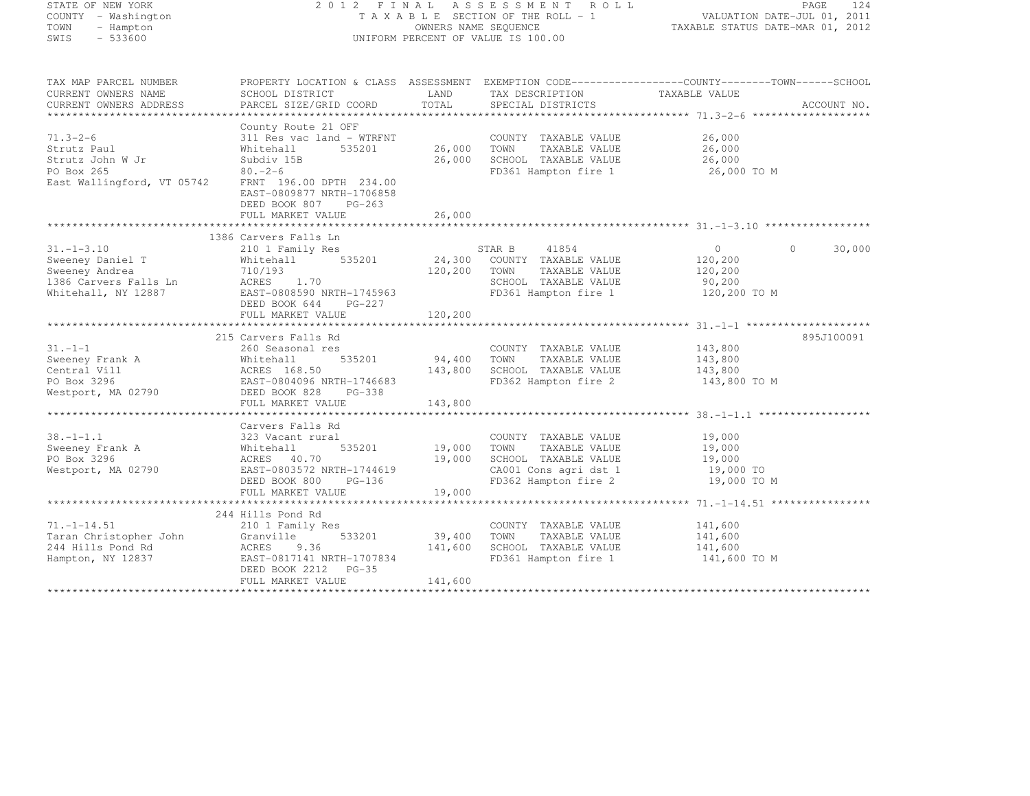| STATE OF NEW YORK                                  |                                                                                                                     |                                                                 | 2012 FINAL ASSESSMENT ROLL         |                     | PAGE<br>124 |
|----------------------------------------------------|---------------------------------------------------------------------------------------------------------------------|-----------------------------------------------------------------|------------------------------------|---------------------|-------------|
| COUNTY - Washington                                | TAXABLE SECTION OF THE ROLL - 1                                                                                     | VALUATION DATE-JUL 01, 2011<br>TAXABLE STATUS DATE-MAR 01, 2012 |                                    |                     |             |
| TOWN<br>- Hampton                                  |                                                                                                                     | OWNERS NAME SEQUENCE                                            |                                    |                     |             |
| SWIS<br>$-533600$                                  |                                                                                                                     |                                                                 | UNIFORM PERCENT OF VALUE IS 100.00 |                     |             |
|                                                    |                                                                                                                     |                                                                 |                                    |                     |             |
| TAX MAP PARCEL NUMBER<br>CURRENT OWNERS NAME       | PROPERTY LOCATION & CLASS ASSESSMENT EXEMPTION CODE----------------COUNTY-------TOWN------SCHOOL<br>SCHOOL DISTRICT | LAND                                                            | TAX DESCRIPTION                    | TAXABLE VALUE       |             |
| CURRENT OWNERS ADDRESS                             | PARCEL SIZE/GRID COORD                                                                                              | TOTAL                                                           | SPECIAL DISTRICTS                  |                     | ACCOUNT NO. |
|                                                    |                                                                                                                     |                                                                 |                                    |                     |             |
|                                                    | County Route 21 OFF                                                                                                 |                                                                 |                                    |                     |             |
| $71.3 - 2 - 6$                                     | 311 Res vac land - WTRFNT                                                                                           |                                                                 | COUNTY TAXABLE VALUE               | 26,000              |             |
| Strutz Paul                                        | 535201<br>Whitehall                                                                                                 | 26,000                                                          | TOWN<br>TAXABLE VALUE              | 26,000              |             |
| Strutz John W Jr                                   | Subdiv 15B                                                                                                          | 26,000                                                          | SCHOOL TAXABLE VALUE               | 26,000              |             |
| PO Box 265                                         | $80 - 2 - 6$                                                                                                        |                                                                 | FD361 Hampton fire 1               | 26,000 TO M         |             |
| East Wallingford, VT 05742 FRNT 196.00 DPTH 234.00 |                                                                                                                     |                                                                 |                                    |                     |             |
|                                                    | EAST-0809877 NRTH-1706858                                                                                           |                                                                 |                                    |                     |             |
|                                                    | DEED BOOK 807<br>$PG-263$                                                                                           |                                                                 |                                    |                     |             |
|                                                    | FULL MARKET VALUE                                                                                                   | 26,000                                                          |                                    |                     |             |
|                                                    |                                                                                                                     |                                                                 |                                    |                     |             |
| $31. - 1 - 3.10$                                   | 1386 Carvers Falls Ln                                                                                               |                                                                 | 41854<br>STAR B                    | $\circ$<br>$\Omega$ | 30,000      |
| Sweeney Daniel T                                   | 210 1 Family Res<br>Whitehall<br>535201                                                                             | 24,300                                                          | COUNTY TAXABLE VALUE               | 120,200             |             |
| Sweeney Andrea                                     | 710/193                                                                                                             | 120,200                                                         | TOWN<br>TAXABLE VALUE              | 120,200             |             |
| 1386 Carvers Falls Ln                              | ACRES 1.70                                                                                                          |                                                                 | SCHOOL TAXABLE VALUE               | 90,200              |             |
| Whitehall, NY 12887                                | EAST-0808590 NRTH-1745963                                                                                           |                                                                 | FD361 Hampton fire 1               | 120,200 TO M        |             |
|                                                    | DEED BOOK 644<br>PG-227                                                                                             |                                                                 |                                    |                     |             |
|                                                    | FULL MARKET VALUE                                                                                                   | 120,200                                                         |                                    |                     |             |
|                                                    |                                                                                                                     |                                                                 |                                    |                     |             |
|                                                    | 215 Carvers Falls Rd                                                                                                |                                                                 |                                    |                     | 895J100091  |
| $31. - 1 - 1$                                      | 260 Seasonal res                                                                                                    |                                                                 | COUNTY TAXABLE VALUE               | 143,800             |             |
| Sweeney Frank A                                    | Whitehall 535201<br>ACRES 168.50<br>EAST-0804096 NRTH-1746683<br>DEED BOOK 828 PG-338                               | 94,400                                                          | TOWN<br>TAXABLE VALUE              | 143,800             |             |
| Central Vill                                       |                                                                                                                     | 143,800                                                         | SCHOOL TAXABLE VALUE               | 143,800             |             |
| PO Box 3296                                        |                                                                                                                     |                                                                 | FD362 Hampton fire 2               | 143,800 TO M        |             |
| Westport, MA 02790                                 |                                                                                                                     |                                                                 |                                    |                     |             |
|                                                    | FULL MARKET VALUE                                                                                                   | 143,800                                                         |                                    |                     |             |
|                                                    | Carvers Falls Rd                                                                                                    |                                                                 |                                    |                     |             |
| $38. - 1 - 1.1$                                    |                                                                                                                     |                                                                 | COUNTY TAXABLE VALUE               | 19,000              |             |
| Sweeney Frank A                                    | 323 Vacant rural<br>Whitehall !<br>ACRES 40.70<br>535201                                                            | 19,000                                                          | TOWN<br>TAXABLE VALUE              | 19,000              |             |
| PO Box 3296                                        |                                                                                                                     | 19,000                                                          | SCHOOL TAXABLE VALUE               | 19,000              |             |
| Westport, MA 02790                                 | EAST-0803572 NRTH-1744619                                                                                           |                                                                 | CA001 Cons agri dst 1              | 19,000 TO           |             |
|                                                    | DEED BOOK 800<br>PG-136                                                                                             |                                                                 | FD362 Hampton fire 2               | 19,000 TO M         |             |
|                                                    | FULL MARKET VALUE                                                                                                   | 19,000                                                          |                                    |                     |             |
|                                                    |                                                                                                                     |                                                                 |                                    |                     |             |
|                                                    | 244 Hills Pond Rd                                                                                                   |                                                                 |                                    |                     |             |
| $71. - 1 - 14.51$                                  | 210 1 Family Res                                                                                                    |                                                                 | COUNTY TAXABLE VALUE               | 141,600             |             |
| Taran Christopher John                             | 533201<br>Granville                                                                                                 | 39,400                                                          | TOWN<br>TAXABLE VALUE              | 141,600             |             |
| 244 Hills Pond Rd                                  | ACRES<br>9.36                                                                                                       | 141,600                                                         | SCHOOL TAXABLE VALUE               | 141,600             |             |
| Hampton, NY 12837                                  | EAST-0817141 NRTH-1707834                                                                                           |                                                                 | FD361 Hampton fire 1               | 141,600 TO M        |             |
|                                                    | DEED BOOK 2212<br>$PG-35$                                                                                           |                                                                 |                                    |                     |             |
|                                                    | FULL MARKET VALUE                                                                                                   | 141,600                                                         |                                    |                     |             |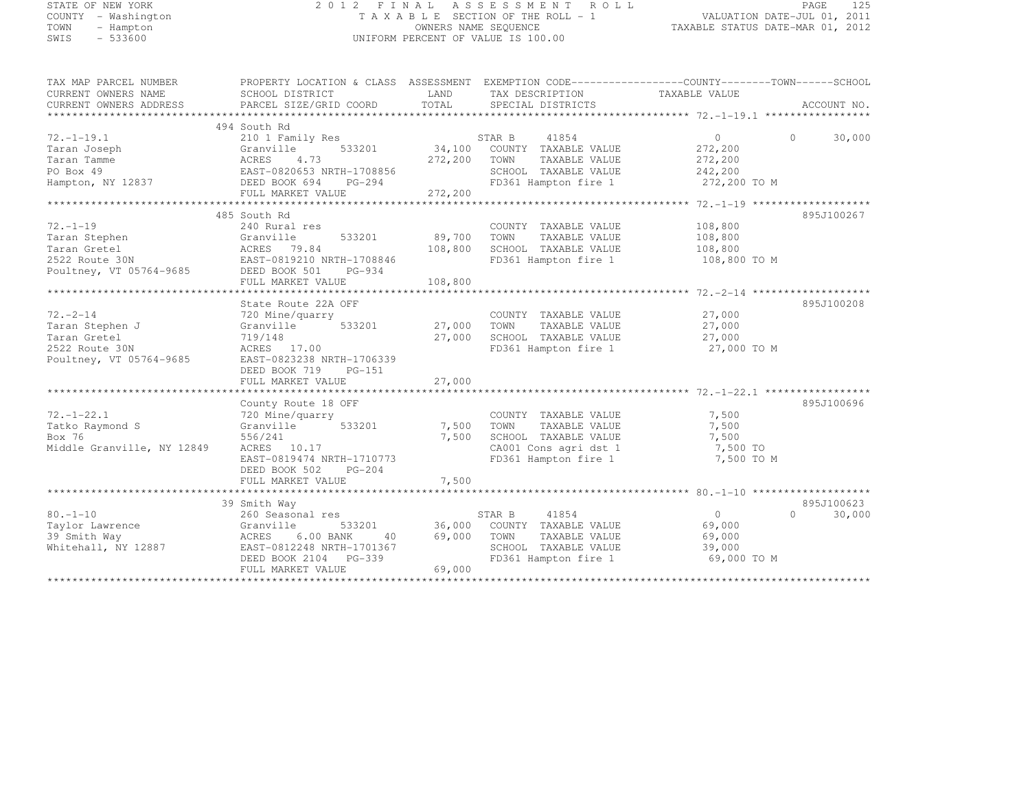| STATE OF NEW YORK   |  |           |  |
|---------------------|--|-----------|--|
| COUNTY - Washington |  |           |  |
| TOWN                |  | - Hampton |  |
| <b>STATE</b>        |  | $-533600$ |  |

#### STATE OF NEW YORK 2 0 1 2 F I N A L A S S E S S M E N T R O L L PAGE <sup>125</sup> COUNTY - Washington T A X A B L E SECTION OF THE ROLL - 1 VALUATION DATE-JUL 01, 2011 TOWN - Hampton OWNERS NAME SEQUENCE TAXABLE STATUS DATE-MAR 01, 2012 SWIS - 533600 UNIFORM PERCENT OF VALUE IS 100.00

| 494 South Rd<br>$72. - 1 - 19.1$<br>STAR B<br>41854<br>$\Omega$<br>$\Omega$<br>30,000<br>210 1 Family Res<br>34,100 COUNTY TAXABLE VALUE<br>Taran Joseph<br>533201<br>272,200<br>Granville<br>272,200<br>Taran Tamme<br>ACRES<br>4.73<br>TOWN<br>TAXABLE VALUE<br>272,200<br>Hampton, NY 12837<br>242,200<br>EAST-0820653 NRTH-1708856<br>SCHOOL TAXABLE VALUE<br>FD361 Hampton fire 1<br>272,200 TO M<br>DEED BOOK 694<br>PG-294<br>272,200<br>FULL MARKET VALUE<br>485 South Rd<br>895J100267<br>$72, -1 - 19$<br>108,800<br>COUNTY TAXABLE VALUE<br>240 Rural res |
|----------------------------------------------------------------------------------------------------------------------------------------------------------------------------------------------------------------------------------------------------------------------------------------------------------------------------------------------------------------------------------------------------------------------------------------------------------------------------------------------------------------------------------------------------------------------|
|                                                                                                                                                                                                                                                                                                                                                                                                                                                                                                                                                                      |
|                                                                                                                                                                                                                                                                                                                                                                                                                                                                                                                                                                      |
|                                                                                                                                                                                                                                                                                                                                                                                                                                                                                                                                                                      |
|                                                                                                                                                                                                                                                                                                                                                                                                                                                                                                                                                                      |
|                                                                                                                                                                                                                                                                                                                                                                                                                                                                                                                                                                      |
|                                                                                                                                                                                                                                                                                                                                                                                                                                                                                                                                                                      |
|                                                                                                                                                                                                                                                                                                                                                                                                                                                                                                                                                                      |
| 533201<br>89,700<br>108,800<br>Taran Stephen<br>Granville<br>TOWN<br>TAXABLE VALUE                                                                                                                                                                                                                                                                                                                                                                                                                                                                                   |
| Taran Gretel<br>ACRES 79.84<br>108,800<br>SCHOOL TAXABLE VALUE<br>108,800                                                                                                                                                                                                                                                                                                                                                                                                                                                                                            |
| FD361 Hampton fire 1<br>2522 Route 30N<br>EAST-0819210 NRTH-1708846<br>108,800 TO M                                                                                                                                                                                                                                                                                                                                                                                                                                                                                  |
| Poultney, VT 05764-9685<br>DEED BOOK 501<br>PG-934                                                                                                                                                                                                                                                                                                                                                                                                                                                                                                                   |
| 108,800<br>FULL MARKET VALUE                                                                                                                                                                                                                                                                                                                                                                                                                                                                                                                                         |
|                                                                                                                                                                                                                                                                                                                                                                                                                                                                                                                                                                      |
| 895J100208<br>State Route 22A OFF                                                                                                                                                                                                                                                                                                                                                                                                                                                                                                                                    |
| $72. - 2 - 14$<br>720 Mine/quarry<br>COUNTY TAXABLE VALUE<br>27,000                                                                                                                                                                                                                                                                                                                                                                                                                                                                                                  |
| 533201 27,000<br>Taran Stephen J<br>TOWN<br>TAXABLE VALUE<br>27,000<br>Granville                                                                                                                                                                                                                                                                                                                                                                                                                                                                                     |
| Taran Gretel<br>719/148<br>27,000<br>SCHOOL TAXABLE VALUE<br>27,000                                                                                                                                                                                                                                                                                                                                                                                                                                                                                                  |
| FD361 Hampton fire 1<br>27,000 TO M<br>2522 Route 30N<br>ACRES 17.00                                                                                                                                                                                                                                                                                                                                                                                                                                                                                                 |
| Poultney, VT 05764-9685<br>EAST-0823238 NRTH-1706339                                                                                                                                                                                                                                                                                                                                                                                                                                                                                                                 |
| DEED BOOK 719 PG-151                                                                                                                                                                                                                                                                                                                                                                                                                                                                                                                                                 |
| 27,000<br>FULL MARKET VALUE                                                                                                                                                                                                                                                                                                                                                                                                                                                                                                                                          |
|                                                                                                                                                                                                                                                                                                                                                                                                                                                                                                                                                                      |
| 895J100696<br>County Route 18 OFF                                                                                                                                                                                                                                                                                                                                                                                                                                                                                                                                    |
| 7,500<br>$72. - 1 - 22.1$<br>720 Mine/quarry<br>COUNTY TAXABLE VALUE                                                                                                                                                                                                                                                                                                                                                                                                                                                                                                 |
| Granville 533201<br>7,500 TOWN<br>TAXABLE VALUE<br>7,500<br>Tatko Raymond S                                                                                                                                                                                                                                                                                                                                                                                                                                                                                          |
| 7,500<br>Box 76<br>556/241<br>SCHOOL TAXABLE VALUE<br>7,500                                                                                                                                                                                                                                                                                                                                                                                                                                                                                                          |
| Middle Granville, NY 12849<br>CA001 Cons agri dst 1<br>ACRES 10.17<br>7,500 TO                                                                                                                                                                                                                                                                                                                                                                                                                                                                                       |
| EAST-0819474 NRTH-1710773<br>FD361 Hampton fire 1<br>7,500 TO M                                                                                                                                                                                                                                                                                                                                                                                                                                                                                                      |
| DEED BOOK 502<br>$PG-204$                                                                                                                                                                                                                                                                                                                                                                                                                                                                                                                                            |
| 7,500<br>FULL MARKET VALUE                                                                                                                                                                                                                                                                                                                                                                                                                                                                                                                                           |
|                                                                                                                                                                                                                                                                                                                                                                                                                                                                                                                                                                      |
| 895J100623<br>39 Smith Way                                                                                                                                                                                                                                                                                                                                                                                                                                                                                                                                           |
| 30,000<br>$80. - 1 - 10$<br>STAR B 41854<br>$\overline{0}$<br>$\Omega$<br>260 Seasonal res                                                                                                                                                                                                                                                                                                                                                                                                                                                                           |
| Taylor Lawrence<br>533201<br>36,000 COUNTY TAXABLE VALUE<br>69,000<br>Granville                                                                                                                                                                                                                                                                                                                                                                                                                                                                                      |
| 39 Smith Way<br>ACRES<br>6.00 BANK<br>69,000 TOWN<br>TAXABLE VALUE<br>69,000<br>40                                                                                                                                                                                                                                                                                                                                                                                                                                                                                   |
| SCHOOL TAXABLE VALUE<br>39,000<br>Whitehall, NY 12887<br>EAST-0812248 NRTH-1701367                                                                                                                                                                                                                                                                                                                                                                                                                                                                                   |
| FD361 Hampton fire 1<br>69,000 TO M<br>DEED BOOK 2104 PG-339                                                                                                                                                                                                                                                                                                                                                                                                                                                                                                         |
| 69,000<br>FULL MARKET VALUE                                                                                                                                                                                                                                                                                                                                                                                                                                                                                                                                          |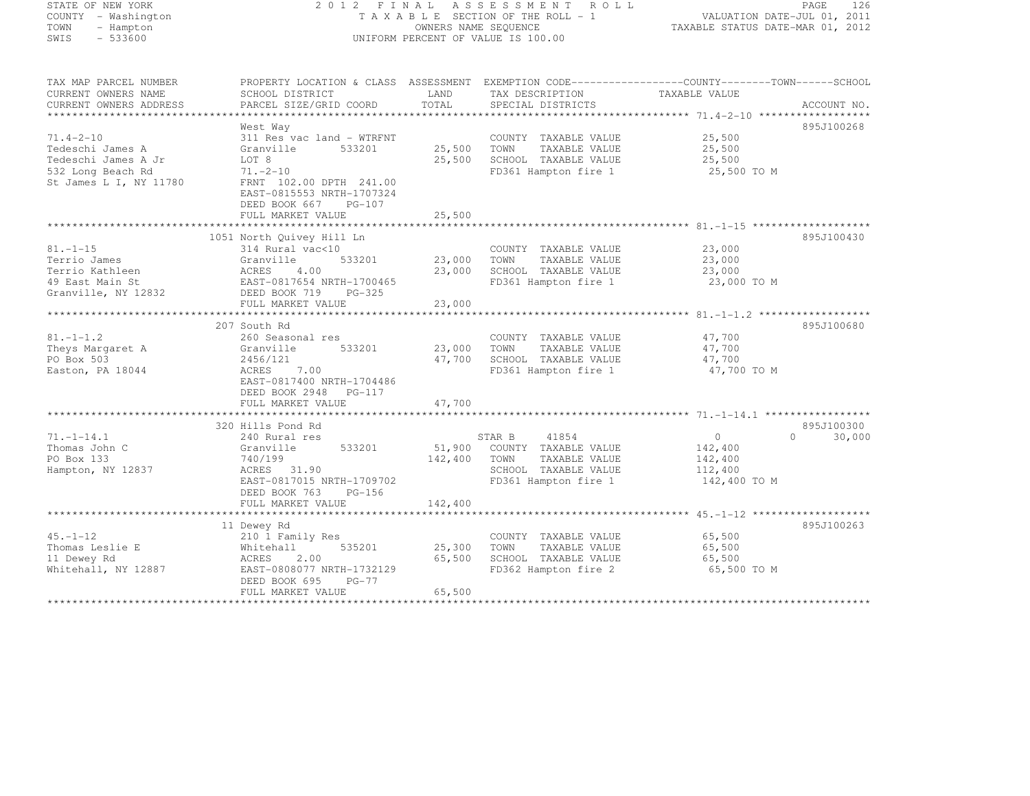| STATE OF NEW YORK |                     |
|-------------------|---------------------|
|                   | COUNTY - Washington |
| TOWN              | - Hampton           |
| SWIS              | $-533600$           |

## STATE OF NEW YORK 2 0 1 2 F I N A L A S S E S S M E N T R O L L PAGE <sup>126</sup> COUNTY - Washington T A X A B L E SECTION OF THE ROLL - 1 VALUATION DATE-JUL 01, 2011 TOWN - Hampton OWNERS NAME SEQUENCE TAXABLE STATUS DATE-MAR 01, 2012 SWIS - 533600 UNIFORM PERCENT OF VALUE IS 100.00

| TAX MAP PARCEL NUMBER<br>CURRENT OWNERS NAME                                                              | PROPERTY LOCATION & CLASS ASSESSMENT EXEMPTION CODE----------------COUNTY-------TOWN------SCHOOL<br>SCHOOL DISTRICT                                                                 | LAND                       | TAX DESCRIPTION                                                                                                         | TAXABLE VALUE                                                   |                                  |
|-----------------------------------------------------------------------------------------------------------|-------------------------------------------------------------------------------------------------------------------------------------------------------------------------------------|----------------------------|-------------------------------------------------------------------------------------------------------------------------|-----------------------------------------------------------------|----------------------------------|
| CURRENT OWNERS ADDRESS                                                                                    | PARCEL SIZE/GRID COORD                                                                                                                                                              | TOTAL                      | SPECIAL DISTRICTS                                                                                                       |                                                                 | ACCOUNT NO.                      |
|                                                                                                           | West Way                                                                                                                                                                            |                            |                                                                                                                         |                                                                 | 895J100268                       |
| $71.4 - 2 - 10$<br>Tedeschi James A<br>Tedeschi James A Jr<br>532 Long Beach Rd<br>St James L I, NY 11780 | 311 Res vac land - WTRFNT<br>Granville<br>533201<br>LOT 8<br>$71. - 2 - 10$<br>FRNT 102.00 DPTH 241.00<br>EAST-0815553 NRTH-1707324<br>DEED BOOK 667<br>PG-107<br>FULL MARKET VALUE | 25,500<br>25,500<br>25,500 | COUNTY TAXABLE VALUE<br>TOWN<br>TAXABLE VALUE<br>SCHOOL TAXABLE VALUE<br>FD361 Hampton fire 1                           | 25,500<br>25,500<br>25,500<br>25,500 TO M                       |                                  |
|                                                                                                           | 1051 North Quivey Hill Ln                                                                                                                                                           |                            |                                                                                                                         |                                                                 | 895J100430                       |
| $81. - 1 - 15$<br>Terrio James<br>Terrio Kathleen<br>49 East Main St<br>Granville, NY 12832               | 314 Rural vac<10<br>Granville<br>533201<br>4.00<br>ACRES<br>EAST-0817654 NRTH-1700465<br>DEED BOOK 719 PG-325<br>FULL MARKET VALUE                                                  | 23,000<br>23,000<br>23,000 | COUNTY TAXABLE VALUE<br>TOWN<br>TAXABLE VALUE<br>SCHOOL TAXABLE VALUE<br>FD361 Hampton fire 1                           | 23,000<br>23,000<br>23,000<br>23,000 TO M                       |                                  |
|                                                                                                           | 207 South Rd                                                                                                                                                                        |                            |                                                                                                                         |                                                                 | 895J100680                       |
| $81. - 1 - 1.2$<br>Theys Margaret A<br>PO Box 503<br>Easton, PA 18044                                     | 260 Seasonal res<br>533201<br>Granville<br>2456/121<br>7.00<br>ACRES<br>EAST-0817400 NRTH-1704486<br>DEED BOOK 2948 PG-117                                                          | 23,000<br>47,700           | COUNTY TAXABLE VALUE<br>TAXABLE VALUE<br>TOWN<br>SCHOOL TAXABLE VALUE<br>FD361 Hampton fire 1                           | 47,700<br>47,700<br>47,700<br>47,700 TO M                       |                                  |
|                                                                                                           | FULL MARKET VALUE                                                                                                                                                                   | 47,700                     |                                                                                                                         |                                                                 |                                  |
| $71. - 1 - 14.1$<br>Thomas John C<br>PO Box 133<br>Hampton, NY 12837                                      | 320 Hills Pond Rd<br>240 Rural res<br>533201<br>Granville<br>740/199<br>ACRES 31.90<br>EAST-0817015 NRTH-1709702<br>DEED BOOK 763<br>$PG-156$<br>FULL MARKET VALUE                  | 142,400<br>142,400         | STAR B<br>41854<br>51,900 COUNTY TAXABLE VALUE<br>TOWN<br>TAXABLE VALUE<br>SCHOOL TAXABLE VALUE<br>FD361 Hampton fire 1 | $\overline{0}$<br>142,400<br>142,400<br>112,400<br>142,400 TO M | 895J100300<br>30,000<br>$\Omega$ |
|                                                                                                           |                                                                                                                                                                                     |                            |                                                                                                                         |                                                                 |                                  |
| $45. - 1 - 12$<br>Thomas Leslie E<br>11 Dewey Rd<br>Whitehall, NY 12887                                   | 11 Dewey Rd<br>210 1 Family Res<br>535201<br>Whitehall<br>2.00<br>ACRES<br>EAST-0808077 NRTH-1732129<br>DEED BOOK 695<br>$PG-77$<br>FULL MARKET VALUE                               | 25,300<br>65,500<br>65,500 | COUNTY TAXABLE VALUE<br>TOWN<br>TAXABLE VALUE<br>SCHOOL TAXABLE VALUE<br>FD362 Hampton fire 2                           | 65,500<br>65,500<br>65,500<br>65,500 TO M                       | 895J100263                       |
|                                                                                                           |                                                                                                                                                                                     |                            |                                                                                                                         |                                                                 |                                  |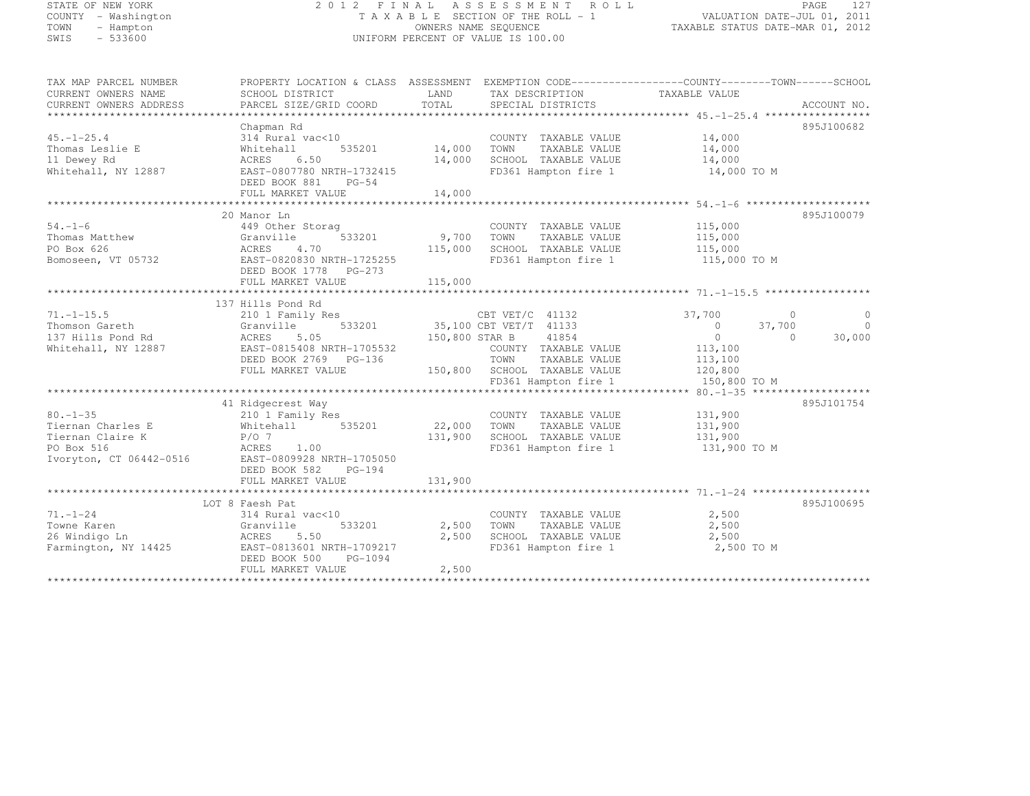| STATE OF NEW YORK |                     |
|-------------------|---------------------|
|                   | COUNTY - Washington |
| TOWN              | - Hampton           |
| SWIS              | $-533600$           |

#### STATE OF NEW YORK 2 0 1 2 F I N A L A S S E S S M E N T R O L L PAGE <sup>127</sup> COUNTY - Washington T A X A B L E SECTION OF THE ROLL - 1 VALUATION DATE-JUL 01, 2011 TOWN - Hampton OWNERS NAME SEQUENCE TAXABLE STATUS DATE-MAR 01, 2012 UNIFORM PERCENT OF VALUE IS 100.00

| TAX MAP PARCEL NUMBER   | PROPERTY LOCATION & CLASS ASSESSMENT EXEMPTION CODE----------------COUNTY-------TOWN-----SCHOOL |                       |                                      |                    |          |             |
|-------------------------|-------------------------------------------------------------------------------------------------|-----------------------|--------------------------------------|--------------------|----------|-------------|
| CURRENT OWNERS NAME     | SCHOOL DISTRICT                                                                                 | LAND                  | TAX DESCRIPTION                      | TAXABLE VALUE      |          |             |
| CURRENT OWNERS ADDRESS  | PARCEL SIZE/GRID COORD                                                                          | TOTAL                 | SPECIAL DISTRICTS                    |                    |          | ACCOUNT NO. |
|                         |                                                                                                 |                       |                                      |                    |          |             |
|                         | Chapman Rd                                                                                      |                       |                                      |                    |          | 895J100682  |
| $45. - 1 - 25.4$        | 314 Rural vac<10                                                                                | 14,000                | COUNTY TAXABLE VALUE                 | 14,000             |          |             |
| Thomas Leslie E         | 535201<br>Whitehall                                                                             |                       | TAXABLE VALUE<br>TOWN                | 14,000             |          |             |
| 11 Dewey Rd             | 6.50<br>ACRES                                                                                   | 14,000                | SCHOOL TAXABLE VALUE 14,000          |                    |          |             |
| Whitehall, NY 12887     | EAST-0807780 NRTH-1732415                                                                       |                       | FD361 Hampton fire 1 14,000 TO M     |                    |          |             |
|                         | DEED BOOK 881 PG-54                                                                             |                       |                                      |                    |          |             |
|                         | FULL MARKET VALUE                                                                               | 14,000                |                                      |                    |          |             |
|                         |                                                                                                 |                       |                                      |                    |          |             |
|                         | 20 Manor Ln                                                                                     |                       |                                      |                    |          | 895J100079  |
| $54. - 1 - 6$           | 449 Other Storag                                                                                |                       | COUNTY TAXABLE VALUE                 | 115,000            |          |             |
| Thomas Matthew          | 533201<br>Granville                                                                             | 9,700 TOWN            | TAXABLE VALUE                        | 115,000            |          |             |
| PO Box 626              | ACRES<br>4.70                                                                                   | 115,000               | SCHOOL TAXABLE VALUE                 | 115,000            |          |             |
| Bomoseen, VT 05732      | EAST-0820830 NRTH-1725255                                                                       |                       | FD361 Hampton fire 1 115,000 TO M    |                    |          |             |
|                         | DEED BOOK 1778 PG-273                                                                           |                       |                                      |                    |          |             |
|                         |                                                                                                 |                       |                                      |                    |          |             |
|                         |                                                                                                 |                       |                                      |                    |          |             |
|                         | 137 Hills Pond Rd                                                                               |                       |                                      |                    |          |             |
| $71. - 1 - 15.5$        | 210 1 Family Res                                                                                |                       | CBT VET/C 41132                      | 37,700             | $\Omega$ | $\Omega$    |
| Thomson Gareth          | Granville                                                                                       |                       | 533201 35,100 CBT VET/T 41133        | $\sim$ 0           | 37,700   | $\bigcirc$  |
| 137 Hills Pond Rd       | ACRES<br>5.05                                                                                   |                       | 41854<br>150,800 STAR B              | $\overline{0}$     | $\Omega$ | 30,000      |
| Whitehall, NY 12887     | EAST-0815408 NRTH-1705532                                                                       |                       | COUNTY TAXABLE VALUE 113,100         |                    |          |             |
|                         | DEED BOOK 2769 PG-136                                                                           |                       | TOWN<br>TAXABLE VALUE                |                    |          |             |
|                         | FULL MARKET VALUE                                                                               |                       | 150,800 SCHOOL TAXABLE VALUE         | 113,100<br>120,800 |          |             |
|                         |                                                                                                 |                       | FD361 Hampton fire 1                 | 150,800 TO M       |          |             |
|                         |                                                                                                 |                       |                                      |                    |          |             |
|                         | 41 Ridgecrest Way                                                                               |                       |                                      |                    |          | 895J101754  |
| $80. - 1 - 35$          | 210 1 Family Res                                                                                |                       | COUNTY TAXABLE VALUE                 | 131,900            |          |             |
| Tiernan Charles E       | Whitehall 535201                                                                                | COUNTY<br>22,000 TOWN | TAXABLE VALUE                        | 131,900            |          |             |
| Tiernan Claire K        | $P/O$ 7                                                                                         |                       | 131,900 SCHOOL TAXABLE VALUE 131,900 |                    |          |             |
| PO Box 516              | ACRES<br>1.00                                                                                   |                       | FD361 Hampton fire 1 131,900 TO M    |                    |          |             |
| Ivoryton, CT 06442-0516 | EAST-0809928 NRTH-1705050                                                                       |                       |                                      |                    |          |             |
|                         | DEED BOOK 582<br>PG-194                                                                         |                       |                                      |                    |          |             |
|                         | FULL MARKET VALUE                                                                               | 131,900               |                                      |                    |          |             |
|                         |                                                                                                 |                       |                                      |                    |          |             |
|                         | LOT 8 Faesh Pat                                                                                 |                       |                                      |                    |          | 895J100695  |
| $71. - 1 - 24$          | 314 Rural vac<10                                                                                |                       | COUNTY TAXABLE VALUE                 | 2,500              |          |             |
| Towne Karen             | 533201<br>Granville                                                                             | 2,500                 | TOWN<br>TAXABLE VALUE                | 2,500              |          |             |
| 26 Windigo Ln           | ACRES<br>5.50                                                                                   | 2,500                 | SCHOOL TAXABLE VALUE                 | 2,500              |          |             |
| Farmington, NY 14425    | EAST-0813601 NRTH-1709217                                                                       |                       | FD361 Hampton fire 1                 | 2,500 TO M         |          |             |
|                         | DEED BOOK 500<br>PG-1094                                                                        |                       |                                      |                    |          |             |
|                         | FULL MARKET VALUE                                                                               | 2,500                 |                                      |                    |          |             |
|                         |                                                                                                 |                       |                                      |                    |          |             |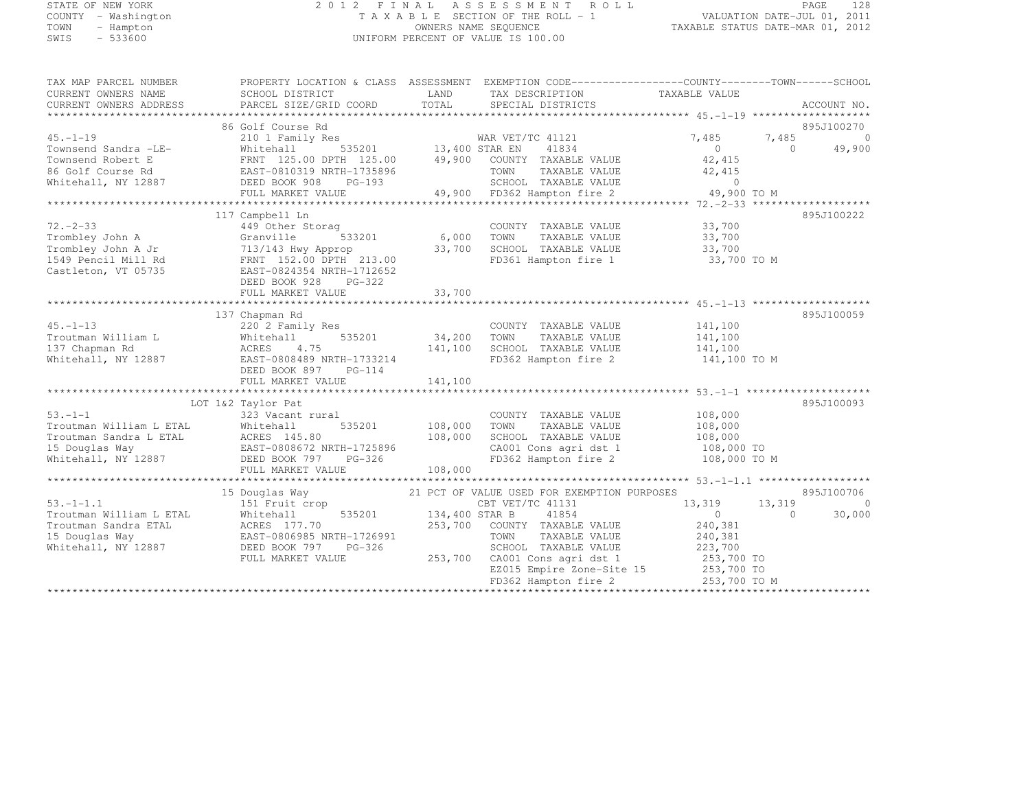## STATE OF NEW YORK 2 0 1 2 F I N A L A S S E S S M E N T R O L L PAGE <sup>128</sup> COUNTY - Washington T A X A B L E SECTION OF THE ROLL - 1 VALUATION DATE-JUL 01, 2011 TOWN - Hampton OWNERS NAME SEQUENCE TAXABLE STATUS DATE-MAR 01, 2012 SWIS - 533600 UNIFORM PERCENT OF VALUE IS 100.00

| TAX MAP PARCEL NUMBER                                                                                                                                       | PROPERTY LOCATION & CLASS ASSESSMENT EXEMPTION CODE-----------------COUNTY-------TOWN------SCHOOL |                        |                                                                       |                     |                    |                          |
|-------------------------------------------------------------------------------------------------------------------------------------------------------------|---------------------------------------------------------------------------------------------------|------------------------|-----------------------------------------------------------------------|---------------------|--------------------|--------------------------|
| CURRENT OWNERS NAME                                                                                                                                         | SCHOOL DISTRICT                                                                                   |                        | LAND TAX DESCRIPTION                                                  | TAXABLE VALUE       |                    |                          |
| CURRENT OWNERS ADDRESS                                                                                                                                      | PARCEL SIZE/GRID COORD                                                                            |                        | TOTAL SPECIAL DISTRICTS                                               |                     |                    | ACCOUNT NO.              |
|                                                                                                                                                             |                                                                                                   |                        |                                                                       |                     |                    |                          |
| $45. -1 - 19$                                                                                                                                               | 86 Golf Course Rd                                                                                 |                        |                                                                       |                     |                    | 895J100270<br>$\bigcirc$ |
|                                                                                                                                                             | 210 1 Family Res                                                                                  |                        | % WAR VET/TC 41121<br>535201 13,400 STAR EN 41834                     | 7,485<br>$\bigcirc$ | 7,485<br>$\bigcap$ | 49,900                   |
|                                                                                                                                                             | FRNT 125.00 DPTH 125.00 $\qquad$ 49,900 COUNTY TAXABLE VALUE                                      |                        |                                                                       | 42,415              |                    |                          |
|                                                                                                                                                             |                                                                                                   |                        |                                                                       |                     |                    |                          |
|                                                                                                                                                             |                                                                                                   |                        | TOWN TAXABLE VALUE 42,415<br>SCHOOL TAXABLE VALUE 42,415              |                     |                    |                          |
| Townsend Sandra - Let<br>Townsend Robert E FRNT 125.00 DPIR 12<br>86 Golf Course Rd EAST-0810319 NRTH-1735896<br>11 NY 12887 DEED BOOK 908 PG-193<br>19,900 | FULL MARKET VALUE 49,900 FD362 Hampton fire 2                                                     |                        |                                                                       | 49,900 TO M         |                    |                          |
|                                                                                                                                                             |                                                                                                   |                        |                                                                       |                     |                    |                          |
|                                                                                                                                                             | 117 Campbell Ln                                                                                   |                        |                                                                       |                     |                    | 895J100222               |
| $72 - 2 - 33$                                                                                                                                               | 449 Other Storag                                                                                  | 3<br>533201 6,000 TOWN | COUNTY TAXABLE VALUE                                                  | 33,700              |                    |                          |
| Trombley John A                                                                                                                                             | Granville                                                                                         |                        | TAXABLE VALUE 33,700                                                  |                     |                    |                          |
| Trombley John A Jr 713/143 Hwy Approp<br>1549 Pencil Mill Rd FRNT 152.00 DPTH 213.00                                                                        |                                                                                                   | $33,700$<br>13.00      | SCHOOL TAXABLE VALUE<br>FD361 Hampton fire 1                          | 33,700              |                    |                          |
|                                                                                                                                                             |                                                                                                   |                        |                                                                       | 33,700 TO M         |                    |                          |
| Castleton, VT 05735                                                                                                                                         | EAST-0824354 NRTH-1712652                                                                         |                        |                                                                       |                     |                    |                          |
|                                                                                                                                                             | DEED BOOK 928 PG-322<br>FULL MARKET VALUE                                                         | 33,700                 |                                                                       |                     |                    |                          |
|                                                                                                                                                             |                                                                                                   |                        |                                                                       |                     |                    |                          |
|                                                                                                                                                             | 137 Chapman Rd                                                                                    |                        |                                                                       |                     |                    | 895J100059               |
| $45. - 1 - 13$                                                                                                                                              | 220 2 Family Res                                                                                  |                        | COUNTY TAXABLE VALUE                                                  | 141,100             |                    |                          |
| Troutman William L                                                                                                                                          | 535201<br>Whitehall                                                                               | 34,200 TOWN            | TAXABLE VALUE                                                         | 141,100             |                    |                          |
| 137 Chapman Rd                                                                                                                                              | ACRES<br>4.75                                                                                     |                        | 141,100 SCHOOL TAXABLE VALUE 141,100                                  |                     |                    |                          |
| Whitehall, NY 12887                                                                                                                                         | EAST-0808489 NRTH-1733214                                                                         |                        | FD362 Hampton fire 2 141,100 TO M                                     |                     |                    |                          |
|                                                                                                                                                             | DEED BOOK 897 PG-114                                                                              |                        |                                                                       |                     |                    |                          |
|                                                                                                                                                             | FULL MARKET VALUE                                                                                 | 141,100                |                                                                       |                     |                    |                          |
|                                                                                                                                                             |                                                                                                   |                        |                                                                       |                     |                    |                          |
|                                                                                                                                                             | LOT 1&2 Taylor Pat                                                                                |                        |                                                                       |                     |                    | 895J100093               |
| $53. -1 - 1$<br>Troutman William L ETAL                                                                                                                     | 323 Vacant rural                                                                                  | 535201 108,000         | COUNTY TAXABLE VALUE<br>TAXABLE VALUE                                 | 108,000<br>108,000  |                    |                          |
|                                                                                                                                                             | Whitehall                                                                                         |                        | TOWN<br>SCHOOL TAXABLE VALUE                                          | 108,000             |                    |                          |
|                                                                                                                                                             |                                                                                                   |                        |                                                                       |                     |                    |                          |
| Troutman Sandra L ETAL ACRES 145.80 15 Douglas Way<br>108,000 15 Douglas Way EAST-0808672 NRTH-1725896 Whitehall, NY 12887 DEED BOOK 797 PG-326             |                                                                                                   |                        | CA001 Cons agri dst 1 108,000 TO<br>FD362 Hampton fire 2 108,000 TO M |                     |                    |                          |
|                                                                                                                                                             | FULL MARKET VALUE                                                                                 | 108,000                |                                                                       |                     |                    |                          |
|                                                                                                                                                             |                                                                                                   |                        |                                                                       |                     |                    |                          |
|                                                                                                                                                             | 15 Douglas Way                                                                                    |                        | 21 PCT OF VALUE USED FOR EXEMPTION PURPOSES                           |                     |                    | 895J100706               |
| $53, -1 - 1, 1$                                                                                                                                             | 151 Fruit crop                                                                                    |                        | CBT VET/TC 41131                                                      | 13, 319             | 13,319             | $\bigcirc$               |
| Troutman William L ETAL                                                                                                                                     | Whitehall                                                                                         | 535201 134,400 STAR B  | 41854                                                                 | $\overline{0}$      | $\Omega$           | 30,000                   |
| Troutman Sandra ETAL                                                                                                                                        | ACRES 177.70<br>EAST-0806985 NRTH-1726991                                                         |                        | 253,700 COUNTY TAXABLE VALUE                                          | 240,381             |                    |                          |
| 15 Douglas Way                                                                                                                                              |                                                                                                   |                        | TOWN<br>TAXABLE VALUE                                                 | 240,381             |                    |                          |
| Whitehall, NY 12887                                                                                                                                         | PG-326<br>DEED BOOK 797                                                                           |                        | SCHOOL TAXABLE VALUE                                                  | 223,700             |                    |                          |
|                                                                                                                                                             | FULL MARKET VALUE                                                                                 |                        | 253,700 CA001 Cons agri dst 1                                         | 253,700 TO          |                    |                          |
|                                                                                                                                                             |                                                                                                   |                        | EZ015 Empire Zone-Site 15 253,700 TO<br>FD362 Hampton fire 2          | 253,700 TO M        |                    |                          |
|                                                                                                                                                             |                                                                                                   |                        |                                                                       |                     |                    |                          |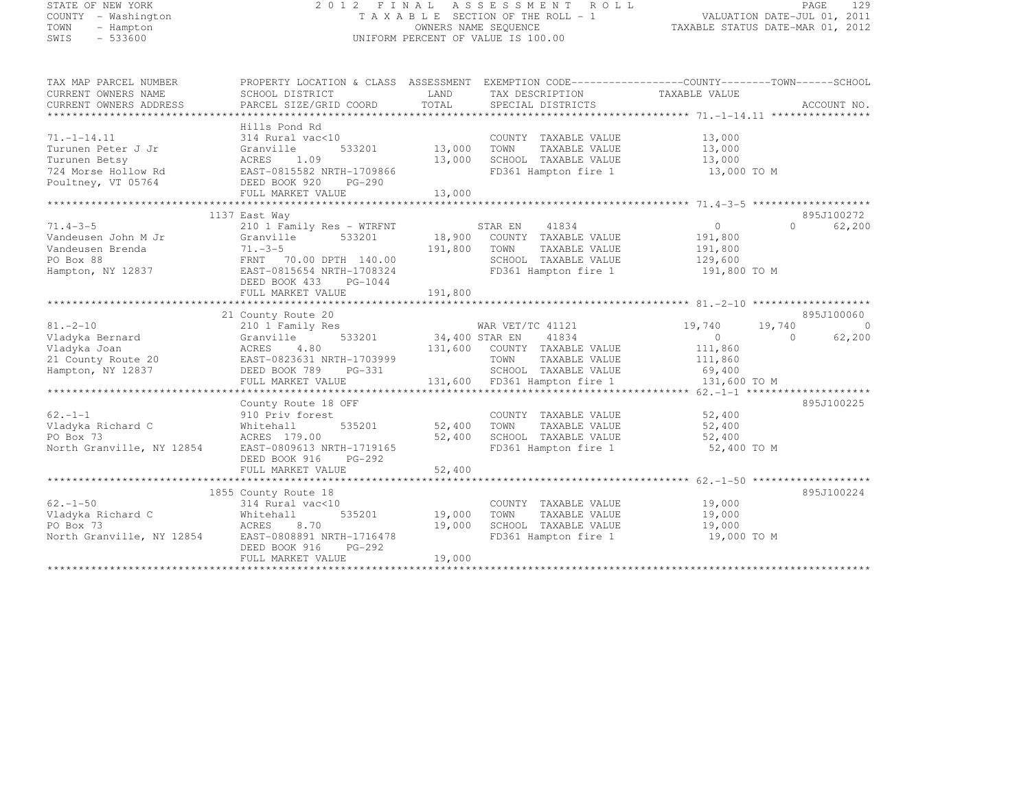## STATE OF NEW YORK 2 0 1 2 F I N A L A S S E S S M E N T R O L L PAGE <sup>129</sup> COUNTY - Washington T A X A B L E SECTION OF THE ROLL - 1 VALUATION DATE-JUL 01, 2011 TOWN - Hampton OWNERS NAME SEQUENCE TAXABLE STATUS DATE-MAR 01, 2012 SWIS - 533600 UNIFORM PERCENT OF VALUE IS 100.00

| TAX MAP PARCEL NUMBER                               | PROPERTY LOCATION & CLASS ASSESSMENT EXEMPTION CODE----------------COUNTY-------TOWN------SCHOOL |                       |                              |                                   |                    |
|-----------------------------------------------------|--------------------------------------------------------------------------------------------------|-----------------------|------------------------------|-----------------------------------|--------------------|
| CURRENT OWNERS NAME                                 | SCHOOL DISTRICT                                                                                  | LAND                  | TAX DESCRIPTION              | TAXABLE VALUE                     |                    |
| CURRENT OWNERS ADDRESS                              | PARCEL SIZE/GRID COORD                                                                           | TOTAL                 | SPECIAL DISTRICTS            |                                   | ACCOUNT NO.        |
|                                                     |                                                                                                  |                       |                              |                                   |                    |
|                                                     | Hills Pond Rd                                                                                    |                       |                              |                                   |                    |
| $71. - 1 - 14.11$                                   | 314 Rural vac<10                                                                                 |                       | COUNTY TAXABLE VALUE         | 13,000                            |                    |
| Turunen Peter J Jr                                  | 533201<br>Granville                                                                              | 13,000                | TOWN<br>TAXABLE VALUE        | 13,000                            |                    |
| Turunen Betsy                                       | ACRES<br>1.09                                                                                    | 13,000                | SCHOOL TAXABLE VALUE         | 13,000                            |                    |
| 724 Morse Hollow Rd                                 | EAST-0815582 NRTH-1709866                                                                        |                       |                              | FD361 Hampton fire 1 13,000 TO M  |                    |
| Poultney, VT 05764                                  | DEED BOOK 920<br>PG-290                                                                          |                       |                              |                                   |                    |
|                                                     | FULL MARKET VALUE                                                                                | 13,000                |                              |                                   |                    |
|                                                     |                                                                                                  |                       |                              |                                   |                    |
|                                                     | 1137 East Way                                                                                    |                       |                              |                                   | 895J100272         |
| $71.4 - 3 - 5$                                      | 210 1 Family Res - WTRFNT STAR EN 41834                                                          |                       |                              | $\overline{0}$                    | $\Omega$<br>62,200 |
| Vandeusen John M Jr                                 | 533201<br>Granville                                                                              |                       | 18,900 COUNTY TAXABLE VALUE  | 191,800                           |                    |
| Vandeusen Brenda                                    | $71.-3-5$ 191,800<br>FRNT 70.00 DPTH 140.00                                                      |                       | TOWN<br>TAXABLE VALUE        | 191,800                           |                    |
| PO Box 88                                           |                                                                                                  |                       | SCHOOL TAXABLE VALUE         | 129,600                           |                    |
| Hampton, NY 12837                                   | EAST-0815654 NRTH-1708324                                                                        |                       |                              | FD361 Hampton fire 1 191,800 TO M |                    |
|                                                     | DEED BOOK 433 PG-1044                                                                            |                       |                              |                                   |                    |
|                                                     |                                                                                                  |                       |                              |                                   |                    |
|                                                     |                                                                                                  |                       |                              |                                   |                    |
|                                                     | 21 County Route 20                                                                               |                       |                              |                                   | 895J100060         |
| $81. - 2 - 10$                                      | 210 1 Family Res                                                                                 |                       | WAR VET/TC 41121             | 19,740<br>19,740                  | $\overline{0}$     |
| Vladyka Bernard                                     | Granville                                                                                        | 533201 34,400 STAR EN | 41834                        | $\overline{0}$                    | 62,200<br>$\Omega$ |
| Vladyka Joan                                        | ACRES<br>4.80                                                                                    |                       | 131,600 COUNTY TAXABLE VALUE | 111,860                           |                    |
| 21 County Route 20                                  | EAST-0823631 NRTH-1703999                                                                        |                       | TOWN<br>TAXABLE VALUE        | 111,860                           |                    |
| Hampton, NY 12837                                   | DEED BOOK 789<br>PG-331                                                                          |                       | SCHOOL TAXABLE VALUE 69,400  |                                   |                    |
|                                                     | FULL MARKET VALUE                                                                                |                       | 131,600 FD361 Hampton fire 1 | 131,600 TO M                      |                    |
|                                                     |                                                                                                  |                       |                              |                                   |                    |
|                                                     | County Route 18 OFF                                                                              |                       |                              |                                   | 895J100225         |
| $62 - 1 - 1$                                        | 910 Priv forest                                                                                  |                       | COUNTY TAXABLE VALUE         | 52,400                            |                    |
| Vladyka Richard C                                   | 535201<br>Whitehall                                                                              | 52,400                | TAXABLE VALUE<br>TOWN        | 52,400                            |                    |
| PO Box 73                                           | ACRES 179.00                                                                                     | 52,400                | SCHOOL TAXABLE VALUE 52,400  |                                   |                    |
| North Granville, NY 12854 EAST-0809613 NRTH-1719165 |                                                                                                  |                       |                              | FD361 Hampton fire 1 52,400 TO M  |                    |
|                                                     | DEED BOOK 916<br>PG-292                                                                          |                       |                              |                                   |                    |
|                                                     | FULL MARKET VALUE                                                                                | 52,400                |                              |                                   |                    |
|                                                     |                                                                                                  |                       |                              |                                   |                    |
|                                                     | 1855 County Route 18                                                                             |                       |                              |                                   | 895J100224         |
| $62. - 1 - 50$                                      | 314 Rural vac<10                                                                                 |                       | COUNTY TAXABLE VALUE         | 19,000                            |                    |
| Vladyka Richard C                                   | 535201<br>Whitehall                                                                              | 19,000                | TOWN<br>TAXABLE VALUE        | 19,000                            |                    |
| PO Box 73                                           | ACRES 8.70                                                                                       | 19,000                | SCHOOL TAXABLE VALUE         | 19,000                            |                    |
| North Granville, NY 12854                           | EAST-0808891 NRTH-1716478                                                                        |                       | FD361 Hampton fire 1         | 19,000 TO M                       |                    |
|                                                     | PG-292<br>DEED BOOK 916                                                                          |                       |                              |                                   |                    |
|                                                     | FULL MARKET VALUE                                                                                | 19,000                |                              |                                   |                    |
|                                                     |                                                                                                  |                       |                              |                                   |                    |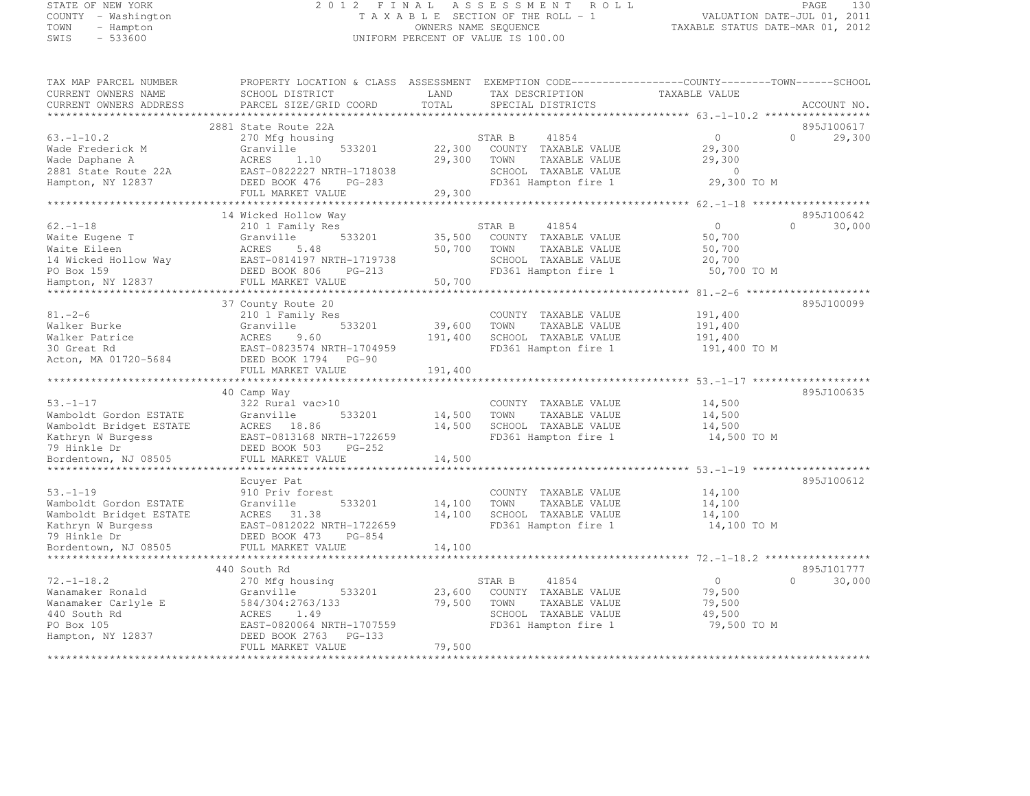#### STATE OF NEW YORK 2 0 1 2 F I N A L A S S E S S M E N T R O L L PAGE <sup>130</sup> COUNTY - Washington T A X A B L E SECTION OF THE ROLL - 1 VALUATION DATE-JUL 01, 2011 COUNTY - Washington TAXABLE SECTION OF THE ROLL - 1<br>
TAXABLE SECTION OF THE ROLL - 1<br>
OWNERS NAME SEQUENCE TAXABLE STATUS DATE-MAR 01, 2012<br>
SWIS - 533600 STEMBLE STATUS DATE-MAR 01, 2012 UNIFORM PERCENT OF VALUE IS 100.00

| TAX MAP PARCEL NUMBER                  | PROPERTY LOCATION & CLASS ASSESSMENT EXEMPTION CODE-----------------COUNTY-------TOWN------SCHOOL |         |                                               |                                                    |                         |
|----------------------------------------|---------------------------------------------------------------------------------------------------|---------|-----------------------------------------------|----------------------------------------------------|-------------------------|
| CURRENT OWNERS NAME                    | SCHOOL DISTRICT                                                                                   | LAND    | TAX DESCRIPTION                               | TAXABLE VALUE                                      |                         |
| CURRENT OWNERS ADDRESS                 | PARCEL SIZE/GRID COORD                                                                            | TOTAL   | SPECIAL DISTRICTS                             |                                                    | ACCOUNT NO.             |
|                                        |                                                                                                   |         |                                               |                                                    |                         |
|                                        | 2881 State Route 22A                                                                              |         |                                               |                                                    | 895J100617<br>$\bigcap$ |
| $63. -1 - 10.2$                        | 270 Mfg housing<br>533201                                                                         | 22,300  | STAR B<br>41854                               | $\circ$                                            | 29,300                  |
| Wade Frederick M                       | Granville<br>ACRES<br>1.10                                                                        | 29,300  | COUNTY TAXABLE VALUE<br>TOWN<br>TAXABLE VALUE | 29,300<br>29,300                                   |                         |
| Wade Daphane A<br>2881 State Route 22A | EAST-0822227 NRTH-1718038                                                                         |         | SCHOOL TAXABLE VALUE                          | $\sim$ 0                                           |                         |
| Hampton, NY 12837                      | DEED BOOK 476<br>PG-283                                                                           |         | FD361 Hampton fire 1                          | 29,300 TO M                                        |                         |
|                                        | FULL MARKET VALUE                                                                                 | 29,300  |                                               |                                                    |                         |
|                                        |                                                                                                   |         |                                               |                                                    |                         |
|                                        | 14 Wicked Hollow Way                                                                              |         |                                               |                                                    | 895J100642              |
| $62. - 1 - 18$                         | 210 1 Family Res                                                                                  |         | STAR B<br>41854                               | $\circ$                                            | 30,000<br>$\Omega$      |
| Waite Eugene T                         | 533201<br>Granville                                                                               | 35,500  | COUNTY TAXABLE VALUE                          | 50,700                                             |                         |
| Waite Eileen                           | ACRES<br>5.48                                                                                     | 50,700  | TOWN<br>TAXABLE VALUE                         | 50,700                                             |                         |
| 14 Wicked Hollow Way                   | EAST-0814197 NRTH-1719738                                                                         |         | SCHOOL TAXABLE VALUE                          | 20,700                                             |                         |
| PO Box 159                             | DEED BOOK 806<br>$PG-213$                                                                         |         | FD361 Hampton fire 1                          | 50,700 TO M                                        |                         |
| Hampton, NY 12837                      | FULL MARKET VALUE                                                                                 | 50,700  |                                               |                                                    |                         |
|                                        |                                                                                                   |         |                                               |                                                    |                         |
|                                        | 37 County Route 20                                                                                |         |                                               |                                                    | 895J100099              |
| $81. - 2 - 6$                          | 210 1 Family Res                                                                                  |         | COUNTY TAXABLE VALUE                          | 191,400                                            |                         |
| Walker Burke                           | 533201<br>Granville                                                                               | 39,600  | TAXABLE VALUE<br>TOWN                         | 191,400                                            |                         |
| Walker Patrice                         | 9.60<br>ACRES                                                                                     | 191,400 | SCHOOL TAXABLE VALUE                          | 191,400                                            |                         |
| 30 Great Rd                            | EAST-0823574 NRTH-1704959                                                                         |         | FD361 Hampton fire 1                          | 191,400 TO M                                       |                         |
| Acton, MA 01720-5684                   | DEED BOOK 1794 PG-90                                                                              |         |                                               |                                                    |                         |
|                                        | FULL MARKET VALUE                                                                                 | 191,400 |                                               |                                                    |                         |
|                                        |                                                                                                   |         |                                               | ******************** 53.-1-17 ******************** |                         |
|                                        | 40 Camp Way                                                                                       |         |                                               |                                                    | 895J100635              |
| $53. - 1 - 17$                         | 322 Rural vac>10                                                                                  |         | COUNTY TAXABLE VALUE                          | 14,500                                             |                         |
| Wamboldt Gordon ESTATE                 | 533201<br>Granville                                                                               | 14,500  | TAXABLE VALUE<br>TOWN                         | 14,500                                             |                         |
| Wamboldt Bridget ESTATE                | ACRES 18.86                                                                                       | 14,500  | SCHOOL TAXABLE VALUE                          | 14,500                                             |                         |
| Kathryn W Burgess                      | EAST-0813168 NRTH-1722659                                                                         |         | FD361 Hampton fire 1                          | 14,500 TO M                                        |                         |
| 79 Hinkle Dr                           | DEED BOOK 503<br>PG-252                                                                           |         |                                               |                                                    |                         |
| Bordentown, NJ 08505                   | FULL MARKET VALUE                                                                                 | 14,500  |                                               |                                                    |                         |
|                                        | Ecuyer Pat                                                                                        |         |                                               |                                                    | 895J100612              |
| $53. - 1 - 19$                         | 910 Priv forest                                                                                   |         | COUNTY TAXABLE VALUE                          | 14,100                                             |                         |
| Wamboldt Gordon ESTATE                 | Granville<br>533201                                                                               | 14,100  | TAXABLE VALUE<br>TOWN                         | 14,100                                             |                         |
| Wamboldt Bridget ESTATE                | ACRES 31.38                                                                                       | 14,100  | SCHOOL TAXABLE VALUE                          | 14,100                                             |                         |
| Kathryn W Burgess                      | EAST-0812022 NRTH-1722659                                                                         |         | FD361 Hampton fire 1                          | 14,100 TO M                                        |                         |
| 79 Hinkle Dr                           | DEED BOOK 473<br>PG-854                                                                           |         |                                               |                                                    |                         |
| Bordentown, NJ 08505                   | FULL MARKET VALUE                                                                                 | 14,100  |                                               |                                                    |                         |
|                                        |                                                                                                   |         |                                               |                                                    |                         |
|                                        | 440 South Rd                                                                                      |         |                                               |                                                    | 895J101777              |
| $72, -1 - 18.2$                        | 270 Mfg housing                                                                                   |         | STAR B<br>41854                               | $\circ$                                            | $\Omega$<br>30,000      |
| Wanamaker Ronald                       | Granville<br>533201                                                                               | 23,600  | COUNTY TAXABLE VALUE                          | 79,500                                             |                         |
| Wanamaker Carlyle E                    | 584/304:2763/133                                                                                  | 79,500  | TOWN<br>TAXABLE VALUE                         | 79,500                                             |                         |
| 440 South Rd                           | 1.49<br>ACRES                                                                                     |         | SCHOOL TAXABLE VALUE                          | 49,500                                             |                         |
| PO Box 105                             | EAST-0820064 NRTH-1707559                                                                         |         | FD361 Hampton fire 1                          | 79,500 TO M                                        |                         |
| Hampton, NY 12837                      | DEED BOOK 2763 PG-133                                                                             |         |                                               |                                                    |                         |
|                                        | FULL MARKET VALUE                                                                                 | 79,500  |                                               |                                                    |                         |
|                                        |                                                                                                   |         |                                               |                                                    |                         |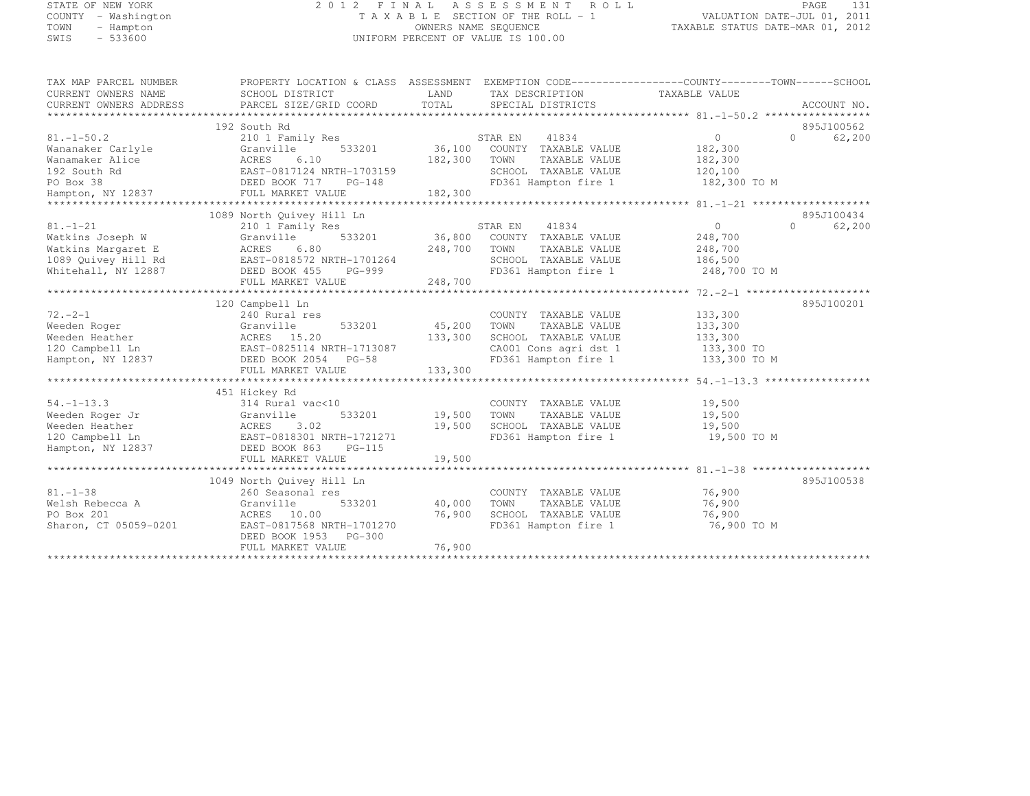#### STATE OF NEW YORK 2 0 1 2 F I N A L A S S E S S M E N T R O L L PAGE <sup>131</sup> COUNTY - Washington T A X A B L E SECTION OF THE ROLL - 1 VALUATION DATE-JUL 01, 2011 TOWN - Hampton OWNERS NAME SEQUENCE TAXABLE STATUS DATE-MAR 01, 2012 SWIS - 533600 UNIFORM PERCENT OF VALUE IS 100.00

| TAX MAP PARCEL NUMBER<br>CURRENT OWNERS NAME<br>CURRENT OWNERS ADDRESS                                     | SCHOOL DISTRICT<br>PARCEL SIZE/GRID COORD                                                                                                                          | LAND<br>TAX DESCRIPTION TAXABLE VALUE<br>TOTAL<br>SPECIAL DISTRICTS                                                                                              | PROPERTY LOCATION & CLASS ASSESSMENT EXEMPTION CODE----------------COUNTY-------TOWN-----SCHOOL<br>ACCOUNT NO. |
|------------------------------------------------------------------------------------------------------------|--------------------------------------------------------------------------------------------------------------------------------------------------------------------|------------------------------------------------------------------------------------------------------------------------------------------------------------------|----------------------------------------------------------------------------------------------------------------|
| $81. - 1 - 50.2$<br>Wananaker Carlyle<br>Wanamaker Alice<br>192 South Rd<br>PO Box 38<br>Hampton, NY 12837 | 192 South Rd<br>210 1 Family Res<br>533201<br>Granville<br>ACRES<br>6.10<br>EAST-0817124 NRTH-1703159<br>DEED BOOK 717<br>$PG-148$<br>FULL MARKET VALUE            | STAR EN<br>41834<br>36,100 COUNTY TAXABLE VALUE<br>182,300<br>TOWN<br>TAXABLE VALUE<br>SCHOOL TAXABLE VALUE<br>$\overline{9}$<br>FD361 Hampton fire 1<br>182,300 | 895J100562<br>$\Omega$<br>$\bigcap$<br>62,200<br>182,300<br>182,300<br>120,100<br>182,300 TO M                 |
| $81. - 1 - 21$<br>Watkins Joseph W<br>Watkins Margaret E<br>1089 Quivey Hill Rd<br>Whitehall, NY 12887     | 1089 North Quivey Hill Ln<br>210 1 Family Res<br>533201<br>Granville<br>ACRES<br>6.80<br>EAST-0818572 NRTH-1701264<br>DEED BOOK 455<br>PG-999<br>FULL MARKET VALUE | STAR EN<br>41834<br>36,800<br>COUNTY TAXABLE VALUE<br>248,700<br>TOWN<br>TAXABLE VALUE<br>SCHOOL TAXABLE VALUE<br>FD361 Hampton fire 1<br>248,700                | 895J100434<br>0<br>$\Omega$<br>62,200<br>248,700<br>248,700<br>186,500<br>248,700 TO M                         |
| $72. -2 - 1$<br>Weeden Roger<br>Weeden Heather<br>120 Campbell Ln<br>Hampton, NY 12837                     | 120 Campbell Ln<br>240 Rural res<br>533201<br>Granville<br>ACRES 15.20<br>EAST-0825114 NRTH-1713087<br>DEED BOOK 2054 PG-58<br>FULL MARKET VALUE                   | COUNTY TAXABLE VALUE<br>45,200<br>TAXABLE VALUE<br>TOWN<br>133,300<br>SCHOOL TAXABLE VALUE<br>CA001 Cons agri dst 1<br>FD361 Hampton fire 1<br>133,300           | 895J100201<br>133,300<br>133,300<br>133,300<br>133,300 TO<br>133,300 TO M                                      |
| $54. - 1 - 13.3$<br>Weeden Roger Jr<br>Weeden Heather<br>120 Campbell Ln<br>Hampton, NY 12837              | 451 Hickey Rd<br>314 Rural vac<10<br>533201<br>Granville<br>3.02<br>ACRES<br>EAST-0818301 NRTH-1721271<br>DEED BOOK 863 PG-115<br>FULL MARKET VALUE                | COUNTY TAXABLE VALUE<br>19,500<br>TOWN<br>TAXABLE VALUE<br>19,500<br>SCHOOL TAXABLE VALUE<br>FD361 Hampton fire 1<br>19,500                                      | 19,500<br>19,500<br>19,500<br>19,500 TO M                                                                      |
| $81 - 1 - 38$<br>Welsh Rebecca A<br>PO Box 201<br>Sharon, CT 05059-0201                                    | 1049 North Quivey Hill Ln<br>260 Seasonal res<br>533201<br>Granville<br>ACRES 10.00<br>EAST-0817568 NRTH-1701270<br>DEED BOOK 1953 PG-300<br>FULL MARKET VALUE     | COUNTY TAXABLE VALUE<br>40,000<br>TOWN<br>TAXABLE VALUE<br>76,900<br>SCHOOL TAXABLE VALUE<br>FD361 Hampton fire 1<br>76,900                                      | 895J100538<br>76,900<br>76,900<br>76,900<br>76,900 TO M                                                        |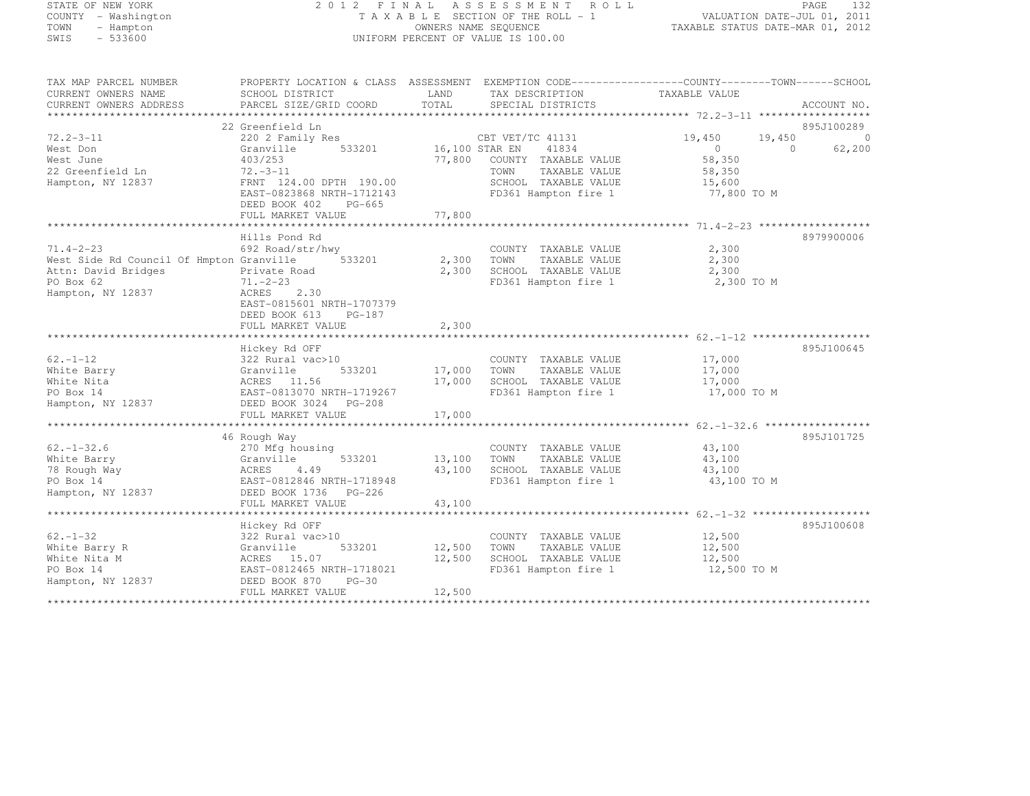## STATE OF NEW YORK 2 0 1 2 F I N A L A S S E S S M E N T R O L L PAGE <sup>132</sup> COUNTY - Washington T A X A B L E SECTION OF THE ROLL - 1 VALUATION DATE-JUL 01, 2011 TOWN - Hampton OWNERS NAME SEQUENCE TAXABLE STATUS DATE-MAR 01, 2012 SWIS - 533600 UNIFORM PERCENT OF VALUE IS 100.00

| TAX MAP PARCEL NUMBER<br>CURRENT OWNERS NAME<br>CURRENT OWNERS ADDRESS | PROPERTY LOCATION & CLASS ASSESSMENT<br>SCHOOL DISTRICT<br>PARCEL SIZE/GRID COORD | LAND<br>TOTAL           | EXEMPTION CODE-----------------COUNTY-------TOWN------SCHOOL<br>TAX DESCRIPTION<br>SPECIAL DISTRICTS | TAXABLE VALUE    | ACCOUNT NO.              |
|------------------------------------------------------------------------|-----------------------------------------------------------------------------------|-------------------------|------------------------------------------------------------------------------------------------------|------------------|--------------------------|
|                                                                        |                                                                                   |                         |                                                                                                      |                  |                          |
| $72.2 - 3 - 11$                                                        | 22 Greenfield Ln<br>220 2 Family Res                                              |                         | CBT VET/TC 41131                                                                                     | 19,450<br>19,450 | 895J100289<br>$\bigcirc$ |
| West Don                                                               | 533201<br>Granville                                                               | 16,100 STAR EN          | 41834                                                                                                | $\Omega$         | 62,200<br>$\Omega$       |
| West June                                                              | 403/253                                                                           | 77,800                  | COUNTY TAXABLE VALUE                                                                                 | 58,350           |                          |
| 22 Greenfield Ln                                                       | $72. - 3 - 11$                                                                    |                         | TOWN<br>TAXABLE VALUE                                                                                | 58,350           |                          |
|                                                                        | FRNT 124.00 DPTH 190.00                                                           |                         | SCHOOL TAXABLE VALUE                                                                                 |                  |                          |
| Hampton, NY 12837                                                      |                                                                                   |                         | FD361 Hampton fire 1                                                                                 | 15,600           |                          |
|                                                                        | EAST-0823868 NRTH-1712143                                                         |                         |                                                                                                      | 77,800 TO M      |                          |
|                                                                        | DEED BOOK 402<br>PG-665                                                           |                         |                                                                                                      |                  |                          |
|                                                                        | FULL MARKET VALUE                                                                 | 77,800                  |                                                                                                      |                  |                          |
|                                                                        |                                                                                   |                         |                                                                                                      |                  |                          |
|                                                                        | Hills Pond Rd                                                                     |                         |                                                                                                      |                  | 8979900006               |
| $71.4 - 2 - 23$                                                        | 692 Road/str/hwy                                                                  |                         | COUNTY TAXABLE VALUE                                                                                 | 2,300            |                          |
| West Side Rd Council Of Hmpton Granville                               | 533201                                                                            | 2,300                   | TOWN<br>TAXABLE VALUE                                                                                | 2,300            |                          |
| Attn: David Bridges                                                    | Private Road                                                                      | 2,300                   | SCHOOL TAXABLE VALUE                                                                                 | 2,300            |                          |
| PO Box 62                                                              | $71. - 2 - 23$                                                                    |                         | FD361 Hampton fire 1                                                                                 | 2,300 TO M       |                          |
| Hampton, NY 12837                                                      | ACRES<br>2.30                                                                     |                         |                                                                                                      |                  |                          |
|                                                                        | EAST-0815601 NRTH-1707379                                                         |                         |                                                                                                      |                  |                          |
|                                                                        | DEED BOOK 613<br>PG-187                                                           |                         |                                                                                                      |                  |                          |
|                                                                        | FULL MARKET VALUE                                                                 | 2,300                   |                                                                                                      |                  |                          |
|                                                                        |                                                                                   | * * * * * * * * * * * * |                                                                                                      |                  |                          |
|                                                                        | Hickey Rd OFF                                                                     |                         |                                                                                                      |                  | 895J100645               |
| $62. - 1 - 12$                                                         | 322 Rural vac>10                                                                  |                         | COUNTY TAXABLE VALUE                                                                                 | 17,000           |                          |
| White Barry                                                            | Granville<br>533201                                                               | 17,000                  | TOWN<br>TAXABLE VALUE                                                                                | 17,000           |                          |
| White Nita                                                             | ACRES 11.56                                                                       | 17,000                  | SCHOOL TAXABLE VALUE                                                                                 | 17,000           |                          |
| PO Box 14                                                              | EAST-0813070 NRTH-1719267                                                         |                         | FD361 Hampton fire 1                                                                                 | 17,000 TO M      |                          |
| Hampton, NY 12837                                                      | DEED BOOK 3024 PG-208                                                             |                         |                                                                                                      |                  |                          |
|                                                                        | FULL MARKET VALUE                                                                 | 17,000                  |                                                                                                      |                  |                          |
|                                                                        |                                                                                   |                         |                                                                                                      |                  |                          |
|                                                                        | 46 Rough Way                                                                      |                         |                                                                                                      |                  | 895J101725               |
| $62, -1 - 32.6$                                                        | 270 Mfg housing                                                                   |                         | COUNTY TAXABLE VALUE                                                                                 | 43,100           |                          |
| White Barry                                                            | 533201<br>Granville                                                               | 13,100                  | TOWN<br>TAXABLE VALUE                                                                                | 43,100           |                          |
| 78 Rough Way                                                           | 4.49<br>ACRES                                                                     | 43,100                  | SCHOOL TAXABLE VALUE                                                                                 | 43,100           |                          |
| PO Box 14                                                              | EAST-0812846 NRTH-1718948                                                         |                         | FD361 Hampton fire 1                                                                                 | 43,100 TO M      |                          |
| Hampton, NY 12837                                                      | DEED BOOK 1736 PG-226                                                             |                         |                                                                                                      |                  |                          |
|                                                                        | FULL MARKET VALUE                                                                 | 43,100                  |                                                                                                      |                  |                          |
|                                                                        |                                                                                   |                         |                                                                                                      |                  |                          |
|                                                                        |                                                                                   |                         |                                                                                                      |                  |                          |
|                                                                        | Hickey Rd OFF                                                                     |                         |                                                                                                      |                  | 895J100608               |
| $62 - 1 - 32$                                                          | 322 Rural vac>10                                                                  |                         | COUNTY TAXABLE VALUE                                                                                 | 12,500           |                          |
| White Barry R                                                          | Granville<br>533201                                                               | 12,500                  | TOWN<br>TAXABLE VALUE                                                                                | 12,500           |                          |
| White Nita M                                                           | ACRES 15.07                                                                       | 12,500                  | SCHOOL TAXABLE VALUE                                                                                 | 12,500           |                          |
| PO Box 14                                                              | EAST-0812465 NRTH-1718021                                                         |                         | FD361 Hampton fire 1                                                                                 | 12,500 TO M      |                          |
| Hampton, NY 12837                                                      | DEED BOOK 870<br>$PG-30$                                                          |                         |                                                                                                      |                  |                          |
|                                                                        | FULL MARKET VALUE                                                                 | 12,500                  |                                                                                                      |                  |                          |
| ***********************                                                |                                                                                   |                         |                                                                                                      |                  |                          |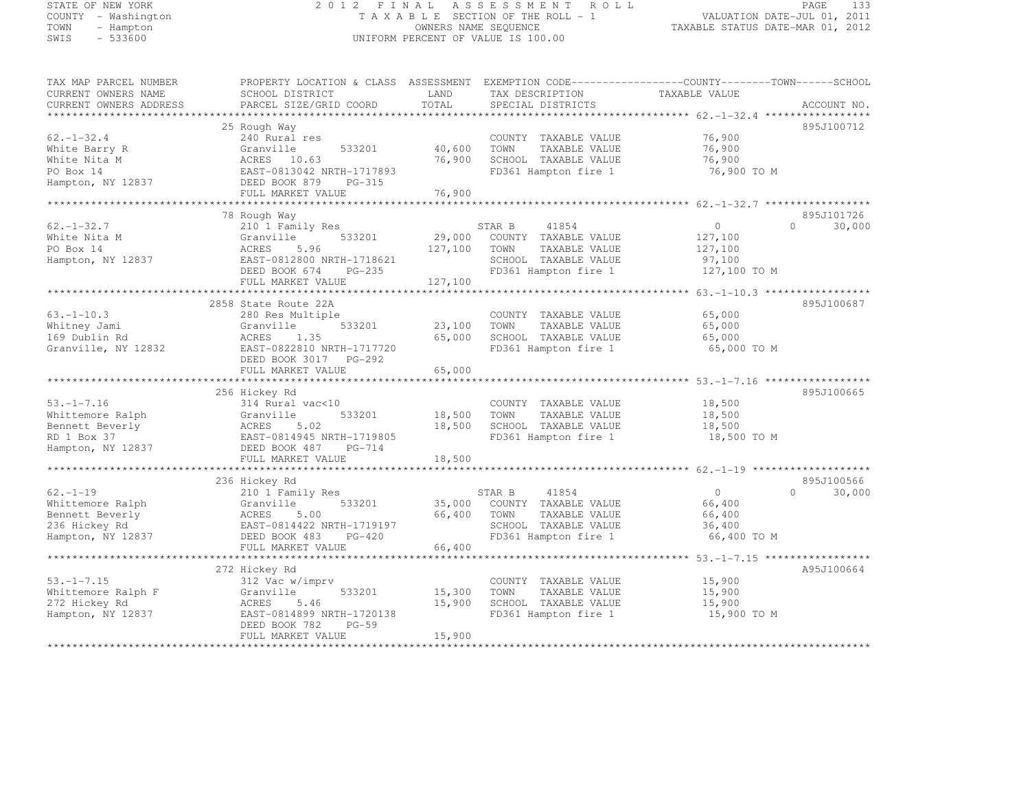#### STATE OF NEW YORK 2 0 1 2 F I N A L A S S E S S M E N T R O L L PAGE <sup>133</sup> COUNTY - Washington T A X A B L E SECTION OF THE ROLL - 1 VALUATION DATE-JUL 01, 2011 TOWN - Hampton OWNERS NAME SEQUENCE TAXABLE STATUS DATE-MAR 01, 2012 SWIS - 533600 UNIFORM PERCENT OF VALUE IS 100.00

| TAX MAP PARCEL NUMBER<br>CURRENT OWNERS NAME<br>CURRENT OWNERS ADDRESS | PROPERTY LOCATION & CLASS ASSESSMENT<br>SCHOOL DISTRICT<br>PARCEL SIZE/GRID COORD | LAND<br>TOTAL | TAX DESCRIPTION<br>SPECIAL DISTRICTS | EXEMPTION CODE-----------------COUNTY-------TOWN------SCHOOL<br>TAXABLE VALUE | ACCOUNT NO. |
|------------------------------------------------------------------------|-----------------------------------------------------------------------------------|---------------|--------------------------------------|-------------------------------------------------------------------------------|-------------|
| ***********************                                                |                                                                                   |               |                                      |                                                                               |             |
|                                                                        | 25 Rough Way                                                                      |               |                                      |                                                                               | 895J100712  |
| $62, -1 - 32.4$                                                        | 240 Rural res                                                                     |               | COUNTY TAXABLE VALUE                 | 76,900                                                                        |             |
| White Barry R                                                          | 533201<br>Granville                                                               | 40,600        | TOWN<br>TAXABLE VALUE                | 76,900                                                                        |             |
| White Nita M                                                           | ACRES 10.63                                                                       | 76,900        | SCHOOL TAXABLE VALUE                 | 76,900                                                                        |             |
| PO Box 14                                                              | EAST-0813042 NRTH-1717893                                                         |               | FD361 Hampton fire 1                 | 76,900 TO M                                                                   |             |
| Hampton, NY 12837                                                      | DEED BOOK 879<br>PG-315                                                           |               |                                      |                                                                               |             |
|                                                                        | FULL MARKET VALUE                                                                 | 76,900        |                                      |                                                                               |             |
|                                                                        | 78 Rough Way                                                                      |               |                                      |                                                                               | 895J101726  |
| $62. - 1 - 32.7$                                                       | 210 1 Family Res                                                                  |               | STAR B<br>41854                      | $\circ$<br>$\cap$                                                             | 30,000      |
| White Nita M                                                           | Granville<br>533201                                                               | 29,000        | COUNTY TAXABLE VALUE                 | 127,100                                                                       |             |
| PO Box 14                                                              | ACRES<br>5.96                                                                     | 127,100       | TOWN<br>TAXABLE VALUE                | 127,100                                                                       |             |
| Hampton, NY 12837                                                      | EAST-0812800 NRTH-1718621                                                         |               | SCHOOL TAXABLE VALUE                 | 97,100                                                                        |             |
|                                                                        | DEED BOOK 674 PG-235                                                              |               | FD361 Hampton fire 1                 | 127,100 TO M                                                                  |             |
|                                                                        | FULL MARKET VALUE                                                                 | 127,100       |                                      |                                                                               |             |
|                                                                        |                                                                                   |               |                                      |                                                                               |             |
|                                                                        | 2858 State Route 22A                                                              |               |                                      |                                                                               | 895J100687  |
| $63, -1 - 10, 3$                                                       | 280 Res Multiple                                                                  |               | COUNTY TAXABLE VALUE                 | 65,000                                                                        |             |
| Whitney Jami                                                           | Granville<br>533201                                                               | 23,100        | TOWN<br>TAXABLE VALUE                | 65,000                                                                        |             |
| 169 Dublin Rd                                                          | ACRES<br>1.35                                                                     | 65,000        | SCHOOL TAXABLE VALUE                 | 65,000                                                                        |             |
| Granville, NY 12832                                                    | EAST-0822810 NRTH-1717720                                                         |               | FD361 Hampton fire 1                 | 65,000 TO M                                                                   |             |
|                                                                        | DEED BOOK 3017 PG-292                                                             |               |                                      |                                                                               |             |
|                                                                        | FULL MARKET VALUE                                                                 | 65,000        |                                      |                                                                               |             |
|                                                                        |                                                                                   |               |                                      |                                                                               |             |
|                                                                        | 256 Hickey Rd                                                                     |               |                                      |                                                                               | 895J100665  |
| $53, -1 - 7, 16$                                                       | 314 Rural vac<10                                                                  |               | COUNTY TAXABLE VALUE                 | 18,500                                                                        |             |
| Whittemore Ralph                                                       | 533201<br>Granville                                                               | 18,500        | TOWN<br>TAXABLE VALUE                | 18,500                                                                        |             |
| Bennett Beverly                                                        | ACRES<br>5.02                                                                     | 18,500        | SCHOOL TAXABLE VALUE                 | 18,500                                                                        |             |
| RD 1 Box 37                                                            | EAST-0814945 NRTH-1719805                                                         |               | FD361 Hampton fire 1                 | 18,500 TO M                                                                   |             |
| Hampton, NY 12837                                                      | DEED BOOK 487 PG-714                                                              |               |                                      |                                                                               |             |
|                                                                        | FULL MARKET VALUE                                                                 | 18,500        |                                      |                                                                               |             |
|                                                                        |                                                                                   |               |                                      |                                                                               |             |
|                                                                        | 236 Hickey Rd                                                                     |               |                                      |                                                                               | 895J100566  |
| $62 - 1 - 19$                                                          | 210 1 Family Res                                                                  |               | 41854<br>STAR B                      | $\circ$<br>$\Omega$                                                           | 30,000      |
| Whittemore Ralph                                                       | 533201<br>Granville                                                               | 35,000        | COUNTY TAXABLE VALUE                 | 66,400                                                                        |             |
| Bennett Beverly                                                        | ACRES<br>5.00                                                                     | 66,400        | TAXABLE VALUE<br>TOWN                | 66,400                                                                        |             |
| 236 Hickey Rd                                                          | EAST-0814422 NRTH-1719197                                                         |               | SCHOOL TAXABLE VALUE                 | 36,400                                                                        |             |
| Hampton, NY 12837                                                      | DEED BOOK 483<br>$PG-420$                                                         |               | FD361 Hampton fire 1                 | 66,400 TO M                                                                   |             |
|                                                                        | FULL MARKET VALUE                                                                 | 66,400        |                                      |                                                                               |             |
|                                                                        | **********************                                                            |               |                                      | ************** 53.-1-7.15 ******************                                  |             |
|                                                                        | 272 Hickey Rd                                                                     |               |                                      |                                                                               | A95J100664  |
| $53. -1 - 7.15$                                                        | 312 Vac w/imprv                                                                   |               | COUNTY TAXABLE VALUE                 | 15,900                                                                        |             |
| Whittemore Ralph F                                                     | Granville<br>533201                                                               | 15,300        | TOWN<br>TAXABLE VALUE                | 15,900                                                                        |             |
| 272 Hickey Rd                                                          | 5.46<br>ACRES                                                                     | 15,900        | SCHOOL TAXABLE VALUE                 | 15,900                                                                        |             |
| Hampton, NY 12837                                                      | EAST-0814899 NRTH-1720138                                                         |               | FD361 Hampton fire 1                 | 15,900 TO M                                                                   |             |
|                                                                        | DEED BOOK 782<br>$PG-59$                                                          |               |                                      |                                                                               |             |
|                                                                        | FULL MARKET VALUE<br>*************************************                        | 15,900        |                                      |                                                                               |             |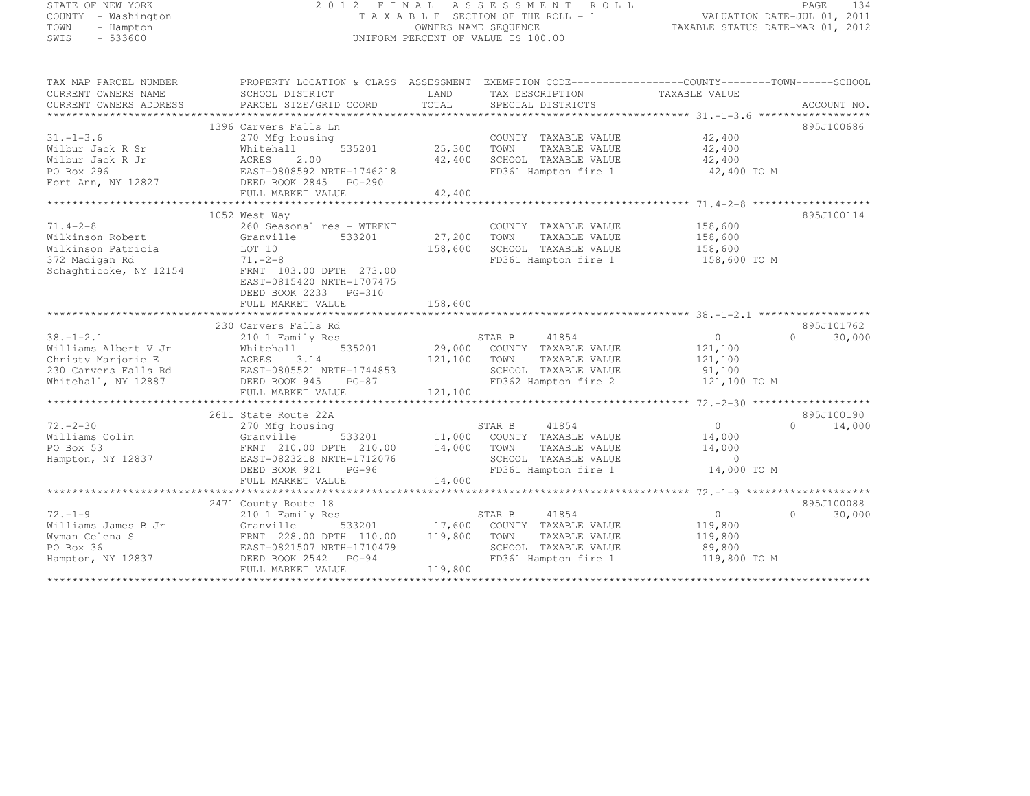## STATE OF NEW YORK 2 0 1 2 F I N A L A S S E S S M E N T R O L L PAGE <sup>134</sup> COUNTY - Washington T A X A B L E SECTION OF THE ROLL - 1 VALUATION DATE-JUL 01, 2011 TOWN - Hampton OWNERS NAME SEQUENCE TAXABLE STATUS DATE-MAR 01, 2012 SWIS - 533600 UNIFORM PERCENT OF VALUE IS 100.00

TAX MAP PARCEL NUMBER PROPERTY LOCATION & CLASS ASSESSMENT EXEMPTION CODE------------------COUNTY--------TOWN------SCHOOL

| CURRENT OWNERS NAME<br>CURRENT OWNERS ADDRESS | SCHOOL DISTRICT<br>PARCEL SIZE/GRID COORD | LAND<br>TOTAL | TAX DESCRIPTION<br>SPECIAL DISTRICTS | TAXABLE VALUE<br>ACCOUNT NO. |        |
|-----------------------------------------------|-------------------------------------------|---------------|--------------------------------------|------------------------------|--------|
|                                               |                                           |               |                                      |                              |        |
|                                               | 1396 Carvers Falls Ln                     |               |                                      | 895J100686                   |        |
| $31. - 1 - 3.6$                               | 270 Mfg housing                           |               | COUNTY TAXABLE VALUE                 | 42,400                       |        |
| Wilbur Jack R Sr                              | 535201<br>Whitehall                       | 25,300        | TOWN<br>TAXABLE VALUE                | 42,400                       |        |
| Wilbur Jack R Jr                              | ACRES<br>2.00                             | 42,400        | SCHOOL TAXABLE VALUE                 | 42,400                       |        |
| PO Box 296                                    | EAST-0808592 NRTH-1746218                 |               | FD361 Hampton fire 1                 | 42,400 TO M                  |        |
| Fort Ann, NY 12827                            | DEED BOOK 2845 PG-290                     |               |                                      |                              |        |
|                                               | FULL MARKET VALUE                         | 42,400        |                                      |                              |        |
|                                               | **************************                | **********    |                                      |                              |        |
|                                               | 1052 West Way                             |               |                                      | 895J100114                   |        |
| $71.4 - 2 - 8$                                | 260 Seasonal res - WTRFNT                 |               | COUNTY TAXABLE VALUE                 | 158,600                      |        |
| Wilkinson Robert                              | Granville<br>533201                       | 27,200        | TOWN<br>TAXABLE VALUE                | 158,600                      |        |
| Wilkinson Patricia                            | LOT 10                                    | 158,600       | SCHOOL TAXABLE VALUE                 | 158,600                      |        |
| 372 Madigan Rd                                | $71. - 2 - 8$                             |               | FD361 Hampton fire 1                 | 158,600 TO M                 |        |
| Schaghticoke, NY 12154                        | FRNT 103.00 DPTH 273.00                   |               |                                      |                              |        |
|                                               | EAST-0815420 NRTH-1707475                 |               |                                      |                              |        |
|                                               | DEED BOOK 2233 PG-310                     |               |                                      |                              |        |
|                                               | FULL MARKET VALUE                         | 158,600       |                                      |                              |        |
|                                               |                                           |               |                                      |                              |        |
|                                               | 230 Carvers Falls Rd                      |               |                                      | 895J101762                   |        |
| $38. - 1 - 2.1$                               | 210 1 Family Res                          |               | STAR B<br>41854                      | $\circ$<br>$\Omega$          | 30,000 |
| Williams Albert V Jr                          | Whitehall<br>535201                       | 29,000        | COUNTY TAXABLE VALUE                 | 121,100                      |        |
| Christy Marjorie E                            | ACRES 3.14                                | 121,100       | TOWN<br>TAXABLE VALUE                | 121,100                      |        |
| 230 Carvers Falls Rd                          | EAST-0805521 NRTH-1744853                 |               | SCHOOL TAXABLE VALUE                 | 91,100                       |        |
| Whitehall, NY 12887                           | DEED BOOK 945<br>$PG-87$                  |               | FD362 Hampton fire 2                 | 121,100 TO M                 |        |
|                                               | FULL MARKET VALUE                         | 121,100       |                                      |                              |        |
|                                               |                                           |               |                                      |                              |        |
|                                               | 2611 State Route 22A                      |               |                                      | 895J100190                   |        |
| $72. - 2 - 30$                                | 270 Mfg housing                           |               | 41854<br>STAR B                      | $\Omega$<br>$\Omega$         | 14,000 |
| Williams Colin                                | Granville<br>533201                       | 11,000        | COUNTY TAXABLE VALUE                 | 14,000                       |        |
| PO Box 53                                     | FRNT 210.00 DPTH 210.00                   | 14,000        | TOWN<br>TAXABLE VALUE                | 14,000                       |        |
| Hampton, NY 12837                             | EAST-0823218 NRTH-1712076                 |               | SCHOOL TAXABLE VALUE                 | $\circ$                      |        |
|                                               | DEED BOOK 921<br>$PG-96$                  |               | FD361 Hampton fire 1                 | 14,000 TO M                  |        |
|                                               | FULL MARKET VALUE                         | 14,000        |                                      |                              |        |
|                                               |                                           |               |                                      |                              |        |
|                                               | 2471 County Route 18                      |               |                                      | 895J100088                   |        |
| $72. - 1 - 9$                                 | 210 1 Family Res                          |               | 41854<br>STAR B                      | $\circ$<br>$\cap$            | 30,000 |
| Williams James B Jr                           | Granville<br>533201                       | 17,600        | COUNTY TAXABLE VALUE                 | 119,800                      |        |
| Wyman Celena S                                | FRNT 228.00 DPTH 110.00                   | 119,800       | TOWN<br>TAXABLE VALUE                | 119,800                      |        |
| PO Box 36                                     | EAST-0821507 NRTH-1710479                 |               | SCHOOL TAXABLE VALUE                 | 89,800                       |        |
| Hampton, NY 12837                             | DEED BOOK 2542 PG-94                      |               | FD361 Hampton fire 1                 | 119,800 TO M                 |        |
|                                               | FULL MARKET VALUE                         | 119,800       |                                      |                              |        |
|                                               |                                           |               |                                      |                              |        |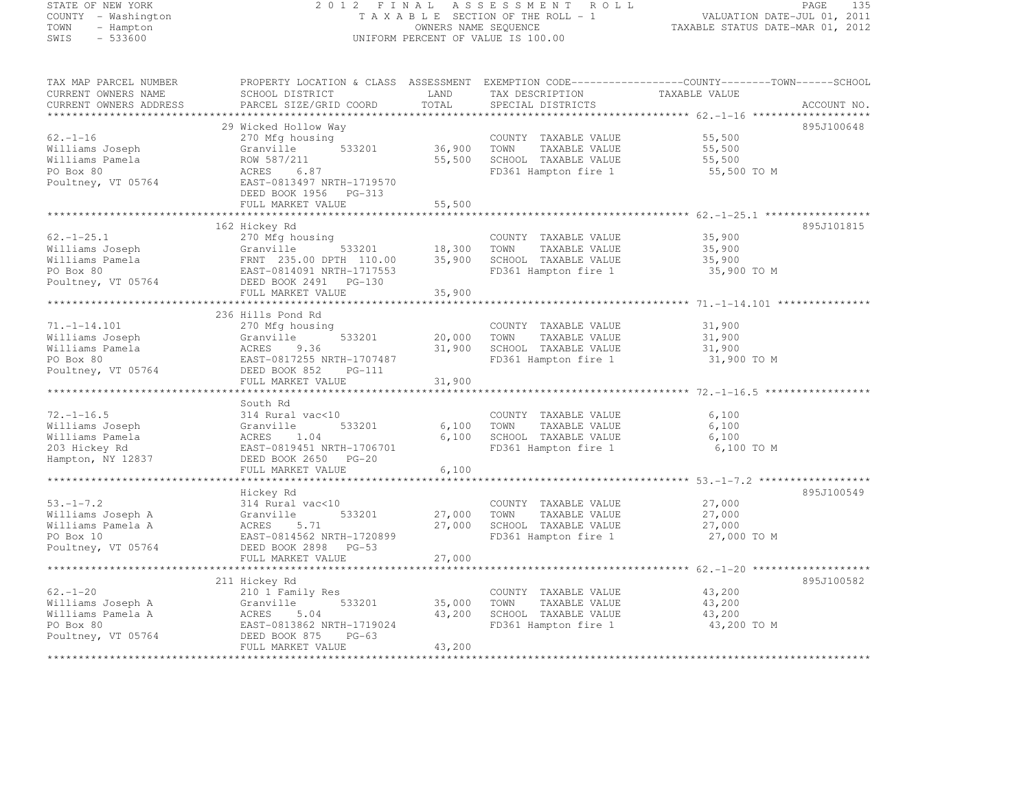#### STATE OF NEW YORK 2 0 1 2 F I N A L A S S E S S M E N T R O L L PAGE <sup>135</sup> COUNTY - Washington T A X A B L E SECTION OF THE ROLL - 1 VALUATION DATE-JUL 01, 2011 TOWN - Hampton OWNERS NAME SEQUENCE TAXABLE STATUS DATE-MAR 01, 2012 SWIS - 533600 UNIFORM PERCENT OF VALUE IS 100.00

| TAX MAP PARCEL NUMBER                         |                                           |               |                                               | PROPERTY LOCATION & CLASS ASSESSMENT EXEMPTION CODE----------------COUNTY-------TOWN------SCHOOL |  |
|-----------------------------------------------|-------------------------------------------|---------------|-----------------------------------------------|--------------------------------------------------------------------------------------------------|--|
| CURRENT OWNERS NAME<br>CURRENT OWNERS ADDRESS | SCHOOL DISTRICT<br>PARCEL SIZE/GRID COORD | LAND<br>TOTAL | TAX DESCRIPTION                               | TAXABLE VALUE                                                                                    |  |
|                                               |                                           |               | SPECIAL DISTRICTS                             | ACCOUNT NO.                                                                                      |  |
|                                               | 29 Wicked Hollow Way                      |               |                                               | 895J100648                                                                                       |  |
| $62. - 1 - 16$                                | 270 Mfg housing                           |               | COUNTY TAXABLE VALUE                          | 55,500                                                                                           |  |
| Williams Joseph                               | Granville<br>533201                       | 36,900        | TAXABLE VALUE<br>TOWN                         | 55,500                                                                                           |  |
| Williams Pamela                               | ROW 587/211                               | 55,500        | SCHOOL TAXABLE VALUE                          | 55,500                                                                                           |  |
| PO Box 80                                     | ACRES<br>6.87                             |               | FD361 Hampton fire 1                          | 55,500 TO M                                                                                      |  |
| Poultney, VT 05764                            | EAST-0813497 NRTH-1719570                 |               |                                               |                                                                                                  |  |
|                                               | DEED BOOK 1956 PG-313                     |               |                                               |                                                                                                  |  |
|                                               | FULL MARKET VALUE                         | 55,500        |                                               |                                                                                                  |  |
|                                               |                                           |               |                                               |                                                                                                  |  |
|                                               | 162 Hickey Rd                             |               |                                               | 895J101815                                                                                       |  |
| $62. - 1 - 25.1$                              | 270 Mfg housing                           |               | COUNTY TAXABLE VALUE                          | 35,900                                                                                           |  |
| Williams Joseph                               | Granville<br>533201                       | 18,300        | TOWN<br>TAXABLE VALUE                         | 35,900                                                                                           |  |
| Williams Pamela                               | FRNT 235.00 DPTH 110.00                   | 35,900        | SCHOOL TAXABLE VALUE                          | 35,900                                                                                           |  |
| PO Box 80                                     | EAST-0814091 NRTH-1717553                 |               | FD361 Hampton fire 1                          | 35,900 TO M                                                                                      |  |
| Poultney, VT 05764                            | DEED BOOK 2491    PG-130                  |               |                                               |                                                                                                  |  |
|                                               | FULL MARKET VALUE                         | 35,900        |                                               |                                                                                                  |  |
|                                               |                                           | ************* |                                               |                                                                                                  |  |
|                                               | 236 Hills Pond Rd                         |               |                                               |                                                                                                  |  |
| $71. - 1 - 14.101$                            | 270 Mfg housing                           |               | COUNTY TAXABLE VALUE                          | 31,900                                                                                           |  |
| Williams Joseph                               | Granville<br>533201                       | 20,000        | TAXABLE VALUE<br>TOWN                         | 31,900                                                                                           |  |
| Williams Pamela                               | ACRES<br>9.36                             | 31,900        | SCHOOL TAXABLE VALUE                          | 31,900                                                                                           |  |
| PO Box 80                                     | EAST-0817255 NRTH-1707487                 |               | FD361 Hampton fire 1                          | 31,900 TO M                                                                                      |  |
| Poultney, VT 05764                            | DEED BOOK 852<br>$PG-111$                 |               |                                               |                                                                                                  |  |
|                                               | FULL MARKET VALUE                         | 31,900        |                                               |                                                                                                  |  |
|                                               |                                           |               |                                               |                                                                                                  |  |
| $72, -1 - 16.5$                               | South Rd<br>314 Rural vac<10              |               |                                               |                                                                                                  |  |
| Williams Joseph                               | 533201<br>Granville                       | 6,100         | COUNTY TAXABLE VALUE<br>TOWN<br>TAXABLE VALUE | 6,100<br>6,100                                                                                   |  |
| Williams Pamela                               | ACRES<br>1.04                             | 6,100         | SCHOOL TAXABLE VALUE                          | 6,100                                                                                            |  |
| 203 Hickey Rd                                 | EAST-0819451 NRTH-1706701                 |               | FD361 Hampton fire 1                          | 6,100 TO M                                                                                       |  |
| Hampton, NY 12837                             | DEED BOOK 2650 PG-20                      |               |                                               |                                                                                                  |  |
|                                               | FULL MARKET VALUE                         | 6,100         |                                               |                                                                                                  |  |
|                                               |                                           |               |                                               |                                                                                                  |  |
|                                               | Hickey Rd                                 |               |                                               | 895J100549                                                                                       |  |
| $53. - 1 - 7.2$                               | 314 Rural vac<10                          |               | COUNTY TAXABLE VALUE                          | 27,000                                                                                           |  |
| Williams Joseph A                             | 533201<br>Granville                       | 27,000        | TOWN<br>TAXABLE VALUE                         | 27,000                                                                                           |  |
| Williams Pamela A                             | ACRES<br>5.71                             | 27,000        | SCHOOL TAXABLE VALUE                          | 27,000                                                                                           |  |
| PO Box 10                                     | EAST-0814562 NRTH-1720899                 |               | FD361 Hampton fire 1                          | 27,000 TO M                                                                                      |  |
| Poultney, VT 05764                            | DEED BOOK 2898 PG-53                      |               |                                               |                                                                                                  |  |
|                                               | FULL MARKET VALUE                         | 27,000        |                                               |                                                                                                  |  |
|                                               |                                           |               |                                               |                                                                                                  |  |
|                                               | 211 Hickey Rd                             |               |                                               | 895J100582                                                                                       |  |
| $62. - 1 - 20$                                | 210 1 Family Res                          |               | COUNTY TAXABLE VALUE                          | 43,200                                                                                           |  |
| Williams Joseph A                             | 533201<br>Granville                       | 35,000        | TOWN<br>TAXABLE VALUE                         | 43,200                                                                                           |  |
| Williams Pamela A                             | ACRES<br>5.04                             | 43,200        | SCHOOL TAXABLE VALUE                          | 43,200                                                                                           |  |
| PO Box 80                                     | EAST-0813862 NRTH-1719024                 |               | FD361 Hampton fire 1                          | 43,200 TO M                                                                                      |  |
| Poultney, VT 05764                            | DEED BOOK 875<br>$PG-63$                  |               |                                               |                                                                                                  |  |
|                                               | FULL MARKET VALUE                         | 43,200        |                                               |                                                                                                  |  |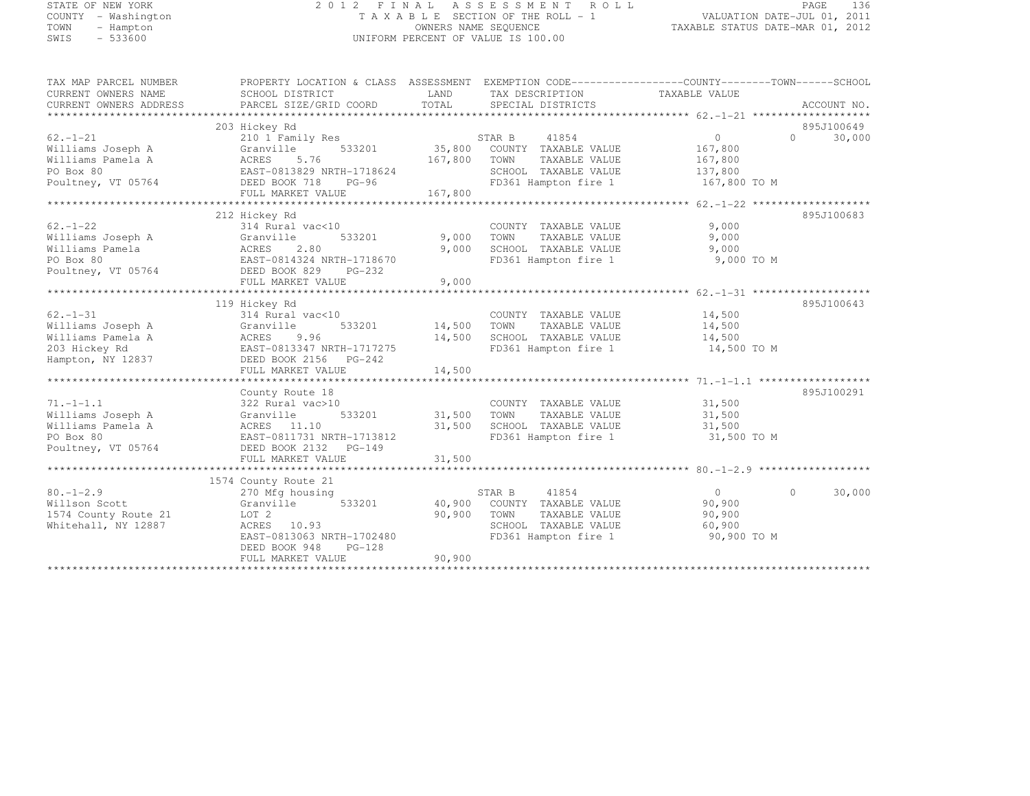## STATE OF NEW YORK 2 0 1 2 F I N A L A S S E S S M E N T R O L L PAGE <sup>136</sup> COUNTY - Washington T A X A B L E SECTION OF THE ROLL - 1 VALUATION DATE-JUL 01, 2011 TOWN - Hampton OWNERS NAME SEQUENCE TAXABLE STATUS DATE-MAR 01, 2012 SWIS - 533600 UNIFORM PERCENT OF VALUE IS 100.00

| TAX MAP PARCEL NUMBER<br>CURRENT OWNERS NAME<br>CURRENT OWNERS ADDRESS | PROPERTY LOCATION & CLASS ASSESSMENT EXEMPTION CODE-----------------COUNTY-------TOWN-----SCHOOL<br>SCHOOL DISTRICT<br>PARCEL SIZE/GRID COORD | LAND<br>TOTAL | TAX DESCRIPTION TAXABLE VALUE<br>SPECIAL DISTRICTS |                | ACCOUNT NO.        |
|------------------------------------------------------------------------|-----------------------------------------------------------------------------------------------------------------------------------------------|---------------|----------------------------------------------------|----------------|--------------------|
|                                                                        |                                                                                                                                               |               |                                                    |                |                    |
|                                                                        | 203 Hickey Rd                                                                                                                                 |               |                                                    |                | 895J100649         |
| $62. - 1 - 21$                                                         | 210 1 Family Res                                                                                                                              |               | STAR B<br>41854                                    | $\overline{0}$ | $\Omega$<br>30,000 |
| Williams Joseph A                                                      | 533201<br>Granville                                                                                                                           | 35,800        | COUNTY TAXABLE VALUE                               | 167,800        |                    |
| Williams Pamela A                                                      | ACRES<br>5.76                                                                                                                                 | 167,800       | TOWN<br>TAXABLE VALUE                              | 167,800        |                    |
| PO Box 80                                                              | EAST-0813829 NRTH-1718624                                                                                                                     |               | SCHOOL TAXABLE VALUE                               | 137,800        |                    |
| Poultney, VT 05764                                                     | DEED BOOK 718<br>$PG-96$                                                                                                                      |               | FD361 Hampton fire 1                               | 167,800 TO M   |                    |
|                                                                        | FULL MARKET VALUE                                                                                                                             | 167,800       |                                                    |                |                    |
|                                                                        |                                                                                                                                               |               |                                                    |                |                    |
|                                                                        | 212 Hickey Rd                                                                                                                                 |               |                                                    |                | 895J100683         |
| $62 - 1 - 22$                                                          | 314 Rural vac<10                                                                                                                              |               | COUNTY TAXABLE VALUE                               | 9,000          |                    |
| Williams Joseph A                                                      | 533201<br>Granville                                                                                                                           | 9,000         | TOWN<br>TAXABLE VALUE                              | 9,000          |                    |
| Williams Pamela                                                        | ACRES<br>2.80                                                                                                                                 | 9,000         | SCHOOL TAXABLE VALUE                               | 9,000          |                    |
| PO Box 80                                                              | EAST-0814324 NRTH-1718670                                                                                                                     |               | FD361 Hampton fire 1                               | 9,000 TO M     |                    |
| Poultney, VT 05764                                                     | DEED BOOK 829 PG-232                                                                                                                          |               |                                                    |                |                    |
|                                                                        | FULL MARKET VALUE                                                                                                                             | 9,000         |                                                    |                |                    |
|                                                                        |                                                                                                                                               |               |                                                    |                |                    |
|                                                                        |                                                                                                                                               |               |                                                    |                |                    |
|                                                                        | 119 Hickey Rd                                                                                                                                 |               |                                                    |                | 895J100643         |
| $62. - 1 - 31$                                                         | 314 Rural vac<10                                                                                                                              |               | COUNTY TAXABLE VALUE                               | 14,500         |                    |
| Williams Joseph A                                                      | 533201<br>Granville                                                                                                                           | 14,500        | TOWN<br>TAXABLE VALUE                              | 14,500         |                    |
| Williams Pamela A                                                      | 9.96<br>ACRES                                                                                                                                 | 14,500        | SCHOOL TAXABLE VALUE                               | 14,500         |                    |
| 203 Hickey Rd                                                          | EAST-0813347 NRTH-1717275                                                                                                                     |               | FD361 Hampton fire 1                               | 14,500 TO M    |                    |
| Hampton, NY 12837                                                      | DEED BOOK 2156 PG-242                                                                                                                         |               |                                                    |                |                    |
|                                                                        | FULL MARKET VALUE                                                                                                                             | 14,500        |                                                    |                |                    |
|                                                                        |                                                                                                                                               |               |                                                    |                |                    |
|                                                                        | County Route 18                                                                                                                               |               |                                                    |                | 895J100291         |
| $71. - 1 - 1.1$                                                        | 322 Rural vac>10                                                                                                                              |               | COUNTY TAXABLE VALUE                               | 31,500         |                    |
| Williams Joseph A                                                      | Granville<br>533201                                                                                                                           | 31,500        | TOWN<br>TAXABLE VALUE                              | 31,500         |                    |
| Williams Pamela A                                                      | ACRES 11.10                                                                                                                                   | 31,500        | SCHOOL TAXABLE VALUE                               | 31,500         |                    |
| PO Box 80                                                              | EAST-0811731 NRTH-1713812                                                                                                                     |               | FD361 Hampton fire 1                               | 31,500 TO M    |                    |
| Poultney, VT 05764                                                     | DEED BOOK 2132 PG-149                                                                                                                         |               |                                                    |                |                    |
|                                                                        | FULL MARKET VALUE                                                                                                                             | 31,500        |                                                    |                |                    |
|                                                                        |                                                                                                                                               |               |                                                    |                |                    |
|                                                                        | 1574 County Route 21                                                                                                                          |               |                                                    |                |                    |
| $80. - 1 - 2.9$                                                        | 270 Mfg housing                                                                                                                               |               | STAR B<br>41854                                    | $\Omega$       | $\circ$<br>30,000  |
| Willson Scott                                                          | 533201<br>Granville                                                                                                                           |               | 40,900 COUNTY TAXABLE VALUE                        | 90,900         |                    |
| 1574 County Route 21                                                   | LOT 2                                                                                                                                         | 90,900        | TOWN<br>TAXABLE VALUE                              | 90,900         |                    |
| Whitehall, NY 12887                                                    | ACRES 10.93                                                                                                                                   |               | SCHOOL TAXABLE VALUE                               | 60,900         |                    |
|                                                                        | EAST-0813063 NRTH-1702480                                                                                                                     |               | FD361 Hampton fire 1                               | 90,900 TO M    |                    |
|                                                                        | DEED BOOK 948<br>$PG-128$                                                                                                                     |               |                                                    |                |                    |
|                                                                        | FULL MARKET VALUE                                                                                                                             | 90,900        |                                                    |                |                    |
|                                                                        |                                                                                                                                               |               |                                                    |                |                    |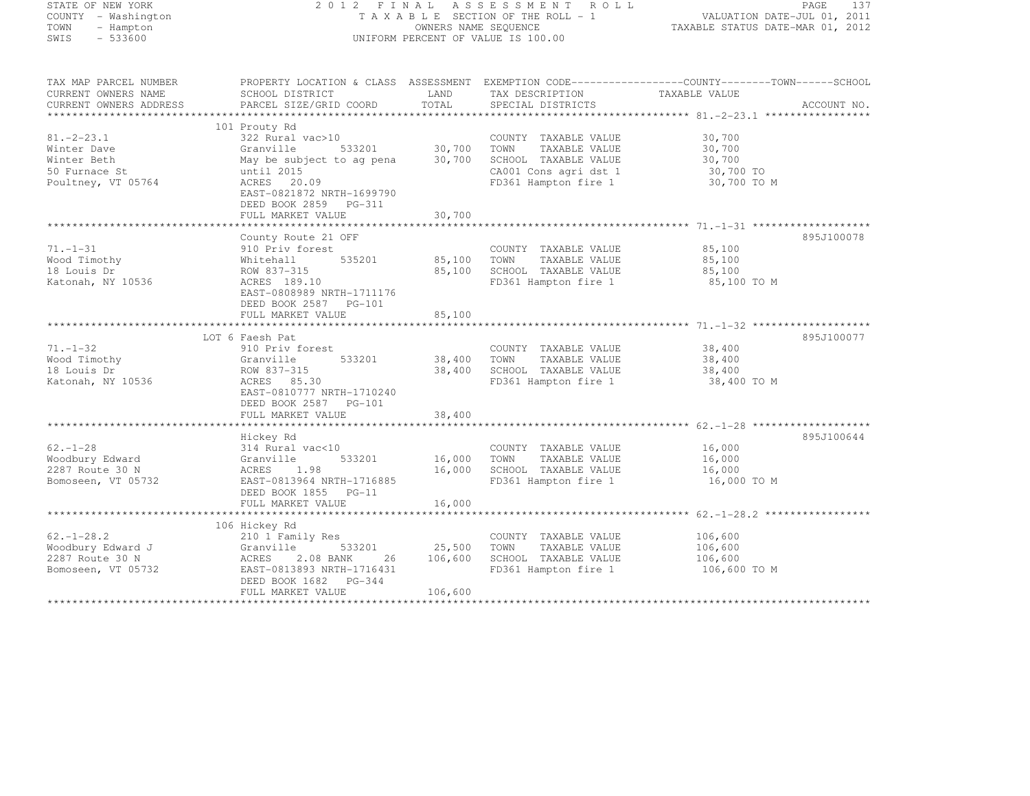STATE OF NEW YORK 2 0 1 2 F I N A L A S S E S S M E N T R O L L PAGE <sup>137</sup> COUNTY - Washington T A X A B L E SECTION OF THE ROLL - 1 VALUATION DATE-JUL 01, 2011 TOWN - Hampton OWNERS NAME SEQUENCE TAXABLE STATUS DATE-MAR 01, 2012 SWIS - 533600 UNIFORM PERCENT OF VALUE IS 100.00

| TAX MAP PARCEL NUMBER<br>CURRENT OWNERS NAME<br>CURRENT OWNERS ADDRESS                | PROPERTY LOCATION & CLASS ASSESSMENT EXEMPTION CODE----------------COUNTY-------TOWN------SCHOOL<br>SCHOOL DISTRICT<br>PARCEL SIZE/GRID COORD                                                 | LAND<br>TOTAL              | TAX DESCRIPTION<br>SPECIAL DISTRICTS                                                                                   | TAXABLE VALUE                                          | ACCOUNT NO. |
|---------------------------------------------------------------------------------------|-----------------------------------------------------------------------------------------------------------------------------------------------------------------------------------------------|----------------------------|------------------------------------------------------------------------------------------------------------------------|--------------------------------------------------------|-------------|
|                                                                                       |                                                                                                                                                                                               |                            |                                                                                                                        |                                                        |             |
| $81, -2 - 23, 1$<br>Winter Dave<br>Winter Beth<br>50 Furnace St<br>Poultney, VT 05764 | 101 Prouty Rd<br>322 Rural vac>10<br>Granville<br>533201<br>May be subject to ag pena<br>until 2015<br>ACRES 20.09<br>EAST-0821872 NRTH-1699790<br>DEED BOOK 2859 PG-311<br>FULL MARKET VALUE | 30,700<br>30,700<br>30,700 | COUNTY TAXABLE VALUE<br>TOWN<br>TAXABLE VALUE<br>SCHOOL TAXABLE VALUE<br>CA001 Cons agri dst 1<br>FD361 Hampton fire 1 | 30,700<br>30,700<br>30,700<br>30,700 TO<br>30,700 TO M |             |
|                                                                                       |                                                                                                                                                                                               |                            |                                                                                                                        |                                                        |             |
| $71. - 1 - 31$<br>Wood Timothy<br>18 Louis Dr<br>Katonah, NY 10536                    | County Route 21 OFF<br>910 Priv forest<br>535201<br>Whitehall<br>ROW 837-315<br>ACRES 189.10<br>EAST-0808989 NRTH-1711176<br>DEED BOOK 2587 PG-101                                            | 85,100<br>85,100           | COUNTY TAXABLE VALUE<br>TOWN<br>TAXABLE VALUE<br>SCHOOL TAXABLE VALUE<br>FD361 Hampton fire 1                          | 85,100<br>85,100<br>85,100<br>85,100 TO M              | 895J100078  |
|                                                                                       | FULL MARKET VALUE                                                                                                                                                                             | 85,100                     |                                                                                                                        |                                                        |             |
|                                                                                       | LOT 6 Faesh Pat                                                                                                                                                                               |                            |                                                                                                                        |                                                        | 895J100077  |
| $71. - 1 - 32$<br>Wood Timothy<br>18 Louis Dr<br>Katonah, NY 10536                    | 910 Priv forest<br>533201<br>Granville<br>ROW 837-315<br>ACRES 85.30<br>EAST-0810777 NRTH-1710240<br>DEED BOOK 2587 PG-101                                                                    | 38,400<br>38,400           | COUNTY TAXABLE VALUE<br>TOWN<br>TAXABLE VALUE<br>SCHOOL TAXABLE VALUE<br>FD361 Hampton fire 1                          | 38,400<br>38,400<br>38,400<br>38,400 TO M              |             |
|                                                                                       | FULL MARKET VALUE                                                                                                                                                                             | 38,400                     |                                                                                                                        |                                                        |             |
|                                                                                       | Hickey Rd                                                                                                                                                                                     |                            |                                                                                                                        |                                                        | 895J100644  |
| $62 - 1 - 28$<br>Woodbury Edward<br>2287 Route 30 N<br>Bomoseen, VT 05732             | 314 Rural vac<10<br>Granville<br>533201<br>ACRES 1.98<br>EAST-0813964 NRTH-1716885<br>DEED BOOK 1855 PG-11<br>FULL MARKET VALUE                                                               | 16,000<br>16,000<br>16,000 | COUNTY TAXABLE VALUE<br>TOWN<br>TAXABLE VALUE<br>SCHOOL TAXABLE VALUE<br>FD361 Hampton fire 1                          | 16,000<br>16,000<br>16,000<br>16,000 TO M              |             |
|                                                                                       |                                                                                                                                                                                               |                            |                                                                                                                        |                                                        |             |
| $62. - 1 - 28.2$<br>Woodbury Edward J<br>2287 Route 30 N<br>Bomoseen, VT 05732        | 106 Hickey Rd<br>210 1 Family Res<br>Granville<br>533201<br>ACRES<br>2.08 BANK<br>26<br>EAST-0813893 NRTH-1716431<br>DEED BOOK 1682 PG-344                                                    | 25,500<br>106,600          | COUNTY TAXABLE VALUE<br>TAXABLE VALUE<br>TOWN<br>SCHOOL TAXABLE VALUE<br>FD361 Hampton fire 1                          | 106,600<br>106,600<br>106,600<br>106,600 TO M          |             |
|                                                                                       | FULL MARKET VALUE                                                                                                                                                                             | 106,600                    |                                                                                                                        |                                                        |             |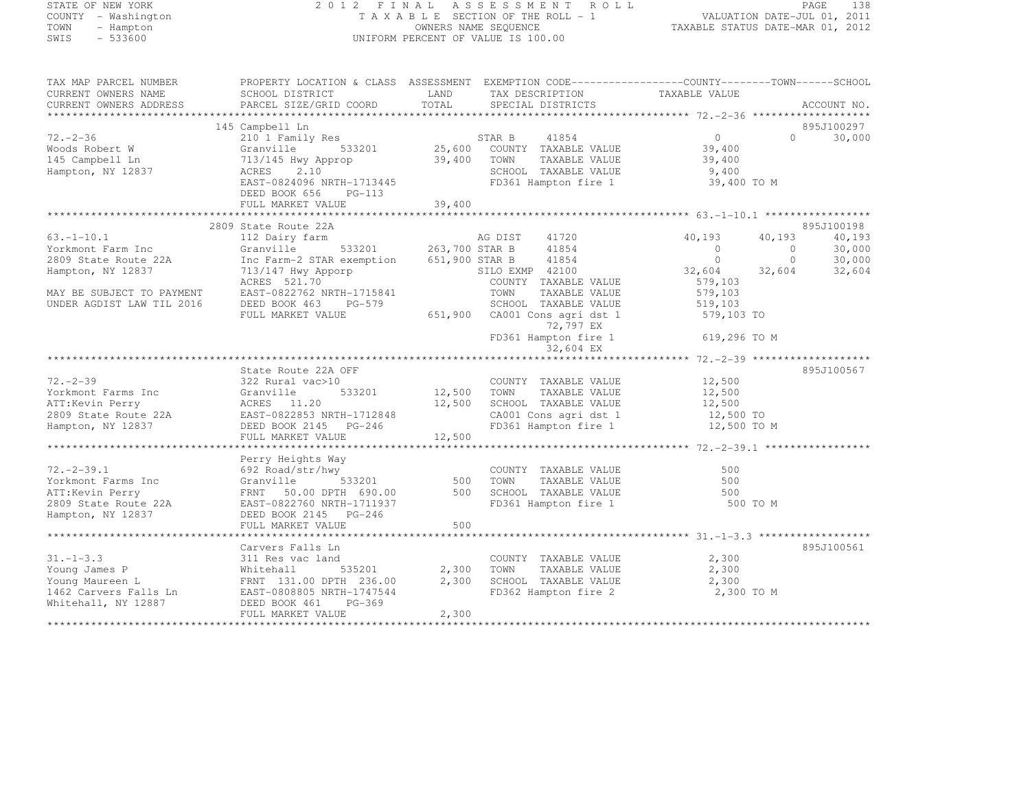#### STATE OF NEW YORK 2 0 1 2 F I N A L A S S E S S M E N T R O L L PAGE <sup>138</sup> COUNTY - Washington T A X A B L E SECTION OF THE ROLL - 1 VALUATION DATE-JUL 01, 2011 TOWN - Hampton OWNERS NAME SEQUENCE TAXABLE STATUS DATE-MAR 01, 2012 SWIS - 533600 UNIFORM PERCENT OF VALUE IS 100.00

| TAX MAP PARCEL NUMBER                                                                                                                                                                                                                | PROPERTY LOCATION & CLASS ASSESSMENT EXEMPTION CODE-----------------COUNTY-------TOWN------SCHOOL                                                                                                                                         |       |                                                               |                                                                                                                   |                   |            |
|--------------------------------------------------------------------------------------------------------------------------------------------------------------------------------------------------------------------------------------|-------------------------------------------------------------------------------------------------------------------------------------------------------------------------------------------------------------------------------------------|-------|---------------------------------------------------------------|-------------------------------------------------------------------------------------------------------------------|-------------------|------------|
| CURRENT OWNERS NAME SCHOOL DISTRICT LAND TAX DESCRIPTION TAXABLE VALUE<br>CURRENT OWNERS ADDRESS PARCEL SIZE/GRID COORD TOTAL SPECIAL DISTRICTS 71 AVABLE VALUE ACCOUNT NO.                                                          |                                                                                                                                                                                                                                           |       |                                                               |                                                                                                                   |                   |            |
|                                                                                                                                                                                                                                      |                                                                                                                                                                                                                                           |       |                                                               |                                                                                                                   |                   |            |
|                                                                                                                                                                                                                                      |                                                                                                                                                                                                                                           |       |                                                               |                                                                                                                   |                   |            |
|                                                                                                                                                                                                                                      | 145 Campbell Ln                                                                                                                                                                                                                           |       |                                                               |                                                                                                                   |                   | 895J100297 |
| $72. - 2 - 36$<br>/2.-2-36<br>Woods Robert W<br>145 Campbell Ln<br>Hampton, NY 12837                                                                                                                                                 | 210 I Family Res<br>Granville 533201 25,600 COUNTY TAXABLE VALUE                                                                                                                                                                          |       |                                                               | $\begin{smallmatrix}0\ 39,400\end{smallmatrix}$                                                                   | $0 \qquad \qquad$ | 30,000     |
|                                                                                                                                                                                                                                      |                                                                                                                                                                                                                                           |       |                                                               |                                                                                                                   |                   |            |
|                                                                                                                                                                                                                                      |                                                                                                                                                                                                                                           |       |                                                               |                                                                                                                   |                   |            |
|                                                                                                                                                                                                                                      |                                                                                                                                                                                                                                           |       |                                                               |                                                                                                                   |                   |            |
|                                                                                                                                                                                                                                      | 13/145 Hwy Approp<br>13/145 Hwy Approp<br>29,400 TOWN TAXABLE VALUE<br>CHOOL TAXABLE VALUE<br>EAST-0824096 NRTH-1713445<br>EAST-0824096 NRTH-1713445<br>FD361 Hampton fire 1 39,400 TO M                                                  |       |                                                               |                                                                                                                   |                   |            |
|                                                                                                                                                                                                                                      | DEED BOOK 656 PG-113                                                                                                                                                                                                                      |       |                                                               |                                                                                                                   |                   |            |
|                                                                                                                                                                                                                                      |                                                                                                                                                                                                                                           |       |                                                               |                                                                                                                   |                   |            |
|                                                                                                                                                                                                                                      |                                                                                                                                                                                                                                           |       |                                                               |                                                                                                                   |                   |            |
|                                                                                                                                                                                                                                      | 2809 State Route 22A                                                                                                                                                                                                                      |       |                                                               |                                                                                                                   |                   | 895J100198 |
| $63, -1 - 10, 1$                                                                                                                                                                                                                     |                                                                                                                                                                                                                                           |       |                                                               | 40,193                                                                                                            | 40,193            | 40,193     |
| Yorkmont Farm Inc                                                                                                                                                                                                                    |                                                                                                                                                                                                                                           |       |                                                               | $\begin{array}{cccc} 10,133 & 40,139 \\ 0 & 0 & 30,000 \\ 0 & 0 & 30,000 \\ 32,604 & 32,604 & 32,604 \end{array}$ |                   |            |
| 2809 State Route 22A                                                                                                                                                                                                                 | Inc Farm-2 STAR exemption 651,900 STAR B 41854                                                                                                                                                                                            |       |                                                               |                                                                                                                   |                   |            |
| Hampton, NY 12837                                                                                                                                                                                                                    | 713/147 Hwy Apporp<br>ACRES 521.70 COUNTY TAXABLE VALUE                                                                                                                                                                                   |       |                                                               |                                                                                                                   |                   |            |
|                                                                                                                                                                                                                                      |                                                                                                                                                                                                                                           |       |                                                               |                                                                                                                   |                   |            |
| MAY BE SUBJECT TO PAYMENT                                                                                                                                                                                                            |                                                                                                                                                                                                                                           |       |                                                               |                                                                                                                   |                   |            |
| UNDER AGDIST LAW TIL 2016                                                                                                                                                                                                            |                                                                                                                                                                                                                                           |       |                                                               |                                                                                                                   |                   |            |
|                                                                                                                                                                                                                                      |                                                                                                                                                                                                                                           |       |                                                               |                                                                                                                   |                   |            |
|                                                                                                                                                                                                                                      |                                                                                                                                                                                                                                           |       |                                                               |                                                                                                                   |                   |            |
|                                                                                                                                                                                                                                      |                                                                                                                                                                                                                                           |       |                                                               |                                                                                                                   |                   |            |
|                                                                                                                                                                                                                                      | 713/14/ Hwy Apply F<br>ACRES 521.70<br>EAST-0822762 NRTH-1715841<br>DEED BOOK 463 PG-579<br>FULL MARKET VALUE 651,900 CA001 Cons agri dst 1 579,103 TO<br>FULL MARKET VALUE 651,900 CA001 Cons agri dst 1 579,103 TO<br>FD361 Hampton fir |       |                                                               |                                                                                                                   |                   |            |
|                                                                                                                                                                                                                                      |                                                                                                                                                                                                                                           |       |                                                               |                                                                                                                   |                   |            |
|                                                                                                                                                                                                                                      | State Route 22A OFF                                                                                                                                                                                                                       |       |                                                               |                                                                                                                   |                   | 895J100567 |
| $72. - 2 - 39$                                                                                                                                                                                                                       | 322 Rural vac>10                                                                                                                                                                                                                          |       | COUNTY TAXABLE VALUE 12,500                                   |                                                                                                                   |                   |            |
|                                                                                                                                                                                                                                      |                                                                                                                                                                                                                                           |       |                                                               |                                                                                                                   |                   |            |
|                                                                                                                                                                                                                                      |                                                                                                                                                                                                                                           |       |                                                               |                                                                                                                   |                   |            |
| Verkmont Farms Inc (Cranville 12,500 FONN TAXABLE VALUE<br>ATT:Kevin Perry (CRES 11.20 12,500 SCHOOL TAXABLE VALUE 12,500<br>2809 State Route 22A EAST-0822853 NRTH-1712848 CA001 Cons agri dst 1 12,500 TOWN TAXABLE VALUE 12,500   |                                                                                                                                                                                                                                           |       |                                                               |                                                                                                                   |                   |            |
|                                                                                                                                                                                                                                      |                                                                                                                                                                                                                                           |       |                                                               |                                                                                                                   |                   |            |
|                                                                                                                                                                                                                                      |                                                                                                                                                                                                                                           |       |                                                               |                                                                                                                   |                   |            |
|                                                                                                                                                                                                                                      |                                                                                                                                                                                                                                           |       |                                                               |                                                                                                                   |                   |            |
| 72.-2-39.1 692 Road/str/hwy<br>Yorkmont Farms Inc Granville 533201 500 TOWN TAXABLE VALUE 500<br>ATT:Kevin Perry FRNT 50.00 DPTH 690.00 500 SCHOOL TAXABLE VALUE 500<br>2809 State Route 22A EAST-0822760 NRTH-1711937 FD361 Hampton | Perry Heights Way                                                                                                                                                                                                                         |       |                                                               |                                                                                                                   |                   |            |
|                                                                                                                                                                                                                                      |                                                                                                                                                                                                                                           |       |                                                               |                                                                                                                   |                   |            |
|                                                                                                                                                                                                                                      |                                                                                                                                                                                                                                           |       |                                                               |                                                                                                                   |                   |            |
|                                                                                                                                                                                                                                      |                                                                                                                                                                                                                                           |       |                                                               |                                                                                                                   |                   |            |
|                                                                                                                                                                                                                                      |                                                                                                                                                                                                                                           |       |                                                               |                                                                                                                   |                   |            |
|                                                                                                                                                                                                                                      |                                                                                                                                                                                                                                           |       |                                                               |                                                                                                                   |                   |            |
|                                                                                                                                                                                                                                      | FULL MARKET VALUE                                                                                                                                                                                                                         | 500   |                                                               |                                                                                                                   |                   |            |
|                                                                                                                                                                                                                                      |                                                                                                                                                                                                                                           |       |                                                               |                                                                                                                   |                   |            |
|                                                                                                                                                                                                                                      | Carvers Falls Ln                                                                                                                                                                                                                          |       |                                                               |                                                                                                                   |                   | 895J100561 |
| $31. - 1 - 3.3$                                                                                                                                                                                                                      | 311 Res vac land                                                                                                                                                                                                                          |       | COUNTY TAXABLE VALUE 2,300                                    |                                                                                                                   |                   |            |
|                                                                                                                                                                                                                                      |                                                                                                                                                                                                                                           |       | TAXABLE VALUE 2,300                                           |                                                                                                                   |                   |            |
|                                                                                                                                                                                                                                      |                                                                                                                                                                                                                                           |       | 2,300 SCHOOL TAXABLE VALUE<br>FD362 Hampton fire 2 2,300 TO M | 2,300                                                                                                             |                   |            |
|                                                                                                                                                                                                                                      |                                                                                                                                                                                                                                           |       |                                                               |                                                                                                                   |                   |            |
|                                                                                                                                                                                                                                      | FULL MARKET VALUE                                                                                                                                                                                                                         | 2,300 |                                                               |                                                                                                                   |                   |            |
|                                                                                                                                                                                                                                      |                                                                                                                                                                                                                                           |       |                                                               |                                                                                                                   |                   |            |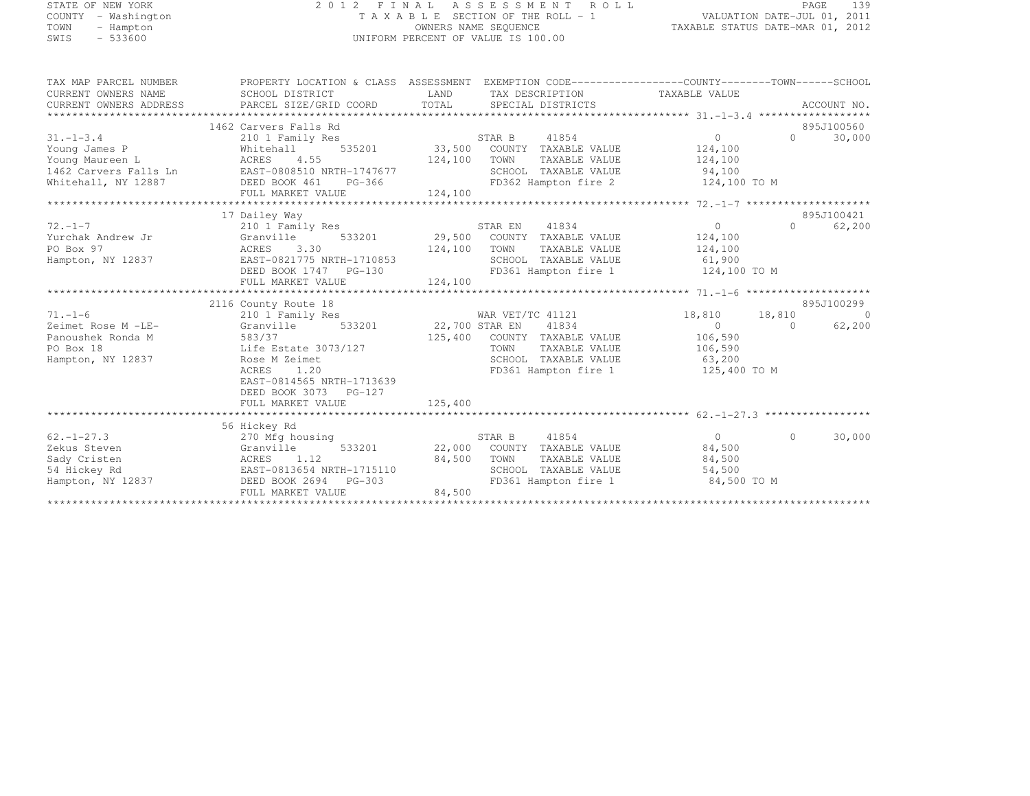## STATE OF NEW YORK 2 0 1 2 F I N A L A S S E S S M E N T R O L L PAGE <sup>139</sup> COUNTY - Washington T A X A B L E SECTION OF THE ROLL - 1 VALUATION DATE-JUL 01, 2011 TOWN - Hampton OWNERS NAME SEQUENCE TAXABLE STATUS DATE-MAR 01, 2012 SWIS - 533600 UNIFORM PERCENT OF VALUE IS 100.00

| TAX MAP PARCEL NUMBER                                                                                                                                                                                                                                                                                                                                                                                                                                        | PROPERTY LOCATION & CLASS ASSESSMENT EXEMPTION CODE---------------COUNTY-------TOWN-----SCHOOL |                                       |                                                                   |                       |           |                |
|--------------------------------------------------------------------------------------------------------------------------------------------------------------------------------------------------------------------------------------------------------------------------------------------------------------------------------------------------------------------------------------------------------------------------------------------------------------|------------------------------------------------------------------------------------------------|---------------------------------------|-------------------------------------------------------------------|-----------------------|-----------|----------------|
| CURRENT OWNERS NAME                                                                                                                                                                                                                                                                                                                                                                                                                                          | SCHOOL DISTRICT                                                                                | LAND<br>TAX DESCRIPTION TAXABLE VALUE |                                                                   |                       |           |                |
| $\begin{minipage}{0.5cm} \begin{minipage}{0.5cm} \begin{minipage}{0.5cm} \begin{minipage}{0.5cm} \begin{minipage}{0.5cm} \begin{minipage}{0.5cm} \begin{minipage}{0.5cm} \begin{minipage}{0.5cm} \begin{minipage}{0.5cm} \begin{minipage}{0.5cm} \begin{minipage}{0.5cm} \begin{minipage}{0.5cm} \begin{minipage}{0.5cm} \begin{minipage}{0.5cm} \begin{minipage}{0.5cm} \begin{minipage}{0.5cm} \begin{minipage}{0.5cm} \begin{minipage}{0.5cm} \begin{min$ |                                                                                                |                                       |                                                                   |                       |           |                |
|                                                                                                                                                                                                                                                                                                                                                                                                                                                              |                                                                                                |                                       |                                                                   |                       |           |                |
|                                                                                                                                                                                                                                                                                                                                                                                                                                                              | 1462 Carvers Falls Rd                                                                          |                                       |                                                                   |                       |           | 895J100560     |
| $31. - 1 - 3.4$                                                                                                                                                                                                                                                                                                                                                                                                                                              | 210 1 Family Res                                                                               |                                       | 535201 535,500 STAR B 41854<br>535201 33,500 COUNTY TAXABLE VALUE | $\overline{0}$        | $\cap$    | 30,000         |
| Young James P                                                                                                                                                                                                                                                                                                                                                                                                                                                | Whitehall                                                                                      |                                       |                                                                   | 124,100               |           |                |
| Young Maureen L                                                                                                                                                                                                                                                                                                                                                                                                                                              | ACRES 4.55                                                                                     | 124,100 TOWN                          | TAXABLE VALUE                                                     | 124,100               |           |                |
| 1462 Carvers Falls Ln EAST-0808510 NRTH-1747677                                                                                                                                                                                                                                                                                                                                                                                                              |                                                                                                |                                       | SCHOOL TAXABLE VALUE 94,100                                       |                       |           |                |
| Whitehall, NY 12887                                                                                                                                                                                                                                                                                                                                                                                                                                          | DEED BOOK 461 PG-366                                                                           |                                       | FD362 Hampton fire 2 124,100 TO M                                 |                       |           |                |
| ${\small \newline \text{FULL} \text{} \text{MARKET} \text{} \text{VALUE} \text{} \text{124,100} \text{124,100} \text{134} \text{14} \text{14} \text{15} \text{16} \text{18} \text{18} \text{19} \text{19} \text{19} \text{19} \text{19} \text{19} \text{19} \text{19} \text{19} \text{19} \text{19} \text{19} \text{19} \text{19} \text{19} \text{19} \text{19} \text{19} \text{19} \text{$                                                                  |                                                                                                |                                       |                                                                   |                       |           |                |
|                                                                                                                                                                                                                                                                                                                                                                                                                                                              |                                                                                                |                                       |                                                                   |                       |           |                |
|                                                                                                                                                                                                                                                                                                                                                                                                                                                              | 17 Dailey Way                                                                                  |                                       |                                                                   |                       |           | 895J100421     |
| $72. - 1 - 7$                                                                                                                                                                                                                                                                                                                                                                                                                                                | 210 1 Family Res                                                                               |                                       | STAR EN<br>41834                                                  | $\overline{0}$        | $\bigcap$ | 62,200         |
| Yurchak Andrew Jr<br>Granville                                                                                                                                                                                                                                                                                                                                                                                                                               |                                                                                                |                                       | 533201 29,500 COUNTY TAXABLE VALUE                                | 124,100               |           |                |
| PO Box 97                                                                                                                                                                                                                                                                                                                                                                                                                                                    | ACRES 3.30                                                                                     | 124,100 TOWN                          | TAXABLE VALUE                                                     | 124,100               |           |                |
| Hampton, NY 12837                                                                                                                                                                                                                                                                                                                                                                                                                                            | EAST-0821775 NRTH-1710853                                                                      |                                       | SCHOOL TAXABLE VALUE                                              | 61,900                |           |                |
|                                                                                                                                                                                                                                                                                                                                                                                                                                                              |                                                                                                |                                       | FD361 Hampton fire 1                                              | 124,100 TO M          |           |                |
|                                                                                                                                                                                                                                                                                                                                                                                                                                                              | FULL MARKET VALUE                                                                              | 124,100                               |                                                                   |                       |           |                |
|                                                                                                                                                                                                                                                                                                                                                                                                                                                              |                                                                                                |                                       |                                                                   |                       |           |                |
|                                                                                                                                                                                                                                                                                                                                                                                                                                                              | 2116 County Route 18                                                                           |                                       |                                                                   |                       |           | 895J100299     |
| $71. - 1 - 6$                                                                                                                                                                                                                                                                                                                                                                                                                                                | 210 1 Family Res                                                                               |                                       | WAR VET/TC 41121                                                  | 18,810 18,810         |           | $\overline{0}$ |
| Zeimet Rose M -LE-                                                                                                                                                                                                                                                                                                                                                                                                                                           | Granville                                                                                      |                                       | 533201 22,700 STAR EN 41834                                       | $\overline{0}$        | $\Omega$  | 62,200         |
| 583/37<br>Panoushek Ronda M                                                                                                                                                                                                                                                                                                                                                                                                                                  |                                                                                                |                                       | 125,400 COUNTY TAXABLE VALUE 106,590                              |                       |           |                |
| PO Box 18                                                                                                                                                                                                                                                                                                                                                                                                                                                    | Life Estate 3073/127                                                                           |                                       | TOWN                                                              | TAXABLE VALUE 106,590 |           |                |
| Hampton, NY 12837                                                                                                                                                                                                                                                                                                                                                                                                                                            | Rose M Zeimet                                                                                  |                                       | SCHOOL TAXABLE VALUE 63,200                                       |                       |           |                |
|                                                                                                                                                                                                                                                                                                                                                                                                                                                              | 1.20<br>ACRES                                                                                  |                                       | FD361 Hampton fire 1                                              | 125,400 TO M          |           |                |
|                                                                                                                                                                                                                                                                                                                                                                                                                                                              | EAST-0814565 NRTH-1713639                                                                      |                                       |                                                                   |                       |           |                |
|                                                                                                                                                                                                                                                                                                                                                                                                                                                              | DEED BOOK 3073 PG-127                                                                          |                                       |                                                                   |                       |           |                |
|                                                                                                                                                                                                                                                                                                                                                                                                                                                              | FULL MARKET VALUE                                                                              | 125,400                               |                                                                   |                       |           |                |
|                                                                                                                                                                                                                                                                                                                                                                                                                                                              |                                                                                                |                                       |                                                                   |                       |           |                |
|                                                                                                                                                                                                                                                                                                                                                                                                                                                              | 56 Hickey Rd                                                                                   |                                       |                                                                   |                       |           |                |
| $62. - 1 - 27.3$                                                                                                                                                                                                                                                                                                                                                                                                                                             | 270 Mfg housing                                                                                |                                       | STAR B<br>41854                                                   | $\Omega$              | $\Omega$  | 30,000         |
| Zekus Steven                                                                                                                                                                                                                                                                                                                                                                                                                                                 | 533201<br>Granville                                                                            |                                       | 22,000 COUNTY TAXABLE VALUE                                       | 84,500                |           |                |
| Sady Cristen                                                                                                                                                                                                                                                                                                                                                                                                                                                 | 1.12<br>ACRES                                                                                  | 84,500                                | TOWN<br>TAXABLE VALUE                                             | 84,500                |           |                |
| 54 Hickey Rd                                                                                                                                                                                                                                                                                                                                                                                                                                                 | EAST-0813654 NRTH-1715110                                                                      |                                       | SCHOOL TAXABLE VALUE                                              | 54,500                |           |                |
| Hampton, NY 12837                                                                                                                                                                                                                                                                                                                                                                                                                                            | DEED BOOK 2694 PG-303                                                                          |                                       | SCHOOL  TAXABLE VALUE<br>FD361 Hampton fire 1                     | 84,500 TO M           |           |                |
|                                                                                                                                                                                                                                                                                                                                                                                                                                                              | FULL MARKET VALUE                                                                              | 84,500                                |                                                                   |                       |           |                |
|                                                                                                                                                                                                                                                                                                                                                                                                                                                              |                                                                                                |                                       |                                                                   |                       |           |                |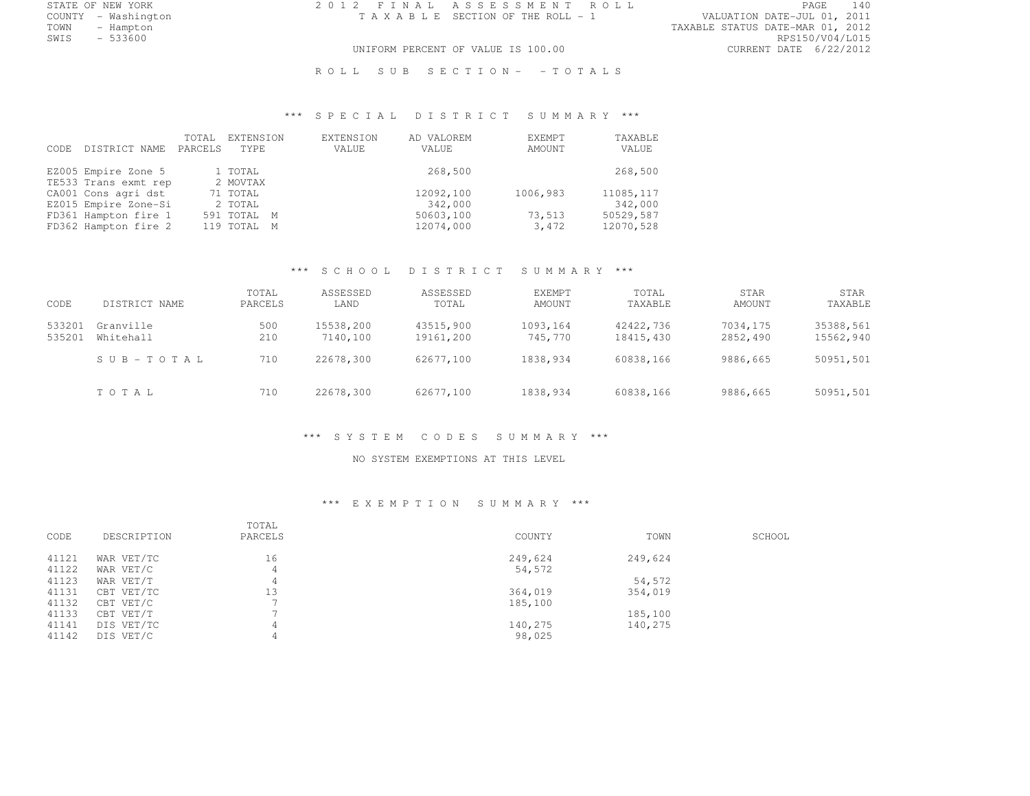STATE OF NEW YORK 2 0 1 2 F I N A L A S S E S S M E N T R O L L PAGE <sup>140</sup>

COUNTY - Washington T A X A B L E SECTION OF THE ROLL - 1 VALUATION DATE-JUL 01, 2011 TOWN - Hampton - The State of the State of the State of the Taxable Status Date-Mar 01, 2012<br>Town - Hampton - The State of the State of the State of the State of the State of the State of the State of th SWIS - 533600 RPS150/V04/L015 UNIFORM PERCENT OF VALUE IS 100.00 CURRENT DATE 6/22/2012

ROLL SUB SECTION- - TOTALS

## \*\*\* S P E C I A L D I S T R I C T S U M M A R Y \*\*\*

| CODE. | DISTRICT NAME        | TOTAL<br>PARCELS | EXTENSION<br>TYPE. | EXTENSION<br>VALUE | AD VALOREM<br>VALUE | EXEMPT<br>AMOUNT | TAXABLE<br>VALUE |
|-------|----------------------|------------------|--------------------|--------------------|---------------------|------------------|------------------|
|       | EZ005 Empire Zone 5  |                  | 1 TOTAL            |                    | 268,500             |                  | 268,500          |
|       | TE533 Trans exmt rep |                  | 2 MOVTAX           |                    |                     |                  |                  |
|       | CA001 Cons agri dst  |                  | 71 TOTAL           |                    | 12092,100           | 1006,983         | 11085, 117       |
|       | EZ015 Empire Zone-Si |                  | 2 TOTAL            |                    | 342,000             |                  | 342,000          |
|       | FD361 Hampton fire 1 |                  | 591 TOTAL M        |                    | 50603,100           | 73,513           | 50529,587        |
|       | FD362 Hampton fire 2 |                  | 119 TOTAL M        |                    | 12074,000           | 3,472            | 12070,528        |

## \*\*\* S C H O O L D I S T R I C T S U M M A R Y \*\*\*

| CODE             | DISTRICT NAME          | TOTAL<br>PARCELS | ASSESSED<br>LAND      | ASSESSED<br>TOTAL      | <b>EXEMPT</b><br>AMOUNT | TOTAL<br>TAXABLE       | STAR<br>AMOUNT       | STAR<br>TAXABLE        |
|------------------|------------------------|------------------|-----------------------|------------------------|-------------------------|------------------------|----------------------|------------------------|
| 533201<br>535201 | Granville<br>Whitehall | 500<br>210       | 15538,200<br>7140,100 | 43515,900<br>19161,200 | 1093,164<br>745,770     | 42422,736<br>18415,430 | 7034,175<br>2852,490 | 35388,561<br>15562,940 |
|                  | SUB-TOTAL              | 710              | 22678,300             | 62677,100              | 1838,934                | 60838.166              | 9886,665             | 50951,501              |
|                  | TOTAL                  | 710              | 22678,300             | 62677,100              | 1838,934                | 60838,166              | 9886,665             | 50951,501              |

#### \*\*\* S Y S T E M C O D E S S U M M A R Y \*\*\*

#### NO SYSTEM EXEMPTIONS AT THIS LEVEL

#### \*\*\* E X E M P T I O N S U M M A R Y \*\*\*

| CODE  | DESCRIPTION | TOTAL<br>PARCELS | COUNTY  | TOWN    | SCHOOL |
|-------|-------------|------------------|---------|---------|--------|
| 41121 | WAR VET/TC  | 16               | 249,624 | 249,624 |        |
| 41122 | WAR VET/C   | 4                | 54,572  |         |        |
| 41123 | WAR VET/T   |                  |         | 54,572  |        |
| 41131 | CBT VET/TC  | 13               | 364,019 | 354,019 |        |
| 41132 | CBT VET/C   |                  | 185,100 |         |        |
| 41133 | CBT VET/T   |                  |         | 185,100 |        |
| 41141 | DIS VET/TC  |                  | 140,275 | 140,275 |        |
| 41142 | DIS VET/C   |                  | 98,025  |         |        |
|       |             |                  |         |         |        |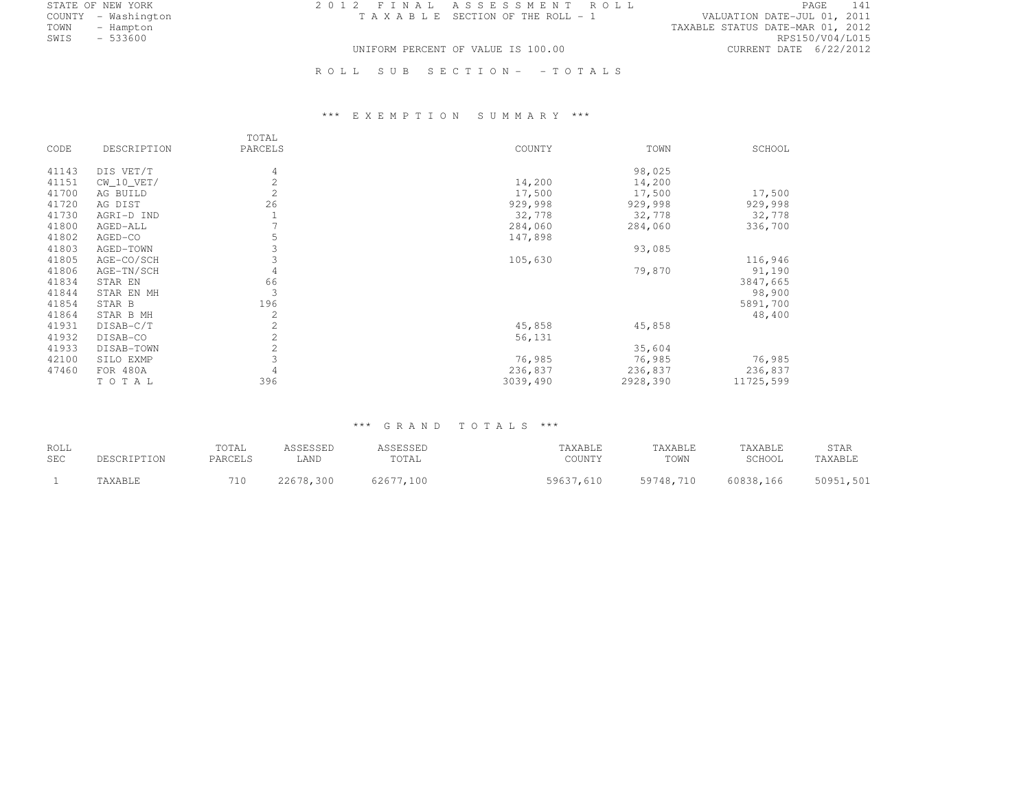STATE OF NEW YORK 2 0 1 2 F I N A L A S S E S S M E N T R O L L PAGE <sup>141</sup>

COUNTY - Washington T A X A B L E SECTION OF THE ROLL - 1 VALUATION DATE-JUL 01, 2011 TOWN - Hampton - The State of the State of the State of the Taxable Status Date-Mar 01, 2012<br>Town - Hampton - The State of the State of the State of the State of the State of the State of the State of th SWIS - 533600 RPS150/V04/L015 UNIFORM PERCENT OF VALUE IS 100.00 CURRENT DATE 6/22/2012

R O L L S U B S E C T I O N - - T O T A L S

## \*\*\* E X E M P T I O N S U M M A R Y \*\*\*

|       |              | TOTAL          |          |          |           |
|-------|--------------|----------------|----------|----------|-----------|
| CODE  | DESCRIPTION  | PARCELS        | COUNTY   | TOWN     | SCHOOL    |
| 41143 | DIS VET/T    | 4              |          | 98,025   |           |
| 41151 | $CW_10_VET/$ | $\overline{c}$ | 14,200   | 14,200   |           |
| 41700 | AG BUILD     | 2              | 17,500   | 17,500   | 17,500    |
| 41720 | AG DIST      | 26             | 929,998  | 929,998  | 929,998   |
| 41730 | AGRI-D IND   |                | 32,778   | 32,778   | 32,778    |
| 41800 | AGED-ALL     |                | 284,060  | 284,060  | 336,700   |
| 41802 | AGED-CO      | 5              | 147,898  |          |           |
| 41803 | AGED-TOWN    | 3              |          | 93,085   |           |
| 41805 | AGE-CO/SCH   | 3              | 105,630  |          | 116,946   |
| 41806 | AGE-TN/SCH   | 4              |          | 79,870   | 91,190    |
| 41834 | STAR EN      | 66             |          |          | 3847,665  |
| 41844 | STAR EN MH   | 3              |          |          | 98,900    |
| 41854 | STAR B       | 196            |          |          | 5891,700  |
| 41864 | STAR B MH    | $\overline{2}$ |          |          | 48,400    |
| 41931 | DISAB-C/T    | $\overline{c}$ | 45,858   | 45,858   |           |
| 41932 | DISAB-CO     | $\overline{2}$ | 56,131   |          |           |
| 41933 | DISAB-TOWN   | $\overline{c}$ |          | 35,604   |           |
| 42100 | SILO EXMP    | 3              | 76,985   | 76,985   | 76,985    |
| 47460 | FOR 480A     | $\overline{4}$ | 236,837  | 236,837  | 236,837   |
|       | TOTAL        | 396            | 3039,490 | 2928,390 | 11725,599 |

## \*\*\* G R A N D T O T A L S \*\*\*

| ROLL<br><b>SEC</b> | DESCRIPTION | TOTAL<br>PARCELS | ASSESSED<br>LAND | ASSESSED<br>TOTAL | TAXABLE<br>COUNTY | TAXABLE<br>TOWN | TAXABLE<br>SCHOOL | STAR<br>TAXABLE |
|--------------------|-------------|------------------|------------------|-------------------|-------------------|-----------------|-------------------|-----------------|
|                    | TAXABLE     | 710              | 22678,300        | 62677,100         | 59637.610         | 59748.710       | 60838,166         | 50951,501       |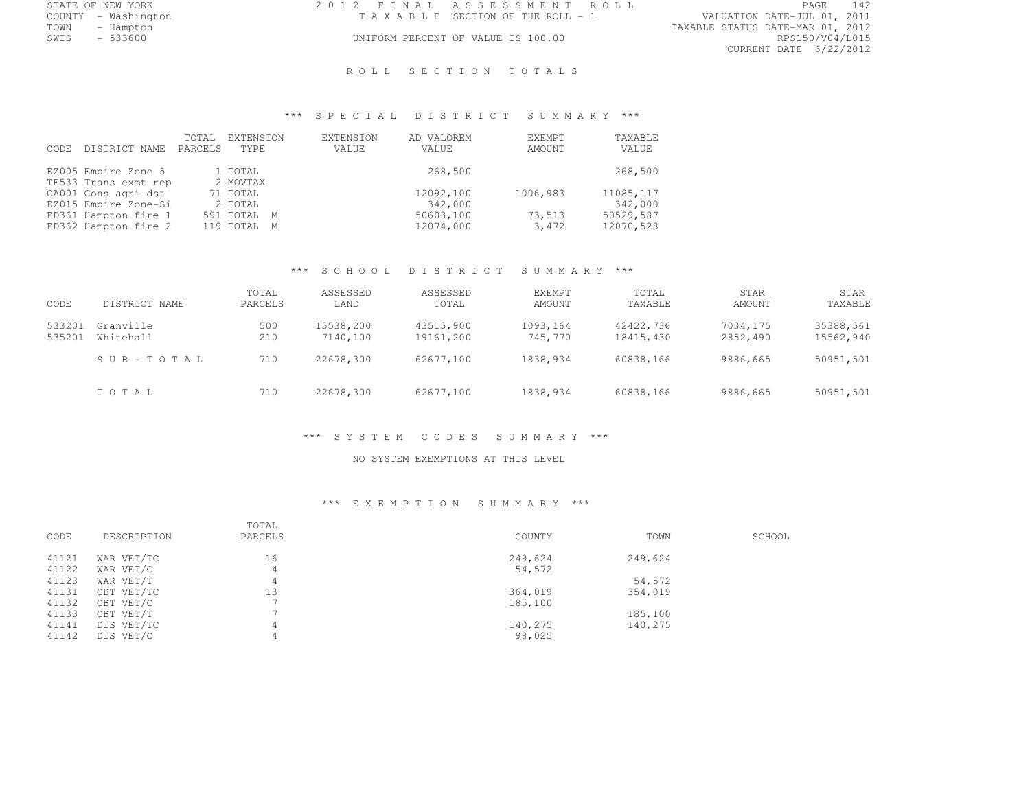COUNTY - Washington T A X A B L E SECTION OF THE ROLL - 1<br>TOWN - Hampton

STATE OF NEW YORK 2 0 1 2 F I N A L A S S E S S M E N T R O L L PAGE <sup>142</sup>

TOWN - Hampton TAXABLE STATUS DATE-MAR 01, 2012 CURRENT DATE 6/22/2012

## UNIFORM PERCENT OF VALUE IS 100.00

#### ROLL SECTION TOTALS

## \*\*\* S P E C I A L D I S T R I C T S U M M A R Y \*\*\*

| DISTRICT NAME<br>CODE. | TOTAL<br>PARCELS | EXTENSION<br>TYPE. | EXTENSION<br>VALUE | AD VALOREM<br>VALUE | EXEMPT<br>AMOUNT | TAXABLE<br>VALUE |
|------------------------|------------------|--------------------|--------------------|---------------------|------------------|------------------|
| EZ005 Empire Zone 5    |                  | 1 TOTAL            |                    | 268,500             |                  | 268,500          |
| TE533 Trans exmt rep   |                  | 2 MOVTAX           |                    |                     |                  |                  |
| CA001 Cons agri dst    |                  | 71 TOTAL           |                    | 12092,100           | 1006,983         | 11085, 117       |
| EZ015 Empire Zone-Si   |                  | 2 TOTAL            |                    | 342,000             |                  | 342,000          |
| FD361 Hampton fire 1   |                  | 591 TOTAL M        |                    | 50603,100           | 73,513           | 50529,587        |
| FD362 Hampton fire 2   |                  | 119 TOTAL M        |                    | 12074,000           | 3,472            | 12070,528        |

## \*\*\* S C H O O L D I S T R I C T S U M M A R Y \*\*\*

| CODE             | DISTRICT NAME          | TOTAL<br>PARCELS | ASSESSED<br>LAND      | ASSESSED<br>TOTAL      | <b>EXEMPT</b><br>AMOUNT | TOTAL<br>TAXABLE       | STAR<br>AMOUNT       | STAR<br>TAXABLE        |
|------------------|------------------------|------------------|-----------------------|------------------------|-------------------------|------------------------|----------------------|------------------------|
| 533201<br>535201 | Granville<br>Whitehall | 500<br>210       | 15538,200<br>7140,100 | 43515,900<br>19161,200 | 1093,164<br>745,770     | 42422.736<br>18415,430 | 7034,175<br>2852,490 | 35388,561<br>15562,940 |
|                  | SUB-TOTAL              | 710              | 22678,300             | 62677,100              | 1838,934                | 60838.166              | 9886,665             | 50951,501              |
|                  | TOTAL                  | 710              | 22678,300             | 62677,100              | 1838,934                | 60838,166              | 9886,665             | 50951,501              |

#### \*\*\* S Y S T E M C O D E S S U M M A R Y \*\*\*

#### NO SYSTEM EXEMPTIONS AT THIS LEVEL

#### \*\*\* E X E M P T I O N S U M M A R Y \*\*\*

| CODE  | DESCRIPTION | TOTAL<br>PARCELS | COUNTY  | TOWN    | SCHOOL |
|-------|-------------|------------------|---------|---------|--------|
| 41121 | WAR VET/TC  | 16               | 249,624 | 249,624 |        |
| 41122 | WAR VET/C   |                  | 54,572  |         |        |
| 41123 | WAR VET/T   |                  |         | 54,572  |        |
| 41131 | CBT VET/TC  | 13               | 364,019 | 354,019 |        |
| 41132 | CBT VET/C   |                  | 185,100 |         |        |
| 41133 | CBT VET/T   |                  |         | 185,100 |        |
| 41141 | DIS VET/TC  |                  | 140,275 | 140,275 |        |
| 41142 | DIS VET/C   |                  | 98,025  |         |        |
|       |             |                  |         |         |        |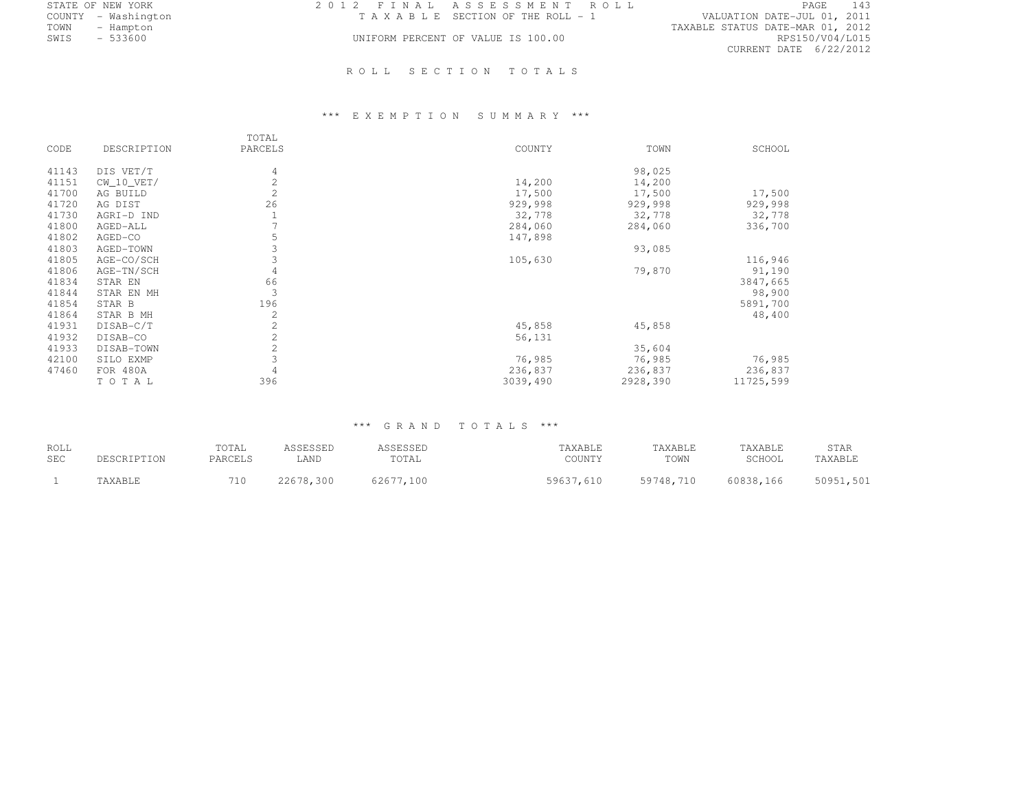| 2012 FINAL ASSESSMENT ROLL            | - 143<br>PAGE                    |
|---------------------------------------|----------------------------------|
| T A X A B L E SECTION OF THE ROLL - 1 | VALUATION DATE-JUL 01, 2011      |
|                                       | TAXABLE STATUS DATE-MAR 01, 2012 |
| UNIFORM PERCENT OF VALUE IS 100.00    | RPS150/V04/L015                  |
|                                       | CURRENT DATE 6/22/2012           |
|                                       |                                  |

## ROLL SECTION TOTALS

# \*\*\* E X E M P T I O N S U M M A R Y \*\*\*

| CODE  | DESCRIPTION  | TOTAL<br>PARCELS | COUNTY   | TOWN     | SCHOOL    |
|-------|--------------|------------------|----------|----------|-----------|
| 41143 | DIS VET/T    | 4                |          | 98,025   |           |
| 41151 | $CW_10_VET/$ | $\overline{c}$   | 14,200   | 14,200   |           |
| 41700 | AG BUILD     | $\overline{c}$   | 17,500   | 17,500   | 17,500    |
| 41720 | AG DIST      | 26               | 929,998  | 929,998  | 929,998   |
| 41730 | AGRI-D IND   |                  | 32,778   | 32,778   | 32,778    |
| 41800 | AGED-ALL     |                  | 284,060  | 284,060  | 336,700   |
| 41802 | AGED-CO      | 5                | 147,898  |          |           |
| 41803 | AGED-TOWN    | 3                |          | 93,085   |           |
| 41805 | AGE-CO/SCH   | 3                | 105,630  |          | 116,946   |
| 41806 | AGE-TN/SCH   | 4                |          | 79,870   | 91,190    |
| 41834 | STAR EN      | 66               |          |          | 3847,665  |
| 41844 | STAR EN MH   | 3                |          |          | 98,900    |
| 41854 | STAR B       | 196              |          |          | 5891,700  |
| 41864 | STAR B MH    | $\mathbf{2}$     |          |          | 48,400    |
| 41931 | DISAB-C/T    | 2                | 45,858   | 45,858   |           |
| 41932 | DISAB-CO     | 2                | 56,131   |          |           |
| 41933 | DISAB-TOWN   | $\overline{c}$   |          | 35,604   |           |
| 42100 | SILO EXMP    | 3                | 76,985   | 76,985   | 76,985    |
| 47460 | FOR 480A     | 4                | 236,837  | 236,837  | 236,837   |
|       | TOTAL        | 396              | 3039,490 | 2928,390 | 11725,599 |

## \*\*\* G R A N D T O T A L S \*\*\*

| ROLL       | DESCRIPTION | TOTAL   | ASSESSED  | ASSESSED  | TAXABLE   | TAXABLE   | TAXABLE   | STAR      |
|------------|-------------|---------|-----------|-----------|-----------|-----------|-----------|-----------|
| <b>SEC</b> |             | PARCELS | LAND      | TOTAL     | COUNTY    | TOWN      | SCHOOL    | TAXABLE   |
|            | 'AXABLE     |         | 22678,300 | 62677.100 | 59637,610 | 59748,710 | 60838,166 | 50951,501 |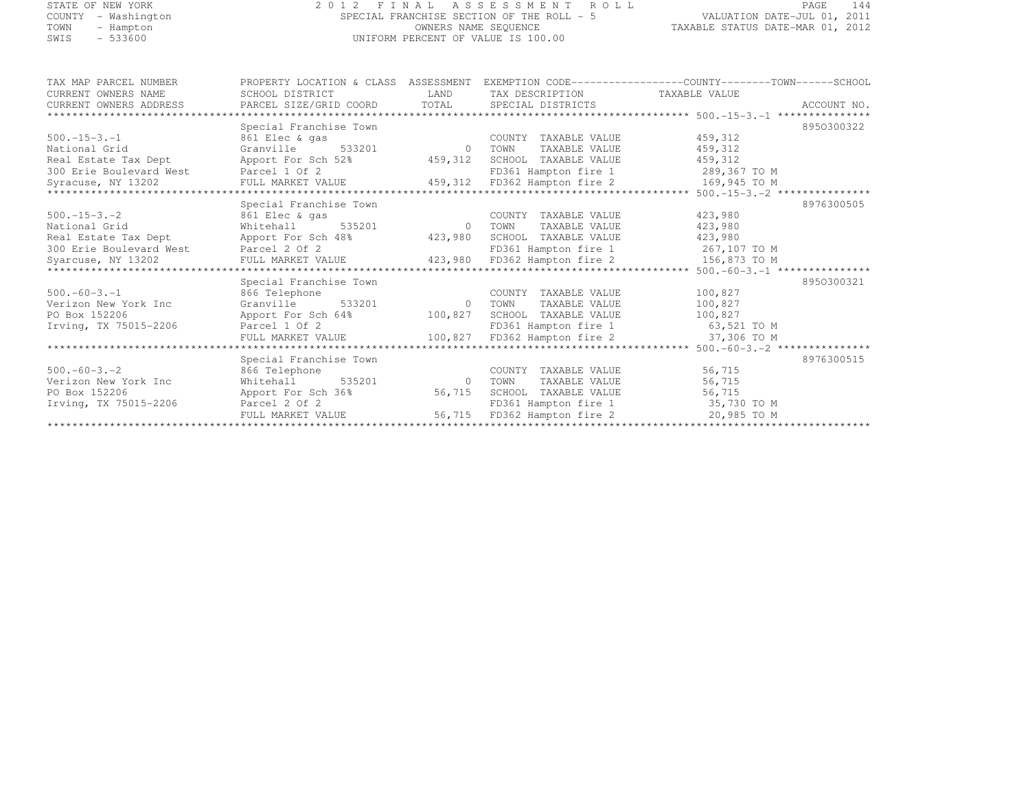#### STATE OF NEW YORK 2 0 1 2 F I N A L A S S E S S M E N T R O L L PAGE <sup>144</sup> COUNTY - Washington SPECIAL FRANCHISE SECTION OF THE ROLL - 5 VALUATION DATE-JUL 01, 2011 TOWN - Hampton OWNERS NAME SEQUENCE TAXABLE STATUS DATE-MAR 01, 2012 SWIS - 533600 UNIFORM PERCENT OF VALUE IS 100.00

| TAX MAP PARCEL NUMBER                 | PROPERTY LOCATION & CLASS ASSESSMENT            |                |                                           |                                   |             |
|---------------------------------------|-------------------------------------------------|----------------|-------------------------------------------|-----------------------------------|-------------|
| CURRENT OWNERS NAME                   | SCHOOL DISTRICT                                 | LAND           | TAX DESCRIPTION                           | TAXABLE VALUE                     |             |
| CURRENT OWNERS ADDRESS                | PARCEL SIZE/GRID COORD TOTAL SPECIAL DISTRICTS  |                |                                           |                                   | ACCOUNT NO. |
|                                       |                                                 |                |                                           |                                   |             |
|                                       | Special Franchise Town                          |                |                                           |                                   | 8950300322  |
| $500. -15 - 3. -1$                    | 861 Elec & gas                                  |                | COUNTY TAXABLE VALUE                      | 459,312                           |             |
| National Grid                         | 533201<br>Granville                             | $\sim$ 0       | TAXABLE VALUE<br>TOWN                     | 459,312                           |             |
| Real Estate Tax Dept                  | Apport For Sch 52%                              |                | 459,312 SCHOOL TAXABLE VALUE              | 459,312                           |             |
| 300 Erie Boulevard West Parcel 1 Of 2 |                                                 |                |                                           | FD361 Hampton fire 1 289,367 TO M |             |
| Syracuse, NY 13202                    | FULL MARKET VALUE                               |                | 459,312 FD362 Hampton fire 2              | 169,945 TO M                      |             |
|                                       |                                                 |                |                                           |                                   |             |
|                                       | Special Franchise Town                          |                |                                           |                                   | 8976300505  |
| $500 - 15 - 3 - 2$                    | 861 Elec & gas                                  |                | COUNTY TAXABLE VALUE                      | 423,980                           |             |
| National Grid                         | Whitehall 535201                                | 0 TOWN         | TAXABLE VALUE                             | 423,980                           |             |
| Real Estate Tax Dept                  | Apport For Sch 48% 423,980 SCHOOL TAXABLE VALUE |                |                                           | 423,980                           |             |
| 300 Erie Boulevard West               | Parcel 2 Of 2                                   |                | FD361 Hampton fire 1                      | 267,107 TO M                      |             |
| Syarcuse, NY 13202                    | FULL MARKET VALUE                               |                | 423,980 FD362 Hampton fire 2 156,873 TO M |                                   |             |
|                                       |                                                 |                |                                           |                                   |             |
|                                       | Special Franchise Town                          |                |                                           |                                   | 8950300321  |
| $500. -60 - 3. -1$                    | 866 Telephone                                   |                | COUNTY TAXABLE VALUE                      | 100,827                           |             |
| Verizon New York Inc                  | Granville 533201                                | $\overline{0}$ | TOWN<br>TAXABLE VALUE                     | 100,827                           |             |
| PO Box 152206                         | Apport For Sch 64%                              | 100,827        | SCHOOL TAXABLE VALUE                      | 100,827                           |             |
| Irving, TX 75015-2206                 | Parcel 1 Of 2                                   |                |                                           | FD361 Hampton fire 1 63,521 TO M  |             |
|                                       | FULL MARKET VALUE                               |                | 100,827 FD362 Hampton fire 2              | 37,306 TO M                       |             |
|                                       |                                                 |                |                                           |                                   |             |
|                                       | Special Franchise Town                          |                |                                           |                                   | 8976300515  |
| $500 - 60 - 3 - 2$                    | 866 Telephone                                   |                | COUNTY TAXABLE VALUE                      | 56,715                            |             |
| Verizon New York Inc                  | 535201<br>Whitehall                             | $\sim$ 0       | TAXABLE VALUE<br>TOWN                     | 56,715                            |             |
| PO Box 152206                         | Apport For Sch 36%                              | 56,715         | SCHOOL TAXABLE VALUE                      | 56,715                            |             |
| Irving, TX 75015-2206                 | Parcel 2 Of 2                                   |                | FD361 Hampton fire 1                      | 35,730 TO M                       |             |
|                                       | FULL MARKET VALUE                               |                | 56,715 FD362 Hampton fire 2               | 20,985 TO M                       |             |
|                                       |                                                 |                |                                           |                                   |             |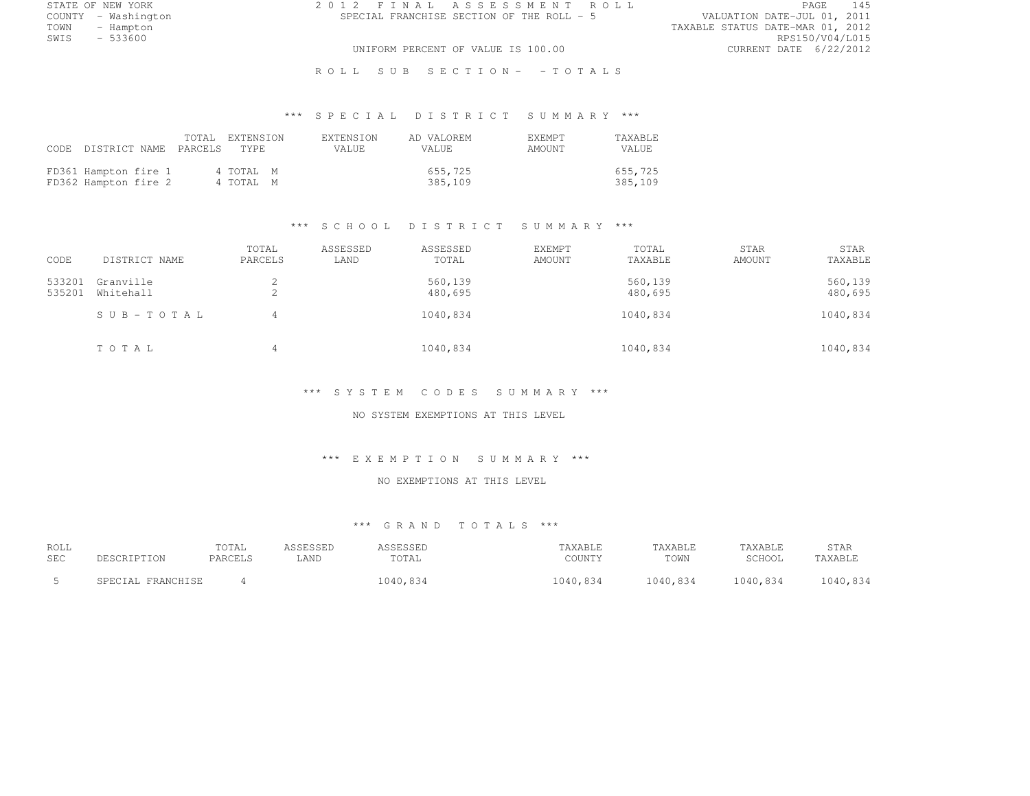STATE OF NEW YORK 2 0 1 2 F I N A L A S S E S S M E N T R O L L PAGE <sup>145</sup> COUNTY - Washington SPECIAL FRANCHISE SECTION OF THE ROLL - 5<br>TOWN - Hampton TOWN - Hampton TAXABLE STATUS DATE-MAR 01, 2012 SWIS - 533600 RPS150/V04/L015

UNIFORM PERCENT OF VALUE IS 100.00 CURRENT DATE 6/22/2012

R O L L S U B S E C T I O N - - T O T A L S

# \*\*\* S P E C I A L D I S T R I C T S U M M A R Y \*\*\*

|                                              | CODE DISTRICT NAME PARCELS TYPE | TOTAL EXTENSION        | <b>EXTENSION</b><br>VALUE. | AD VALOREM<br>VALUE. |                    | <b>F.XFMPT</b><br>AMOUNT | <b>TAXABLE</b><br>VALUE |
|----------------------------------------------|---------------------------------|------------------------|----------------------------|----------------------|--------------------|--------------------------|-------------------------|
| FD361 Hampton fire 1<br>FD362 Hampton fire 2 |                                 | 4 TOTAL M<br>4 TOTAL M |                            |                      | 655,725<br>385,109 |                          | 655,725<br>385,109      |

#### \*\*\* S C H O O L D I S T R I C T S U M M A R Y \*\*\*

| CODE             | DISTRICT NAME          | TOTAL<br>PARCELS | ASSESSED<br>LAND | ASSESSED<br>TOTAL  | <b>EXEMPT</b><br>AMOUNT | TOTAL<br>TAXABLE   | STAR<br>AMOUNT | STAR<br>TAXABLE    |
|------------------|------------------------|------------------|------------------|--------------------|-------------------------|--------------------|----------------|--------------------|
| 533201<br>535201 | Granville<br>Whitehall | ∠<br>▵           |                  | 560,139<br>480,695 |                         | 560,139<br>480,695 |                | 560,139<br>480,695 |
|                  | SUB-TOTAL              | 4                |                  | 1040,834           |                         | 1040,834           |                | 1040,834           |
|                  | TOTAL                  | 4                |                  | 1040,834           |                         | 1040,834           |                | 1040,834           |

#### \*\*\* S Y S T E M C O D E S S U M M A R Y \*\*\*

NO SYSTEM EXEMPTIONS AT THIS LEVEL

#### \*\*\* E X E M P T I O N S U M M A R Y \*\*\*

#### NO EXEMPTIONS AT THIS LEVEL

| ROLL       |                   | TOTAL   | ASSESSED | ASSESSED | TAXABLE  | TAXABLE  | TAXABLE  | STAR     |
|------------|-------------------|---------|----------|----------|----------|----------|----------|----------|
| <b>SEC</b> | DESCRIPTION       | PARCELS | LAND     | TOTAL    | COUNTY   | TOWN     | SCHOOL   | TAXABLE  |
|            | SPECIAL FRANCHISE |         |          | 1040,834 | 1040,834 | 1040,834 | 1040,834 | 1040,834 |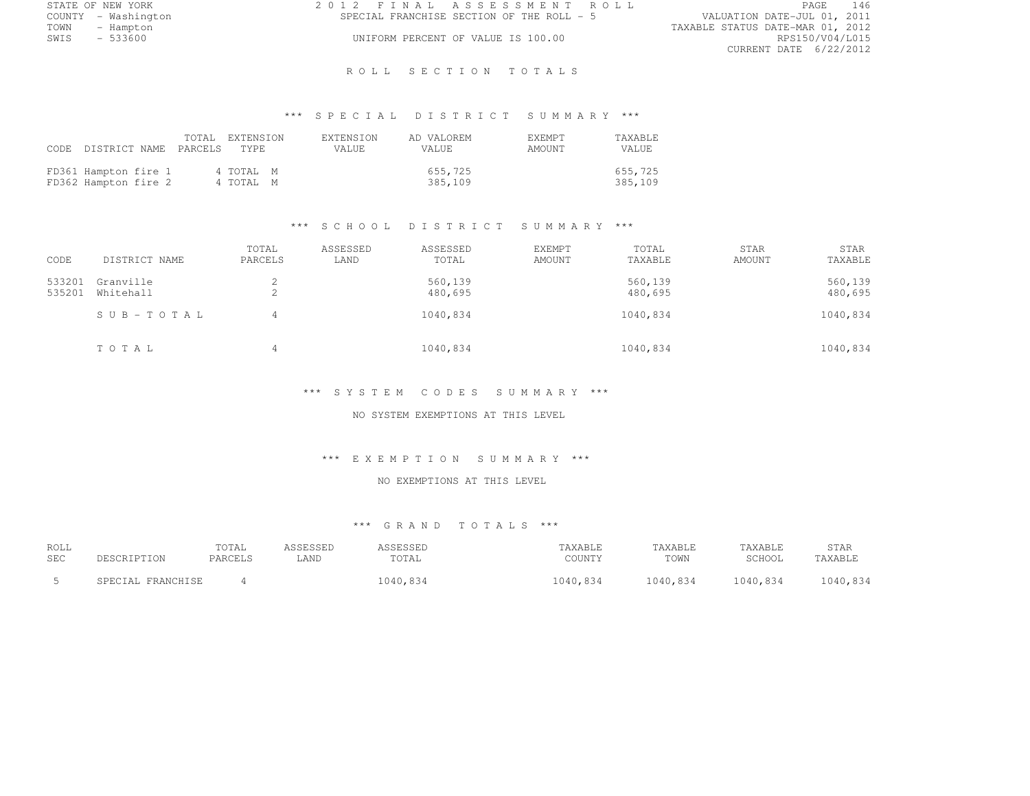|      | STATE OF NEW YORK   | 2012 FINAL ASSESSMENT ROLL |                                           |                                  | PAGE                   | 146 |
|------|---------------------|----------------------------|-------------------------------------------|----------------------------------|------------------------|-----|
|      | COUNTY - Washington |                            | SPECIAL FRANCHISE SECTION OF THE ROLL - 5 | VALUATION DATE-JUL 01, 2011      |                        |     |
| TOWN | - Hampton           |                            |                                           | TAXABLE STATUS DATE-MAR 01, 2012 |                        |     |
| SWIS | - 533600            |                            | UNIFORM PERCENT OF VALUE IS 100.00        |                                  | RPS150/V04/L015        |     |
|      |                     |                            |                                           |                                  | CURRENT DATE 6/22/2012 |     |

### R O L L S E C T I O N T O T A L S

# \*\*\* S P E C I A L D I S T R I C T S U M M A R Y \*\*\*

|                                              | CODE DISTRICT NAME PARCELS TYPE | TOTAL EXTENSION        | <b>EXTENSION</b><br>VALUE. | AD VALOREM<br>VALUE. | <b>EXEMPT</b><br>AMOUNT | TAXABLE<br>VALUE.  |
|----------------------------------------------|---------------------------------|------------------------|----------------------------|----------------------|-------------------------|--------------------|
| FD361 Hampton fire 1<br>FD362 Hampton fire 2 |                                 | 4 TOTAL M<br>4 TOTAL M |                            | 655,725<br>385,109   |                         | 655,725<br>385,109 |

## \*\*\* S C H O O L D I S T R I C T S U M M A R Y \*\*\*

| CODE             | DISTRICT NAME          | TOTAL<br>PARCELS | ASSESSED<br>LAND | ASSESSED<br>TOTAL  | <b>EXEMPT</b><br>AMOUNT | TOTAL<br>TAXABLE   | STAR<br>AMOUNT | STAR<br>TAXABLE    |
|------------------|------------------------|------------------|------------------|--------------------|-------------------------|--------------------|----------------|--------------------|
| 533201<br>535201 | Granville<br>Whitehall | ∠<br>▵           |                  | 560,139<br>480,695 |                         | 560,139<br>480,695 |                | 560,139<br>480,695 |
|                  | $SUB - TO T AL$        | 4                |                  | 1040,834           |                         | 1040,834           |                | 1040,834           |
|                  | TOTAL                  | 4                |                  | 1040,834           |                         | 1040,834           |                | 1040,834           |

#### \*\*\* S Y S T E M C O D E S S U M M A R Y \*\*\*

## NO SYSTEM EXEMPTIONS AT THIS LEVEL

#### \*\*\* E X E M P T I O N S U M M A R Y \*\*\*

## NO EXEMPTIONS AT THIS LEVEL

| ROLL       |                   | TOTAL   | ASSESSED | ASSESSED | TAXABLE  | TAXABLE  | TAXABLE  | STAR     |
|------------|-------------------|---------|----------|----------|----------|----------|----------|----------|
| <b>SEC</b> | DESCRIPTION       | PARCELS | LAND     | TOTAL    | COUNTY   | TOWN     | SCHOOL   | TAXABLE  |
|            | SPECIAL FRANCHISE |         |          | 1040,834 | 1040,834 | 1040,834 | 1040,834 | 1040,834 |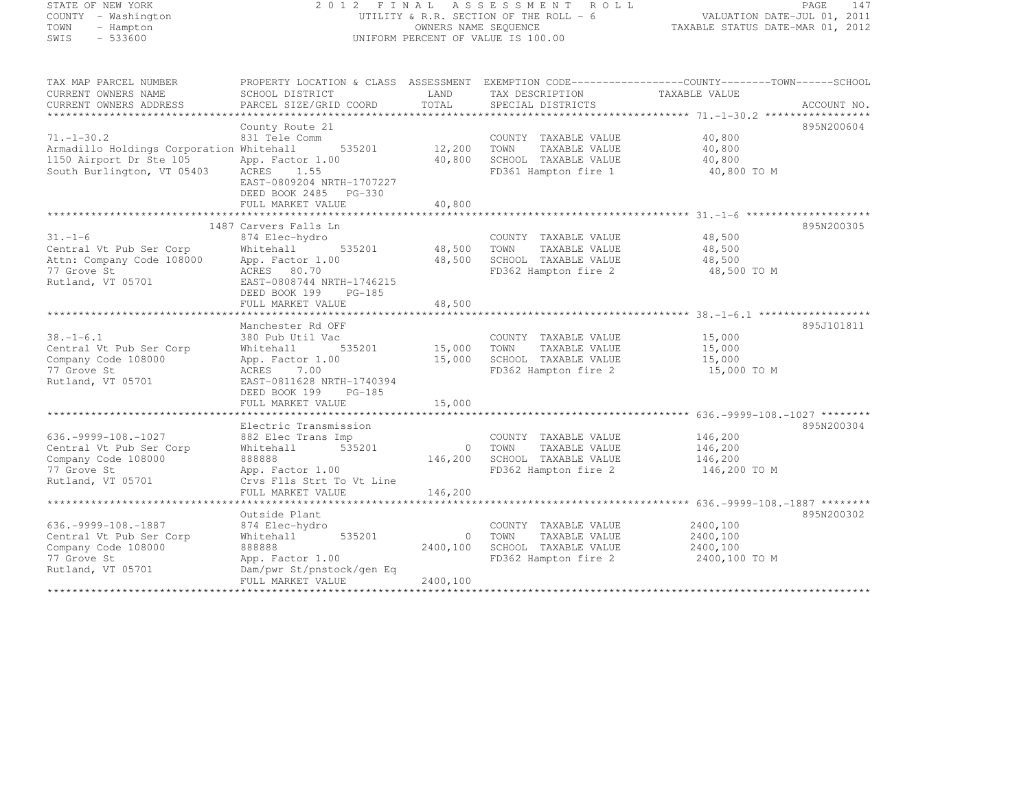| STATE OF NEW YORK |               |              |  |
|-------------------|---------------|--------------|--|
| COUNTY            |               | - Washington |  |
| TOWN              |               | - Hampton    |  |
| CITT C            | <b>ERRACA</b> |              |  |

### STATE OF NEW YORK 2 0 1 2 F I N A L A S S E S S M E N T R O L L PAGE <sup>147</sup> COUNTY - Washington UTILITY & R.R. SECTION OF THE ROLL - 6 VALUATION DATE-JUL 01, 2011 TOWN - Hampton OWNERS NAME SEQUENCE TAXABLE STATUS DATE-MAR 01, 2012 SWIS - 533600 UNIFORM PERCENT OF VALUE IS 100.00

| TAX MAP PARCEL NUMBER<br>CURRENT OWNERS NAME<br>CURRENT OWNERS ADDRESS | PROPERTY LOCATION & CLASS ASSESSMENT EXEMPTION CODE----------------COUNTY-------TOWN------SCHOOL<br>SCHOOL DISTRICT<br>PARCEL SIZE/GRID COORD | LAND<br>TOTAL   | TAX DESCRIPTION<br>SPECIAL DISTRICTS | TAXABLE VALUE | ACCOUNT NO. |
|------------------------------------------------------------------------|-----------------------------------------------------------------------------------------------------------------------------------------------|-----------------|--------------------------------------|---------------|-------------|
|                                                                        |                                                                                                                                               |                 |                                      |               |             |
|                                                                        | County Route 21                                                                                                                               |                 |                                      |               | 895N200604  |
| $71, -1 - 30.2$                                                        | 831 Tele Comm                                                                                                                                 |                 | COUNTY TAXABLE VALUE                 | 40,800        |             |
| Armadillo Holdings Corporation Whitehall                               | 535201 12,200                                                                                                                                 |                 | TAXABLE VALUE<br>TOWN                | 40,800        |             |
| 1150 Airport Dr Ste 105                                                | App. Factor 1.00                                                                                                                              | 40,800          | SCHOOL TAXABLE VALUE                 | 40,800        |             |
| South Burlington, VT 05403                                             | ACRES 1.55<br>EAST-0809204 NRTH-1707227<br>DEED BOOK 2485 PG-330                                                                              |                 | FD361 Hampton fire 1                 | 40,800 TO M   |             |
|                                                                        | FULL MARKET VALUE                                                                                                                             | 40,800          |                                      |               |             |
|                                                                        |                                                                                                                                               |                 |                                      |               |             |
|                                                                        | 1487 Carvers Falls Ln                                                                                                                         |                 |                                      |               | 895N200305  |
| $31. - 1 - 6$                                                          | 874 Elec-hydro                                                                                                                                |                 | COUNTY TAXABLE VALUE                 | 48,500        |             |
| Central Vt Pub Ser Corp                                                | Whitehall<br>535201                                                                                                                           | 48,500          | TOWN<br>TAXABLE VALUE                | 48,500        |             |
| Attn: Company Code 108000                                              | App. Factor 1.00                                                                                                                              | 48,500          | SCHOOL TAXABLE VALUE                 | 48,500        |             |
| 77 Grove St                                                            | ACRES 80.70                                                                                                                                   |                 | FD362 Hampton fire 2                 | 48,500 TO M   |             |
| Rutland, VT 05701                                                      | EAST-0808744 NRTH-1746215                                                                                                                     |                 |                                      |               |             |
|                                                                        | DEED BOOK 199 PG-185                                                                                                                          |                 |                                      |               |             |
|                                                                        | FULL MARKET VALUE                                                                                                                             | 48,500          |                                      |               |             |
|                                                                        |                                                                                                                                               |                 |                                      |               |             |
|                                                                        | Manchester Rd OFF                                                                                                                             |                 |                                      |               | 895J101811  |
| $38. - 1 - 6.1$                                                        | 380 Pub Util Vac                                                                                                                              |                 | COUNTY TAXABLE VALUE                 | 15,000        |             |
| Central Vt Pub Ser Corp                                                | Whitehall                                                                                                                                     | $535201$ 15,000 | TOWN<br>TAXABLE VALUE                | 15,000        |             |
| Company Code 108000                                                    | App. Factor 1.00                                                                                                                              | 15,000          | SCHOOL TAXABLE VALUE                 | 15,000        |             |
| 77 Grove St                                                            | ACRES 7.00                                                                                                                                    |                 | FD362 Hampton fire 2                 | 15,000 TO M   |             |
| Rutland, VT 05701                                                      | EAST-0811628 NRTH-1740394                                                                                                                     |                 |                                      |               |             |
|                                                                        | DEED BOOK 199 PG-185                                                                                                                          |                 |                                      |               |             |
|                                                                        | FULL MARKET VALUE                                                                                                                             | 15,000          |                                      |               |             |
|                                                                        |                                                                                                                                               |                 |                                      |               |             |
|                                                                        | Electric Transmission                                                                                                                         |                 |                                      |               | 895N200304  |
| $636. -9999 - 108. - 1027$                                             | 882 Elec Trans Imp                                                                                                                            |                 | COUNTY TAXABLE VALUE                 | 146,200       |             |
| Central Vt Pub Ser Corp                                                | Whitehall 535201                                                                                                                              |                 | 0 TOWN<br>TAXABLE VALUE              | 146,200       |             |
| Company Code 108000                                                    | 888888                                                                                                                                        |                 | 146,200 SCHOOL TAXABLE VALUE         | 146,200       |             |
| 77 Grove St                                                            | App. Factor 1.00                                                                                                                              |                 | FD362 Hampton fire 2                 | 146,200 TO M  |             |
| Rutland, VT 05701                                                      | Crvs Flls Strt To Vt Line                                                                                                                     |                 |                                      |               |             |
|                                                                        |                                                                                                                                               |                 |                                      |               |             |
|                                                                        |                                                                                                                                               |                 |                                      |               |             |
|                                                                        | Outside Plant                                                                                                                                 |                 |                                      |               | 895N200302  |
| $636. -9999 - 108. - 1887$                                             | 874 Elec-hydro                                                                                                                                |                 | COUNTY TAXABLE VALUE                 | 2400,100      |             |
| Central Vt Pub Ser Corp                                                | Whitehall 535201                                                                                                                              |                 | 0 TOWN<br>TAXABLE VALUE              | 2400,100      |             |
| Company Code 108000                                                    | 888888                                                                                                                                        | 2400,100        | SCHOOL TAXABLE VALUE                 | 2400,100      |             |
| 77 Grove St                                                            | App. Factor 1.00                                                                                                                              |                 | FD362 Hampton fire 2                 | 2400,100 TO M |             |
| Rutland, VT 05701                                                      | Dam/pwr St/pnstock/gen Eq                                                                                                                     |                 |                                      |               |             |
|                                                                        | FULL MARKET VALUE                                                                                                                             | 2400,100        |                                      |               |             |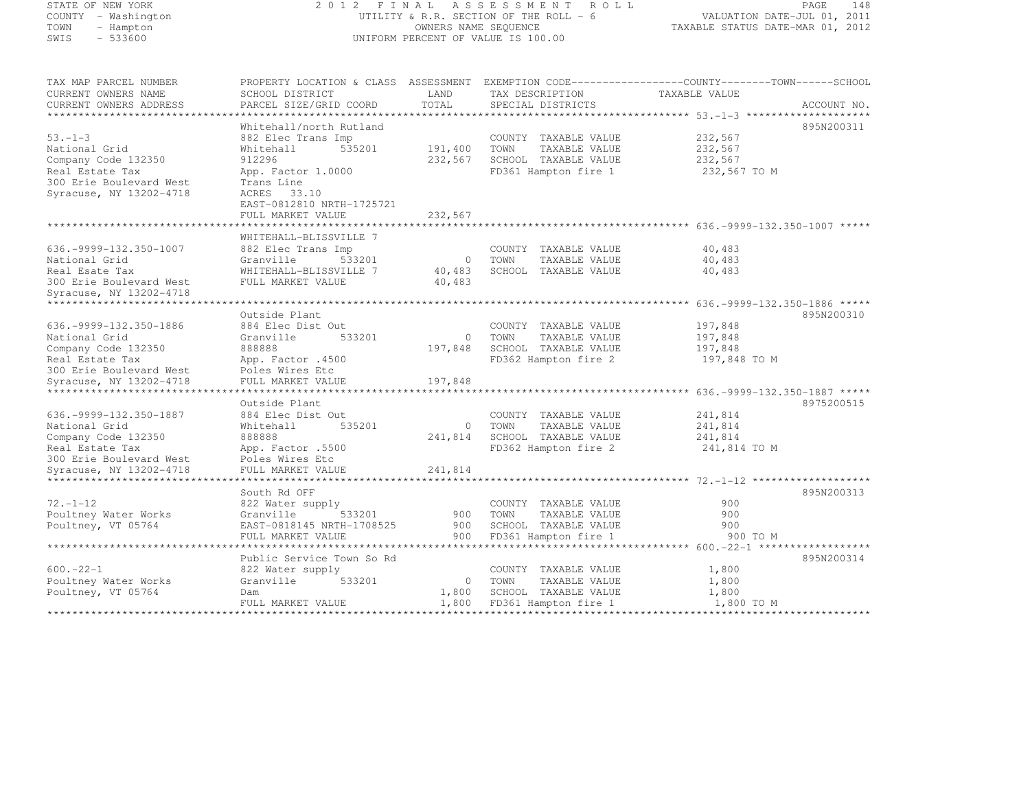## STATE OF NEW YORK 2 0 1 2 F I N A L A S S E S S M E N T R O L L PAGE <sup>148</sup> COUNTY - Washington UTILITY & R.R. SECTION OF THE ROLL - 6 VALUATION DATE-JUL 01, 2011 TOWN - Hampton OWNERS NAME SEQUENCE TAXABLE STATUS DATE-MAR 01, 2012 SWIS - 533600 UNIFORM PERCENT OF VALUE IS 100.00

| TAX MAP PARCEL NUMBER         | PROPERTY LOCATION & CLASS ASSESSMENT EXEMPTION CODE----------------COUNTY-------TOWN-----SCHOOL |                |        |                              |               |              |
|-------------------------------|-------------------------------------------------------------------------------------------------|----------------|--------|------------------------------|---------------|--------------|
| CURRENT OWNERS NAME           | SCHOOL DISTRICT                                                                                 | LAND           |        | TAX DESCRIPTION              | TAXABLE VALUE |              |
| CURRENT OWNERS ADDRESS        | PARCEL SIZE/GRID COORD                                                                          | TOTAL          |        | SPECIAL DISTRICTS            |               | ACCOUNT NO.  |
|                               |                                                                                                 |                |        |                              |               |              |
|                               | Whitehall/north Rutland                                                                         |                |        |                              |               | 895N200311   |
| $53 - 1 - 3$                  | 882 Elec Trans Imp                                                                              |                |        | COUNTY TAXABLE VALUE         | 232,567       |              |
| National Grid                 | 535201<br>Whitehall                                                                             | 191,400        | TOWN   | TAXABLE VALUE                | 232,567       |              |
| Company Code 132350           | 912296                                                                                          | 232,567        |        | SCHOOL TAXABLE VALUE         | 232,567       |              |
| Real Estate Tax               | App. Factor 1.0000                                                                              |                |        | FD361 Hampton fire 1         | 232,567 TO M  |              |
| 300 Erie Boulevard West       | Trans Line                                                                                      |                |        |                              |               |              |
| Syracuse, NY 13202-4718       | ACRES 33.10                                                                                     |                |        |                              |               |              |
|                               | EAST-0812810 NRTH-1725721                                                                       |                |        |                              |               |              |
|                               | FULL MARKET VALUE                                                                               | 232,567        |        |                              |               |              |
|                               |                                                                                                 |                |        |                              |               |              |
|                               | WHITEHALL-BLISSVILLE 7                                                                          |                |        |                              |               |              |
| 636. - 9999 - 132. 350 - 1007 | 882 Elec Trans Imp                                                                              |                |        | COUNTY TAXABLE VALUE         | 40,483        |              |
| National Grid                 | Granville<br>533201                                                                             | $\overline{0}$ | TOWN   | TAXABLE VALUE                | 40,483        |              |
| Real Esate Tax                | WHITEHALL-BLISSVILLE 7                                                                          | 40,483         |        | SCHOOL TAXABLE VALUE         | 40,483        |              |
| 300 Erie Boulevard West       | FULL MARKET VALUE                                                                               | 40,483         |        |                              |               |              |
| Syracuse, NY 13202-4718       |                                                                                                 |                |        |                              |               |              |
|                               |                                                                                                 |                |        |                              |               |              |
|                               | Outside Plant                                                                                   |                |        |                              |               | 895N200310   |
| 636. - 9999 - 132. 350 - 1886 | 884 Elec Dist Out                                                                               |                |        | COUNTY TAXABLE VALUE         | 197,848       |              |
| National Grid                 | Granville<br>533201                                                                             | $\circ$        | TOWN   | TAXABLE VALUE                | 197,848       |              |
| Company Code 132350           | 888888                                                                                          | 197,848        |        | SCHOOL TAXABLE VALUE         | 197,848       |              |
| Real Estate Tax               | App. Factor .4500                                                                               |                |        | FD362 Hampton fire 2         |               | 197,848 TO M |
| 300 Erie Boulevard West       | Poles Wires Etc                                                                                 |                |        |                              |               |              |
| Syracuse, NY 13202-4718       | FULL MARKET VALUE                                                                               | 197,848        |        |                              |               |              |
|                               |                                                                                                 |                |        |                              |               |              |
|                               | Outside Plant                                                                                   |                |        |                              |               | 8975200515   |
| 636. - 9999 - 132. 350 - 1887 | 884 Elec Dist Out                                                                               |                |        | COUNTY TAXABLE VALUE         | 241,814       |              |
| National Grid                 | 535201<br>Whitehall                                                                             |                | 0 TOWN | TAXABLE VALUE                | 241,814       |              |
| Company Code 132350           | 888888                                                                                          |                |        | 241,814 SCHOOL TAXABLE VALUE | 241,814       |              |
| Real Estate Tax               | App. Factor .5500                                                                               |                |        | FD362 Hampton fire 2         |               | 241,814 TO M |
| 300 Erie Boulevard West       | Poles Wires Etc                                                                                 |                |        |                              |               |              |
| Syracuse, NY 13202-4718       | FULL MARKET VALUE                                                                               | 241,814        |        |                              |               |              |
|                               |                                                                                                 |                |        |                              |               |              |
|                               | South Rd OFF                                                                                    |                |        |                              |               | 895N200313   |
| $72. - 1 - 12$                | 822 Water supply                                                                                |                |        | COUNTY TAXABLE VALUE         | 900           |              |
| Poultney Water Works          | Granville<br>533201                                                                             | 900            | TOWN   | TAXABLE VALUE                | 900           |              |
| Poultney, VT 05764            | EAST-0818145 NRTH-1708525                                                                       | 900            |        | SCHOOL TAXABLE VALUE         | 900           |              |
|                               | FULL MARKET VALUE                                                                               | 900            |        | FD361 Hampton fire 1         |               | 900 TO M     |
|                               |                                                                                                 |                |        |                              |               |              |
|                               | Public Service Town So Rd                                                                       |                |        |                              |               | 895N200314   |
| $600 - 22 - 1$                | 822 Water supply                                                                                |                |        | COUNTY TAXABLE VALUE         | 1,800         |              |
| Poultney Water Works          | Granville<br>533201                                                                             | $\circ$        | TOWN   | TAXABLE VALUE                | 1,800         |              |
| Poultney, VT 05764            | Dam                                                                                             | 1,800          |        | SCHOOL TAXABLE VALUE         | 1,800         |              |
|                               | FULL MARKET VALUE                                                                               | 1,800          |        | FD361 Hampton fire 1         |               | 1,800 TO M   |
|                               |                                                                                                 |                |        |                              |               |              |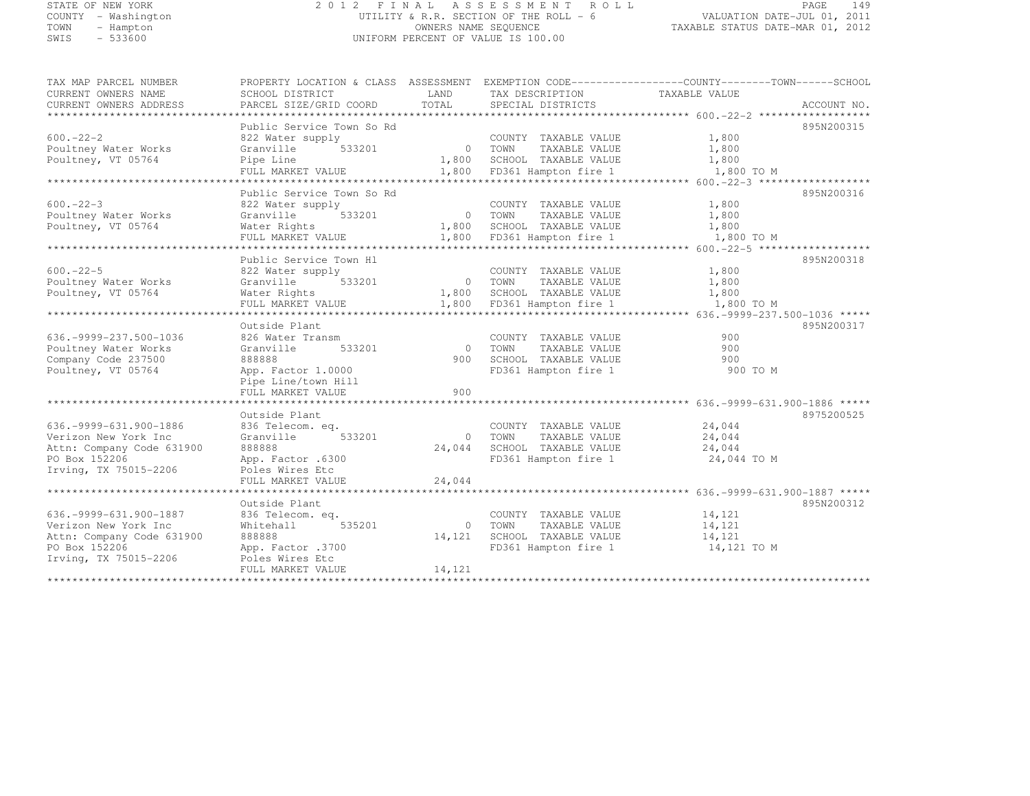## STATE OF NEW YORK 2 0 1 2 F I N A L A S S E S S M E N T R O L L PAGE <sup>149</sup> COUNTY - Washington UTILITY & R.R. SECTION OF THE ROLL - 6 VALUATION DATE-JUL 01, 2011 TOWN - Hampton OWNERS NAME SEQUENCE TAXABLE STATUS DATE-MAR 01, 2012 SWIS - 533600 UNIFORM PERCENT OF VALUE IS 100.00

| TAX MAP PARCEL NUMBER          | PROPERTY LOCATION & CLASS ASSESSMENT EXEMPTION CODE---------------COUNTY-------TOWN------SCHOOL |            |                            |               |             |
|--------------------------------|-------------------------------------------------------------------------------------------------|------------|----------------------------|---------------|-------------|
| CURRENT OWNERS NAME            | SCHOOL DISTRICT                                                                                 | LAND       | TAX DESCRIPTION            | TAXABLE VALUE |             |
| CURRENT OWNERS ADDRESS         | PARCEL SIZE/GRID COORD                                                                          | TOTAL      | SPECIAL DISTRICTS          |               | ACCOUNT NO. |
| ****************************** |                                                                                                 |            |                            |               |             |
|                                | Public Service Town So Rd                                                                       |            |                            |               | 895N200315  |
| $600 - 22 - 2$                 | 822 Water supply                                                                                |            | COUNTY TAXABLE VALUE       | 1,800         |             |
| Poultney Water Works           | 533201<br>Granville                                                                             | 0 TOWN     | TAXABLE VALUE              | 1,800         |             |
| Poultney, VT 05764             | Pipe Line                                                                                       |            | 1,800 SCHOOL TAXABLE VALUE | 1,800         |             |
|                                | FULL MARKET VALUE                                                                               |            | 1,800 FD361 Hampton fire 1 | 1,800 TO M    |             |
|                                |                                                                                                 |            |                            |               |             |
|                                | Public Service Town So Rd                                                                       |            |                            |               | 895N200316  |
| $600 - 22 - 3$                 | 822 Water supply                                                                                |            | COUNTY TAXABLE VALUE       | 1,800         |             |
|                                | 533201<br>Granville                                                                             | 0 TOWN     |                            | 1,800         |             |
| Poultney Water Works           |                                                                                                 |            | TAXABLE VALUE              | 1,800         |             |
| Poultney, VT 05764             | Water Rights                                                                                    |            | 1,800 SCHOOL TAXABLE VALUE |               |             |
|                                | FULL MARKET VALUE                                                                               |            | 1,800 FD361 Hampton fire 1 | 1,800 TO M    |             |
|                                |                                                                                                 |            |                            |               |             |
|                                | Public Service Town Hl                                                                          |            |                            |               | 895N200318  |
| $600 - 22 - 5$                 | 822 Water supply                                                                                |            | COUNTY TAXABLE VALUE       | 1,800         |             |
| Poultney Water Works           | 533201<br>Granville                                                                             | 0 TOWN     | TAXABLE VALUE              | 1,800         |             |
| Poultney, VT 05764             | Water Rights                                                                                    |            | 1,800 SCHOOL TAXABLE VALUE | 1,800         |             |
|                                | FULL MARKET VALUE                                                                               |            | 1,800 FD361 Hampton fire 1 | 1,800 TO M    |             |
|                                |                                                                                                 |            |                            |               |             |
|                                | Outside Plant                                                                                   |            |                            |               | 895N200317  |
| 636. - 9999 - 237. 500 - 1036  | 826 Water Transm                                                                                |            | COUNTY TAXABLE VALUE       | 900           |             |
| Poultney Water Works           | 533201<br>Granville                                                                             | $\bigcirc$ | TOWN<br>TAXABLE VALUE      | 900           |             |
| Company Code 237500            | 888888                                                                                          | 900 -      | SCHOOL TAXABLE VALUE       | 900           |             |
| Poultney, VT 05764             | App. Factor 1.0000                                                                              |            | FD361 Hampton fire 1       | 900 TO M      |             |
|                                | Pipe Line/town Hill                                                                             |            |                            |               |             |
|                                | FULL MARKET VALUE                                                                               | 900        |                            |               |             |
|                                |                                                                                                 |            |                            |               |             |
|                                | Outside Plant                                                                                   |            |                            |               | 8975200525  |
| 636. - 9999 - 631. 900 - 1886  | 836 Telecom. eq.                                                                                |            | COUNTY TAXABLE VALUE       | 24,044        |             |
| Verizon New York Inc           | 533201<br>Granville                                                                             | $\Omega$   | TOWN<br>TAXABLE VALUE      | 24,044        |             |
| Attn: Company Code 631900      | 888888                                                                                          | 24,044     | SCHOOL TAXABLE VALUE       | 24,044        |             |
| PO Box 152206                  | App. Factor .6300                                                                               |            | FD361 Hampton fire 1       | 24,044 TO M   |             |
| Irving, TX 75015-2206          | Poles Wires Etc                                                                                 |            |                            |               |             |
|                                | FULL MARKET VALUE                                                                               | 24,044     |                            |               |             |
|                                |                                                                                                 |            |                            |               |             |
|                                | Outside Plant                                                                                   |            |                            |               | 895N200312  |
| 636. - 9999 - 631. 900 - 1887  | 836 Telecom. eq.                                                                                |            | COUNTY TAXABLE VALUE       | 14,121        |             |
|                                |                                                                                                 | $\Omega$   |                            |               |             |
| Verizon New York Inc           | 535201<br>Whitehall                                                                             |            | TOWN<br>TAXABLE VALUE      | 14,121        |             |
| Attn: Company Code 631900      | 888888                                                                                          | 14,121     | SCHOOL TAXABLE VALUE       | 14,121        |             |
| PO Box 152206                  | App. Factor .3700                                                                               |            | FD361 Hampton fire 1       | 14,121 TO M   |             |
| Irving, TX 75015-2206          | Poles Wires Etc                                                                                 |            |                            |               |             |
|                                | FULL MARKET VALUE                                                                               | 14,121     |                            |               |             |
|                                |                                                                                                 |            |                            |               |             |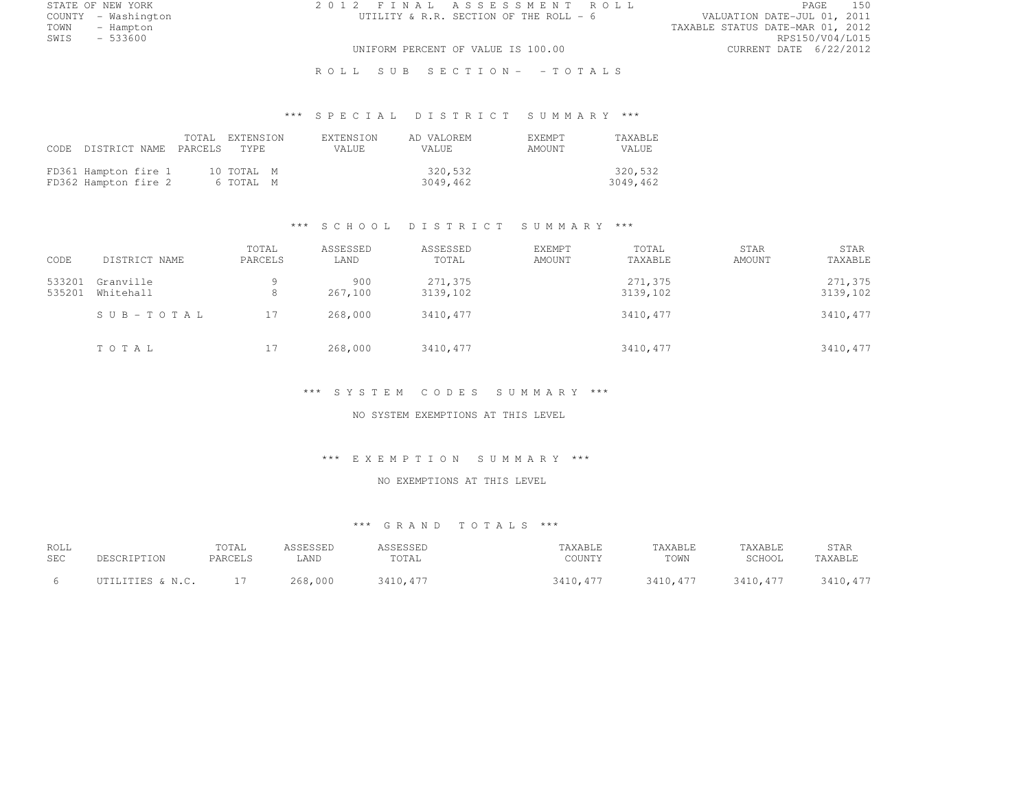STATE OF NEW YORK 2 0 1 2 F I N A L A S S E S S M E N T R O L L PAGE <sup>150</sup>

COUNTY - Washington UTILITY & R.R. SECTION OF THE ROLL - 6 VALUATION DATE-JUL 01, 2011 TOWN - Hampton - The State of the State of the State of the Taxable Status Date-Mar 01, 2012<br>Town - Hampton - The State of the State of the State of the State of the State of the State of the State of th SWIS - 533600 RPS150/V04/L015 UNIFORM PERCENT OF VALUE IS 100.00 CURRENT DATE 6/22/2012

R O L L S U B S E C T I O N - - T O T A L S

# \*\*\* S P E C I A L D I S T R I C T S U M M A R Y \*\*\*

|                                              | CODE DISTRICT NAME PARCELS TYPE | TOTAL EXTENSION         | <b>EXTENSION</b><br><b>VALUE</b> | AD VALOREM<br>VALUE. |                     | <b>F.XFMPT</b><br>AMOUNT | TAXABLE<br>VALUE    |
|----------------------------------------------|---------------------------------|-------------------------|----------------------------------|----------------------|---------------------|--------------------------|---------------------|
| FD361 Hampton fire 1<br>FD362 Hampton fire 2 |                                 | 10 TOTAL M<br>6 TOTAL M |                                  |                      | 320,532<br>3049,462 |                          | 320,532<br>3049,462 |

#### \*\*\* S C H O O L D I S T R I C T S U M M A R Y \*\*\*

| CODE             | DISTRICT NAME          | TOTAL<br>PARCELS | ASSESSED<br>LAND | ASSESSED<br>TOTAL   | EXEMPT<br>AMOUNT | TOTAL<br>TAXABLE    | STAR<br>AMOUNT | STAR<br>TAXABLE     |
|------------------|------------------------|------------------|------------------|---------------------|------------------|---------------------|----------------|---------------------|
| 533201<br>535201 | Granville<br>Whitehall | 9<br>8           | 900<br>267,100   | 271,375<br>3139,102 |                  | 271,375<br>3139,102 |                | 271,375<br>3139,102 |
|                  | SUB-TOTAL              | 17               | 268,000          | 3410,477            |                  | 3410,477            |                | 3410,477            |
|                  | TOTAL                  | 17               | 268,000          | 3410,477            |                  | 3410,477            |                | 3410,477            |

#### \*\*\* S Y S T E M C O D E S S U M M A R Y \*\*\*

NO SYSTEM EXEMPTIONS AT THIS LEVEL

#### \*\*\* E X E M P T I O N S U M M A R Y \*\*\*

#### NO EXEMPTIONS AT THIS LEVEL

| ROLL<br>SEC | DESCRIPTION      | TOTAL<br>PARCELS | ASSESSED<br>LAND | ASSESSED<br>TOTAL | TAXABLE<br>COUNTY | TAXABLE<br>TOWN | TAXABLE<br>SCHOOL | STAR<br>TAXABLE |
|-------------|------------------|------------------|------------------|-------------------|-------------------|-----------------|-------------------|-----------------|
|             | UTILITIES & N.C. |                  | 268,000          | 3410, 477         | 3410, 477         | 3410, 477       | 3410, 477         | 3410, 477       |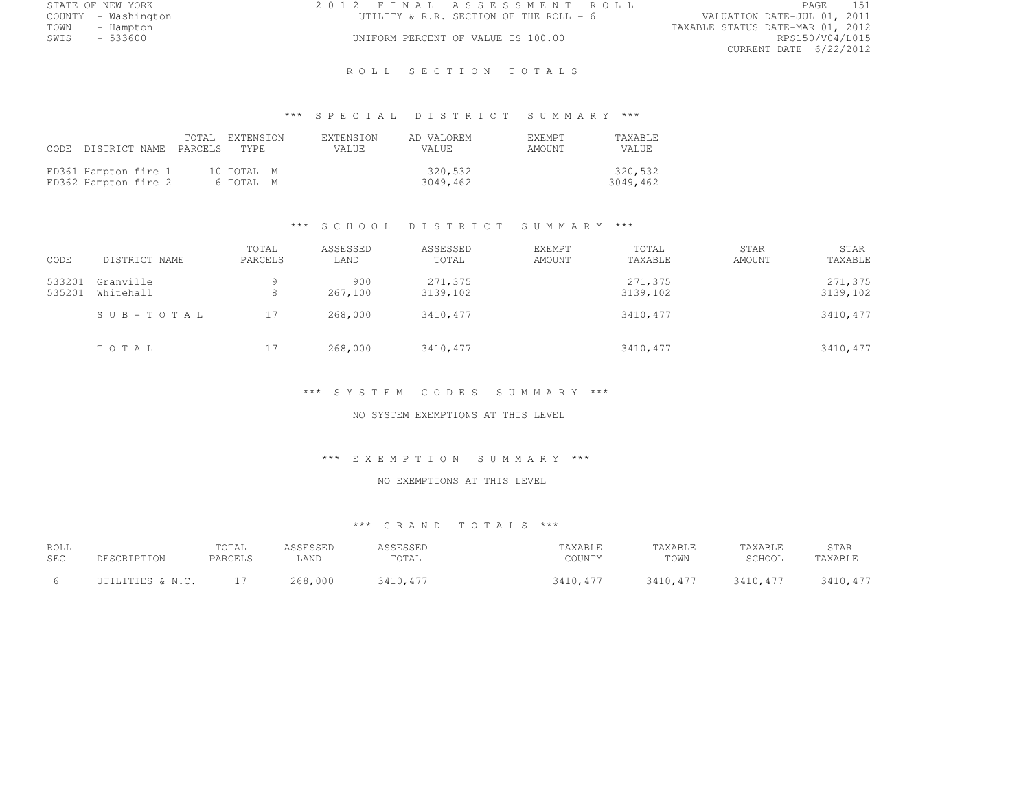| STATE OF NEW YORK   | 2012 FINAL ASSESSMENT ROLL              | PAGE                             |
|---------------------|-----------------------------------------|----------------------------------|
| COUNTY - Washington | UTILITY & R.R. SECTION OF THE ROLL $-6$ | VALUATION DATE-JUL 01, 2011      |
| TOWN<br>- Hampton   |                                         | TAXABLE STATUS DATE-MAR 01, 2012 |
| $-533600$<br>SWIS   | UNIFORM PERCENT OF VALUE IS 100.00      | RPS150/V04/L015                  |
|                     |                                         | CURRENT DATE 6/22/2012           |

### ROLL SECTION TOTALS

# \*\*\* S P E C I A L D I S T R I C T S U M M A R Y \*\*\*

|                                              | CODE DISTRICT NAME PARCELS TYPE | TOTAL EXTENSION         | <b>EXTENSION</b><br>VALUE. | AD VALOREM<br>VALUE. | <b>F.XFMPT</b><br>AMOUNT | <b>TAXABLE</b><br><b>VALUE</b> |
|----------------------------------------------|---------------------------------|-------------------------|----------------------------|----------------------|--------------------------|--------------------------------|
| FD361 Hampton fire 1<br>FD362 Hampton fire 2 |                                 | 10 TOTAL M<br>6 TOTAL M |                            | 320,532<br>3049,462  |                          | 320,532<br>3049,462            |

## \*\*\* S C H O O L D I S T R I C T S U M M A R Y \*\*\*

| CODE             | DISTRICT NAME          | TOTAL<br>PARCELS | ASSESSED<br>LAND | ASSESSED<br>TOTAL   | EXEMPT<br>AMOUNT | TOTAL<br>TAXABLE    | STAR<br>AMOUNT | STAR<br>TAXABLE     |
|------------------|------------------------|------------------|------------------|---------------------|------------------|---------------------|----------------|---------------------|
| 533201<br>535201 | Granville<br>Whitehall | 9<br>8           | 900<br>267,100   | 271,375<br>3139,102 |                  | 271,375<br>3139,102 |                | 271,375<br>3139,102 |
|                  | SUB-TOTAL              | 17               | 268,000          | 3410,477            |                  | 3410,477            |                | 3410,477            |
|                  | TOTAL                  | 17               | 268,000          | 3410,477            |                  | 3410,477            |                | 3410,477            |

#### \*\*\* S Y S T E M C O D E S S U M M A R Y \*\*\*

NO SYSTEM EXEMPTIONS AT THIS LEVEL

#### \*\*\* E X E M P T I O N S U M M A R Y \*\*\*

## NO EXEMPTIONS AT THIS LEVEL

| ROLL<br><b>SEC</b> | DESCRIPTION      | TOTAL<br>PARCELS | ASSESSED<br>LAND | ASSESSED<br>TOTAL | TAXABLE<br>COUNTY | TAXABLE<br>TOWN | TAXABLE<br>SCHOOL | STAR<br>TAXABLE |
|--------------------|------------------|------------------|------------------|-------------------|-------------------|-----------------|-------------------|-----------------|
|                    | UTILITIES & N.C. |                  | 268,000          | 3410.477          | 3410, 477         | 3410, 477       | 3410, 477         | 3410, 477       |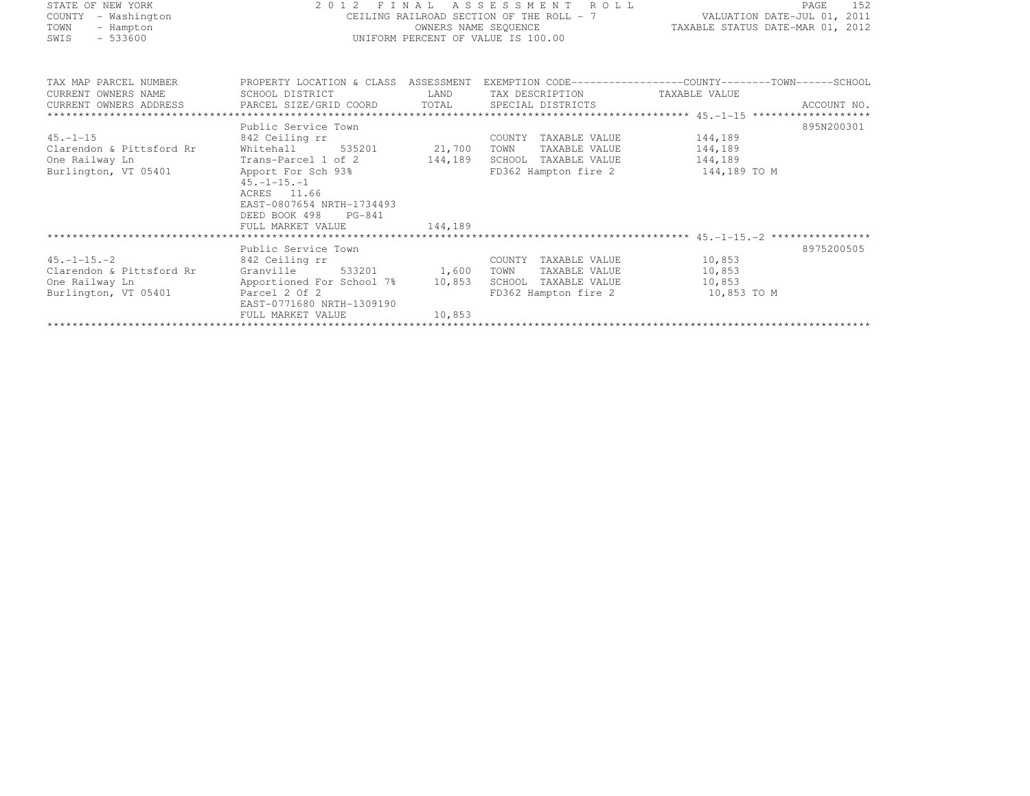| STATE OF NEW YORK        | 2012 FINAL                                 |         | ASSESSMENT ROLL                          | PAGE                                                                                             | 152        |
|--------------------------|--------------------------------------------|---------|------------------------------------------|--------------------------------------------------------------------------------------------------|------------|
| COUNTY<br>- Washington   |                                            |         | CEILING RAILROAD SECTION OF THE ROLL - 7 | VALUATION DATE-JUL 01, 2011                                                                      |            |
| TOWN<br>- Hampton        |                                            |         | OWNERS NAME SEQUENCE                     | TAXABLE STATUS DATE-MAR 01, 2012                                                                 |            |
| $-533600$<br>SWIS        |                                            |         | UNIFORM PERCENT OF VALUE IS 100.00       |                                                                                                  |            |
|                          |                                            |         |                                          |                                                                                                  |            |
| TAX MAP PARCEL NUMBER    |                                            |         |                                          | PROPERTY LOCATION & CLASS ASSESSMENT EXEMPTION CODE----------------COUNTY-------TOWN------SCHOOL |            |
| CURRENT OWNERS NAME      | SCHOOL DISTRICT                            | LAND    | TAX DESCRIPTION                          | TAXABLE VALUE                                                                                    |            |
|                          |                                            |         |                                          |                                                                                                  |            |
|                          |                                            |         |                                          |                                                                                                  |            |
|                          | Public Service Town                        |         |                                          |                                                                                                  | 895N200301 |
| $45. - 1 - 15$           | 842 Ceiling rr                             |         | COUNTY TAXABLE VALUE                     | 144,189                                                                                          |            |
| Clarendon & Pittsford Rr | Whitehall<br>535201                        | 21,700  | TOWN<br>TAXABLE VALUE                    | 144,189                                                                                          |            |
| One Railway Ln           | Trans-Parcel 1 of 2                        | 144,189 | SCHOOL TAXABLE VALUE                     | 144,189                                                                                          |            |
| Burlington, VT 05401     | Apport For Sch 93%                         |         | FD362 Hampton fire 2                     | 144,189 TO M                                                                                     |            |
|                          | $45. -1 - 15. - 1$                         |         |                                          |                                                                                                  |            |
|                          | ACRES 11.66                                |         |                                          |                                                                                                  |            |
|                          | EAST-0807654 NRTH-1734493                  |         |                                          |                                                                                                  |            |
|                          | DEED BOOK 498<br>PG-841                    |         |                                          |                                                                                                  |            |
|                          | FULL MARKET VALUE                          | 144,189 |                                          |                                                                                                  |            |
|                          |                                            |         |                                          |                                                                                                  |            |
|                          | Public Service Town                        |         |                                          |                                                                                                  | 8975200505 |
| $45. -1 - 15. -2$        | 842 Ceiling rr                             |         | COUNTY TAXABLE VALUE                     | 10,853                                                                                           |            |
| Clarendon & Pittsford Rr | 533201<br>Granville                        | 1,600   | TAXABLE VALUE<br>TOWN                    | 10,853                                                                                           |            |
| One Railway Ln           | Apportioned For School 7% 10,853           |         | SCHOOL TAXABLE VALUE                     | 10,853                                                                                           |            |
| Burlington, VT 05401     | Parcel 2 Of 2<br>EAST-0771680 NRTH-1309190 |         | FD362 Hampton fire 2                     | 10,853 TO M                                                                                      |            |

FULL MARKET VALUE 10,853 \*\*\*\*\*\*\*\*\*\*\*\*\*\*\*\*\*\*\*\*\*\*\*\*\*\*\*\*\*\*\*\*\*\*\*\*\*\*\*\*\*\*\*\*\*\*\*\*\*\*\*\*\*\*\*\*\*\*\*\*\*\*\*\*\*\*\*\*\*\*\*\*\*\*\*\*\*\*\*\*\*\*\*\*\*\*\*\*\*\*\*\*\*\*\*\*\*\*\*\*\*\*\*\*\*\*\*\*\*\*\*\*\*\*\*\*\*\*\*\*\*\*\*\*\*\*\*\*\*\*\*\*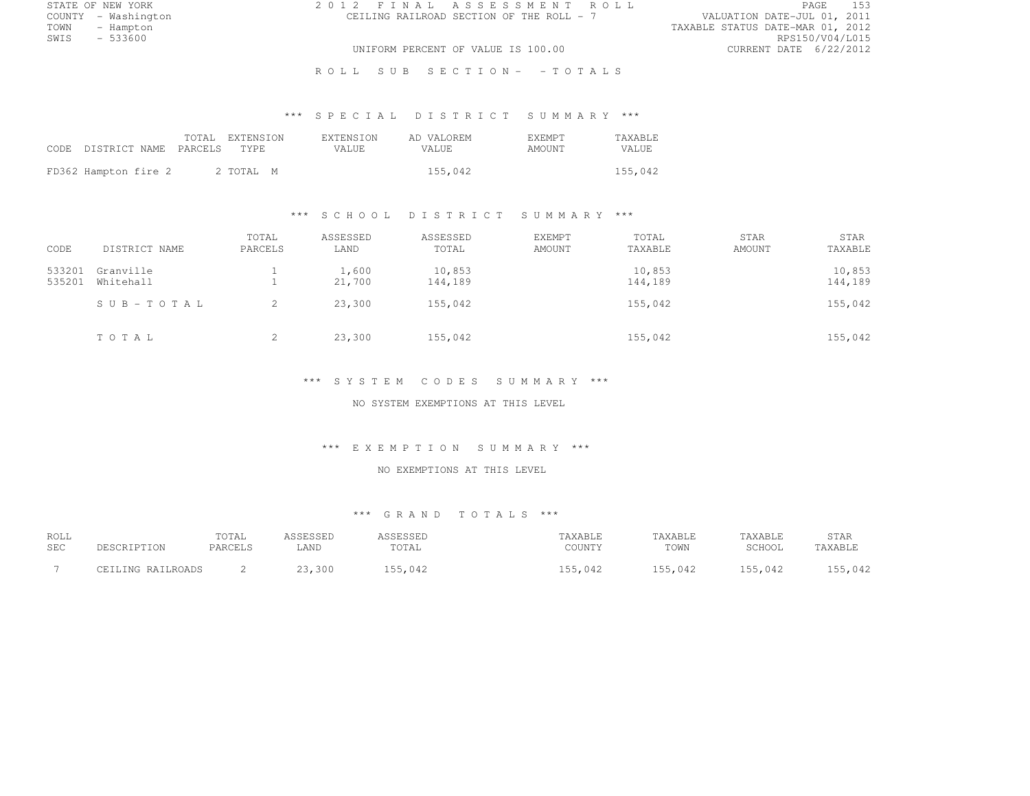STATE OF NEW YORK 2 0 1 2 F I N A L A S S E S S M E N T R O L L PAGE <sup>153</sup> COUNTY - Washington CEILING RAILROAD SECTION OF THE ROLL - 7<br>TOWN - Hampton TOWN - Hampton TAXABLE STATUS DATE-MAR 01, 2012 SWIS - 533600 RPS150/V04/L015 UNIFORM PERCENT OF VALUE IS 100.00 CURRENT DATE 6/22/2012

ROLL SUB SECTION- - TOTALS

# \*\*\* S P E C I A L D I S T R I C T S U M M A R Y \*\*\*

| CODE DISTRICT NAME PARCELS TYPE |  | TOTAL EXTENSION | <b>EXTENSION</b><br>VALUE. | AD VALOREM<br>VALUE. | <b>F.XF.MPT</b><br>AMOUNT | <b>TAXABLE</b><br>VALUE |
|---------------------------------|--|-----------------|----------------------------|----------------------|---------------------------|-------------------------|
| FD362 Hampton fire 2            |  | 2 TOTAL M       |                            | 155,042              |                           | 155,042                 |

### \*\*\* S C H O O L D I S T R I C T S U M M A R Y \*\*\*

| CODE             | DISTRICT NAME          | TOTAL<br>PARCELS | ASSESSED<br>LAND | ASSESSED<br>TOTAL | <b>EXEMPT</b><br>AMOUNT | TOTAL<br>TAXABLE  | STAR<br>AMOUNT | STAR<br>TAXABLE   |
|------------------|------------------------|------------------|------------------|-------------------|-------------------------|-------------------|----------------|-------------------|
| 533201<br>535201 | Granville<br>Whitehall |                  | 1,600<br>21,700  | 10,853<br>144,189 |                         | 10,853<br>144,189 |                | 10,853<br>144,189 |
|                  | SUB-TOTAL              | 2                | 23,300           | 155,042           |                         | 155,042           |                | 155,042           |
|                  | TOTAL                  | 2                | 23,300           | 155,042           |                         | 155,042           |                | 155,042           |

#### \*\*\* S Y S T E M C O D E S S U M M A R Y \*\*\*

NO SYSTEM EXEMPTIONS AT THIS LEVEL

#### \*\*\* E X E M P T I O N S U M M A R Y \*\*\*

#### NO EXEMPTIONS AT THIS LEVEL

| ROLL | DESCRIPTION       | TOTAL   | ASSESSED | ASSESSED | TAXABLE | TAXABLE | TAXABLE | STAR    |
|------|-------------------|---------|----------|----------|---------|---------|---------|---------|
| SEC  |                   | PARCELS | .AND     | TOTAL    | COUNTY  | TOWN    | SCHOOL  | TAXABLE |
|      | CEILING RAILROADS |         | 23,300   | 155,042  | 155,042 | 155.042 | 155,042 | 155,042 |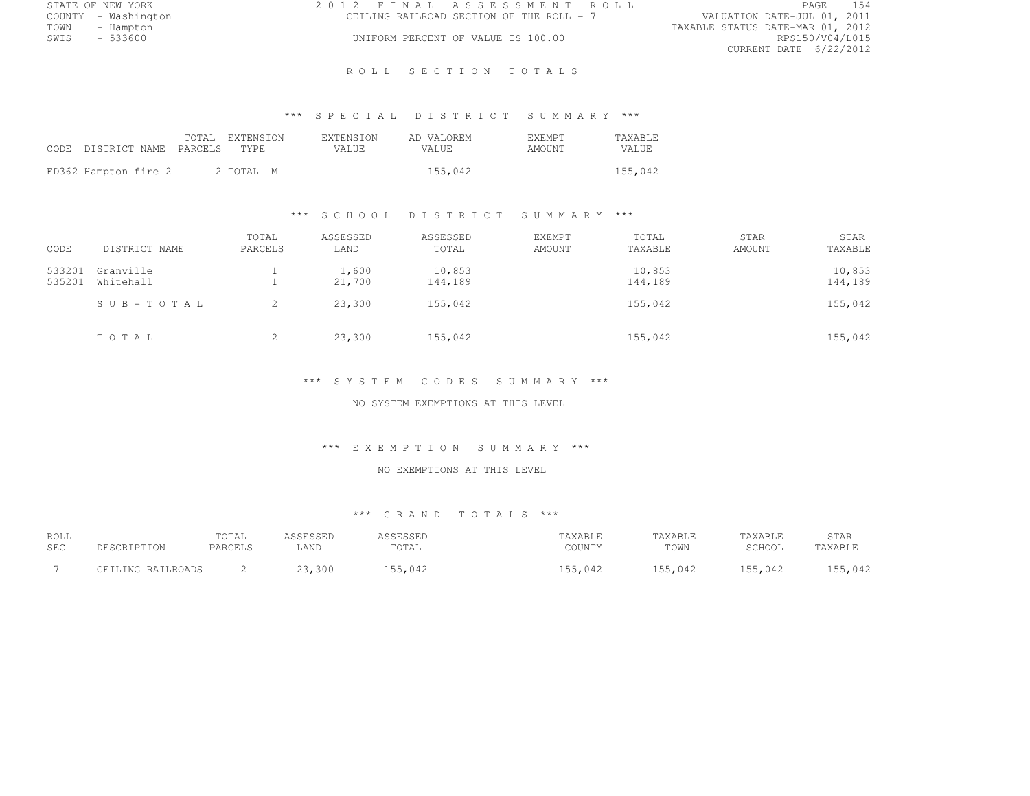|      | STATE OF NEW YORK   | 2012 FINAL ASSESSMENT ROLL               |                                  | PAGE                   | 154 |
|------|---------------------|------------------------------------------|----------------------------------|------------------------|-----|
|      | COUNTY - Washington | CEILING RAILROAD SECTION OF THE ROLL - 7 | VALUATION DATE-JUL 01, 2011      |                        |     |
| TOWN | - Hampton           |                                          | TAXABLE STATUS DATE-MAR 01, 2012 |                        |     |
| SWIS | - 533600            | UNIFORM PERCENT OF VALUE IS 100.00       |                                  | RPS150/V04/L015        |     |
|      |                     |                                          |                                  | CURRENT DATE 6/22/2012 |     |

### ROLL SECTION TOTALS

# \*\*\* S P E C I A L D I S T R I C T S U M M A R Y \*\*\*

| CODE DISTRICT NAME PARCELS TYPE |  | TOTAL EXTENSION | <b>EXTENSION</b><br>VALUE. | AD VALOREM<br>VALUE. | <b>F.XEMPT</b><br>AMOUNT | <b>TAXABLE</b><br>VALUE. |
|---------------------------------|--|-----------------|----------------------------|----------------------|--------------------------|--------------------------|
| FD362 Hampton fire 2            |  | 2 TOTAL M       |                            | 155,042              |                          | 155,042                  |

#### \*\*\* S C H O O L D I S T R I C T S U M M A R Y \*\*\*

| CODE   | DISTRICT NAME | TOTAL<br>PARCELS | ASSESSED<br>LAND | ASSESSED<br>TOTAL | EXEMPT<br><b>AMOUNT</b> | TOTAL<br>TAXABLE | <b>STAR</b><br>AMOUNT | STAR<br>TAXABLE |
|--------|---------------|------------------|------------------|-------------------|-------------------------|------------------|-----------------------|-----------------|
|        |               |                  |                  |                   |                         |                  |                       |                 |
| 533201 | Granville     |                  | 1,600            | 10,853            |                         | 10,853           |                       | 10,853          |
| 535201 | Whitehall     |                  | 21,700           | 144,189           |                         | 144,189          |                       | 144,189         |
|        | SUB-TOTAL     | 2                | 23,300           | 155,042           |                         | 155,042          |                       | 155,042         |
|        | TOTAL         | 2                | 23,300           | 155,042           |                         | 155,042          |                       | 155,042         |

#### \*\*\* S Y S T E M C O D E S S U M M A R Y \*\*\*

NO SYSTEM EXEMPTIONS AT THIS LEVEL

#### \*\*\* E X E M P T I O N S U M M A R Y \*\*\*

## NO EXEMPTIONS AT THIS LEVEL

| ROLL<br><b>SEC</b> | DESCRIPTION       | TOTAL<br>PARCELS | ASSESSED<br>LAND | ASSESSED<br>TOTAL | TAXABLE<br>COUNTY | TAXABLE<br>TOWN | TAXABLE<br>SCHOOL | STAR<br>TAXABLE |
|--------------------|-------------------|------------------|------------------|-------------------|-------------------|-----------------|-------------------|-----------------|
|                    | CEILING RAILROADS |                  | 23,300           | 155.042           | 155.042           | 155,042         | 155,042           | 155,042         |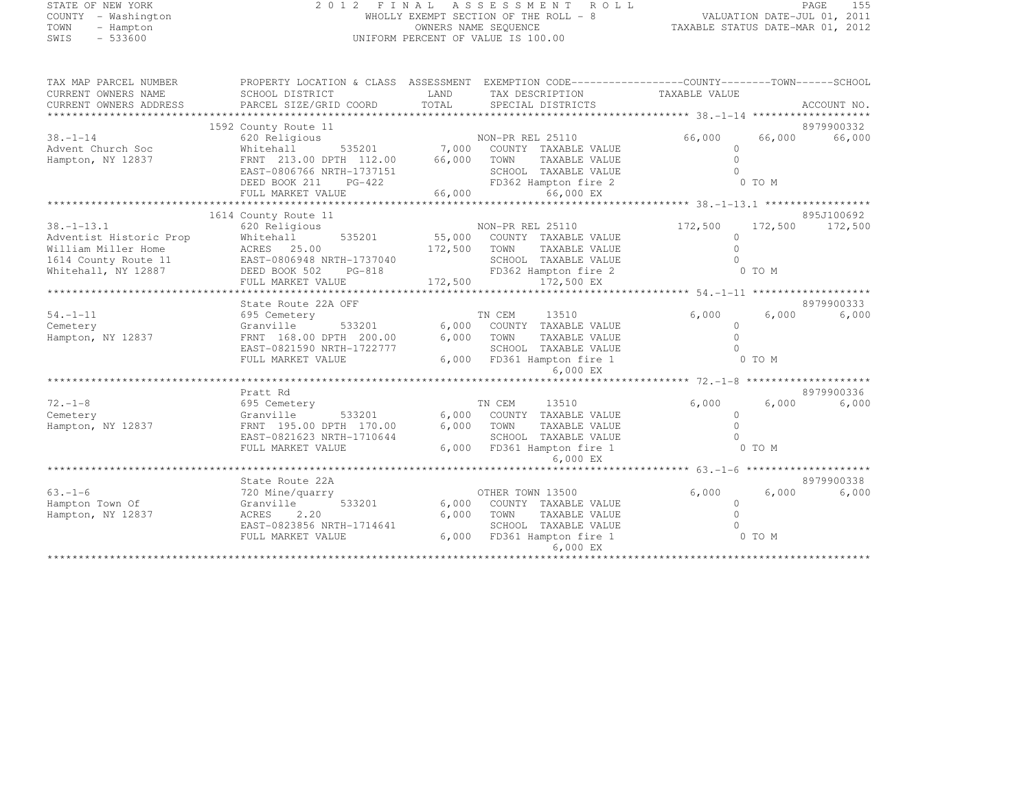### STATE OF NEW YORK 2 0 1 2 F I N A L A S S E S S M E N T R O L L PAGE <sup>155</sup> COUNTY - Washington COUNTY - Washington Summary Section OF THE ROLL - 8<br>TOWN - Hampton DATE-JUL 2011 DATE-JUL 2011 TOWN - Hampton OWNERS NAME SEQUENCE TAXABLE STATUS DATE-MAR 01, 2012 UNIFORM PERCENT OF VALUE IS 100.00

| TAX MAP PARCEL NUMBER   | PROPERTY LOCATION & CLASS ASSESSMENT EXEMPTION CODE-----------------COUNTY--------TOWN------SCHOOL |         |                             |               |         |             |
|-------------------------|----------------------------------------------------------------------------------------------------|---------|-----------------------------|---------------|---------|-------------|
| CURRENT OWNERS NAME     | SCHOOL DISTRICT                                                                                    | LAND    | TAX DESCRIPTION             | TAXABLE VALUE |         |             |
| CURRENT OWNERS ADDRESS  | PARCEL SIZE/GRID COORD                                                                             | TOTAL   | SPECIAL DISTRICTS           |               |         | ACCOUNT NO. |
|                         |                                                                                                    |         |                             |               |         | 8979900332  |
| $38 - 1 - 14$           | 1592 County Route 11<br>620 Religious                                                              |         | NON-PR REL 25110            | 66,000        | 66,000  | 66,000      |
| Advent Church Soc       | Whitehall<br>535201                                                                                | 7,000   | COUNTY TAXABLE VALUE        | $\Omega$      |         |             |
| Hampton, NY 12837       | FRNT 213.00 DPTH 112.00                                                                            | 66,000  | TOWN<br>TAXABLE VALUE       | $\Omega$      |         |             |
|                         | EAST-0806766 NRTH-1737151                                                                          |         | SCHOOL TAXABLE VALUE        |               |         |             |
|                         | DEED BOOK 211<br>PG-422                                                                            |         | FD362 Hampton fire 2        |               | 0 TO M  |             |
|                         | FULL MARKET VALUE                                                                                  | 66,000  | 66,000 EX                   |               |         |             |
|                         |                                                                                                    |         |                             |               |         |             |
|                         | 1614 County Route 11                                                                               |         |                             |               |         | 895J100692  |
| $38. - 1 - 13.1$        | 620 Religious                                                                                      |         | NON-PR REL 25110            | 172,500       | 172,500 | 172,500     |
| Adventist Historic Prop | Whitehall<br>535201                                                                                |         | 55,000 COUNTY TAXABLE VALUE | $\Omega$      |         |             |
| William Miller Home     | ACRES 25.00                                                                                        | 172,500 | TOWN<br>TAXABLE VALUE       | $\cap$        |         |             |
| 1614 County Route 11    | EAST-0806948 NRTH-1737040                                                                          |         | SCHOOL TAXABLE VALUE        |               |         |             |
| Whitehall, NY 12887     | DEED BOOK 502<br>PG-818                                                                            |         | FD362 Hampton fire 2        |               | 0 TO M  |             |
|                         | FULL MARKET VALUE                                                                                  | 172,500 | 172,500 EX                  |               |         |             |
|                         | State Route 22A OFF                                                                                |         |                             |               |         | 8979900333  |
| $54. - 1 - 11$          | 695 Cemetery                                                                                       |         | TN CEM<br>13510             | 6,000         | 6,000   | 6,000       |
| Cemetery                | Granville<br>533201                                                                                |         | 6,000 COUNTY TAXABLE VALUE  | $\Omega$      |         |             |
| Hampton, NY 12837       | FRNT 168.00 DPTH 200.00                                                                            | 6,000   | TOWN<br>TAXABLE VALUE       | $\cap$        |         |             |
|                         | EAST-0821590 NRTH-1722777                                                                          |         | SCHOOL TAXABLE VALUE        |               |         |             |
|                         | FULL MARKET VALUE                                                                                  |         | 6,000 FD361 Hampton fire 1  |               | 0 TO M  |             |
|                         |                                                                                                    |         | 6,000 EX                    |               |         |             |
|                         |                                                                                                    |         |                             |               |         |             |
|                         | Pratt Rd                                                                                           |         |                             |               |         | 8979900336  |
| $72. - 1 - 8$           | 695 Cemetery                                                                                       |         | TN CEM<br>13510             | 6,000         | 6,000   | 6,000       |
| Cemetery                | Granville<br>533201                                                                                |         | 6,000 COUNTY TAXABLE VALUE  | $\Omega$      |         |             |
| Hampton, NY 12837       | FRNT 195.00 DPTH 170.00                                                                            | 6,000   | TOWN<br>TAXABLE VALUE       | $\Omega$      |         |             |
|                         | EAST-0821623 NRTH-1710644                                                                          |         | SCHOOL TAXABLE VALUE        |               |         |             |
|                         | FULL MARKET VALUE                                                                                  |         | 6,000 FD361 Hampton fire 1  |               | 0 TO M  |             |
|                         |                                                                                                    |         | 6,000 EX                    |               |         |             |
|                         | State Route 22A                                                                                    |         |                             |               |         | 8979900338  |
| $63 - 1 - 6$            | 720 Mine/quarry                                                                                    |         | OTHER TOWN 13500            | 6,000         | 6,000   | 6,000       |
| Hampton Town Of         | 533201<br>Granville                                                                                |         | 6,000 COUNTY TAXABLE VALUE  | $\circ$       |         |             |
| Hampton, NY 12837       | ACRES<br>2.20                                                                                      | 6,000   | TOWN<br>TAXABLE VALUE       |               |         |             |
|                         | EAST-0823856 NRTH-1714641                                                                          |         | SCHOOL TAXABLE VALUE        |               |         |             |
|                         | FULL MARKET VALUE                                                                                  | 6,000   | FD361 Hampton fire 1        |               | 0 TO M  |             |
|                         |                                                                                                    |         | 6,000 EX                    |               |         |             |
|                         |                                                                                                    |         |                             |               |         |             |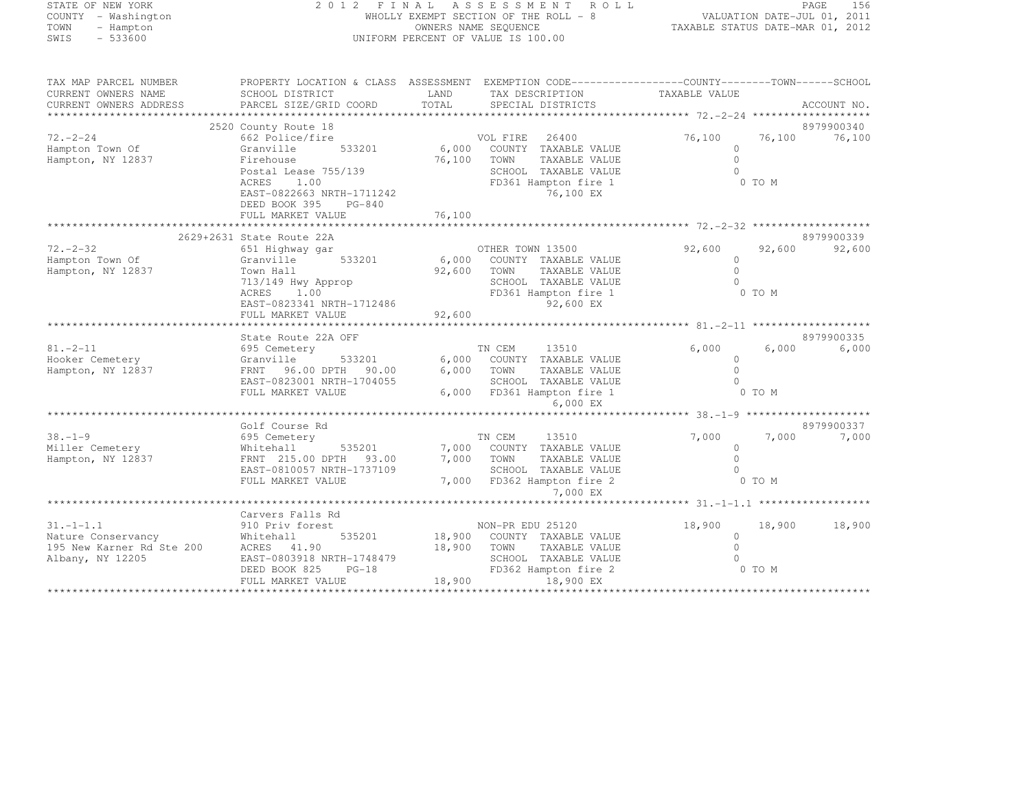## STATE OF NEW YORK 2 0 1 2 F I N A L A S S E S S M E N T R O L L PAGE <sup>156</sup> COUNTY - Washington WHOLLY EXEMPT SECTION OF THE ROLL - 8 VALUATION DATE-JUL 01, 2011 TOWN - Hampton OWNERS NAME SEQUENCE TAXABLE STATUS DATE-MAR 01, 2012 SWIS - 533600 UNIFORM PERCENT OF VALUE IS 100.00

| TAX MAP PARCEL NUMBER<br>CURRENT OWNERS NAME<br>CURRENT OWNERS ADDRESS                 | PROPERTY LOCATION & CLASS ASSESSMENT<br>SCHOOL DISTRICT<br>PARCEL SIZE/GRID COORD                                                                                         | LAND<br>TOTAL              | EXEMPTION CODE-----------------COUNTY--------TOWN------SCHOOL<br>TAX DESCRIPTION<br>SPECIAL DISTRICTS                              | TAXABLE VALUE                                                                |                  | ACCOUNT NO.          |
|----------------------------------------------------------------------------------------|---------------------------------------------------------------------------------------------------------------------------------------------------------------------------|----------------------------|------------------------------------------------------------------------------------------------------------------------------------|------------------------------------------------------------------------------|------------------|----------------------|
| $72. - 2 - 24$<br>Hampton Town Of<br>Hampton, NY 12837                                 | 2520 County Route 18<br>662 Police/fire<br>Granville<br>533201<br>Firehouse<br>Postal Lease 755/139<br>ACRES<br>1.00                                                      | 6,000<br>76,100            | VOL FIRE<br>26400<br>COUNTY TAXABLE VALUE<br>TOWN<br>TAXABLE VALUE<br>SCHOOL TAXABLE VALUE<br>FD361 Hampton fire 1                 | 76,100<br>$\Omega$<br>$\Omega$<br>$\bigcap$                                  | 76,100<br>0 TO M | 8979900340<br>76,100 |
|                                                                                        | EAST-0822663 NRTH-1711242<br>DEED BOOK 395<br>PG-840<br>FULL MARKET VALUE                                                                                                 | 76,100                     | 76,100 EX                                                                                                                          |                                                                              |                  |                      |
| $72. - 2 - 32$<br>Hampton Town Of<br>Hampton, NY 12837                                 | 2629+2631 State Route 22A<br>651 Highway gar<br>Granville<br>533201<br>Town Hall<br>713/149 Hwy Approp<br>ACRES<br>1.00<br>EAST-0823341 NRTH-1712486<br>FULL MARKET VALUE | 6,000<br>92,600<br>92,600  | OTHER TOWN 13500<br>COUNTY TAXABLE VALUE<br>TOWN<br>TAXABLE VALUE<br>SCHOOL TAXABLE VALUE<br>FD361 Hampton fire 1<br>92,600 EX     | 92,600<br>$\mathbf{0}$<br>$\Omega$<br>$\cap$                                 | 92,600<br>0 TO M | 8979900339<br>92,600 |
| $81 - 2 - 11$<br>Hooker Cemetery<br>Hampton, NY 12837                                  | State Route 22A OFF<br>695 Cemetery<br>Granville<br>533201<br>96.00 DPTH<br>FRNT<br>90.00<br>EAST-0823001 NRTH-1704055<br>FULL MARKET VALUE                               | 6,000<br>6,000<br>6,000    | TN CEM<br>13510<br>COUNTY TAXABLE VALUE<br>TOWN<br>TAXABLE VALUE<br>SCHOOL TAXABLE VALUE<br>FD361 Hampton fire 1<br>6,000 EX       | 6,000<br>$\Omega$<br>$\bigcap$<br>$\Omega$                                   | 6,000<br>0 TO M  | 8979900335<br>6,000  |
| $38. - 1 - 9$<br>Miller Cemetery<br>Hampton, NY 12837                                  | Golf Course Rd<br>695 Cemetery<br>535201<br>Whitehall<br>FRNT 215.00 DPTH<br>93.00<br>EAST-0810057 NRTH-1737109<br>FULL MARKET VALUE                                      | 7,000<br>7,000             | TN CEM<br>13510<br>COUNTY TAXABLE VALUE<br>TOWN<br>TAXABLE VALUE<br>SCHOOL TAXABLE VALUE<br>7,000 FD362 Hampton fire 2<br>7,000 EX | 7,000<br>$\circ$<br>$\cap$<br>$\bigcap$                                      | 7,000<br>0 TO M  | 8979900337<br>7,000  |
| $31. - 1 - 1.1$<br>Nature Conservancy<br>195 New Karner Rd Ste 200<br>Albany, NY 12205 | Carvers Falls Rd<br>910 Priv forest<br>535201<br>Whitehall<br>ACRES 41.90<br>EAST-0803918 NRTH-1748479<br>DEED BOOK 825<br>$PG-18$<br>FULL MARKET VALUE                   | 18,900<br>18,900<br>18,900 | NON-PR EDU 25120<br>COUNTY TAXABLE VALUE<br>TOWN<br>TAXABLE VALUE<br>SCHOOL TAXABLE VALUE<br>FD362 Hampton fire 2<br>18,900 EX     | ********************* 31.-1-1.1 ******<br>18,900<br>$\mathbf{0}$<br>$\Omega$ | 18,900<br>0 TO M | 18,900               |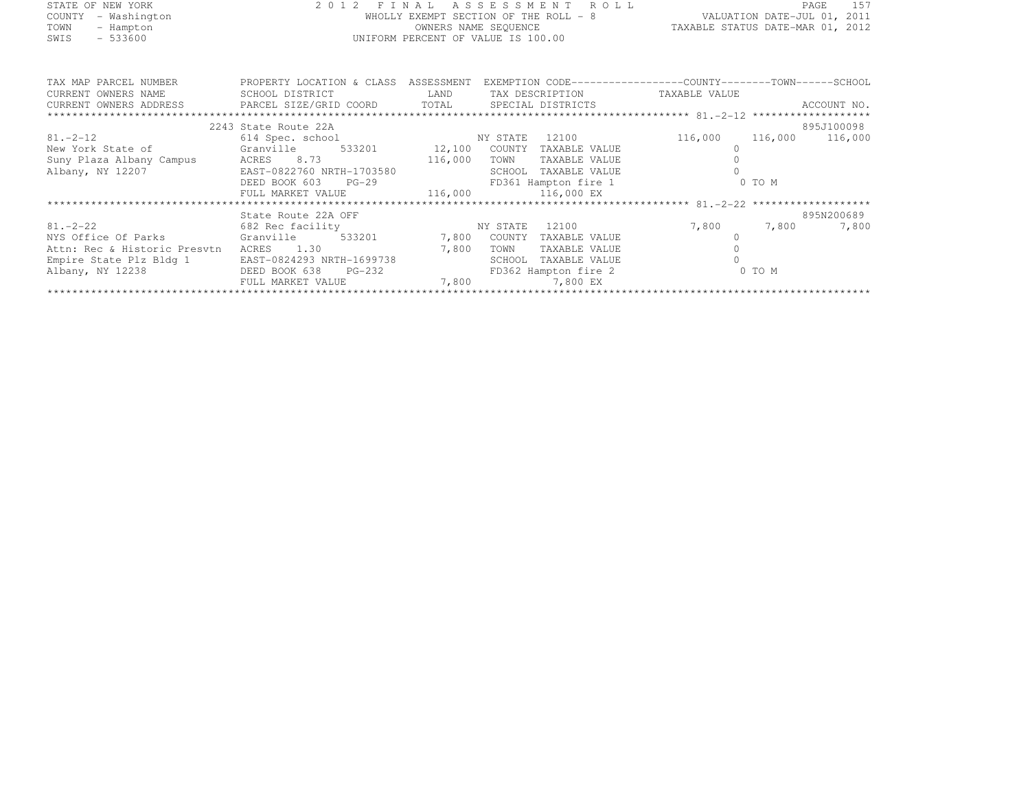|      | STATE OF NEW YORK   | 2012 FINAL ASSESSMENT ROLL            |                                  | PAGE 157 |  |
|------|---------------------|---------------------------------------|----------------------------------|----------|--|
|      | COUNTY - Washington | WHOLLY EXEMPT SECTION OF THE ROLL - 8 | VALUATION DATE-JUL 01, 2011      |          |  |
| TOWN | - Hampton           | OWNERS NAME SEQUENCE                  | TAXABLE STATUS DATE-MAR 01, 2012 |          |  |
| SWIS | $-533600$           | UNIFORM PERCENT OF VALUE IS 100.00    |                                  |          |  |
|      |                     |                                       |                                  |          |  |
|      |                     |                                       |                                  |          |  |

| TAX MAP PARCEL NUMBER<br>CURRENT OWNERS NAME                                      | PROPERTY LOCATION & CLASS<br>SCHOOL DISTRICT LAND | ASSESSMENT | EXEMPTION CODE-----------------COUNTY-------TOWN------SCHOOL<br>TAX DESCRIPTION TAXABLE VALUE |             |                         |
|-----------------------------------------------------------------------------------|---------------------------------------------------|------------|-----------------------------------------------------------------------------------------------|-------------|-------------------------|
| CURRENT OWNERS ADDRESS <b>EXEL</b> PARCEL SIZE/GRID COORD TOTAL SPECIAL DISTRICTS |                                                   |            |                                                                                               |             | ACCOUNT NO.             |
| *************************                                                         |                                                   |            |                                                                                               |             |                         |
|                                                                                   | 2243 State Route 22A                              |            |                                                                                               |             | 895J100098              |
| $81. -2 - 12$                                                                     | 614 Spec. school                                  | NY STATE   | 12100                                                                                         |             | 116,000 116,000 116,000 |
| New York State of Granville 533201 12,100 COUNTY TAXABLE VALUE                    |                                                   |            |                                                                                               |             |                         |
| Suny Plaza Albany Campus ACRES 8.73 116,000                                       |                                                   |            | TOWN<br>TAXABLE VALUE                                                                         |             |                         |
| Albany, NY 12207                                                                  | EAST-0822760 NRTH-1703580                         |            | SCHOOL<br>TAXABLE VALUE                                                                       |             |                         |
|                                                                                   | DEED BOOK 603<br>$PG-29$                          |            | FD361 Hampton fire 1                                                                          |             | 0 TO M                  |
|                                                                                   | FULL MARKET VALUE 116,000 116,000 EX              |            |                                                                                               |             |                         |
|                                                                                   |                                                   |            |                                                                                               |             |                         |
|                                                                                   | State Route 22A OFF                               |            |                                                                                               |             | 895N200689              |
| $81. - 2 - 22$                                                                    | 682 Rec facility                                  | NY STATE   | 12100                                                                                         | 7,800 7,800 | 7,800                   |
| NYS Office Of Parks Granville 533201 7,800                                        |                                                   |            | COUNTY<br>TAXABLE VALUE                                                                       |             |                         |
| Attn: Rec & Historic Presytn                                                      | ACRES 1.30                                        | 7,800      | TOWN<br>TAXABLE VALUE                                                                         |             |                         |
| Empire State Plz Bldg 1                                                           | EAST-0824293 NRTH-1699738                         |            | SCHOOL<br>TAXABLE VALUE                                                                       |             |                         |
| Albany, NY 12238                                                                  | DEED BOOK 638<br>$PG-232$                         |            | FD362 Hampton fire 2                                                                          |             | 0 TO M                  |
|                                                                                   | FULL MARKET VALUE                                 | 7,800      | 7,800 EX                                                                                      |             |                         |
|                                                                                   |                                                   |            |                                                                                               |             |                         |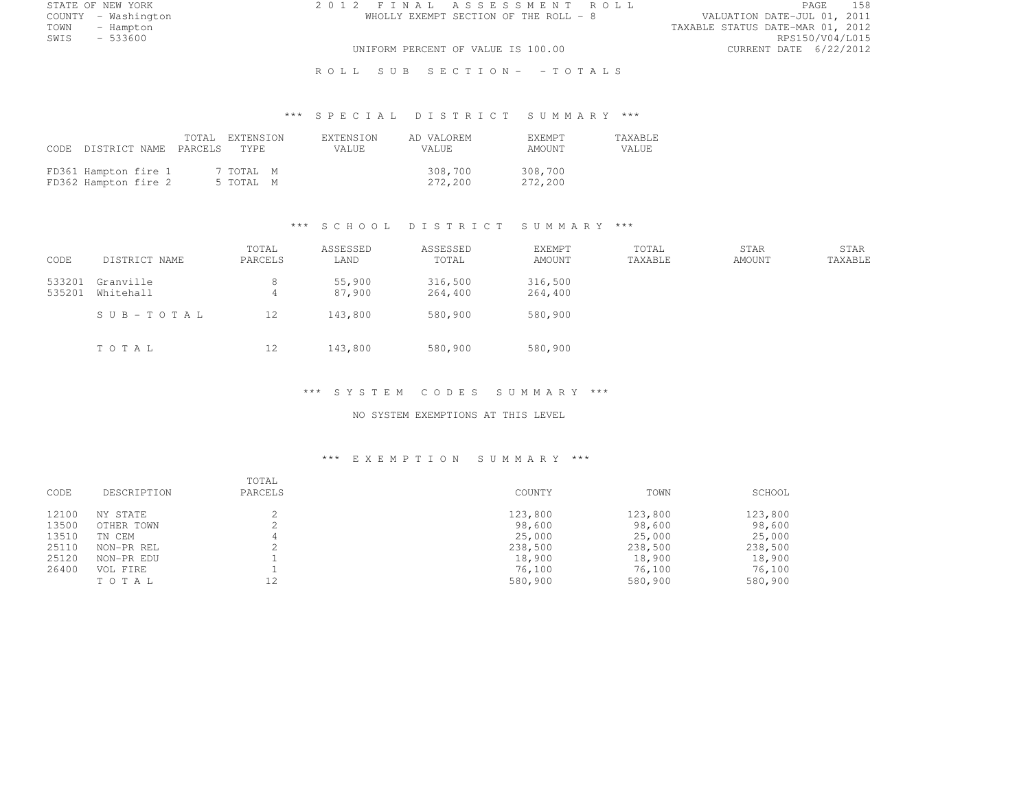STATE OF NEW YORK 2 0 1 2 F I N A L A S S E S S M E N T R O L L PAGE <sup>158</sup>

COUNTY - Washington WHOLLY EXEMPT SECTION OF THE ROLL - 8 VALUATION DATE-JUL 01, 2011 TOWN - Hampton - The State of the State of the State of the Taxable Status Date-Mar 01, 2012<br>Town - Hampton - The State of the State of the State of the State of the State of the State of the State of th SWIS - 533600 RPS150/V04/L015 UNIFORM PERCENT OF VALUE IS 100.00 CURRENT DATE 6/22/2012

R O L L S U B S E C T I O N - - T O T A L S

# \*\*\* S P E C I A L D I S T R I C T S U M M A R Y \*\*\*

| CODE DISTRICT NAME PARCELS TYPE              |  | TOTAL EXTENSION        | <b>EXTENSION</b><br>VALUE. | AD VALOREM<br>VALUE. |                    | F.XFMPT<br>AMOUNT | <b>TAXABLE</b><br>VALUE. |
|----------------------------------------------|--|------------------------|----------------------------|----------------------|--------------------|-------------------|--------------------------|
| FD361 Hampton fire 1<br>FD362 Hampton fire 2 |  | 7 TOTAL M<br>5 TOTAL M |                            | 308,700<br>272,200   | 308,700<br>272,200 |                   |                          |

#### \*\*\* S C H O O L D I S T R I C T S U M M A R Y \*\*\*

| CODE             | DISTRICT NAME          | TOTAL<br>PARCELS | ASSESSED<br>LAND | ASSESSED<br>TOTAL  | EXEMPT<br>AMOUNT   | TOTAL<br>TAXABLE | <b>STAR</b><br><b>AMOUNT</b> | STAR<br>TAXABLE |
|------------------|------------------------|------------------|------------------|--------------------|--------------------|------------------|------------------------------|-----------------|
| 533201<br>535201 | Granville<br>Whitehall | 8<br>4           | 55,900<br>87,900 | 316,500<br>264,400 | 316,500<br>264,400 |                  |                              |                 |
|                  | SUB-TOTAL              | 12               | 143,800          | 580,900            | 580,900            |                  |                              |                 |
|                  | TOTAL                  | 12               | 143,800          | 580,900            | 580,900            |                  |                              |                 |

#### \*\*\* S Y S T E M C O D E S S U M M A R Y \*\*\*

### NO SYSTEM EXEMPTIONS AT THIS LEVEL

| CODE  | DESCRIPTION | TOTAL<br>PARCELS | COUNTY  | TOWN    | SCHOOL  |
|-------|-------------|------------------|---------|---------|---------|
| 12100 | NY STATE    |                  | 123,800 | 123,800 | 123,800 |
| 13500 | OTHER TOWN  |                  | 98,600  | 98,600  | 98,600  |
| 13510 | TN CEM      |                  | 25,000  | 25,000  | 25,000  |
| 25110 | NON-PR REL  |                  | 238,500 | 238,500 | 238,500 |
| 25120 | NON-PR EDU  |                  | 18,900  | 18,900  | 18,900  |
| 26400 | VOL FIRE    |                  | 76,100  | 76,100  | 76,100  |
|       | TOTAL       | 12               | 580,900 | 580,900 | 580,900 |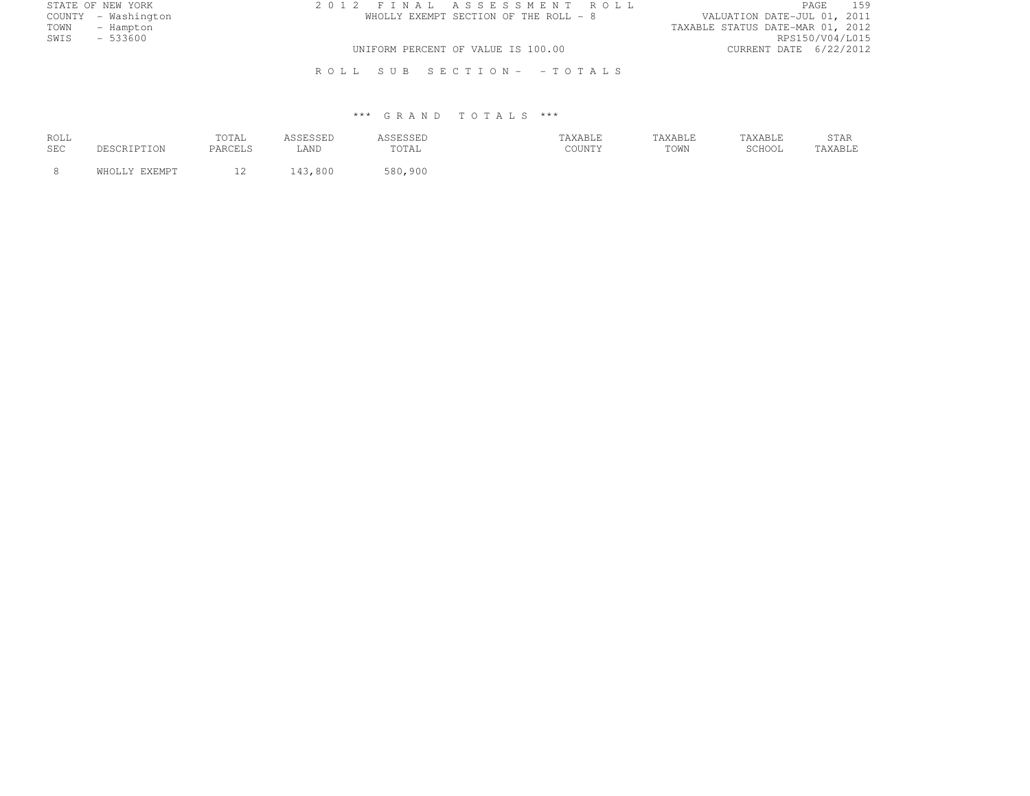| STATE OF NEW YORK   |  | 2012 FINAL ASSESSMENT ROLL            |                                  |                 | PAGE 159 |
|---------------------|--|---------------------------------------|----------------------------------|-----------------|----------|
| COUNTY - Washington |  | WHOLLY EXEMPT SECTION OF THE ROLL - 8 | VALUATION DATE-JUL 01, 2011      |                 |          |
| TOWN - Hampton      |  |                                       | TAXABLE STATUS DATE-MAR 01, 2012 |                 |          |
| SWIS<br>$-533600$   |  |                                       |                                  | RPS150/V04/L015 |          |
|                     |  | UNIFORM PERCENT OF VALUE IS 100.00    | CURRENT DATE 6/22/2012           |                 |          |
|                     |  | ROLL SUB SECTION- -TOTALS             |                                  |                 |          |

| ROLL<br>SEC | ついに           | TOTAL<br>PARCELS | ASSESSED<br>LAND | ASSESSED<br>TOTAL | 'AXABLE<br>COUNTY | TAXABLE<br>TOWN | TAXABLE<br>SCHOOL | STAR<br>TAXABLE |
|-------------|---------------|------------------|------------------|-------------------|-------------------|-----------------|-------------------|-----------------|
|             | WHOLLY EXEMPT |                  | 43,800           | 580,900           |                   |                 |                   |                 |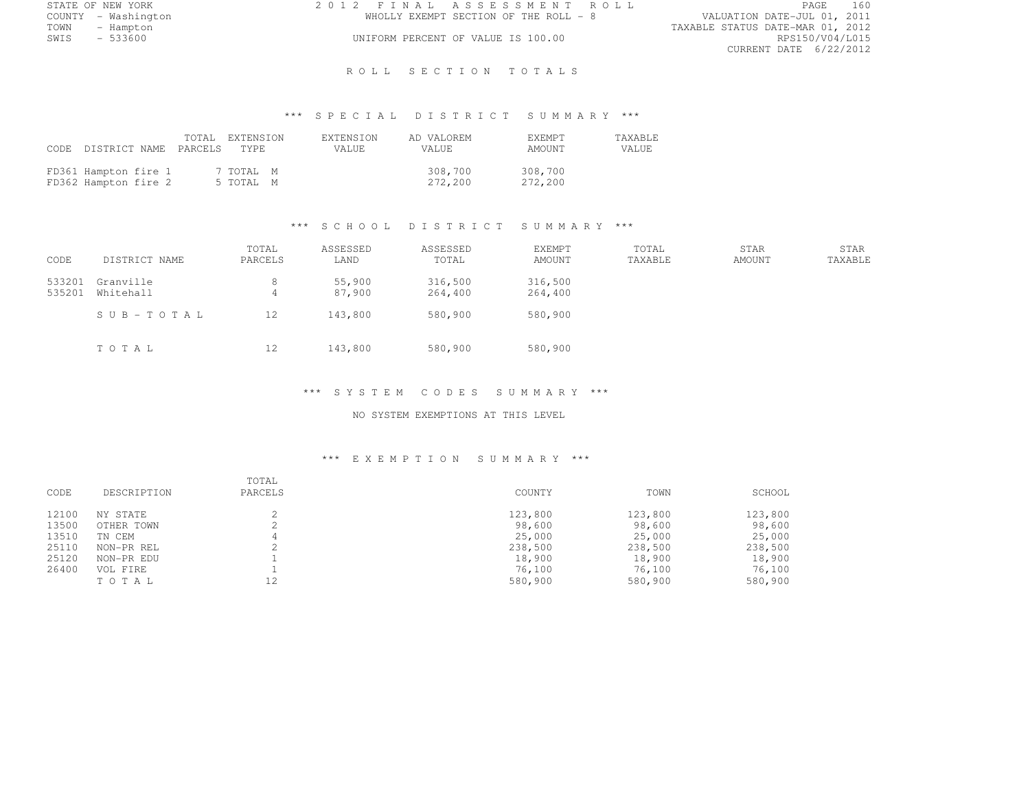| STATE OF NEW YORK   | 2012 FINAL ASSESSMENT ROLL            | 160<br>PAGE                      |
|---------------------|---------------------------------------|----------------------------------|
| COUNTY - Washington | WHOLLY EXEMPT SECTION OF THE ROLL - 8 | VALUATION DATE-JUL 01, 2011      |
| TOWN<br>– Hampton   |                                       | TAXABLE STATUS DATE-MAR 01, 2012 |
| $-533600$<br>SWIS   | UNIFORM PERCENT OF VALUE IS 100.00    | RPS150/V04/L015                  |
|                     |                                       | CURRENT DATE 6/22/2012           |

ROLL SECTION TOTALS

# \*\*\* S P E C I A L D I S T R I C T S U M M A R Y \*\*\*

| CODE DISTRICT NAME PARCELS                   |  | TOTAL EXTENSION<br>TYPE <sup>1</sup> | <b>EXTENSION</b><br>VALUE. | AD VALOREM<br>VALUE. | <b>F.XEMPT</b><br>AMOUNT | <b>TAXABLE</b><br>VALUE |
|----------------------------------------------|--|--------------------------------------|----------------------------|----------------------|--------------------------|-------------------------|
| FD361 Hampton fire 1<br>FD362 Hampton fire 2 |  | 7 TOTAL M<br>5 TOTAL M               |                            | 308,700<br>272,200   | 308,700<br>272,200       |                         |

## \*\*\* S C H O O L D I S T R I C T S U M M A R Y \*\*\*

| CODE             | DISTRICT NAME          | TOTAL<br>PARCELS    | ASSESSED<br>LAND | ASSESSED<br>TOTAL  | <b>EXEMPT</b><br>AMOUNT | TOTAL<br>TAXABLE | <b>STAR</b><br>AMOUNT | STAR<br>TAXABLE |
|------------------|------------------------|---------------------|------------------|--------------------|-------------------------|------------------|-----------------------|-----------------|
| 533201<br>535201 | Granville<br>Whitehall | 8<br>$\overline{4}$ | 55,900<br>87,900 | 316,500<br>264,400 | 316,500<br>264,400      |                  |                       |                 |
|                  | SUB-TOTAL              | 12                  | 143,800          | 580,900            | 580,900                 |                  |                       |                 |
|                  | TOTAL                  | 12                  | 143,800          | 580,900            | 580,900                 |                  |                       |                 |

#### \*\*\* S Y S T E M C O D E S S U M M A R Y \*\*\*

### NO SYSTEM EXEMPTIONS AT THIS LEVEL

| CODE  | DESCRIPTION | TOTAL<br>PARCELS | COUNTY  | TOWN    | SCHOOL  |
|-------|-------------|------------------|---------|---------|---------|
| 12100 | NY STATE    |                  | 123,800 | 123,800 | 123,800 |
| 13500 | OTHER TOWN  |                  | 98,600  | 98,600  | 98,600  |
| 13510 | TN CEM      |                  | 25,000  | 25,000  | 25,000  |
| 25110 | NON-PR REL  |                  | 238,500 | 238,500 | 238,500 |
| 25120 | NON-PR EDU  |                  | 18,900  | 18,900  | 18,900  |
| 26400 | VOL FIRE    |                  | 76,100  | 76,100  | 76,100  |
|       | TOTAL       | 12               | 580,900 | 580,900 | 580,900 |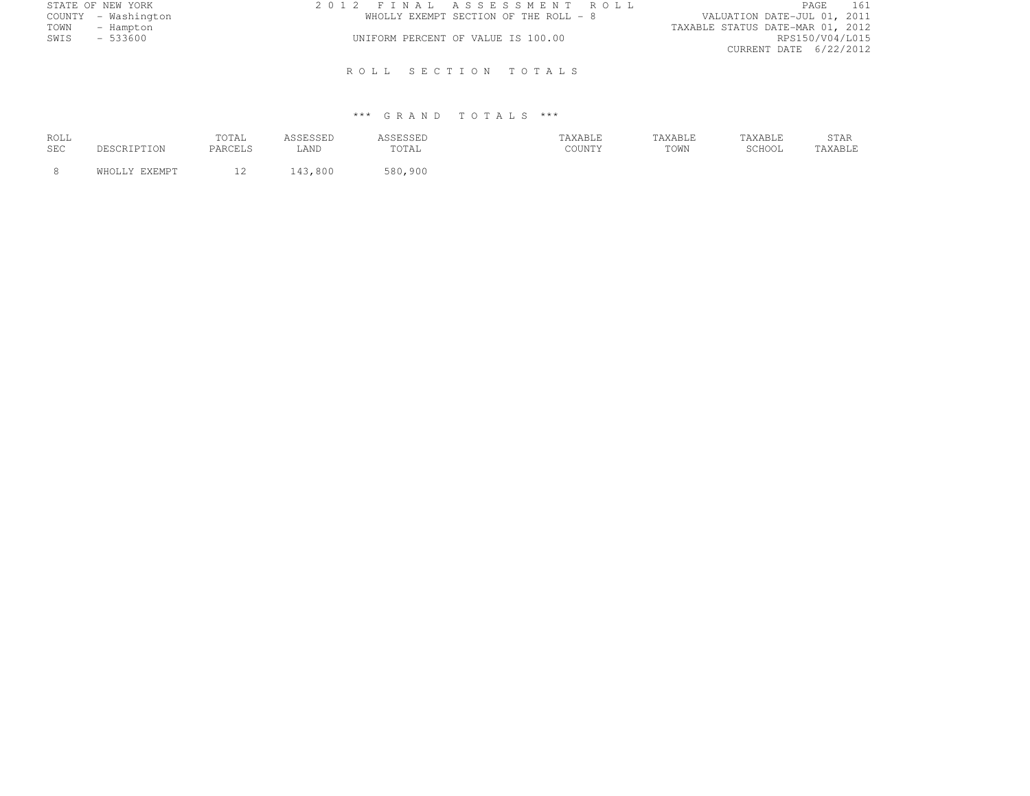| STATE OF NEW YORK   | 2012 FINAL ASSESSMENT ROLL            | PAGE<br>- 161                    |
|---------------------|---------------------------------------|----------------------------------|
| COUNTY - Washington | WHOLLY EXEMPT SECTION OF THE ROLL - 8 | VALUATION DATE-JUL 01, 2011      |
| TOWN<br>- Hampton   |                                       | TAXABLE STATUS DATE-MAR 01, 2012 |
| SWIS<br>- 533600    | UNIFORM PERCENT OF VALUE IS 100.00    | RPS150/V04/L015                  |
|                     |                                       | CURRENT DATE 6/22/2012           |
|                     | ROLL SECTION TOTALS                   |                                  |

| ROLL<br>SEC |               | TOTAL<br>PARCELS | LAND | SSESSED<br>TOTAL | TAXABLE<br>COUNTY | TAXABLE<br>TOWN | TAXABLE<br>$CCTI$ $\bigcap$ $T$<br>JUITUL | STAR<br>TAXABLE |
|-------------|---------------|------------------|------|------------------|-------------------|-----------------|-------------------------------------------|-----------------|
|             | WHOLLY EXEMPT | $\sim$<br>∸∸     | .800 | 580,900          |                   |                 |                                           |                 |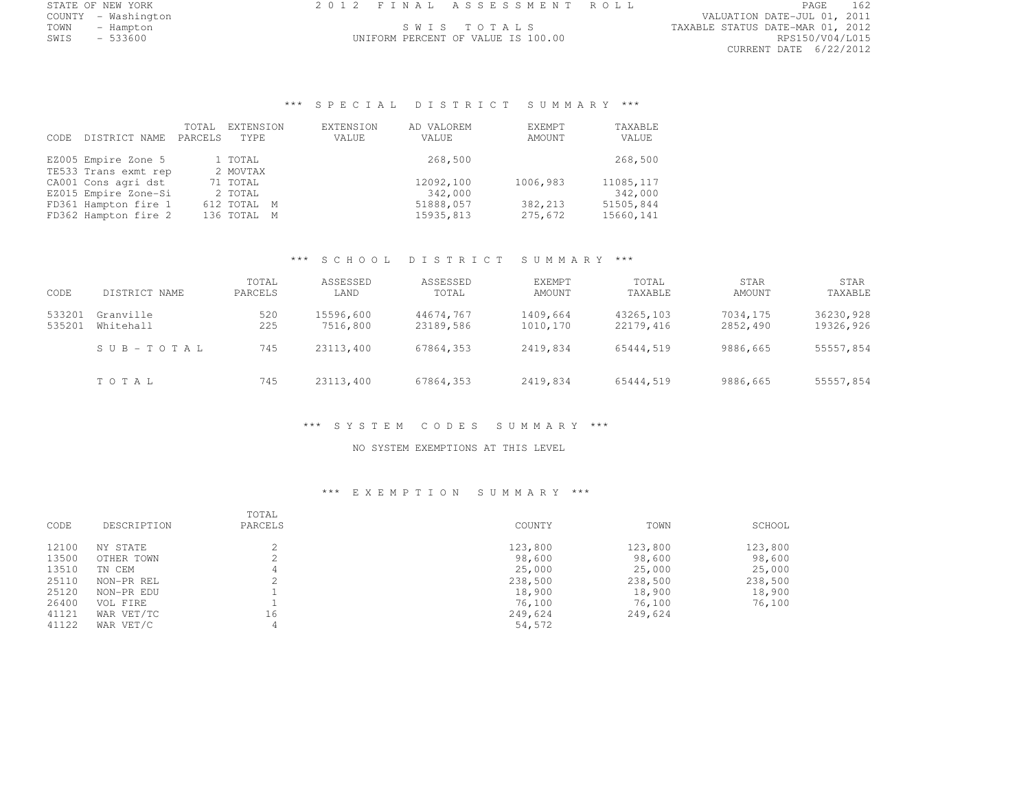| STATE OF NEW YORK | FINAL ASSESSMENT ROLL | PAGE | . |
|-------------------|-----------------------|------|---|
| .<br>---          |                       |      |   |

COUNTY - Washington VALUATION DATE-JUL 01, 2011 TOWN - Hampton S W I S T O T A L S TAXABLE STATUS DATE-MAR 01, 2012 CURRENT DATE 6/22/2012

# \*\*\* S P E C I A L D I S T R I C T S U M M A R Y \*\*\*

UNIFORM PERCENT OF VALUE IS 100.00

| CODE | DISTRICT NAME        | TOTAL<br>PARCELS | EXTENSION<br>TYPE. | EXTENSION<br>VALUE | AD VALOREM<br>VALUE | <b>F.XFMPT</b><br>AMOUNT | TAXABLE<br>VALUE |
|------|----------------------|------------------|--------------------|--------------------|---------------------|--------------------------|------------------|
|      | EZ005 Empire Zone 5  |                  | 1 TOTAL            |                    | 268,500             |                          | 268,500          |
|      | TE533 Trans exmt rep |                  | 2 MOVTAX           |                    |                     |                          |                  |
|      | CA001 Cons agri dst  |                  | 71 TOTAL           |                    | 12092,100           | 1006,983                 | 11085, 117       |
|      | EZ015 Empire Zone-Si |                  | 2 TOTAL            |                    | 342,000             |                          | 342,000          |
|      | FD361 Hampton fire 1 |                  | 612 TOTAL M        |                    | 51888,057           | 382,213                  | 51505,844        |
|      | FD362 Hampton fire 2 |                  | 136 TOTAL          | М                  | 15935,813           | 275,672                  | 15660,141        |
|      |                      |                  |                    |                    |                     |                          |                  |

#### \*\*\* S C H O O L D I S T R I C T S U M M A R Y \*\*\*

| CODE             | DISTRICT NAME          | TOTAL<br>PARCELS | ASSESSED<br>LAND      | ASSESSED<br>TOTAL      | <b>EXEMPT</b><br><b>AMOUNT</b> | TOTAL<br>TAXABLE       | STAR<br>AMOUNT       | STAR<br>TAXABLE        |
|------------------|------------------------|------------------|-----------------------|------------------------|--------------------------------|------------------------|----------------------|------------------------|
| 533201<br>535201 | Granville<br>Whitehall | 520<br>225       | 15596,600<br>7516,800 | 44674,767<br>23189,586 | 1409,664<br>1010,170           | 43265,103<br>22179,416 | 7034,175<br>2852,490 | 36230,928<br>19326,926 |
|                  | $S \cup B - TO T A L$  | 745              | 23113,400             | 67864,353              | 2419,834                       | 65444,519              | 9886,665             | 55557,854              |
|                  | TOTAL                  | 745              | 23113,400             | 67864,353              | 2419,834                       | 65444,519              | 9886,665             | 55557,854              |

## \*\*\* S Y S T E M C O D E S S U M M A R Y \*\*\*

### NO SYSTEM EXEMPTIONS AT THIS LEVEL

| CODE  | DESCRIPTION | TOTAL<br>PARCELS | COUNTY  | TOWN    | SCHOOL  |
|-------|-------------|------------------|---------|---------|---------|
| 12100 | NY STATE    |                  | 123,800 | 123,800 | 123,800 |
| 13500 | OTHER TOWN  |                  | 98,600  | 98,600  | 98,600  |
| 13510 | TN CEM      |                  | 25,000  | 25,000  | 25,000  |
| 25110 | NON-PR REL  |                  | 238,500 | 238,500 | 238,500 |
| 25120 | NON-PR EDU  |                  | 18,900  | 18,900  | 18,900  |
| 26400 | VOL FIRE    |                  | 76,100  | 76,100  | 76,100  |
| 41121 | WAR VET/TC  | 16               | 249,624 | 249,624 |         |
| 41122 | WAR VET/C   |                  | 54,572  |         |         |
|       |             |                  |         |         |         |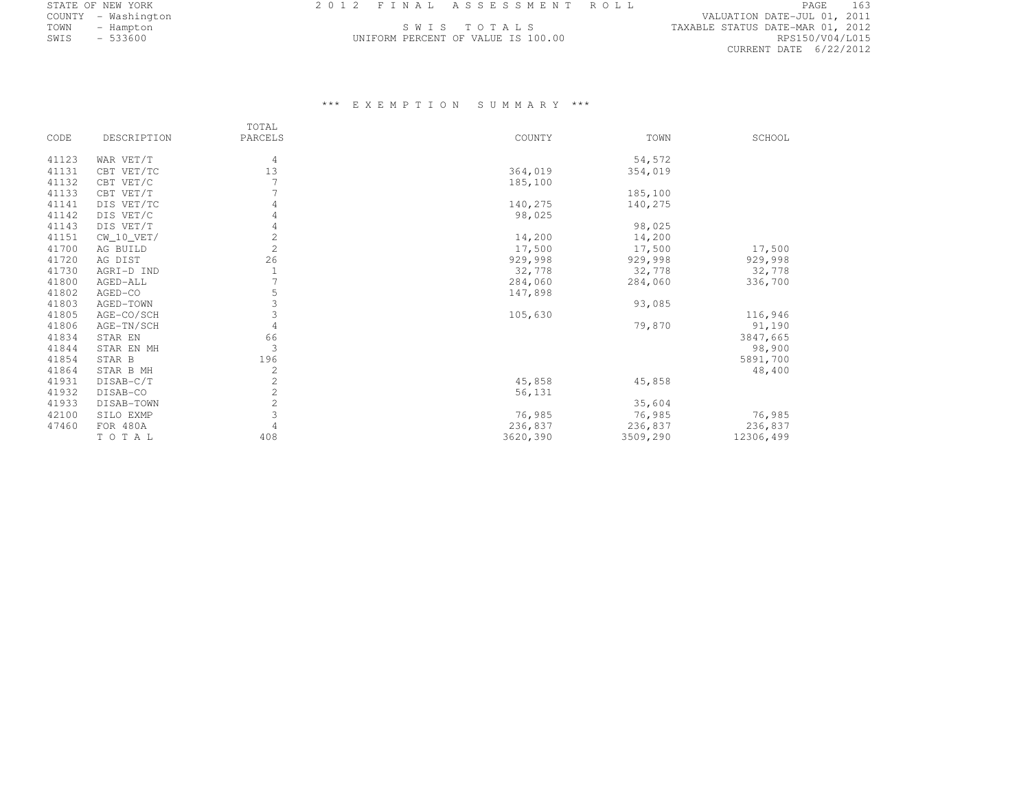| STATE OF NEW YORK   |  | 2012 FINAL ASSESSMENT ROLL         |                                  | PAGE                        | 163 |
|---------------------|--|------------------------------------|----------------------------------|-----------------------------|-----|
| COUNTY - Washington |  |                                    |                                  | VALUATION DATE-JUL 01, 2011 |     |
| TOWN<br>- Hampton   |  | SWIS TOTALS                        | TAXABLE STATUS DATE-MAR 01, 2012 |                             |     |
| SWIS<br>$-533600$   |  | UNIFORM PERCENT OF VALUE IS 100.00 |                                  | RPS150/V04/L015             |     |

|       |              | TOTAL          |          |          |           |
|-------|--------------|----------------|----------|----------|-----------|
| CODE  | DESCRIPTION  | PARCELS        | COUNTY   | TOWN     | SCHOOL    |
| 41123 | WAR VET/T    | 4              |          | 54,572   |           |
| 41131 | CBT VET/TC   | 13             | 364,019  | 354,019  |           |
| 41132 | CBT VET/C    |                | 185,100  |          |           |
| 41133 | CBT VET/T    |                |          | 185,100  |           |
| 41141 | DIS VET/TC   | 4              | 140,275  | 140,275  |           |
| 41142 | DIS VET/C    | 4              | 98,025   |          |           |
| 41143 | DIS VET/T    | 4              |          | 98,025   |           |
| 41151 | $CW_10_VET/$ | $\mathbf{2}$   | 14,200   | 14,200   |           |
| 41700 | AG BUILD     | $\overline{c}$ | 17,500   | 17,500   | 17,500    |
| 41720 | AG DIST      | 26             | 929,998  | 929,998  | 929,998   |
| 41730 | AGRI-D IND   |                | 32,778   | 32,778   | 32,778    |
| 41800 | AGED-ALL     |                | 284,060  | 284,060  | 336,700   |
| 41802 | AGED-CO      | 5              | 147,898  |          |           |
| 41803 | AGED-TOWN    | 3              |          | 93,085   |           |
| 41805 | AGE-CO/SCH   | 3              | 105,630  |          | 116,946   |
| 41806 | AGE-TN/SCH   | $\overline{4}$ |          | 79,870   | 91,190    |
| 41834 | STAR EN      | 66             |          |          | 3847,665  |
| 41844 | STAR EN MH   | 3              |          |          | 98,900    |
| 41854 | STAR B       | 196            |          |          | 5891,700  |
| 41864 | STAR B MH    | $\mathbf{2}$   |          |          | 48,400    |
| 41931 | DISAB-C/T    | $\overline{c}$ | 45,858   | 45,858   |           |
| 41932 | DISAB-CO     | $\sqrt{2}$     | 56,131   |          |           |
| 41933 | DISAB-TOWN   | $\sqrt{2}$     |          | 35,604   |           |
| 42100 | SILO EXMP    | $\overline{3}$ | 76,985   | 76,985   | 76,985    |
| 47460 | FOR 480A     | $\overline{4}$ | 236,837  | 236,837  | 236,837   |
|       | TOTAL        | 408            | 3620,390 | 3509,290 | 12306,499 |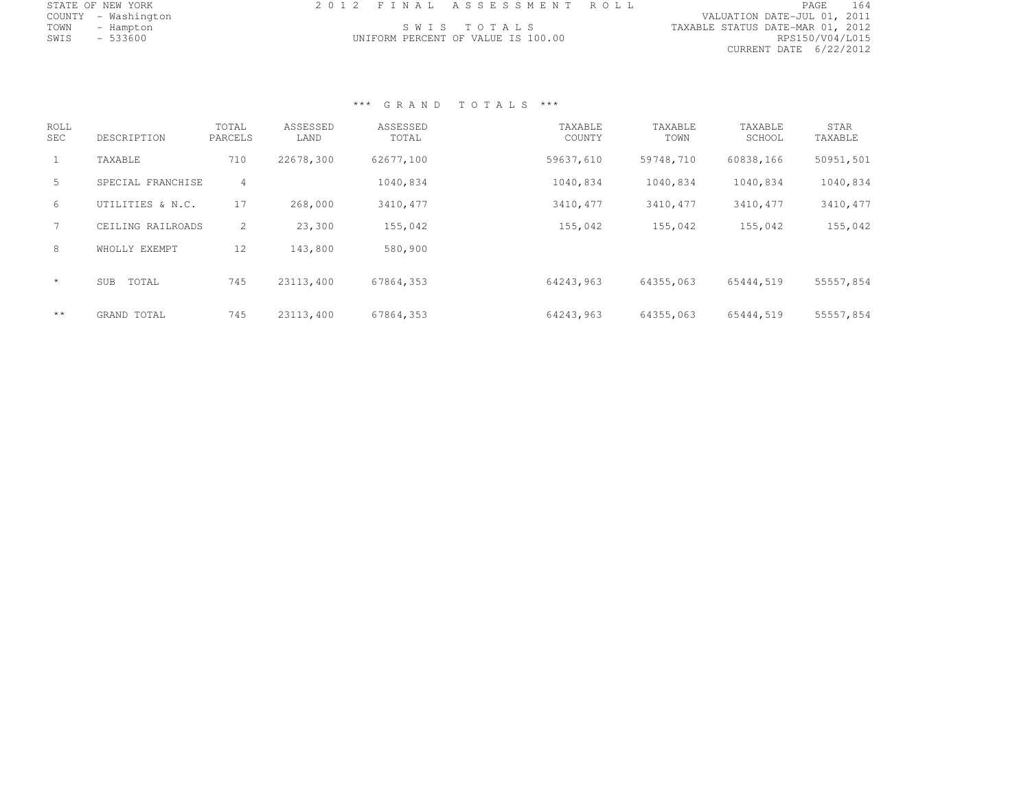|      | STATE OF NEW YORK   | 2012 FINAL ASSESSMENT ROLL |                                    |                                  | PAGE            | 164 |
|------|---------------------|----------------------------|------------------------------------|----------------------------------|-----------------|-----|
|      | COUNTY - Washington |                            |                                    | VALUATION DATE-JUL 01, 2011      |                 |     |
| TOWN | - Hampton           |                            | SWIS TOTALS                        | TAXABLE STATUS DATE-MAR 01, 2012 |                 |     |
| SWIS | $-533600$           |                            | UNIFORM PERCENT OF VALUE IS 100.00 |                                  | RPS150/V04/L015 |     |
|      |                     |                            |                                    | CURRENT DATE 6/22/2012           |                 |     |

| ROLL<br><b>SEC</b> | DESCRIPTION         | TOTAL<br>PARCELS | ASSESSED<br>LAND | ASSESSED<br>TOTAL | TAXABLE<br>COUNTY | TAXABLE<br>TOWN | TAXABLE<br>SCHOOL | STAR<br>TAXABLE |
|--------------------|---------------------|------------------|------------------|-------------------|-------------------|-----------------|-------------------|-----------------|
|                    | TAXABLE             | 710              | 22678,300        | 62677,100         | 59637,610         | 59748,710       | 60838,166         | 50951,501       |
| 5.                 | SPECIAL FRANCHISE   | 4                |                  | 1040,834          | 1040,834          | 1040,834        | 1040,834          | 1040,834        |
| 6                  | UTILITIES & N.C.    | 17               | 268,000          | 3410, 477         | 3410, 477         | 3410, 477       | 3410,477          | 3410, 477       |
|                    | CEILING RAILROADS   | $\overline{2}$   | 23,300           | 155,042           | 155,042           | 155,042         | 155,042           | 155,042         |
| 8                  | WHOLLY EXEMPT       | 12               | 143,800          | 580,900           |                   |                 |                   |                 |
| $\star$            | TOTAL<br><b>SUB</b> | 745              | 23113,400        | 67864,353         | 64243,963         | 64355.063       | 65444.519         | 55557,854       |
| $\star\star$       | GRAND TOTAL         | 745              | 23113,400        | 67864,353         | 64243,963         | 64355,063       | 65444,519         | 55557,854       |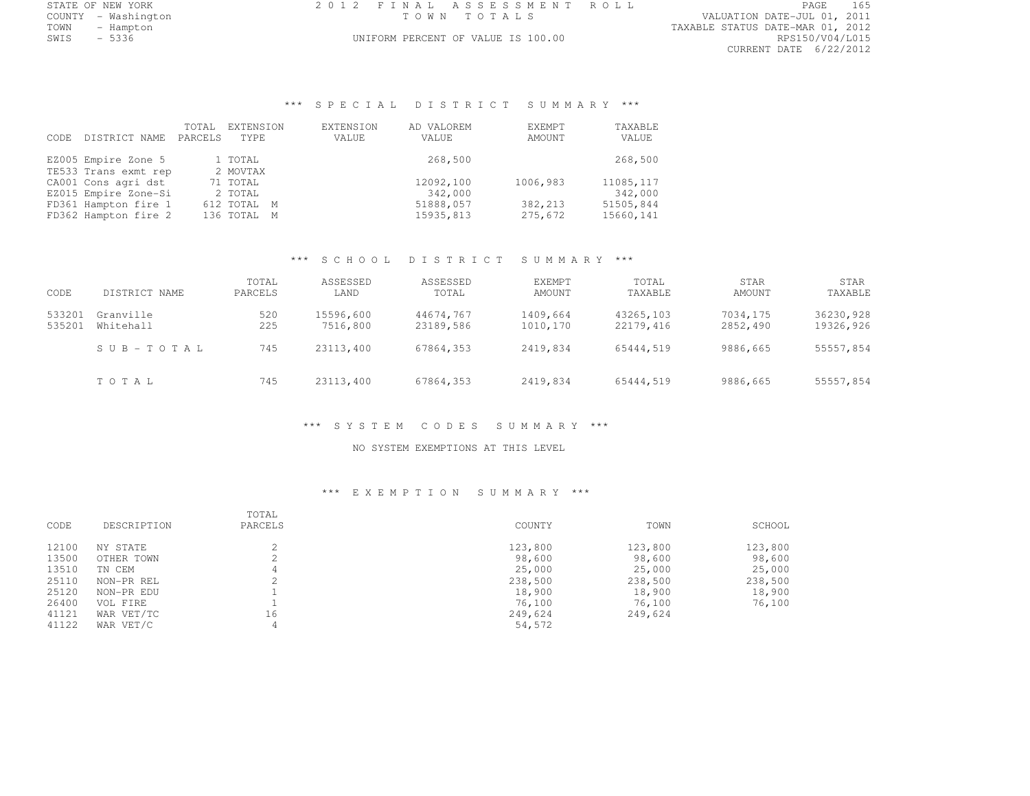| STATE OF NEW YORK   | 2012 FINAL ASSESSMENT ROLL         | 165<br>PAGE                      |
|---------------------|------------------------------------|----------------------------------|
| COUNTY - Washington | TOWN TOTALS                        | VALUATION DATE-JUL 01, 2011      |
| TOWN<br>– Hampton   |                                    | TAXABLE STATUS DATE-MAR 01, 2012 |
| SWIS<br>- 5336      | UNIFORM PERCENT OF VALUE IS 100.00 | RPS150/V04/L015                  |
|                     |                                    |                                  |

TATUS DATE-MAR 01, 2012<br>RPS150/V04/L015 CURRENT DATE 6/22/2012

# \*\*\* S P E C I A L D I S T R I C T S U M M A R Y \*\*\*

| CODE. | DISTRICT NAME        | TOTAL<br>PARCELS | EXTENSION<br>TYPE. | EXTENSION<br>VALUE | AD VALOREM<br>VALUE | EXEMPT<br>AMOUNT | TAXABLE<br>VALUE |
|-------|----------------------|------------------|--------------------|--------------------|---------------------|------------------|------------------|
|       | EZ005 Empire Zone 5  |                  | 1 TOTAL            |                    | 268,500             |                  | 268,500          |
|       | TE533 Trans exmt rep |                  | 2 MOVTAX           |                    |                     |                  |                  |
|       | CA001 Cons agri dst  |                  | 71 TOTAL           |                    | 12092,100           | 1006,983         | 11085, 117       |
|       | EZ015 Empire Zone-Si |                  | 2 TOTAL            |                    | 342,000             |                  | 342,000          |
|       | FD361 Hampton fire 1 |                  | 612 TOTAL M        |                    | 51888,057           | 382,213          | 51505,844        |
|       | FD362 Hampton fire 2 |                  | 136 TOTAL M        |                    | 15935,813           | 275,672          | 15660,141        |
|       |                      |                  |                    |                    |                     |                  |                  |

#### \*\*\* S C H O O L D I S T R I C T S U M M A R Y \*\*\*

| CODE             | DISTRICT NAME          | TOTAL<br>PARCELS | ASSESSED<br>LAND      | ASSESSED<br>TOTAL      | <b>EXEMPT</b><br>AMOUNT | TOTAL<br>TAXABLE       | STAR<br>AMOUNT       | STAR<br>TAXABLE        |
|------------------|------------------------|------------------|-----------------------|------------------------|-------------------------|------------------------|----------------------|------------------------|
| 533201<br>535201 | Granville<br>Whitehall | 520<br>225       | 15596,600<br>7516,800 | 44674,767<br>23189,586 | 1409,664<br>1010,170    | 43265,103<br>22179,416 | 7034,175<br>2852,490 | 36230,928<br>19326,926 |
|                  | $S \cup B - TO T A L$  | 745              | 23113,400             | 67864,353              | 2419,834                | 65444.519              | 9886,665             | 55557,854              |
|                  | TOTAL                  | 745              | 23113,400             | 67864,353              | 2419,834                | 65444,519              | 9886,665             | 55557,854              |

#### \*\*\* S Y S T E M C O D E S S U M M A R Y \*\*\*

### NO SYSTEM EXEMPTIONS AT THIS LEVEL

| CODE  | DESCRIPTION | TOTAL<br>PARCELS | COUNTY  | TOWN    | SCHOOL  |
|-------|-------------|------------------|---------|---------|---------|
| 12100 | NY STATE    |                  | 123,800 | 123,800 | 123,800 |
| 13500 | OTHER TOWN  |                  | 98,600  | 98,600  | 98,600  |
| 13510 | TN CEM      | 4                | 25,000  | 25,000  | 25,000  |
| 25110 | NON-PR REL  | $\sim$           | 238,500 | 238,500 | 238,500 |
| 25120 | NON-PR EDU  |                  | 18,900  | 18,900  | 18,900  |
| 26400 | VOL FIRE    |                  | 76,100  | 76,100  | 76,100  |
| 41121 | WAR VET/TC  | 16               | 249,624 | 249,624 |         |
| 41122 | WAR VET/C   | 4                | 54,572  |         |         |
|       |             |                  |         |         |         |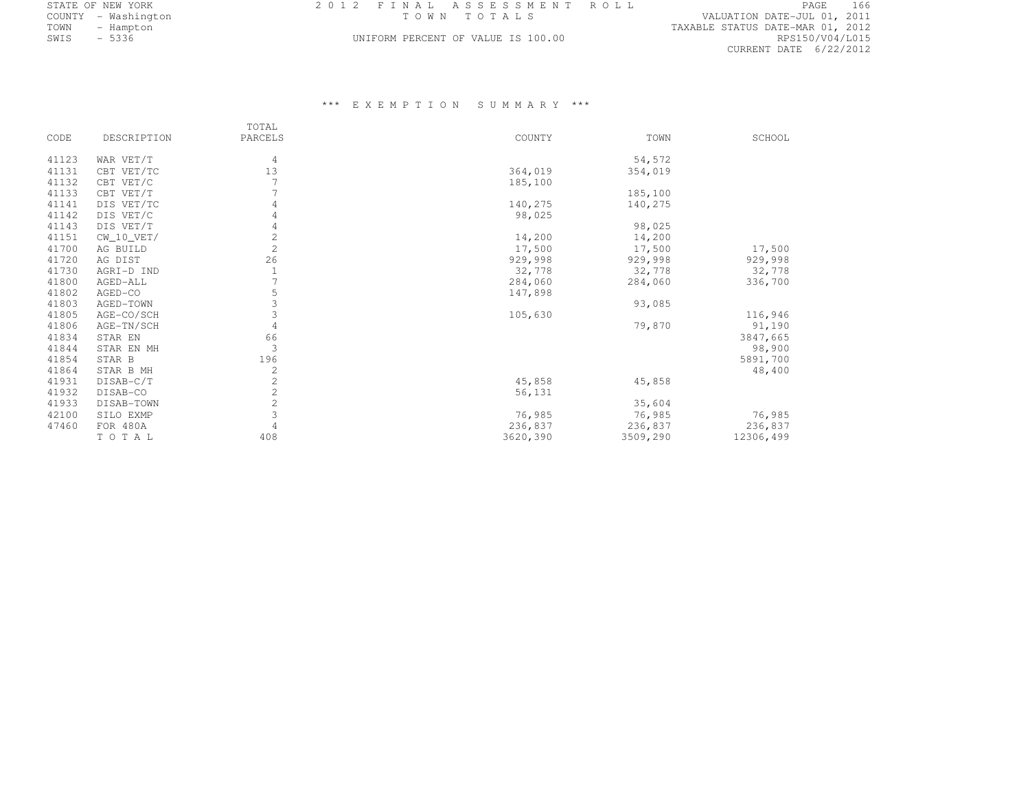| STATE OF NEW YORK   | 2012 FINAL ASSESSMENT ROLL         | PAGE                             |
|---------------------|------------------------------------|----------------------------------|
| COUNTY - Washington | TOWN TOTALS                        | VALUATION DATE-JUL 01, 2011      |
| TOWN<br>- Hampton   |                                    | TAXABLE STATUS DATE-MAR 01, 2012 |
| $-5336$<br>SWIS     | UNIFORM PERCENT OF VALUE IS 100.00 | RPS150/V04/L015                  |

## UNIFORM PERCENT OF VALUE IS 100.00

|       |              | TOTAL   |          |          |           |
|-------|--------------|---------|----------|----------|-----------|
| CODE  | DESCRIPTION  | PARCELS | COUNTY   | TOWN     | SCHOOL    |
| 41123 | WAR VET/T    | 4       |          | 54,572   |           |
| 41131 | CBT VET/TC   | 13      | 364,019  | 354,019  |           |
| 41132 | CBT VET/C    |         | 185,100  |          |           |
| 41133 | CBT VET/T    |         |          | 185,100  |           |
| 41141 | DIS VET/TC   | 4       | 140,275  | 140,275  |           |
| 41142 | DIS VET/C    | 4       | 98,025   |          |           |
| 41143 | DIS VET/T    |         |          | 98,025   |           |
| 41151 | $CW_10_VET/$ | 2       | 14,200   | 14,200   |           |
| 41700 | AG BUILD     | 2       | 17,500   | 17,500   | 17,500    |
| 41720 | AG DIST      | 26      | 929,998  | 929,998  | 929,998   |
| 41730 | AGRI-D IND   |         | 32,778   | 32,778   | 32,778    |
| 41800 | AGED-ALL     |         | 284,060  | 284,060  | 336,700   |
| 41802 | AGED-CO      | 5       | 147,898  |          |           |
| 41803 | AGED-TOWN    | 3       |          | 93,085   |           |
| 41805 | AGE-CO/SCH   | 3       | 105,630  |          | 116,946   |
| 41806 | AGE-TN/SCH   | 4       |          | 79,870   | 91,190    |
| 41834 | STAR EN      | 66      |          |          | 3847,665  |
| 41844 | STAR EN MH   | 3       |          |          | 98,900    |
| 41854 | STAR B       | 196     |          |          | 5891,700  |
| 41864 | STAR B MH    | 2       |          |          | 48,400    |
| 41931 | DISAB-C/T    | 2       | 45,858   | 45,858   |           |
| 41932 | DISAB-CO     | 2       | 56,131   |          |           |
| 41933 | DISAB-TOWN   | 2       |          | 35,604   |           |
| 42100 | SILO EXMP    | 3       | 76,985   | 76,985   | 76,985    |
| 47460 | FOR 480A     |         | 236,837  | 236,837  | 236,837   |
|       | TOTAL        | 408     | 3620,390 | 3509,290 | 12306,499 |